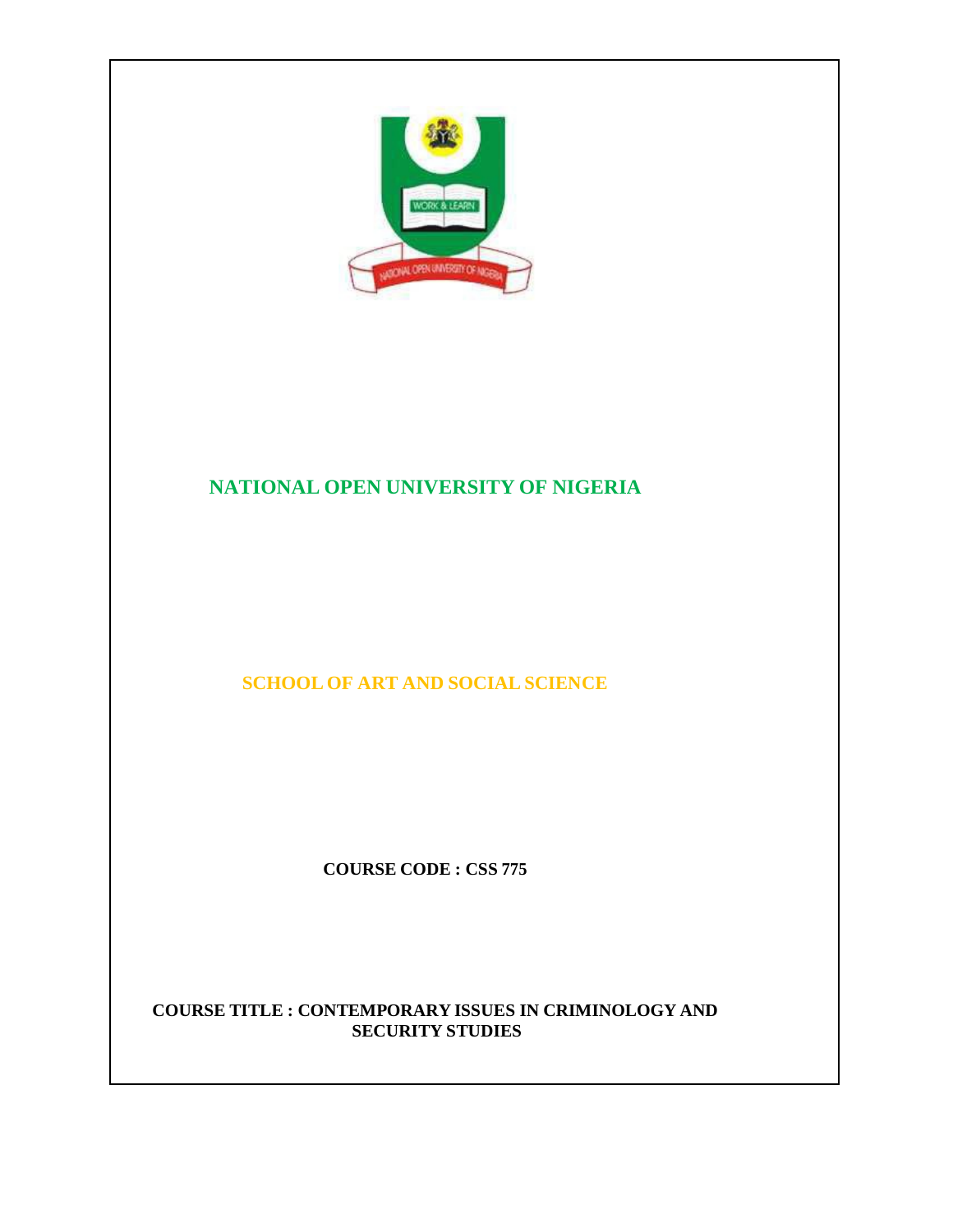

# **NATIONAL OPEN UNIVERSITY OF NIGERIA**

# **SCHOOL OF ART AND SOCIAL SCIENCE**

**COURSE CODE : CSS 775**

#### **COURSE TITLE : CONTEMPORARY ISSUES IN CRIMINOLOGY AND SECURITY STUDIES**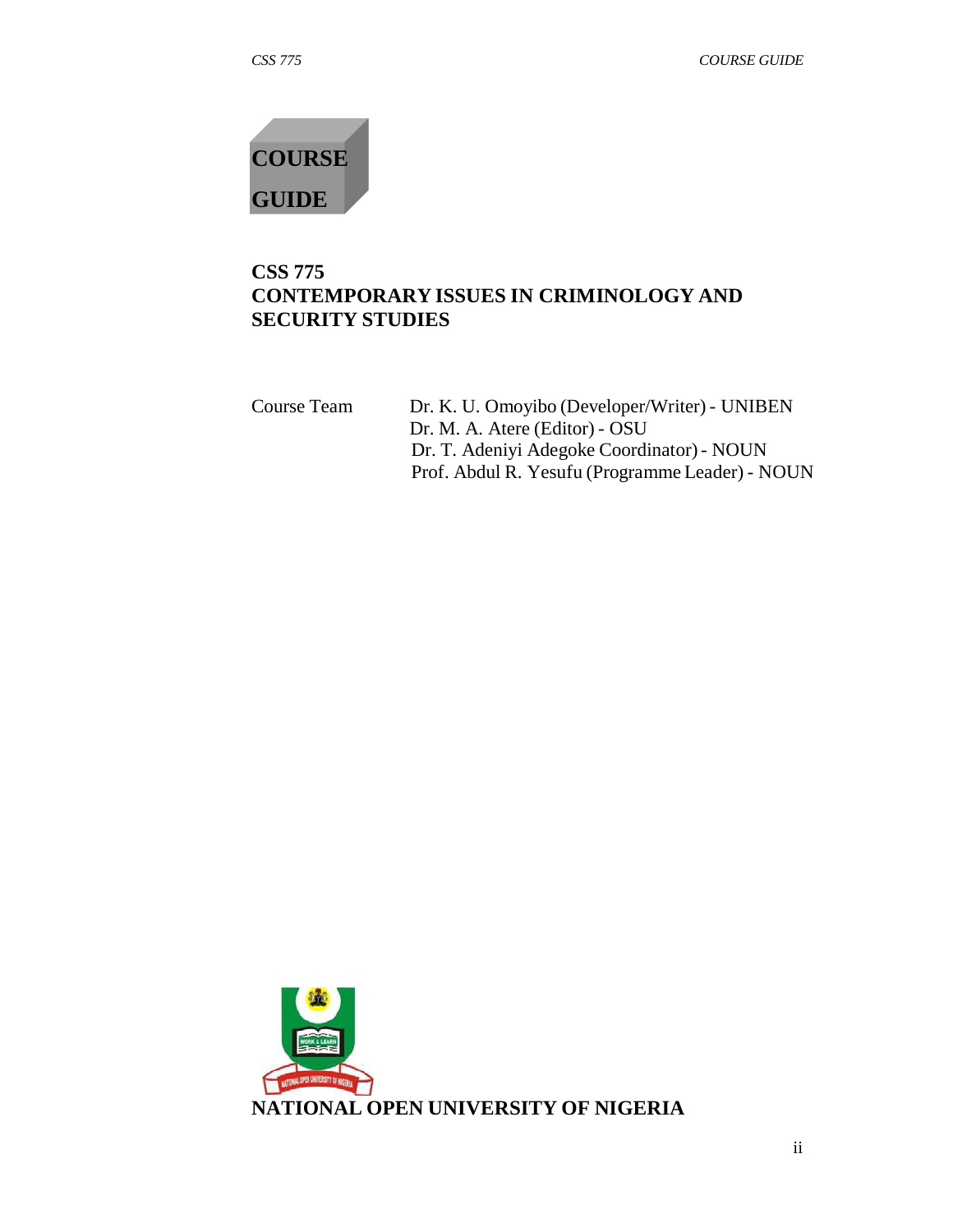# **COURSE GUIDE**

# **CSS 775 CONTEMPORARY ISSUES IN CRIMINOLOGY AND SECURITY STUDIES**

| Dr. K. U. Omoyibo (Developer/Writer) - UNIBEN   |
|-------------------------------------------------|
| Dr. M. A. Atere (Editor) - OSU                  |
| Dr. T. Adeniyi Adegoke Coordinator) - NOUN      |
| Prof. Abdul R. Yesufu (Programme Leader) - NOUN |
|                                                 |

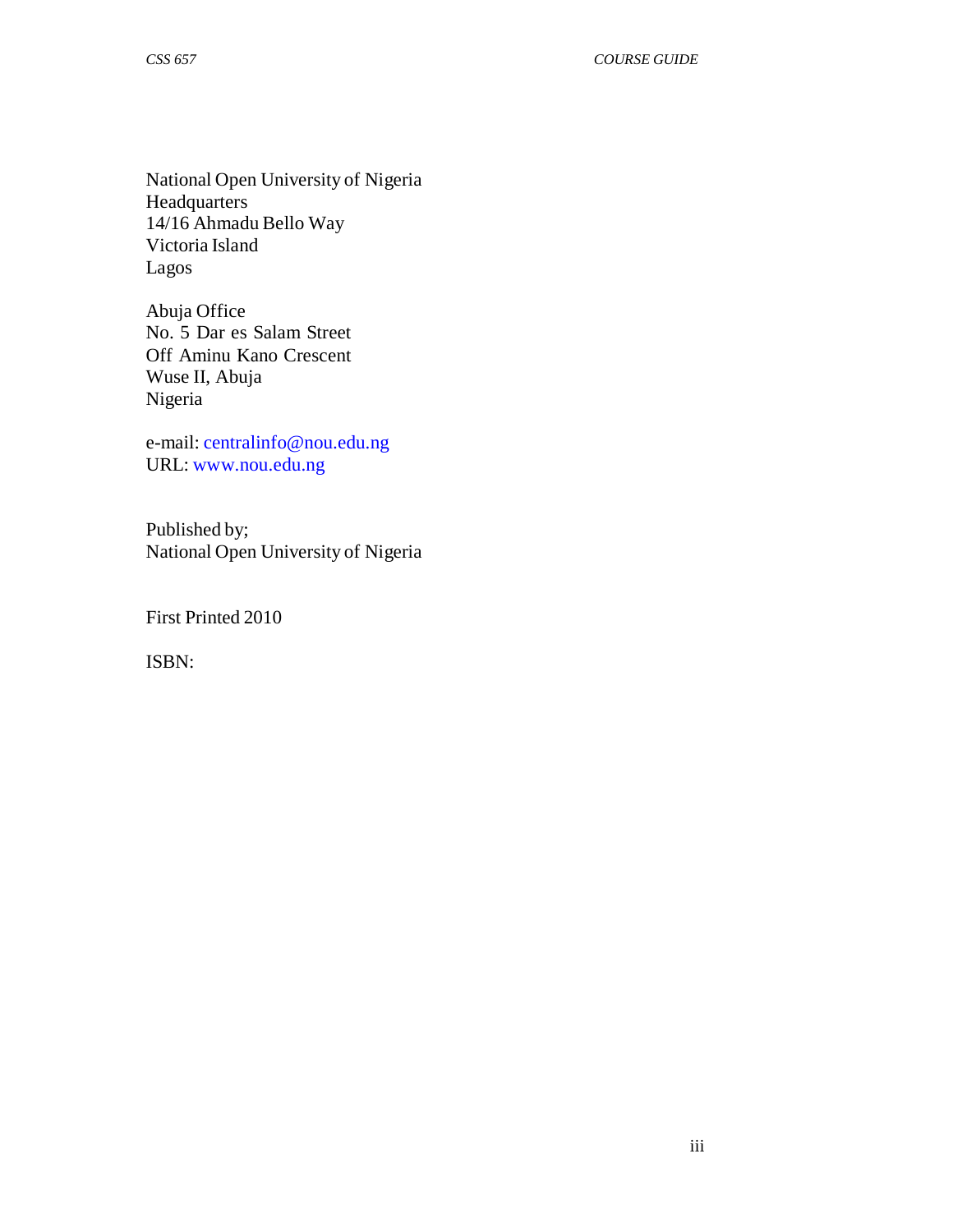National Open University of Nigeria Headquarters 14/16 Ahmadu Bello Way Victoria Island Lagos

Abuja Office No. 5 Dar es Salam Street Off Aminu Kano Crescent Wuse II, Abuja Nigeria

e-mail: centralinfo@nou.edu.ng URL: www.nou.edu.ng

Published by; National Open University of Nigeria

First Printed 2010

ISBN: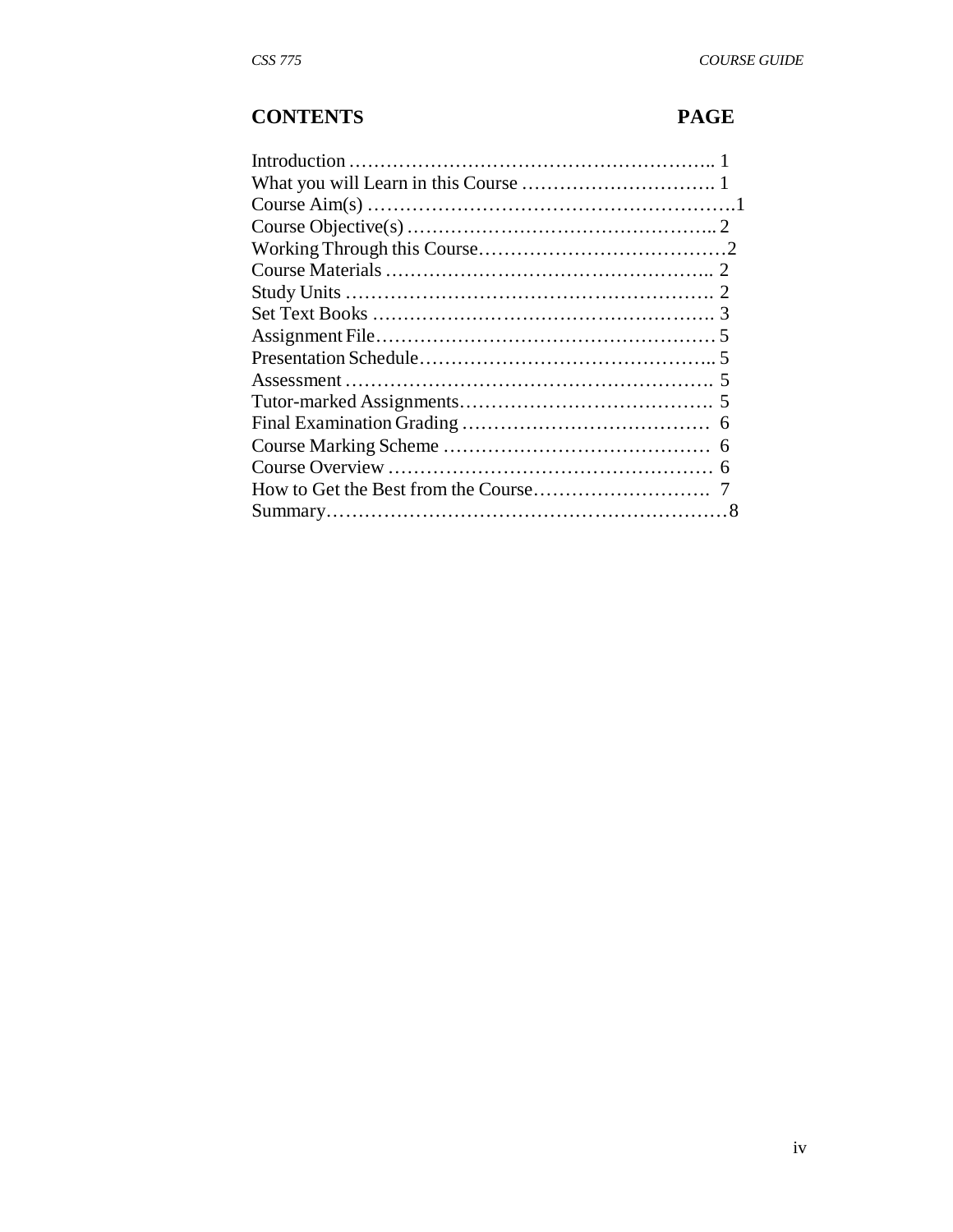# **CONTENTS PAGE**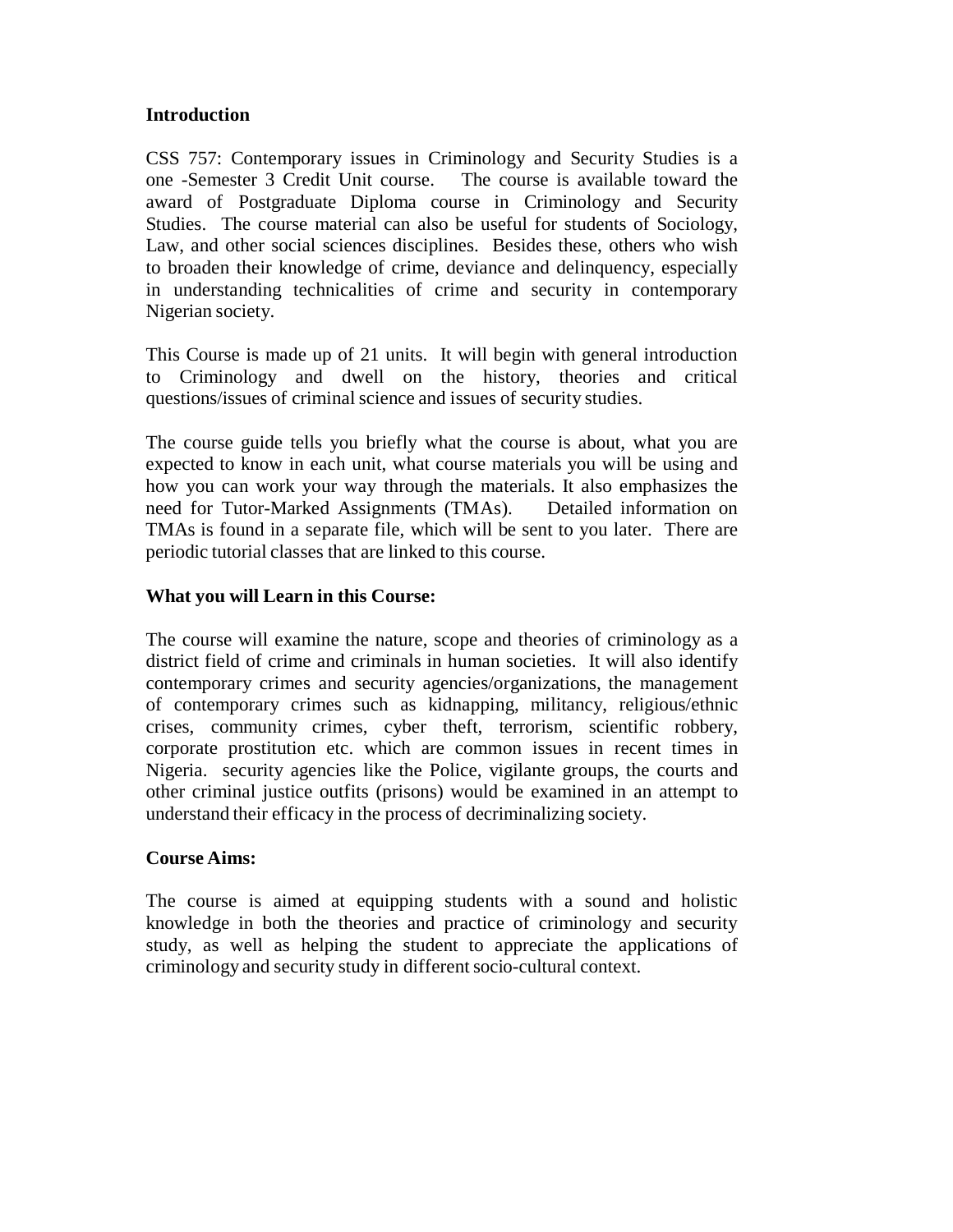#### **Introduction**

CSS 757: Contemporary issues in Criminology and Security Studies is a one -Semester 3 Credit Unit course. The course is available toward the award of Postgraduate Diploma course in Criminology and Security Studies. The course material can also be useful for students of Sociology, Law, and other social sciences disciplines. Besides these, others who wish to broaden their knowledge of crime, deviance and delinquency, especially in understanding technicalities of crime and security in contemporary Nigerian society.

This Course is made up of 21 units. It will begin with general introduction to Criminology and dwell on the history, theories and critical questions/issues of criminal science and issues of security studies.

The course guide tells you briefly what the course is about, what you are expected to know in each unit, what course materials you will be using and how you can work your way through the materials. It also emphasizes the need for Tutor-Marked Assignments (TMAs). Detailed information on TMAs is found in a separate file, which will be sent to you later. There are periodic tutorial classes that are linked to this course.

#### **What you will Learn in this Course:**

The course will examine the nature, scope and theories of criminology as a district field of crime and criminals in human societies. It will also identify contemporary crimes and security agencies/organizations, the management of contemporary crimes such as kidnapping, militancy, religious/ethnic crises, community crimes, cyber theft, terrorism, scientific robbery, corporate prostitution etc. which are common issues in recent times in Nigeria. security agencies like the Police, vigilante groups, the courts and other criminal justice outfits (prisons) would be examined in an attempt to understand their efficacy in the process of decriminalizing society.

#### **Course Aims:**

The course is aimed at equipping students with a sound and holistic knowledge in both the theories and practice of criminology and security study, as well as helping the student to appreciate the applications of criminology and security study in different socio-cultural context.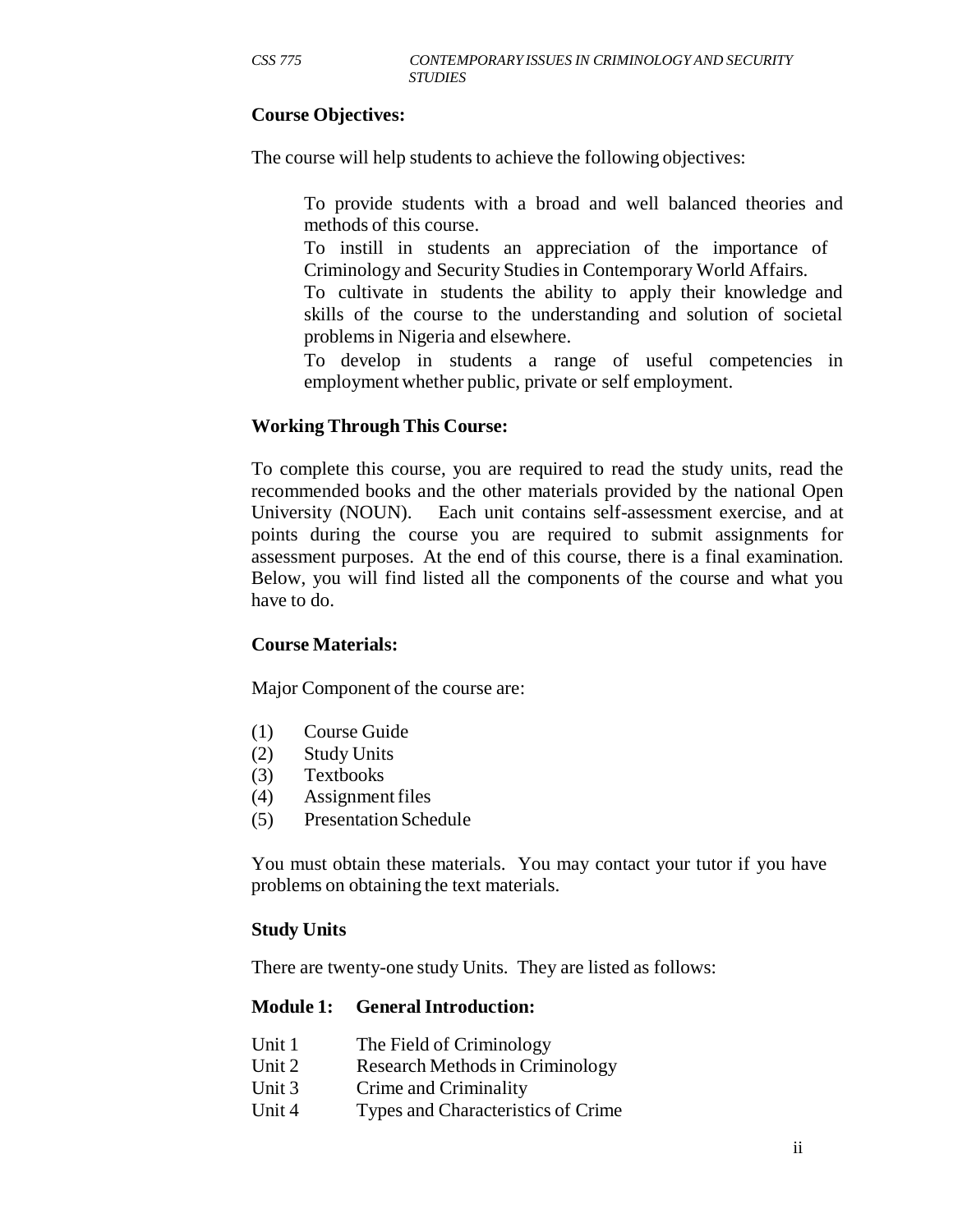#### **Course Objectives:**

The course will help students to achieve the following objectives:

To provide students with a broad and well balanced theories and methods of this course.

To instill in students an appreciation of the importance of Criminology and Security Studies in Contemporary World Affairs.

To cultivate in students the ability to apply their knowledge and skills of the course to the understanding and solution of societal problems in Nigeria and elsewhere.

To develop in students a range of useful competencies in employment whether public, private or self employment.

#### **Working Through This Course:**

To complete this course, you are required to read the study units, read the recommended books and the other materials provided by the national Open University (NOUN). Each unit contains self-assessment exercise, and at points during the course you are required to submit assignments for assessment purposes. At the end of this course, there is a final examination. Below, you will find listed all the components of the course and what you have to do.

#### **Course Materials:**

Major Component of the course are:

- (1) Course Guide
- (2) Study Units
- (3) Textbooks
- (4) Assignment files
- (5) Presentation Schedule

You must obtain these materials. You may contact your tutor if you have problems on obtaining the text materials.

#### **Study Units**

There are twenty-one study Units. They are listed as follows:

#### **Module 1: General Introduction:**

- Unit 1 The Field of Criminology
- Unit 2 Research Methods in Criminology
- Unit 3 Crime and Criminality
- Unit 4 Types and Characteristics of Crime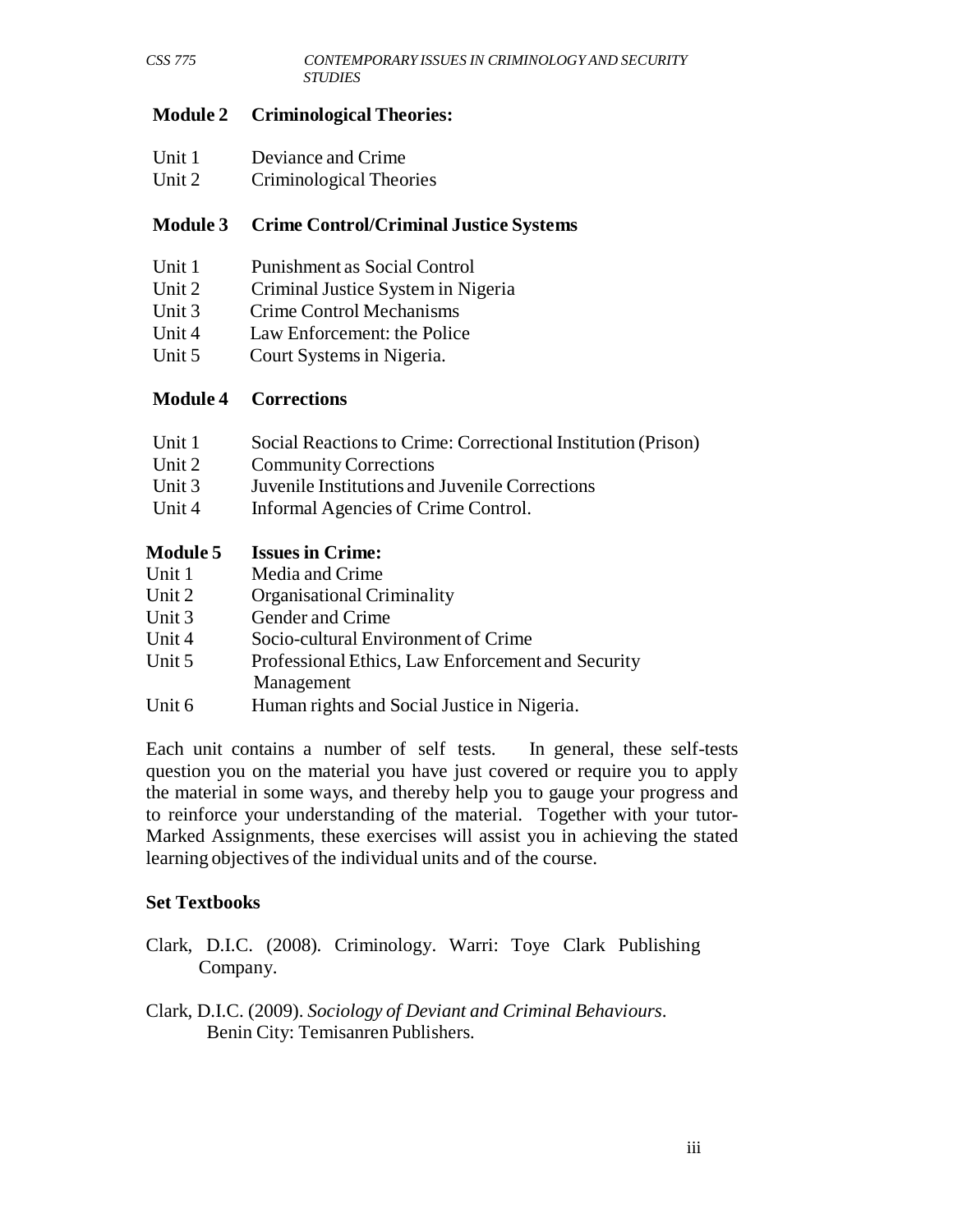#### **Module 2 Criminological Theories:**

| Unit 1 | Deviance and Crime |  |
|--------|--------------------|--|
|        |                    |  |

Unit 2 Criminological Theories

#### **Module 3 Crime Control/Criminal Justice Systems**

| Unit 1 | Punishment as Social Control |  |
|--------|------------------------------|--|
|        |                              |  |

- Unit 2 Criminal Justice System in Nigeria
- Unit 3 Crime Control Mechanisms
- Unit 4 Law Enforcement: the Police
- Unit 5 Court Systems in Nigeria.

#### **Module 4 Corrections**

| Unit 1 | Social Reactions to Crime: Correctional Institution (Prison) |
|--------|--------------------------------------------------------------|
| Unit 2 | <b>Community Corrections</b>                                 |
| Unit 3 | Juvenile Institutions and Juvenile Corrections               |
| Unit 4 | Informal Agencies of Crime Control.                          |

#### **Module 5 Issues in Crime:**

- Unit 1 Media and Crime
- Unit 2 Organisational Criminality
- Unit 3 Gender and Crime
- Unit 4 Socio-cultural Environment of Crime
- Unit 5 Professional Ethics, Law Enforcement and Security Management
- Unit 6 Human rights and Social Justice in Nigeria.

Each unit contains a number of self tests. In general, these self-tests question you on the material you have just covered or require you to apply the material in some ways, and thereby help you to gauge your progress and to reinforce your understanding of the material. Together with your tutor-Marked Assignments, these exercises will assist you in achieving the stated learning objectives of the individual units and of the course.

#### **Set Textbooks**

- Clark, D.I.C. (2008). Criminology. Warri: Toye Clark Publishing Company.
- Clark, D.I.C. (2009). *Sociology of Deviant and Criminal Behaviours*. Benin City: Temisanren Publishers.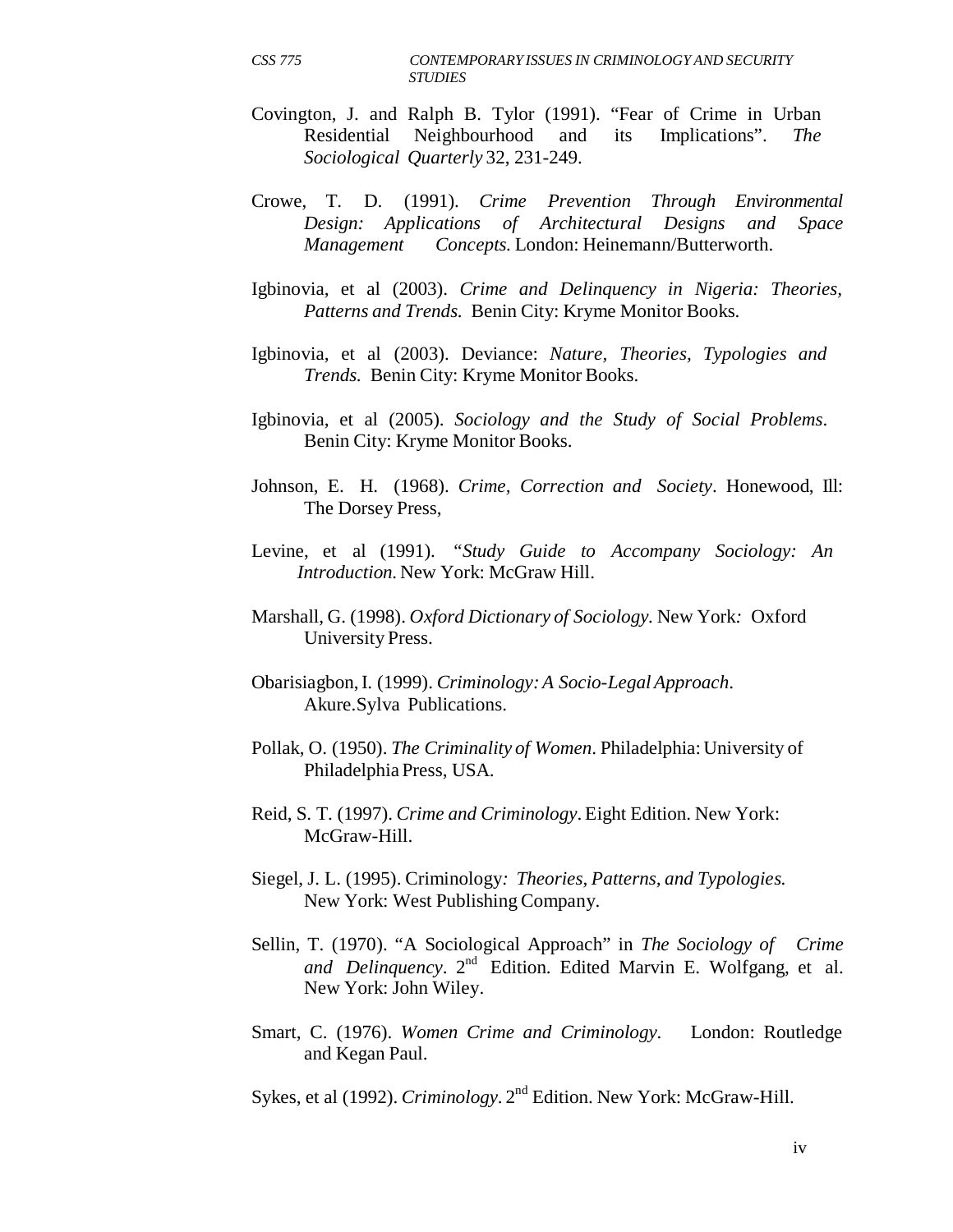- Covington, J. and Ralph B. Tylor (1991). "Fear of Crime in Urban Residential Neighbourhood and its Implications". *The Sociological Quarterly* 32, 231-249.
- Crowe, T. D. (1991). *Crime Prevention Through Environmental Design: Applications of Architectural Designs and Space Management Concepts.* London: Heinemann/Butterworth.
- Igbinovia, et al (2003). *Crime and Delinquency in Nigeria: Theories, Patterns and Trends.* Benin City: Kryme Monitor Books.
- Igbinovia, et al (2003). Deviance: *Nature, Theories, Typologies and Trends.* Benin City: Kryme Monitor Books.
- Igbinovia, et al (2005). *Sociology and the Study of Social Problems*. Benin City: Kryme Monitor Books.
- Johnson, E. H. (1968). *Crime, Correction and Society*. Honewood, Ill: The Dorsey Press,
- Levine, et al (1991). *"Study Guide to Accompany Sociology: An Introduction.* New York: McGraw Hill.
- Marshall, G. (1998). *Oxford Dictionary of Sociology.* New York*:* Oxford University Press.
- Obarisiagbon, I. (1999). *Criminology: A Socio-Legal Approach*. Akure.Sylva Publications.
- Pollak, O. (1950). *The Criminality of Women*. Philadelphia: University of Philadelphia Press, USA.
- Reid, S. T. (1997). *Crime and Criminology*. Eight Edition. New York: McGraw-Hill.
- Siegel, J. L. (1995). Criminology*: Theories, Patterns, and Typologies.* New York: West Publishing Company.
- Sellin, T. (1970). "A Sociological Approach" in *The Sociology of Crime*  and Delinquency. 2<sup>nd</sup> Edition. Edited Marvin E. Wolfgang, et al. New York: John Wiley.
- Smart, C. (1976). *Women Crime and Criminology.* London: Routledge and Kegan Paul.

Sykes, et al (1992). *Criminology.* 2nd Edition. New York: McGraw-Hill.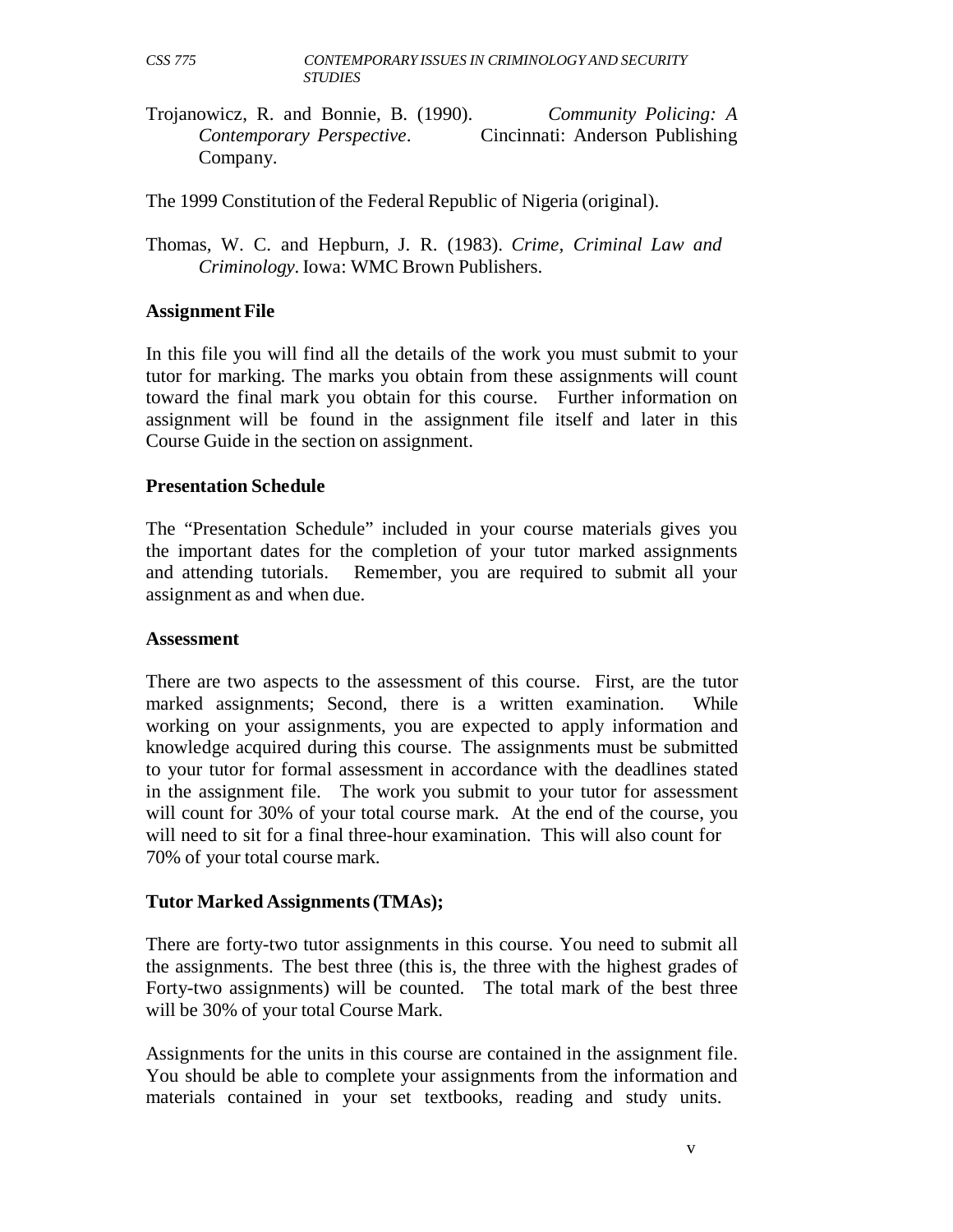Trojanowicz, R. and Bonnie, B. (1990). *Community Policing: A Contemporary Perspective*. Cincinnati: Anderson Publishing Company.

The 1999 Constitution of the Federal Republic of Nigeria (original).

Thomas, W. C. and Hepburn, J. R. (1983). *Crime, Criminal Law and Criminology.* Iowa: WMC Brown Publishers.

#### **Assignment File**

In this file you will find all the details of the work you must submit to your tutor for marking. The marks you obtain from these assignments will count toward the final mark you obtain for this course. Further information on assignment will be found in the assignment file itself and later in this Course Guide in the section on assignment.

#### **Presentation Schedule**

The "Presentation Schedule" included in your course materials gives you the important dates for the completion of your tutor marked assignments and attending tutorials. Remember, you are required to submit all your assignment as and when due.

#### **Assessment**

There are two aspects to the assessment of this course. First, are the tutor marked assignments; Second, there is a written examination. While working on your assignments, you are expected to apply information and knowledge acquired during this course. The assignments must be submitted to your tutor for formal assessment in accordance with the deadlines stated in the assignment file. The work you submit to your tutor for assessment will count for 30% of your total course mark. At the end of the course, you will need to sit for a final three-hour examination. This will also count for 70% of your total course mark.

#### **Tutor Marked Assignments (TMAs);**

There are forty-two tutor assignments in this course. You need to submit all the assignments. The best three (this is, the three with the highest grades of Forty-two assignments) will be counted. The total mark of the best three will be 30% of your total Course Mark.

Assignments for the units in this course are contained in the assignment file. You should be able to complete your assignments from the information and materials contained in your set textbooks, reading and study units.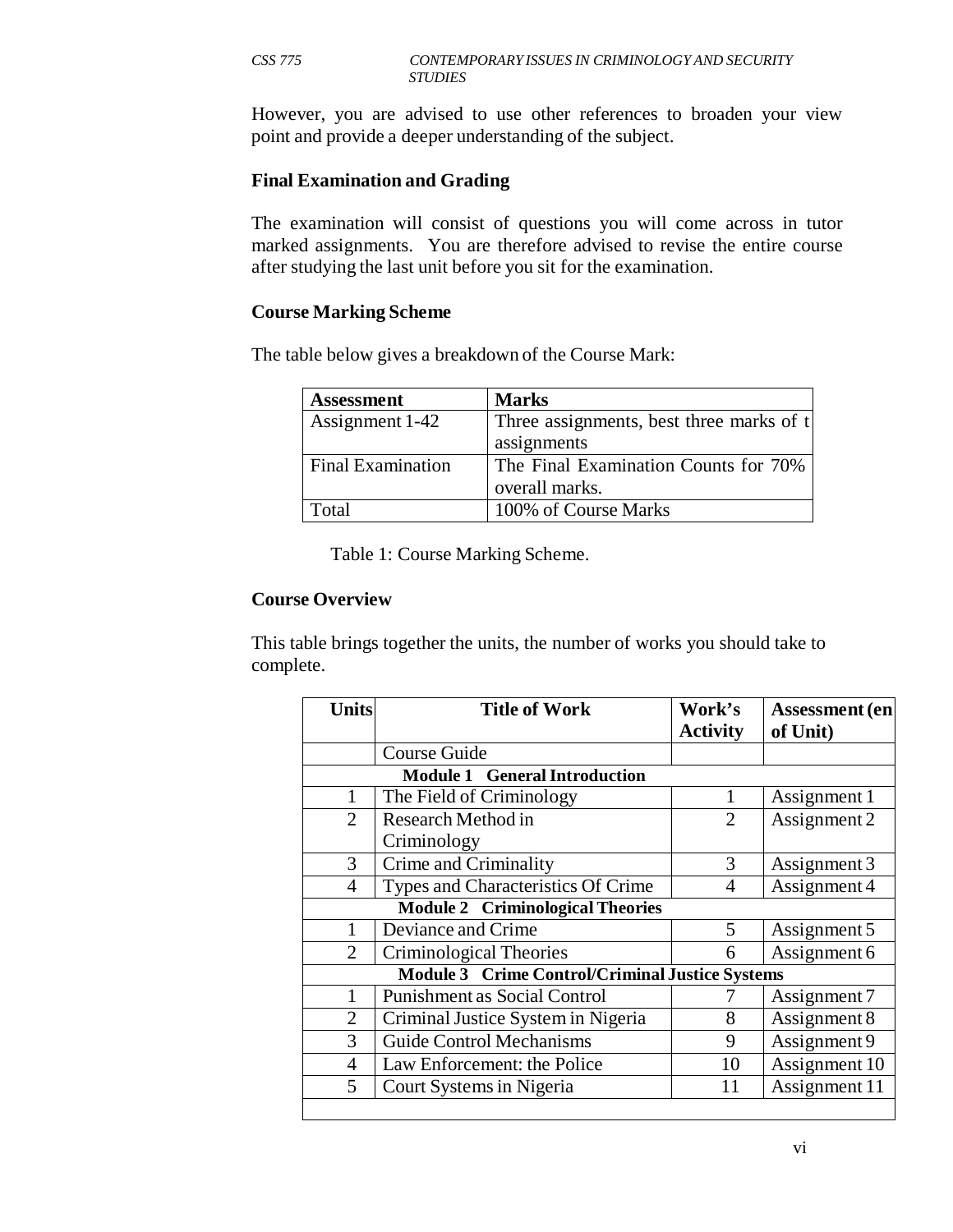However, you are advised to use other references to broaden your view point and provide a deeper understanding of the subject.

#### **Final Examination and Grading**

The examination will consist of questions you will come across in tutor marked assignments. You are therefore advised to revise the entire course after studying the last unit before you sit for the examination.

#### **Course Marking Scheme**

The table below gives a breakdown of the Course Mark:

| <b>Assessment</b>        | <b>Marks</b>                             |  |
|--------------------------|------------------------------------------|--|
| Assignment 1-42          | Three assignments, best three marks of t |  |
|                          | assignments                              |  |
| <b>Final Examination</b> | The Final Examination Counts for 70%     |  |
|                          | overall marks.                           |  |
| Total                    | 100% of Course Marks                     |  |

Table 1: Course Marking Scheme.

#### **Course Overview**

This table brings together the units, the number of works you should take to complete.

| <b>Units</b>   | <b>Title of Work</b>                            | Work's          | Assessment (en |
|----------------|-------------------------------------------------|-----------------|----------------|
|                |                                                 | <b>Activity</b> | of Unit)       |
|                | <b>Course Guide</b>                             |                 |                |
|                | <b>Module 1 General Introduction</b>            |                 |                |
|                | The Field of Criminology                        |                 | Assignment 1   |
| $\overline{2}$ | <b>Research Method in</b>                       | $\overline{2}$  | Assignment 2   |
|                | Criminology                                     |                 |                |
| 3              | Crime and Criminality                           | 3               | Assignment 3   |
| $\overline{4}$ | Types and Characteristics Of Crime              | $\overline{4}$  | Assignment 4   |
|                | <b>Module 2 Criminological Theories</b>         |                 |                |
|                | Deviance and Crime                              | 5               | Assignment 5   |
| $\overline{2}$ | Criminological Theories                         | 6               | Assignment 6   |
|                | Module 3 Crime Control/Criminal Justice Systems |                 |                |
|                | <b>Punishment as Social Control</b>             |                 | Assignment 7   |
| $\overline{2}$ | Criminal Justice System in Nigeria              | 8               | Assignment 8   |
| 3              | <b>Guide Control Mechanisms</b>                 | 9               | Assignment 9   |
| $\overline{4}$ | Law Enforcement: the Police                     | 10              | Assignment 10  |
| 5              | Court Systems in Nigeria                        | 11              | Assignment 11  |
|                |                                                 |                 |                |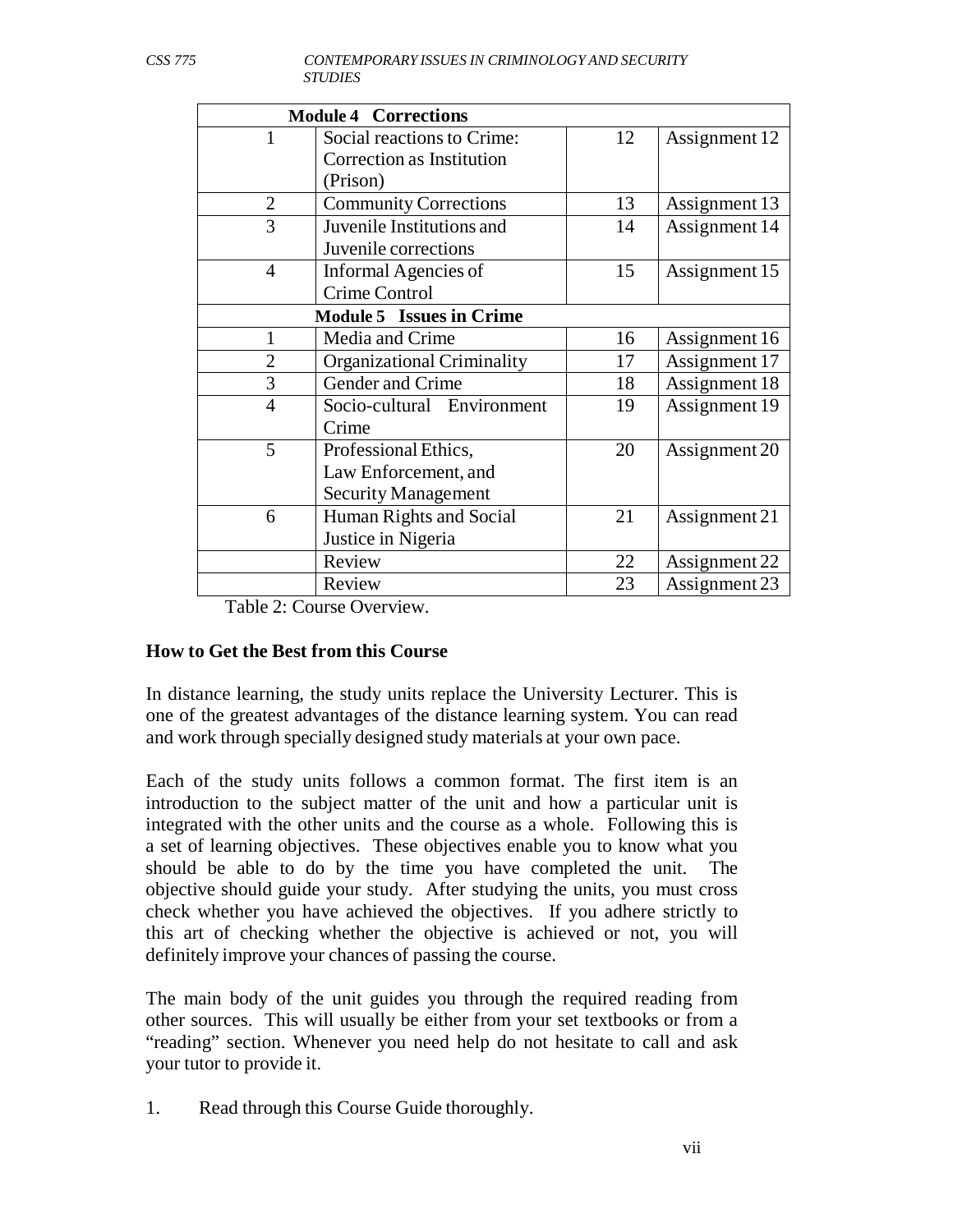| <b>Module 4 Corrections</b> |                                   |    |               |
|-----------------------------|-----------------------------------|----|---------------|
|                             | Social reactions to Crime:        | 12 | Assignment 12 |
|                             | Correction as Institution         |    |               |
|                             | (Prison)                          |    |               |
| $\overline{2}$              | <b>Community Corrections</b>      | 13 | Assignment 13 |
| 3                           | Juvenile Institutions and         | 14 | Assignment 14 |
|                             | Juvenile corrections              |    |               |
| $\overline{4}$              | Informal Agencies of              | 15 | Assignment 15 |
|                             | Crime Control                     |    |               |
|                             | <b>Module 5 Issues in Crime</b>   |    |               |
|                             | Media and Crime                   | 16 | Assignment 16 |
| $\overline{2}$              | <b>Organizational Criminality</b> | 17 | Assignment 17 |
| 3                           | Gender and Crime                  | 18 | Assignment 18 |
| $\overline{4}$              | Socio-cultural Environment        | 19 | Assignment 19 |
|                             | Crime                             |    |               |
| 5                           | Professional Ethics,              | 20 | Assignment 20 |
|                             | Law Enforcement, and              |    |               |
|                             | <b>Security Management</b>        |    |               |
| 6                           | Human Rights and Social           | 21 | Assignment 21 |
|                             | Justice in Nigeria                |    |               |
|                             | Review                            | 22 | Assignment 22 |
|                             | Review                            | 23 | Assignment 23 |

Table 2: Course Overview.

#### **How to Get the Best from this Course**

In distance learning, the study units replace the University Lecturer. This is one of the greatest advantages of the distance learning system. You can read and work through specially designed study materials at your own pace.

Each of the study units follows a common format. The first item is an introduction to the subject matter of the unit and how a particular unit is integrated with the other units and the course as a whole. Following this is a set of learning objectives. These objectives enable you to know what you should be able to do by the time you have completed the unit. The objective should guide your study. After studying the units, you must cross check whether you have achieved the objectives. If you adhere strictly to this art of checking whether the objective is achieved or not, you will definitely improve your chances of passing the course.

The main body of the unit guides you through the required reading from other sources. This will usually be either from your set textbooks or from a "reading" section. Whenever you need help do not hesitate to call and ask your tutor to provide it.

1. Read through this Course Guide thoroughly.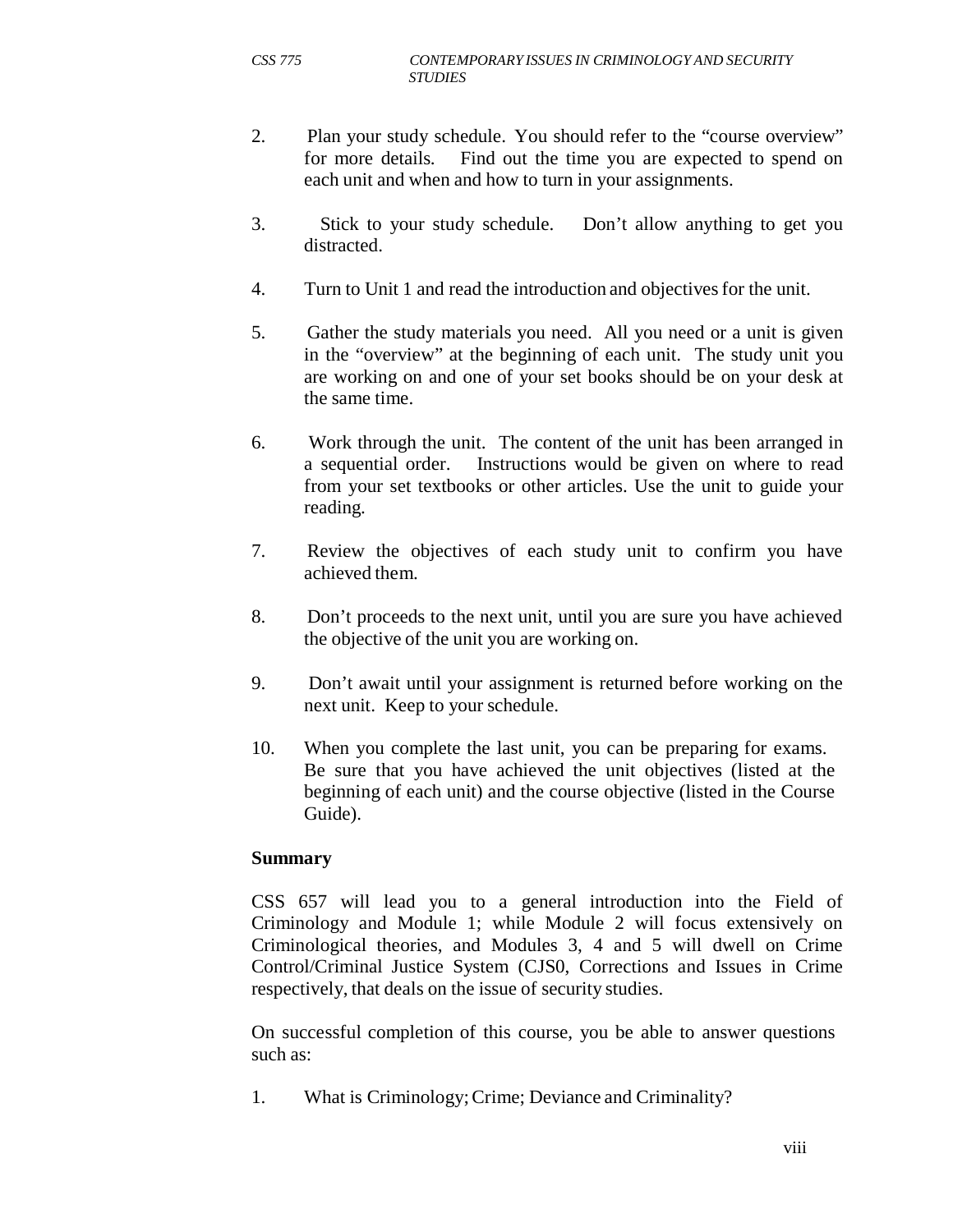- 2. Plan your study schedule. You should refer to the "course overview" for more details. Find out the time you are expected to spend on each unit and when and how to turn in your assignments.
- 3. Stick to your study schedule. Don't allow anything to get you distracted.
- 4. Turn to Unit 1 and read the introduction and objectives for the unit.
- 5. Gather the study materials you need. All you need or a unit is given in the "overview" at the beginning of each unit. The study unit you are working on and one of your set books should be on your desk at the same time.
- 6. Work through the unit. The content of the unit has been arranged in a sequential order. Instructions would be given on where to read from your set textbooks or other articles. Use the unit to guide your reading.
- 7. Review the objectives of each study unit to confirm you have achieved them.
- 8. Don't proceeds to the next unit, until you are sure you have achieved the objective of the unit you are working on.
- 9. Don't await until your assignment is returned before working on the next unit. Keep to your schedule.
- 10. When you complete the last unit, you can be preparing for exams. Be sure that you have achieved the unit objectives (listed at the beginning of each unit) and the course objective (listed in the Course Guide).

#### **Summary**

CSS 657 will lead you to a general introduction into the Field of Criminology and Module 1; while Module 2 will focus extensively on Criminological theories, and Modules 3, 4 and 5 will dwell on Crime Control/Criminal Justice System (CJS0, Corrections and Issues in Crime respectively, that deals on the issue of security studies.

On successful completion of this course, you be able to answer questions such as:

1. What is Criminology; Crime; Deviance and Criminality?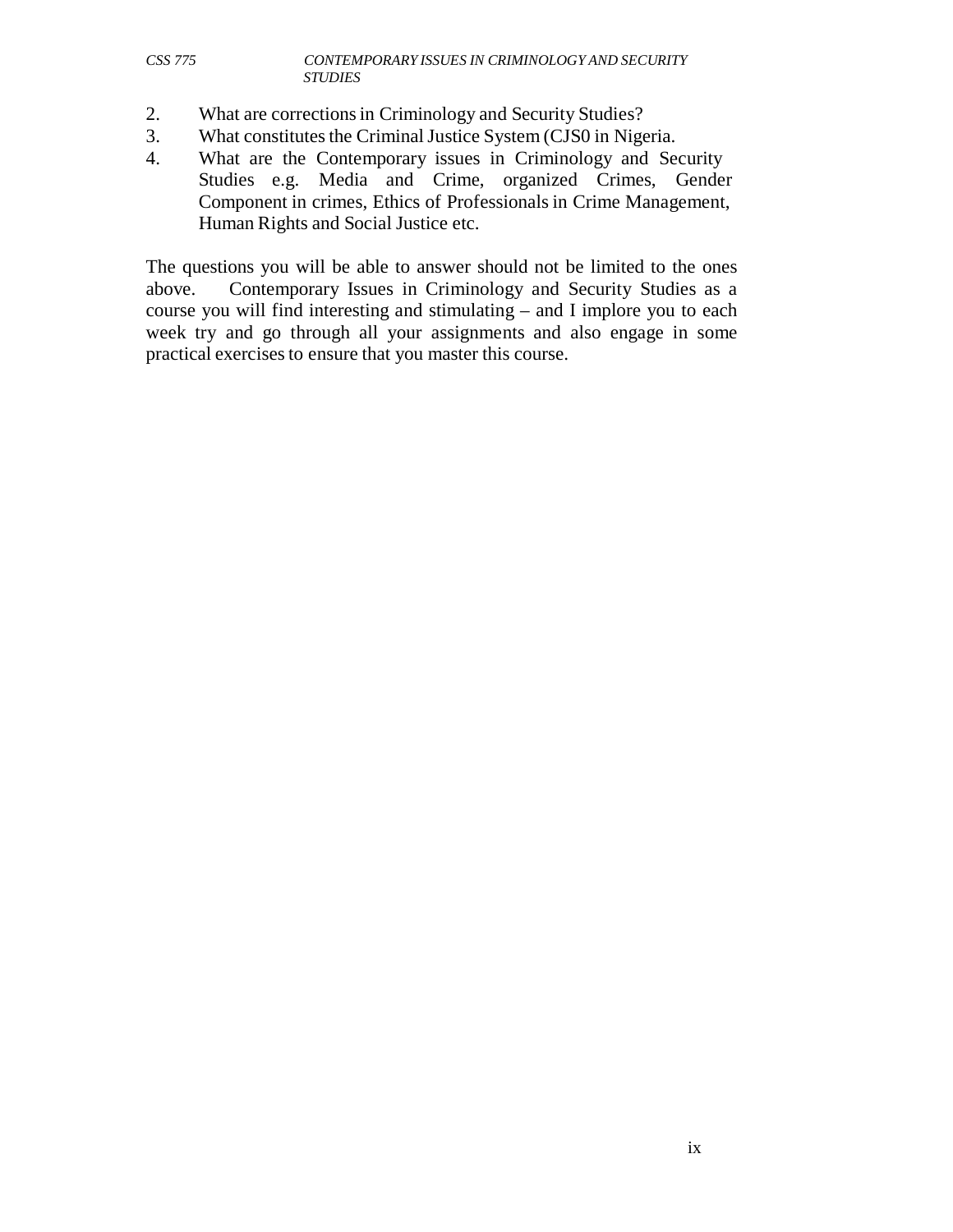- 2. What are corrections in Criminology and Security Studies?
- 3. What constitutes the Criminal Justice System (CJS0 in Nigeria.
- 4. What are the Contemporary issues in Criminology and Security Studies e.g. Media and Crime, organized Crimes, Gender Component in crimes, Ethics of Professionals in Crime Management, Human Rights and Social Justice etc.

The questions you will be able to answer should not be limited to the ones above. Contemporary Issues in Criminology and Security Studies as a course you will find interesting and stimulating – and I implore you to each week try and go through all your assignments and also engage in some practical exercises to ensure that you master this course.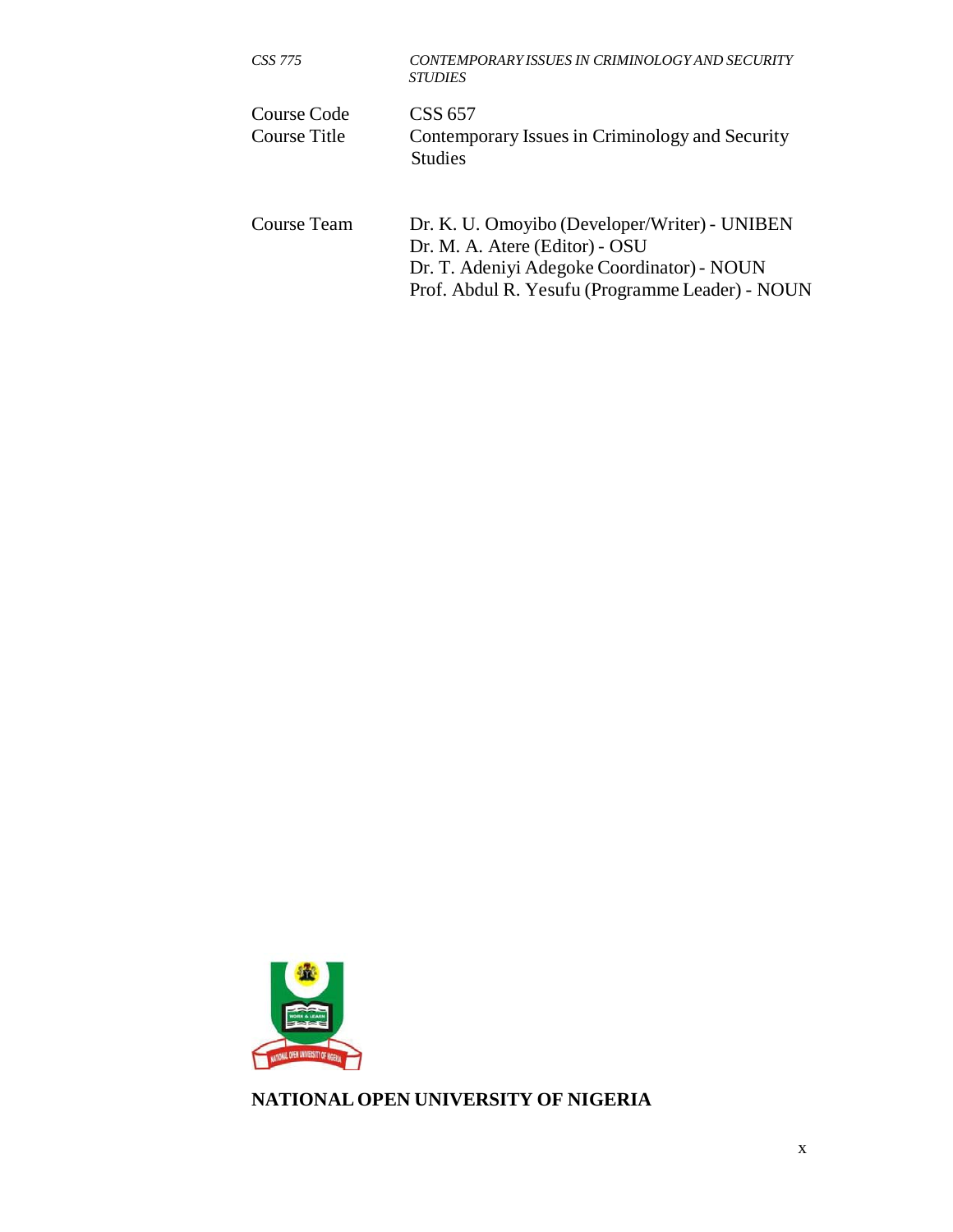| CSS 775                     | CONTEMPORARY ISSUES IN CRIMINOLOGY AND SECURITY<br><b>STUDIES</b>                                                                                                                |
|-----------------------------|----------------------------------------------------------------------------------------------------------------------------------------------------------------------------------|
| Course Code<br>Course Title | CSS 657<br>Contemporary Issues in Criminology and Security<br><b>Studies</b>                                                                                                     |
| Course Team                 | Dr. K. U. Omoyibo (Developer/Writer) - UNIBEN<br>Dr. M. A. Atere (Editor) - OSU<br>Dr. T. Adeniyi Adegoke Coordinator) - NOUN<br>Prof. Abdul R. Yesufu (Programme Leader) - NOUN |



**NATIONAL OPEN UNIVERSITY OF NIGERIA**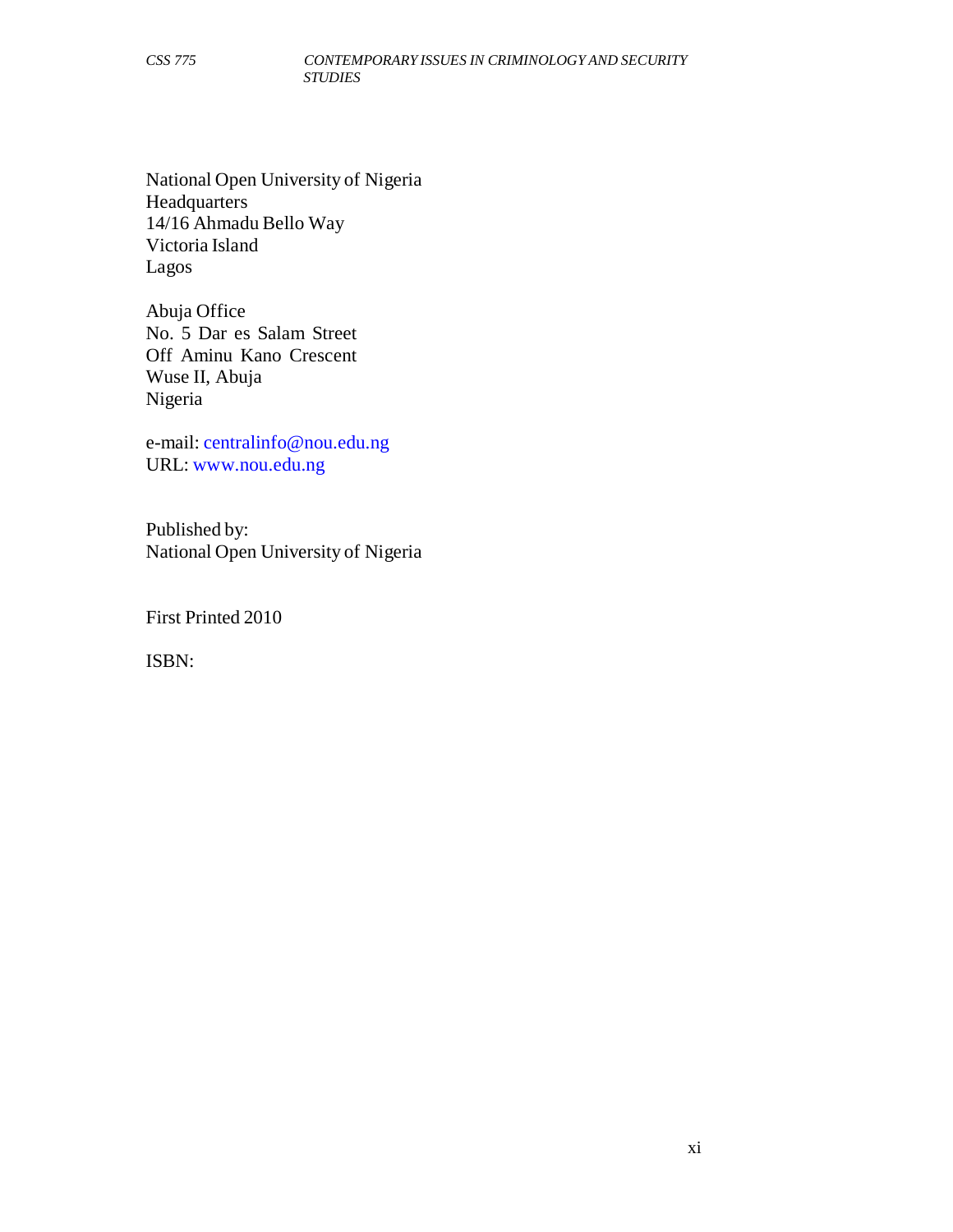National Open University of Nigeria Headquarters 14/16 Ahmadu Bello Way Victoria Island Lagos

Abuja Office No. 5 Dar es Salam Street Off Aminu Kano Crescent Wuse II, Abuja Nigeria

e-mail: centralinfo@nou.edu.ng URL: www.nou.edu.ng

Published by: National Open University of Nigeria

First Printed 2010

ISBN: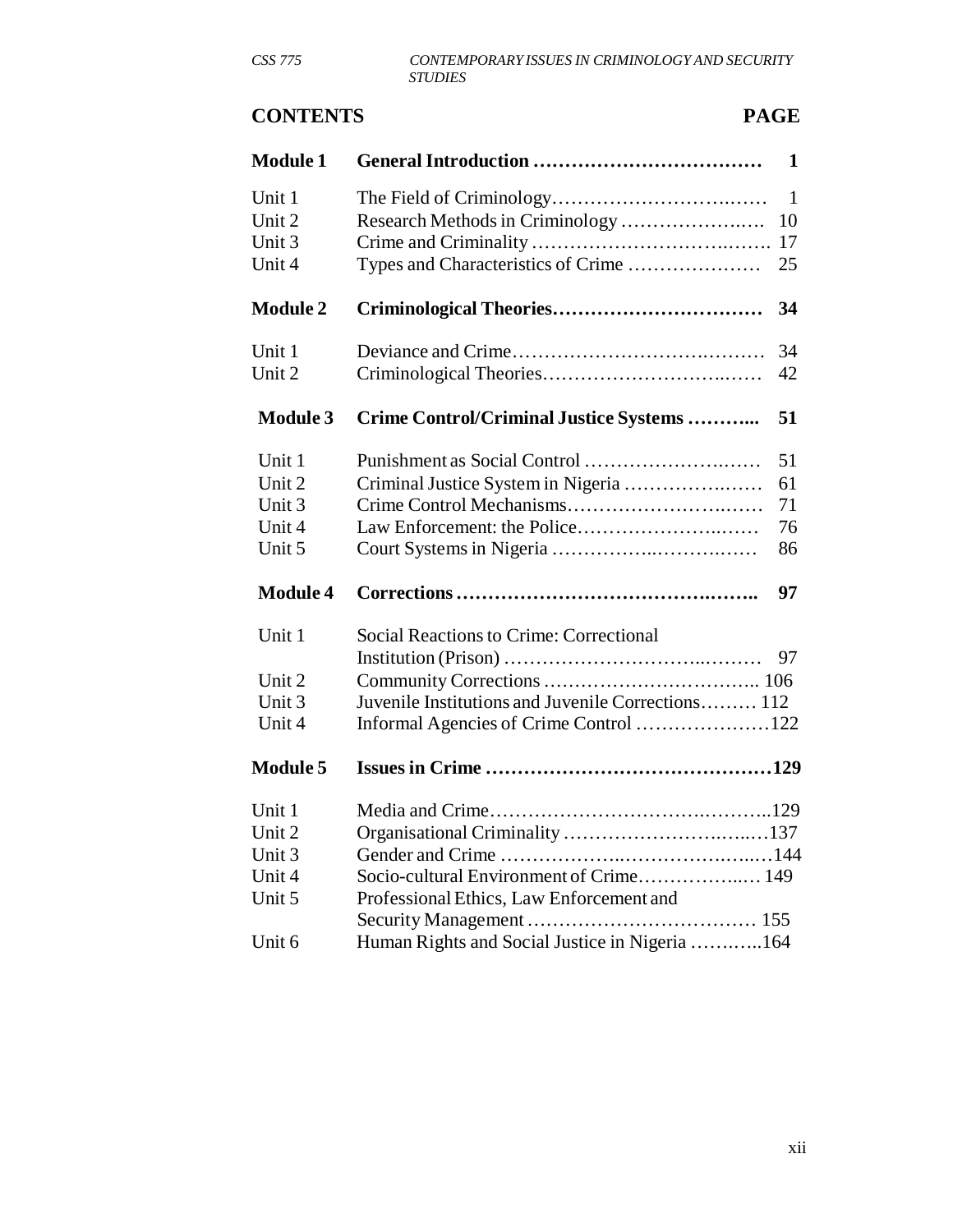# **CONTENTS PAGE**

| <b>Module 1</b>  |                                                    | $\mathbf{1}$ |
|------------------|----------------------------------------------------|--------------|
| Unit 1<br>Unit 2 |                                                    | 1<br>10      |
| Unit 3           |                                                    |              |
| Unit 4           |                                                    | 25           |
| <b>Module 2</b>  |                                                    | 34           |
| Unit 1           |                                                    | 34           |
| Unit 2           |                                                    | 42           |
| <b>Module 3</b>  | Crime Control/Criminal Justice Systems             | 51           |
| Unit 1           |                                                    | 51           |
| Unit 2           | Criminal Justice System in Nigeria                 | 61           |
| Unit 3           |                                                    | 71           |
| Unit 4           |                                                    | 76           |
| Unit 5           |                                                    | 86           |
| <b>Module 4</b>  |                                                    | 97           |
| Unit 1           | Social Reactions to Crime: Correctional            |              |
|                  |                                                    | 97           |
| Unit 2           |                                                    |              |
| Unit 3           | Juvenile Institutions and Juvenile Corrections 112 |              |
| Unit 4           | Informal Agencies of Crime Control 122             |              |
| <b>Module 5</b>  |                                                    |              |
| Unit 1           |                                                    |              |
| Unit 2           |                                                    |              |
| Unit 3           |                                                    |              |
| Unit 4           |                                                    |              |
| Unit 5           | Professional Ethics, Law Enforcement and           |              |
|                  |                                                    |              |
| Unit 6           | Human Rights and Social Justice in Nigeria 164     |              |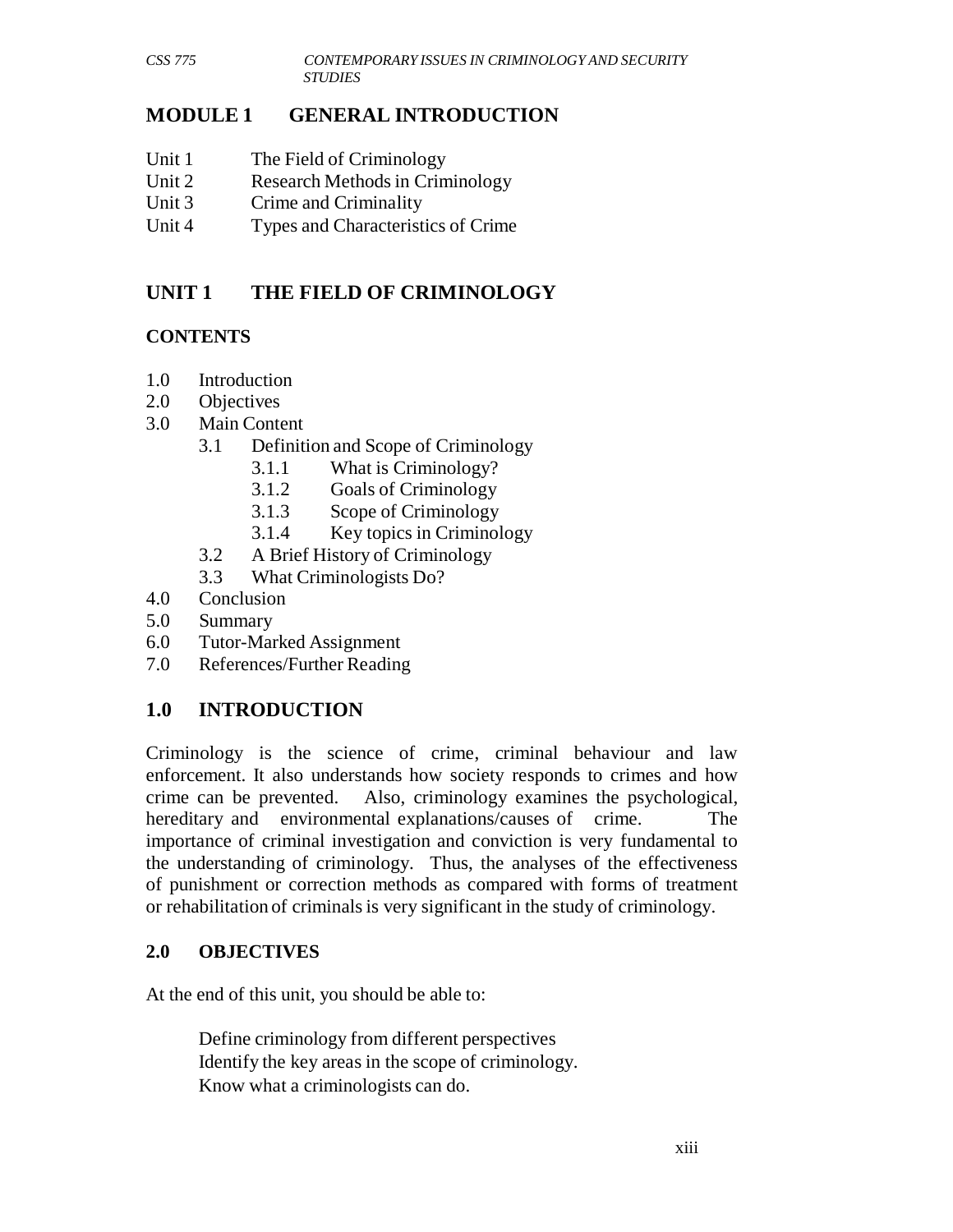#### **MODULE 1 GENERAL INTRODUCTION**

- Unit 1 The Field of Criminology
- Unit 2 Research Methods in Criminology
- Unit 3 Crime and Criminality
- Unit 4 Types and Characteristics of Crime

# **UNIT 1 THE FIELD OF CRIMINOLOGY**

#### **CONTENTS**

- 1.0 Introduction
- 2.0 Objectives
- 3.0 Main Content
	- 3.1 Definition and Scope of Criminology
		- 3.1.1 What is Criminology?
		- 3.1.2 Goals of Criminology
		- 3.1.3 Scope of Criminology
		- 3.1.4 Key topics in Criminology
	- 3.2 A Brief History of Criminology
	- 3.3 What Criminologists Do?
- 4.0 Conclusion
- 5.0 Summary
- 6.0 Tutor-Marked Assignment
- 7.0 References/Further Reading

#### **1.0 INTRODUCTION**

Criminology is the science of crime, criminal behaviour and law enforcement. It also understands how society responds to crimes and how crime can be prevented. Also, criminology examines the psychological, hereditary and environmental explanations/causes of crime. The importance of criminal investigation and conviction is very fundamental to the understanding of criminology. Thus, the analyses of the effectiveness of punishment or correction methods as compared with forms of treatment or rehabilitation of criminals is very significant in the study of criminology.

#### **2.0 OBJECTIVES**

At the end of this unit, you should be able to:

Define criminology from different perspectives Identify the key areas in the scope of criminology. Know what a criminologists can do.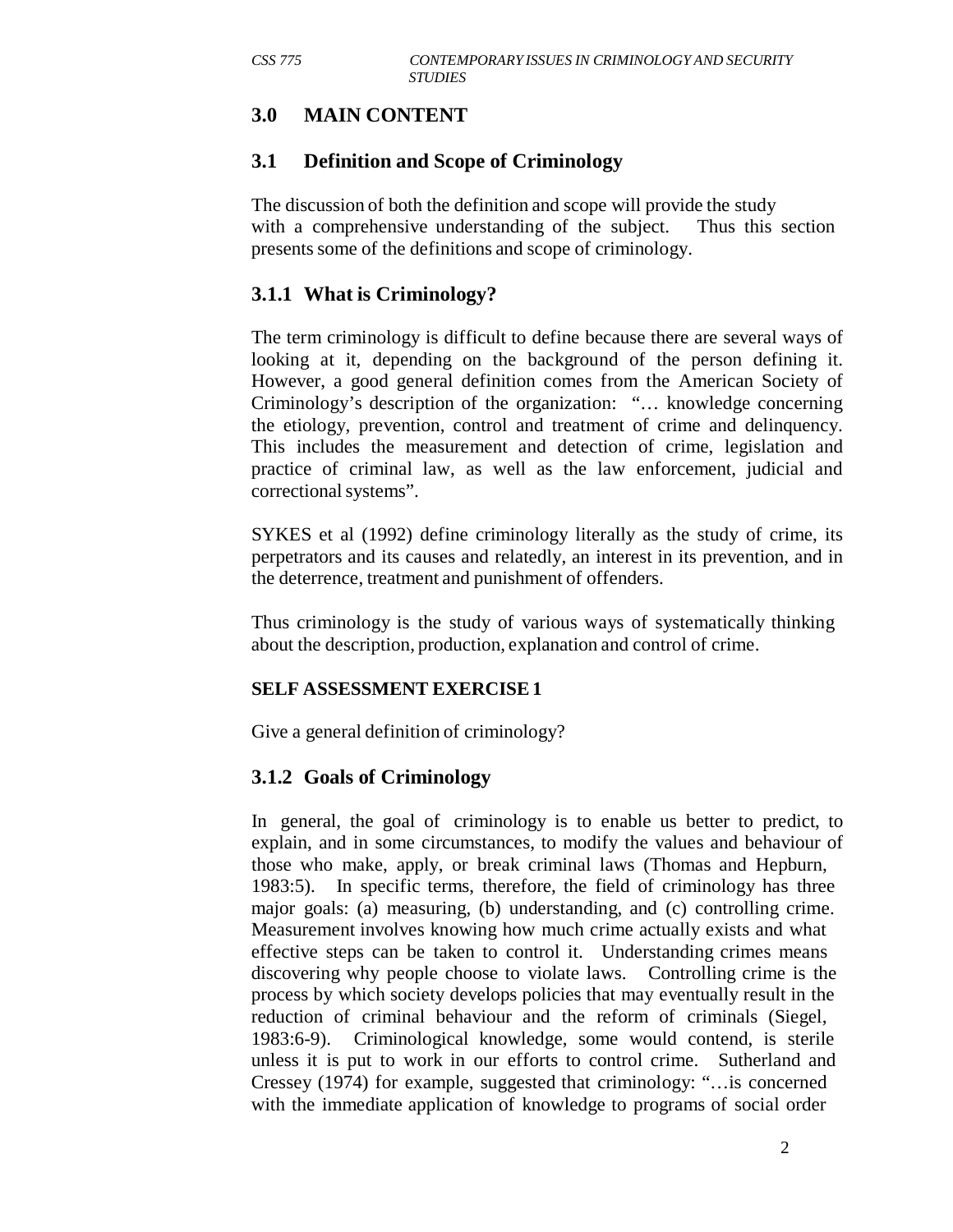# **3.0 MAIN CONTENT**

#### **3.1 Definition and Scope of Criminology**

The discussion of both the definition and scope will provide the study with a comprehensive understanding of the subject. Thus this section presents some of the definitions and scope of criminology.

#### **3.1.1 What is Criminology?**

The term criminology is difficult to define because there are several ways of looking at it, depending on the background of the person defining it. However, a good general definition comes from the American Society of Criminology's description of the organization: "… knowledge concerning the etiology, prevention, control and treatment of crime and delinquency. This includes the measurement and detection of crime, legislation and practice of criminal law, as well as the law enforcement, judicial and correctional systems".

SYKES et al (1992) define criminology literally as the study of crime, its perpetrators and its causes and relatedly, an interest in its prevention, and in the deterrence, treatment and punishment of offenders.

Thus criminology is the study of various ways of systematically thinking about the description, production, explanation and control of crime.

#### **SELF ASSESSMENT EXERCISE 1**

Give a general definition of criminology?

#### **3.1.2 Goals of Criminology**

In general, the goal of criminology is to enable us better to predict, to explain, and in some circumstances, to modify the values and behaviour of those who make, apply, or break criminal laws (Thomas and Hepburn, 1983:5). In specific terms, therefore, the field of criminology has three major goals: (a) measuring, (b) understanding, and (c) controlling crime. Measurement involves knowing how much crime actually exists and what effective steps can be taken to control it. Understanding crimes means discovering why people choose to violate laws. Controlling crime is the process by which society develops policies that may eventually result in the reduction of criminal behaviour and the reform of criminals (Siegel, 1983:6-9). Criminological knowledge, some would contend, is sterile unless it is put to work in our efforts to control crime. Sutherland and Cressey (1974) for example, suggested that criminology: "…is concerned with the immediate application of knowledge to programs of social order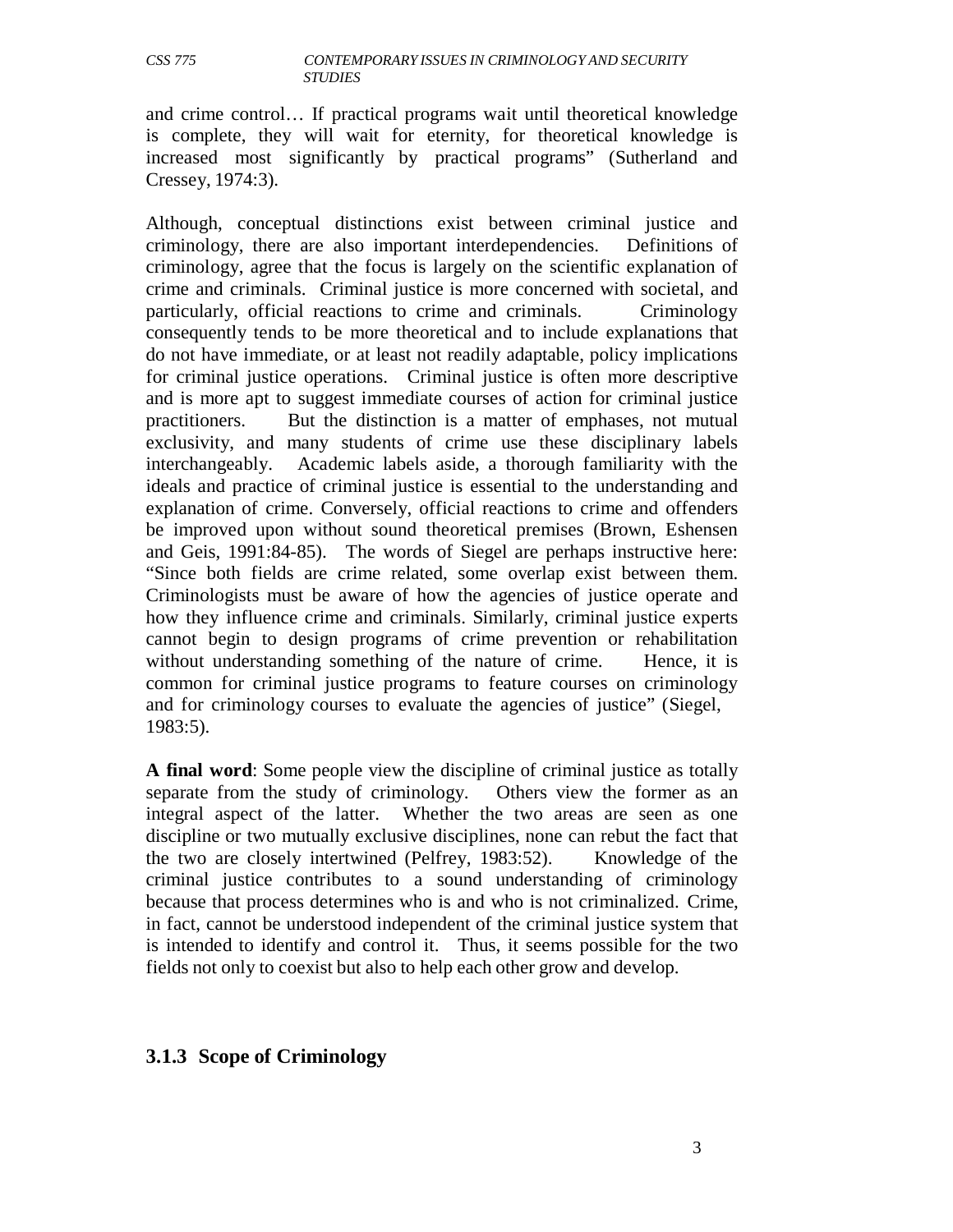and crime control… If practical programs wait until theoretical knowledge is complete, they will wait for eternity, for theoretical knowledge is increased most significantly by practical programs" (Sutherland and Cressey, 1974:3).

Although, conceptual distinctions exist between criminal justice and criminology, there are also important interdependencies. Definitions of criminology, agree that the focus is largely on the scientific explanation of crime and criminals. Criminal justice is more concerned with societal, and particularly, official reactions to crime and criminals. Criminology consequently tends to be more theoretical and to include explanations that do not have immediate, or at least not readily adaptable, policy implications for criminal justice operations. Criminal justice is often more descriptive and is more apt to suggest immediate courses of action for criminal justice practitioners. But the distinction is a matter of emphases, not mutual exclusivity, and many students of crime use these disciplinary labels interchangeably. Academic labels aside, a thorough familiarity with the ideals and practice of criminal justice is essential to the understanding and explanation of crime. Conversely, official reactions to crime and offenders be improved upon without sound theoretical premises (Brown, Eshensen and Geis, 1991:84-85). The words of Siegel are perhaps instructive here: "Since both fields are crime related, some overlap exist between them. Criminologists must be aware of how the agencies of justice operate and how they influence crime and criminals. Similarly, criminal justice experts cannot begin to design programs of crime prevention or rehabilitation without understanding something of the nature of crime. Hence, it is common for criminal justice programs to feature courses on criminology and for criminology courses to evaluate the agencies of justice" (Siegel, 1983:5).

**A final word**: Some people view the discipline of criminal justice as totally separate from the study of criminology. Others view the former as an integral aspect of the latter. Whether the two areas are seen as one discipline or two mutually exclusive disciplines, none can rebut the fact that the two are closely intertwined (Pelfrey, 1983:52). Knowledge of the criminal justice contributes to a sound understanding of criminology because that process determines who is and who is not criminalized. Crime, in fact, cannot be understood independent of the criminal justice system that is intended to identify and control it. Thus, it seems possible for the two fields not only to coexist but also to help each other grow and develop.

#### **3.1.3 Scope of Criminology**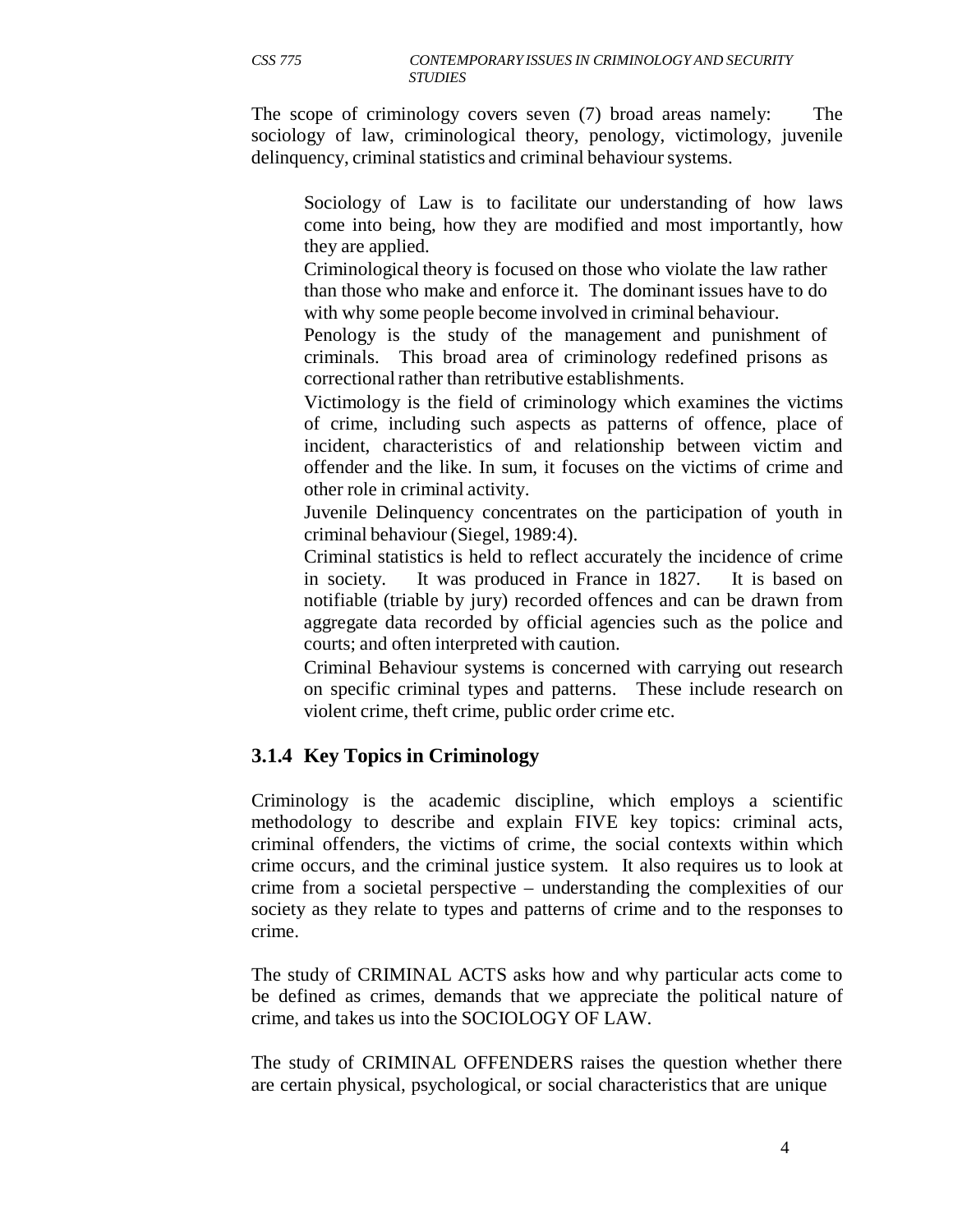The scope of criminology covers seven (7) broad areas namely: The sociology of law, criminological theory, penology, victimology, juvenile delinquency, criminal statistics and criminal behaviour systems.

Sociology of Law is to facilitate our understanding of how laws come into being, how they are modified and most importantly, how they are applied.

Criminological theory is focused on those who violate the law rather than those who make and enforce it. The dominant issues have to do with why some people become involved in criminal behaviour.

Penology is the study of the management and punishment of criminals. This broad area of criminology redefined prisons as correctional rather than retributive establishments.

Victimology is the field of criminology which examines the victims of crime, including such aspects as patterns of offence, place of incident, characteristics of and relationship between victim and offender and the like. In sum, it focuses on the victims of crime and other role in criminal activity.

Juvenile Delinquency concentrates on the participation of youth in criminal behaviour (Siegel, 1989:4).

Criminal statistics is held to reflect accurately the incidence of crime in society. It was produced in France in 1827. It is based on notifiable (triable by jury) recorded offences and can be drawn from aggregate data recorded by official agencies such as the police and courts; and often interpreted with caution.

Criminal Behaviour systems is concerned with carrying out research on specific criminal types and patterns. These include research on violent crime, theft crime, public order crime etc.

# **3.1.4 Key Topics in Criminology**

Criminology is the academic discipline, which employs a scientific methodology to describe and explain FIVE key topics: criminal acts, criminal offenders, the victims of crime, the social contexts within which crime occurs, and the criminal justice system. It also requires us to look at crime from a societal perspective – understanding the complexities of our society as they relate to types and patterns of crime and to the responses to crime.

The study of CRIMINAL ACTS asks how and why particular acts come to be defined as crimes, demands that we appreciate the political nature of crime, and takes us into the SOCIOLOGY OF LAW.

The study of CRIMINAL OFFENDERS raises the question whether there are certain physical, psychological, or social characteristics that are unique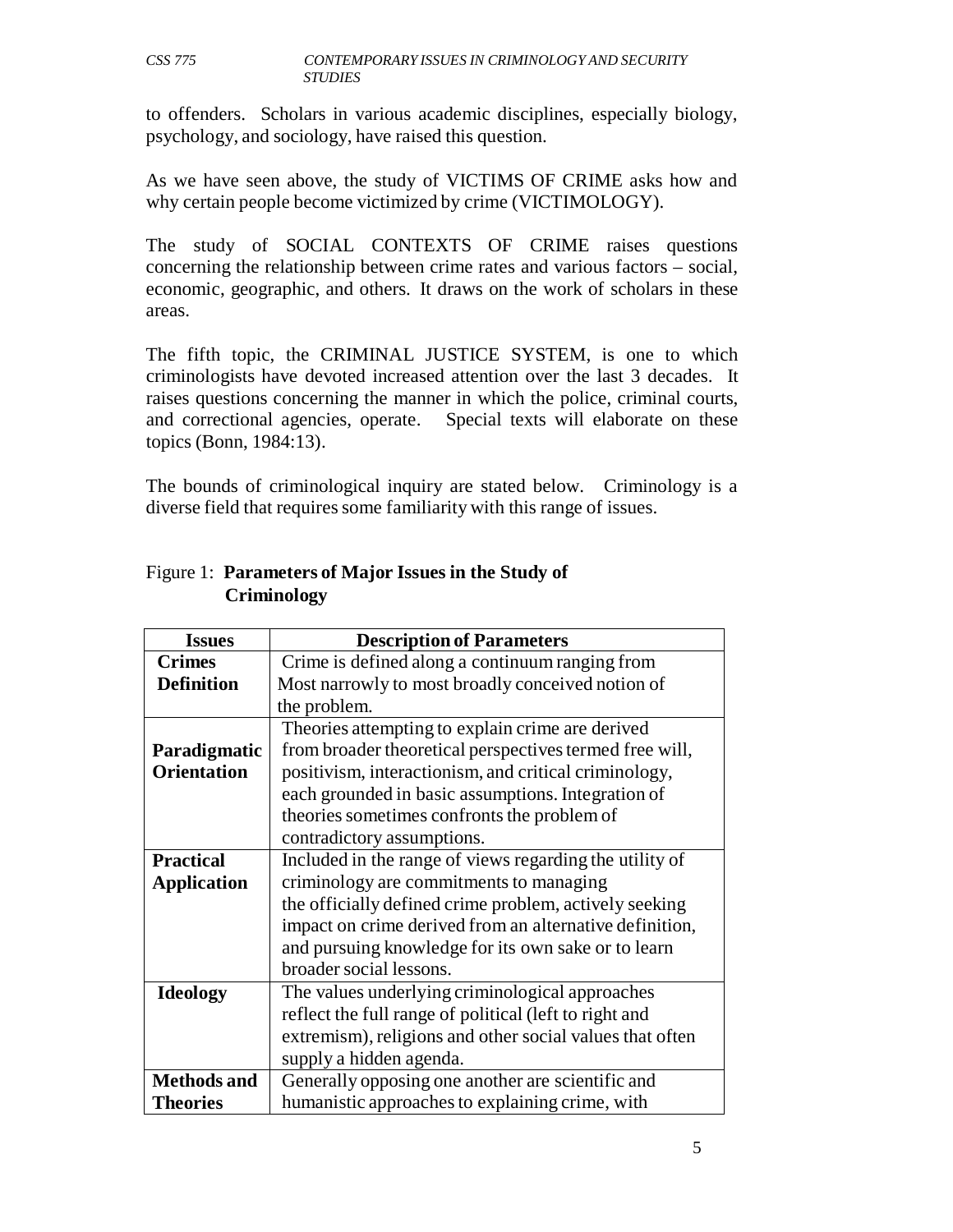to offenders. Scholars in various academic disciplines, especially biology, psychology, and sociology, have raised this question.

As we have seen above, the study of VICTIMS OF CRIME asks how and why certain people become victimized by crime (VICTIMOLOGY).

The study of SOCIAL CONTEXTS OF CRIME raises questions concerning the relationship between crime rates and various factors – social, economic, geographic, and others. It draws on the work of scholars in these areas.

The fifth topic, the CRIMINAL JUSTICE SYSTEM, is one to which criminologists have devoted increased attention over the last 3 decades. It raises questions concerning the manner in which the police, criminal courts, and correctional agencies, operate. Special texts will elaborate on these topics (Bonn, 1984:13).

The bounds of criminological inquiry are stated below. Criminology is a diverse field that requires some familiarity with this range of issues.

| <b>Issues</b>      | <b>Description of Parameters</b>                         |
|--------------------|----------------------------------------------------------|
| <b>Crimes</b>      | Crime is defined along a continuum ranging from          |
| <b>Definition</b>  | Most narrowly to most broadly conceived notion of        |
|                    | the problem.                                             |
|                    | Theories attempting to explain crime are derived         |
| Paradigmatic       | from broader theoretical perspectives termed free will,  |
| <b>Orientation</b> | positivism, interactionism, and critical criminology,    |
|                    | each grounded in basic assumptions. Integration of       |
|                    | theories sometimes confronts the problem of              |
|                    | contradictory assumptions.                               |
| <b>Practical</b>   | Included in the range of views regarding the utility of  |
| <b>Application</b> | criminology are commitments to managing                  |
|                    | the officially defined crime problem, actively seeking   |
|                    | impact on crime derived from an alternative definition,  |
|                    | and pursuing knowledge for its own sake or to learn      |
|                    | broader social lessons.                                  |
| <b>Ideology</b>    | The values underlying criminological approaches          |
|                    | reflect the full range of political (left to right and   |
|                    | extremism), religions and other social values that often |
|                    | supply a hidden agenda.                                  |
| <b>Methods and</b> | Generally opposing one another are scientific and        |
| <b>Theories</b>    | humanistic approaches to explaining crime, with          |

#### Figure 1: **Parameters of Major Issues in the Study of Criminology**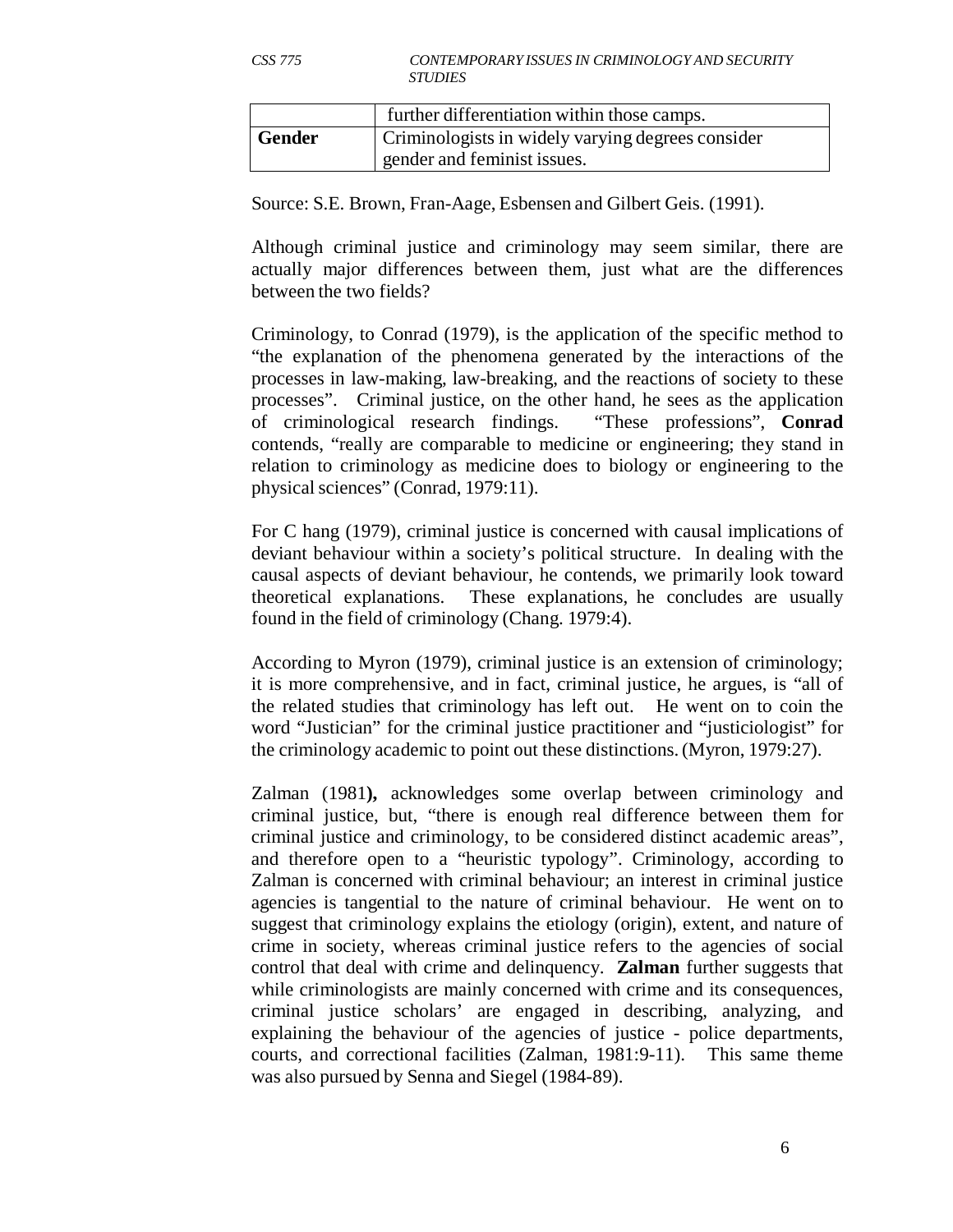|        | further differentiation within those camps.       |
|--------|---------------------------------------------------|
| Gender | Criminologists in widely varying degrees consider |
|        | gender and feminist issues.                       |

Source: S.E. Brown, Fran-Aage, Esbensen and Gilbert Geis. (1991).

Although criminal justice and criminology may seem similar, there are actually major differences between them, just what are the differences between the two fields?

Criminology, to Conrad (1979), is the application of the specific method to "the explanation of the phenomena generated by the interactions of the processes in law-making, law-breaking, and the reactions of society to these processes". Criminal justice, on the other hand, he sees as the application of criminological research findings. "These professions", **Conrad**  contends, "really are comparable to medicine or engineering; they stand in relation to criminology as medicine does to biology or engineering to the physical sciences" (Conrad, 1979:11).

For C hang (1979), criminal justice is concerned with causal implications of deviant behaviour within a society's political structure. In dealing with the causal aspects of deviant behaviour, he contends, we primarily look toward theoretical explanations. These explanations, he concludes are usually found in the field of criminology (Chang. 1979:4).

According to Myron (1979), criminal justice is an extension of criminology; it is more comprehensive, and in fact, criminal justice, he argues, is "all of the related studies that criminology has left out. He went on to coin the word "Justician" for the criminal justice practitioner and "justiciologist" for the criminology academic to point out these distinctions. (Myron, 1979:27).

Zalman (1981**),** acknowledges some overlap between criminology and criminal justice, but, "there is enough real difference between them for criminal justice and criminology, to be considered distinct academic areas", and therefore open to a "heuristic typology". Criminology, according to Zalman is concerned with criminal behaviour; an interest in criminal justice agencies is tangential to the nature of criminal behaviour. He went on to suggest that criminology explains the etiology (origin), extent, and nature of crime in society, whereas criminal justice refers to the agencies of social control that deal with crime and delinquency. **Zalman** further suggests that while criminologists are mainly concerned with crime and its consequences, criminal justice scholars' are engaged in describing, analyzing, and explaining the behaviour of the agencies of justice - police departments, courts, and correctional facilities (Zalman, 1981:9-11). This same theme was also pursued by Senna and Siegel (1984-89).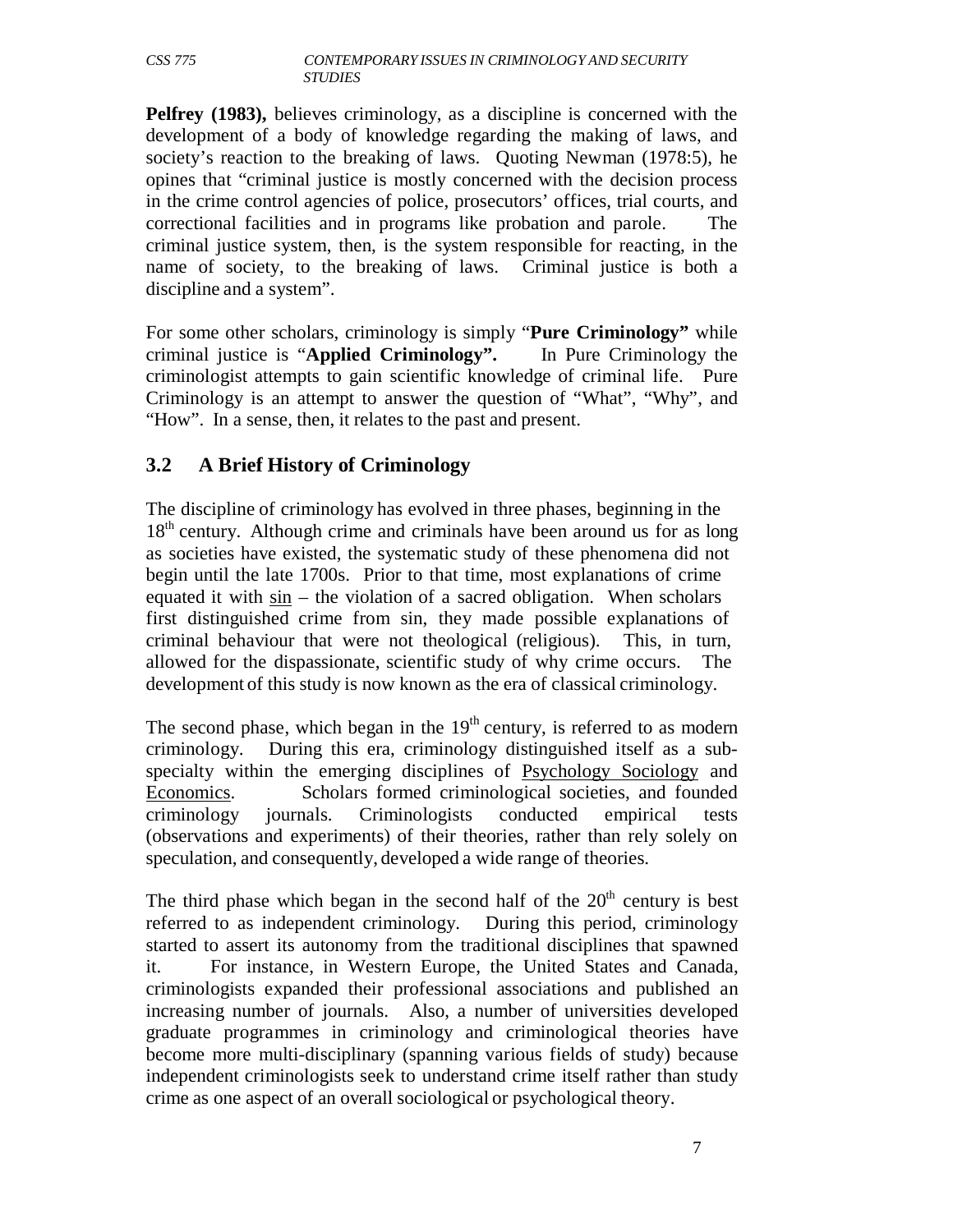**Pelfrey (1983),** believes criminology, as a discipline is concerned with the development of a body of knowledge regarding the making of laws, and society's reaction to the breaking of laws. Quoting Newman (1978:5), he opines that "criminal justice is mostly concerned with the decision process in the crime control agencies of police, prosecutors' offices, trial courts, and correctional facilities and in programs like probation and parole. The criminal justice system, then, is the system responsible for reacting, in the name of society, to the breaking of laws. Criminal justice is both a discipline and a system".

For some other scholars, criminology is simply "**Pure Criminology"** while criminal justice is "**Applied Criminology".** In Pure Criminology the criminologist attempts to gain scientific knowledge of criminal life. Pure Criminology is an attempt to answer the question of "What", "Why", and "How". In a sense, then, it relates to the past and present.

# **3.2 A Brief History of Criminology**

The discipline of criminology has evolved in three phases, beginning in the  $18<sup>th</sup>$  century. Although crime and criminals have been around us for as long as societies have existed, the systematic study of these phenomena did not begin until the late 1700s. Prior to that time, most explanations of crime equated it with  $\sin$  – the violation of a sacred obligation. When scholars first distinguished crime from sin, they made possible explanations of criminal behaviour that were not theological (religious). This, in turn, allowed for the dispassionate, scientific study of why crime occurs. The development of this study is now known as the era of classical criminology.

The second phase, which began in the  $19<sup>th</sup>$  century, is referred to as modern criminology. During this era, criminology distinguished itself as a subspecialty within the emerging disciplines of Psychology Sociology and Economics. Scholars formed criminological societies, and founded criminology journals. Criminologists conducted empirical tests (observations and experiments) of their theories, rather than rely solely on speculation, and consequently, developed a wide range of theories.

The third phase which began in the second half of the  $20<sup>th</sup>$  century is best referred to as independent criminology. During this period, criminology started to assert its autonomy from the traditional disciplines that spawned it. For instance, in Western Europe, the United States and Canada, criminologists expanded their professional associations and published an increasing number of journals. Also, a number of universities developed graduate programmes in criminology and criminological theories have become more multi-disciplinary (spanning various fields of study) because independent criminologists seek to understand crime itself rather than study crime as one aspect of an overall sociological or psychological theory.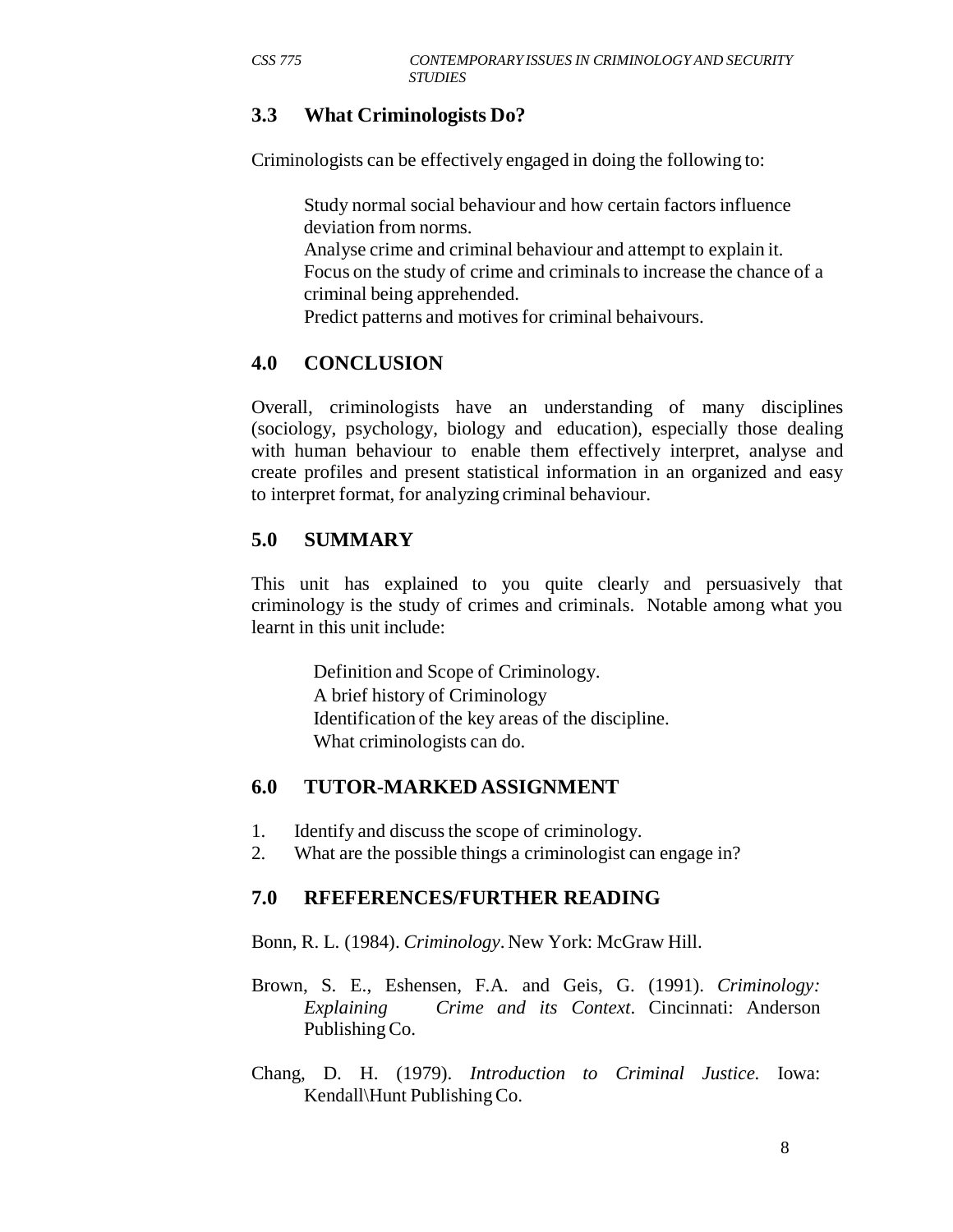#### **3.3 What Criminologists Do?**

Criminologists can be effectively engaged in doing the following to:

Study normal social behaviour and how certain factors influence deviation from norms.

Analyse crime and criminal behaviour and attempt to explain it. Focus on the study of crime and criminals to increase the chance of a criminal being apprehended.

Predict patterns and motives for criminal behaivours.

#### **4.0 CONCLUSION**

Overall, criminologists have an understanding of many disciplines (sociology, psychology, biology and education), especially those dealing with human behaviour to enable them effectively interpret, analyse and create profiles and present statistical information in an organized and easy to interpret format, for analyzing criminal behaviour.

#### **5.0 SUMMARY**

This unit has explained to you quite clearly and persuasively that criminology is the study of crimes and criminals. Notable among what you learnt in this unit include:

> Definition and Scope of Criminology. A brief history of Criminology Identification of the key areas of the discipline. What criminologists can do.

#### **6.0 TUTOR-MARKED ASSIGNMENT**

- 1. Identify and discuss the scope of criminology.
- 2. What are the possible things a criminologist can engage in?

#### **7.0 RFEFERENCES/FURTHER READING**

Bonn, R. L. (1984). *Criminology*. New York: McGraw Hill.

- Brown, S. E., Eshensen, F.A. and Geis, G. (1991). *Criminology: Explaining Crime and its Context*. Cincinnati: Anderson Publishing Co.
- Chang, D. H. (1979). *Introduction to Criminal Justice.* Iowa: Kendall\Hunt Publishing Co.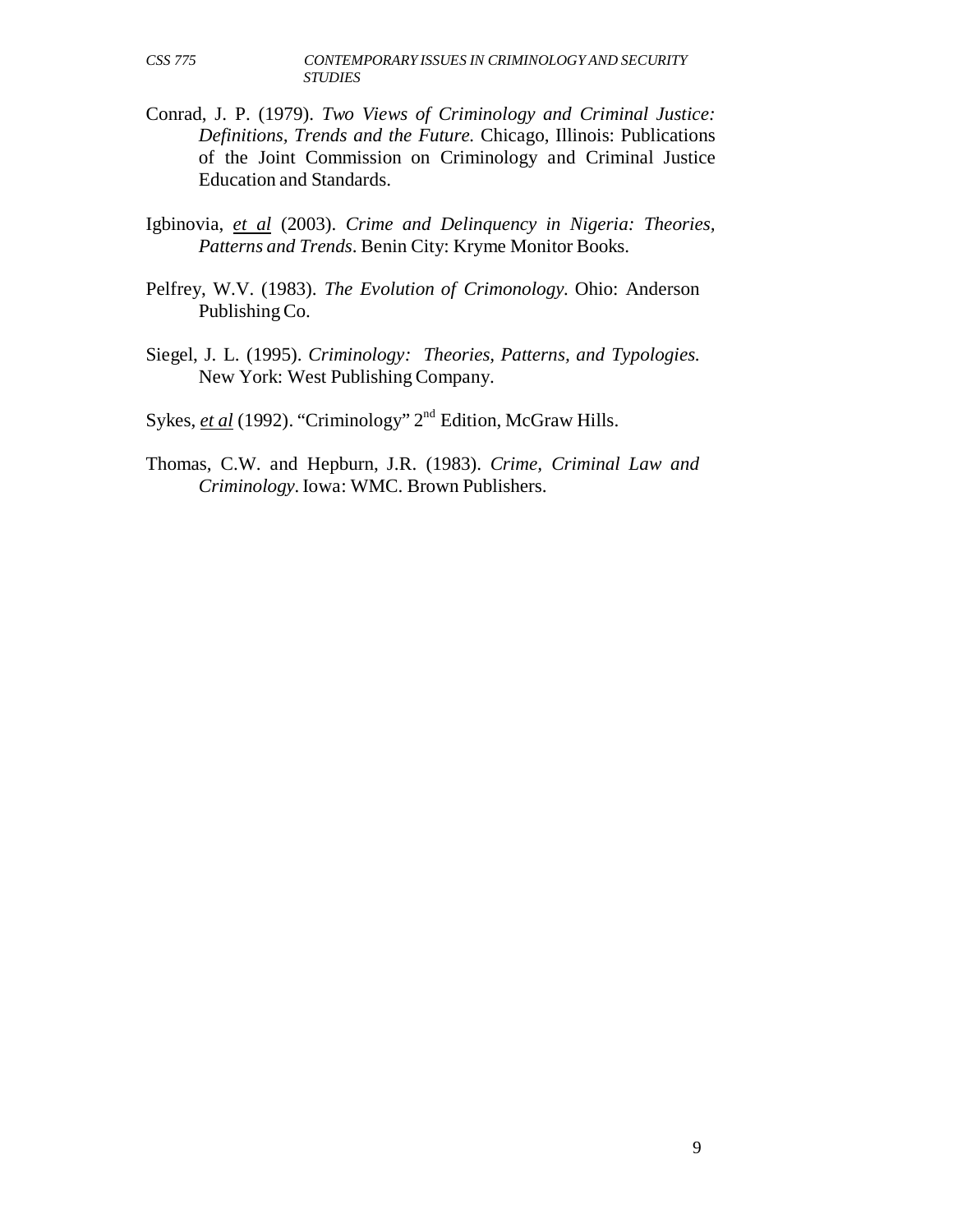- Conrad, J. P. (1979). *Two Views of Criminology and Criminal Justice: Definitions, Trends and the Future.* Chicago, Illinois: Publications of the Joint Commission on Criminology and Criminal Justice Education and Standards.
- Igbinovia, *et al* (2003). *Crime and Delinquency in Nigeria: Theories, Patterns and Trends*. Benin City: Kryme Monitor Books.
- Pelfrey, W.V. (1983). *The Evolution of Crimonology.* Ohio: Anderson Publishing Co.
- Siegel, J. L. (1995). *Criminology: Theories, Patterns, and Typologies.* New York: West Publishing Company.

Sykes, *et al* (1992). "Criminology" 2<sup>nd</sup> Edition, McGraw Hills.

Thomas, C.W. and Hepburn, J.R. (1983). *Crime, Criminal Law and Criminology.* Iowa: WMC. Brown Publishers.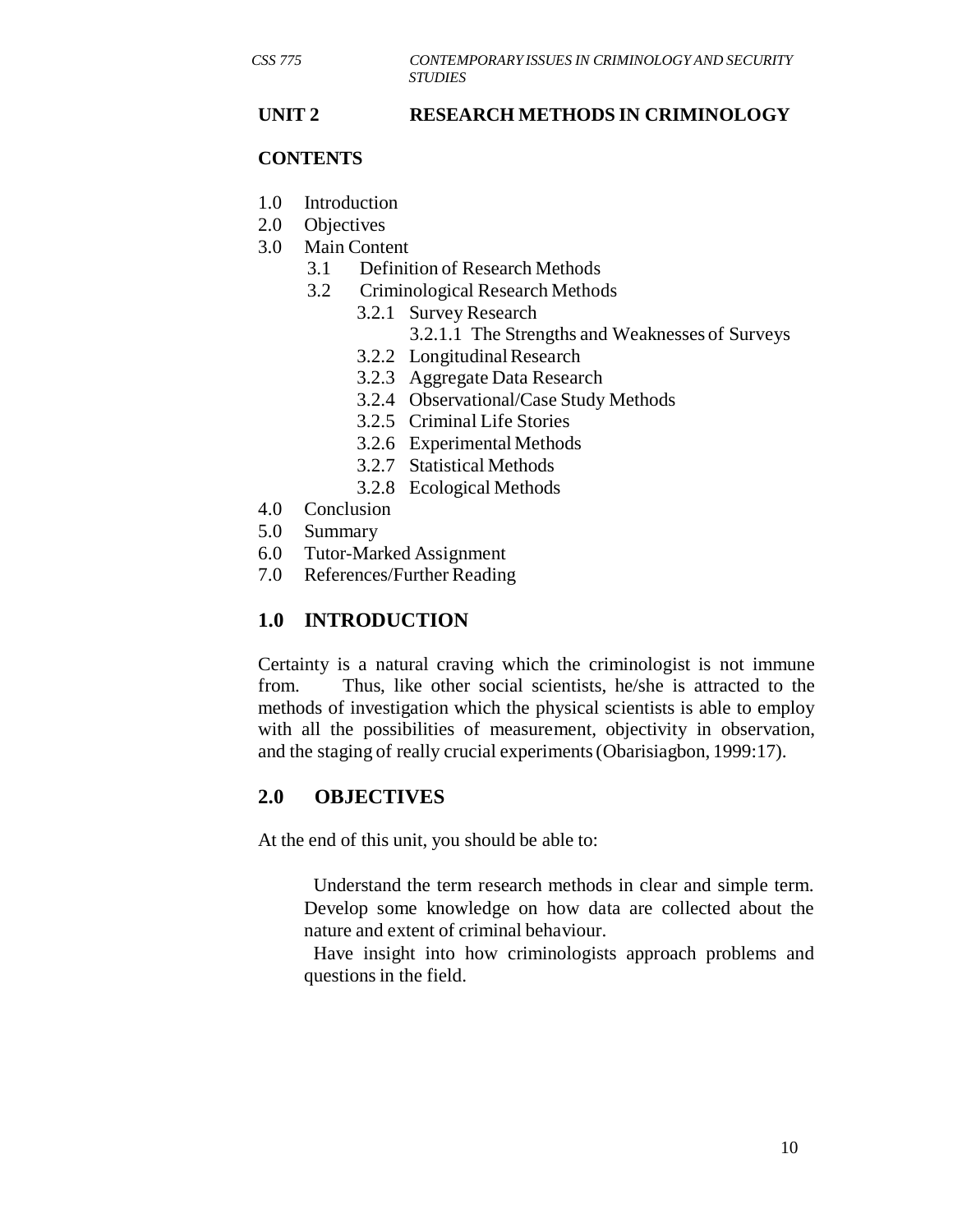#### **UNIT 2 RESEARCH METHODS IN CRIMINOLOGY**

#### **CONTENTS**

- 1.0 Introduction
- 2.0 Objectives
- 3.0 Main Content
	- 3.1 Definition of Research Methods
	- 3.2 Criminological Research Methods
		- 3.2.1 Survey Research
			- 3.2.1.1 The Strengths and Weaknesses of Surveys
		- 3.2.2 Longitudinal Research
		- 3.2.3 Aggregate Data Research
		- 3.2.4 Observational/Case Study Methods
		- 3.2.5 Criminal Life Stories
		- 3.2.6 Experimental Methods
		- 3.2.7 Statistical Methods
		- 3.2.8 Ecological Methods
- 4.0 Conclusion
- 5.0 Summary
- 6.0 Tutor-Marked Assignment
- 7.0 References/Further Reading

# **1.0 INTRODUCTION**

Certainty is a natural craving which the criminologist is not immune from. Thus, like other social scientists, he/she is attracted to the methods of investigation which the physical scientists is able to employ with all the possibilities of measurement, objectivity in observation, and the staging of really crucial experiments (Obarisiagbon, 1999:17).

# **2.0 OBJECTIVES**

At the end of this unit, you should be able to:

Understand the term research methods in clear and simple term. Develop some knowledge on how data are collected about the nature and extent of criminal behaviour.

Have insight into how criminologists approach problems and questions in the field.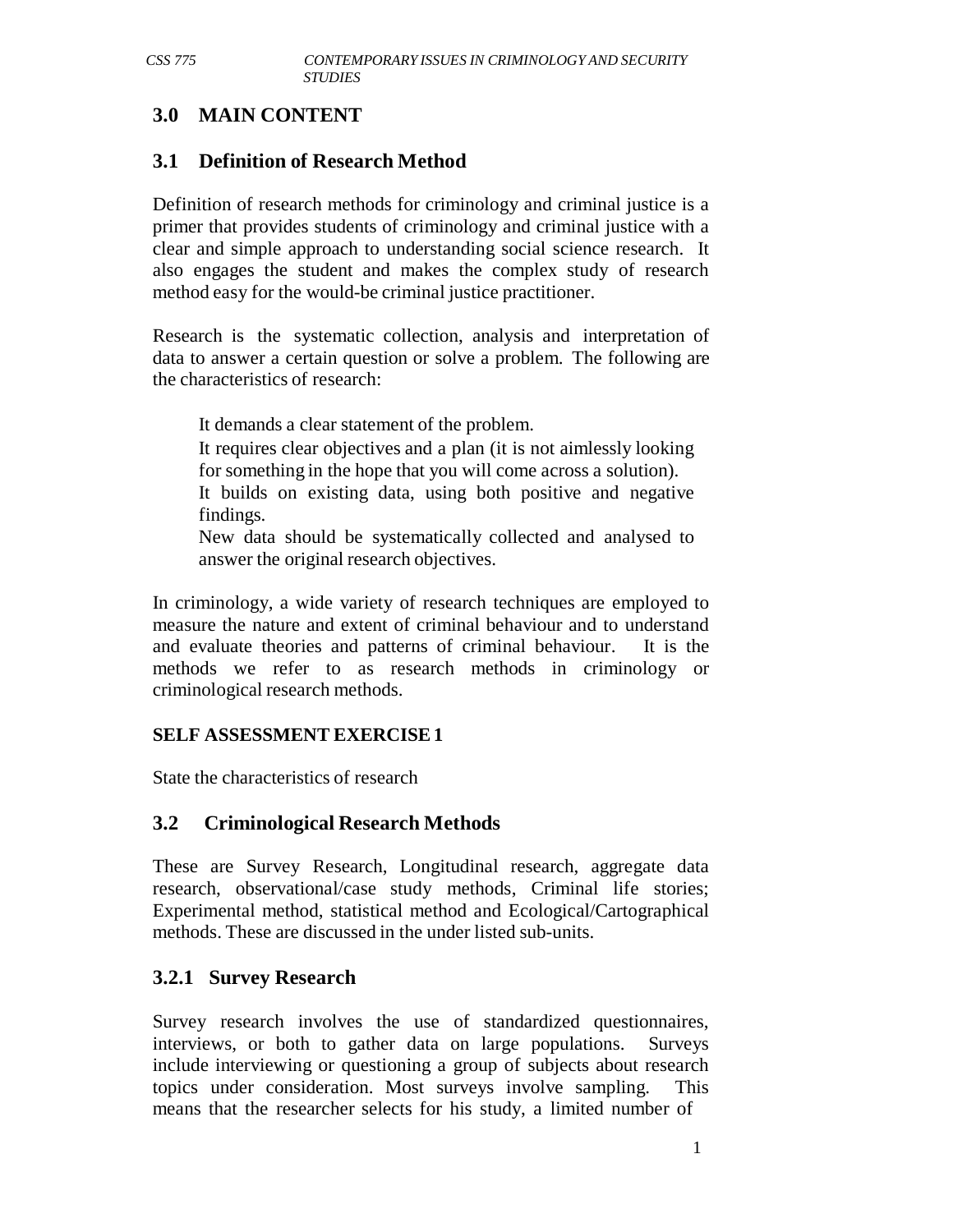# **3.0 MAIN CONTENT**

#### **3.1 Definition of Research Method**

Definition of research methods for criminology and criminal justice is a primer that provides students of criminology and criminal justice with a clear and simple approach to understanding social science research. It also engages the student and makes the complex study of research method easy for the would-be criminal justice practitioner.

Research is the systematic collection, analysis and interpretation of data to answer a certain question or solve a problem. The following are the characteristics of research:

It demands a clear statement of the problem.

It requires clear objectives and a plan (it is not aimlessly looking for something in the hope that you will come across a solution).

It builds on existing data, using both positive and negative findings.

New data should be systematically collected and analysed to answer the original research objectives.

In criminology, a wide variety of research techniques are employed to measure the nature and extent of criminal behaviour and to understand and evaluate theories and patterns of criminal behaviour. It is the methods we refer to as research methods in criminology or criminological research methods.

#### **SELF ASSESSMENT EXERCISE 1**

State the characteristics of research

#### **3.2 Criminological Research Methods**

These are Survey Research, Longitudinal research, aggregate data research, observational/case study methods, Criminal life stories; Experimental method, statistical method and Ecological/Cartographical methods. These are discussed in the under listed sub-units.

#### **3.2.1 Survey Research**

Survey research involves the use of standardized questionnaires, interviews, or both to gather data on large populations. Surveys include interviewing or questioning a group of subjects about research topics under consideration. Most surveys involve sampling. This means that the researcher selects for his study, a limited number of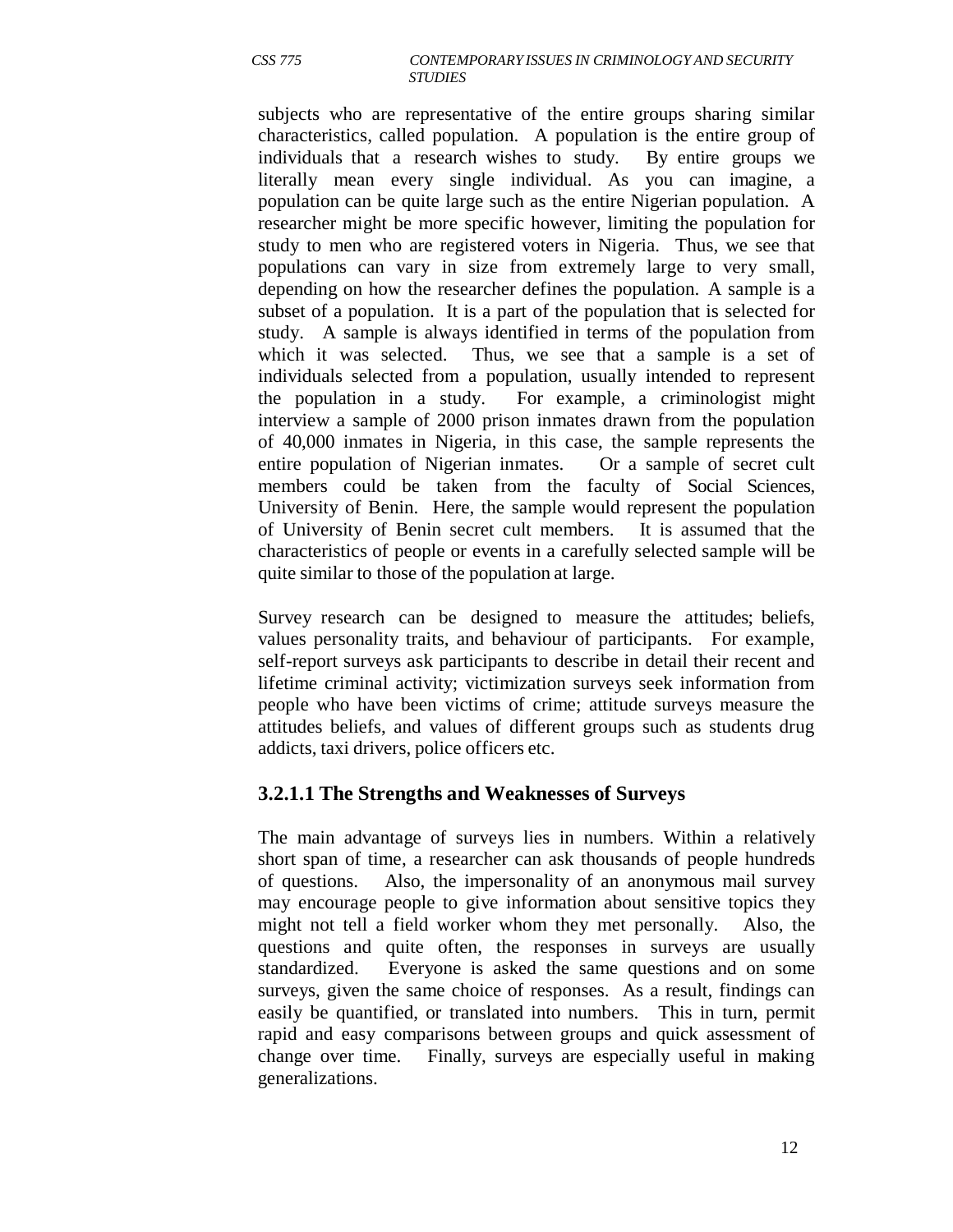subjects who are representative of the entire groups sharing similar characteristics, called population. A population is the entire group of individuals that a research wishes to study. By entire groups we literally mean every single individual. As you can imagine, a population can be quite large such as the entire Nigerian population. A researcher might be more specific however, limiting the population for study to men who are registered voters in Nigeria. Thus, we see that populations can vary in size from extremely large to very small, depending on how the researcher defines the population. A sample is a subset of a population. It is a part of the population that is selected for study. A sample is always identified in terms of the population from which it was selected. Thus, we see that a sample is a set of individuals selected from a population, usually intended to represent the population in a study. For example, a criminologist might interview a sample of 2000 prison inmates drawn from the population of 40,000 inmates in Nigeria, in this case, the sample represents the entire population of Nigerian inmates. Or a sample of secret cult members could be taken from the faculty of Social Sciences, University of Benin. Here, the sample would represent the population of University of Benin secret cult members. It is assumed that the characteristics of people or events in a carefully selected sample will be quite similar to those of the population at large.

Survey research can be designed to measure the attitudes; beliefs, values personality traits, and behaviour of participants. For example, self-report surveys ask participants to describe in detail their recent and lifetime criminal activity; victimization surveys seek information from people who have been victims of crime; attitude surveys measure the attitudes beliefs, and values of different groups such as students drug addicts, taxi drivers, police officers etc.

#### **3.2.1.1 The Strengths and Weaknesses of Surveys**

The main advantage of surveys lies in numbers. Within a relatively short span of time, a researcher can ask thousands of people hundreds of questions. Also, the impersonality of an anonymous mail survey may encourage people to give information about sensitive topics they might not tell a field worker whom they met personally. Also, the questions and quite often, the responses in surveys are usually standardized. Everyone is asked the same questions and on some surveys, given the same choice of responses. As a result, findings can easily be quantified, or translated into numbers. This in turn, permit rapid and easy comparisons between groups and quick assessment of change over time. Finally, surveys are especially useful in making generalizations.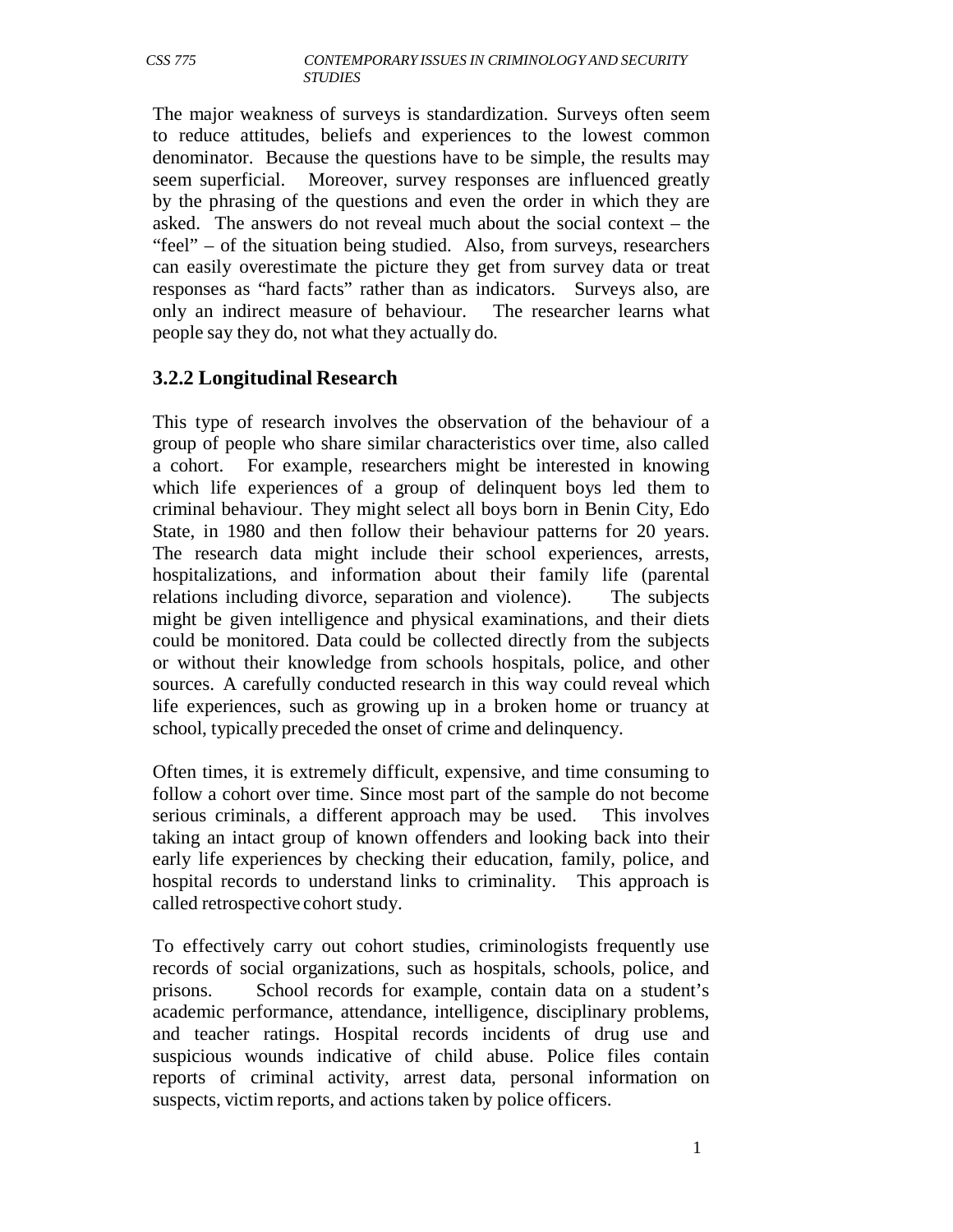The major weakness of surveys is standardization. Surveys often seem to reduce attitudes, beliefs and experiences to the lowest common denominator. Because the questions have to be simple, the results may seem superficial. Moreover, survey responses are influenced greatly by the phrasing of the questions and even the order in which they are asked. The answers do not reveal much about the social context – the "feel" – of the situation being studied. Also, from surveys, researchers can easily overestimate the picture they get from survey data or treat responses as "hard facts" rather than as indicators. Surveys also, are only an indirect measure of behaviour. The researcher learns what people say they do, not what they actually do.

#### **3.2.2 Longitudinal Research**

This type of research involves the observation of the behaviour of a group of people who share similar characteristics over time, also called a cohort. For example, researchers might be interested in knowing which life experiences of a group of delinquent boys led them to criminal behaviour. They might select all boys born in Benin City, Edo State, in 1980 and then follow their behaviour patterns for 20 years. The research data might include their school experiences, arrests, hospitalizations, and information about their family life (parental relations including divorce, separation and violence). The subjects might be given intelligence and physical examinations, and their diets could be monitored. Data could be collected directly from the subjects or without their knowledge from schools hospitals, police, and other sources. A carefully conducted research in this way could reveal which life experiences, such as growing up in a broken home or truancy at school, typically preceded the onset of crime and delinquency.

Often times, it is extremely difficult, expensive, and time consuming to follow a cohort over time. Since most part of the sample do not become serious criminals, a different approach may be used. This involves taking an intact group of known offenders and looking back into their early life experiences by checking their education, family, police, and hospital records to understand links to criminality. This approach is called retrospective cohort study.

To effectively carry out cohort studies, criminologists frequently use records of social organizations, such as hospitals, schools, police, and prisons. School records for example, contain data on a student's academic performance, attendance, intelligence, disciplinary problems, and teacher ratings. Hospital records incidents of drug use and suspicious wounds indicative of child abuse. Police files contain reports of criminal activity, arrest data, personal information on suspects, victim reports, and actions taken by police officers.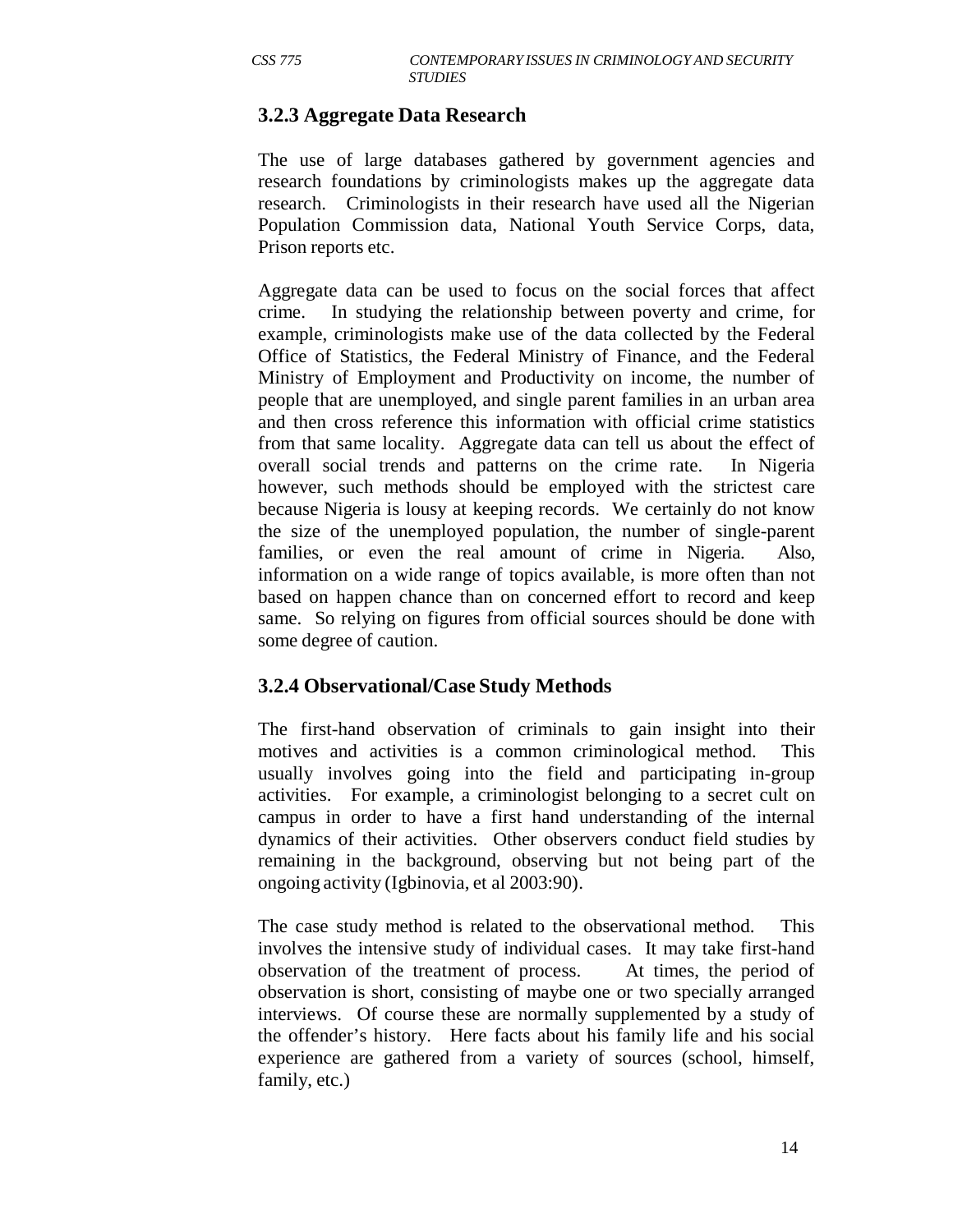# **3.2.3 Aggregate Data Research**

The use of large databases gathered by government agencies and research foundations by criminologists makes up the aggregate data research. Criminologists in their research have used all the Nigerian Population Commission data, National Youth Service Corps, data, Prison reports etc.

Aggregate data can be used to focus on the social forces that affect crime. In studying the relationship between poverty and crime, for example, criminologists make use of the data collected by the Federal Office of Statistics, the Federal Ministry of Finance, and the Federal Ministry of Employment and Productivity on income, the number of people that are unemployed, and single parent families in an urban area and then cross reference this information with official crime statistics from that same locality. Aggregate data can tell us about the effect of overall social trends and patterns on the crime rate. In Nigeria however, such methods should be employed with the strictest care because Nigeria is lousy at keeping records. We certainly do not know the size of the unemployed population, the number of single-parent families, or even the real amount of crime in Nigeria. Also, information on a wide range of topics available, is more often than not based on happen chance than on concerned effort to record and keep same. So relying on figures from official sources should be done with some degree of caution.

#### **3.2.4 Observational/Case Study Methods**

The first-hand observation of criminals to gain insight into their motives and activities is a common criminological method. This usually involves going into the field and participating in-group activities. For example, a criminologist belonging to a secret cult on campus in order to have a first hand understanding of the internal dynamics of their activities. Other observers conduct field studies by remaining in the background, observing but not being part of the ongoing activity (Igbinovia, et al 2003:90).

The case study method is related to the observational method. This involves the intensive study of individual cases. It may take first-hand observation of the treatment of process. At times, the period of observation is short, consisting of maybe one or two specially arranged interviews. Of course these are normally supplemented by a study of the offender's history. Here facts about his family life and his social experience are gathered from a variety of sources (school, himself, family, etc.)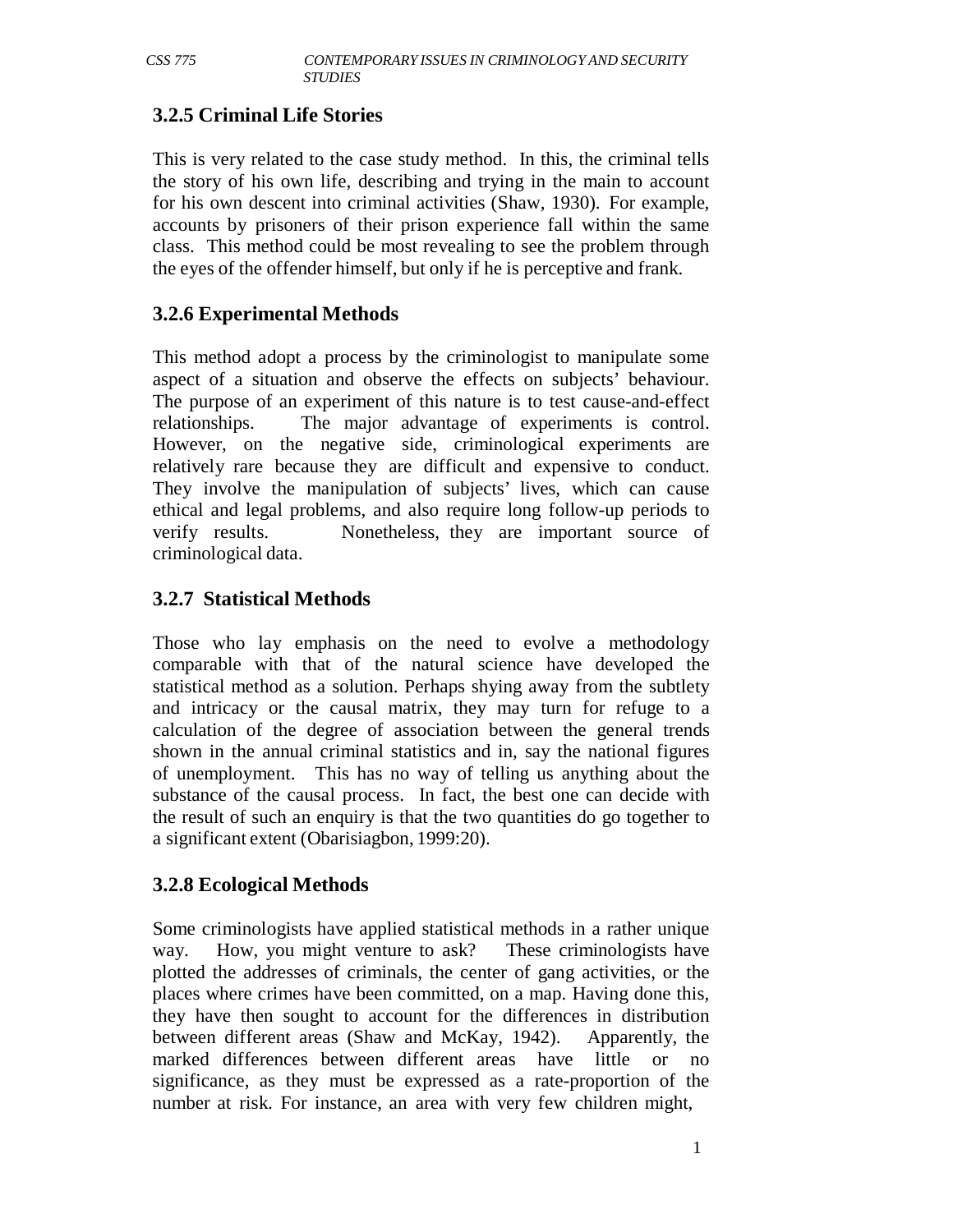# **3.2.5 Criminal Life Stories**

This is very related to the case study method. In this, the criminal tells the story of his own life, describing and trying in the main to account for his own descent into criminal activities (Shaw, 1930). For example, accounts by prisoners of their prison experience fall within the same class. This method could be most revealing to see the problem through the eyes of the offender himself, but only if he is perceptive and frank.

# **3.2.6 Experimental Methods**

This method adopt a process by the criminologist to manipulate some aspect of a situation and observe the effects on subjects' behaviour. The purpose of an experiment of this nature is to test cause-and-effect relationships. The major advantage of experiments is control. However, on the negative side, criminological experiments are relatively rare because they are difficult and expensive to conduct. They involve the manipulation of subjects' lives, which can cause ethical and legal problems, and also require long follow-up periods to verify results. Nonetheless, they are important source of criminological data.

# **3.2.7 Statistical Methods**

Those who lay emphasis on the need to evolve a methodology comparable with that of the natural science have developed the statistical method as a solution. Perhaps shying away from the subtlety and intricacy or the causal matrix, they may turn for refuge to a calculation of the degree of association between the general trends shown in the annual criminal statistics and in, say the national figures of unemployment. This has no way of telling us anything about the substance of the causal process. In fact, the best one can decide with the result of such an enquiry is that the two quantities do go together to a significant extent (Obarisiagbon, 1999:20).

#### **3.2.8 Ecological Methods**

Some criminologists have applied statistical methods in a rather unique way. How, you might venture to ask? These criminologists have plotted the addresses of criminals, the center of gang activities, or the places where crimes have been committed, on a map. Having done this, they have then sought to account for the differences in distribution between different areas (Shaw and McKay, 1942). Apparently, the marked differences between different areas have little or no significance, as they must be expressed as a rate-proportion of the number at risk. For instance, an area with very few children might,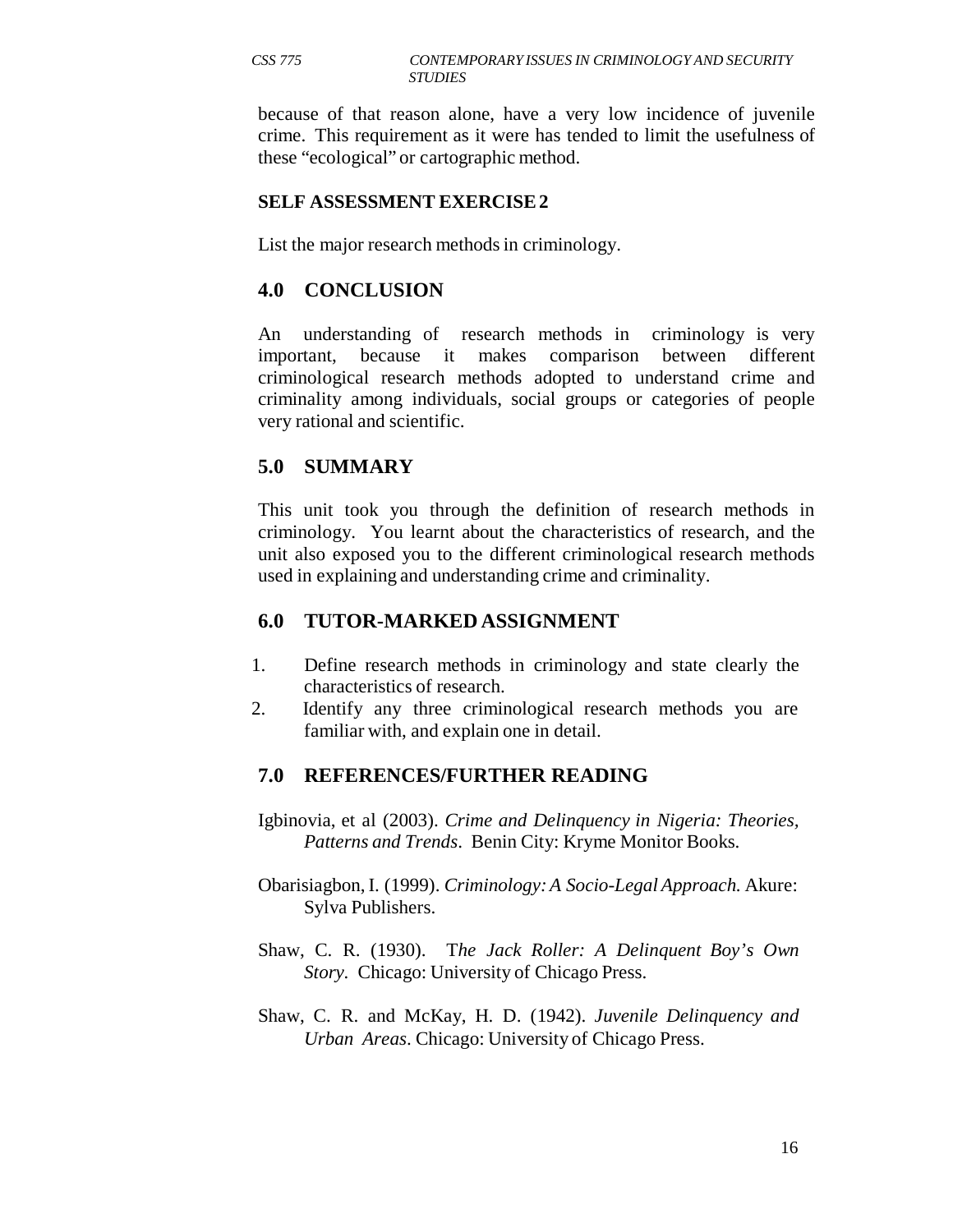because of that reason alone, have a very low incidence of juvenile crime. This requirement as it were has tended to limit the usefulness of these "ecological" or cartographic method.

#### **SELF ASSESSMENT EXERCISE 2**

List the major research methods in criminology.

#### **4.0 CONCLUSION**

An understanding of research methods in criminology is very important, because it makes comparison between different criminological research methods adopted to understand crime and criminality among individuals, social groups or categories of people very rational and scientific.

#### **5.0 SUMMARY**

This unit took you through the definition of research methods in criminology. You learnt about the characteristics of research, and the unit also exposed you to the different criminological research methods used in explaining and understanding crime and criminality.

#### **6.0 TUTOR-MARKED ASSIGNMENT**

- 1. Define research methods in criminology and state clearly the characteristics of research.
- 2. Identify any three criminological research methods you are familiar with, and explain one in detail.

#### **7.0 REFERENCES/FURTHER READING**

- Igbinovia, et al (2003). *Crime and Delinquency in Nigeria: Theories, Patterns and Trends*. Benin City: Kryme Monitor Books.
- Obarisiagbon, I. (1999). *Criminology: A Socio-Legal Approach.* Akure: Sylva Publishers.
- Shaw, C. R. (1930). T*he Jack Roller: A Delinquent Boy's Own Story.* Chicago: University of Chicago Press.
- Shaw, C. R. and McKay, H. D. (1942). *Juvenile Delinquency and Urban Areas*. Chicago: University of Chicago Press.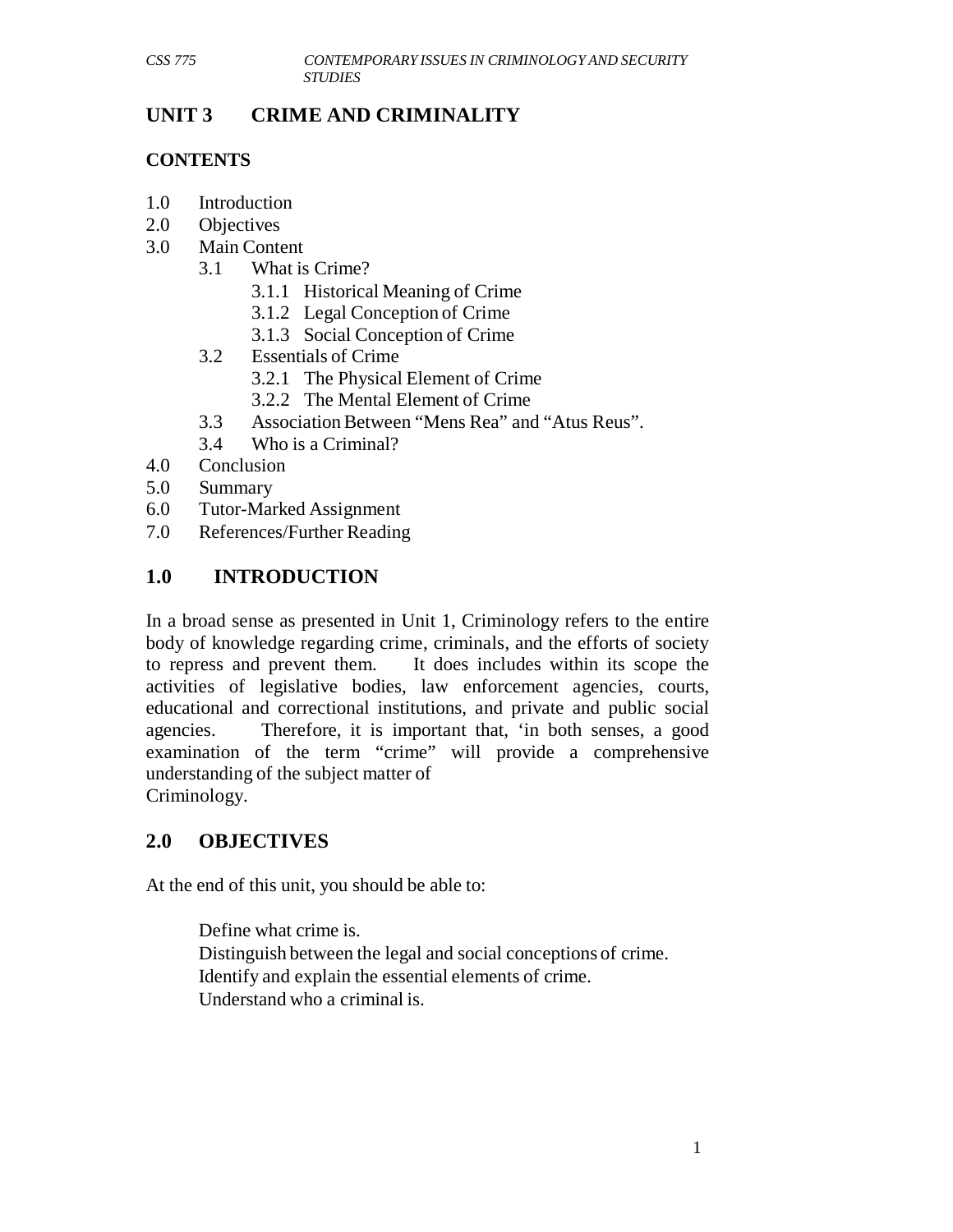# **UNIT 3 CRIME AND CRIMINALITY**

#### **CONTENTS**

- 1.0 Introduction
- 2.0 Objectives
- 3.0 Main Content
	- 3.1 What is Crime?
		- 3.1.1 Historical Meaning of Crime
		- 3.1.2 Legal Conception of Crime
		- 3.1.3 Social Conception of Crime
	- 3.2 Essentials of Crime
		- 3.2.1 The Physical Element of Crime
		- 3.2.2 The Mental Element of Crime
	- 3.3 Association Between "Mens Rea" and "Atus Reus".
	- 3.4 Who is a Criminal?
- 4.0 Conclusion
- 5.0 Summary
- 6.0 Tutor-Marked Assignment
- 7.0 References/Further Reading

# **1.0 INTRODUCTION**

In a broad sense as presented in Unit 1, Criminology refers to the entire body of knowledge regarding crime, criminals, and the efforts of society to repress and prevent them. It does includes within its scope the activities of legislative bodies, law enforcement agencies, courts, educational and correctional institutions, and private and public social agencies. Therefore, it is important that, 'in both senses, a good examination of the term "crime" will provide a comprehensive understanding of the subject matter of Criminology.

# **2.0 OBJECTIVES**

At the end of this unit, you should be able to:

Define what crime is. Distinguish between the legal and social conceptions of crime. Identify and explain the essential elements of crime. Understand who a criminal is.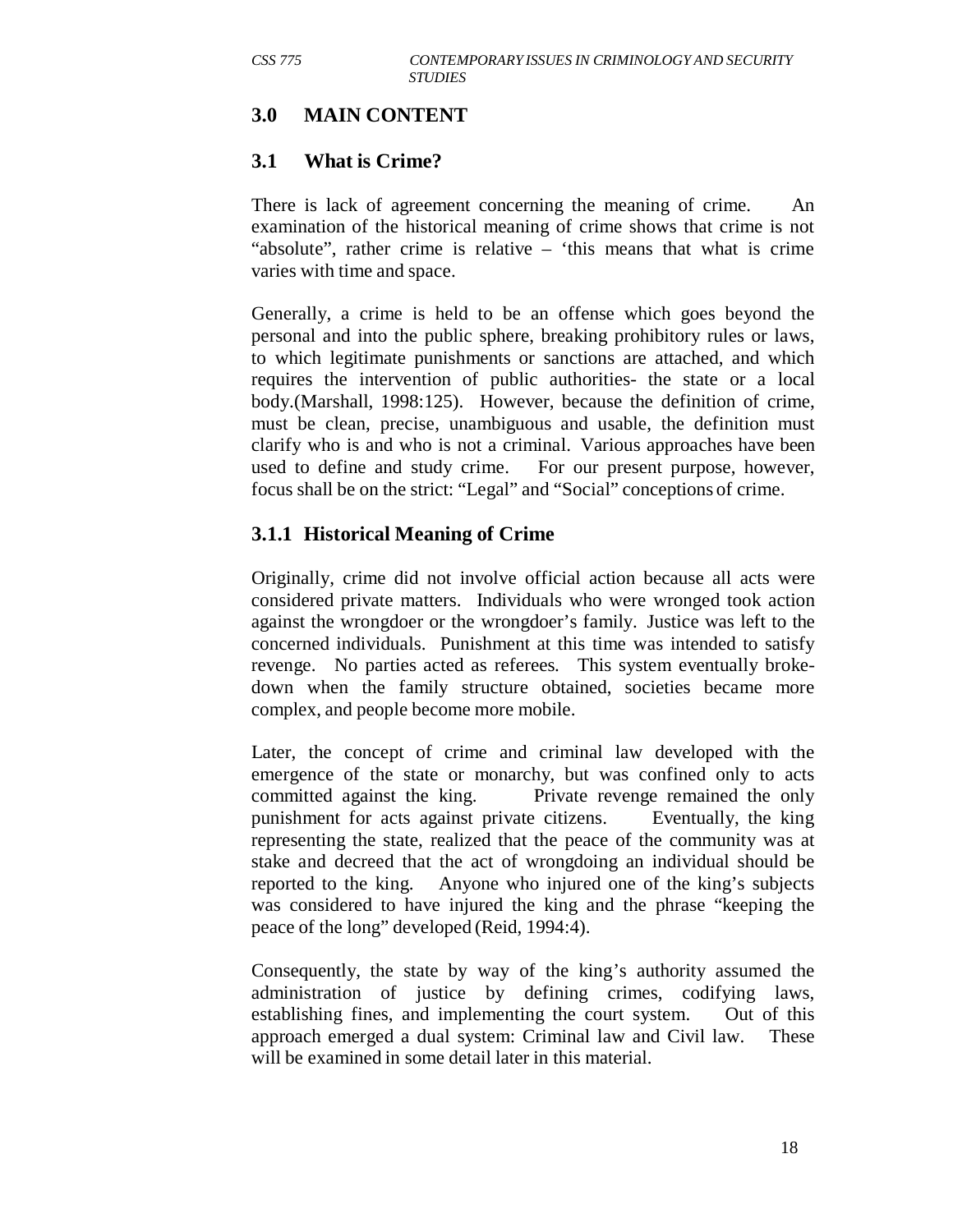#### **3.0 MAIN CONTENT**

#### **3.1 What is Crime?**

There is lack of agreement concerning the meaning of crime. An examination of the historical meaning of crime shows that crime is not "absolute", rather crime is relative – 'this means that what is crime varies with time and space.

Generally, a crime is held to be an offense which goes beyond the personal and into the public sphere, breaking prohibitory rules or laws, to which legitimate punishments or sanctions are attached, and which requires the intervention of public authorities- the state or a local body.(Marshall, 1998:125). However, because the definition of crime, must be clean, precise, unambiguous and usable, the definition must clarify who is and who is not a criminal. Various approaches have been used to define and study crime. For our present purpose, however, focus shall be on the strict: "Legal" and "Social" conceptions of crime.

#### **3.1.1 Historical Meaning of Crime**

Originally, crime did not involve official action because all acts were considered private matters. Individuals who were wronged took action against the wrongdoer or the wrongdoer's family. Justice was left to the concerned individuals. Punishment at this time was intended to satisfy revenge. No parties acted as referees. This system eventually brokedown when the family structure obtained, societies became more complex, and people become more mobile.

Later, the concept of crime and criminal law developed with the emergence of the state or monarchy, but was confined only to acts committed against the king. Private revenge remained the only punishment for acts against private citizens. Eventually, the king representing the state, realized that the peace of the community was at stake and decreed that the act of wrongdoing an individual should be reported to the king. Anyone who injured one of the king's subjects was considered to have injured the king and the phrase "keeping the peace of the long" developed (Reid, 1994:4).

Consequently, the state by way of the king's authority assumed the administration of justice by defining crimes, codifying laws, establishing fines, and implementing the court system. Out of this approach emerged a dual system: Criminal law and Civil law. These will be examined in some detail later in this material.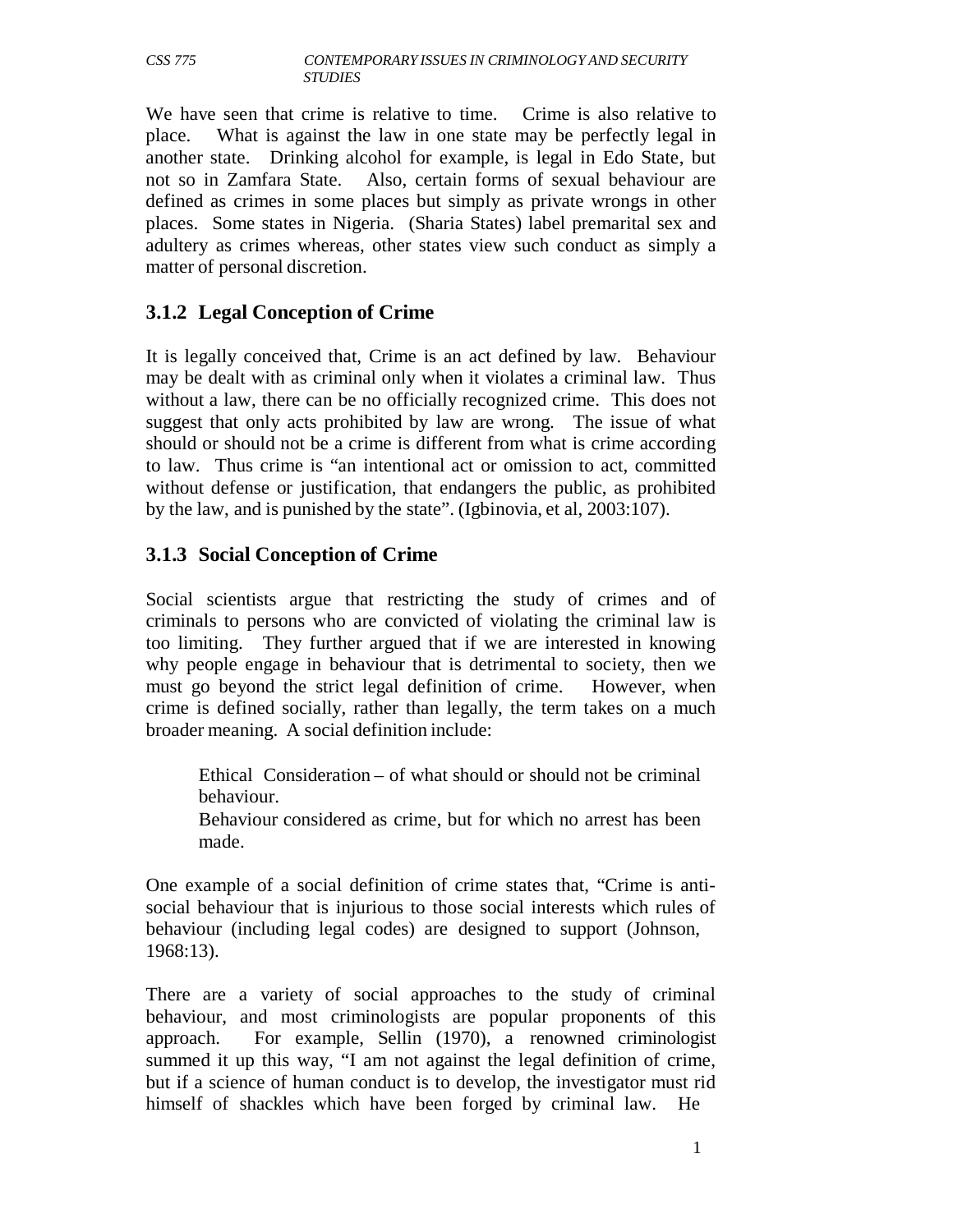We have seen that crime is relative to time. Crime is also relative to place. What is against the law in one state may be perfectly legal in another state. Drinking alcohol for example, is legal in Edo State, but not so in Zamfara State. Also, certain forms of sexual behaviour are defined as crimes in some places but simply as private wrongs in other places. Some states in Nigeria. (Sharia States) label premarital sex and adultery as crimes whereas, other states view such conduct as simply a matter of personal discretion.

#### **3.1.2 Legal Conception of Crime**

It is legally conceived that, Crime is an act defined by law. Behaviour may be dealt with as criminal only when it violates a criminal law. Thus without a law, there can be no officially recognized crime. This does not suggest that only acts prohibited by law are wrong. The issue of what should or should not be a crime is different from what is crime according to law. Thus crime is "an intentional act or omission to act, committed without defense or justification, that endangers the public, as prohibited by the law, and is punished by the state". (Igbinovia, et al, 2003:107).

#### **3.1.3 Social Conception of Crime**

Social scientists argue that restricting the study of crimes and of criminals to persons who are convicted of violating the criminal law is too limiting. They further argued that if we are interested in knowing why people engage in behaviour that is detrimental to society, then we must go beyond the strict legal definition of crime. However, when crime is defined socially, rather than legally, the term takes on a much broader meaning. A social definition include:

Ethical Consideration – of what should or should not be criminal behaviour. Behaviour considered as crime, but for which no arrest has been made.

One example of a social definition of crime states that, "Crime is antisocial behaviour that is injurious to those social interests which rules of behaviour (including legal codes) are designed to support (Johnson, 1968:13).

There are a variety of social approaches to the study of criminal behaviour, and most criminologists are popular proponents of this approach. For example, Sellin (1970), a renowned criminologist summed it up this way, "I am not against the legal definition of crime, but if a science of human conduct is to develop, the investigator must rid himself of shackles which have been forged by criminal law. He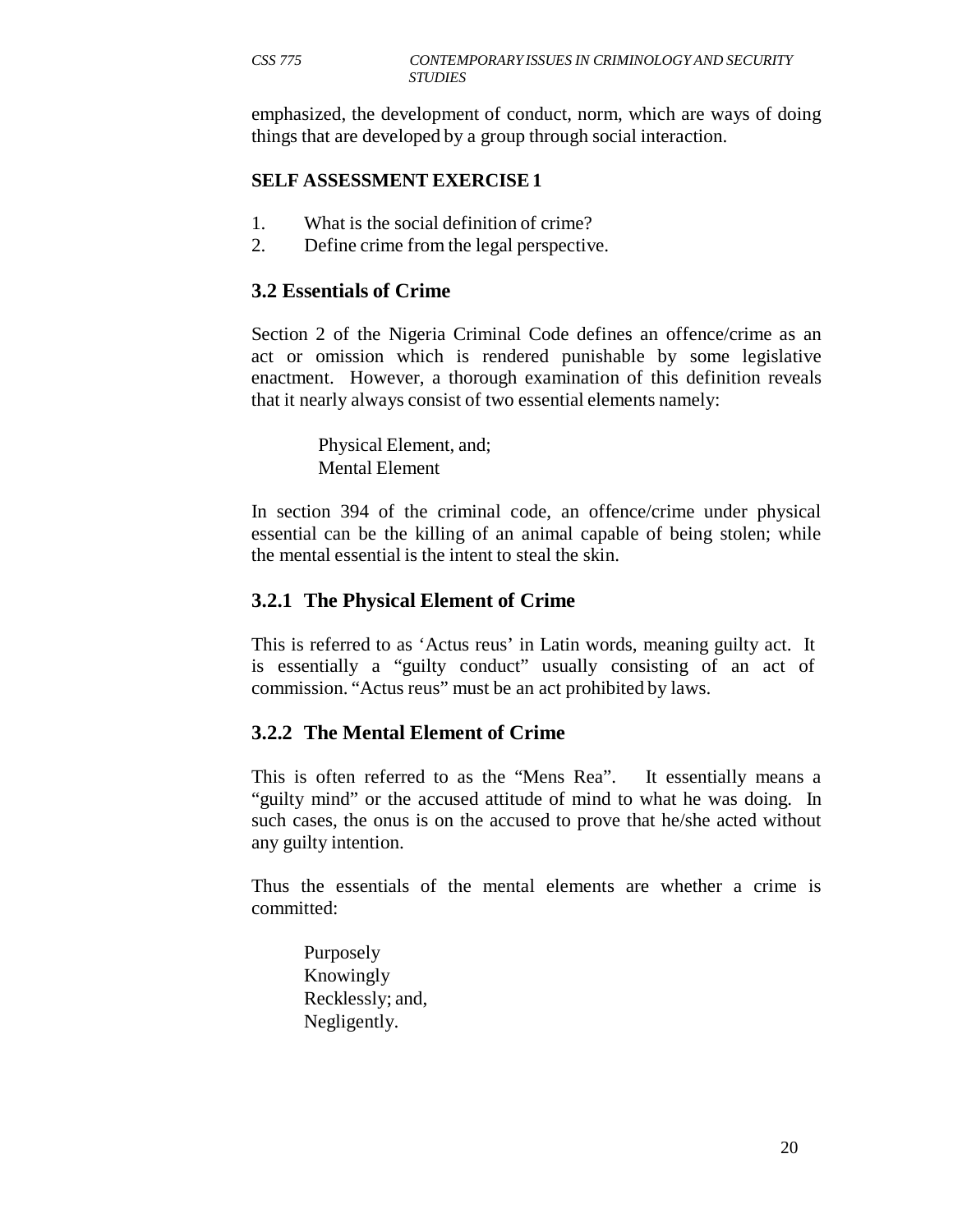emphasized, the development of conduct, norm, which are ways of doing things that are developed by a group through social interaction.

#### **SELF ASSESSMENT EXERCISE 1**

- 1. What is the social definition of crime?
- 2. Define crime from the legal perspective.

#### **3.2 Essentials of Crime**

Section 2 of the Nigeria Criminal Code defines an offence/crime as an act or omission which is rendered punishable by some legislative enactment. However, a thorough examination of this definition reveals that it nearly always consist of two essential elements namely:

> Physical Element, and; Mental Element

In section 394 of the criminal code, an offence/crime under physical essential can be the killing of an animal capable of being stolen; while the mental essential is the intent to steal the skin.

#### **3.2.1 The Physical Element of Crime**

This is referred to as 'Actus reus' in Latin words, meaning guilty act. It is essentially a "guilty conduct" usually consisting of an act of commission. "Actus reus" must be an act prohibited by laws.

#### **3.2.2 The Mental Element of Crime**

This is often referred to as the "Mens Rea". It essentially means a "guilty mind" or the accused attitude of mind to what he was doing. In such cases, the onus is on the accused to prove that he/she acted without any guilty intention.

Thus the essentials of the mental elements are whether a crime is committed:

Purposely Knowingly Recklessly; and, Negligently.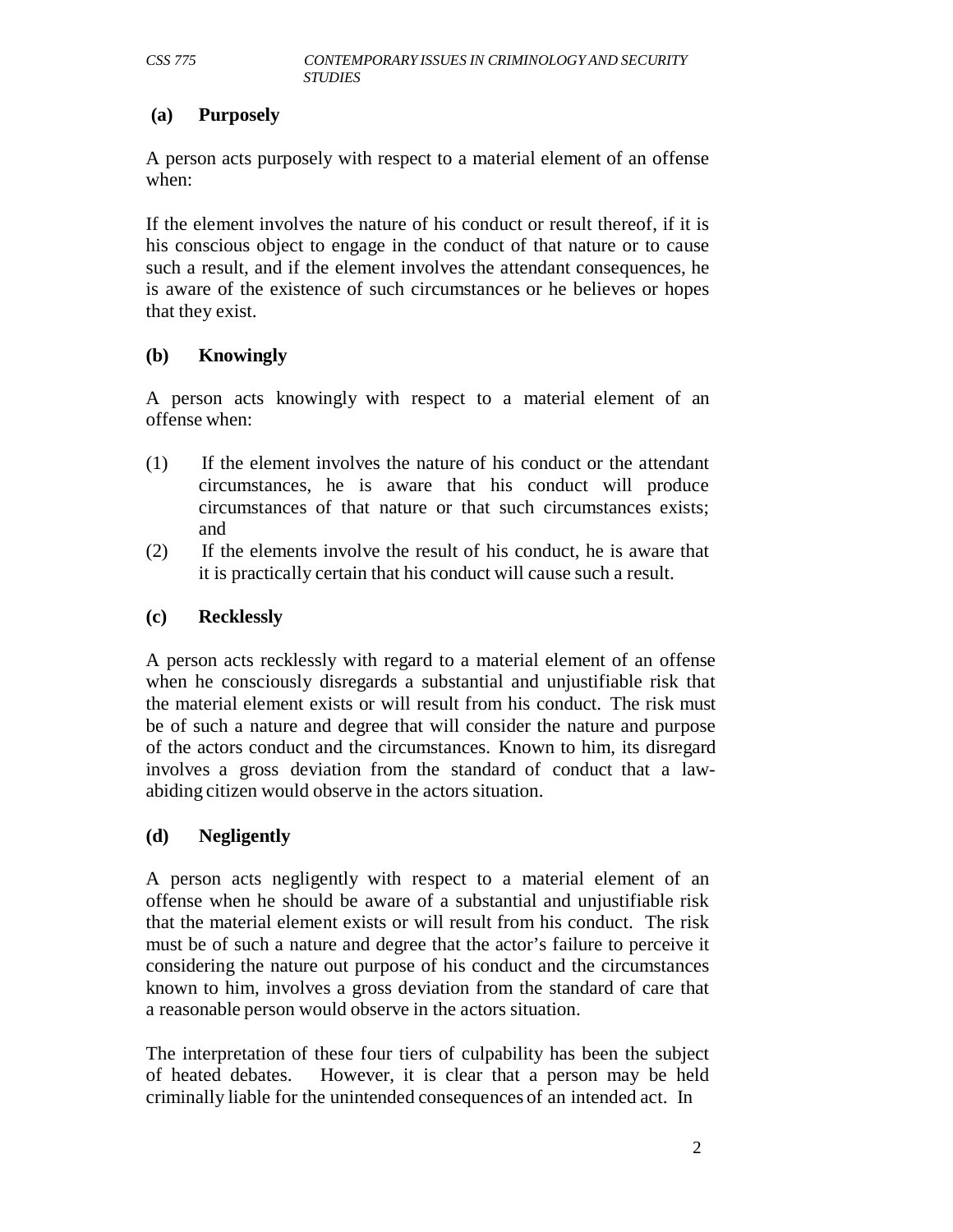#### **(a) Purposely**

A person acts purposely with respect to a material element of an offense when:

If the element involves the nature of his conduct or result thereof, if it is his conscious object to engage in the conduct of that nature or to cause such a result, and if the element involves the attendant consequences, he is aware of the existence of such circumstances or he believes or hopes that they exist.

#### **(b) Knowingly**

A person acts knowingly with respect to a material element of an offense when:

- (1) If the element involves the nature of his conduct or the attendant circumstances, he is aware that his conduct will produce circumstances of that nature or that such circumstances exists; and
- (2) If the elements involve the result of his conduct, he is aware that it is practically certain that his conduct will cause such a result.

#### **(c) Recklessly**

A person acts recklessly with regard to a material element of an offense when he consciously disregards a substantial and unjustifiable risk that the material element exists or will result from his conduct. The risk must be of such a nature and degree that will consider the nature and purpose of the actors conduct and the circumstances. Known to him, its disregard involves a gross deviation from the standard of conduct that a lawabiding citizen would observe in the actors situation.

#### **(d) Negligently**

A person acts negligently with respect to a material element of an offense when he should be aware of a substantial and unjustifiable risk that the material element exists or will result from his conduct. The risk must be of such a nature and degree that the actor's failure to perceive it considering the nature out purpose of his conduct and the circumstances known to him, involves a gross deviation from the standard of care that a reasonable person would observe in the actors situation.

The interpretation of these four tiers of culpability has been the subject of heated debates. However, it is clear that a person may be held criminally liable for the unintended consequences of an intended act. In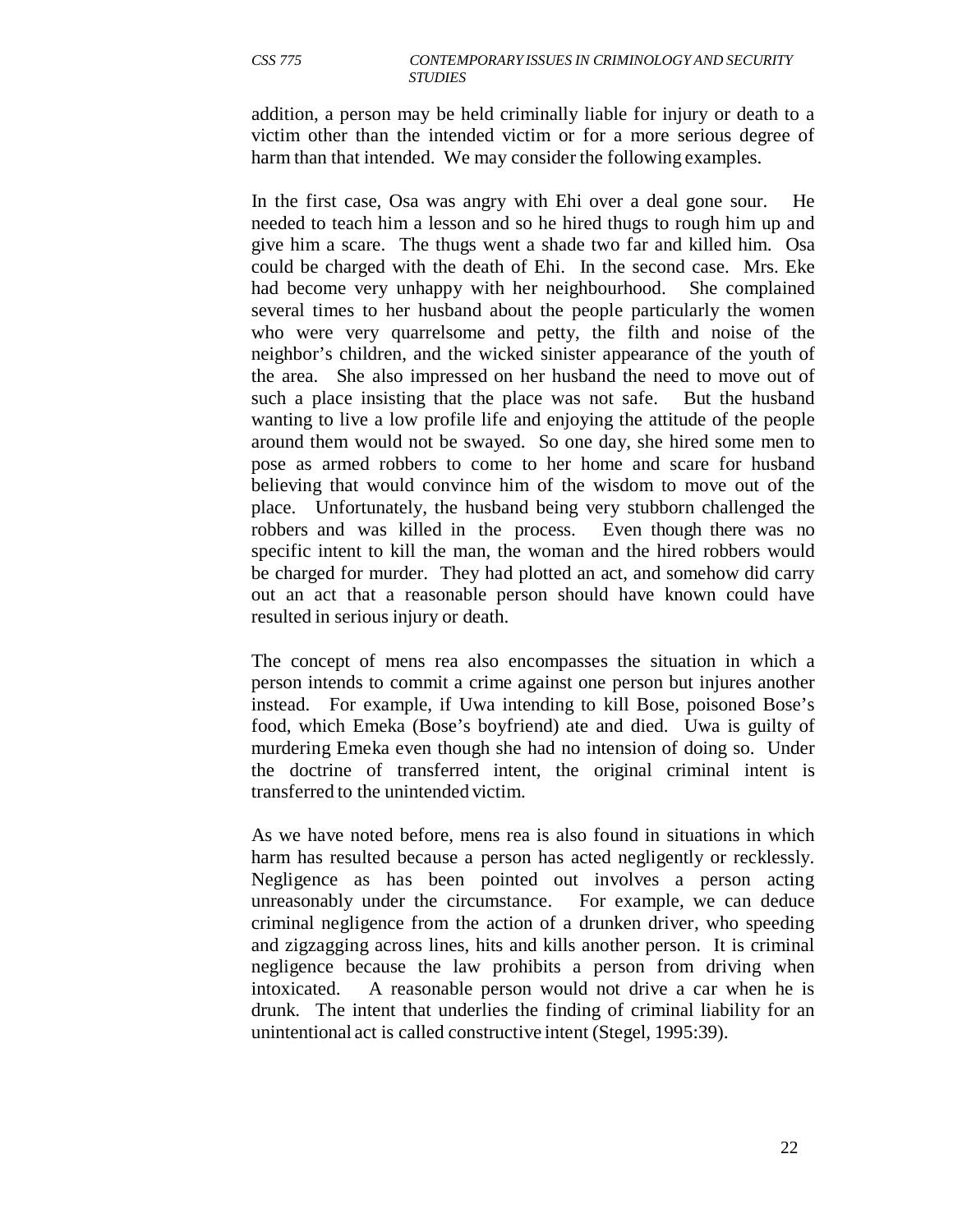addition, a person may be held criminally liable for injury or death to a victim other than the intended victim or for a more serious degree of harm than that intended. We may consider the following examples.

In the first case, Osa was angry with Ehi over a deal gone sour. He needed to teach him a lesson and so he hired thugs to rough him up and give him a scare. The thugs went a shade two far and killed him. Osa could be charged with the death of Ehi. In the second case. Mrs. Eke had become very unhappy with her neighbourhood. She complained several times to her husband about the people particularly the women who were very quarrelsome and petty, the filth and noise of the neighbor's children, and the wicked sinister appearance of the youth of the area. She also impressed on her husband the need to move out of such a place insisting that the place was not safe. But the husband wanting to live a low profile life and enjoying the attitude of the people around them would not be swayed. So one day, she hired some men to pose as armed robbers to come to her home and scare for husband believing that would convince him of the wisdom to move out of the place. Unfortunately, the husband being very stubborn challenged the robbers and was killed in the process. Even though there was no specific intent to kill the man, the woman and the hired robbers would be charged for murder. They had plotted an act, and somehow did carry out an act that a reasonable person should have known could have resulted in serious injury or death.

The concept of mens rea also encompasses the situation in which a person intends to commit a crime against one person but injures another instead. For example, if Uwa intending to kill Bose, poisoned Bose's food, which Emeka (Bose's boyfriend) ate and died. Uwa is guilty of murdering Emeka even though she had no intension of doing so. Under the doctrine of transferred intent, the original criminal intent is transferred to the unintended victim.

As we have noted before, mens rea is also found in situations in which harm has resulted because a person has acted negligently or recklessly. Negligence as has been pointed out involves a person acting unreasonably under the circumstance. For example, we can deduce criminal negligence from the action of a drunken driver, who speeding and zigzagging across lines, hits and kills another person. It is criminal negligence because the law prohibits a person from driving when intoxicated. A reasonable person would not drive a car when he is drunk. The intent that underlies the finding of criminal liability for an unintentional act is called constructive intent (Stegel, 1995:39).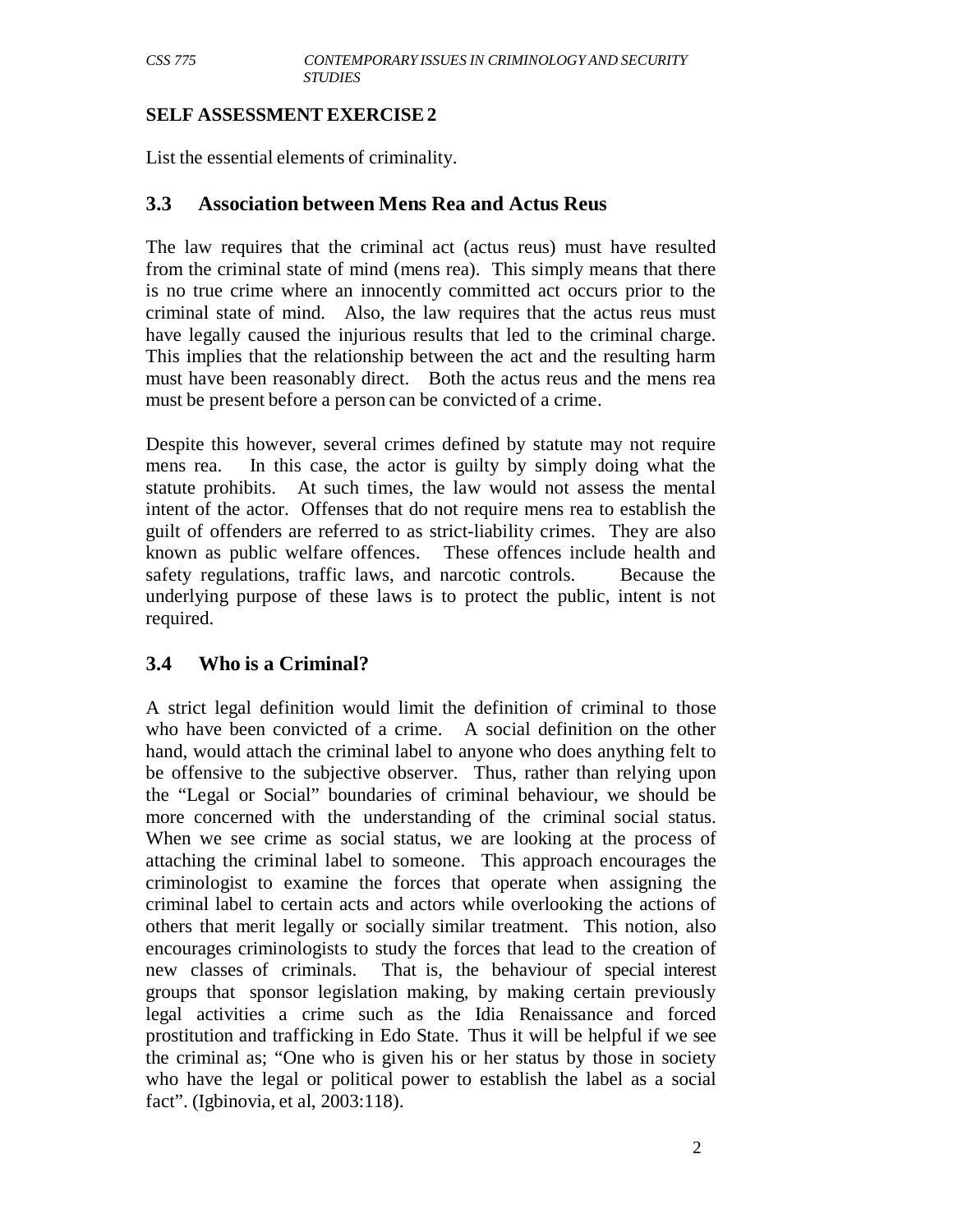#### **SELF ASSESSMENT EXERCISE 2**

List the essential elements of criminality.

#### **3.3 Association between Mens Rea and Actus Reus**

The law requires that the criminal act (actus reus) must have resulted from the criminal state of mind (mens rea). This simply means that there is no true crime where an innocently committed act occurs prior to the criminal state of mind. Also, the law requires that the actus reus must have legally caused the injurious results that led to the criminal charge. This implies that the relationship between the act and the resulting harm must have been reasonably direct. Both the actus reus and the mens rea must be present before a person can be convicted of a crime.

Despite this however, several crimes defined by statute may not require mens rea. In this case, the actor is guilty by simply doing what the statute prohibits. At such times, the law would not assess the mental intent of the actor. Offenses that do not require mens rea to establish the guilt of offenders are referred to as strict-liability crimes. They are also known as public welfare offences. These offences include health and safety regulations, traffic laws, and narcotic controls. Because the underlying purpose of these laws is to protect the public, intent is not required.

#### **3.4 Who is a Criminal?**

A strict legal definition would limit the definition of criminal to those who have been convicted of a crime. A social definition on the other hand, would attach the criminal label to anyone who does anything felt to be offensive to the subjective observer. Thus, rather than relying upon the "Legal or Social" boundaries of criminal behaviour, we should be more concerned with the understanding of the criminal social status. When we see crime as social status, we are looking at the process of attaching the criminal label to someone. This approach encourages the criminologist to examine the forces that operate when assigning the criminal label to certain acts and actors while overlooking the actions of others that merit legally or socially similar treatment. This notion, also encourages criminologists to study the forces that lead to the creation of new classes of criminals. That is, the behaviour of special interest groups that sponsor legislation making, by making certain previously legal activities a crime such as the Idia Renaissance and forced prostitution and trafficking in Edo State. Thus it will be helpful if we see the criminal as; "One who is given his or her status by those in society who have the legal or political power to establish the label as a social fact". (Igbinovia, et al, 2003:118).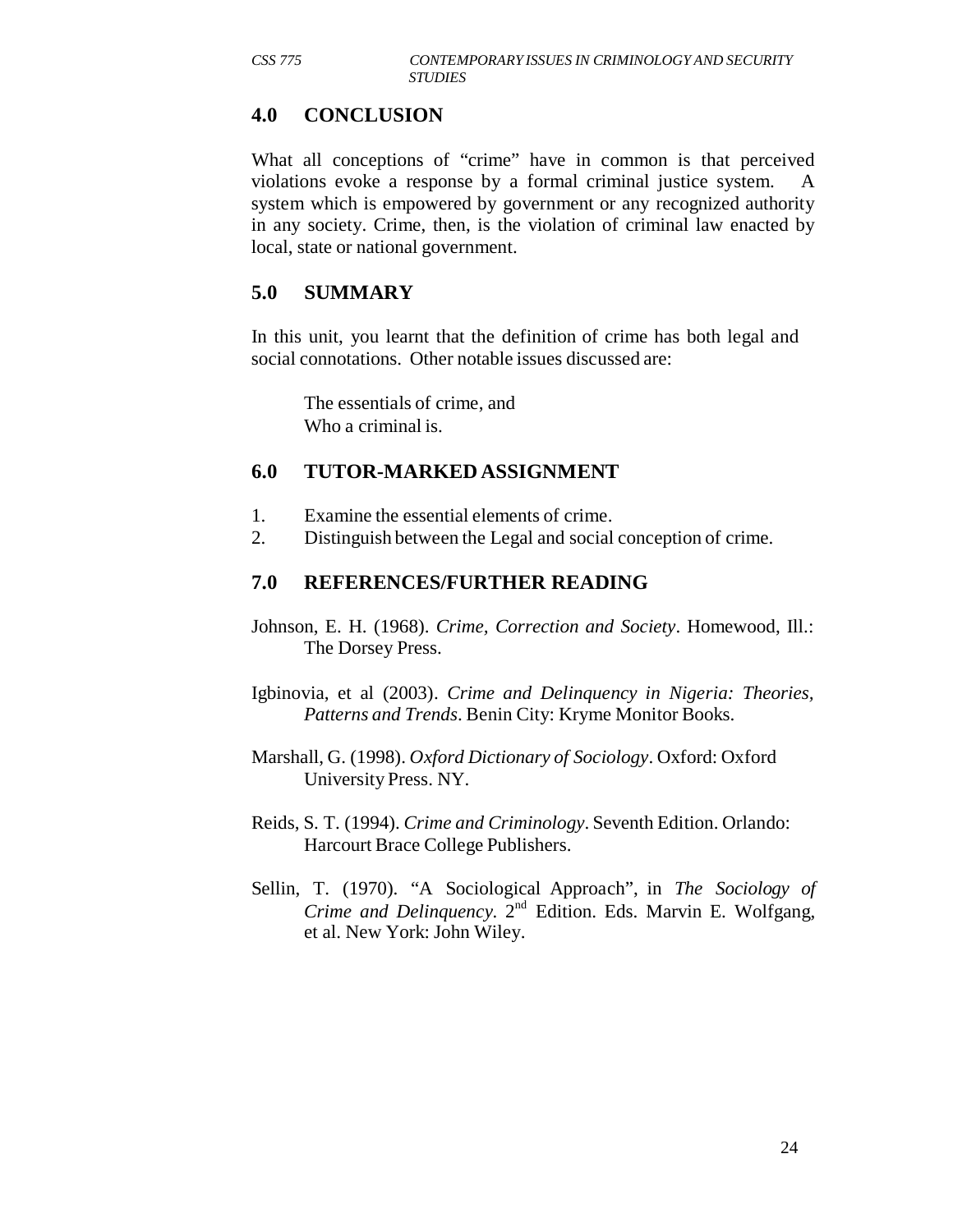#### **4.0 CONCLUSION**

What all conceptions of "crime" have in common is that perceived violations evoke a response by a formal criminal justice system. A system which is empowered by government or any recognized authority in any society. Crime, then, is the violation of criminal law enacted by local, state or national government.

# **5.0 SUMMARY**

In this unit, you learnt that the definition of crime has both legal and social connotations. Other notable issues discussed are:

The essentials of crime, and Who a criminal is.

#### **6.0 TUTOR-MARKED ASSIGNMENT**

- 1. Examine the essential elements of crime.
- 2. Distinguish between the Legal and social conception of crime.

#### **7.0 REFERENCES/FURTHER READING**

- Johnson, E. H. (1968). *Crime, Correction and Society*. Homewood, Ill.: The Dorsey Press.
- Igbinovia, et al (2003). *Crime and Delinquency in Nigeria: Theories, Patterns and Trends*. Benin City: Kryme Monitor Books.
- Marshall, G. (1998). *Oxford Dictionary of Sociology*. Oxford: Oxford University Press. NY.
- Reids, S. T. (1994). *Crime and Criminology*. Seventh Edition. Orlando: Harcourt Brace College Publishers.
- Sellin, T. (1970). "A Sociological Approach", in *The Sociology of Crime and Delinquency*. 2<sup>nd</sup> Edition. Eds. Marvin E. Wolfgang, et al. New York: John Wiley.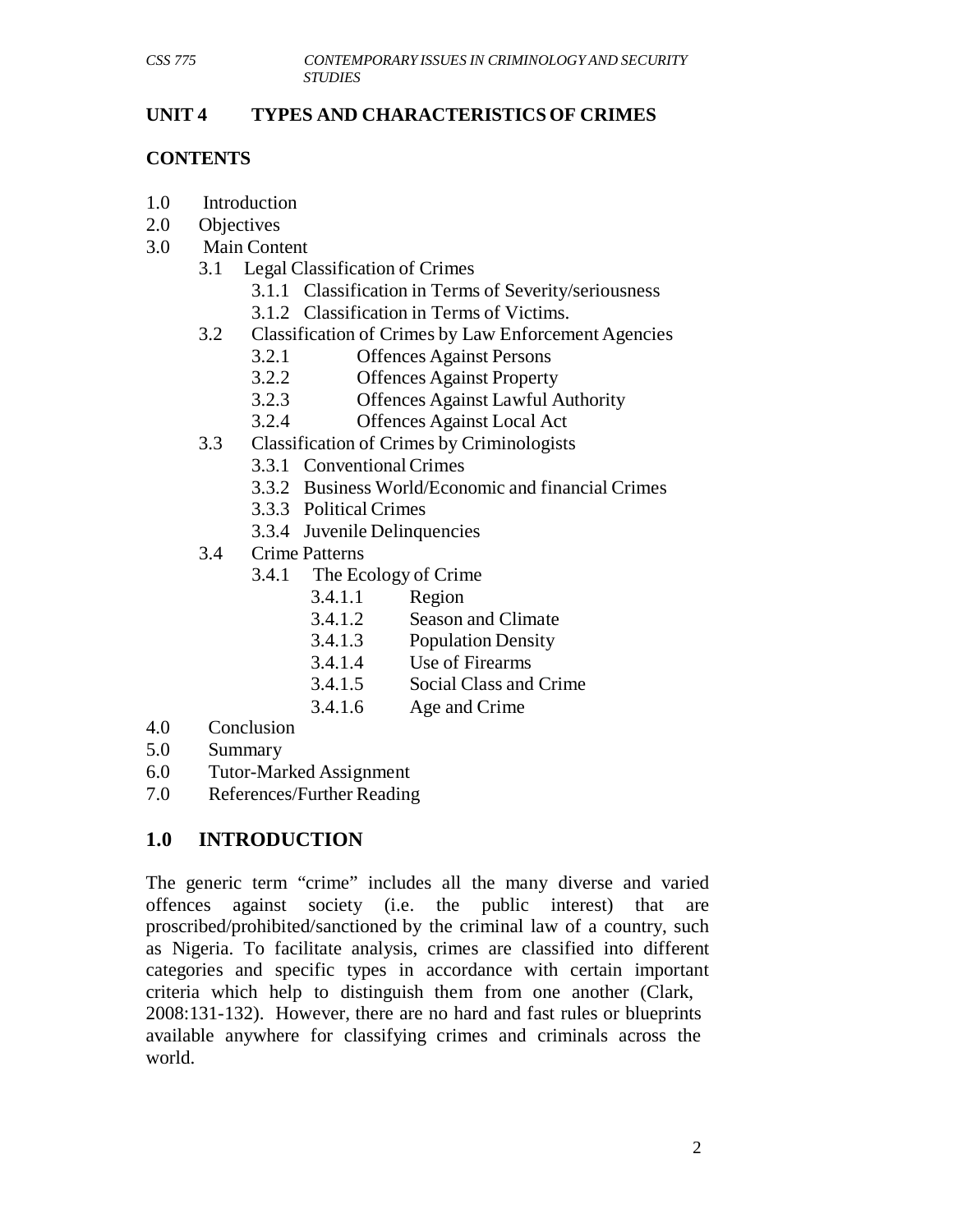#### **UNIT 4 TYPES AND CHARACTERISTICS OF CRIMES**

#### **CONTENTS**

- 1.0 Introduction
- 2.0 Objectives
- 3.0 Main Content
	- 3.1 Legal Classification of Crimes
		- 3.1.1 Classification in Terms of Severity/seriousness
		- 3.1.2 Classification in Terms of Victims.
	- 3.2 Classification of Crimes by Law Enforcement Agencies
		- 3.2.1 Offences Against Persons<br>3.2.2 Offences Against Property
		- **Offences Against Property**
		- 3.2.3 Offences Against Lawful Authority
		- 3.2.4 Offences Against Local Act
	- 3.3 Classification of Crimes by Criminologists
		- 3.3.1 Conventional Crimes
		- 3.3.2 Business World/Economic and financial Crimes
		- 3.3.3 Political Crimes
			- 3.3.4 Juvenile Delinquencies
	- 3.4 Crime Patterns
		- 3.4.1 The Ecology of Crime
			- 3.4.1.1 Region
			- 3.4.1.2 Season and Climate
			- 3.4.1.3 Population Density
			- 3.4.1.4 Use of Firearms
			- 3.4.1.5 Social Class and Crime
			- 3.4.1.6 Age and Crime
- 4.0 Conclusion
- 5.0 Summary
- 6.0 Tutor-Marked Assignment
- 7.0 References/Further Reading

# **1.0 INTRODUCTION**

The generic term "crime" includes all the many diverse and varied offences against society (i.e. the public interest) that are proscribed/prohibited/sanctioned by the criminal law of a country, such as Nigeria. To facilitate analysis, crimes are classified into different categories and specific types in accordance with certain important criteria which help to distinguish them from one another (Clark, 2008:131-132). However, there are no hard and fast rules or blueprints available anywhere for classifying crimes and criminals across the world.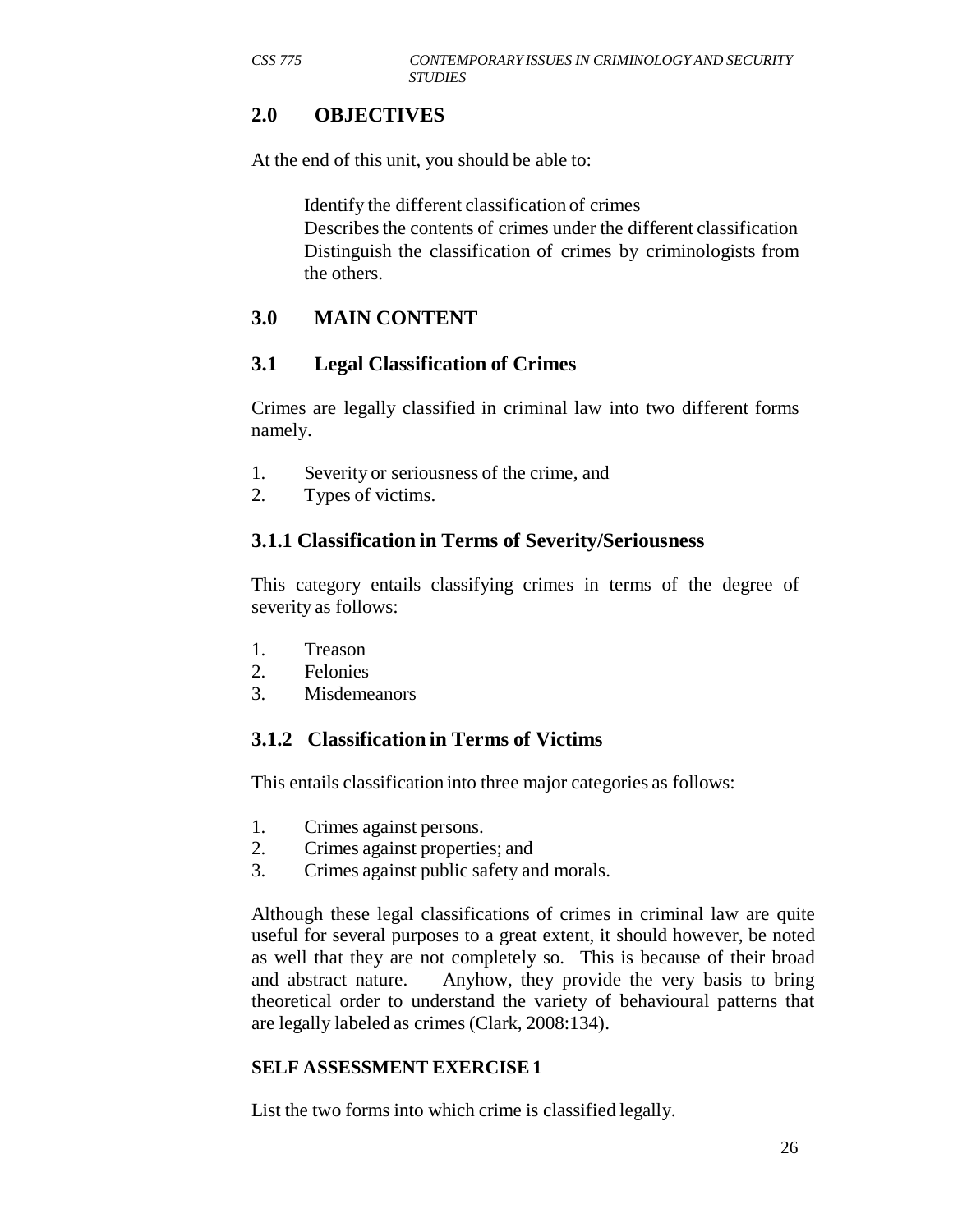# **2.0 OBJECTIVES**

At the end of this unit, you should be able to:

Identify the different classification of crimes Describes the contents of crimes under the different classification Distinguish the classification of crimes by criminologists from the others.

# **3.0 MAIN CONTENT**

#### **3.1 Legal Classification of Crimes**

Crimes are legally classified in criminal law into two different forms namely.

- 1. Severity or seriousness of the crime, and
- 2. Types of victims.

#### **3.1.1 Classification in Terms of Severity/Seriousness**

This category entails classifying crimes in terms of the degree of severity as follows:

- 1. Treason
- 2. Felonies
- 3. Misdemeanors

#### **3.1.2 Classification in Terms of Victims**

This entails classification into three major categories as follows:

- 1. Crimes against persons.
- 2. Crimes against properties; and
- 3. Crimes against public safety and morals.

Although these legal classifications of crimes in criminal law are quite useful for several purposes to a great extent, it should however, be noted as well that they are not completely so. This is because of their broad and abstract nature. Anyhow, they provide the very basis to bring theoretical order to understand the variety of behavioural patterns that are legally labeled as crimes (Clark, 2008:134).

#### **SELF ASSESSMENT EXERCISE 1**

List the two forms into which crime is classified legally.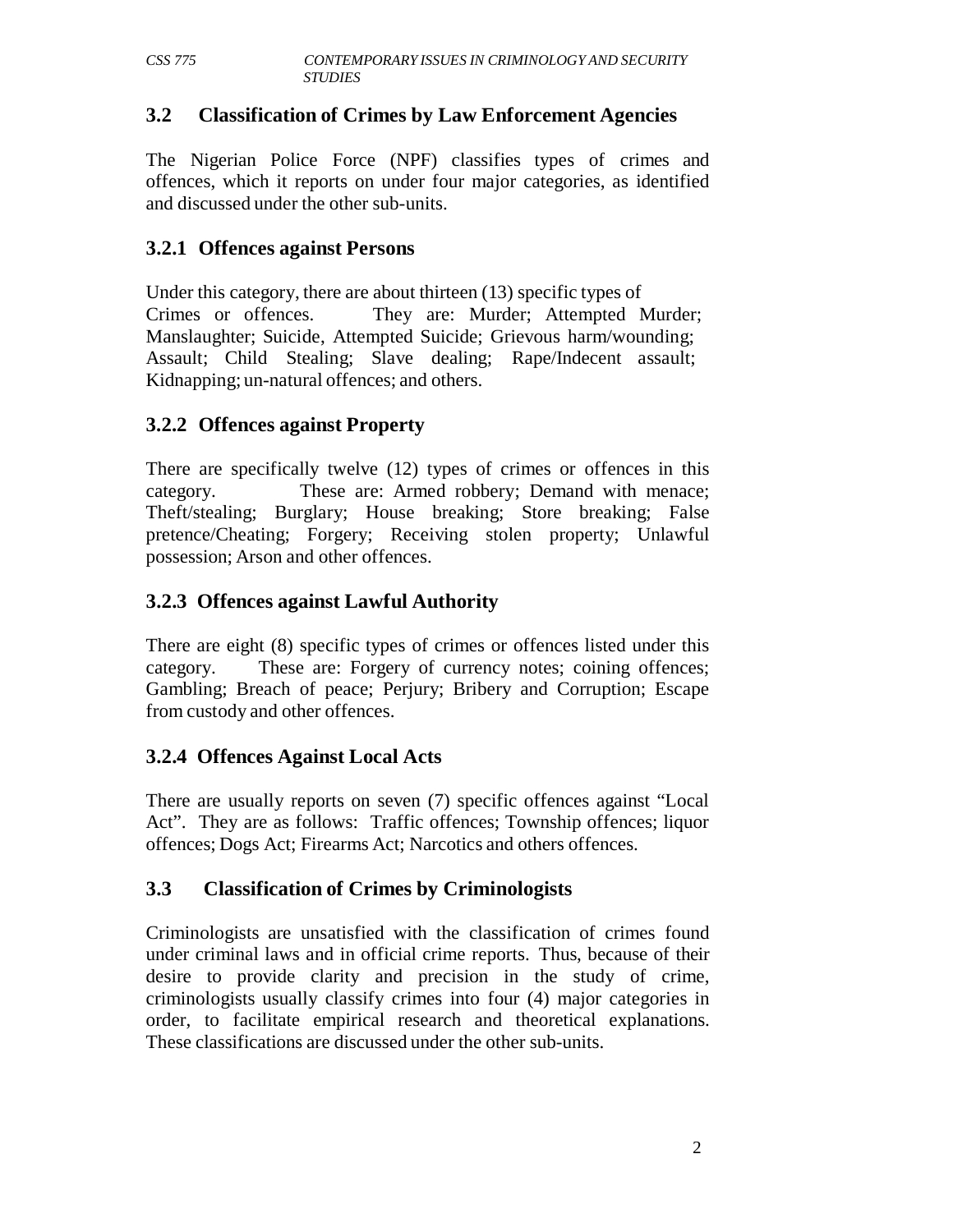# **3.2 Classification of Crimes by Law Enforcement Agencies**

The Nigerian Police Force (NPF) classifies types of crimes and offences, which it reports on under four major categories, as identified and discussed under the other sub-units.

# **3.2.1 Offences against Persons**

Under this category, there are about thirteen (13) specific types of Crimes or offences. They are: Murder; Attempted Murder; Manslaughter; Suicide, Attempted Suicide; Grievous harm/wounding; Assault; Child Stealing; Slave dealing; Rape/Indecent assault; Kidnapping; un-natural offences; and others.

# **3.2.2 Offences against Property**

There are specifically twelve (12) types of crimes or offences in this category. These are: Armed robbery; Demand with menace; Theft/stealing; Burglary; House breaking; Store breaking; False pretence/Cheating; Forgery; Receiving stolen property; Unlawful possession; Arson and other offences.

# **3.2.3 Offences against Lawful Authority**

There are eight (8) specific types of crimes or offences listed under this category. These are: Forgery of currency notes; coining offences; Gambling; Breach of peace; Perjury; Bribery and Corruption; Escape from custody and other offences.

# **3.2.4 Offences Against Local Acts**

There are usually reports on seven (7) specific offences against "Local Act". They are as follows: Traffic offences; Township offences; liquor offences; Dogs Act; Firearms Act; Narcotics and others offences.

# **3.3 Classification of Crimes by Criminologists**

Criminologists are unsatisfied with the classification of crimes found under criminal laws and in official crime reports. Thus, because of their desire to provide clarity and precision in the study of crime, criminologists usually classify crimes into four (4) major categories in order, to facilitate empirical research and theoretical explanations. These classifications are discussed under the other sub-units.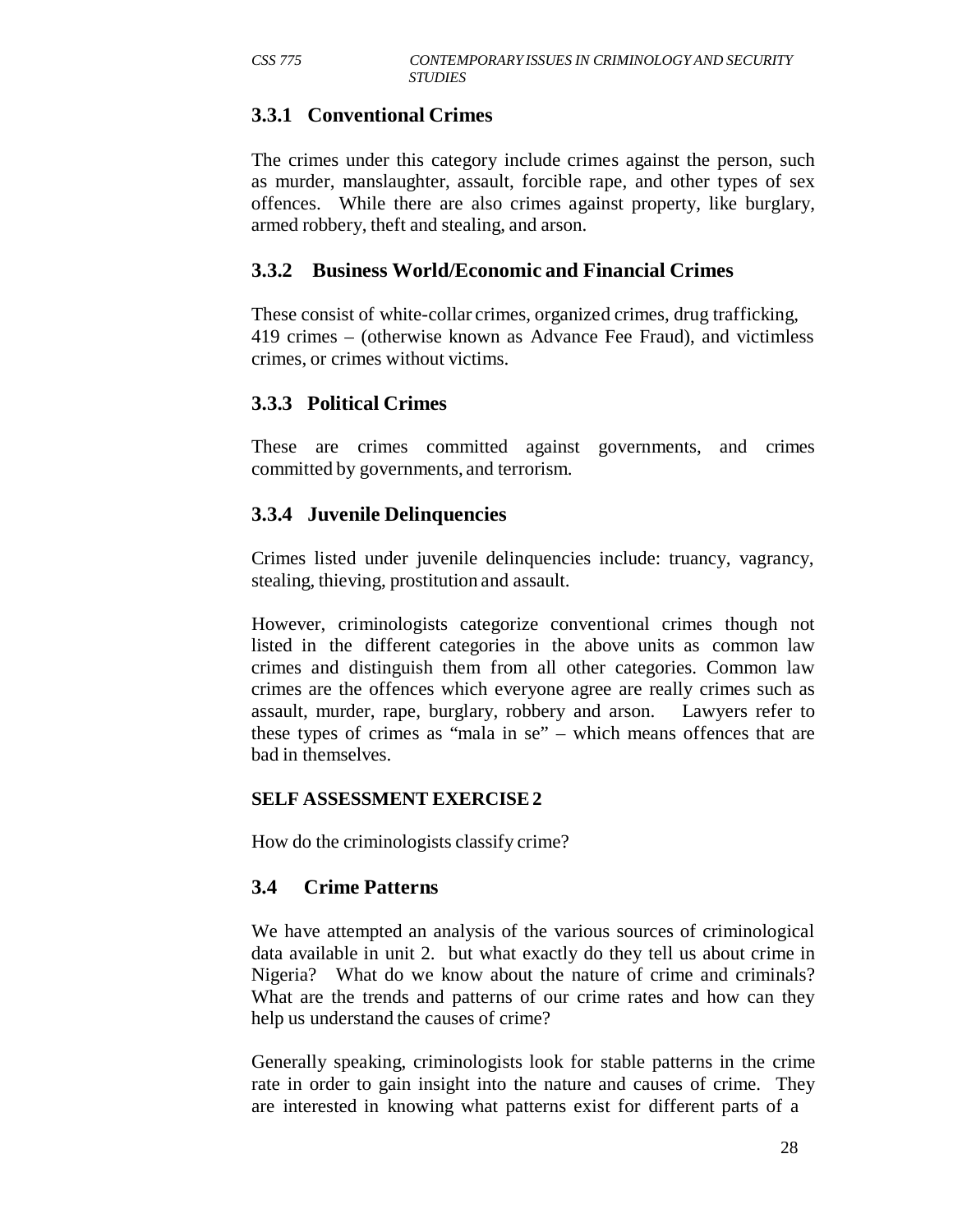# **3.3.1 Conventional Crimes**

The crimes under this category include crimes against the person, such as murder, manslaughter, assault, forcible rape, and other types of sex offences. While there are also crimes against property, like burglary, armed robbery, theft and stealing, and arson.

#### **3.3.2 Business World/Economic and Financial Crimes**

These consist of white-collar crimes, organized crimes, drug trafficking, 419 crimes – (otherwise known as Advance Fee Fraud), and victimless crimes, or crimes without victims.

# **3.3.3 Political Crimes**

These are crimes committed against governments, and crimes committed by governments, and terrorism.

# **3.3.4 Juvenile Delinquencies**

Crimes listed under juvenile delinquencies include: truancy, vagrancy, stealing, thieving, prostitution and assault.

However, criminologists categorize conventional crimes though not listed in the different categories in the above units as common law crimes and distinguish them from all other categories. Common law crimes are the offences which everyone agree are really crimes such as assault, murder, rape, burglary, robbery and arson. Lawyers refer to these types of crimes as "mala in se" – which means offences that are bad in themselves.

#### **SELF ASSESSMENT EXERCISE 2**

How do the criminologists classify crime?

#### **3.4 Crime Patterns**

We have attempted an analysis of the various sources of criminological data available in unit 2. but what exactly do they tell us about crime in Nigeria? What do we know about the nature of crime and criminals? What are the trends and patterns of our crime rates and how can they help us understand the causes of crime?

Generally speaking, criminologists look for stable patterns in the crime rate in order to gain insight into the nature and causes of crime. They are interested in knowing what patterns exist for different parts of a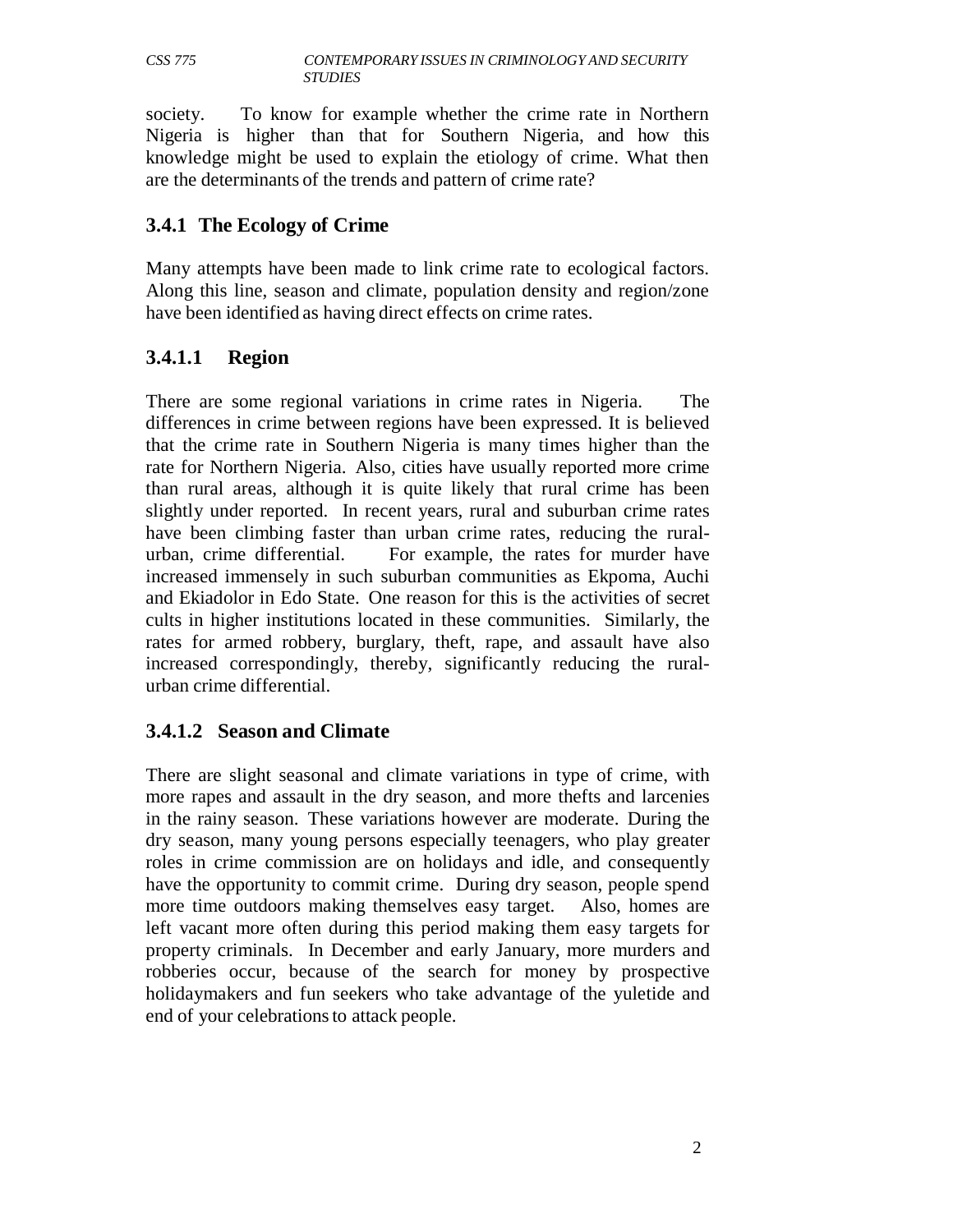society. To know for example whether the crime rate in Northern Nigeria is higher than that for Southern Nigeria, and how this knowledge might be used to explain the etiology of crime. What then are the determinants of the trends and pattern of crime rate?

#### **3.4.1 The Ecology of Crime**

Many attempts have been made to link crime rate to ecological factors. Along this line, season and climate, population density and region/zone have been identified as having direct effects on crime rates.

# **3.4.1.1 Region**

There are some regional variations in crime rates in Nigeria. The differences in crime between regions have been expressed. It is believed that the crime rate in Southern Nigeria is many times higher than the rate for Northern Nigeria. Also, cities have usually reported more crime than rural areas, although it is quite likely that rural crime has been slightly under reported. In recent years, rural and suburban crime rates have been climbing faster than urban crime rates, reducing the ruralurban, crime differential. For example, the rates for murder have increased immensely in such suburban communities as Ekpoma, Auchi and Ekiadolor in Edo State. One reason for this is the activities of secret cults in higher institutions located in these communities. Similarly, the rates for armed robbery, burglary, theft, rape, and assault have also increased correspondingly, thereby, significantly reducing the ruralurban crime differential.

# **3.4.1.2 Season and Climate**

There are slight seasonal and climate variations in type of crime, with more rapes and assault in the dry season, and more thefts and larcenies in the rainy season. These variations however are moderate. During the dry season, many young persons especially teenagers, who play greater roles in crime commission are on holidays and idle, and consequently have the opportunity to commit crime. During dry season, people spend more time outdoors making themselves easy target. Also, homes are left vacant more often during this period making them easy targets for property criminals. In December and early January, more murders and robberies occur, because of the search for money by prospective holidaymakers and fun seekers who take advantage of the yuletide and end of your celebrations to attack people.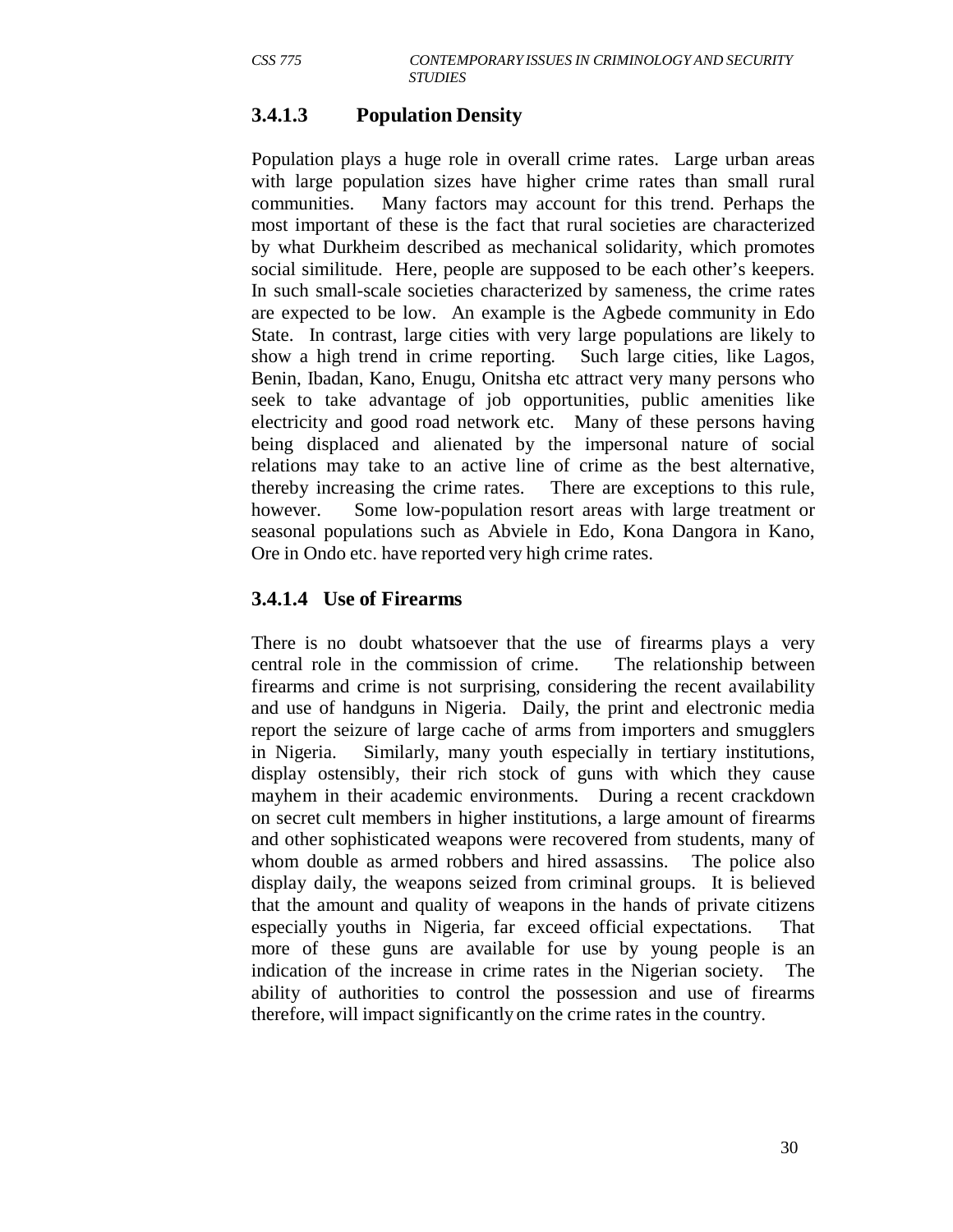# **3.4.1.3 Population Density**

Population plays a huge role in overall crime rates. Large urban areas with large population sizes have higher crime rates than small rural communities. Many factors may account for this trend. Perhaps the most important of these is the fact that rural societies are characterized by what Durkheim described as mechanical solidarity, which promotes social similitude. Here, people are supposed to be each other's keepers. In such small-scale societies characterized by sameness, the crime rates are expected to be low. An example is the Agbede community in Edo State. In contrast, large cities with very large populations are likely to show a high trend in crime reporting. Such large cities, like Lagos, Benin, Ibadan, Kano, Enugu, Onitsha etc attract very many persons who seek to take advantage of job opportunities, public amenities like electricity and good road network etc. Many of these persons having being displaced and alienated by the impersonal nature of social relations may take to an active line of crime as the best alternative, thereby increasing the crime rates. There are exceptions to this rule, however. Some low-population resort areas with large treatment or seasonal populations such as Abviele in Edo, Kona Dangora in Kano, Ore in Ondo etc. have reported very high crime rates.

#### **3.4.1.4 Use of Firearms**

There is no doubt whatsoever that the use of firearms plays a very central role in the commission of crime. The relationship between firearms and crime is not surprising, considering the recent availability and use of handguns in Nigeria. Daily, the print and electronic media report the seizure of large cache of arms from importers and smugglers in Nigeria. Similarly, many youth especially in tertiary institutions, display ostensibly, their rich stock of guns with which they cause mayhem in their academic environments. During a recent crackdown on secret cult members in higher institutions, a large amount of firearms and other sophisticated weapons were recovered from students, many of whom double as armed robbers and hired assassins. The police also display daily, the weapons seized from criminal groups. It is believed that the amount and quality of weapons in the hands of private citizens especially youths in Nigeria, far exceed official expectations. That more of these guns are available for use by young people is an indication of the increase in crime rates in the Nigerian society. The ability of authorities to control the possession and use of firearms therefore, will impact significantly on the crime rates in the country.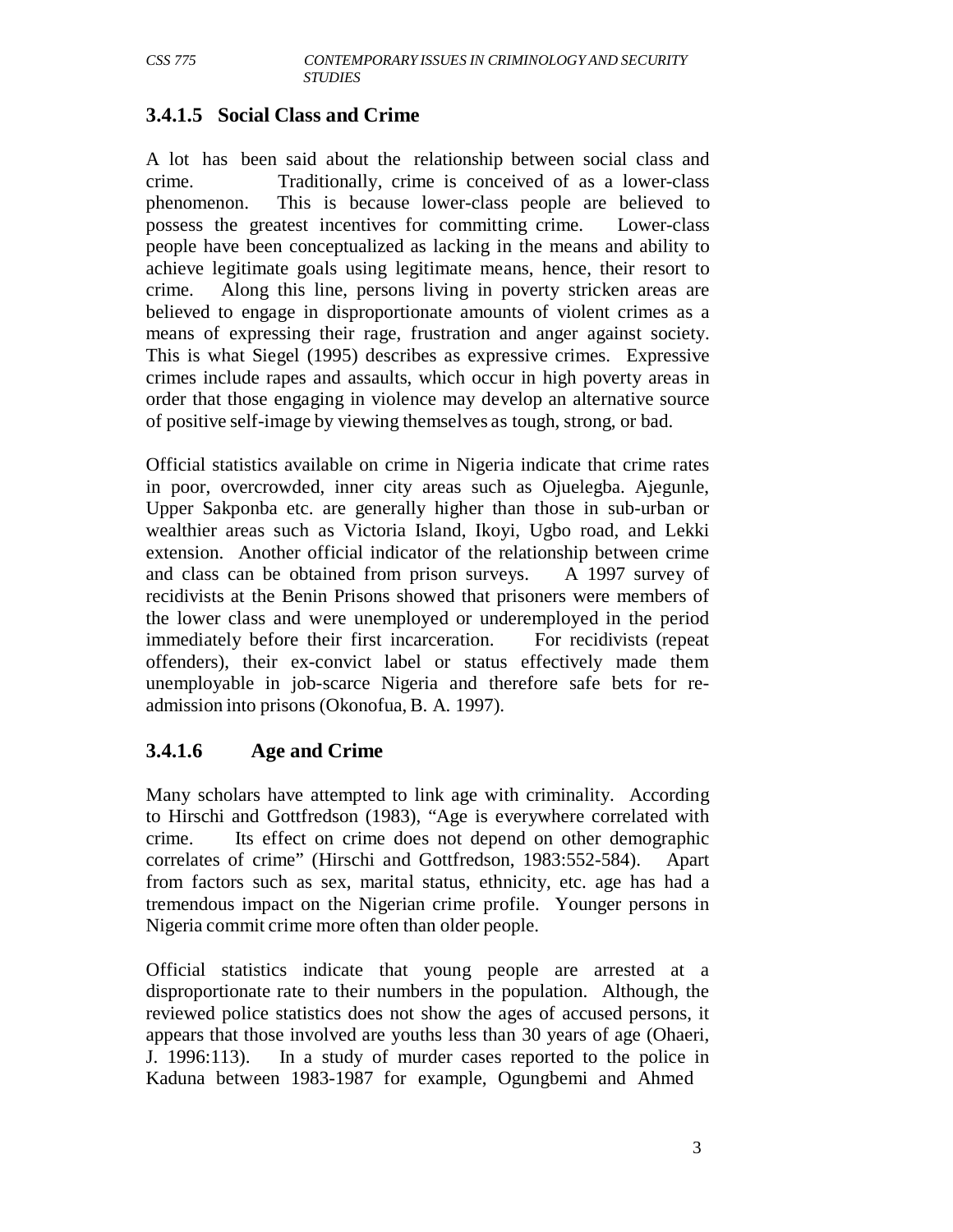# **3.4.1.5 Social Class and Crime**

A lot has been said about the relationship between social class and crime. Traditionally, crime is conceived of as a lower-class phenomenon. This is because lower-class people are believed to possess the greatest incentives for committing crime. Lower-class people have been conceptualized as lacking in the means and ability to achieve legitimate goals using legitimate means, hence, their resort to crime. Along this line, persons living in poverty stricken areas are believed to engage in disproportionate amounts of violent crimes as a means of expressing their rage, frustration and anger against society. This is what Siegel (1995) describes as expressive crimes. Expressive crimes include rapes and assaults, which occur in high poverty areas in order that those engaging in violence may develop an alternative source of positive self-image by viewing themselves as tough, strong, or bad.

Official statistics available on crime in Nigeria indicate that crime rates in poor, overcrowded, inner city areas such as Ojuelegba. Ajegunle, Upper Sakponba etc. are generally higher than those in sub-urban or wealthier areas such as Victoria Island, Ikoyi, Ugbo road, and Lekki extension. Another official indicator of the relationship between crime and class can be obtained from prison surveys. A 1997 survey of recidivists at the Benin Prisons showed that prisoners were members of the lower class and were unemployed or underemployed in the period immediately before their first incarceration. For recidivists (repeat offenders), their ex-convict label or status effectively made them unemployable in job-scarce Nigeria and therefore safe bets for readmission into prisons (Okonofua, B. A. 1997).

# **3.4.1.6 Age and Crime**

Many scholars have attempted to link age with criminality. According to Hirschi and Gottfredson (1983), "Age is everywhere correlated with crime. Its effect on crime does not depend on other demographic correlates of crime" (Hirschi and Gottfredson, 1983:552-584). Apart from factors such as sex, marital status, ethnicity, etc. age has had a tremendous impact on the Nigerian crime profile. Younger persons in Nigeria commit crime more often than older people.

Official statistics indicate that young people are arrested at a disproportionate rate to their numbers in the population. Although, the reviewed police statistics does not show the ages of accused persons, it appears that those involved are youths less than 30 years of age (Ohaeri, J. 1996:113). In a study of murder cases reported to the police in Kaduna between 1983-1987 for example, Ogungbemi and Ahmed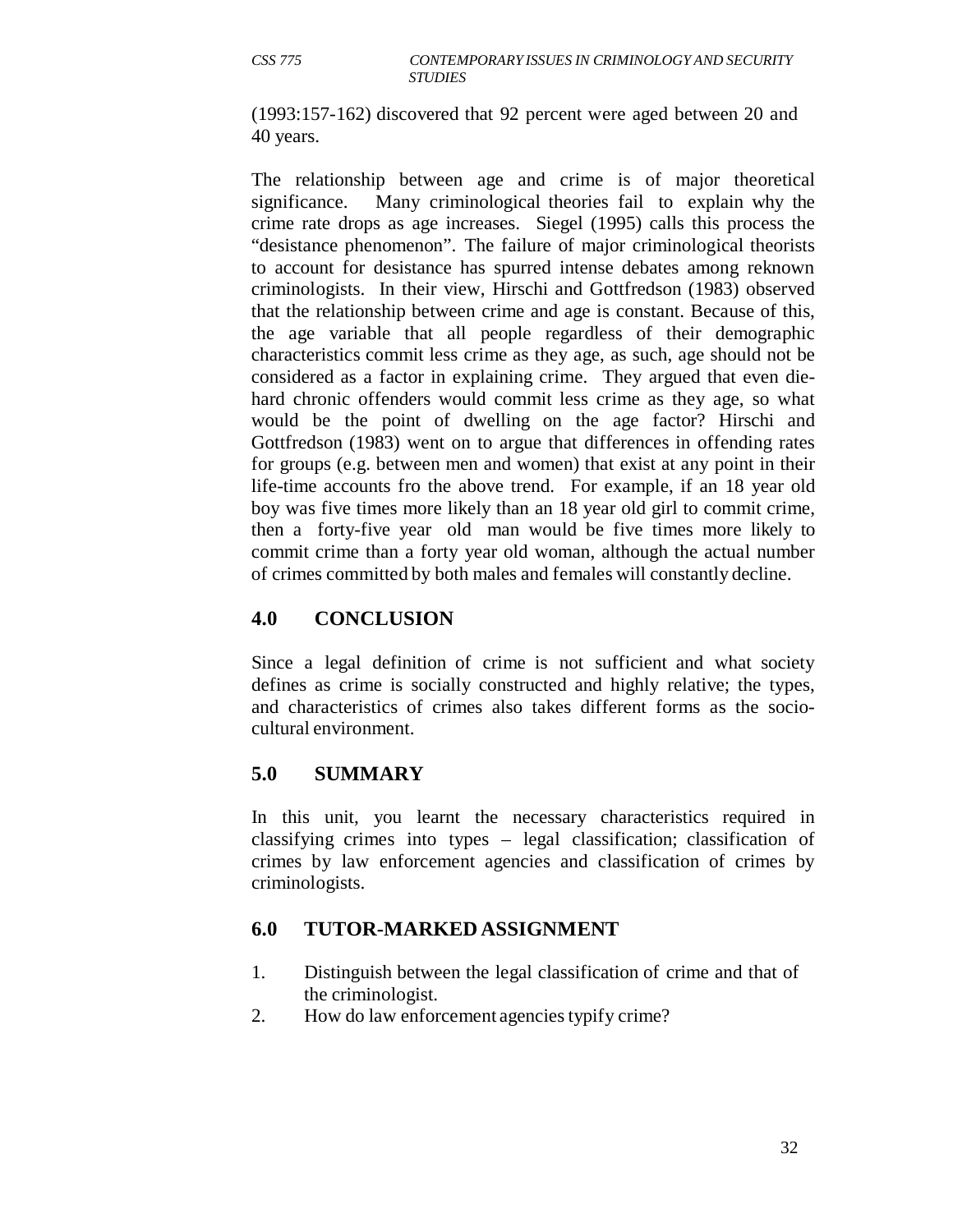(1993:157-162) discovered that 92 percent were aged between 20 and 40 years.

The relationship between age and crime is of major theoretical significance. Many criminological theories fail to explain why the crime rate drops as age increases. Siegel (1995) calls this process the "desistance phenomenon". The failure of major criminological theorists to account for desistance has spurred intense debates among reknown criminologists. In their view, Hirschi and Gottfredson (1983) observed that the relationship between crime and age is constant. Because of this, the age variable that all people regardless of their demographic characteristics commit less crime as they age, as such, age should not be considered as a factor in explaining crime. They argued that even diehard chronic offenders would commit less crime as they age, so what would be the point of dwelling on the age factor? Hirschi and Gottfredson (1983) went on to argue that differences in offending rates for groups (e.g. between men and women) that exist at any point in their life-time accounts fro the above trend. For example, if an 18 year old boy was five times more likely than an 18 year old girl to commit crime, then a forty-five year old man would be five times more likely to commit crime than a forty year old woman, although the actual number of crimes committed by both males and females will constantly decline.

# **4.0 CONCLUSION**

Since a legal definition of crime is not sufficient and what society defines as crime is socially constructed and highly relative; the types, and characteristics of crimes also takes different forms as the sociocultural environment.

# **5.0 SUMMARY**

In this unit, you learnt the necessary characteristics required in classifying crimes into types – legal classification; classification of crimes by law enforcement agencies and classification of crimes by criminologists.

# **6.0 TUTOR-MARKED ASSIGNMENT**

- 1. Distinguish between the legal classification of crime and that of the criminologist.
- 2. How do law enforcement agencies typify crime?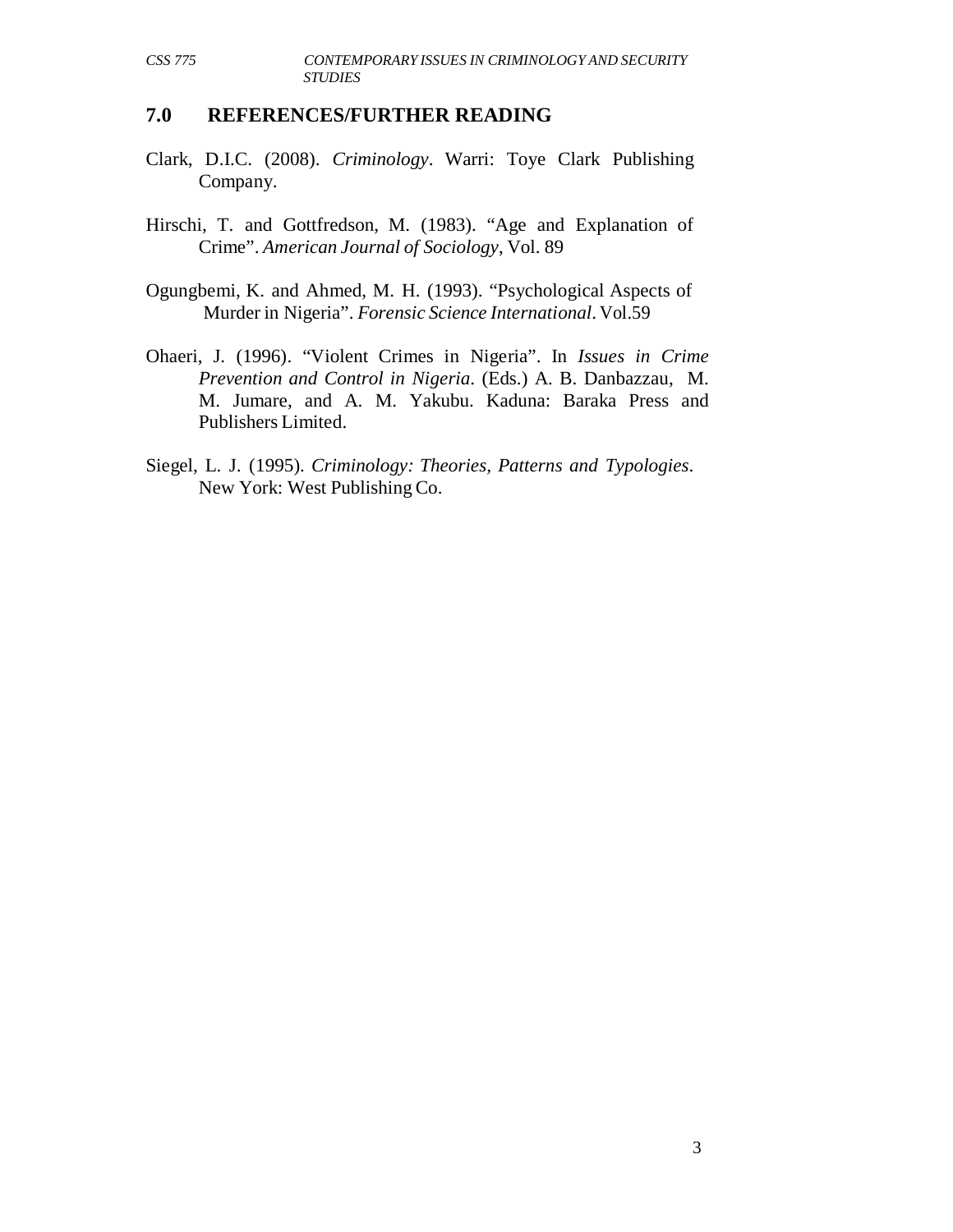#### **7.0 REFERENCES/FURTHER READING**

- Clark, D.I.C. (2008). *Criminology*. Warri: Toye Clark Publishing Company.
- Hirschi, T. and Gottfredson, M. (1983). "Age and Explanation of Crime". *American Journal of Sociology*, Vol. 89
- Ogungbemi, K. and Ahmed, M. H. (1993). "Psychological Aspects of Murder in Nigeria". *Forensic Science International*. Vol.59
- Ohaeri, J. (1996). "Violent Crimes in Nigeria". In *Issues in Crime Prevention and Control in Nigeria*. (Eds.) A. B. Danbazzau, M. M. Jumare, and A. M. Yakubu. Kaduna: Baraka Press and Publishers Limited.
- Siegel, L. J. (1995). *Criminology: Theories, Patterns and Typologies*. New York: West Publishing Co.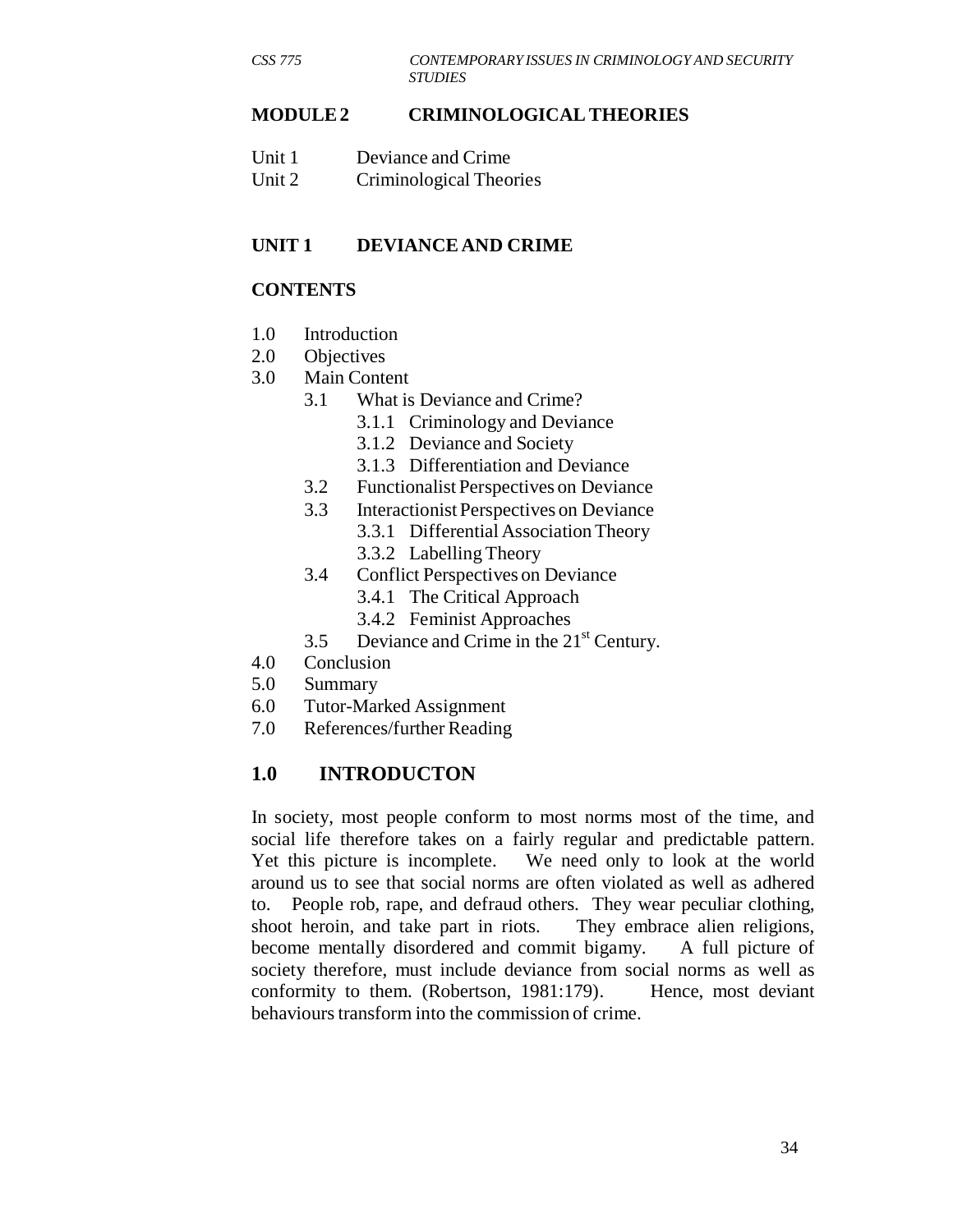#### **MODULE 2 CRIMINOLOGICAL THEORIES**

| Unit 1 | Deviance and Crime      |
|--------|-------------------------|
| Unit 2 | Criminological Theories |

#### **UNIT 1 DEVIANCE AND CRIME**

#### **CONTENTS**

- 1.0 Introduction
- 2.0 Objectives
- 3.0 Main Content
	- 3.1 What is Deviance and Crime?
		- 3.1.1 Criminology and Deviance
		- 3.1.2 Deviance and Society
		- 3.1.3 Differentiation and Deviance
	- 3.2 Functionalist Perspectives on Deviance
	- 3.3 Interactionist Perspectives on Deviance 3.3.1 Differential Association Theory
		- 3.3.2 Labelling Theory
	- 3.4 Conflict Perspectives on Deviance
		- 3.4.1 The Critical Approach
		- 3.4.2 Feminist Approaches
	- 3.5 Deviance and Crime in the  $21<sup>st</sup>$  Century.
- 4.0 Conclusion
- 5.0 Summary
- 6.0 Tutor-Marked Assignment
- 7.0 References/further Reading

#### **1.0 INTRODUCTON**

In society, most people conform to most norms most of the time, and social life therefore takes on a fairly regular and predictable pattern. Yet this picture is incomplete. We need only to look at the world around us to see that social norms are often violated as well as adhered to. People rob, rape, and defraud others. They wear peculiar clothing, shoot heroin, and take part in riots. They embrace alien religions, become mentally disordered and commit bigamy. A full picture of society therefore, must include deviance from social norms as well as conformity to them. (Robertson, 1981:179). Hence, most deviant behaviours transform into the commission of crime.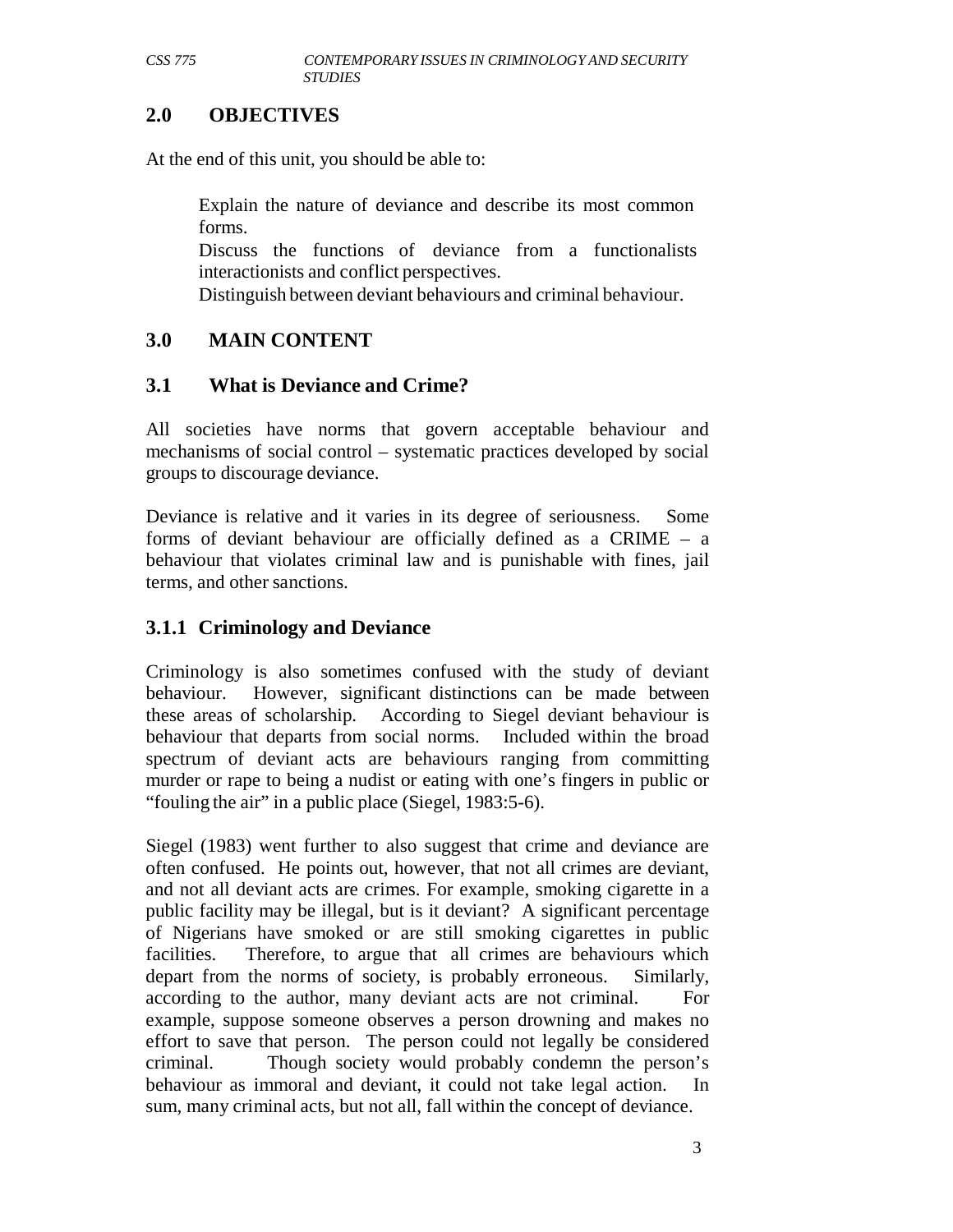#### **2.0 OBJECTIVES**

At the end of this unit, you should be able to:

Explain the nature of deviance and describe its most common forms.

Discuss the functions of deviance from a functionalists interactionists and conflict perspectives.

Distinguish between deviant behaviours and criminal behaviour.

#### **3.0 MAIN CONTENT**

#### **3.1 What is Deviance and Crime?**

All societies have norms that govern acceptable behaviour and mechanisms of social control – systematic practices developed by social groups to discourage deviance.

Deviance is relative and it varies in its degree of seriousness. Some forms of deviant behaviour are officially defined as a CRIME – a behaviour that violates criminal law and is punishable with fines, jail terms, and other sanctions.

#### **3.1.1 Criminology and Deviance**

Criminology is also sometimes confused with the study of deviant behaviour. However, significant distinctions can be made between these areas of scholarship. According to Siegel deviant behaviour is behaviour that departs from social norms. Included within the broad spectrum of deviant acts are behaviours ranging from committing murder or rape to being a nudist or eating with one's fingers in public or "fouling the air" in a public place (Siegel, 1983:5-6).

Siegel (1983) went further to also suggest that crime and deviance are often confused. He points out, however, that not all crimes are deviant, and not all deviant acts are crimes. For example, smoking cigarette in a public facility may be illegal, but is it deviant? A significant percentage of Nigerians have smoked or are still smoking cigarettes in public facilities. Therefore, to argue that all crimes are behaviours which depart from the norms of society, is probably erroneous. Similarly, according to the author, many deviant acts are not criminal. For example, suppose someone observes a person drowning and makes no effort to save that person. The person could not legally be considered criminal. Though society would probably condemn the person's behaviour as immoral and deviant, it could not take legal action. In sum, many criminal acts, but not all, fall within the concept of deviance.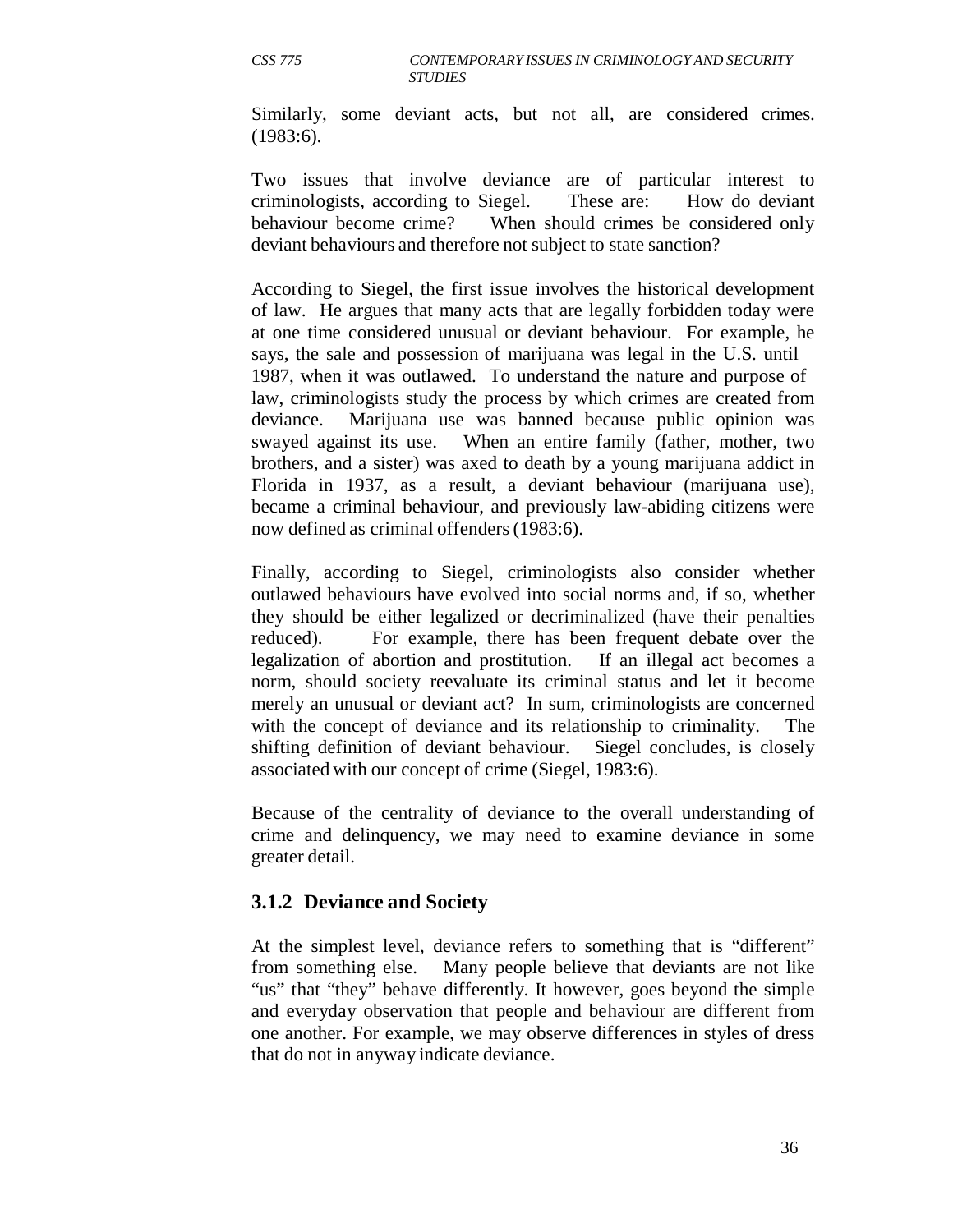Similarly, some deviant acts, but not all, are considered crimes. (1983:6).

Two issues that involve deviance are of particular interest to criminologists, according to Siegel. These are: How do deviant behaviour become crime? When should crimes be considered only deviant behaviours and therefore not subject to state sanction?

According to Siegel, the first issue involves the historical development of law. He argues that many acts that are legally forbidden today were at one time considered unusual or deviant behaviour. For example, he says, the sale and possession of marijuana was legal in the U.S. until 1987, when it was outlawed. To understand the nature and purpose of law, criminologists study the process by which crimes are created from deviance. Marijuana use was banned because public opinion was swayed against its use. When an entire family (father, mother, two brothers, and a sister) was axed to death by a young marijuana addict in Florida in 1937, as a result, a deviant behaviour (marijuana use), became a criminal behaviour, and previously law-abiding citizens were now defined as criminal offenders (1983:6).

Finally, according to Siegel, criminologists also consider whether outlawed behaviours have evolved into social norms and, if so, whether they should be either legalized or decriminalized (have their penalties reduced). For example, there has been frequent debate over the legalization of abortion and prostitution. If an illegal act becomes a norm, should society reevaluate its criminal status and let it become merely an unusual or deviant act? In sum, criminologists are concerned with the concept of deviance and its relationship to criminality. The shifting definition of deviant behaviour. Siegel concludes, is closely associated with our concept of crime (Siegel, 1983:6).

Because of the centrality of deviance to the overall understanding of crime and delinquency, we may need to examine deviance in some greater detail.

#### **3.1.2 Deviance and Society**

At the simplest level, deviance refers to something that is "different" from something else. Many people believe that deviants are not like "us" that "they" behave differently. It however, goes beyond the simple and everyday observation that people and behaviour are different from one another. For example, we may observe differences in styles of dress that do not in anyway indicate deviance.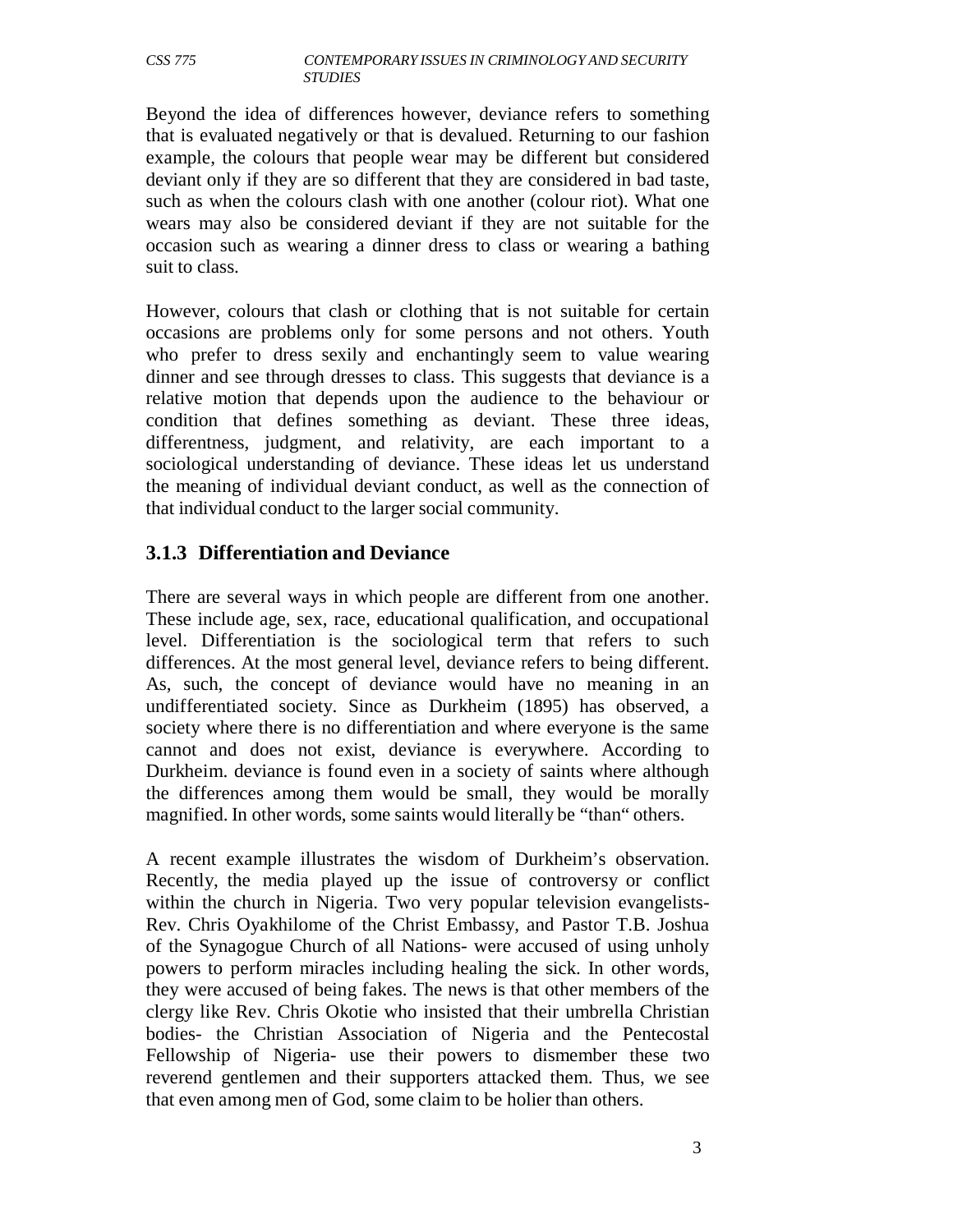Beyond the idea of differences however, deviance refers to something that is evaluated negatively or that is devalued. Returning to our fashion example, the colours that people wear may be different but considered deviant only if they are so different that they are considered in bad taste, such as when the colours clash with one another (colour riot). What one wears may also be considered deviant if they are not suitable for the occasion such as wearing a dinner dress to class or wearing a bathing suit to class.

However, colours that clash or clothing that is not suitable for certain occasions are problems only for some persons and not others. Youth who prefer to dress sexily and enchantingly seem to value wearing dinner and see through dresses to class. This suggests that deviance is a relative motion that depends upon the audience to the behaviour or condition that defines something as deviant. These three ideas, differentness, judgment, and relativity, are each important to a sociological understanding of deviance. These ideas let us understand the meaning of individual deviant conduct, as well as the connection of that individual conduct to the larger social community.

# **3.1.3 Differentiation and Deviance**

There are several ways in which people are different from one another. These include age, sex, race, educational qualification, and occupational level. Differentiation is the sociological term that refers to such differences. At the most general level, deviance refers to being different. As, such, the concept of deviance would have no meaning in an undifferentiated society. Since as Durkheim (1895) has observed, a society where there is no differentiation and where everyone is the same cannot and does not exist, deviance is everywhere. According to Durkheim. deviance is found even in a society of saints where although the differences among them would be small, they would be morally magnified. In other words, some saints would literally be "than" others.

A recent example illustrates the wisdom of Durkheim's observation. Recently, the media played up the issue of controversy or conflict within the church in Nigeria. Two very popular television evangelists-Rev. Chris Oyakhilome of the Christ Embassy, and Pastor T.B. Joshua of the Synagogue Church of all Nations- were accused of using unholy powers to perform miracles including healing the sick. In other words, they were accused of being fakes. The news is that other members of the clergy like Rev. Chris Okotie who insisted that their umbrella Christian bodies- the Christian Association of Nigeria and the Pentecostal Fellowship of Nigeria- use their powers to dismember these two reverend gentlemen and their supporters attacked them. Thus, we see that even among men of God, some claim to be holier than others.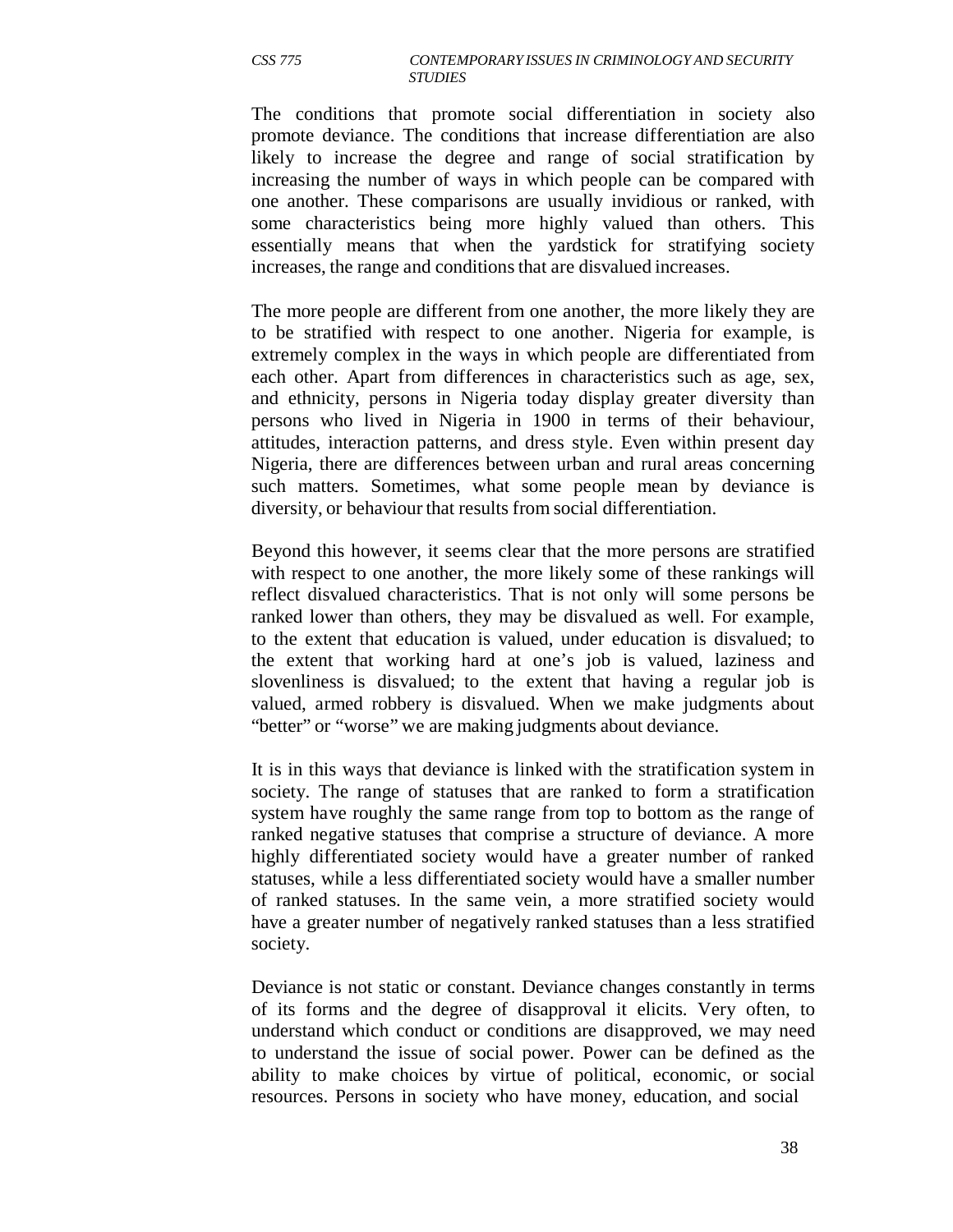The conditions that promote social differentiation in society also promote deviance. The conditions that increase differentiation are also likely to increase the degree and range of social stratification by increasing the number of ways in which people can be compared with one another. These comparisons are usually invidious or ranked, with some characteristics being more highly valued than others. This essentially means that when the yardstick for stratifying society increases, the range and conditions that are disvalued increases.

The more people are different from one another, the more likely they are to be stratified with respect to one another. Nigeria for example, is extremely complex in the ways in which people are differentiated from each other. Apart from differences in characteristics such as age, sex, and ethnicity, persons in Nigeria today display greater diversity than persons who lived in Nigeria in 1900 in terms of their behaviour, attitudes, interaction patterns, and dress style. Even within present day Nigeria, there are differences between urban and rural areas concerning such matters. Sometimes, what some people mean by deviance is diversity, or behaviour that results from social differentiation.

Beyond this however, it seems clear that the more persons are stratified with respect to one another, the more likely some of these rankings will reflect disvalued characteristics. That is not only will some persons be ranked lower than others, they may be disvalued as well. For example, to the extent that education is valued, under education is disvalued; to the extent that working hard at one's job is valued, laziness and slovenliness is disvalued; to the extent that having a regular job is valued, armed robbery is disvalued. When we make judgments about "better" or "worse" we are making judgments about deviance.

It is in this ways that deviance is linked with the stratification system in society. The range of statuses that are ranked to form a stratification system have roughly the same range from top to bottom as the range of ranked negative statuses that comprise a structure of deviance. A more highly differentiated society would have a greater number of ranked statuses, while a less differentiated society would have a smaller number of ranked statuses. In the same vein, a more stratified society would have a greater number of negatively ranked statuses than a less stratified society.

Deviance is not static or constant. Deviance changes constantly in terms of its forms and the degree of disapproval it elicits. Very often, to understand which conduct or conditions are disapproved, we may need to understand the issue of social power. Power can be defined as the ability to make choices by virtue of political, economic, or social resources. Persons in society who have money, education, and social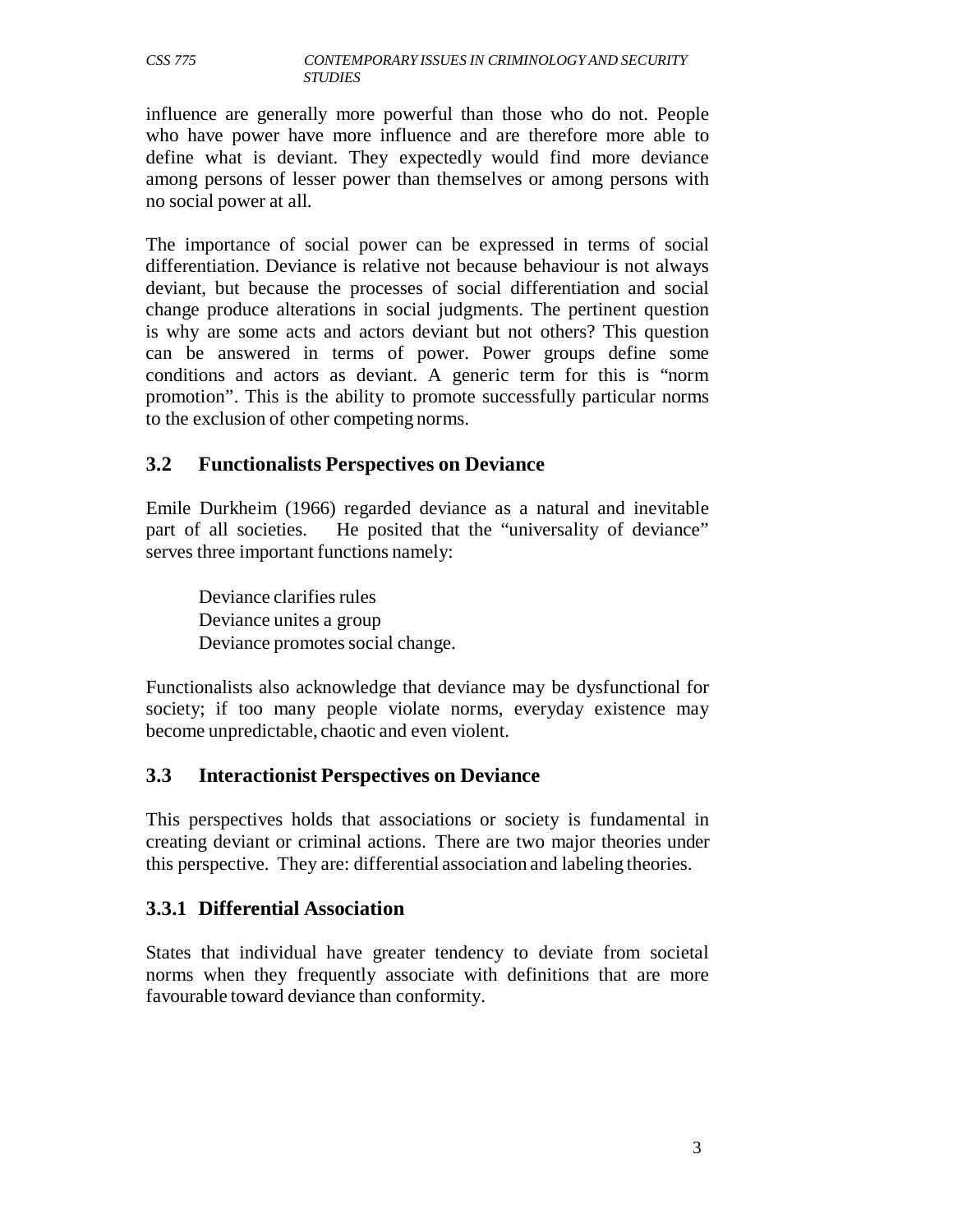influence are generally more powerful than those who do not. People who have power have more influence and are therefore more able to define what is deviant. They expectedly would find more deviance among persons of lesser power than themselves or among persons with no social power at all.

The importance of social power can be expressed in terms of social differentiation. Deviance is relative not because behaviour is not always deviant, but because the processes of social differentiation and social change produce alterations in social judgments. The pertinent question is why are some acts and actors deviant but not others? This question can be answered in terms of power. Power groups define some conditions and actors as deviant. A generic term for this is "norm promotion". This is the ability to promote successfully particular norms to the exclusion of other competing norms.

#### **3.2 Functionalists Perspectives on Deviance**

Emile Durkheim (1966) regarded deviance as a natural and inevitable part of all societies. He posited that the "universality of deviance" serves three important functions namely:

Deviance clarifies rules Deviance unites a group Deviance promotes social change.

Functionalists also acknowledge that deviance may be dysfunctional for society; if too many people violate norms, everyday existence may become unpredictable, chaotic and even violent.

# **3.3 Interactionist Perspectives on Deviance**

This perspectives holds that associations or society is fundamental in creating deviant or criminal actions. There are two major theories under this perspective. They are: differential association and labeling theories.

# **3.3.1 Differential Association**

States that individual have greater tendency to deviate from societal norms when they frequently associate with definitions that are more favourable toward deviance than conformity.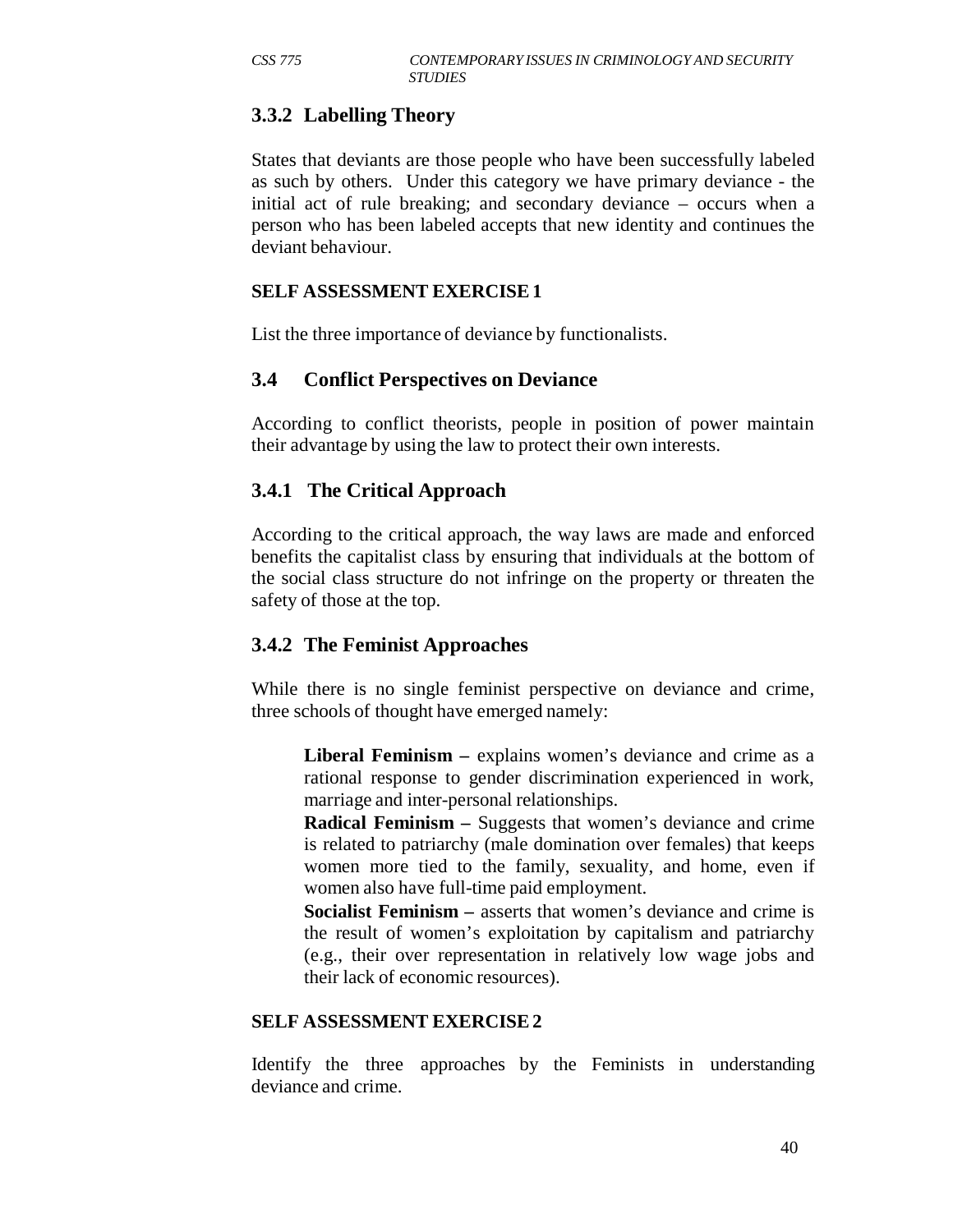# **3.3.2 Labelling Theory**

States that deviants are those people who have been successfully labeled as such by others. Under this category we have primary deviance - the initial act of rule breaking; and secondary deviance – occurs when a person who has been labeled accepts that new identity and continues the deviant behaviour.

#### **SELF ASSESSMENT EXERCISE 1**

List the three importance of deviance by functionalists.

#### **3.4 Conflict Perspectives on Deviance**

According to conflict theorists, people in position of power maintain their advantage by using the law to protect their own interests.

# **3.4.1 The Critical Approach**

According to the critical approach, the way laws are made and enforced benefits the capitalist class by ensuring that individuals at the bottom of the social class structure do not infringe on the property or threaten the safety of those at the top.

#### **3.4.2 The Feminist Approaches**

While there is no single feminist perspective on deviance and crime, three schools of thought have emerged namely:

**Liberal Feminism –** explains women's deviance and crime as a rational response to gender discrimination experienced in work, marriage and inter-personal relationships.

**Radical Feminism –** Suggests that women's deviance and crime is related to patriarchy (male domination over females) that keeps women more tied to the family, sexuality, and home, even if women also have full-time paid employment.

**Socialist Feminism –** asserts that women's deviance and crime is the result of women's exploitation by capitalism and patriarchy (e.g., their over representation in relatively low wage jobs and their lack of economic resources).

#### **SELF ASSESSMENT EXERCISE 2**

Identify the three approaches by the Feminists in understanding deviance and crime.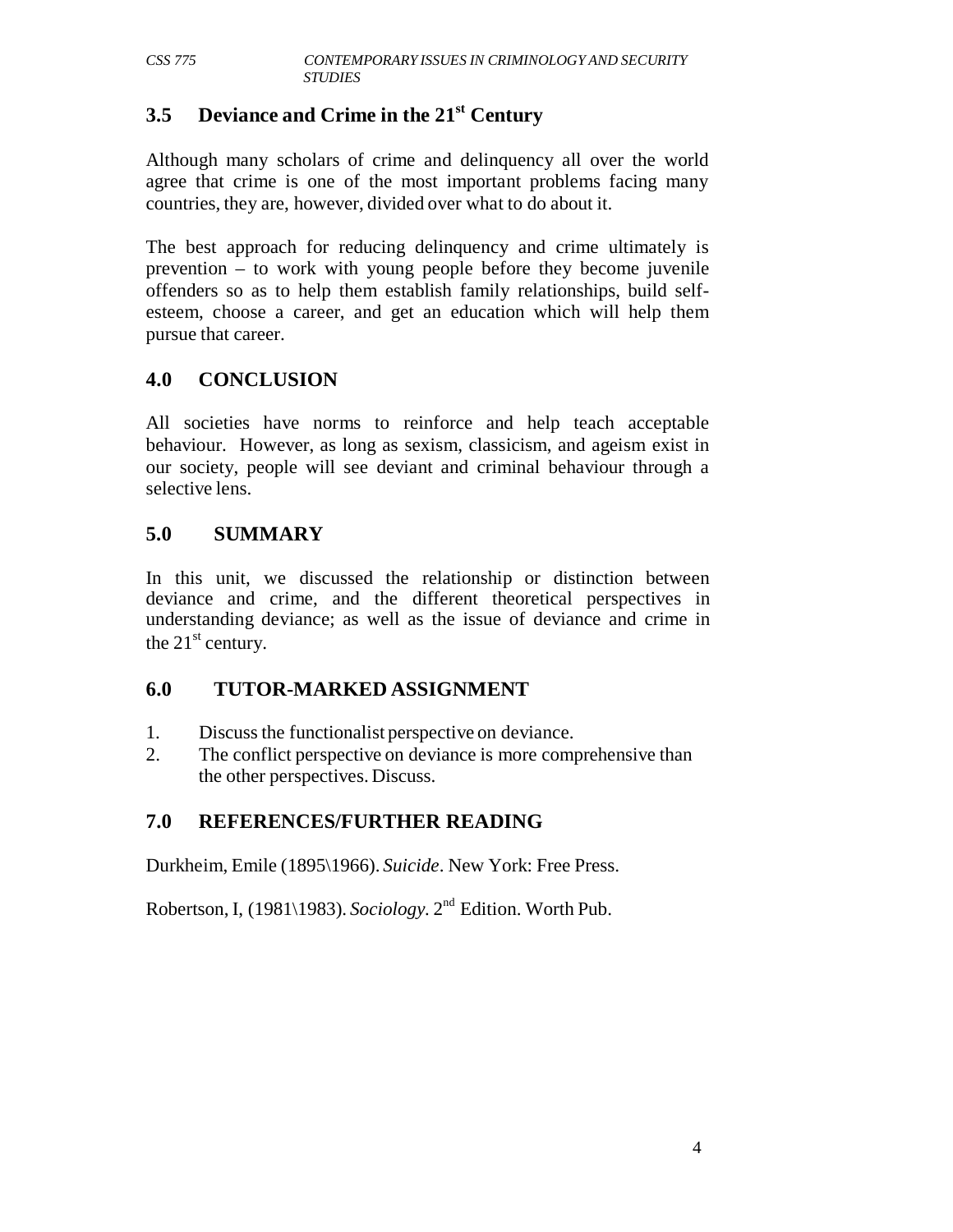# **3.5 Deviance and Crime in the 21st Century**

Although many scholars of crime and delinquency all over the world agree that crime is one of the most important problems facing many countries, they are, however, divided over what to do about it.

The best approach for reducing delinquency and crime ultimately is prevention – to work with young people before they become juvenile offenders so as to help them establish family relationships, build selfesteem, choose a career, and get an education which will help them pursue that career.

# **4.0 CONCLUSION**

All societies have norms to reinforce and help teach acceptable behaviour. However, as long as sexism, classicism, and ageism exist in our society, people will see deviant and criminal behaviour through a selective lens.

# **5.0 SUMMARY**

In this unit, we discussed the relationship or distinction between deviance and crime, and the different theoretical perspectives in understanding deviance; as well as the issue of deviance and crime in the  $21<sup>st</sup>$  century.

# **6.0 TUTOR-MARKED ASSIGNMENT**

- 1. Discuss the functionalist perspective on deviance.
- 2. The conflict perspective on deviance is more comprehensive than the other perspectives. Discuss.

# **7.0 REFERENCES/FURTHER READING**

Durkheim, Emile (1895\1966). *Suicide*. New York: Free Press.

Robertson, I, (1981\1983). *Sociology.* 2nd Edition. Worth Pub.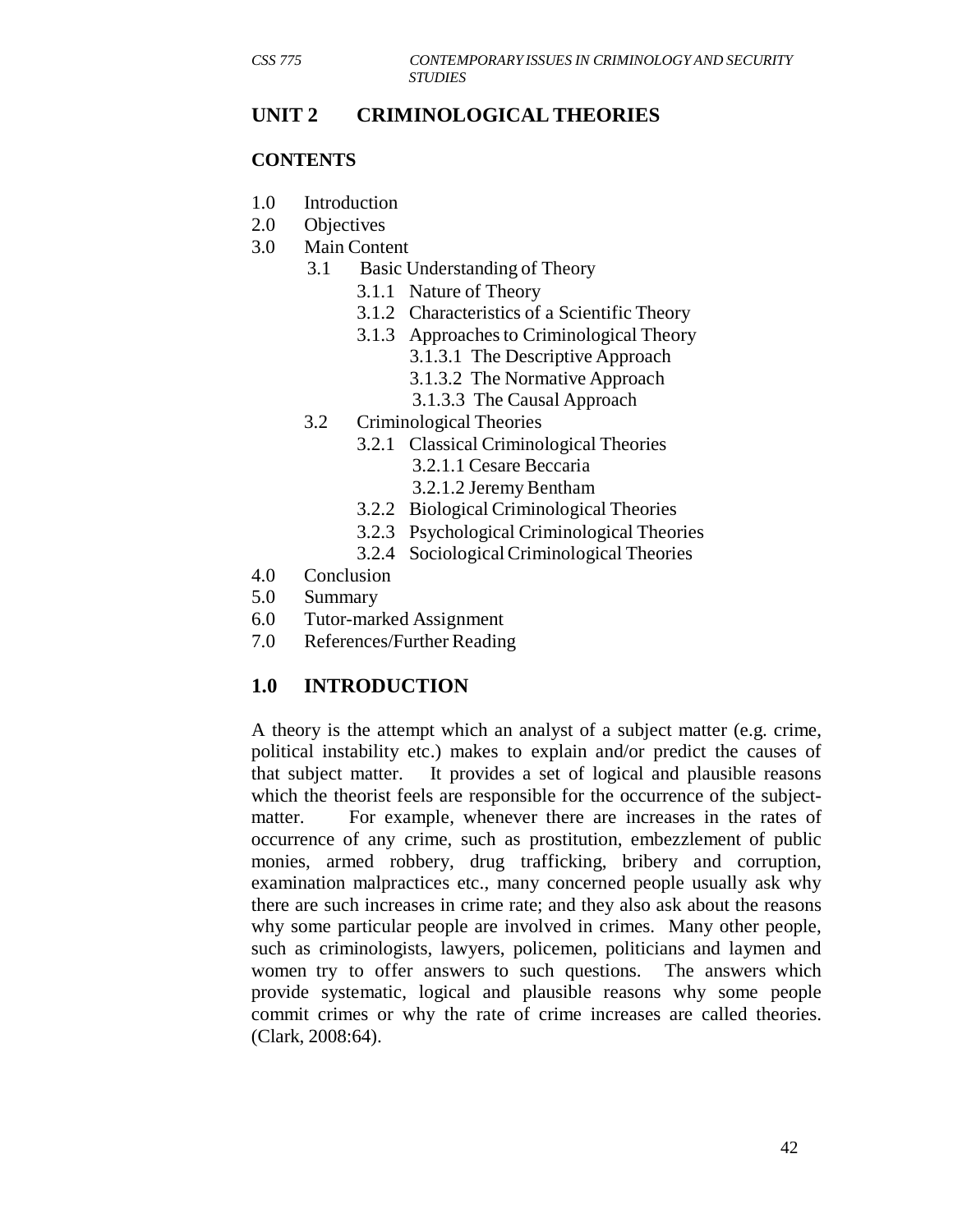#### **UNIT 2 CRIMINOLOGICAL THEORIES**

#### **CONTENTS**

- 1.0 Introduction
- 2.0 Objectives
- 3.0 Main Content
	- 3.1 Basic Understanding of Theory
		- 3.1.1 Nature of Theory
		- 3.1.2 Characteristics of a Scientific Theory
		- 3.1.3 Approaches to Criminological Theory
			- 3.1.3.1 The Descriptive Approach
			- 3.1.3.2 The Normative Approach
			- 3.1.3.3 The Causal Approach
	- 3.2 Criminological Theories
		- 3.2.1 Classical Criminological Theories
			- 3.2.1.1 Cesare Beccaria
			- 3.2.1.2 Jeremy Bentham
		- 3.2.2 Biological Criminological Theories
		- 3.2.3 Psychological Criminological Theories
		- 3.2.4 Sociological Criminological Theories
- 4.0 Conclusion
- 5.0 Summary
- 6.0 Tutor-marked Assignment
- 7.0 References/Further Reading

# **1.0 INTRODUCTION**

A theory is the attempt which an analyst of a subject matter (e.g. crime, political instability etc.) makes to explain and/or predict the causes of that subject matter. It provides a set of logical and plausible reasons which the theorist feels are responsible for the occurrence of the subjectmatter. For example, whenever there are increases in the rates of occurrence of any crime, such as prostitution, embezzlement of public monies, armed robbery, drug trafficking, bribery and corruption, examination malpractices etc., many concerned people usually ask why there are such increases in crime rate; and they also ask about the reasons why some particular people are involved in crimes. Many other people, such as criminologists, lawyers, policemen, politicians and laymen and women try to offer answers to such questions. The answers which provide systematic, logical and plausible reasons why some people commit crimes or why the rate of crime increases are called theories. (Clark, 2008:64).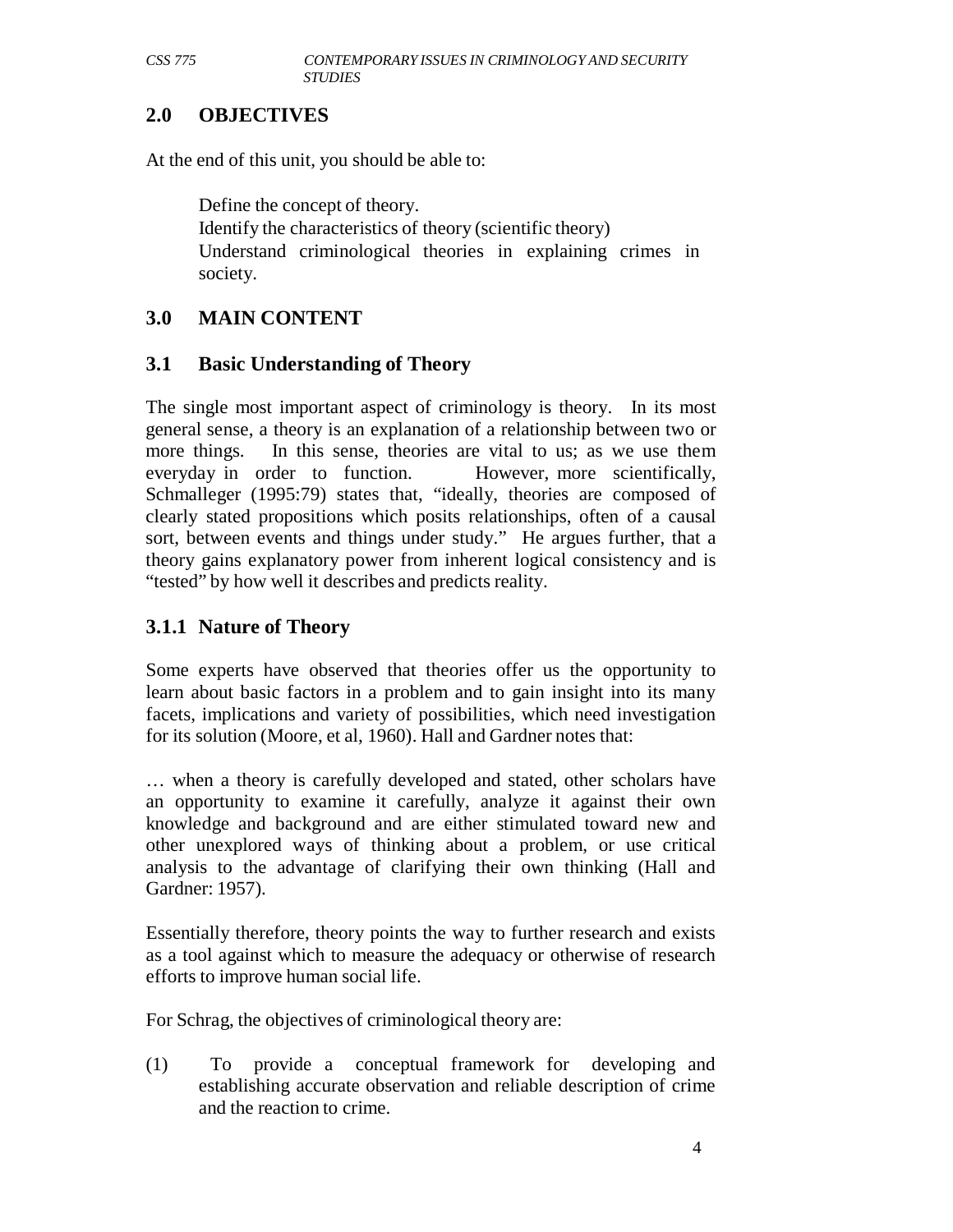# **2.0 OBJECTIVES**

At the end of this unit, you should be able to:

Define the concept of theory. Identify the characteristics of theory (scientific theory) Understand criminological theories in explaining crimes in society.

# **3.0 MAIN CONTENT**

# **3.1 Basic Understanding of Theory**

The single most important aspect of criminology is theory. In its most general sense, a theory is an explanation of a relationship between two or more things. In this sense, theories are vital to us; as we use them everyday in order to function. However, more scientifically, Schmalleger (1995:79) states that, "ideally, theories are composed of clearly stated propositions which posits relationships, often of a causal sort, between events and things under study." He argues further, that a theory gains explanatory power from inherent logical consistency and is "tested" by how well it describes and predicts reality.

# **3.1.1 Nature of Theory**

Some experts have observed that theories offer us the opportunity to learn about basic factors in a problem and to gain insight into its many facets, implications and variety of possibilities, which need investigation for its solution (Moore, et al, 1960). Hall and Gardner notes that:

… when a theory is carefully developed and stated, other scholars have an opportunity to examine it carefully, analyze it against their own knowledge and background and are either stimulated toward new and other unexplored ways of thinking about a problem, or use critical analysis to the advantage of clarifying their own thinking (Hall and Gardner: 1957).

Essentially therefore, theory points the way to further research and exists as a tool against which to measure the adequacy or otherwise of research efforts to improve human social life.

For Schrag, the objectives of criminological theory are:

(1) To provide a conceptual framework for developing and establishing accurate observation and reliable description of crime and the reaction to crime.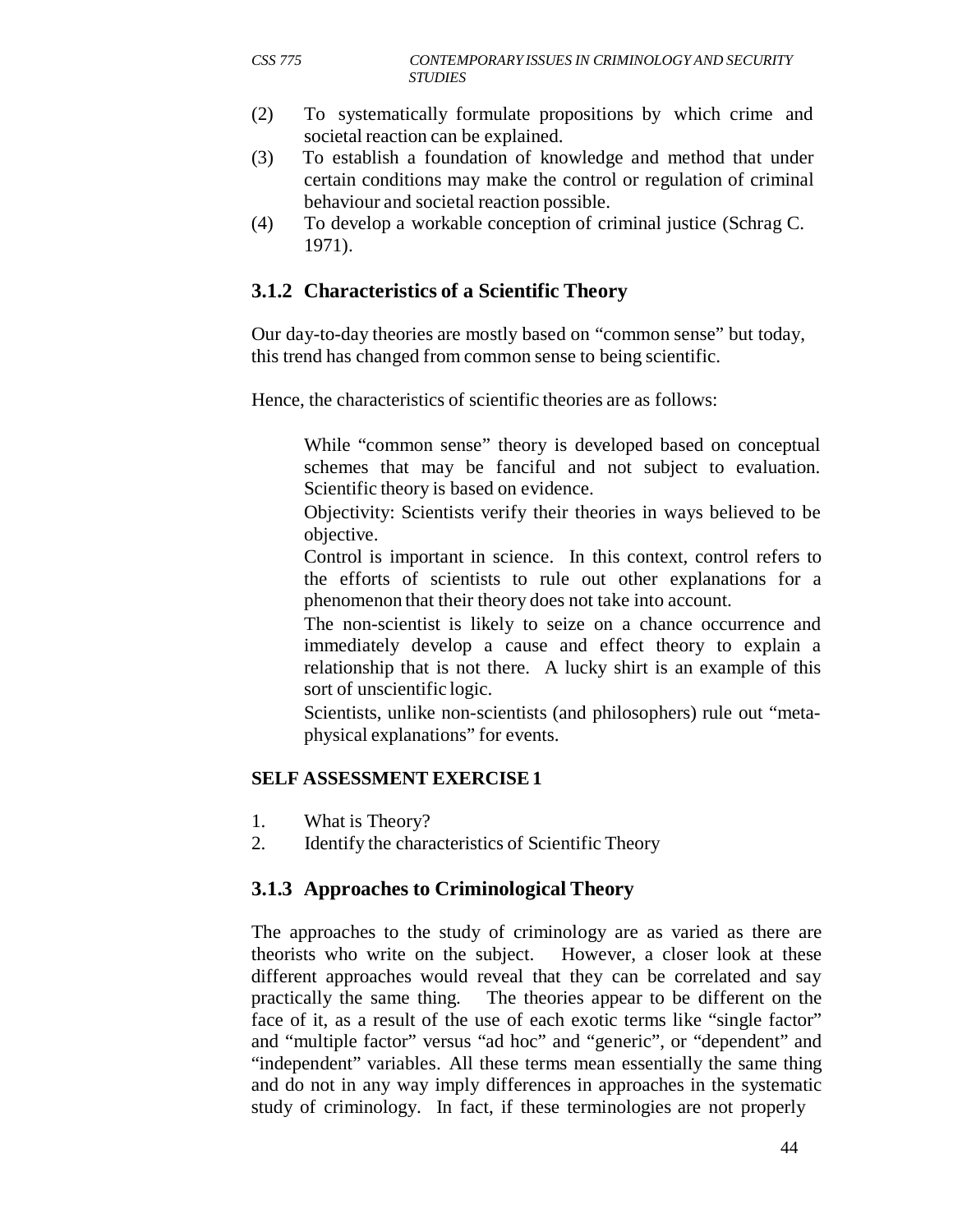- (2) To systematically formulate propositions by which crime and societal reaction can be explained.
- (3) To establish a foundation of knowledge and method that under certain conditions may make the control or regulation of criminal behaviour and societal reaction possible.
- (4) To develop a workable conception of criminal justice (Schrag C. 1971).

# **3.1.2 Characteristics of a Scientific Theory**

Our day-to-day theories are mostly based on "common sense" but today, this trend has changed from common sense to being scientific.

Hence, the characteristics of scientific theories are as follows:

While "common sense" theory is developed based on conceptual schemes that may be fanciful and not subject to evaluation. Scientific theory is based on evidence.

Objectivity: Scientists verify their theories in ways believed to be objective.

Control is important in science. In this context, control refers to the efforts of scientists to rule out other explanations for a phenomenon that their theory does not take into account.

The non-scientist is likely to seize on a chance occurrence and immediately develop a cause and effect theory to explain a relationship that is not there. A lucky shirt is an example of this sort of unscientific logic.

Scientists, unlike non-scientists (and philosophers) rule out "metaphysical explanations" for events.

#### **SELF ASSESSMENT EXERCISE 1**

- 1. What is Theory?
- 2. Identify the characteristics of Scientific Theory

#### **3.1.3 Approaches to Criminological Theory**

The approaches to the study of criminology are as varied as there are theorists who write on the subject. However, a closer look at these different approaches would reveal that they can be correlated and say practically the same thing. The theories appear to be different on the face of it, as a result of the use of each exotic terms like "single factor" and "multiple factor" versus "ad hoc" and "generic", or "dependent" and "independent" variables. All these terms mean essentially the same thing and do not in any way imply differences in approaches in the systematic study of criminology. In fact, if these terminologies are not properly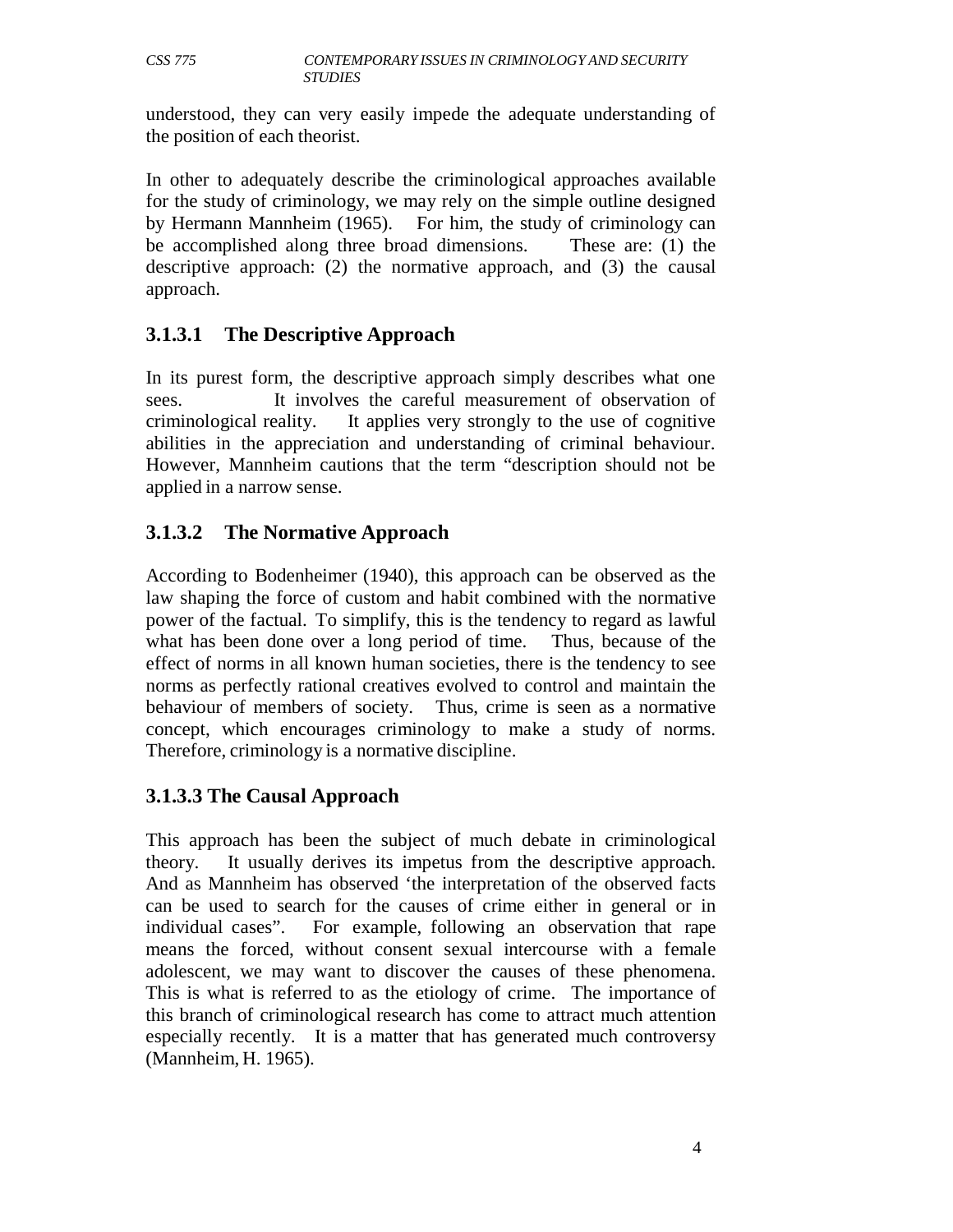understood, they can very easily impede the adequate understanding of the position of each theorist.

In other to adequately describe the criminological approaches available for the study of criminology, we may rely on the simple outline designed by Hermann Mannheim (1965). For him, the study of criminology can be accomplished along three broad dimensions. These are: (1) the descriptive approach: (2) the normative approach, and (3) the causal approach.

# **3.1.3.1 The Descriptive Approach**

In its purest form, the descriptive approach simply describes what one sees. It involves the careful measurement of observation of criminological reality. It applies very strongly to the use of cognitive abilities in the appreciation and understanding of criminal behaviour. However, Mannheim cautions that the term "description should not be applied in a narrow sense.

# **3.1.3.2 The Normative Approach**

According to Bodenheimer (1940), this approach can be observed as the law shaping the force of custom and habit combined with the normative power of the factual. To simplify, this is the tendency to regard as lawful what has been done over a long period of time. Thus, because of the effect of norms in all known human societies, there is the tendency to see norms as perfectly rational creatives evolved to control and maintain the behaviour of members of society. Thus, crime is seen as a normative concept, which encourages criminology to make a study of norms. Therefore, criminology is a normative discipline.

#### **3.1.3.3 The Causal Approach**

This approach has been the subject of much debate in criminological theory. It usually derives its impetus from the descriptive approach. And as Mannheim has observed 'the interpretation of the observed facts can be used to search for the causes of crime either in general or in individual cases". For example, following an observation that rape means the forced, without consent sexual intercourse with a female adolescent, we may want to discover the causes of these phenomena. This is what is referred to as the etiology of crime. The importance of this branch of criminological research has come to attract much attention especially recently. It is a matter that has generated much controversy (Mannheim, H. 1965).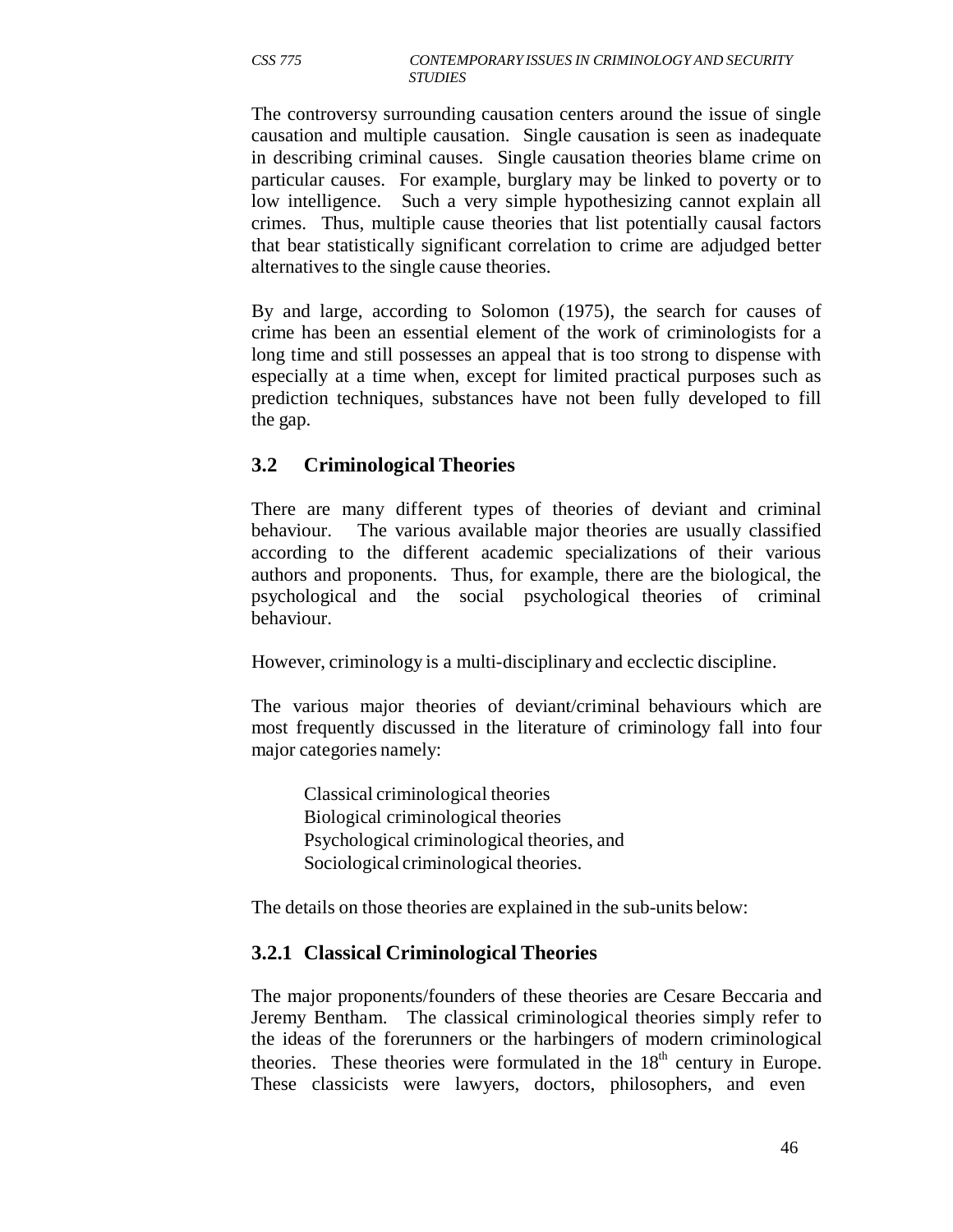The controversy surrounding causation centers around the issue of single causation and multiple causation. Single causation is seen as inadequate in describing criminal causes. Single causation theories blame crime on particular causes. For example, burglary may be linked to poverty or to low intelligence. Such a very simple hypothesizing cannot explain all crimes. Thus, multiple cause theories that list potentially causal factors that bear statistically significant correlation to crime are adjudged better alternatives to the single cause theories.

By and large, according to Solomon (1975), the search for causes of crime has been an essential element of the work of criminologists for a long time and still possesses an appeal that is too strong to dispense with especially at a time when, except for limited practical purposes such as prediction techniques, substances have not been fully developed to fill the gap.

#### **3.2 Criminological Theories**

There are many different types of theories of deviant and criminal behaviour. The various available major theories are usually classified according to the different academic specializations of their various authors and proponents. Thus, for example, there are the biological, the psychological and the social psychological theories of criminal behaviour.

However, criminology is a multi-disciplinary and ecclectic discipline.

The various major theories of deviant/criminal behaviours which are most frequently discussed in the literature of criminology fall into four major categories namely:

Classical criminological theories Biological criminological theories Psychological criminological theories, and Sociological criminological theories.

The details on those theories are explained in the sub-units below:

#### **3.2.1 Classical Criminological Theories**

The major proponents/founders of these theories are Cesare Beccaria and Jeremy Bentham. The classical criminological theories simply refer to the ideas of the forerunners or the harbingers of modern criminological theories. These theories were formulated in the  $18<sup>th</sup>$  century in Europe. These classicists were lawyers, doctors, philosophers, and even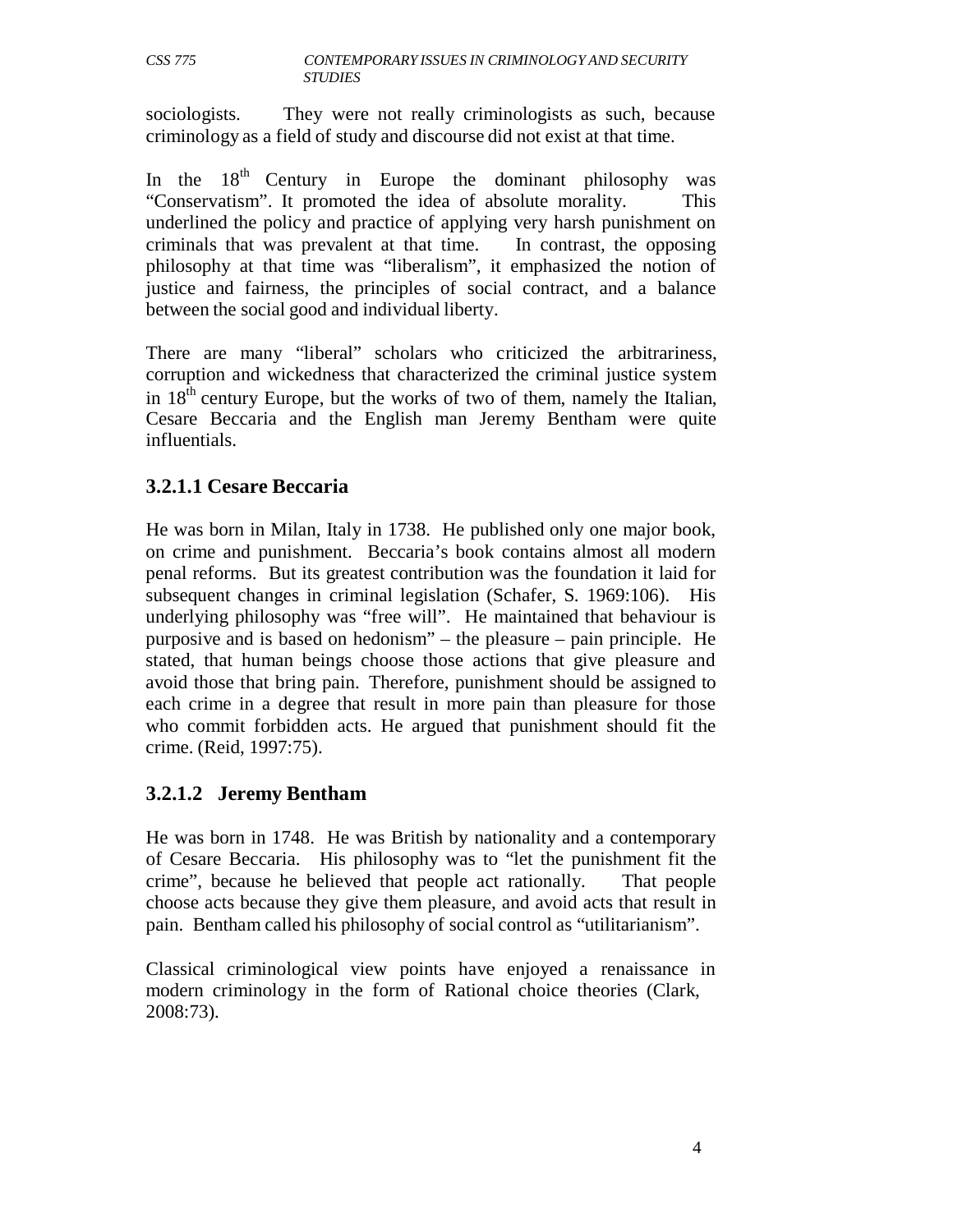sociologists. They were not really criminologists as such, because criminology as a field of study and discourse did not exist at that time.

In the  $18<sup>th</sup>$  Century in Europe the dominant philosophy was "Conservatism". It promoted the idea of absolute morality. This underlined the policy and practice of applying very harsh punishment on criminals that was prevalent at that time. In contrast, the opposing philosophy at that time was "liberalism", it emphasized the notion of justice and fairness, the principles of social contract, and a balance between the social good and individual liberty.

There are many "liberal" scholars who criticized the arbitrariness, corruption and wickedness that characterized the criminal justice system in  $18<sup>th</sup>$  century Europe, but the works of two of them, namely the Italian, Cesare Beccaria and the English man Jeremy Bentham were quite influentials.

# **3.2.1.1 Cesare Beccaria**

He was born in Milan, Italy in 1738. He published only one major book, on crime and punishment. Beccaria's book contains almost all modern penal reforms. But its greatest contribution was the foundation it laid for subsequent changes in criminal legislation (Schafer, S. 1969:106). His underlying philosophy was "free will". He maintained that behaviour is purposive and is based on hedonism" – the pleasure – pain principle. He stated, that human beings choose those actions that give pleasure and avoid those that bring pain. Therefore, punishment should be assigned to each crime in a degree that result in more pain than pleasure for those who commit forbidden acts. He argued that punishment should fit the crime. (Reid, 1997:75).

#### **3.2.1.2 Jeremy Bentham**

He was born in 1748. He was British by nationality and a contemporary of Cesare Beccaria. His philosophy was to "let the punishment fit the crime", because he believed that people act rationally. That people choose acts because they give them pleasure, and avoid acts that result in pain. Bentham called his philosophy of social control as "utilitarianism".

Classical criminological view points have enjoyed a renaissance in modern criminology in the form of Rational choice theories (Clark, 2008:73).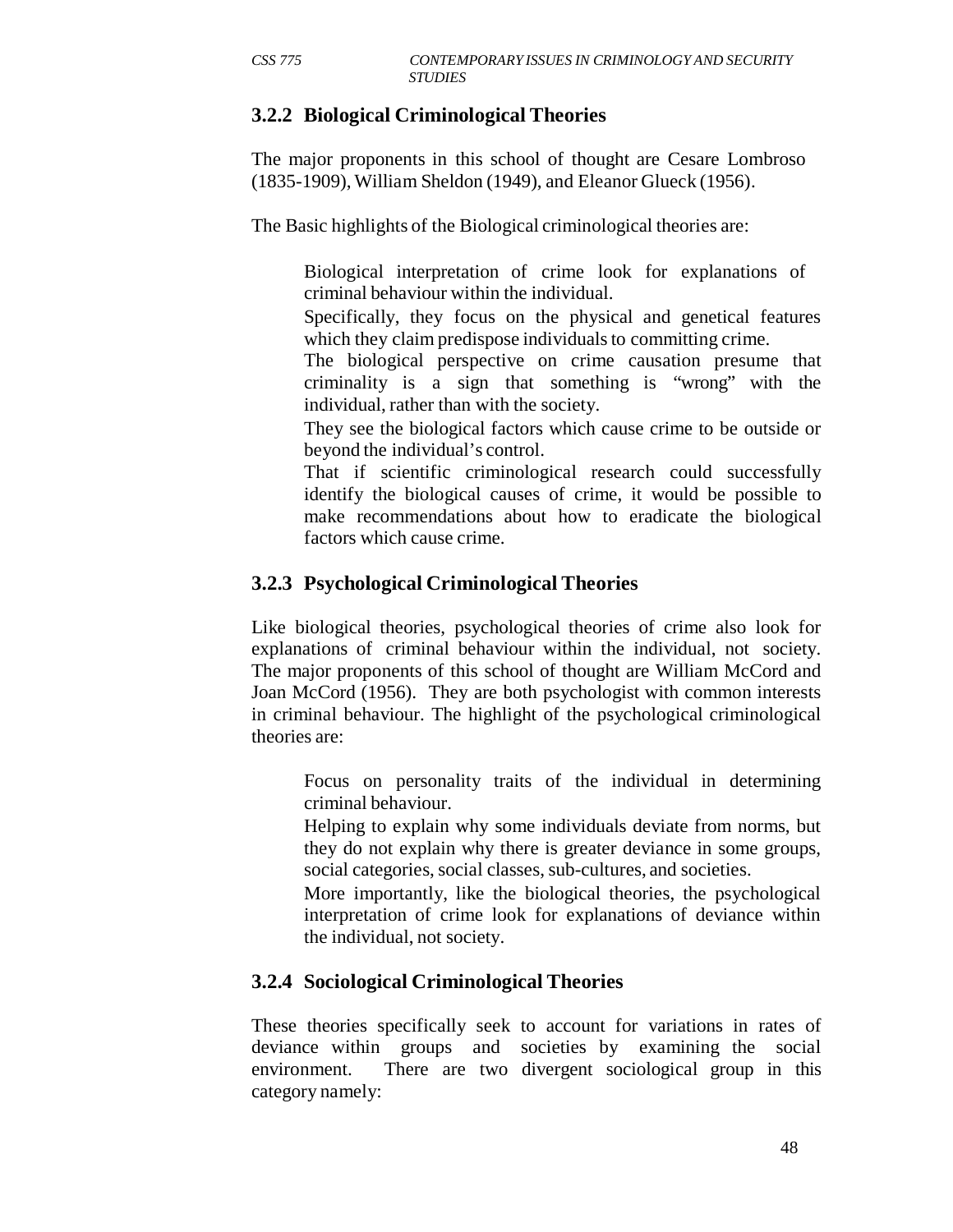# **3.2.2 Biological Criminological Theories**

The major proponents in this school of thought are Cesare Lombroso (1835-1909), William Sheldon (1949), and Eleanor Glueck (1956).

The Basic highlights of the Biological criminological theories are:

Biological interpretation of crime look for explanations of criminal behaviour within the individual.

Specifically, they focus on the physical and genetical features which they claim predispose individuals to committing crime.

The biological perspective on crime causation presume that criminality is a sign that something is "wrong" with the individual, rather than with the society.

They see the biological factors which cause crime to be outside or beyond the individual's control.

That if scientific criminological research could successfully identify the biological causes of crime, it would be possible to make recommendations about how to eradicate the biological factors which cause crime.

#### **3.2.3 Psychological Criminological Theories**

Like biological theories, psychological theories of crime also look for explanations of criminal behaviour within the individual, not society. The major proponents of this school of thought are William McCord and Joan McCord (1956). They are both psychologist with common interests in criminal behaviour. The highlight of the psychological criminological theories are:

Focus on personality traits of the individual in determining criminal behaviour.

Helping to explain why some individuals deviate from norms, but they do not explain why there is greater deviance in some groups, social categories, social classes, sub-cultures, and societies.

More importantly, like the biological theories, the psychological interpretation of crime look for explanations of deviance within the individual, not society.

# **3.2.4 Sociological Criminological Theories**

These theories specifically seek to account for variations in rates of deviance within groups and societies by examining the social environment. There are two divergent sociological group in this category namely: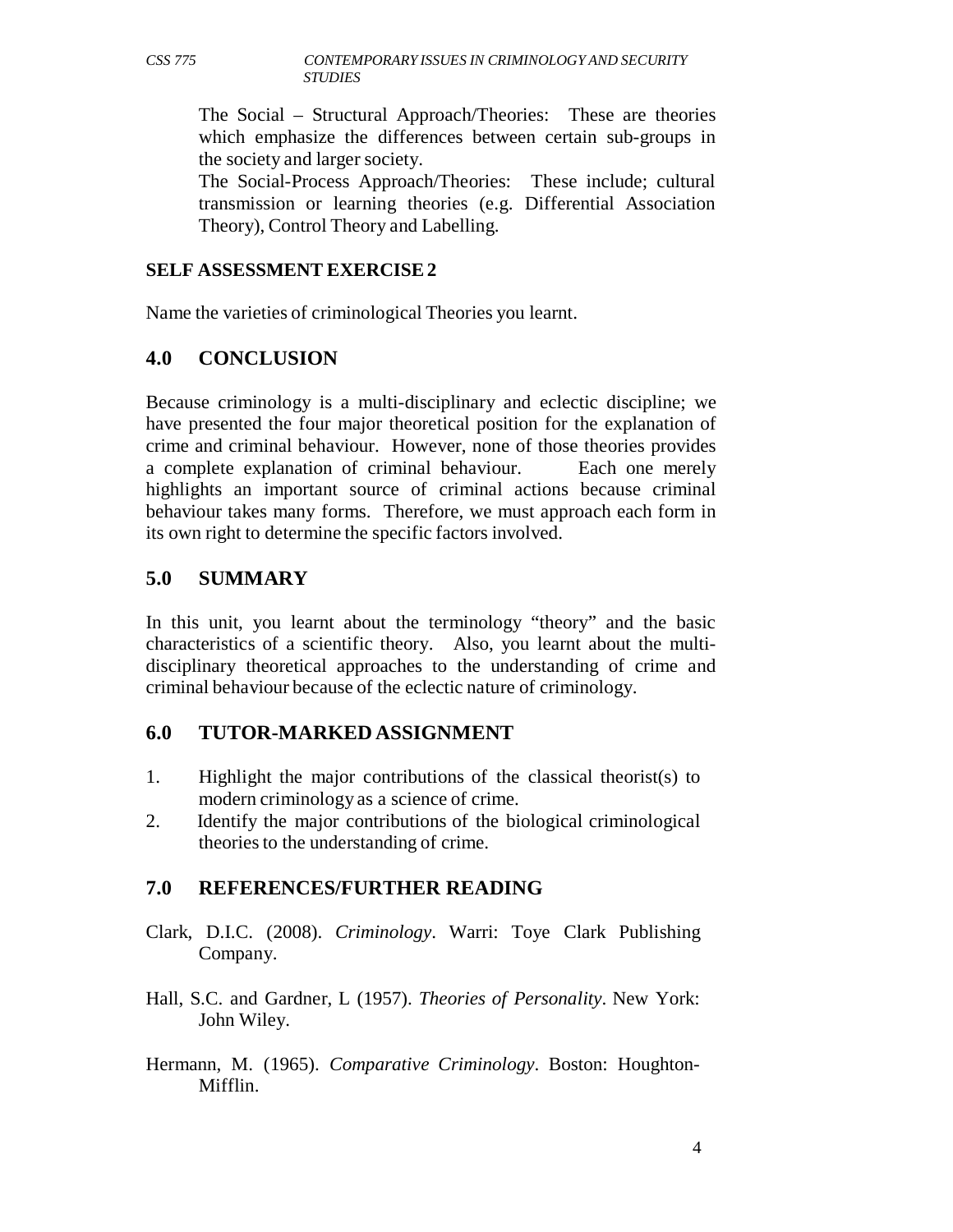The Social – Structural Approach/Theories: These are theories which emphasize the differences between certain sub-groups in the society and larger society.

The Social-Process Approach/Theories: These include; cultural transmission or learning theories (e.g. Differential Association Theory), Control Theory and Labelling.

#### **SELF ASSESSMENT EXERCISE 2**

Name the varieties of criminological Theories you learnt.

#### **4.0 CONCLUSION**

Because criminology is a multi-disciplinary and eclectic discipline; we have presented the four major theoretical position for the explanation of crime and criminal behaviour. However, none of those theories provides a complete explanation of criminal behaviour. Each one merely highlights an important source of criminal actions because criminal behaviour takes many forms. Therefore, we must approach each form in its own right to determine the specific factors involved.

#### **5.0 SUMMARY**

In this unit, you learnt about the terminology "theory" and the basic characteristics of a scientific theory. Also, you learnt about the multidisciplinary theoretical approaches to the understanding of crime and criminal behaviour because of the eclectic nature of criminology.

#### **6.0 TUTOR-MARKED ASSIGNMENT**

- 1. Highlight the major contributions of the classical theorist(s) to modern criminology as a science of crime.
- 2. Identify the major contributions of the biological criminological theories to the understanding of crime.

#### **7.0 REFERENCES/FURTHER READING**

- Clark, D.I.C. (2008). *Criminology*. Warri: Toye Clark Publishing Company.
- Hall, S.C. and Gardner, L (1957). *Theories of Personality*. New York: John Wiley.
- Hermann, M. (1965). *Comparative Criminology*. Boston: Houghton-Mifflin.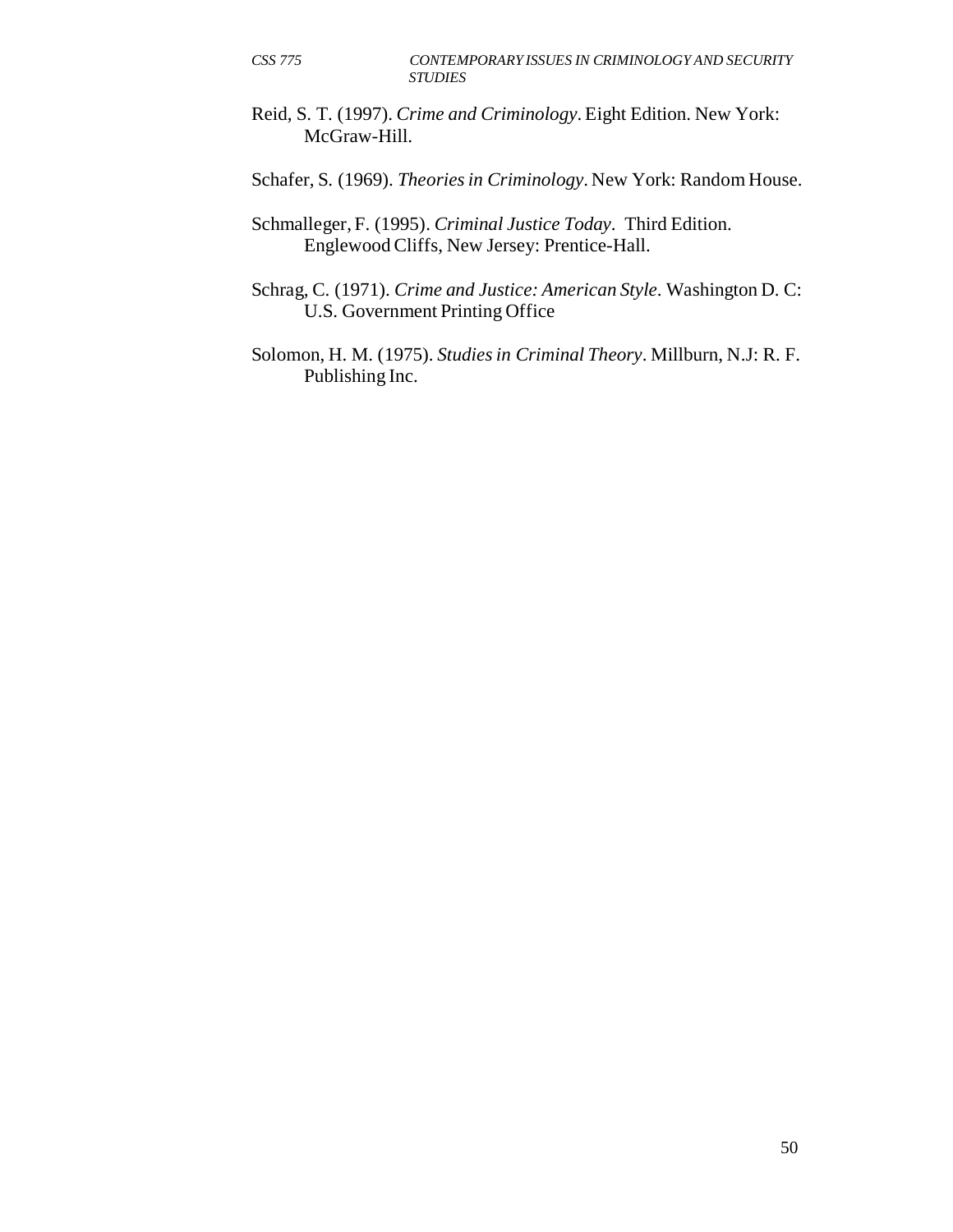Reid, S. T. (1997). *Crime and Criminology*. Eight Edition. New York: McGraw-Hill.

Schafer, S. (1969). *Theories in Criminology*. New York: Random House.

Schmalleger, F. (1995). *Criminal Justice Today*. Third Edition. Englewood Cliffs, New Jersey: Prentice-Hall.

Schrag, C. (1971). *Crime and Justice: American Style*. Washington D. C: U.S. Government Printing Office

Solomon, H. M. (1975). *Studies in Criminal Theory*. Millburn, N.J: R. F. Publishing Inc.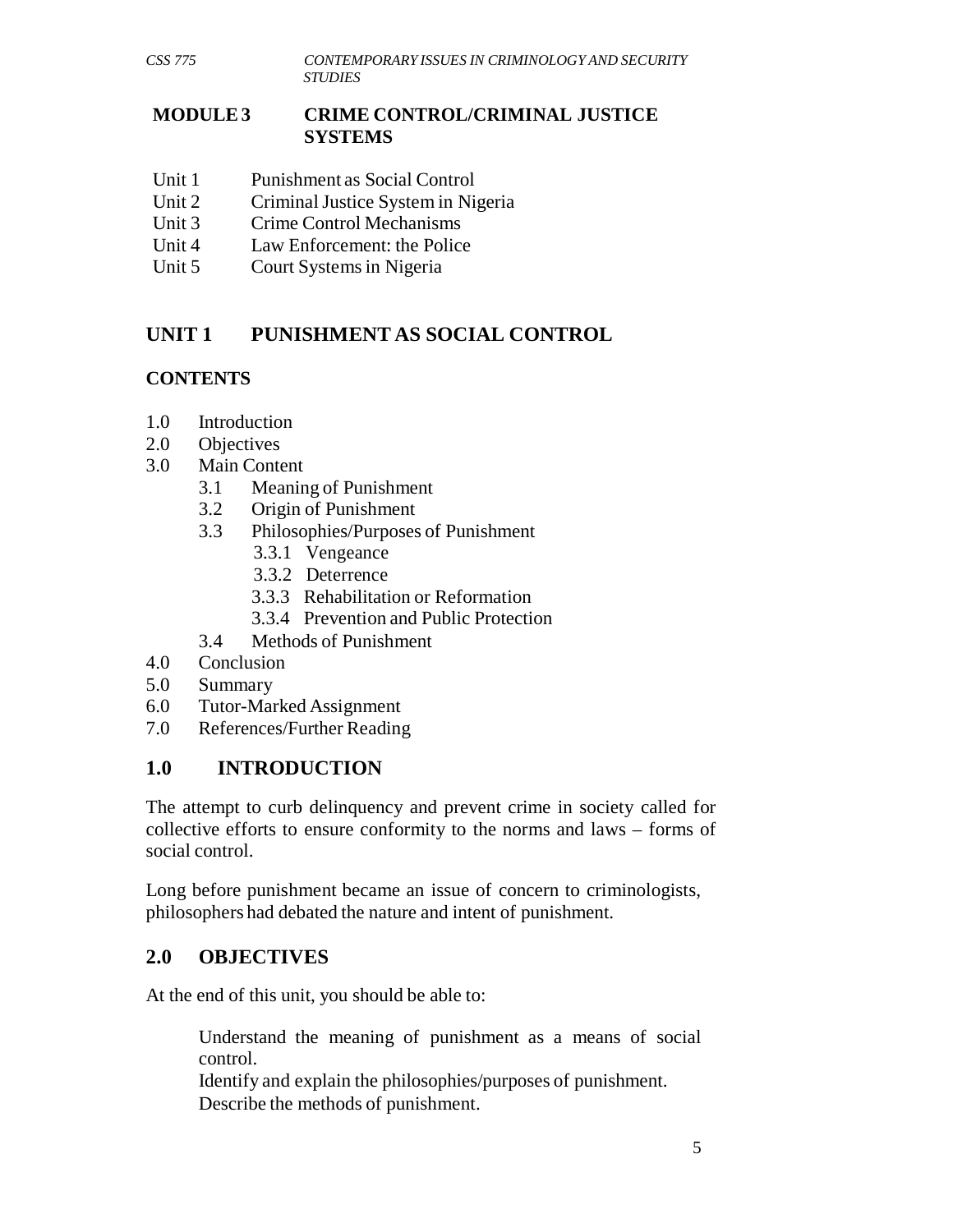#### **MODULE 3 CRIME CONTROL/CRIMINAL JUSTICE SYSTEMS**

- Unit 1 Punishment as Social Control
- Unit 2 Criminal Justice System in Nigeria
- Unit 3 Crime Control Mechanisms
- Unit 4 Law Enforcement: the Police
- Unit 5 Court Systems in Nigeria

# **UNIT 1 PUNISHMENT AS SOCIAL CONTROL**

#### **CONTENTS**

- 1.0 Introduction
- 2.0 Objectives
- 3.0 Main Content
	- 3.1 Meaning of Punishment
	- 3.2 Origin of Punishment
	- 3.3 Philosophies/Purposes of Punishment
		- 3.3.1 Vengeance
		- 3.3.2 Deterrence
		- 3.3.3 Rehabilitation or Reformation
		- 3.3.4 Prevention and Public Protection
	- 3.4 Methods of Punishment
- 4.0 Conclusion
- 5.0 Summary
- 6.0 Tutor-Marked Assignment
- 7.0 References/Further Reading

#### **1.0 INTRODUCTION**

The attempt to curb delinquency and prevent crime in society called for collective efforts to ensure conformity to the norms and laws – forms of social control.

Long before punishment became an issue of concern to criminologists, philosophers had debated the nature and intent of punishment.

# **2.0 OBJECTIVES**

At the end of this unit, you should be able to:

Understand the meaning of punishment as a means of social control.

Identify and explain the philosophies/purposes of punishment. Describe the methods of punishment.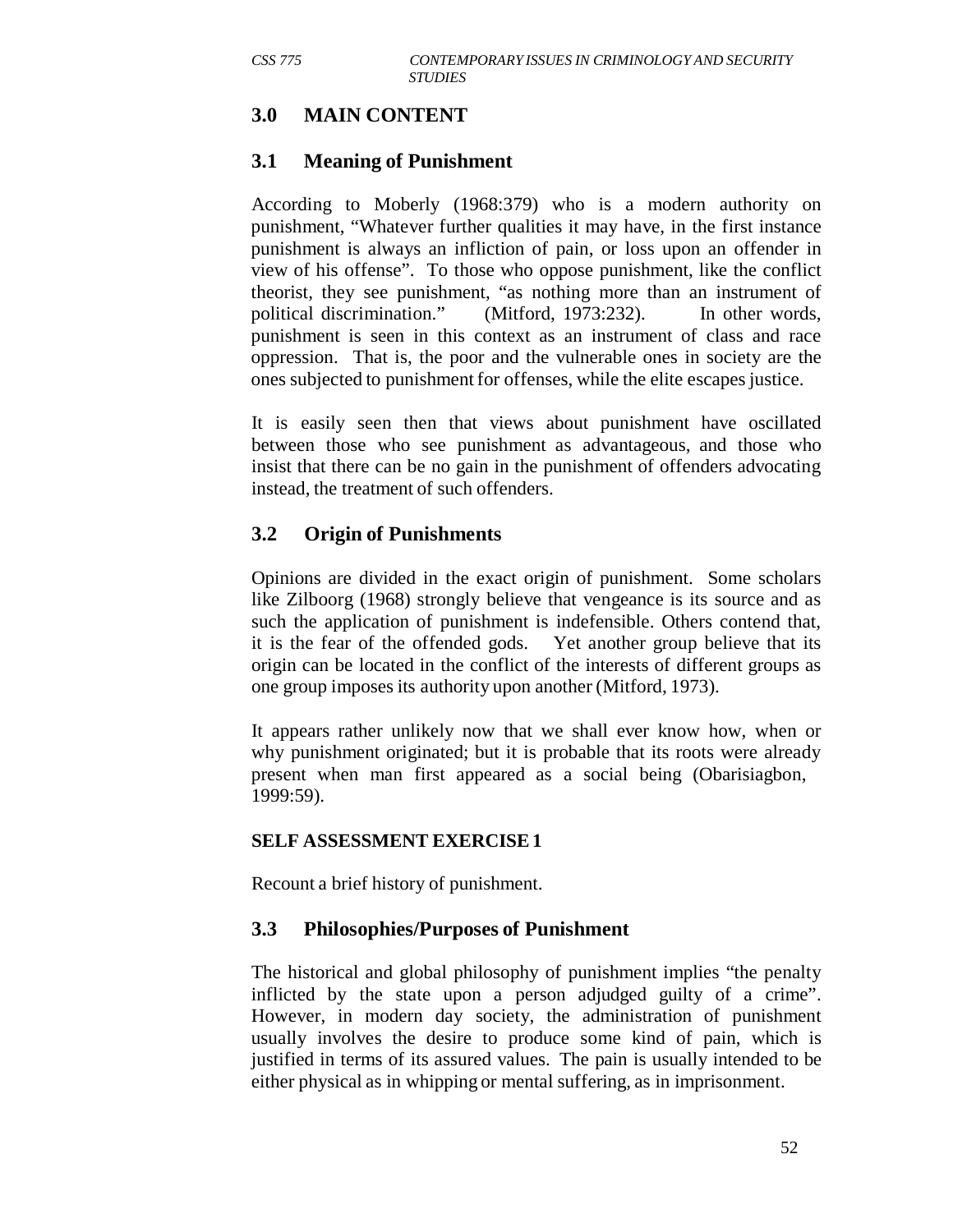# **3.0 MAIN CONTENT**

#### **3.1 Meaning of Punishment**

According to Moberly (1968:379) who is a modern authority on punishment, "Whatever further qualities it may have, in the first instance punishment is always an infliction of pain, or loss upon an offender in view of his offense". To those who oppose punishment, like the conflict theorist, they see punishment, "as nothing more than an instrument of political discrimination." (Mitford, 1973:232). In other words, punishment is seen in this context as an instrument of class and race oppression. That is, the poor and the vulnerable ones in society are the ones subjected to punishment for offenses, while the elite escapes justice.

It is easily seen then that views about punishment have oscillated between those who see punishment as advantageous, and those who insist that there can be no gain in the punishment of offenders advocating instead, the treatment of such offenders.

#### **3.2 Origin of Punishments**

Opinions are divided in the exact origin of punishment. Some scholars like Zilboorg (1968) strongly believe that vengeance is its source and as such the application of punishment is indefensible. Others contend that, it is the fear of the offended gods. Yet another group believe that its origin can be located in the conflict of the interests of different groups as one group imposes its authority upon another (Mitford, 1973).

It appears rather unlikely now that we shall ever know how, when or why punishment originated; but it is probable that its roots were already present when man first appeared as a social being (Obarisiagbon, 1999:59).

#### **SELF ASSESSMENT EXERCISE 1**

Recount a brief history of punishment.

#### **3.3 Philosophies/Purposes of Punishment**

The historical and global philosophy of punishment implies "the penalty inflicted by the state upon a person adjudged guilty of a crime". However, in modern day society, the administration of punishment usually involves the desire to produce some kind of pain, which is justified in terms of its assured values. The pain is usually intended to be either physical as in whipping or mental suffering, as in imprisonment.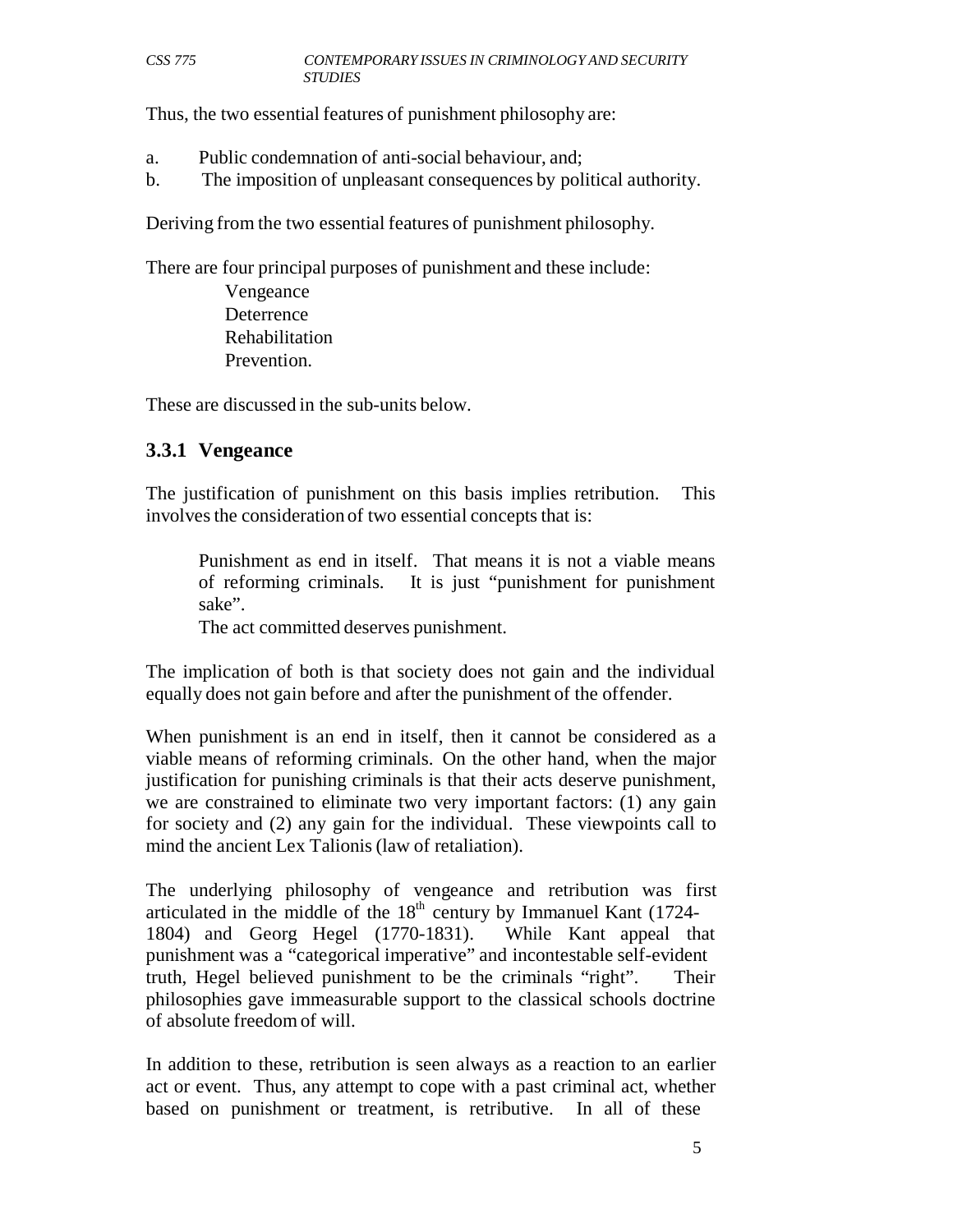Thus, the two essential features of punishment philosophy are:

- a. Public condemnation of anti-social behaviour, and;
- b. The imposition of unpleasant consequences by political authority.

Deriving from the two essential features of punishment philosophy.

There are four principal purposes of punishment and these include:

Vengeance **Deterrence** Rehabilitation Prevention.

These are discussed in the sub-units below.

#### **3.3.1 Vengeance**

The justification of punishment on this basis implies retribution. This involves the consideration of two essential concepts that is:

Punishment as end in itself. That means it is not a viable means of reforming criminals. It is just "punishment for punishment sake".

The act committed deserves punishment.

The implication of both is that society does not gain and the individual equally does not gain before and after the punishment of the offender.

When punishment is an end in itself, then it cannot be considered as a viable means of reforming criminals. On the other hand, when the major justification for punishing criminals is that their acts deserve punishment, we are constrained to eliminate two very important factors: (1) any gain for society and (2) any gain for the individual. These viewpoints call to mind the ancient Lex Talionis (law of retaliation).

The underlying philosophy of vengeance and retribution was first articulated in the middle of the  $18<sup>th</sup>$  century by Immanuel Kant (1724-1804) and Georg Hegel (1770-1831). While Kant appeal that punishment was a "categorical imperative" and incontestable self-evident truth, Hegel believed punishment to be the criminals "right". Their philosophies gave immeasurable support to the classical schools doctrine of absolute freedom of will.

In addition to these, retribution is seen always as a reaction to an earlier act or event. Thus, any attempt to cope with a past criminal act, whether based on punishment or treatment, is retributive. In all of these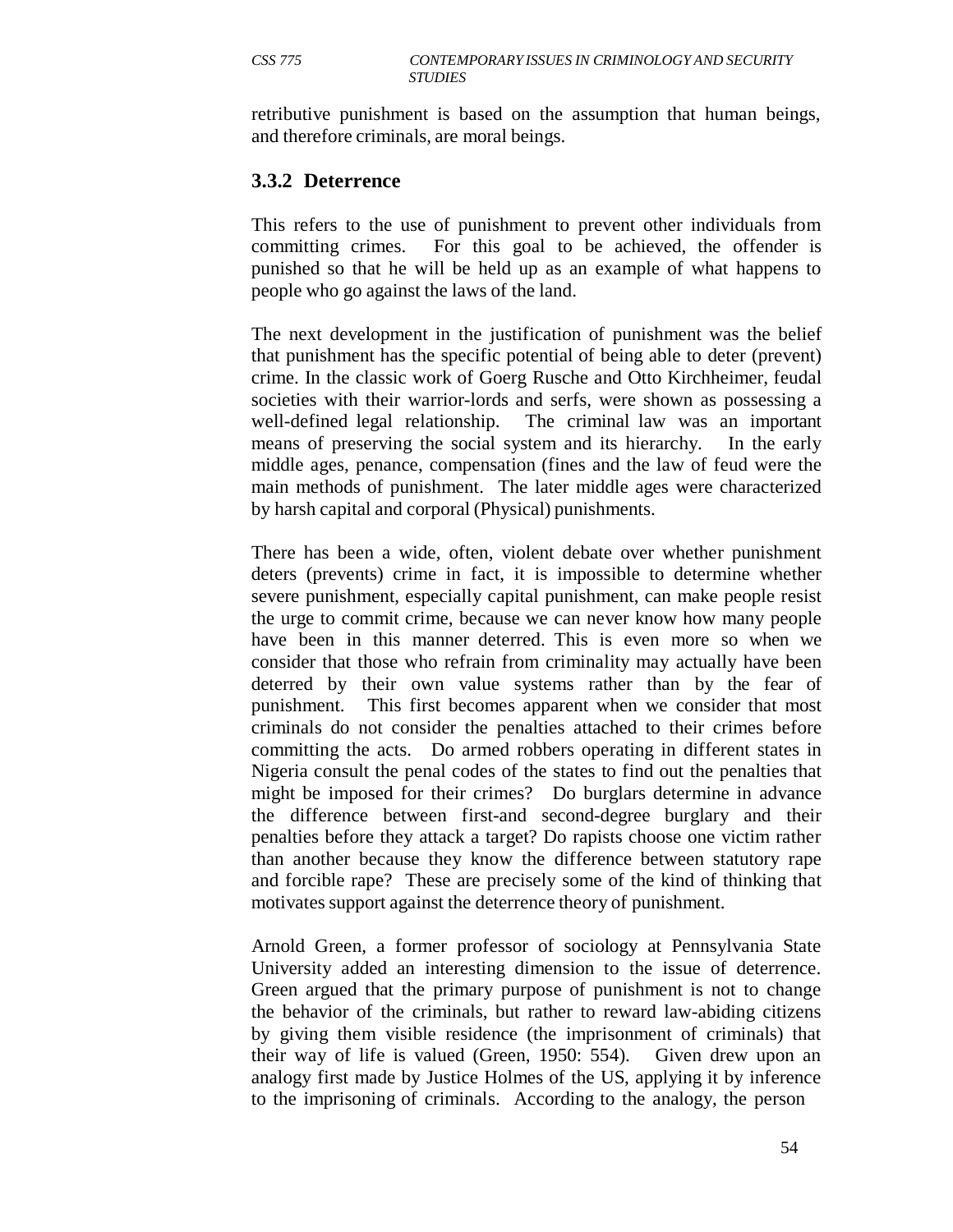retributive punishment is based on the assumption that human beings, and therefore criminals, are moral beings.

#### **3.3.2 Deterrence**

This refers to the use of punishment to prevent other individuals from committing crimes. For this goal to be achieved, the offender is punished so that he will be held up as an example of what happens to people who go against the laws of the land.

The next development in the justification of punishment was the belief that punishment has the specific potential of being able to deter (prevent) crime. In the classic work of Goerg Rusche and Otto Kirchheimer, feudal societies with their warrior-lords and serfs, were shown as possessing a well-defined legal relationship. The criminal law was an important means of preserving the social system and its hierarchy. In the early middle ages, penance, compensation (fines and the law of feud were the main methods of punishment. The later middle ages were characterized by harsh capital and corporal (Physical) punishments.

There has been a wide, often, violent debate over whether punishment deters (prevents) crime in fact, it is impossible to determine whether severe punishment, especially capital punishment, can make people resist the urge to commit crime, because we can never know how many people have been in this manner deterred. This is even more so when we consider that those who refrain from criminality may actually have been deterred by their own value systems rather than by the fear of punishment. This first becomes apparent when we consider that most criminals do not consider the penalties attached to their crimes before committing the acts. Do armed robbers operating in different states in Nigeria consult the penal codes of the states to find out the penalties that might be imposed for their crimes? Do burglars determine in advance the difference between first-and second-degree burglary and their penalties before they attack a target? Do rapists choose one victim rather than another because they know the difference between statutory rape and forcible rape? These are precisely some of the kind of thinking that motivates support against the deterrence theory of punishment.

Arnold Green, a former professor of sociology at Pennsylvania State University added an interesting dimension to the issue of deterrence. Green argued that the primary purpose of punishment is not to change the behavior of the criminals, but rather to reward law-abiding citizens by giving them visible residence (the imprisonment of criminals) that their way of life is valued (Green, 1950: 554). Given drew upon an analogy first made by Justice Holmes of the US, applying it by inference to the imprisoning of criminals. According to the analogy, the person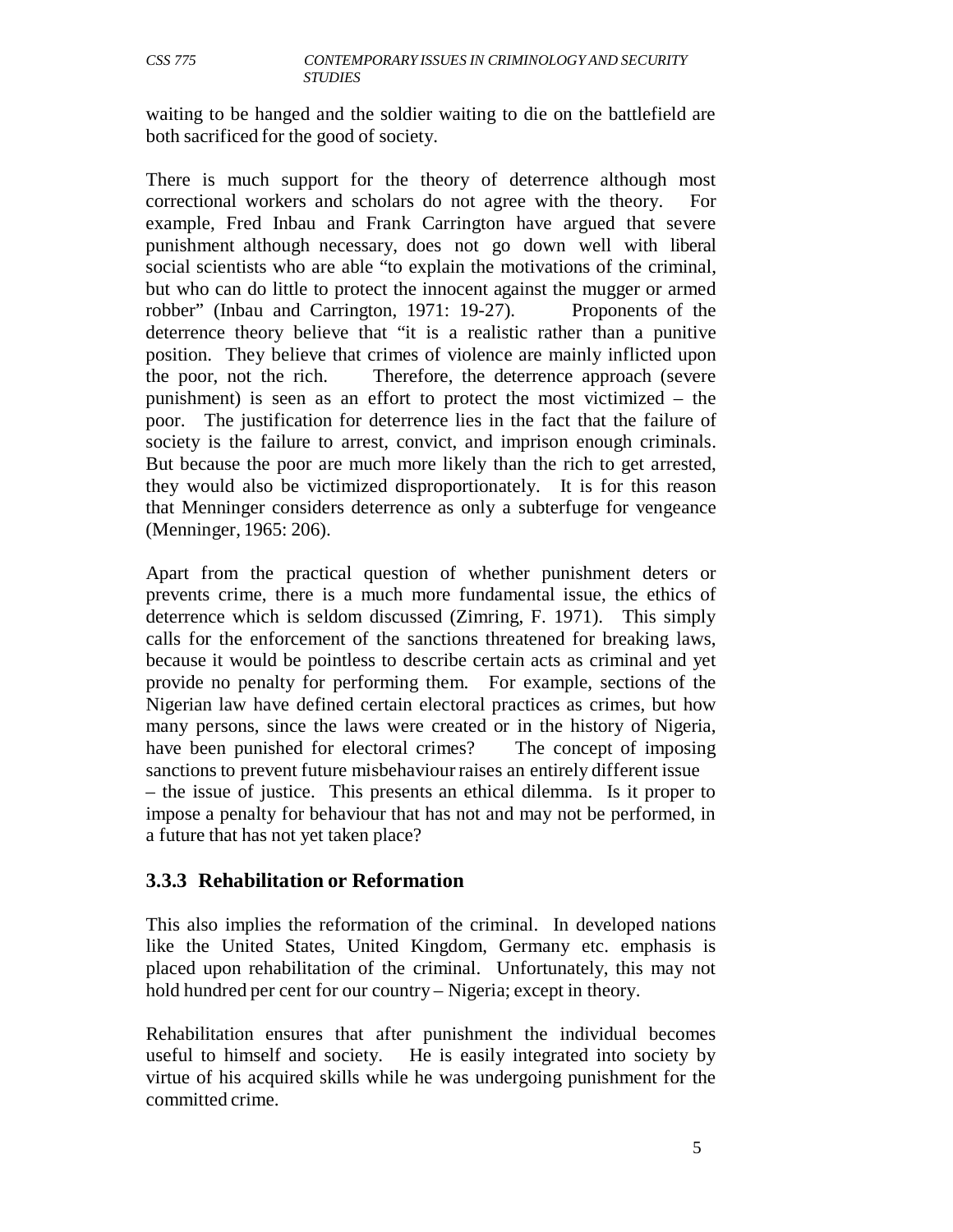waiting to be hanged and the soldier waiting to die on the battlefield are both sacrificed for the good of society.

There is much support for the theory of deterrence although most correctional workers and scholars do not agree with the theory. For example, Fred Inbau and Frank Carrington have argued that severe punishment although necessary, does not go down well with liberal social scientists who are able "to explain the motivations of the criminal, but who can do little to protect the innocent against the mugger or armed robber" (Inbau and Carrington, 1971: 19-27). Proponents of the deterrence theory believe that "it is a realistic rather than a punitive position. They believe that crimes of violence are mainly inflicted upon the poor, not the rich. Therefore, the deterrence approach (severe punishment) is seen as an effort to protect the most victimized – the poor. The justification for deterrence lies in the fact that the failure of society is the failure to arrest, convict, and imprison enough criminals. But because the poor are much more likely than the rich to get arrested, they would also be victimized disproportionately. It is for this reason that Menninger considers deterrence as only a subterfuge for vengeance (Menninger, 1965: 206).

Apart from the practical question of whether punishment deters or prevents crime, there is a much more fundamental issue, the ethics of deterrence which is seldom discussed (Zimring, F. 1971). This simply calls for the enforcement of the sanctions threatened for breaking laws, because it would be pointless to describe certain acts as criminal and yet provide no penalty for performing them. For example, sections of the Nigerian law have defined certain electoral practices as crimes, but how many persons, since the laws were created or in the history of Nigeria, have been punished for electoral crimes? The concept of imposing sanctions to prevent future misbehaviour raises an entirely different issue – the issue of justice. This presents an ethical dilemma. Is it proper to impose a penalty for behaviour that has not and may not be performed, in a future that has not yet taken place?

#### **3.3.3 Rehabilitation or Reformation**

This also implies the reformation of the criminal. In developed nations like the United States, United Kingdom, Germany etc. emphasis is placed upon rehabilitation of the criminal. Unfortunately, this may not hold hundred per cent for our country – Nigeria; except in theory.

Rehabilitation ensures that after punishment the individual becomes useful to himself and society. He is easily integrated into society by virtue of his acquired skills while he was undergoing punishment for the committed crime.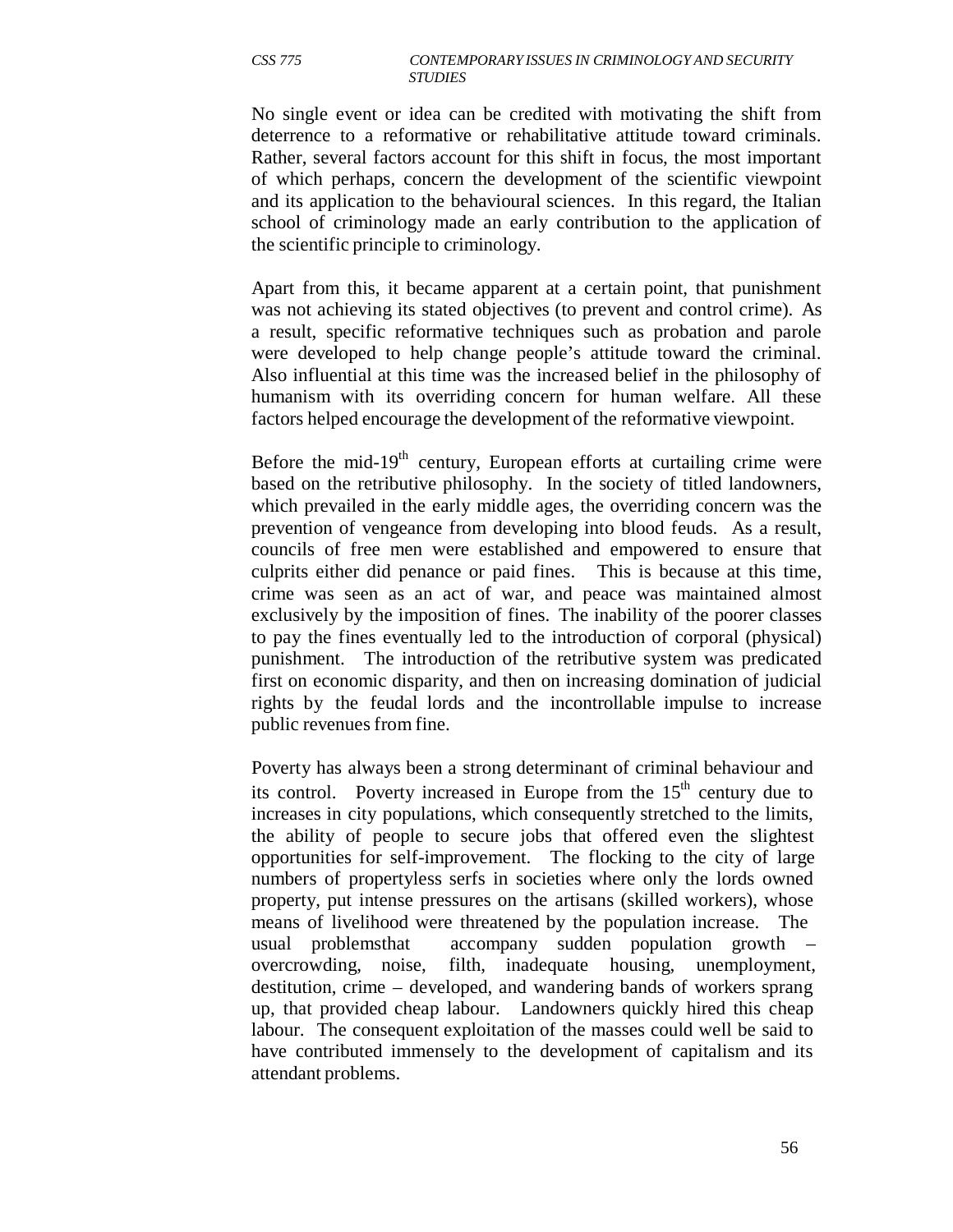No single event or idea can be credited with motivating the shift from deterrence to a reformative or rehabilitative attitude toward criminals. Rather, several factors account for this shift in focus, the most important of which perhaps, concern the development of the scientific viewpoint and its application to the behavioural sciences. In this regard, the Italian school of criminology made an early contribution to the application of the scientific principle to criminology.

Apart from this, it became apparent at a certain point, that punishment was not achieving its stated objectives (to prevent and control crime). As a result, specific reformative techniques such as probation and parole were developed to help change people's attitude toward the criminal. Also influential at this time was the increased belief in the philosophy of humanism with its overriding concern for human welfare. All these factors helped encourage the development of the reformative viewpoint.

Before the mid-19<sup>th</sup> century, European efforts at curtailing crime were based on the retributive philosophy. In the society of titled landowners, which prevailed in the early middle ages, the overriding concern was the prevention of vengeance from developing into blood feuds. As a result, councils of free men were established and empowered to ensure that culprits either did penance or paid fines. This is because at this time, crime was seen as an act of war, and peace was maintained almost exclusively by the imposition of fines. The inability of the poorer classes to pay the fines eventually led to the introduction of corporal (physical) punishment. The introduction of the retributive system was predicated first on economic disparity, and then on increasing domination of judicial rights by the feudal lords and the incontrollable impulse to increase public revenues from fine.

Poverty has always been a strong determinant of criminal behaviour and its control. Poverty increased in Europe from the  $15<sup>th</sup>$  century due to increases in city populations, which consequently stretched to the limits, the ability of people to secure jobs that offered even the slightest opportunities for self-improvement. The flocking to the city of large numbers of propertyless serfs in societies where only the lords owned property, put intense pressures on the artisans (skilled workers), whose means of livelihood were threatened by the population increase. The usual problems that accompany sudden population growth overcrowding, noise, filth, inadequate housing, unemployment, destitution, crime – developed, and wandering bands of workers sprang up, that provided cheap labour. Landowners quickly hired this cheap labour. The consequent exploitation of the masses could well be said to have contributed immensely to the development of capitalism and its attendant problems.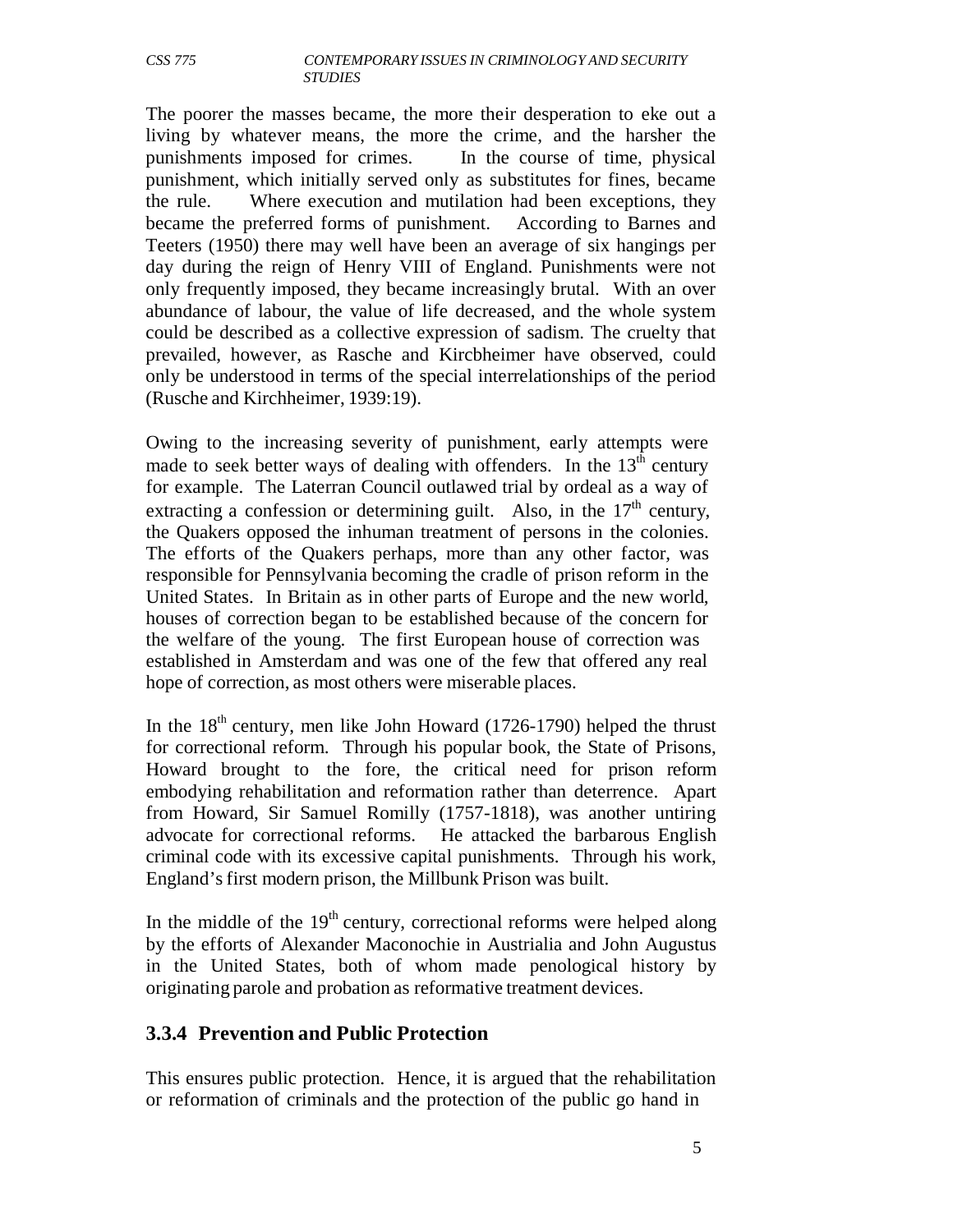The poorer the masses became, the more their desperation to eke out a living by whatever means, the more the crime, and the harsher the punishments imposed for crimes. In the course of time, physical punishment, which initially served only as substitutes for fines, became the rule. Where execution and mutilation had been exceptions, they became the preferred forms of punishment. According to Barnes and Teeters (1950) there may well have been an average of six hangings per day during the reign of Henry VIII of England. Punishments were not only frequently imposed, they became increasingly brutal. With an over abundance of labour, the value of life decreased, and the whole system could be described as a collective expression of sadism. The cruelty that prevailed, however, as Rasche and Kircbheimer have observed, could only be understood in terms of the special interrelationships of the period (Rusche and Kirchheimer, 1939:19).

Owing to the increasing severity of punishment, early attempts were made to seek better ways of dealing with offenders. In the  $13<sup>th</sup>$  century for example. The Laterran Council outlawed trial by ordeal as a way of extracting a confession or determining guilt. Also, in the  $17<sup>th</sup>$  century, the Quakers opposed the inhuman treatment of persons in the colonies. The efforts of the Quakers perhaps, more than any other factor, was responsible for Pennsylvania becoming the cradle of prison reform in the United States. In Britain as in other parts of Europe and the new world, houses of correction began to be established because of the concern for the welfare of the young. The first European house of correction was established in Amsterdam and was one of the few that offered any real hope of correction, as most others were miserable places.

In the  $18<sup>th</sup>$  century, men like John Howard (1726-1790) helped the thrust for correctional reform. Through his popular book, the State of Prisons, Howard brought to the fore, the critical need for prison reform embodying rehabilitation and reformation rather than deterrence. Apart from Howard, Sir Samuel Romilly (1757-1818), was another untiring advocate for correctional reforms. He attacked the barbarous English criminal code with its excessive capital punishments. Through his work, England's first modern prison, the Millbunk Prison was built.

In the middle of the  $19<sup>th</sup>$  century, correctional reforms were helped along by the efforts of Alexander Maconochie in Austrialia and John Augustus in the United States, both of whom made penological history by originating parole and probation as reformative treatment devices.

#### **3.3.4 Prevention and Public Protection**

This ensures public protection. Hence, it is argued that the rehabilitation or reformation of criminals and the protection of the public go hand in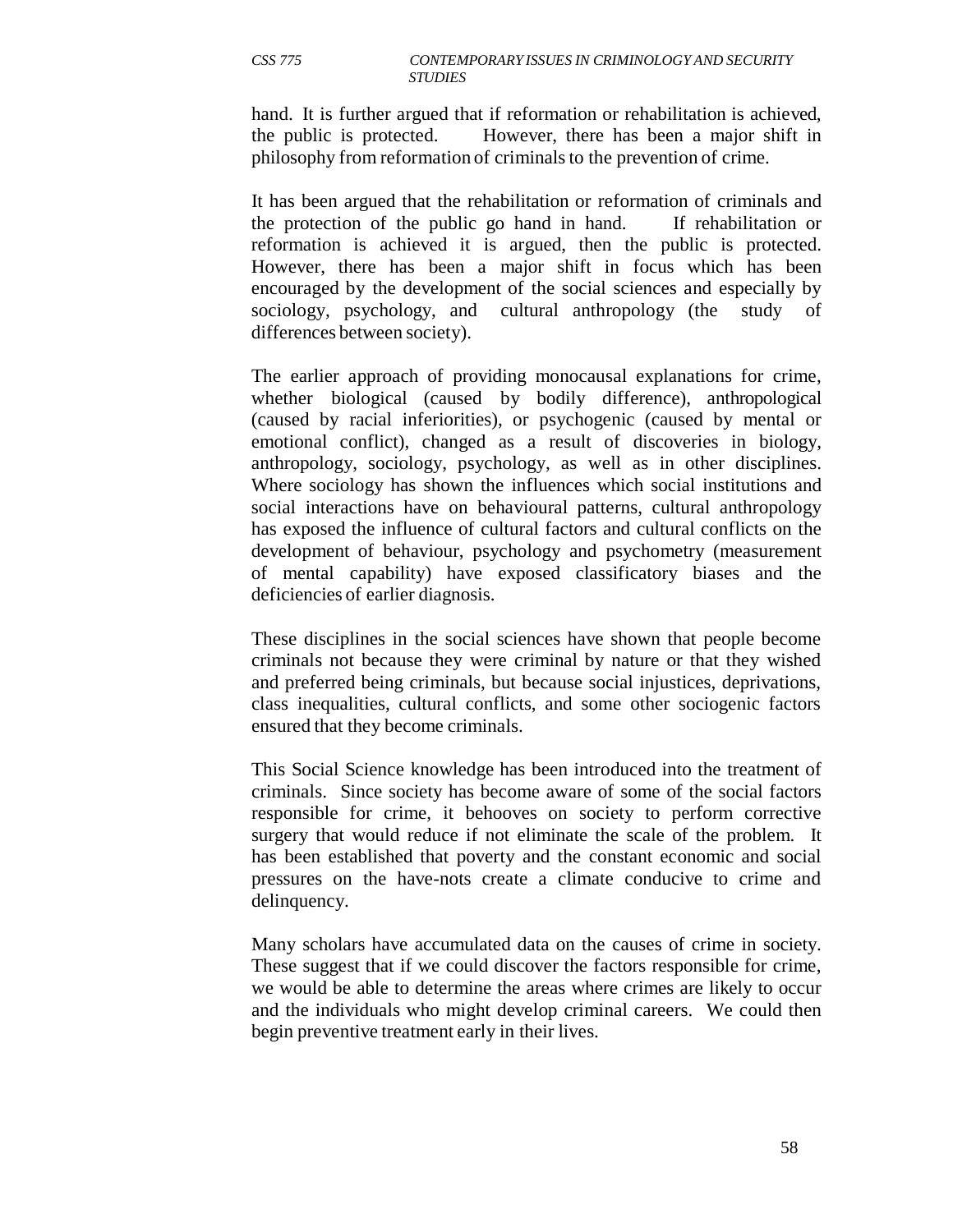hand. It is further argued that if reformation or rehabilitation is achieved, the public is protected. However, there has been a major shift in philosophy from reformation of criminals to the prevention of crime.

It has been argued that the rehabilitation or reformation of criminals and the protection of the public go hand in hand. If rehabilitation or reformation is achieved it is argued, then the public is protected. However, there has been a major shift in focus which has been encouraged by the development of the social sciences and especially by sociology, psychology, and cultural anthropology (the study of differences between society).

The earlier approach of providing monocausal explanations for crime, whether biological (caused by bodily difference), anthropological (caused by racial inferiorities), or psychogenic (caused by mental or emotional conflict), changed as a result of discoveries in biology, anthropology, sociology, psychology, as well as in other disciplines. Where sociology has shown the influences which social institutions and social interactions have on behavioural patterns, cultural anthropology has exposed the influence of cultural factors and cultural conflicts on the development of behaviour, psychology and psychometry (measurement of mental capability) have exposed classificatory biases and the deficiencies of earlier diagnosis.

These disciplines in the social sciences have shown that people become criminals not because they were criminal by nature or that they wished and preferred being criminals, but because social injustices, deprivations, class inequalities, cultural conflicts, and some other sociogenic factors ensured that they become criminals.

This Social Science knowledge has been introduced into the treatment of criminals. Since society has become aware of some of the social factors responsible for crime, it behooves on society to perform corrective surgery that would reduce if not eliminate the scale of the problem. It has been established that poverty and the constant economic and social pressures on the have-nots create a climate conducive to crime and delinquency.

Many scholars have accumulated data on the causes of crime in society. These suggest that if we could discover the factors responsible for crime, we would be able to determine the areas where crimes are likely to occur and the individuals who might develop criminal careers. We could then begin preventive treatment early in their lives.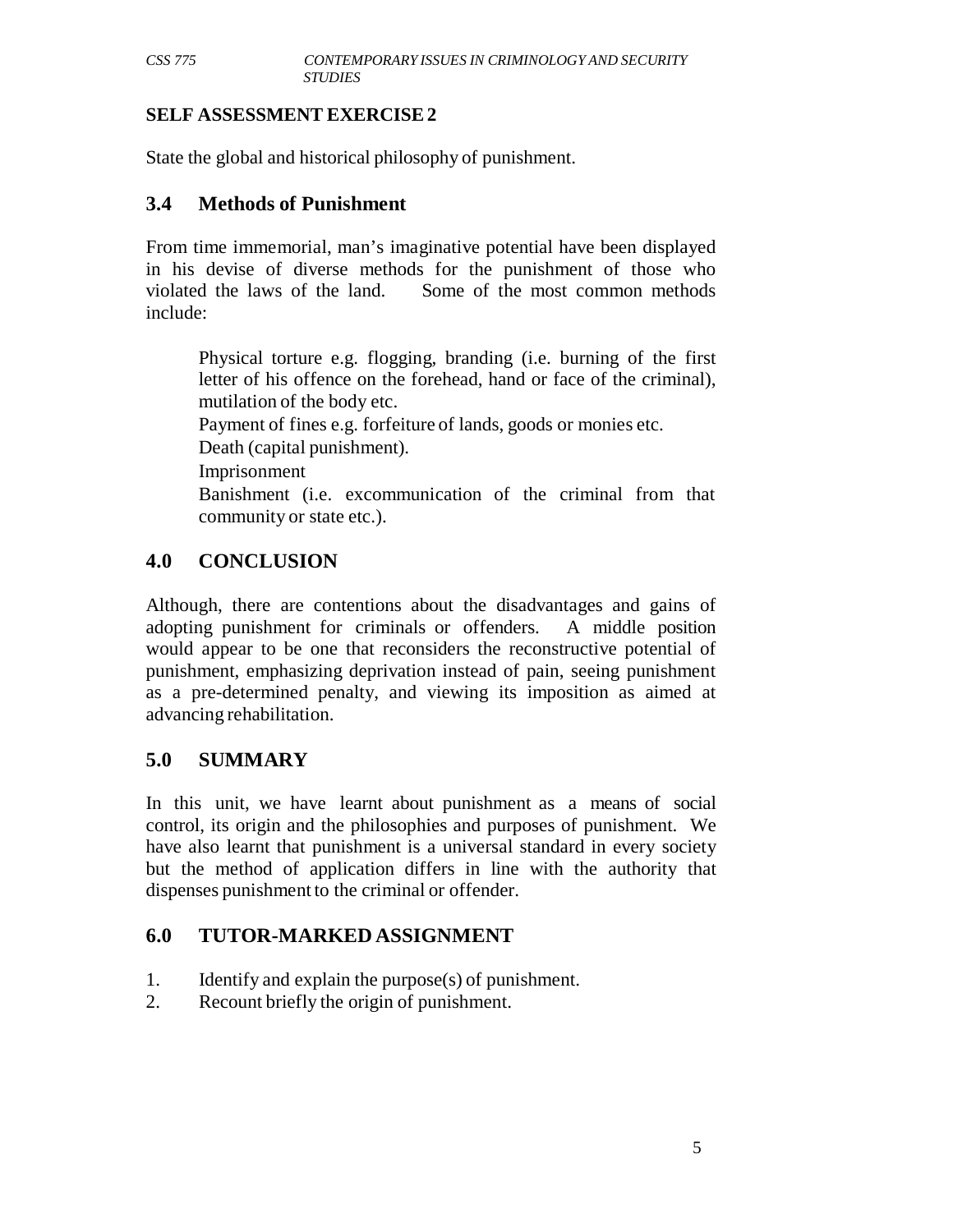#### **SELF ASSESSMENT EXERCISE 2**

State the global and historical philosophy of punishment.

## **3.4 Methods of Punishment**

From time immemorial, man's imaginative potential have been displayed in his devise of diverse methods for the punishment of those who violated the laws of the land. Some of the most common methods include:

Physical torture e.g. flogging, branding (i.e. burning of the first letter of his offence on the forehead, hand or face of the criminal), mutilation of the body etc.

Payment of fines e.g. forfeiture of lands, goods or monies etc.

Death (capital punishment).

Imprisonment

Banishment (i.e. excommunication of the criminal from that community or state etc.).

# **4.0 CONCLUSION**

Although, there are contentions about the disadvantages and gains of adopting punishment for criminals or offenders. A middle position would appear to be one that reconsiders the reconstructive potential of punishment, emphasizing deprivation instead of pain, seeing punishment as a pre-determined penalty, and viewing its imposition as aimed at advancing rehabilitation.

# **5.0 SUMMARY**

In this unit, we have learnt about punishment as a means of social control, its origin and the philosophies and purposes of punishment. We have also learnt that punishment is a universal standard in every society but the method of application differs in line with the authority that dispenses punishment to the criminal or offender.

# **6.0 TUTOR-MARKED ASSIGNMENT**

- 1. Identify and explain the purpose(s) of punishment.
- 2. Recount briefly the origin of punishment.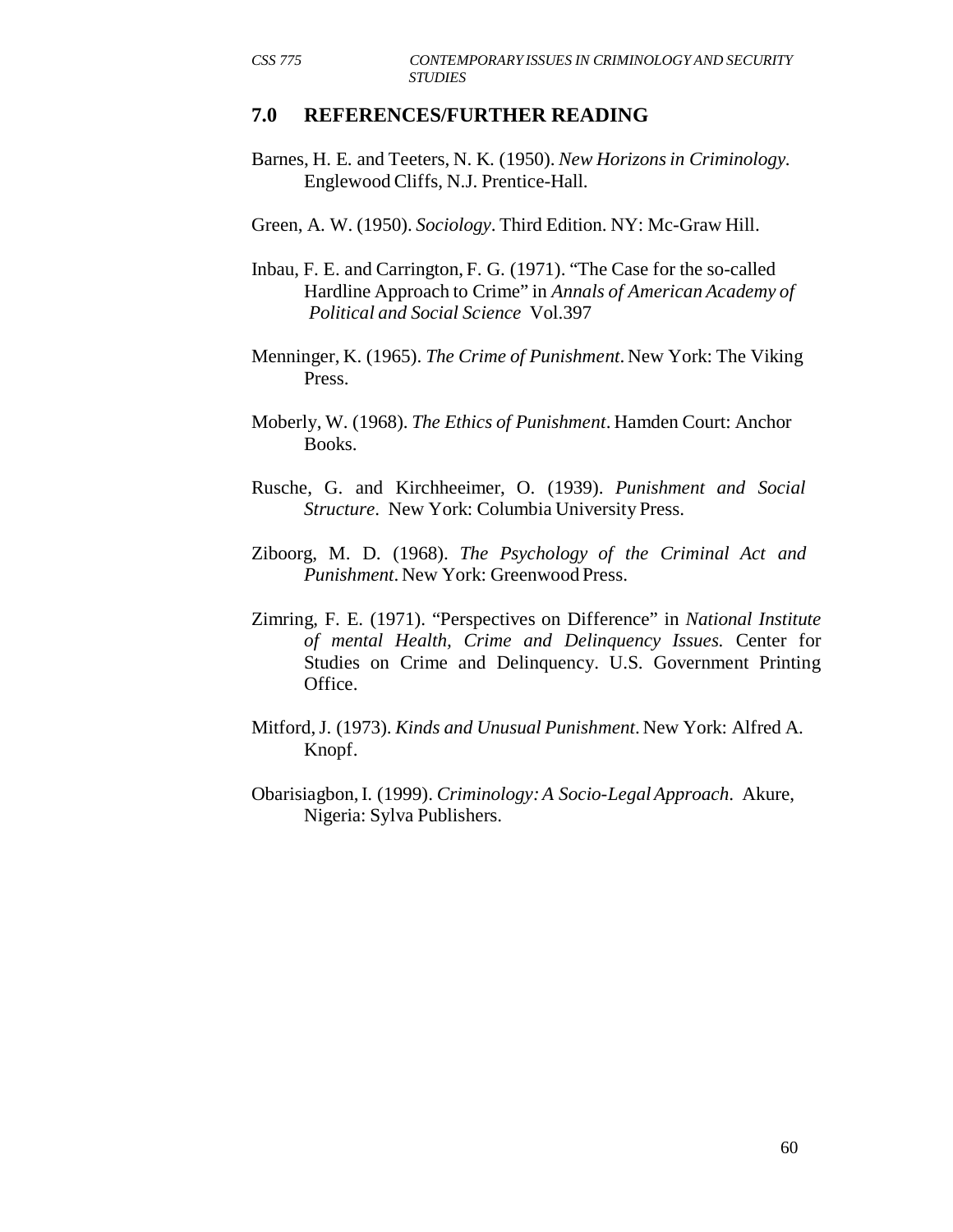#### **7.0 REFERENCES/FURTHER READING**

- Barnes, H. E. and Teeters, N. K. (1950). *New Horizons in Criminology.* Englewood Cliffs, N.J. Prentice-Hall.
- Green, A. W. (1950). *Sociology*. Third Edition. NY: Mc-Graw Hill.
- Inbau, F. E. and Carrington, F. G. (1971). "The Case for the so-called Hardline Approach to Crime" in *Annals of American Academy of Political and Social Science* Vol.397
- Menninger, K. (1965). *The Crime of Punishment*. New York: The Viking Press.
- Moberly, W. (1968). *The Ethics of Punishment*. Hamden Court: Anchor Books.
- Rusche, G. and Kirchheeimer, O. (1939). *Punishment and Social Structure*. New York: Columbia University Press.
- Ziboorg, M. D. (1968). *The Psychology of the Criminal Act and Punishment*. New York: Greenwood Press.
- Zimring, F. E. (1971). "Perspectives on Difference" in *National Institute of mental Health, Crime and Delinquency Issues.* Center for Studies on Crime and Delinquency. U.S. Government Printing Office.
- Mitford, J. (1973). *Kinds and Unusual Punishment*. New York: Alfred A. Knopf.
- Obarisiagbon, I. (1999). *Criminology: A Socio-Legal Approach*. Akure, Nigeria: Sylva Publishers.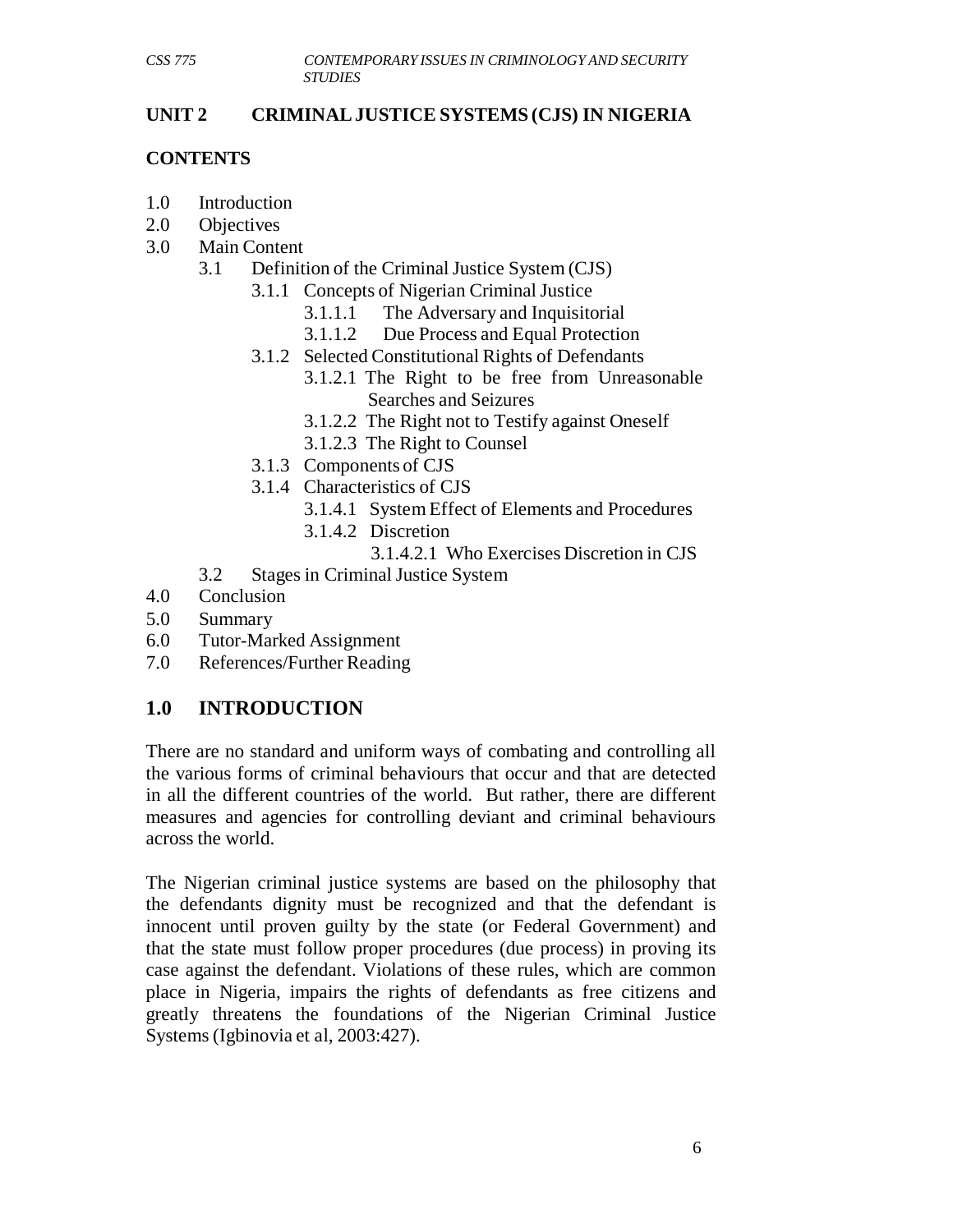#### **UNIT 2 CRIMINAL JUSTICE SYSTEMS (CJS) IN NIGERIA**

### **CONTENTS**

- 1.0 Introduction
- 2.0 Objectives
- 3.0 Main Content
	- 3.1 Definition of the Criminal Justice System (CJS)
		- 3.1.1 Concepts of Nigerian Criminal Justice
			- 3.1.1.1 The Adversary and Inquisitorial
			- 3.1.1.2 Due Process and Equal Protection
		- 3.1.2 Selected Constitutional Rights of Defendants
			- 3.1.2.1 The Right to be free from Unreasonable Searches and Seizures
				- 3.1.2.2 The Right not to Testify against Oneself
				- 3.1.2.3 The Right to Counsel
		- 3.1.3 Components of CJS
		- 3.1.4 Characteristics of CJS
			- 3.1.4.1 System Effect of Elements and Procedures
			- 3.1.4.2 Discretion
				- 3.1.4.2.1 Who Exercises Discretion in CJS
	- 3.2 Stages in Criminal Justice System
- 4.0 Conclusion
- 5.0 Summary
- 6.0 Tutor-Marked Assignment
- 7.0 References/Further Reading

# **1.0 INTRODUCTION**

There are no standard and uniform ways of combating and controlling all the various forms of criminal behaviours that occur and that are detected in all the different countries of the world. But rather, there are different measures and agencies for controlling deviant and criminal behaviours across the world.

The Nigerian criminal justice systems are based on the philosophy that the defendants dignity must be recognized and that the defendant is innocent until proven guilty by the state (or Federal Government) and that the state must follow proper procedures (due process) in proving its case against the defendant. Violations of these rules, which are common place in Nigeria, impairs the rights of defendants as free citizens and greatly threatens the foundations of the Nigerian Criminal Justice Systems (Igbinovia et al, 2003:427).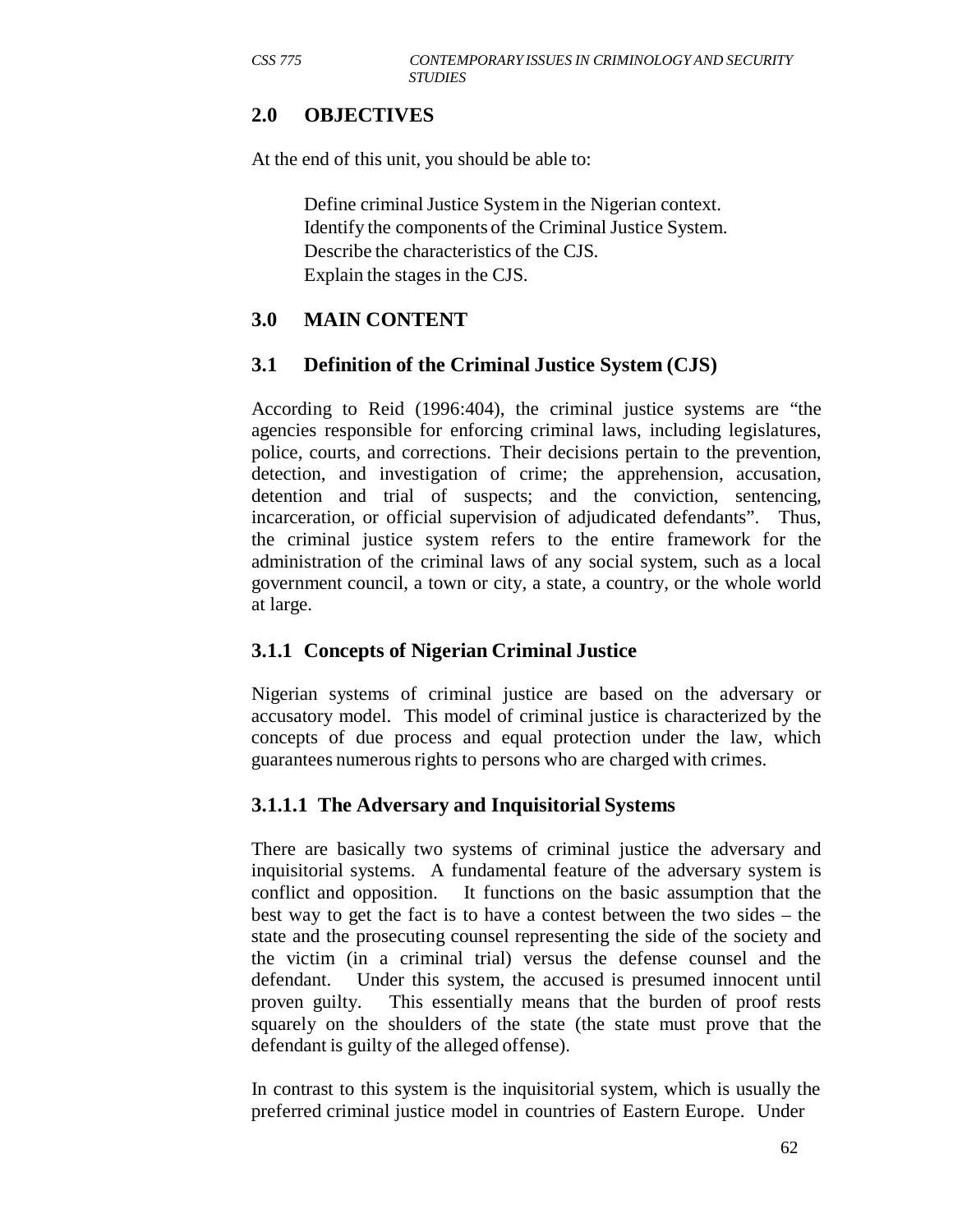## **2.0 OBJECTIVES**

At the end of this unit, you should be able to:

Define criminal Justice System in the Nigerian context. Identify the components of the Criminal Justice System. Describe the characteristics of the CJS. Explain the stages in the CJS.

## **3.0 MAIN CONTENT**

### **3.1 Definition of the Criminal Justice System (CJS)**

According to Reid (1996:404), the criminal justice systems are "the agencies responsible for enforcing criminal laws, including legislatures, police, courts, and corrections. Their decisions pertain to the prevention, detection, and investigation of crime; the apprehension, accusation, detention and trial of suspects; and the conviction, sentencing, incarceration, or official supervision of adjudicated defendants". Thus, the criminal justice system refers to the entire framework for the administration of the criminal laws of any social system, such as a local government council, a town or city, a state, a country, or the whole world at large.

## **3.1.1 Concepts of Nigerian Criminal Justice**

Nigerian systems of criminal justice are based on the adversary or accusatory model. This model of criminal justice is characterized by the concepts of due process and equal protection under the law, which guarantees numerous rights to persons who are charged with crimes.

## **3.1.1.1 The Adversary and Inquisitorial Systems**

There are basically two systems of criminal justice the adversary and inquisitorial systems. A fundamental feature of the adversary system is conflict and opposition. It functions on the basic assumption that the best way to get the fact is to have a contest between the two sides – the state and the prosecuting counsel representing the side of the society and the victim (in a criminal trial) versus the defense counsel and the defendant. Under this system, the accused is presumed innocent until proven guilty. This essentially means that the burden of proof rests squarely on the shoulders of the state (the state must prove that the defendant is guilty of the alleged offense).

In contrast to this system is the inquisitorial system, which is usually the preferred criminal justice model in countries of Eastern Europe. Under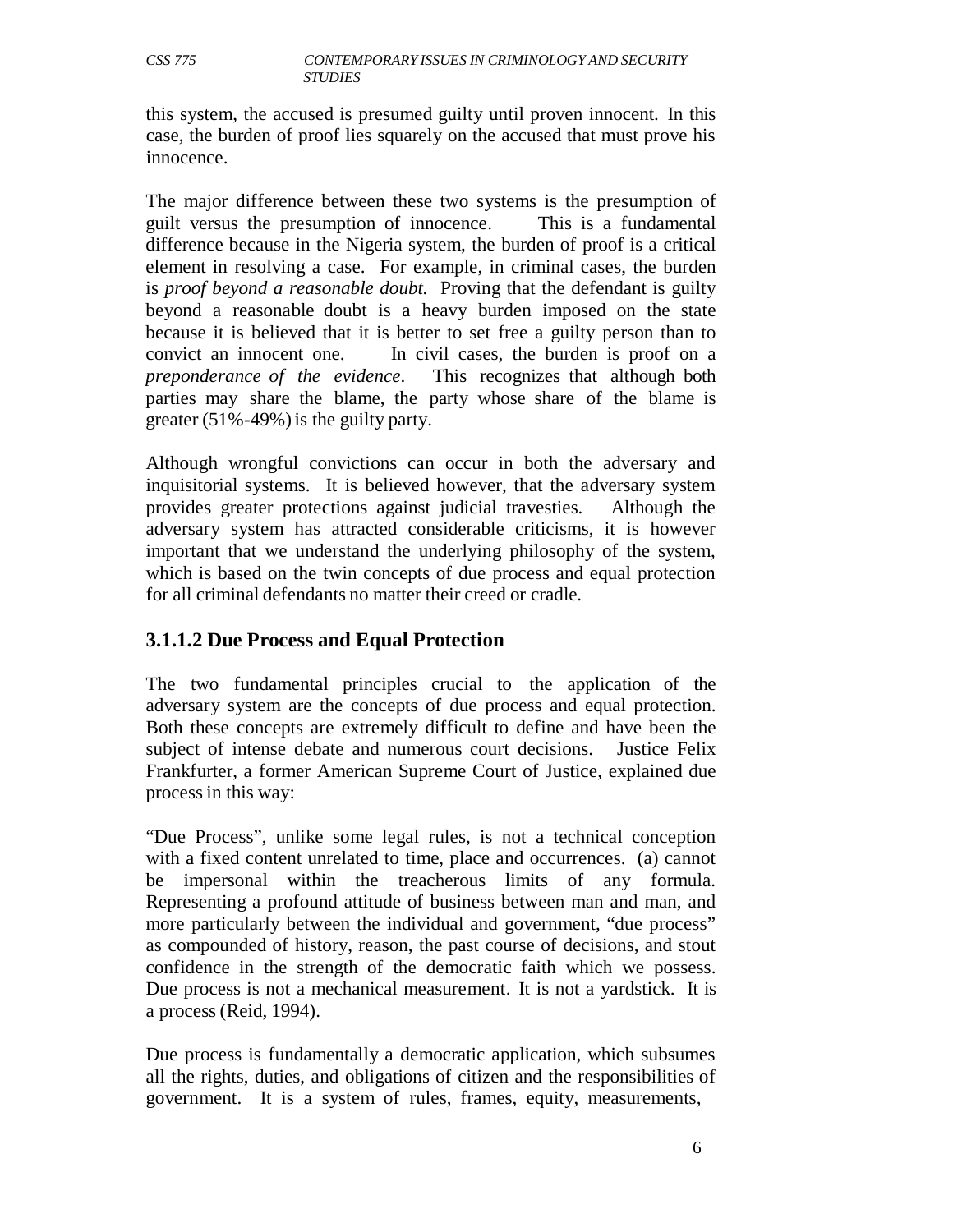this system, the accused is presumed guilty until proven innocent. In this case, the burden of proof lies squarely on the accused that must prove his innocence.

The major difference between these two systems is the presumption of guilt versus the presumption of innocence. This is a fundamental difference because in the Nigeria system, the burden of proof is a critical element in resolving a case. For example, in criminal cases, the burden is *proof beyond a reasonable doubt.* Proving that the defendant is guilty beyond a reasonable doubt is a heavy burden imposed on the state because it is believed that it is better to set free a guilty person than to convict an innocent one. In civil cases, the burden is proof on a *preponderance of the evidence*. This recognizes that although both parties may share the blame, the party whose share of the blame is greater (51%-49%) is the guilty party.

Although wrongful convictions can occur in both the adversary and inquisitorial systems. It is believed however, that the adversary system provides greater protections against judicial travesties. Although the adversary system has attracted considerable criticisms, it is however important that we understand the underlying philosophy of the system, which is based on the twin concepts of due process and equal protection for all criminal defendants no matter their creed or cradle.

## **3.1.1.2 Due Process and Equal Protection**

The two fundamental principles crucial to the application of the adversary system are the concepts of due process and equal protection. Both these concepts are extremely difficult to define and have been the subject of intense debate and numerous court decisions. Justice Felix Frankfurter, a former American Supreme Court of Justice, explained due process in this way:

"Due Process", unlike some legal rules, is not a technical conception with a fixed content unrelated to time, place and occurrences. (a) cannot be impersonal within the treacherous limits of any formula. Representing a profound attitude of business between man and man, and more particularly between the individual and government, "due process" as compounded of history, reason, the past course of decisions, and stout confidence in the strength of the democratic faith which we possess. Due process is not a mechanical measurement. It is not a yardstick. It is a process (Reid, 1994).

Due process is fundamentally a democratic application, which subsumes all the rights, duties, and obligations of citizen and the responsibilities of government. It is a system of rules, frames, equity, measurements,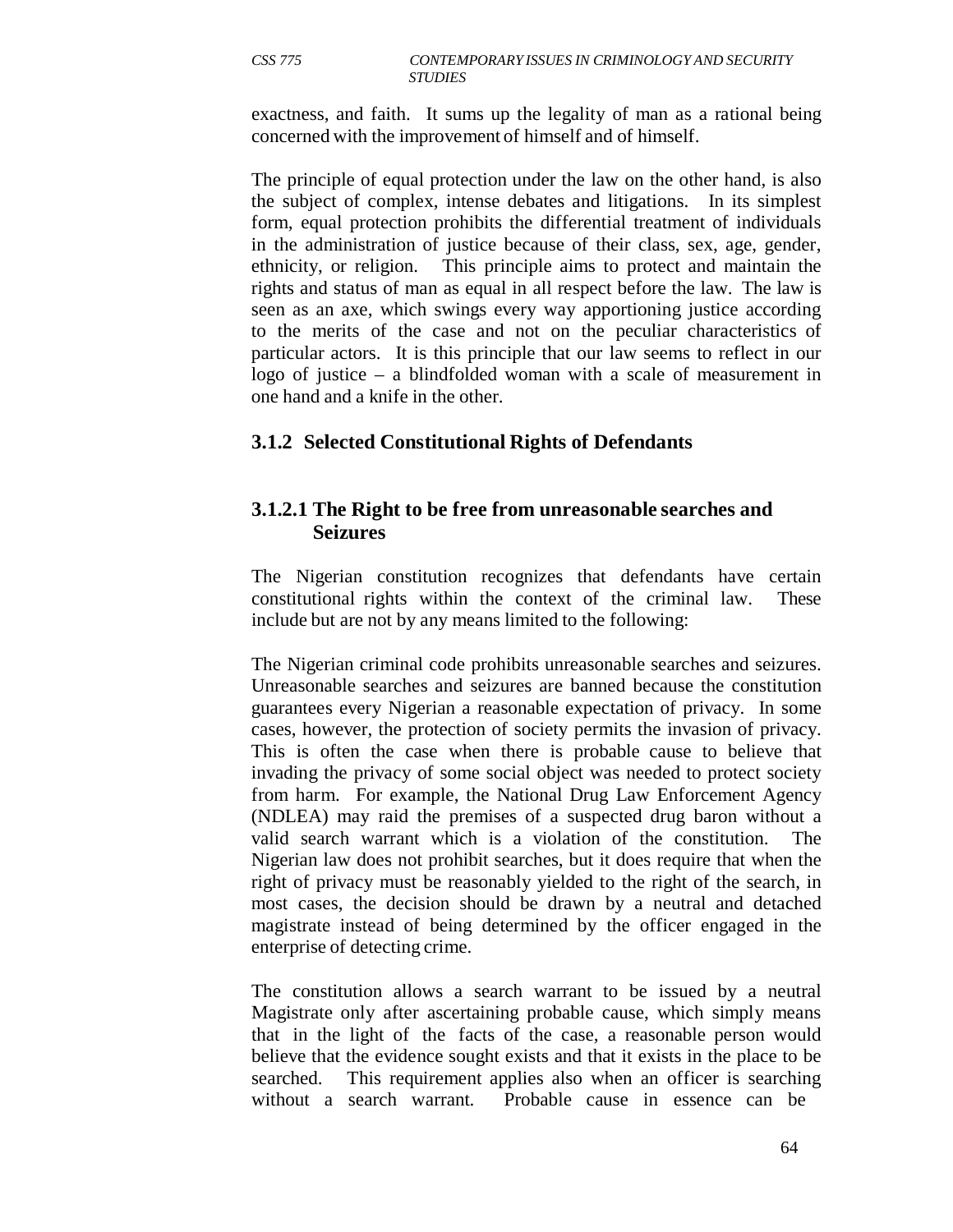exactness, and faith. It sums up the legality of man as a rational being concerned with the improvement of himself and of himself.

The principle of equal protection under the law on the other hand, is also the subject of complex, intense debates and litigations. In its simplest form, equal protection prohibits the differential treatment of individuals in the administration of justice because of their class, sex, age, gender, ethnicity, or religion. This principle aims to protect and maintain the rights and status of man as equal in all respect before the law. The law is seen as an axe, which swings every way apportioning justice according to the merits of the case and not on the peculiar characteristics of particular actors. It is this principle that our law seems to reflect in our logo of justice – a blindfolded woman with a scale of measurement in one hand and a knife in the other.

## **3.1.2 Selected Constitutional Rights of Defendants**

## **3.1.2.1 The Right to be free from unreasonable searches and Seizures**

The Nigerian constitution recognizes that defendants have certain constitutional rights within the context of the criminal law. These include but are not by any means limited to the following:

The Nigerian criminal code prohibits unreasonable searches and seizures. Unreasonable searches and seizures are banned because the constitution guarantees every Nigerian a reasonable expectation of privacy. In some cases, however, the protection of society permits the invasion of privacy. This is often the case when there is probable cause to believe that invading the privacy of some social object was needed to protect society from harm. For example, the National Drug Law Enforcement Agency (NDLEA) may raid the premises of a suspected drug baron without a valid search warrant which is a violation of the constitution. The Nigerian law does not prohibit searches, but it does require that when the right of privacy must be reasonably yielded to the right of the search, in most cases, the decision should be drawn by a neutral and detached magistrate instead of being determined by the officer engaged in the enterprise of detecting crime.

The constitution allows a search warrant to be issued by a neutral Magistrate only after ascertaining probable cause, which simply means that in the light of the facts of the case, a reasonable person would believe that the evidence sought exists and that it exists in the place to be searched. This requirement applies also when an officer is searching without a search warrant. Probable cause in essence can be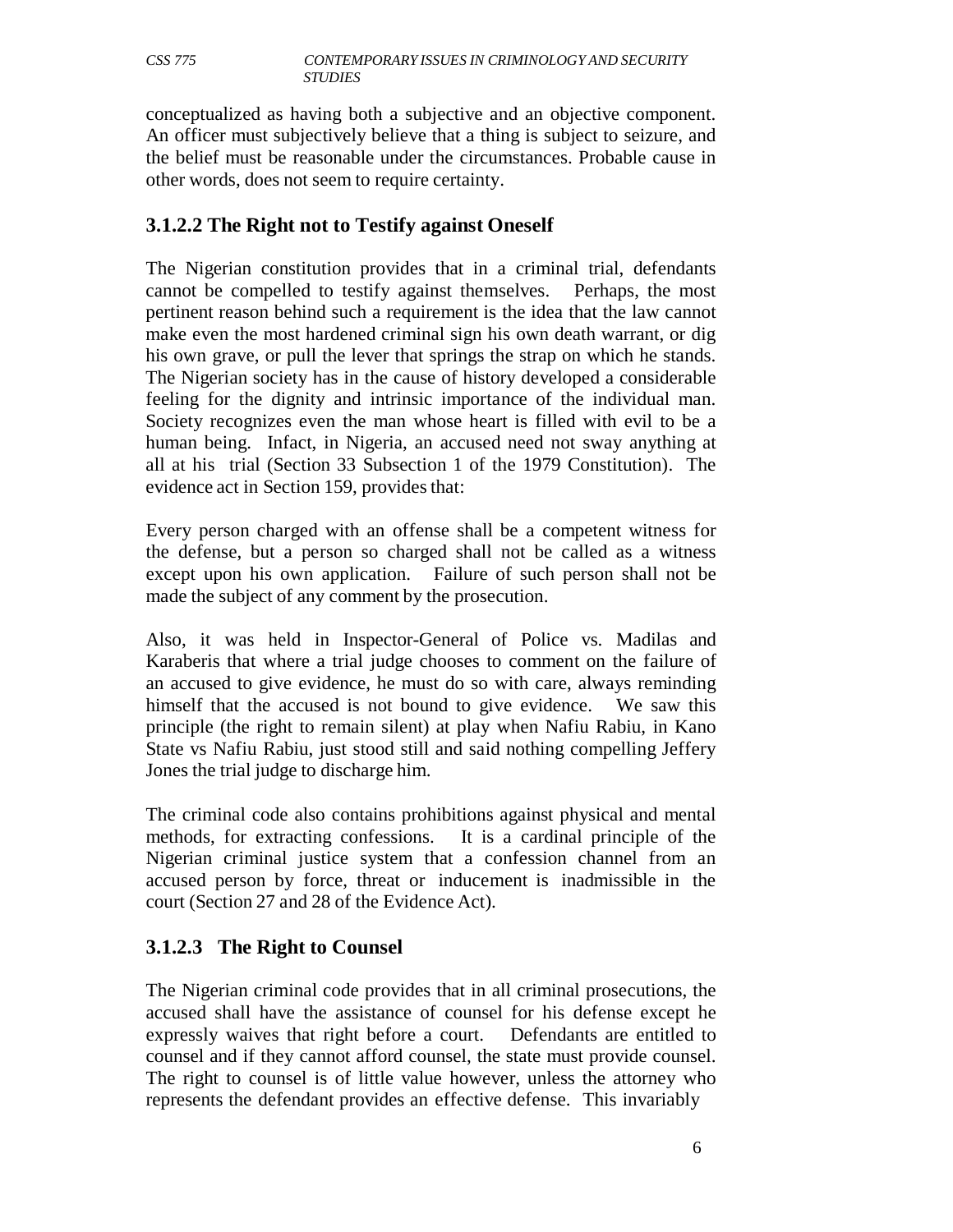conceptualized as having both a subjective and an objective component. An officer must subjectively believe that a thing is subject to seizure, and the belief must be reasonable under the circumstances. Probable cause in other words, does not seem to require certainty.

## **3.1.2.2 The Right not to Testify against Oneself**

The Nigerian constitution provides that in a criminal trial, defendants cannot be compelled to testify against themselves. Perhaps, the most pertinent reason behind such a requirement is the idea that the law cannot make even the most hardened criminal sign his own death warrant, or dig his own grave, or pull the lever that springs the strap on which he stands. The Nigerian society has in the cause of history developed a considerable feeling for the dignity and intrinsic importance of the individual man. Society recognizes even the man whose heart is filled with evil to be a human being. Infact, in Nigeria, an accused need not sway anything at all at his trial (Section 33 Subsection 1 of the 1979 Constitution). The evidence act in Section 159, provides that:

Every person charged with an offense shall be a competent witness for the defense, but a person so charged shall not be called as a witness except upon his own application. Failure of such person shall not be made the subject of any comment by the prosecution.

Also, it was held in Inspector-General of Police vs. Madilas and Karaberis that where a trial judge chooses to comment on the failure of an accused to give evidence, he must do so with care, always reminding himself that the accused is not bound to give evidence. We saw this principle (the right to remain silent) at play when Nafiu Rabiu, in Kano State vs Nafiu Rabiu, just stood still and said nothing compelling Jeffery Jones the trial judge to discharge him.

The criminal code also contains prohibitions against physical and mental methods, for extracting confessions. It is a cardinal principle of the Nigerian criminal justice system that a confession channel from an accused person by force, threat or inducement is inadmissible in the court (Section 27 and 28 of the Evidence Act).

## **3.1.2.3 The Right to Counsel**

The Nigerian criminal code provides that in all criminal prosecutions, the accused shall have the assistance of counsel for his defense except he expressly waives that right before a court. Defendants are entitled to counsel and if they cannot afford counsel, the state must provide counsel. The right to counsel is of little value however, unless the attorney who represents the defendant provides an effective defense. This invariably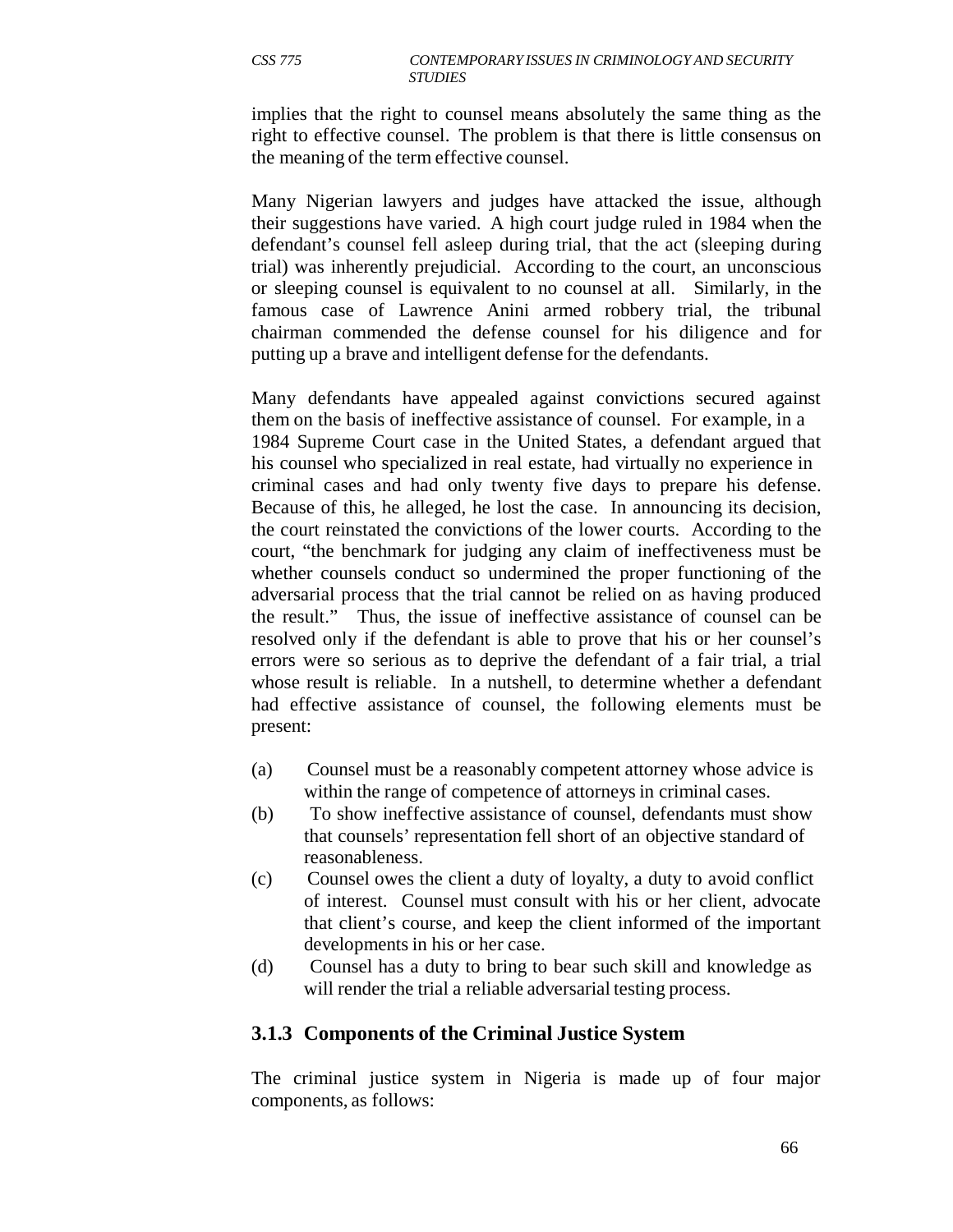implies that the right to counsel means absolutely the same thing as the right to effective counsel. The problem is that there is little consensus on the meaning of the term effective counsel.

Many Nigerian lawyers and judges have attacked the issue, although their suggestions have varied. A high court judge ruled in 1984 when the defendant's counsel fell asleep during trial, that the act (sleeping during trial) was inherently prejudicial. According to the court, an unconscious or sleeping counsel is equivalent to no counsel at all. Similarly, in the famous case of Lawrence Anini armed robbery trial, the tribunal chairman commended the defense counsel for his diligence and for putting up a brave and intelligent defense for the defendants.

Many defendants have appealed against convictions secured against them on the basis of ineffective assistance of counsel. For example, in a 1984 Supreme Court case in the United States, a defendant argued that his counsel who specialized in real estate, had virtually no experience in criminal cases and had only twenty five days to prepare his defense. Because of this, he alleged, he lost the case. In announcing its decision, the court reinstated the convictions of the lower courts. According to the court, "the benchmark for judging any claim of ineffectiveness must be whether counsels conduct so undermined the proper functioning of the adversarial process that the trial cannot be relied on as having produced the result." Thus, the issue of ineffective assistance of counsel can be resolved only if the defendant is able to prove that his or her counsel's errors were so serious as to deprive the defendant of a fair trial, a trial whose result is reliable. In a nutshell, to determine whether a defendant had effective assistance of counsel, the following elements must be present:

- (a) Counsel must be a reasonably competent attorney whose advice is within the range of competence of attorneys in criminal cases.
- (b) To show ineffective assistance of counsel, defendants must show that counsels' representation fell short of an objective standard of reasonableness.
- (c) Counsel owes the client a duty of loyalty, a duty to avoid conflict of interest. Counsel must consult with his or her client, advocate that client's course, and keep the client informed of the important developments in his or her case.
- (d) Counsel has a duty to bring to bear such skill and knowledge as will render the trial a reliable adversarial testing process.

## **3.1.3 Components of the Criminal Justice System**

The criminal justice system in Nigeria is made up of four major components, as follows: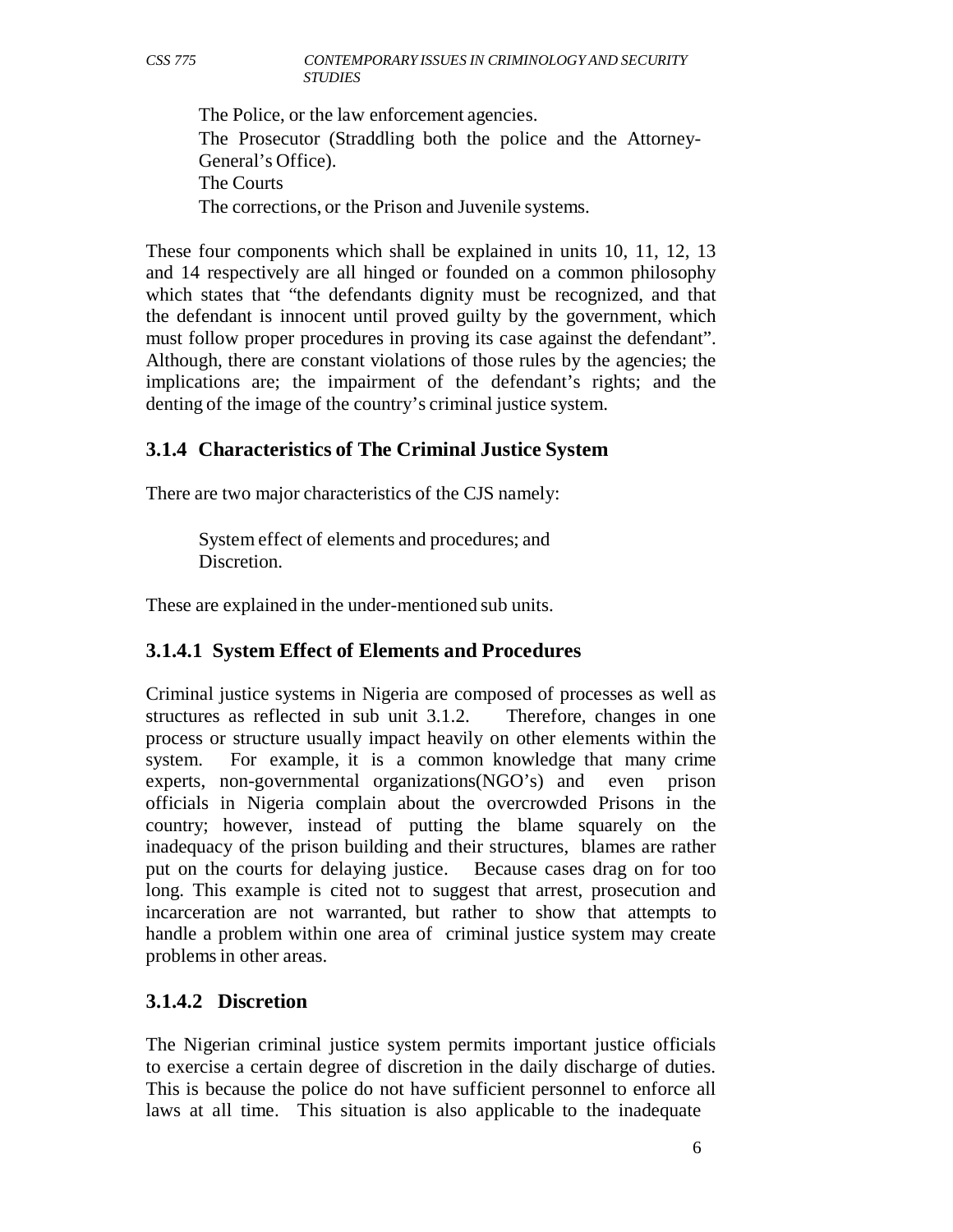The Police, or the law enforcement agencies. The Prosecutor (Straddling both the police and the Attorney-General's Office). The Courts The corrections, or the Prison and Juvenile systems.

These four components which shall be explained in units 10, 11, 12, 13 and 14 respectively are all hinged or founded on a common philosophy which states that "the defendants dignity must be recognized, and that the defendant is innocent until proved guilty by the government, which must follow proper procedures in proving its case against the defendant". Although, there are constant violations of those rules by the agencies; the implications are; the impairment of the defendant's rights; and the denting of the image of the country's criminal justice system.

## **3.1.4 Characteristics of The Criminal Justice System**

There are two major characteristics of the CJS namely:

System effect of elements and procedures; and Discretion.

These are explained in the under-mentioned sub units.

# **3.1.4.1 System Effect of Elements and Procedures**

Criminal justice systems in Nigeria are composed of processes as well as structures as reflected in sub unit 3.1.2. Therefore, changes in one process or structure usually impact heavily on other elements within the system. For example, it is a common knowledge that many crime experts, non-governmental organizations(NGO's) and even prison officials in Nigeria complain about the overcrowded Prisons in the country; however, instead of putting the blame squarely on the inadequacy of the prison building and their structures, blames are rather put on the courts for delaying justice. Because cases drag on for too long. This example is cited not to suggest that arrest, prosecution and incarceration are not warranted, but rather to show that attempts to handle a problem within one area of criminal justice system may create problems in other areas.

# **3.1.4.2 Discretion**

The Nigerian criminal justice system permits important justice officials to exercise a certain degree of discretion in the daily discharge of duties. This is because the police do not have sufficient personnel to enforce all laws at all time. This situation is also applicable to the inadequate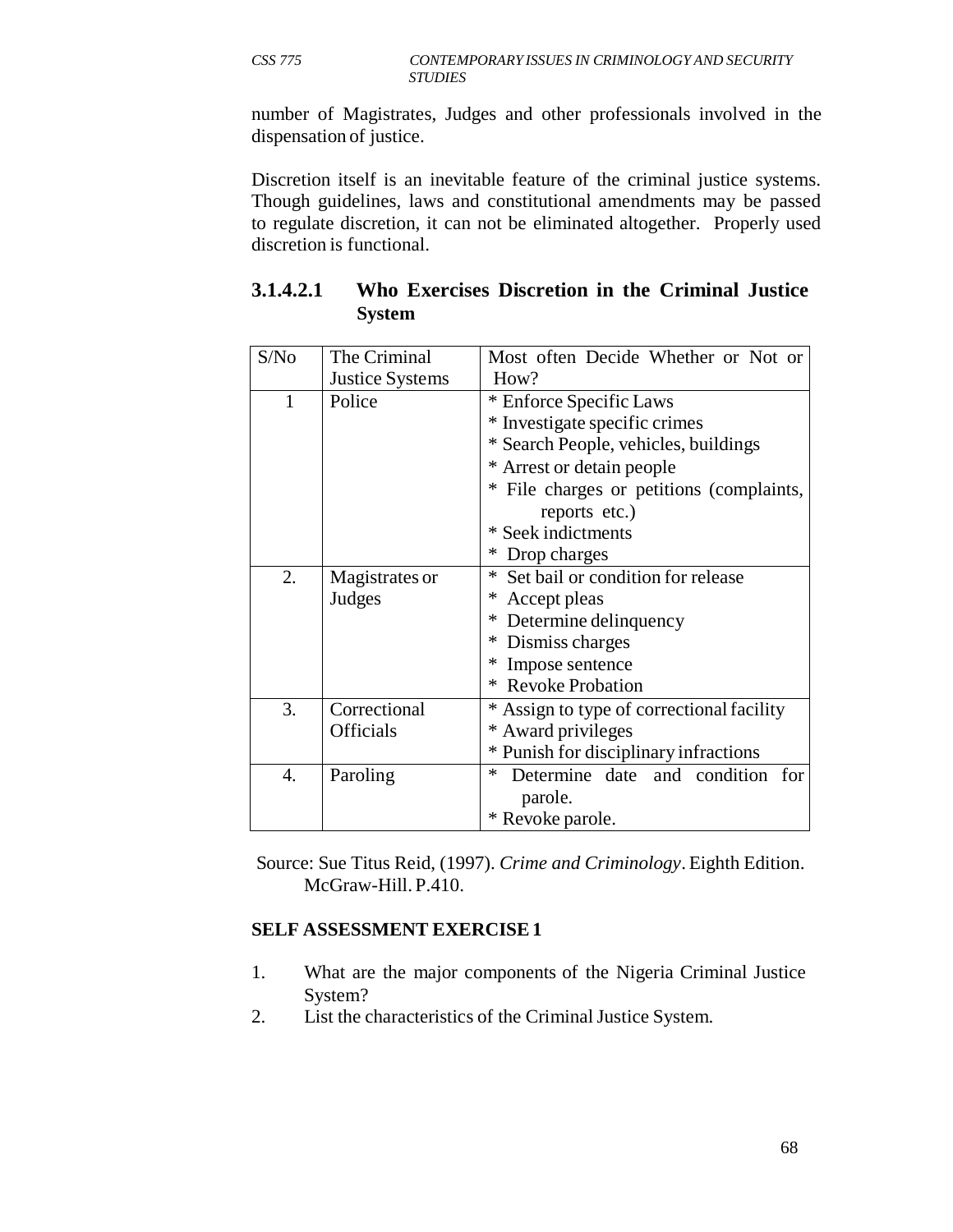number of Magistrates, Judges and other professionals involved in the dispensation of justice.

Discretion itself is an inevitable feature of the criminal justice systems. Though guidelines, laws and constitutional amendments may be passed to regulate discretion, it can not be eliminated altogether. Properly used discretion is functional.

| S/No | The Criminal           | Most often Decide Whether or Not or                                                    |  |  |  |  |  |
|------|------------------------|----------------------------------------------------------------------------------------|--|--|--|--|--|
|      | <b>Justice Systems</b> | How?                                                                                   |  |  |  |  |  |
| 1    | Police                 | * Enforce Specific Laws                                                                |  |  |  |  |  |
|      |                        | * Investigate specific crimes                                                          |  |  |  |  |  |
|      |                        | * Search People, vehicles, buildings                                                   |  |  |  |  |  |
|      |                        | * Arrest or detain people                                                              |  |  |  |  |  |
|      |                        | * File charges or petitions (complaints,                                               |  |  |  |  |  |
|      |                        | reports etc.)                                                                          |  |  |  |  |  |
|      |                        | * Seek indictments                                                                     |  |  |  |  |  |
|      |                        | Drop charges<br>∗                                                                      |  |  |  |  |  |
| 2.   | Magistrates or         | * Set bail or condition for release                                                    |  |  |  |  |  |
|      | Judges                 | ∗<br>Accept pleas<br>* Determine delinquency<br>* Dismiss charges<br>* Impose sentence |  |  |  |  |  |
|      |                        |                                                                                        |  |  |  |  |  |
|      |                        |                                                                                        |  |  |  |  |  |
|      |                        |                                                                                        |  |  |  |  |  |
|      |                        | * Revoke Probation                                                                     |  |  |  |  |  |
| 3.   | Correctional           | * Assign to type of correctional facility                                              |  |  |  |  |  |
|      | Officials              | * Award privileges                                                                     |  |  |  |  |  |
|      |                        | * Punish for disciplinary infractions                                                  |  |  |  |  |  |
| 4.   | Paroling               | Determine date and condition<br>$\ast$<br>for                                          |  |  |  |  |  |
|      |                        | parole.                                                                                |  |  |  |  |  |
|      |                        | * Revoke parole.                                                                       |  |  |  |  |  |

| 3.1.4.2.1 Who Exercises Discretion in the Criminal Justice |  |  |  |
|------------------------------------------------------------|--|--|--|
| <b>System</b>                                              |  |  |  |

Source: Sue Titus Reid, (1997). *Crime and Criminology*. Eighth Edition. McGraw-Hill. P.410.

## **SELF ASSESSMENT EXERCISE 1**

- 1. What are the major components of the Nigeria Criminal Justice System?
- 2. List the characteristics of the Criminal Justice System.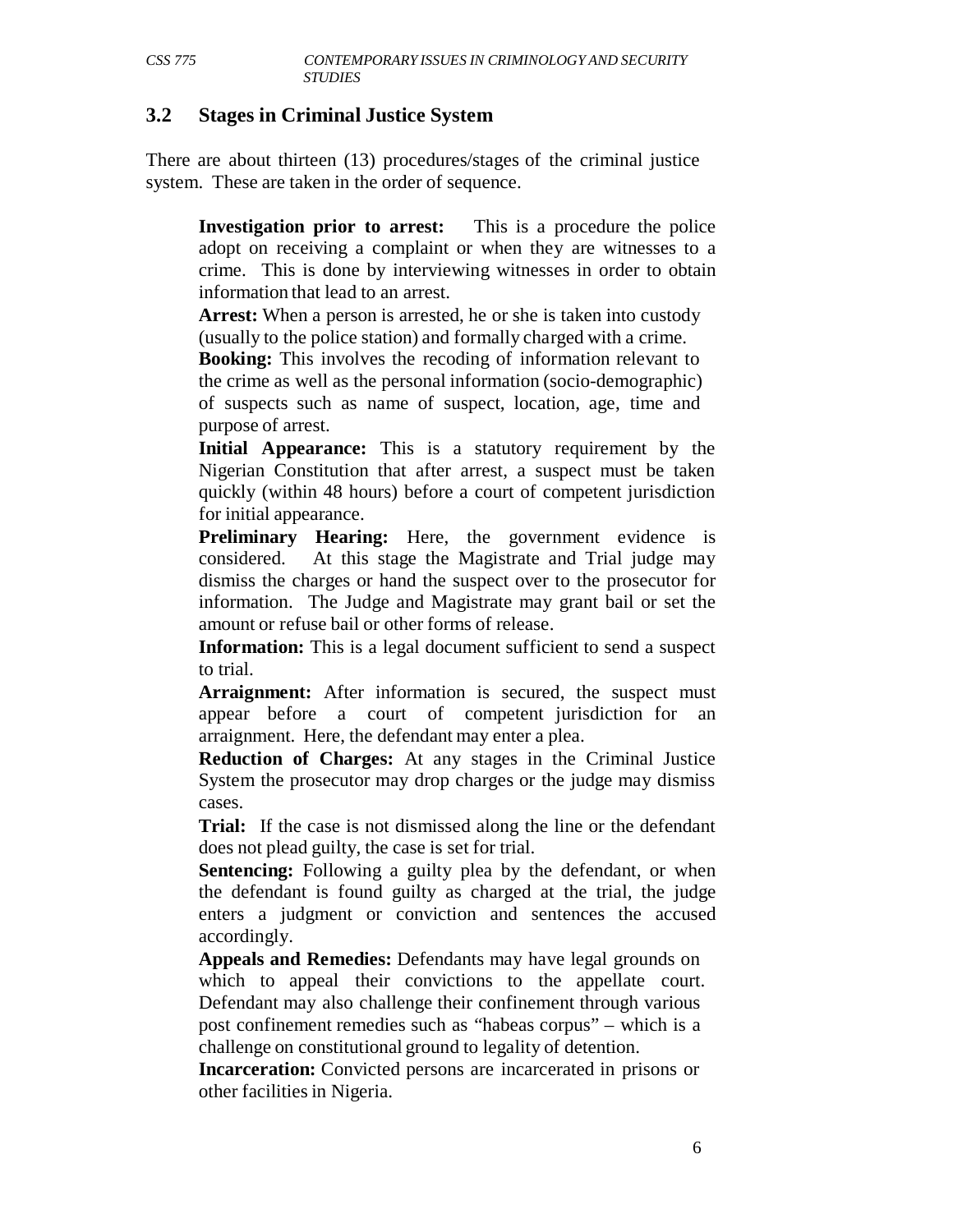#### **3.2 Stages in Criminal Justice System**

There are about thirteen (13) procedures/stages of the criminal justice system. These are taken in the order of sequence.

**Investigation prior to arrest:** This is a procedure the police adopt on receiving a complaint or when they are witnesses to a crime. This is done by interviewing witnesses in order to obtain information that lead to an arrest.

**Arrest:** When a person is arrested, he or she is taken into custody (usually to the police station) and formally charged with a crime.

**Booking:** This involves the recoding of information relevant to the crime as well as the personal information (socio-demographic) of suspects such as name of suspect, location, age, time and purpose of arrest.

**Initial Appearance:** This is a statutory requirement by the Nigerian Constitution that after arrest, a suspect must be taken quickly (within 48 hours) before a court of competent jurisdiction for initial appearance.

**Preliminary Hearing:** Here, the government evidence is considered. At this stage the Magistrate and Trial judge may dismiss the charges or hand the suspect over to the prosecutor for information. The Judge and Magistrate may grant bail or set the amount or refuse bail or other forms of release.

**Information:** This is a legal document sufficient to send a suspect to trial.

Arraignment: After information is secured, the suspect must appear before a court of competent jurisdiction for an arraignment. Here, the defendant may enter a plea.

**Reduction of Charges:** At any stages in the Criminal Justice System the prosecutor may drop charges or the judge may dismiss cases.

**Trial:** If the case is not dismissed along the line or the defendant does not plead guilty, the case is set for trial.

**Sentencing:** Following a guilty plea by the defendant, or when the defendant is found guilty as charged at the trial, the judge enters a judgment or conviction and sentences the accused accordingly.

**Appeals and Remedies:** Defendants may have legal grounds on which to appeal their convictions to the appellate court. Defendant may also challenge their confinement through various post confinement remedies such as "habeas corpus" – which is a challenge on constitutional ground to legality of detention.

**Incarceration:** Convicted persons are incarcerated in prisons or other facilities in Nigeria.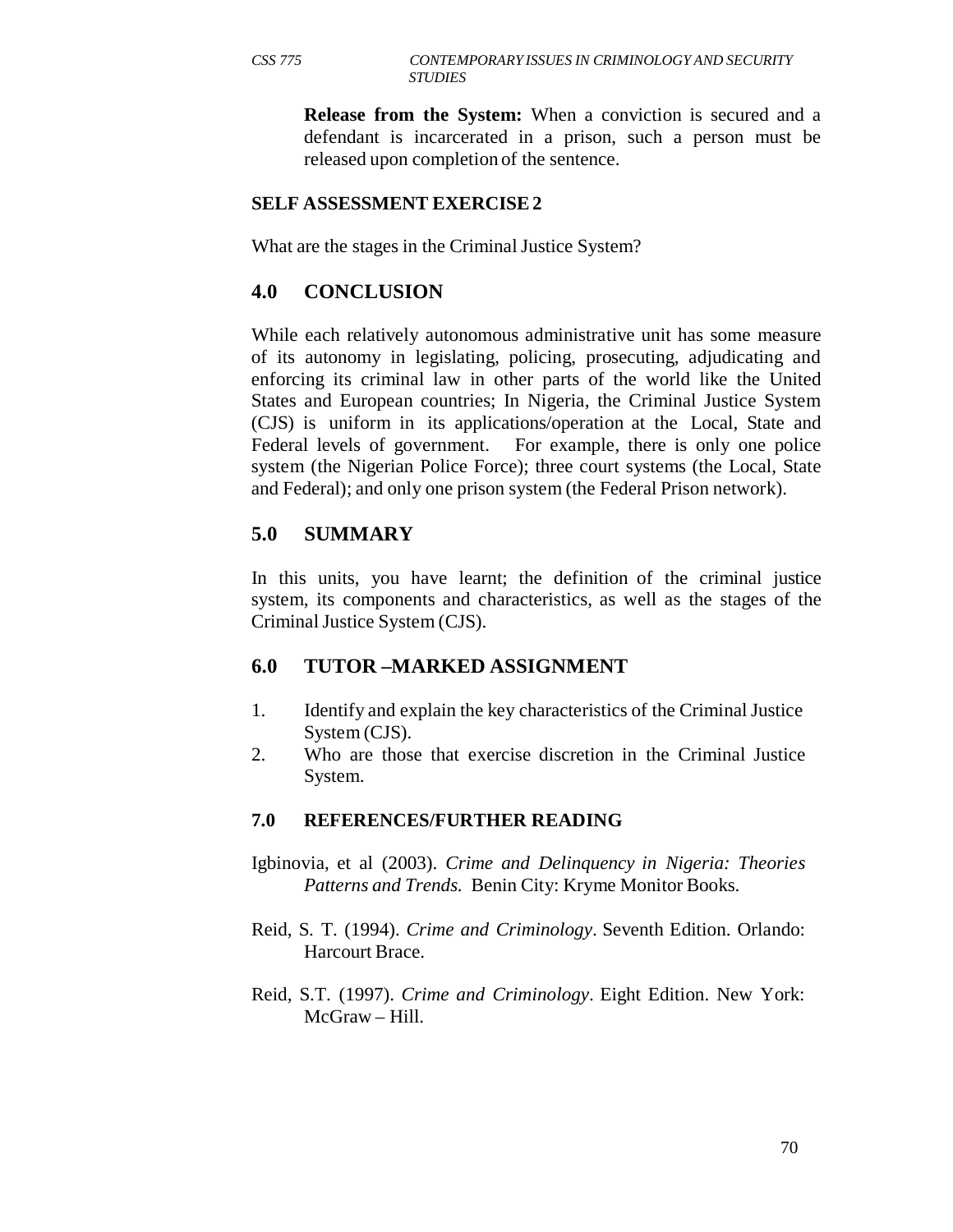**Release from the System:** When a conviction is secured and a defendant is incarcerated in a prison, such a person must be released upon completion of the sentence.

#### **SELF ASSESSMENT EXERCISE 2**

What are the stages in the Criminal Justice System?

## **4.0 CONCLUSION**

While each relatively autonomous administrative unit has some measure of its autonomy in legislating, policing, prosecuting, adjudicating and enforcing its criminal law in other parts of the world like the United States and European countries; In Nigeria, the Criminal Justice System (CJS) is uniform in its applications/operation at the Local, State and Federal levels of government. For example, there is only one police system (the Nigerian Police Force); three court systems (the Local, State and Federal); and only one prison system (the Federal Prison network).

## **5.0 SUMMARY**

In this units, you have learnt; the definition of the criminal justice system, its components and characteristics, as well as the stages of the Criminal Justice System (CJS).

## **6.0 TUTOR –MARKED ASSIGNMENT**

- 1. Identify and explain the key characteristics of the Criminal Justice System (CJS).
- 2. Who are those that exercise discretion in the Criminal Justice System.

#### **7.0 REFERENCES/FURTHER READING**

- Igbinovia, et al (2003). *Crime and Delinquency in Nigeria: Theories Patterns and Trends.* Benin City: Kryme Monitor Books.
- Reid, S. T. (1994). *Crime and Criminology*. Seventh Edition. Orlando: Harcourt Brace.
- Reid, S.T. (1997). *Crime and Criminology*. Eight Edition. New York: McGraw – Hill.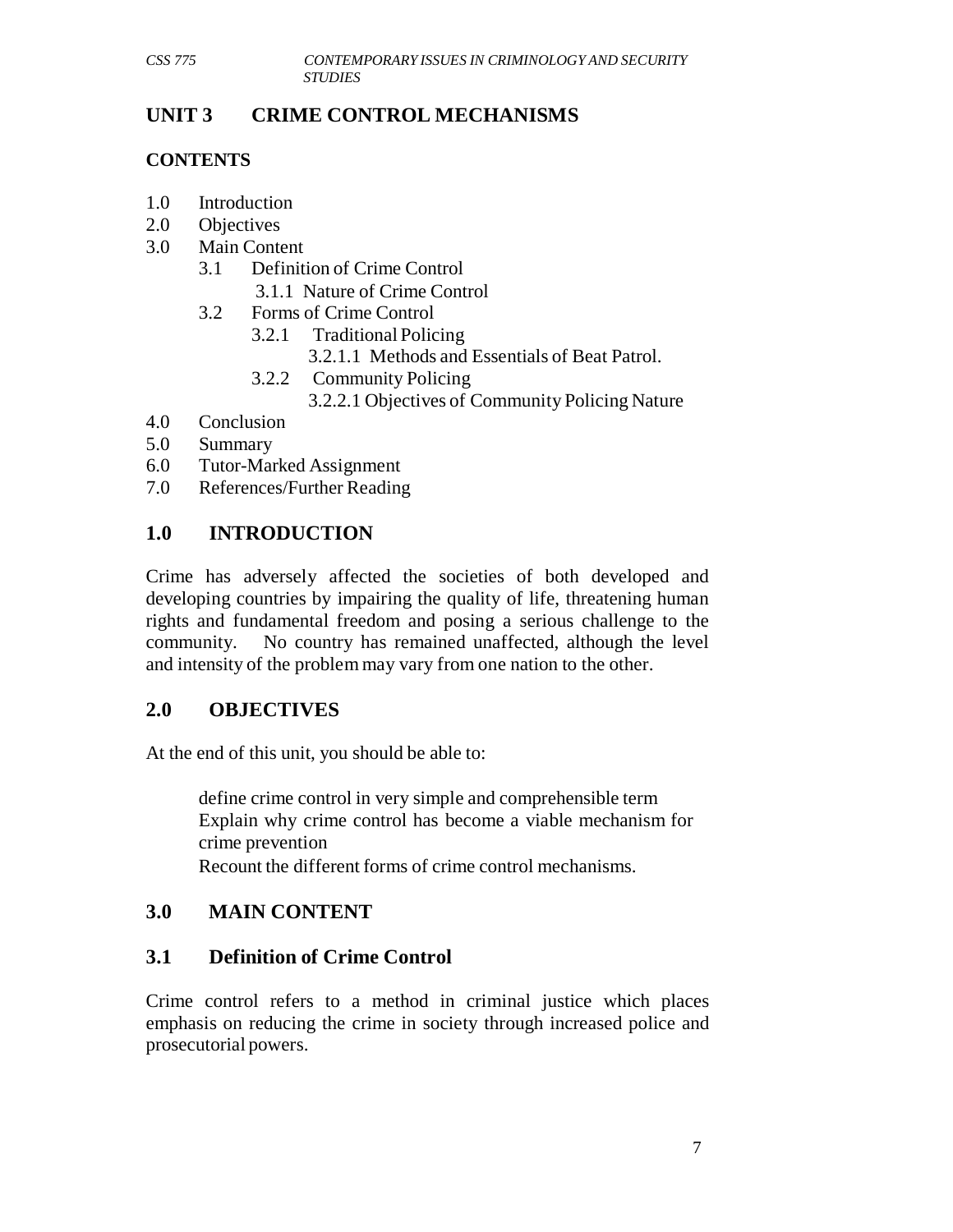# **UNIT 3 CRIME CONTROL MECHANISMS**

### **CONTENTS**

- 1.0 Introduction
- 2.0 Objectives
- 3.0 Main Content
	- 3.1 Definition of Crime Control 3.1.1 Nature of Crime Control
	- 3.2 Forms of Crime Control
		- 3.2.1 Traditional Policing
			- 3.2.1.1 Methods and Essentials of Beat Patrol.
		- 3.2.2 Community Policing
			- 3.2.2.1 Objectives of Community Policing Nature
- 4.0 Conclusion
- 5.0 Summary
- 6.0 Tutor-Marked Assignment
- 7.0 References/Further Reading

# **1.0 INTRODUCTION**

Crime has adversely affected the societies of both developed and developing countries by impairing the quality of life, threatening human rights and fundamental freedom and posing a serious challenge to the community. No country has remained unaffected, although the level and intensity of the problem may vary from one nation to the other.

## **2.0 OBJECTIVES**

At the end of this unit, you should be able to:

define crime control in very simple and comprehensible term Explain why crime control has become a viable mechanism for crime prevention

Recount the different forms of crime control mechanisms.

# **3.0 MAIN CONTENT**

## **3.1 Definition of Crime Control**

Crime control refers to a method in criminal justice which places emphasis on reducing the crime in society through increased police and prosecutorial powers.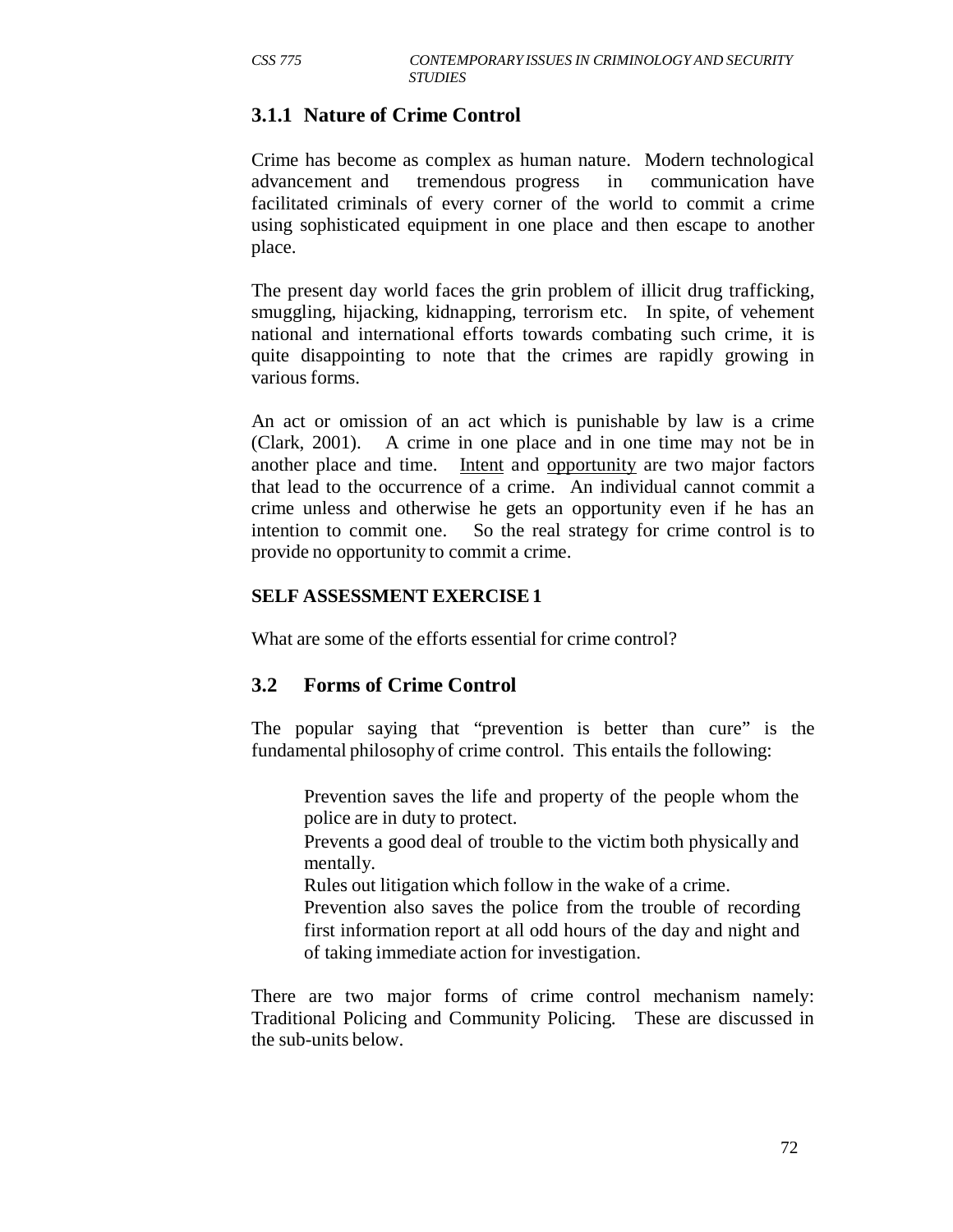## **3.1.1 Nature of Crime Control**

Crime has become as complex as human nature. Modern technological advancement and tremendous progress in communication have facilitated criminals of every corner of the world to commit a crime using sophisticated equipment in one place and then escape to another place.

The present day world faces the grin problem of illicit drug trafficking, smuggling, hijacking, kidnapping, terrorism etc. In spite, of vehement national and international efforts towards combating such crime, it is quite disappointing to note that the crimes are rapidly growing in various forms.

An act or omission of an act which is punishable by law is a crime (Clark, 2001). A crime in one place and in one time may not be in another place and time. Intent and opportunity are two major factors that lead to the occurrence of a crime. An individual cannot commit a crime unless and otherwise he gets an opportunity even if he has an intention to commit one. So the real strategy for crime control is to provide no opportunity to commit a crime.

#### **SELF ASSESSMENT EXERCISE 1**

What are some of the efforts essential for crime control?

## **3.2 Forms of Crime Control**

The popular saying that "prevention is better than cure" is the fundamental philosophy of crime control. This entails the following:

Prevention saves the life and property of the people whom the police are in duty to protect.

Prevents a good deal of trouble to the victim both physically and mentally.

Rules out litigation which follow in the wake of a crime.

Prevention also saves the police from the trouble of recording first information report at all odd hours of the day and night and of taking immediate action for investigation.

There are two major forms of crime control mechanism namely: Traditional Policing and Community Policing. These are discussed in the sub-units below.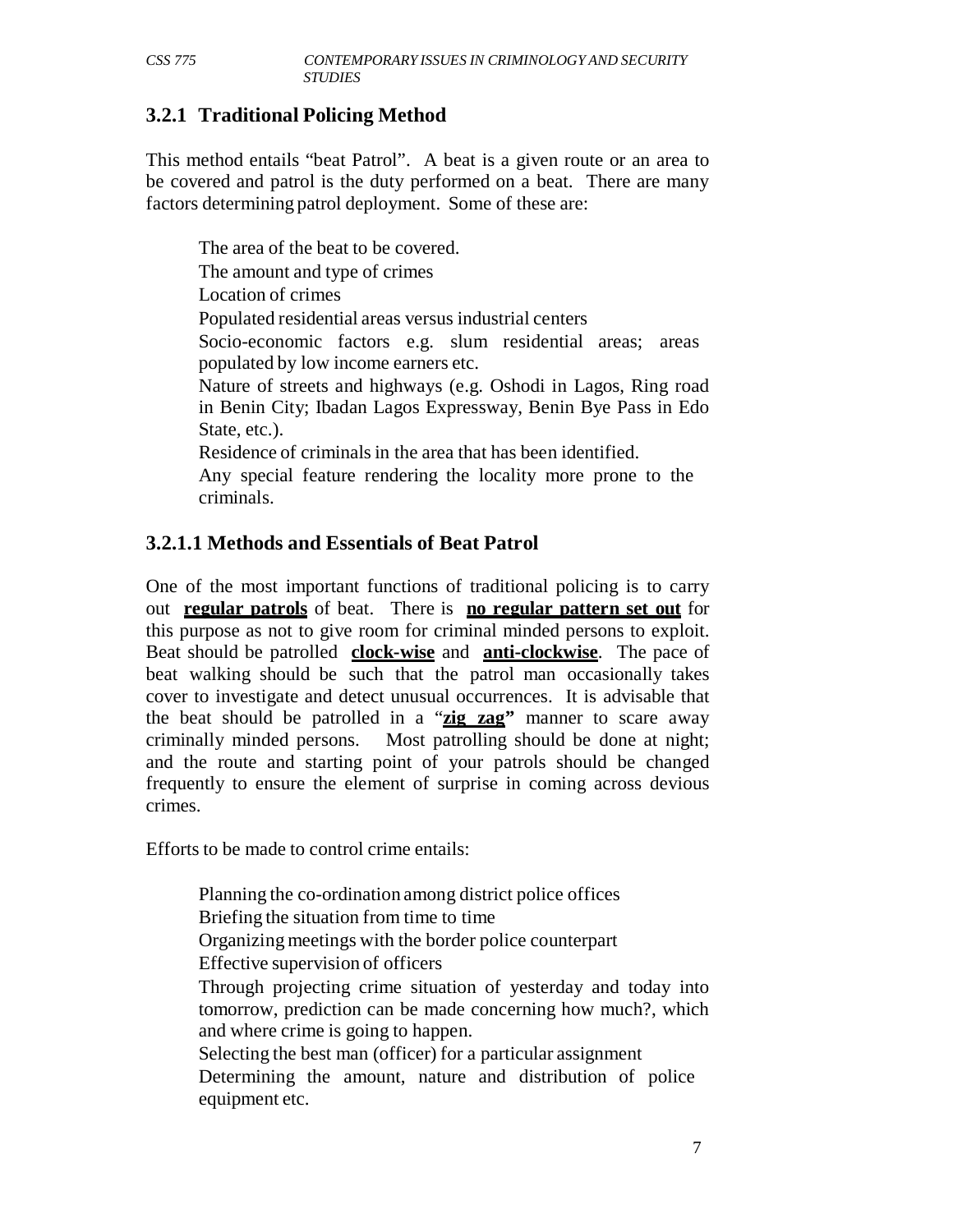# **3.2.1 Traditional Policing Method**

This method entails "beat Patrol". A beat is a given route or an area to be covered and patrol is the duty performed on a beat. There are many factors determining patrol deployment. Some of these are:

The area of the beat to be covered. The amount and type of crimes Location of crimes Populated residential areas versus industrial centers Socio-economic factors e.g. slum residential areas; areas populated by low income earners etc. Nature of streets and highways (e.g. Oshodi in Lagos, Ring road in Benin City; Ibadan Lagos Expressway, Benin Bye Pass in Edo State, etc.). Residence of criminals in the area that has been identified. Any special feature rendering the locality more prone to the criminals.

## **3.2.1.1 Methods and Essentials of Beat Patrol**

One of the most important functions of traditional policing is to carry out **regular patrols** of beat. There is **no regular pattern set out** for this purpose as not to give room for criminal minded persons to exploit. Beat should be patrolled **clock-wise** and **anti-clockwise**. The pace of beat walking should be such that the patrol man occasionally takes cover to investigate and detect unusual occurrences. It is advisable that the beat should be patrolled in a "**zig zag"** manner to scare away criminally minded persons. Most patrolling should be done at night; and the route and starting point of your patrols should be changed frequently to ensure the element of surprise in coming across devious crimes.

Efforts to be made to control crime entails:

Planning the co-ordination among district police offices Briefing the situation from time to time Organizing meetings with the border police counterpart Effective supervision of officers Through projecting crime situation of yesterday and today into tomorrow, prediction can be made concerning how much?, which and where crime is going to happen. Selecting the best man (officer) for a particular assignment Determining the amount, nature and distribution of police equipment etc.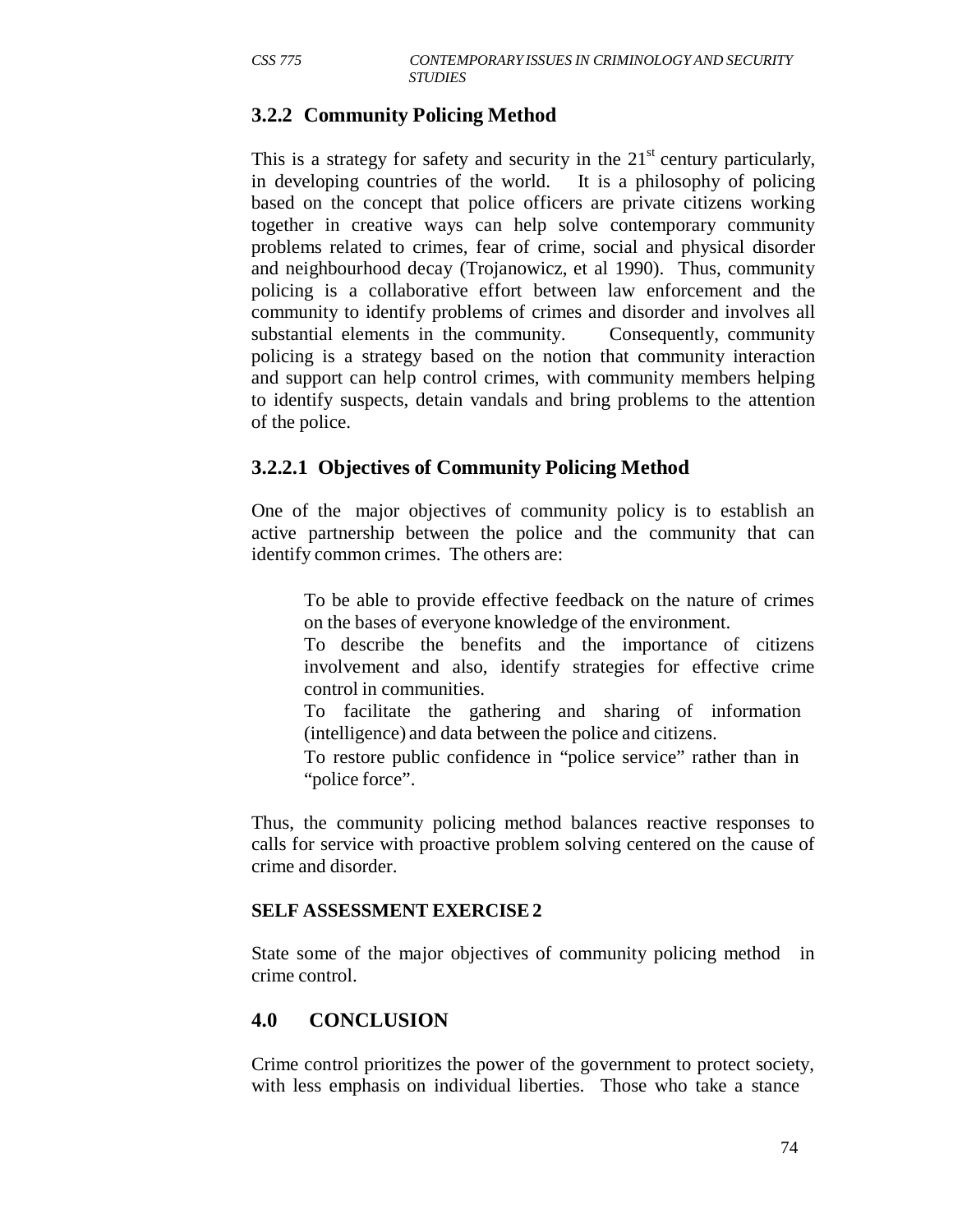# **3.2.2 Community Policing Method**

This is a strategy for safety and security in the  $21<sup>st</sup>$  century particularly, in developing countries of the world. It is a philosophy of policing based on the concept that police officers are private citizens working together in creative ways can help solve contemporary community problems related to crimes, fear of crime, social and physical disorder and neighbourhood decay (Trojanowicz, et al 1990). Thus, community policing is a collaborative effort between law enforcement and the community to identify problems of crimes and disorder and involves all substantial elements in the community. Consequently, community policing is a strategy based on the notion that community interaction and support can help control crimes, with community members helping to identify suspects, detain vandals and bring problems to the attention of the police.

## **3.2.2.1 Objectives of Community Policing Method**

One of the major objectives of community policy is to establish an active partnership between the police and the community that can identify common crimes. The others are:

To be able to provide effective feedback on the nature of crimes on the bases of everyone knowledge of the environment.

To describe the benefits and the importance of citizens involvement and also, identify strategies for effective crime control in communities.

To facilitate the gathering and sharing of information (intelligence) and data between the police and citizens.

To restore public confidence in "police service" rather than in "police force".

Thus, the community policing method balances reactive responses to calls for service with proactive problem solving centered on the cause of crime and disorder.

## **SELF ASSESSMENT EXERCISE 2**

State some of the major objectives of community policing method in crime control.

# **4.0 CONCLUSION**

Crime control prioritizes the power of the government to protect society, with less emphasis on individual liberties. Those who take a stance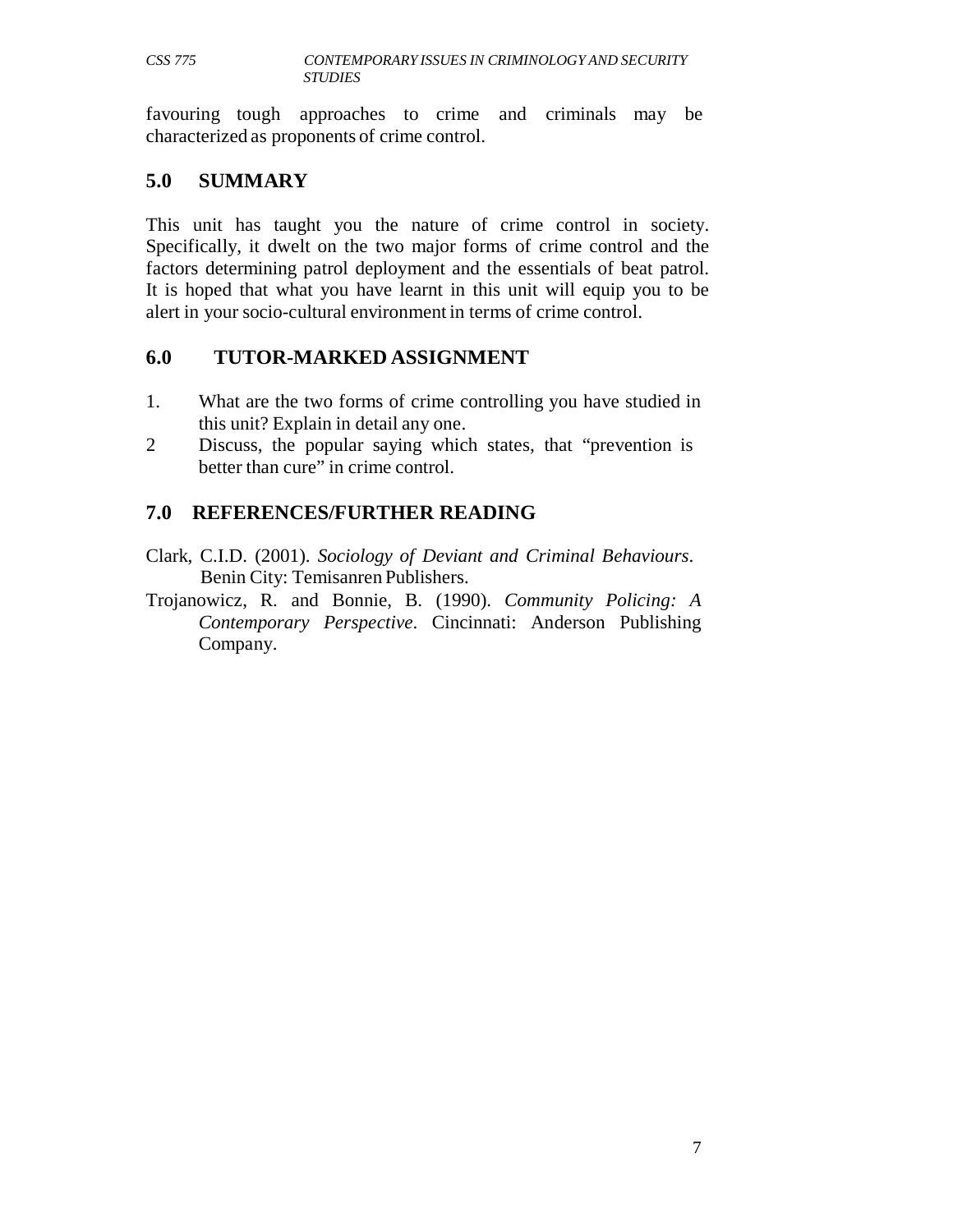favouring tough approaches to crime and criminals may be characterized as proponents of crime control.

### **5.0 SUMMARY**

This unit has taught you the nature of crime control in society. Specifically, it dwelt on the two major forms of crime control and the factors determining patrol deployment and the essentials of beat patrol. It is hoped that what you have learnt in this unit will equip you to be alert in your socio-cultural environment in terms of crime control.

## **6.0 TUTOR-MARKED ASSIGNMENT**

- 1. What are the two forms of crime controlling you have studied in this unit? Explain in detail any one.
- 2 Discuss, the popular saying which states, that "prevention is better than cure" in crime control.

# **7.0 REFERENCES/FURTHER READING**

- Clark, C.I.D. (2001). *Sociology of Deviant and Criminal Behaviours*. Benin City: Temisanren Publishers.
- Trojanowicz, R. and Bonnie, B. (1990). *Community Policing: A Contemporary Perspective*. Cincinnati: Anderson Publishing Company.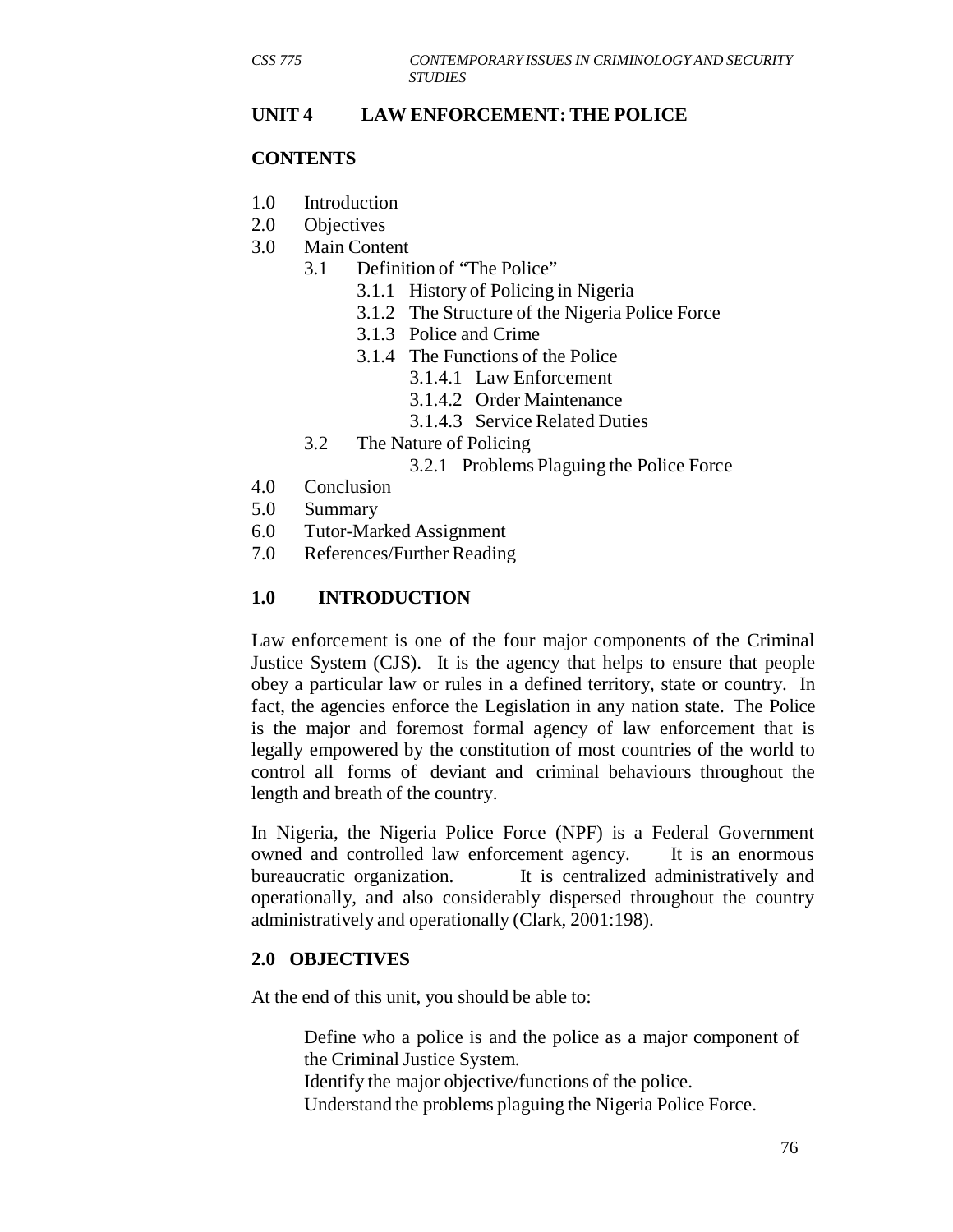### **UNIT 4 LAW ENFORCEMENT: THE POLICE**

#### **CONTENTS**

- 1.0 Introduction
- 2.0 Objectives
- 3.0 Main Content
	- 3.1 Definition of "The Police"
		- 3.1.1 History of Policing in Nigeria
		- 3.1.2 The Structure of the Nigeria Police Force
		- 3.1.3 Police and Crime
		- 3.1.4 The Functions of the Police
			- 3.1.4.1 Law Enforcement
				- 3.1.4.2 Order Maintenance
				- 3.1.4.3 Service Related Duties
	- 3.2 The Nature of Policing
		- 3.2.1 Problems Plaguing the Police Force
- 4.0 Conclusion
- 5.0 Summary
- 6.0 Tutor-Marked Assignment
- 7.0 References/Further Reading

### **1.0 INTRODUCTION**

Law enforcement is one of the four major components of the Criminal Justice System (CJS). It is the agency that helps to ensure that people obey a particular law or rules in a defined territory, state or country. In fact, the agencies enforce the Legislation in any nation state. The Police is the major and foremost formal agency of law enforcement that is legally empowered by the constitution of most countries of the world to control all forms of deviant and criminal behaviours throughout the length and breath of the country.

In Nigeria, the Nigeria Police Force (NPF) is a Federal Government owned and controlled law enforcement agency. It is an enormous bureaucratic organization. It is centralized administratively and operationally, and also considerably dispersed throughout the country administratively and operationally (Clark, 2001:198).

#### **2.0 OBJECTIVES**

At the end of this unit, you should be able to:

Define who a police is and the police as a major component of the Criminal Justice System.

Identify the major objective/functions of the police.

Understand the problems plaguing the Nigeria Police Force.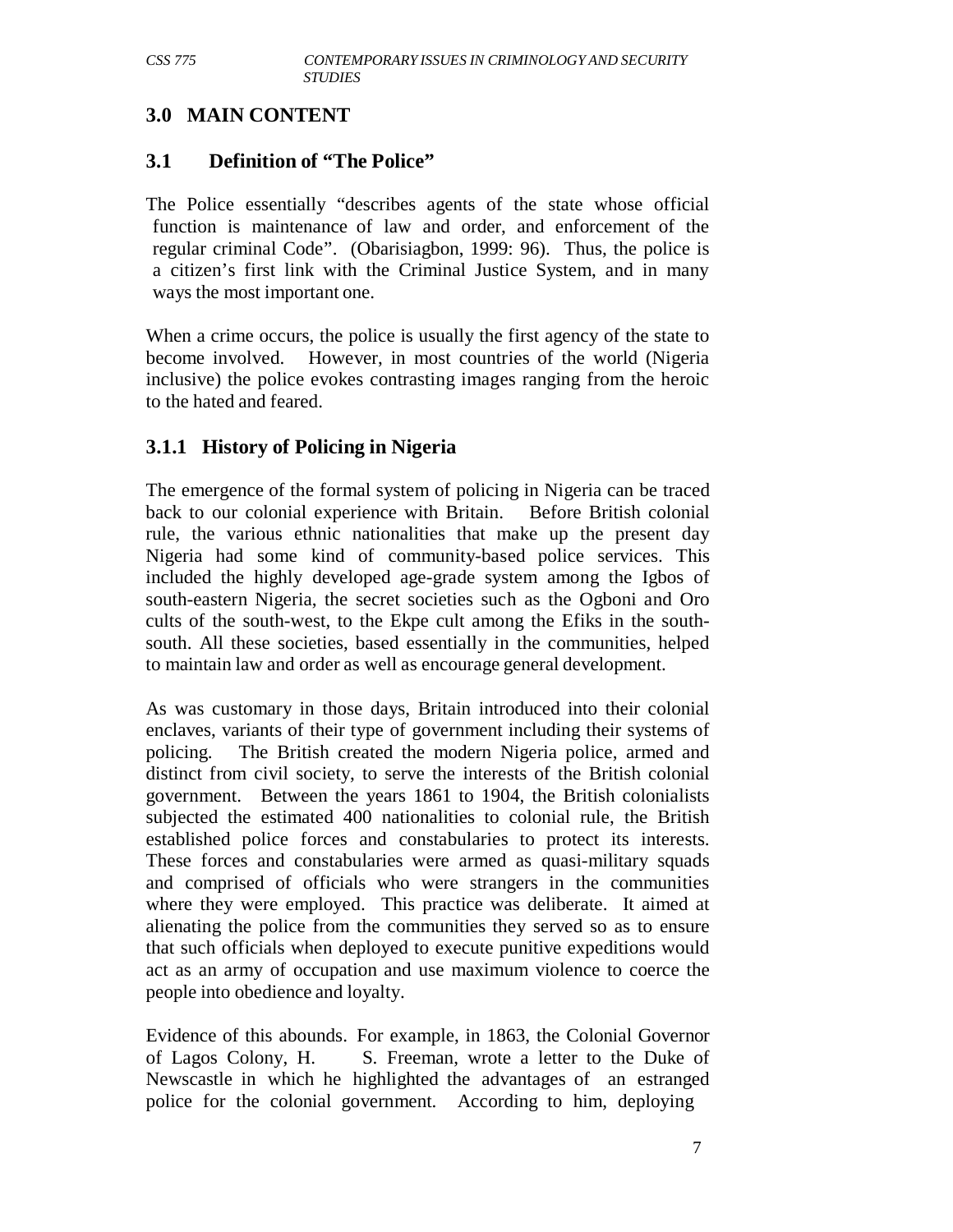## **3.0 MAIN CONTENT**

## **3.1 Definition of "The Police"**

The Police essentially "describes agents of the state whose official function is maintenance of law and order, and enforcement of the regular criminal Code". (Obarisiagbon, 1999: 96). Thus, the police is a citizen's first link with the Criminal Justice System, and in many ways the most important one.

When a crime occurs, the police is usually the first agency of the state to become involved. However, in most countries of the world (Nigeria inclusive) the police evokes contrasting images ranging from the heroic to the hated and feared.

## **3.1.1 History of Policing in Nigeria**

The emergence of the formal system of policing in Nigeria can be traced back to our colonial experience with Britain. Before British colonial rule, the various ethnic nationalities that make up the present day Nigeria had some kind of community-based police services. This included the highly developed age-grade system among the Igbos of south-eastern Nigeria, the secret societies such as the Ogboni and Oro cults of the south-west, to the Ekpe cult among the Efiks in the southsouth. All these societies, based essentially in the communities, helped to maintain law and order as well as encourage general development.

As was customary in those days, Britain introduced into their colonial enclaves, variants of their type of government including their systems of policing. The British created the modern Nigeria police, armed and distinct from civil society, to serve the interests of the British colonial government. Between the years 1861 to 1904, the British colonialists subjected the estimated 400 nationalities to colonial rule, the British established police forces and constabularies to protect its interests. These forces and constabularies were armed as quasi-military squads and comprised of officials who were strangers in the communities where they were employed. This practice was deliberate. It aimed at alienating the police from the communities they served so as to ensure that such officials when deployed to execute punitive expeditions would act as an army of occupation and use maximum violence to coerce the people into obedience and loyalty.

Evidence of this abounds. For example, in 1863, the Colonial Governor of Lagos Colony, H. S. Freeman, wrote a letter to the Duke of Newscastle in which he highlighted the advantages of an estranged police for the colonial government. According to him, deploying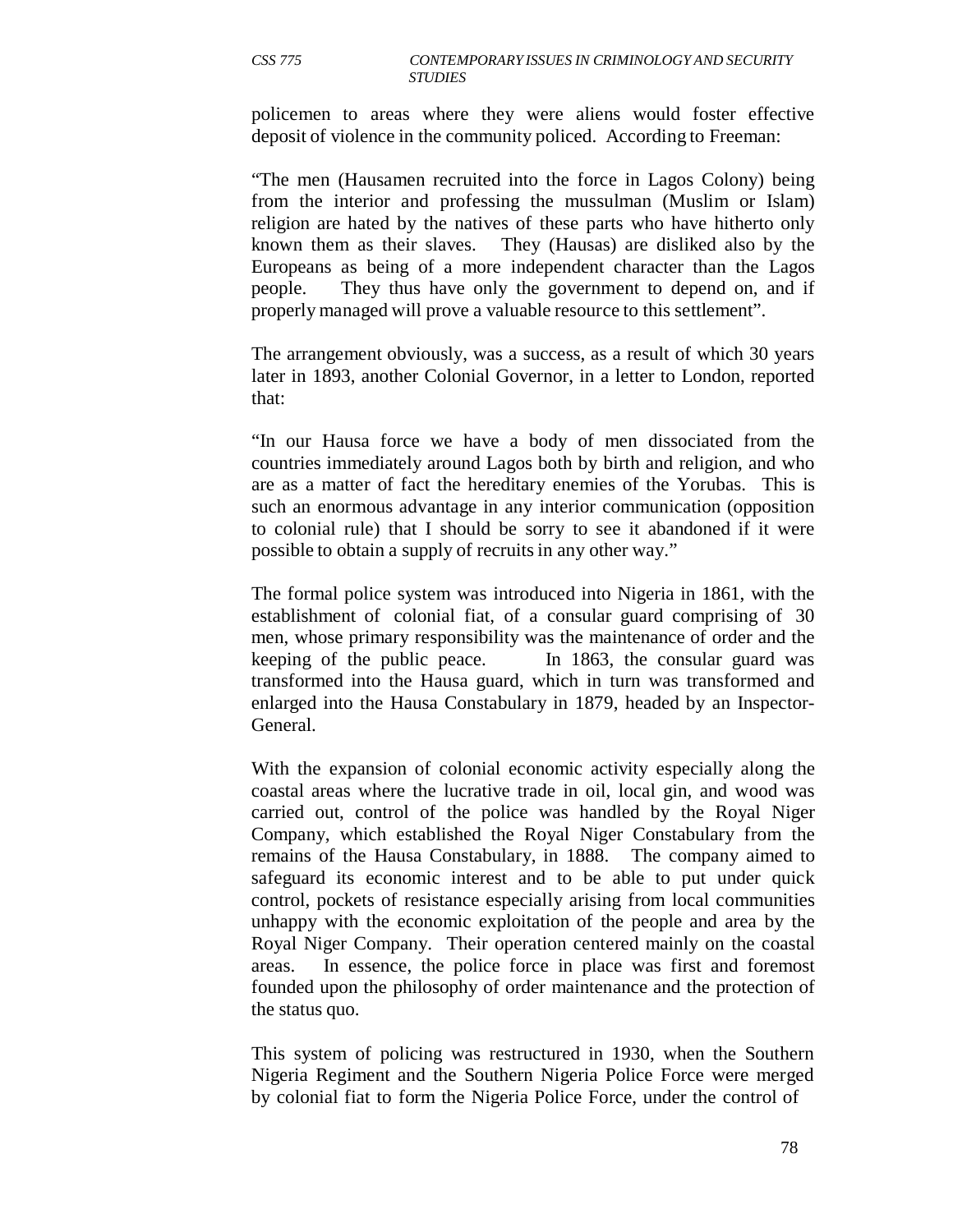policemen to areas where they were aliens would foster effective deposit of violence in the community policed. According to Freeman:

"The men (Hausamen recruited into the force in Lagos Colony) being from the interior and professing the mussulman (Muslim or Islam) religion are hated by the natives of these parts who have hitherto only known them as their slaves. They (Hausas) are disliked also by the Europeans as being of a more independent character than the Lagos people. They thus have only the government to depend on, and if properly managed will prove a valuable resource to this settlement".

The arrangement obviously, was a success, as a result of which 30 years later in 1893, another Colonial Governor, in a letter to London, reported that:

"In our Hausa force we have a body of men dissociated from the countries immediately around Lagos both by birth and religion, and who are as a matter of fact the hereditary enemies of the Yorubas. This is such an enormous advantage in any interior communication (opposition to colonial rule) that I should be sorry to see it abandoned if it were possible to obtain a supply of recruits in any other way."

The formal police system was introduced into Nigeria in 1861, with the establishment of colonial fiat, of a consular guard comprising of 30 men, whose primary responsibility was the maintenance of order and the keeping of the public peace. In 1863, the consular guard was transformed into the Hausa guard, which in turn was transformed and enlarged into the Hausa Constabulary in 1879, headed by an Inspector-General.

With the expansion of colonial economic activity especially along the coastal areas where the lucrative trade in oil, local gin, and wood was carried out, control of the police was handled by the Royal Niger Company, which established the Royal Niger Constabulary from the remains of the Hausa Constabulary, in 1888. The company aimed to safeguard its economic interest and to be able to put under quick control, pockets of resistance especially arising from local communities unhappy with the economic exploitation of the people and area by the Royal Niger Company. Their operation centered mainly on the coastal areas. In essence, the police force in place was first and foremost founded upon the philosophy of order maintenance and the protection of the status quo.

This system of policing was restructured in 1930, when the Southern Nigeria Regiment and the Southern Nigeria Police Force were merged by colonial fiat to form the Nigeria Police Force, under the control of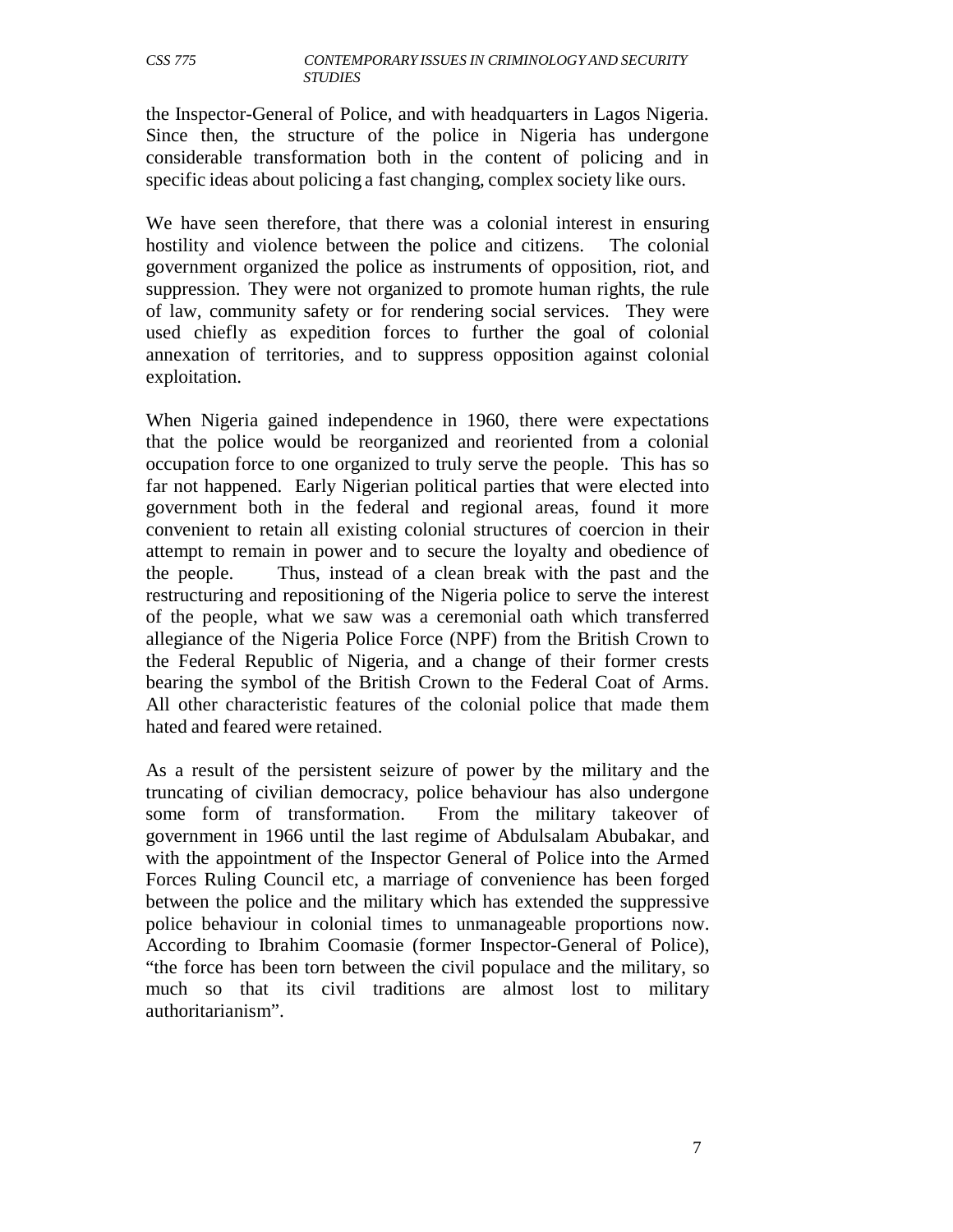the Inspector-General of Police, and with headquarters in Lagos Nigeria. Since then, the structure of the police in Nigeria has undergone considerable transformation both in the content of policing and in specific ideas about policing a fast changing, complex society like ours.

We have seen therefore, that there was a colonial interest in ensuring hostility and violence between the police and citizens. The colonial government organized the police as instruments of opposition, riot, and suppression. They were not organized to promote human rights, the rule of law, community safety or for rendering social services. They were used chiefly as expedition forces to further the goal of colonial annexation of territories, and to suppress opposition against colonial exploitation.

When Nigeria gained independence in 1960, there were expectations that the police would be reorganized and reoriented from a colonial occupation force to one organized to truly serve the people. This has so far not happened. Early Nigerian political parties that were elected into government both in the federal and regional areas, found it more convenient to retain all existing colonial structures of coercion in their attempt to remain in power and to secure the loyalty and obedience of the people. Thus, instead of a clean break with the past and the restructuring and repositioning of the Nigeria police to serve the interest of the people, what we saw was a ceremonial oath which transferred allegiance of the Nigeria Police Force (NPF) from the British Crown to the Federal Republic of Nigeria, and a change of their former crests bearing the symbol of the British Crown to the Federal Coat of Arms. All other characteristic features of the colonial police that made them hated and feared were retained.

As a result of the persistent seizure of power by the military and the truncating of civilian democracy, police behaviour has also undergone some form of transformation. From the military takeover of government in 1966 until the last regime of Abdulsalam Abubakar, and with the appointment of the Inspector General of Police into the Armed Forces Ruling Council etc, a marriage of convenience has been forged between the police and the military which has extended the suppressive police behaviour in colonial times to unmanageable proportions now. According to Ibrahim Coomasie (former Inspector-General of Police), "the force has been torn between the civil populace and the military, so much so that its civil traditions are almost lost to military authoritarianism".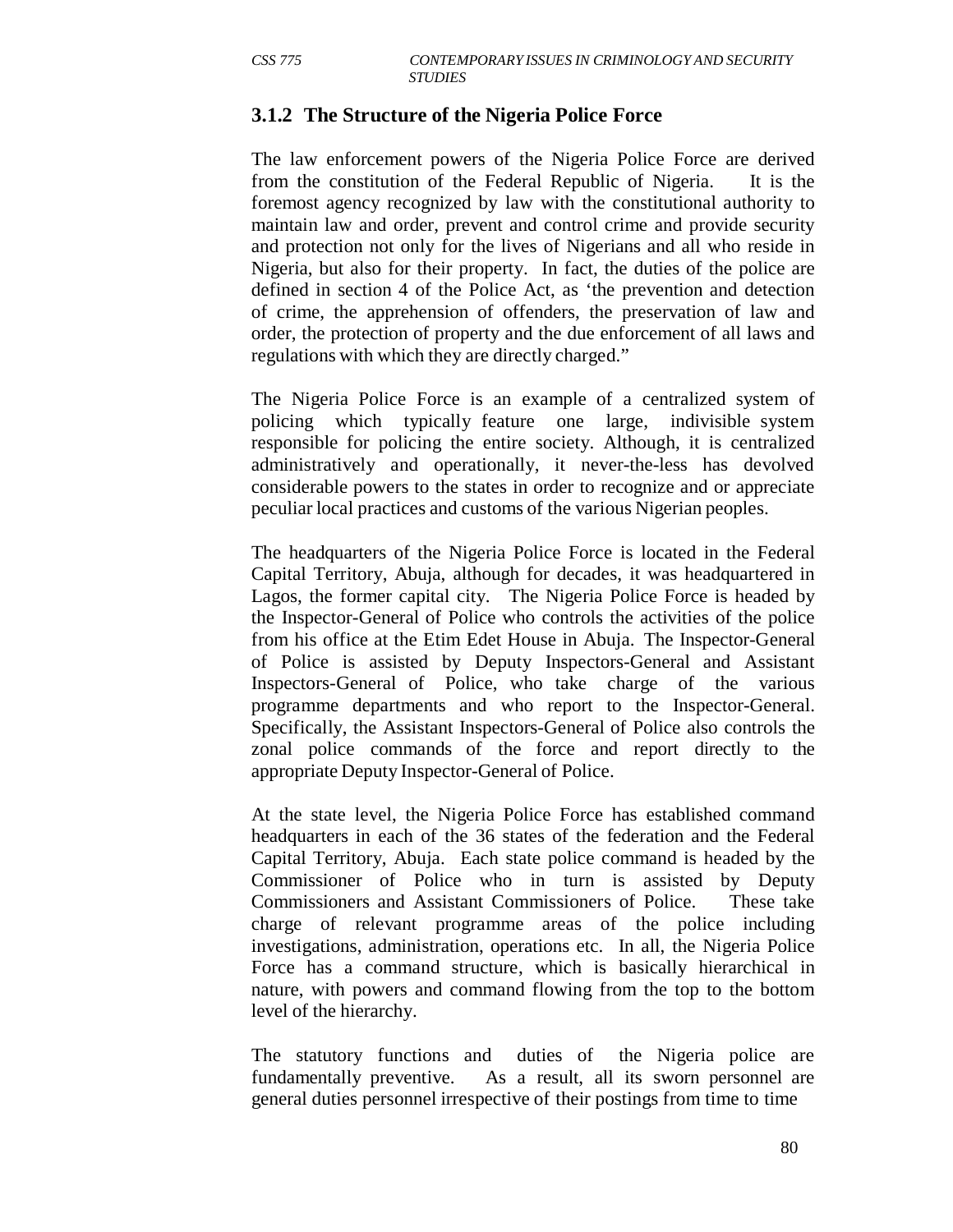### **3.1.2 The Structure of the Nigeria Police Force**

The law enforcement powers of the Nigeria Police Force are derived from the constitution of the Federal Republic of Nigeria. It is the foremost agency recognized by law with the constitutional authority to maintain law and order, prevent and control crime and provide security and protection not only for the lives of Nigerians and all who reside in Nigeria, but also for their property. In fact, the duties of the police are defined in section 4 of the Police Act, as 'the prevention and detection of crime, the apprehension of offenders, the preservation of law and order, the protection of property and the due enforcement of all laws and regulations with which they are directly charged."

The Nigeria Police Force is an example of a centralized system of policing which typically feature one large, indivisible system responsible for policing the entire society. Although, it is centralized administratively and operationally, it never-the-less has devolved considerable powers to the states in order to recognize and or appreciate peculiar local practices and customs of the various Nigerian peoples.

The headquarters of the Nigeria Police Force is located in the Federal Capital Territory, Abuja, although for decades, it was headquartered in Lagos, the former capital city. The Nigeria Police Force is headed by the Inspector-General of Police who controls the activities of the police from his office at the Etim Edet House in Abuja. The Inspector-General of Police is assisted by Deputy Inspectors-General and Assistant Inspectors-General of Police, who take charge of the various programme departments and who report to the Inspector-General. Specifically, the Assistant Inspectors-General of Police also controls the zonal police commands of the force and report directly to the appropriate Deputy Inspector-General of Police.

At the state level, the Nigeria Police Force has established command headquarters in each of the 36 states of the federation and the Federal Capital Territory, Abuja. Each state police command is headed by the Commissioner of Police who in turn is assisted by Deputy Commissioners and Assistant Commissioners of Police. These take charge of relevant programme areas of the police including investigations, administration, operations etc. In all, the Nigeria Police Force has a command structure, which is basically hierarchical in nature, with powers and command flowing from the top to the bottom level of the hierarchy.

The statutory functions and duties of the Nigeria police are fundamentally preventive. As a result, all its sworn personnel are general duties personnel irrespective of their postings from time to time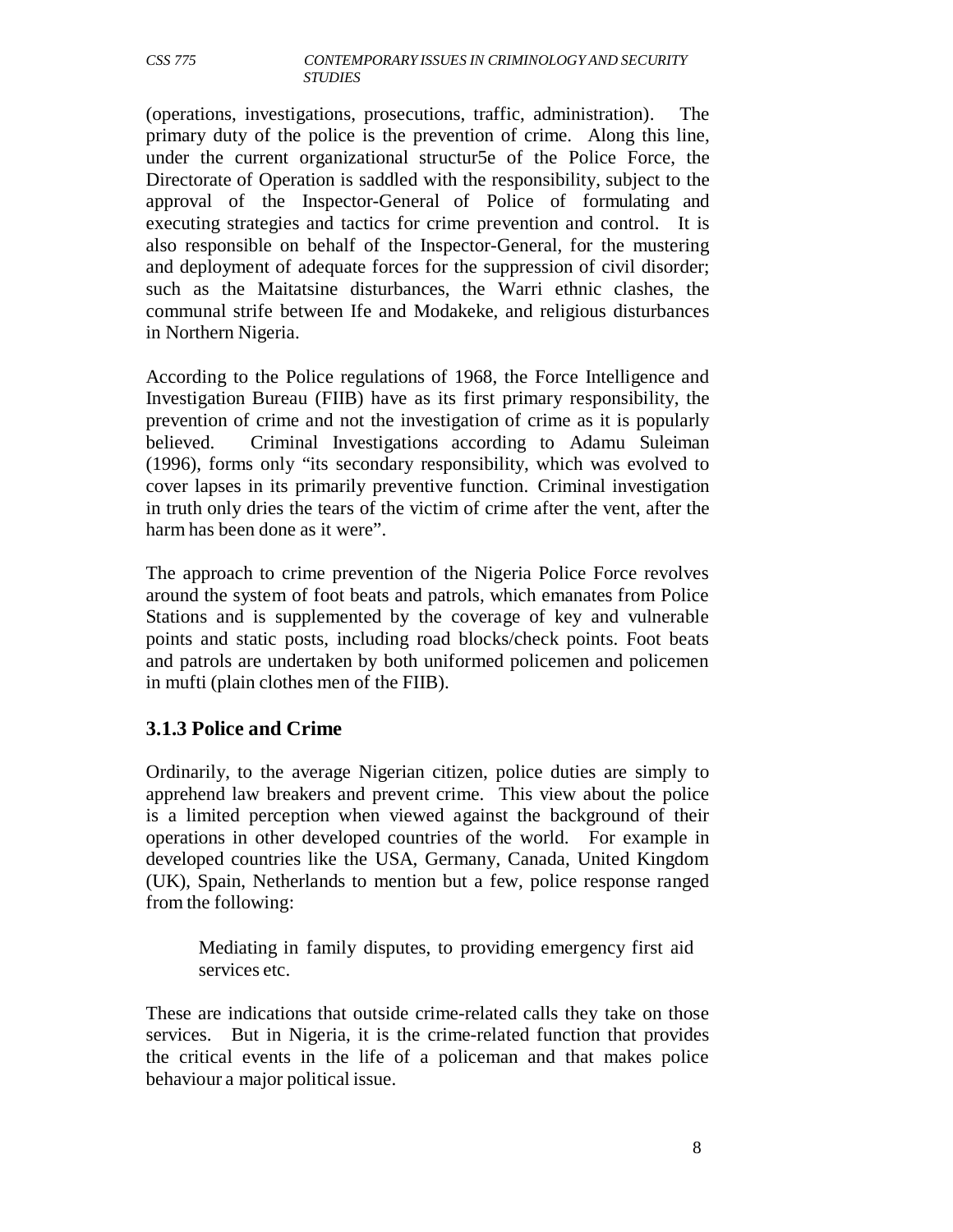(operations, investigations, prosecutions, traffic, administration). The primary duty of the police is the prevention of crime. Along this line, under the current organizational structur5e of the Police Force, the Directorate of Operation is saddled with the responsibility, subject to the approval of the Inspector-General of Police of formulating and executing strategies and tactics for crime prevention and control. It is also responsible on behalf of the Inspector-General, for the mustering and deployment of adequate forces for the suppression of civil disorder; such as the Maitatsine disturbances, the Warri ethnic clashes, the communal strife between Ife and Modakeke, and religious disturbances in Northern Nigeria.

According to the Police regulations of 1968, the Force Intelligence and Investigation Bureau (FIIB) have as its first primary responsibility, the prevention of crime and not the investigation of crime as it is popularly believed. Criminal Investigations according to Adamu Suleiman (1996), forms only "its secondary responsibility, which was evolved to cover lapses in its primarily preventive function. Criminal investigation in truth only dries the tears of the victim of crime after the vent, after the harm has been done as it were".

The approach to crime prevention of the Nigeria Police Force revolves around the system of foot beats and patrols, which emanates from Police Stations and is supplemented by the coverage of key and vulnerable points and static posts, including road blocks/check points. Foot beats and patrols are undertaken by both uniformed policemen and policemen in mufti (plain clothes men of the FIIB).

## **3.1.3 Police and Crime**

Ordinarily, to the average Nigerian citizen, police duties are simply to apprehend law breakers and prevent crime. This view about the police is a limited perception when viewed against the background of their operations in other developed countries of the world. For example in developed countries like the USA, Germany, Canada, United Kingdom (UK), Spain, Netherlands to mention but a few, police response ranged from the following:

Mediating in family disputes, to providing emergency first aid services etc.

These are indications that outside crime-related calls they take on those services. But in Nigeria, it is the crime-related function that provides the critical events in the life of a policeman and that makes police behaviour a major political issue.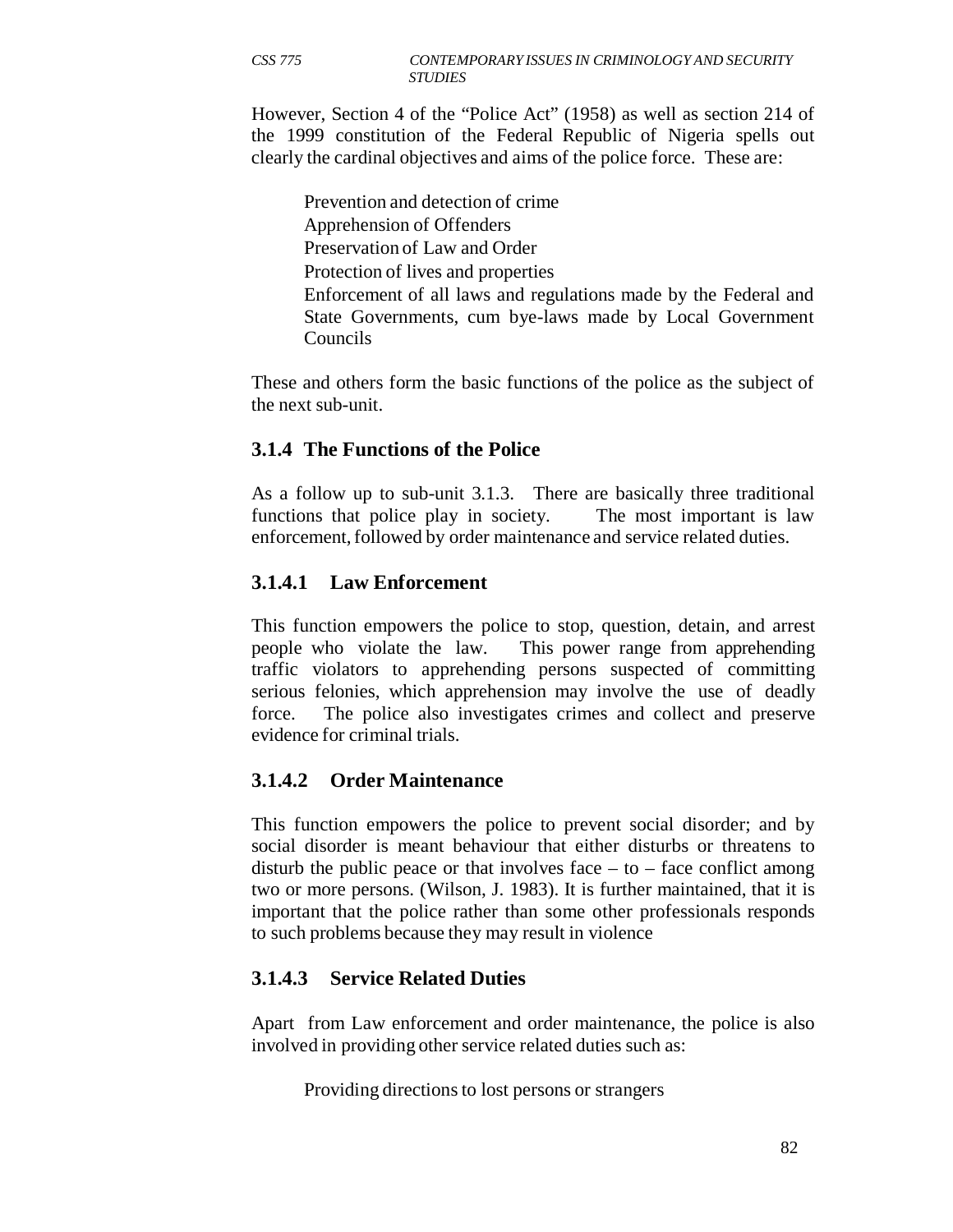However, Section 4 of the "Police Act" (1958) as well as section 214 of the 1999 constitution of the Federal Republic of Nigeria spells out clearly the cardinal objectives and aims of the police force. These are:

Prevention and detection of crime Apprehension of Offenders Preservation of Law and Order Protection of lives and properties Enforcement of all laws and regulations made by the Federal and State Governments, cum bye-laws made by Local Government Councils

These and others form the basic functions of the police as the subject of the next sub-unit.

## **3.1.4 The Functions of the Police**

As a follow up to sub-unit 3.1.3. There are basically three traditional functions that police play in society. The most important is law enforcement, followed by order maintenance and service related duties.

## **3.1.4.1 Law Enforcement**

This function empowers the police to stop, question, detain, and arrest people who violate the law. This power range from apprehending traffic violators to apprehending persons suspected of committing serious felonies, which apprehension may involve the use of deadly force. The police also investigates crimes and collect and preserve evidence for criminal trials.

# **3.1.4.2 Order Maintenance**

This function empowers the police to prevent social disorder; and by social disorder is meant behaviour that either disturbs or threatens to disturb the public peace or that involves face  $-$  to  $-$  face conflict among two or more persons. (Wilson, J. 1983). It is further maintained, that it is important that the police rather than some other professionals responds to such problems because they may result in violence

# **3.1.4.3 Service Related Duties**

Apart from Law enforcement and order maintenance, the police is also involved in providing other service related duties such as:

Providing directions to lost persons or strangers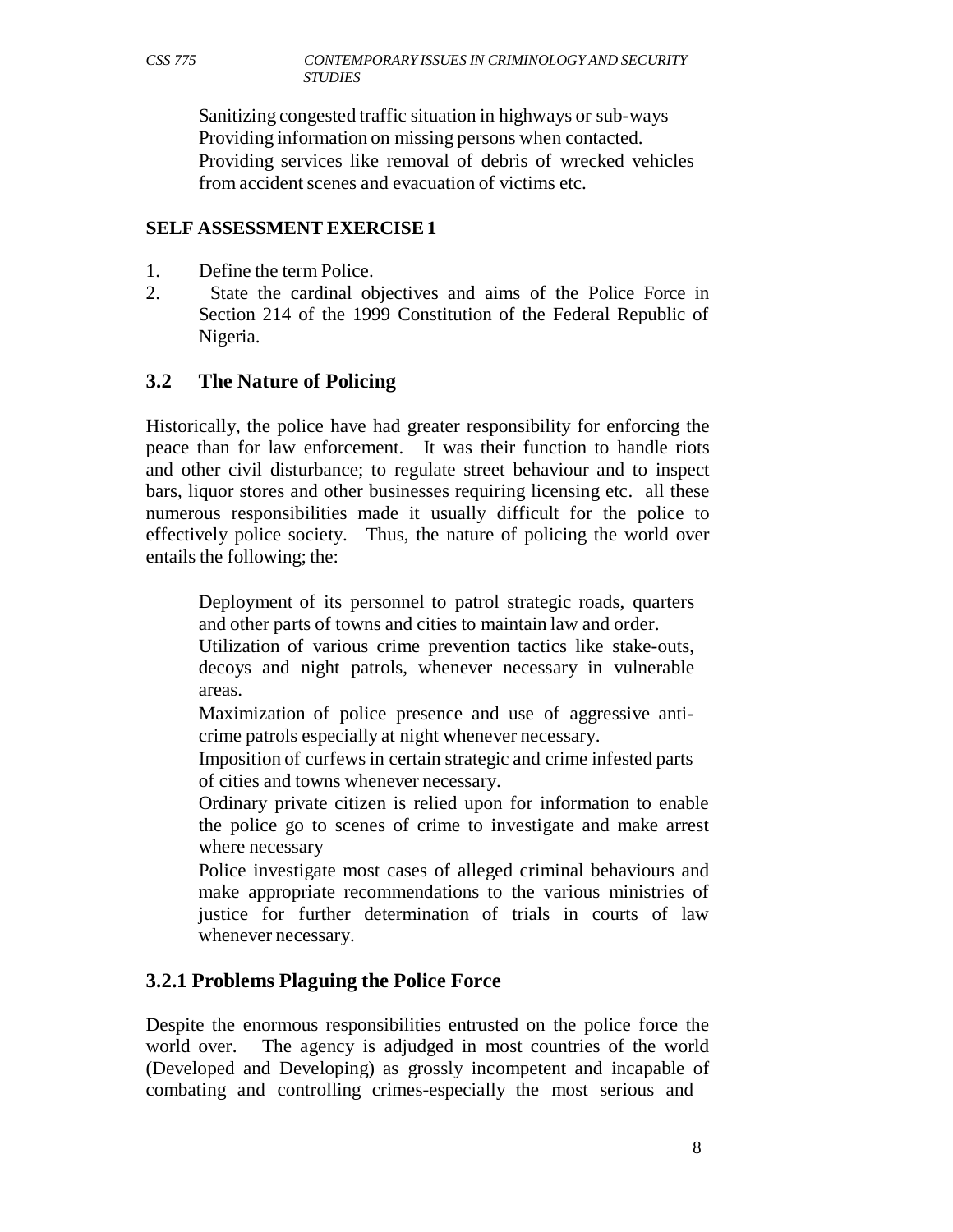Sanitizing congested traffic situation in highways or sub-ways Providing information on missing persons when contacted. Providing services like removal of debris of wrecked vehicles from accident scenes and evacuation of victims etc.

#### **SELF ASSESSMENT EXERCISE 1**

- 1. Define the term Police.
- 2. State the cardinal objectives and aims of the Police Force in Section 214 of the 1999 Constitution of the Federal Republic of Nigeria.

#### **3.2 The Nature of Policing**

Historically, the police have had greater responsibility for enforcing the peace than for law enforcement. It was their function to handle riots and other civil disturbance; to regulate street behaviour and to inspect bars, liquor stores and other businesses requiring licensing etc. all these numerous responsibilities made it usually difficult for the police to effectively police society. Thus, the nature of policing the world over entails the following; the:

Deployment of its personnel to patrol strategic roads, quarters and other parts of towns and cities to maintain law and order.

Utilization of various crime prevention tactics like stake-outs, decoys and night patrols, whenever necessary in vulnerable areas.

Maximization of police presence and use of aggressive anticrime patrols especially at night whenever necessary.

Imposition of curfews in certain strategic and crime infested parts of cities and towns whenever necessary.

Ordinary private citizen is relied upon for information to enable the police go to scenes of crime to investigate and make arrest where necessary

Police investigate most cases of alleged criminal behaviours and make appropriate recommendations to the various ministries of justice for further determination of trials in courts of law whenever necessary.

#### **3.2.1 Problems Plaguing the Police Force**

Despite the enormous responsibilities entrusted on the police force the world over. The agency is adjudged in most countries of the world (Developed and Developing) as grossly incompetent and incapable of combating and controlling crimes-especially the most serious and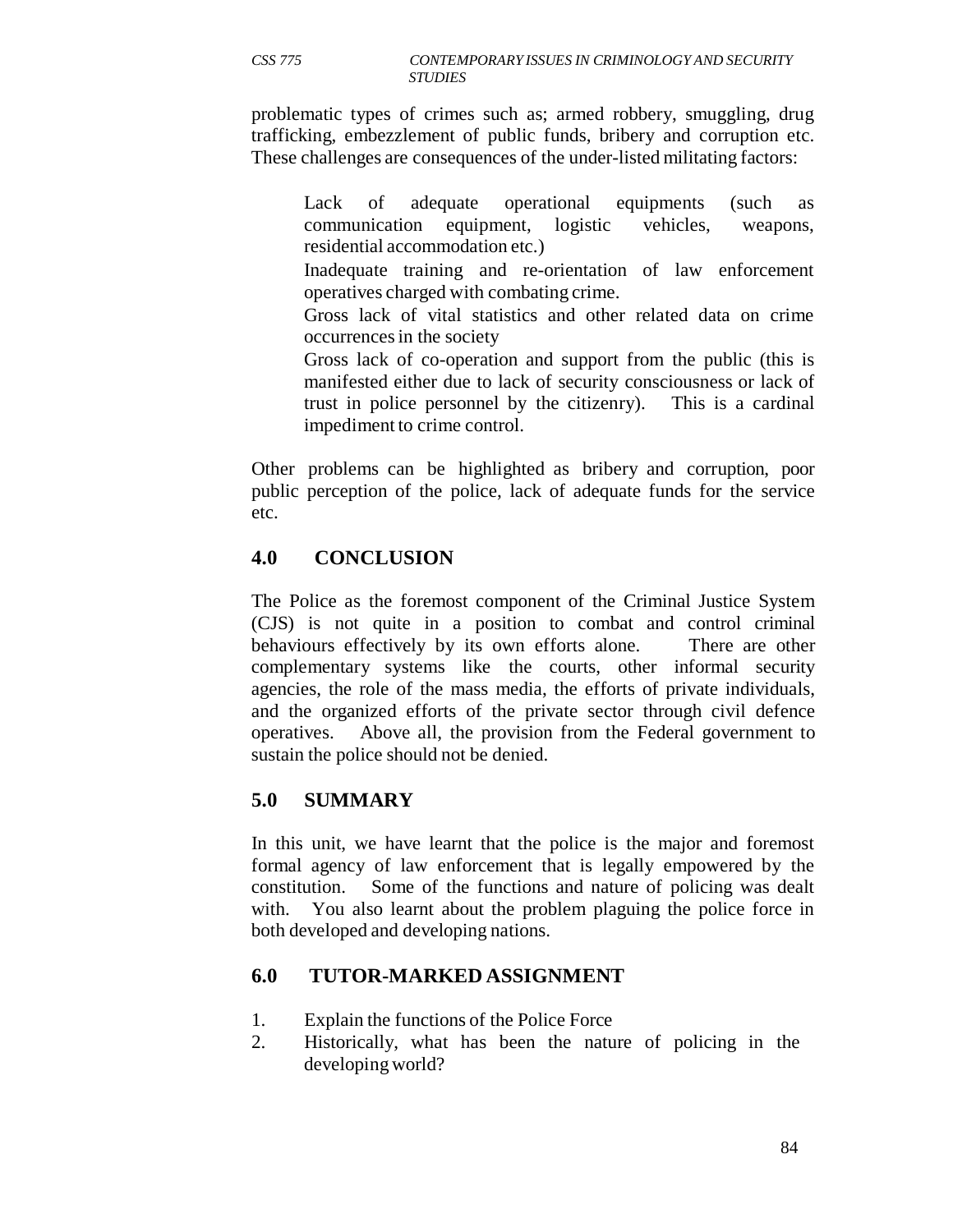problematic types of crimes such as; armed robbery, smuggling, drug trafficking, embezzlement of public funds, bribery and corruption etc. These challenges are consequences of the under-listed militating factors:

Lack of adequate operational equipments (such as communication equipment, logistic vehicles, weapons, residential accommodation etc.)

Inadequate training and re-orientation of law enforcement operatives charged with combating crime.

Gross lack of vital statistics and other related data on crime occurrences in the society

Gross lack of co-operation and support from the public (this is manifested either due to lack of security consciousness or lack of trust in police personnel by the citizenry). This is a cardinal impediment to crime control.

Other problems can be highlighted as bribery and corruption, poor public perception of the police, lack of adequate funds for the service etc.

# **4.0 CONCLUSION**

The Police as the foremost component of the Criminal Justice System (CJS) is not quite in a position to combat and control criminal behaviours effectively by its own efforts alone. There are other complementary systems like the courts, other informal security agencies, the role of the mass media, the efforts of private individuals, and the organized efforts of the private sector through civil defence operatives. Above all, the provision from the Federal government to sustain the police should not be denied.

# **5.0 SUMMARY**

In this unit, we have learnt that the police is the major and foremost formal agency of law enforcement that is legally empowered by the constitution. Some of the functions and nature of policing was dealt with. You also learnt about the problem plaguing the police force in both developed and developing nations.

# **6.0 TUTOR-MARKED ASSIGNMENT**

- 1. Explain the functions of the Police Force
- 2. Historically, what has been the nature of policing in the developing world?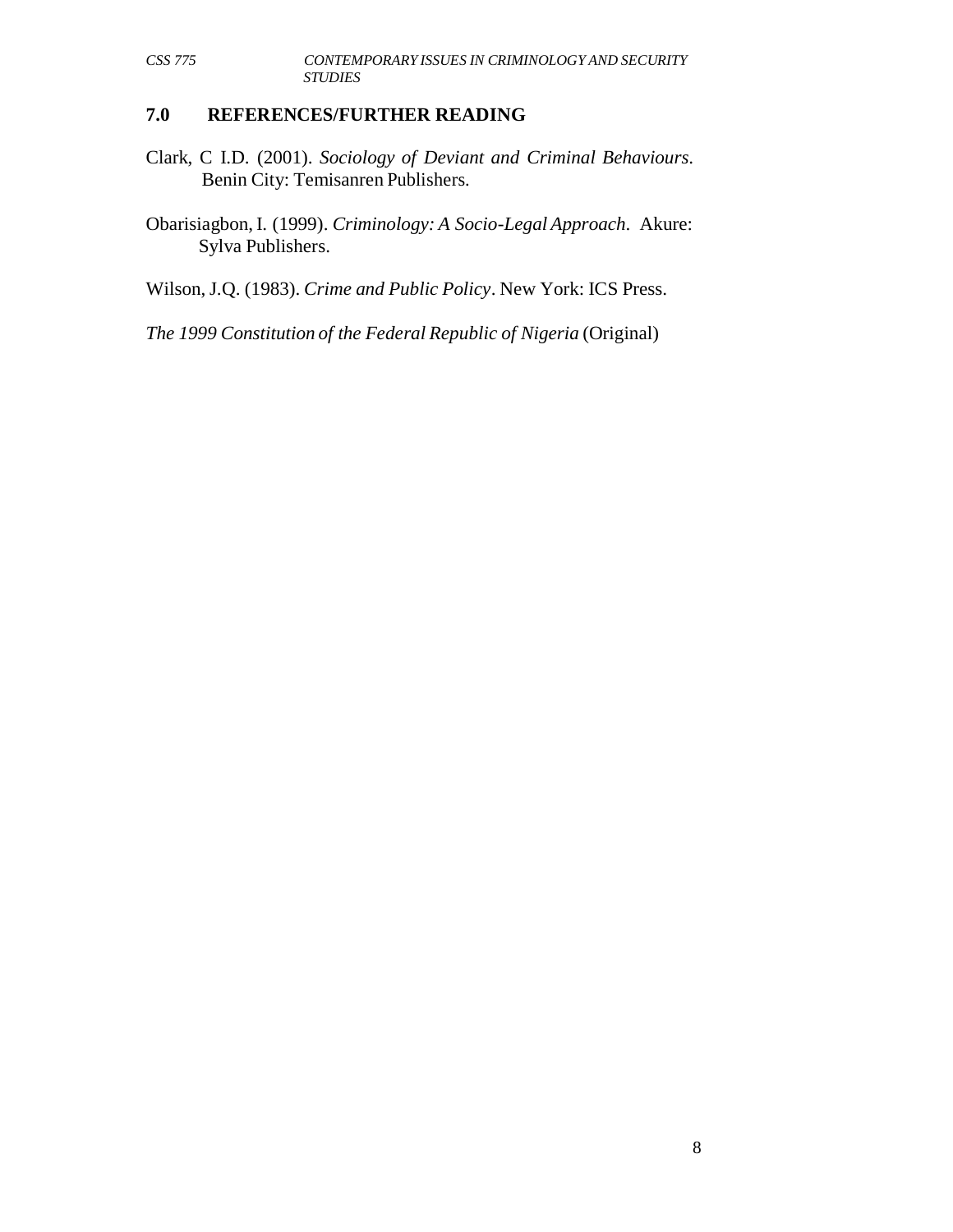## **7.0 REFERENCES/FURTHER READING**

- Clark, C I.D. (2001). *Sociology of Deviant and Criminal Behaviours*. Benin City: Temisanren Publishers.
- Obarisiagbon, I. (1999). *Criminology: A Socio-Legal Approach*. Akure: Sylva Publishers.

Wilson, J.Q. (1983). *Crime and Public Policy*. New York: ICS Press.

*The 1999 Constitution of the Federal Republic of Nigeria* (Original)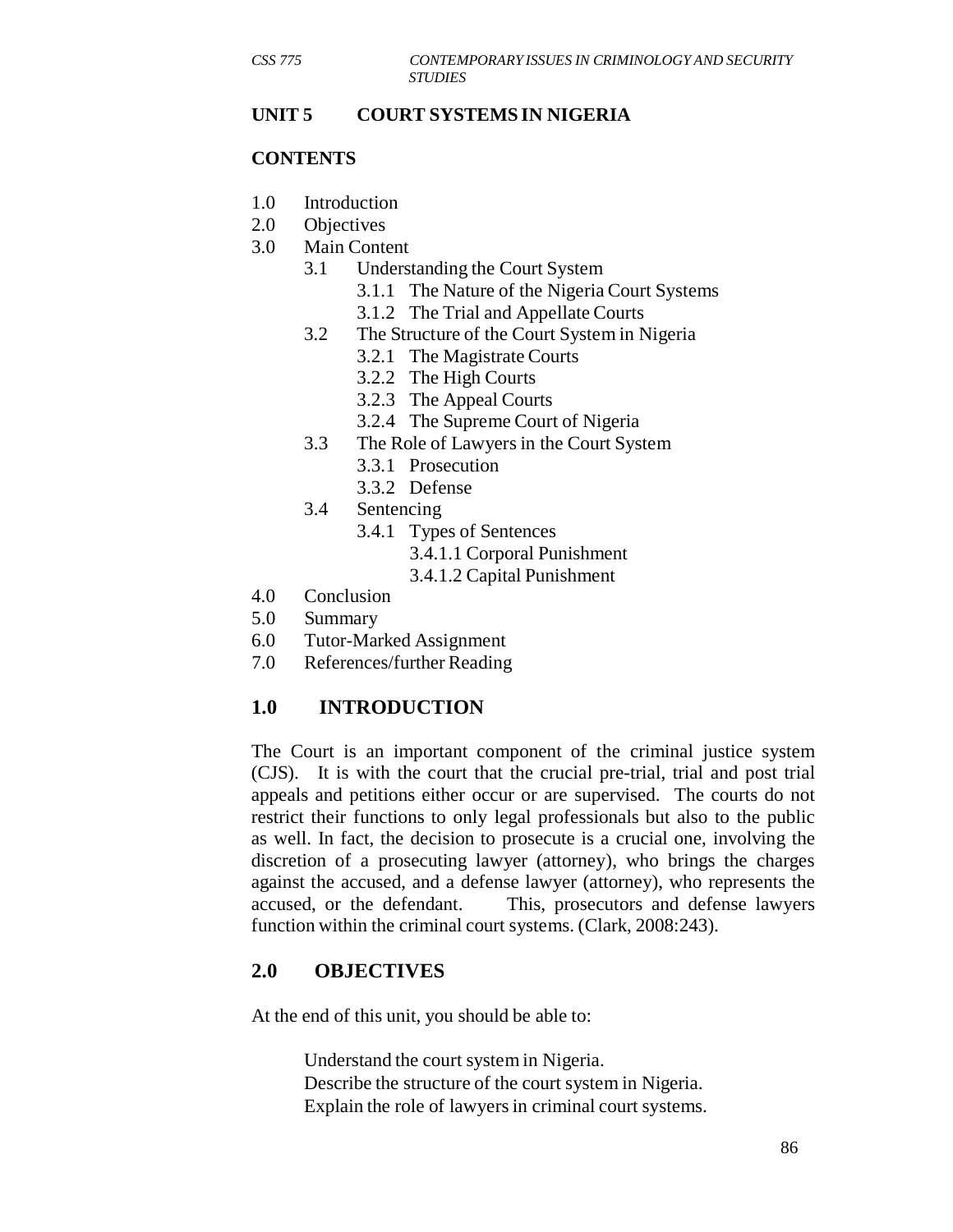#### **UNIT 5 COURT SYSTEMS IN NIGERIA**

#### **CONTENTS**

- 1.0 Introduction
- 2.0 Objectives
- 3.0 Main Content
	- 3.1 Understanding the Court System
		- 3.1.1 The Nature of the Nigeria Court Systems
		- 3.1.2 The Trial and Appellate Courts
	- 3.2 The Structure of the Court System in Nigeria
		- 3.2.1 The Magistrate Courts
		- 3.2.2 The High Courts
		- 3.2.3 The Appeal Courts
		- 3.2.4 The Supreme Court of Nigeria
	- 3.3 The Role of Lawyers in the Court System
		- 3.3.1 Prosecution
		- 3.3.2 Defense
	- 3.4 Sentencing
		- 3.4.1 Types of Sentences
			- 3.4.1.1 Corporal Punishment
			- 3.4.1.2 Capital Punishment
- 4.0 Conclusion
- 5.0 Summary
- 6.0 Tutor-Marked Assignment
- 7.0 References/further Reading

# **1.0 INTRODUCTION**

The Court is an important component of the criminal justice system (CJS). It is with the court that the crucial pre-trial, trial and post trial appeals and petitions either occur or are supervised. The courts do not restrict their functions to only legal professionals but also to the public as well. In fact, the decision to prosecute is a crucial one, involving the discretion of a prosecuting lawyer (attorney), who brings the charges against the accused, and a defense lawyer (attorney), who represents the accused, or the defendant. This, prosecutors and defense lawyers function within the criminal court systems. (Clark, 2008:243).

## **2.0 OBJECTIVES**

At the end of this unit, you should be able to:

Understand the court system in Nigeria. Describe the structure of the court system in Nigeria. Explain the role of lawyers in criminal court systems.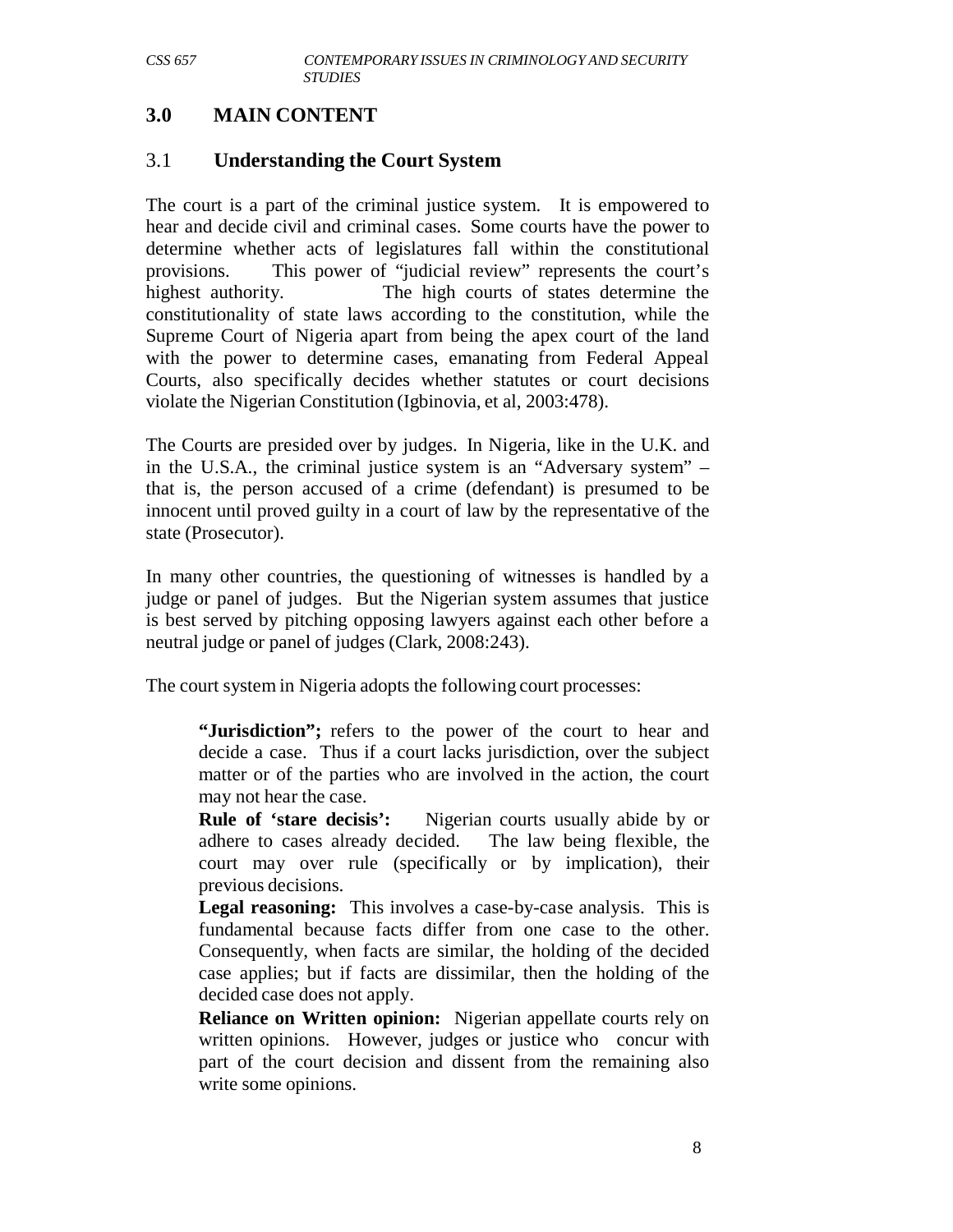## **3.0 MAIN CONTENT**

### 3.1 **Understanding the Court System**

The court is a part of the criminal justice system. It is empowered to hear and decide civil and criminal cases. Some courts have the power to determine whether acts of legislatures fall within the constitutional provisions. This power of "judicial review" represents the court's highest authority. The high courts of states determine the constitutionality of state laws according to the constitution, while the Supreme Court of Nigeria apart from being the apex court of the land with the power to determine cases, emanating from Federal Appeal Courts, also specifically decides whether statutes or court decisions violate the Nigerian Constitution (Igbinovia, et al, 2003:478).

The Courts are presided over by judges. In Nigeria, like in the U.K. and in the U.S.A., the criminal justice system is an "Adversary system" – that is, the person accused of a crime (defendant) is presumed to be innocent until proved guilty in a court of law by the representative of the state (Prosecutor).

In many other countries, the questioning of witnesses is handled by a judge or panel of judges. But the Nigerian system assumes that justice is best served by pitching opposing lawyers against each other before a neutral judge or panel of judges (Clark, 2008:243).

The court system in Nigeria adopts the following court processes:

**"Jurisdiction";** refers to the power of the court to hear and decide a case. Thus if a court lacks jurisdiction, over the subject matter or of the parties who are involved in the action, the court may not hear the case.

**Rule of 'stare decisis':** Nigerian courts usually abide by or adhere to cases already decided. The law being flexible, the court may over rule (specifically or by implication), their previous decisions.

**Legal reasoning:** This involves a case-by-case analysis. This is fundamental because facts differ from one case to the other. Consequently, when facts are similar, the holding of the decided case applies; but if facts are dissimilar, then the holding of the decided case does not apply.

**Reliance on Written opinion:** Nigerian appellate courts rely on written opinions. However, judges or justice who concur with part of the court decision and dissent from the remaining also write some opinions.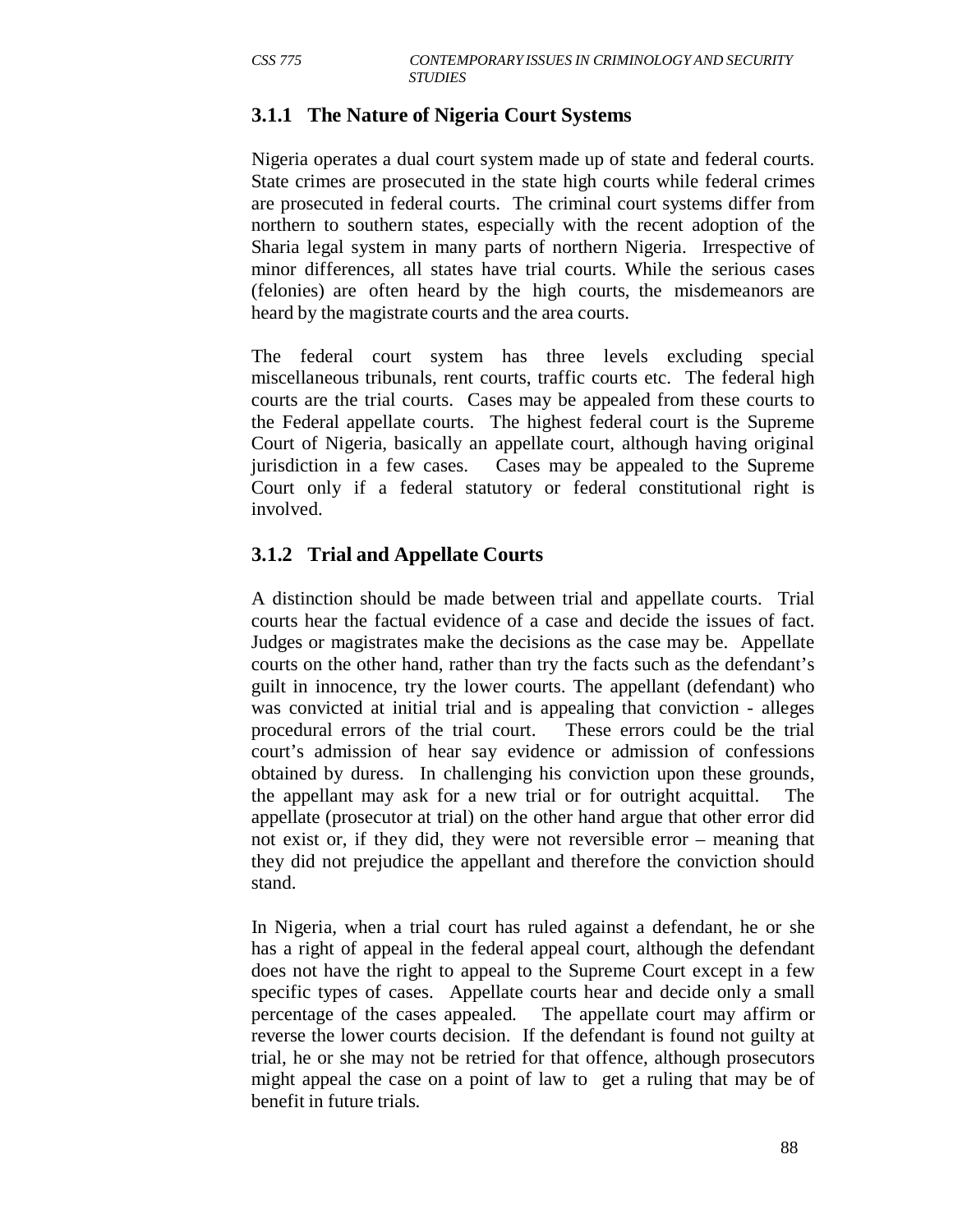## **3.1.1 The Nature of Nigeria Court Systems**

Nigeria operates a dual court system made up of state and federal courts. State crimes are prosecuted in the state high courts while federal crimes are prosecuted in federal courts. The criminal court systems differ from northern to southern states, especially with the recent adoption of the Sharia legal system in many parts of northern Nigeria. Irrespective of minor differences, all states have trial courts. While the serious cases (felonies) are often heard by the high courts, the misdemeanors are heard by the magistrate courts and the area courts.

The federal court system has three levels excluding special miscellaneous tribunals, rent courts, traffic courts etc. The federal high courts are the trial courts. Cases may be appealed from these courts to the Federal appellate courts. The highest federal court is the Supreme Court of Nigeria, basically an appellate court, although having original jurisdiction in a few cases. Cases may be appealed to the Supreme Court only if a federal statutory or federal constitutional right is involved.

## **3.1.2 Trial and Appellate Courts**

A distinction should be made between trial and appellate courts. Trial courts hear the factual evidence of a case and decide the issues of fact. Judges or magistrates make the decisions as the case may be. Appellate courts on the other hand, rather than try the facts such as the defendant's guilt in innocence, try the lower courts. The appellant (defendant) who was convicted at initial trial and is appealing that conviction - alleges procedural errors of the trial court. These errors could be the trial court's admission of hear say evidence or admission of confessions obtained by duress. In challenging his conviction upon these grounds, the appellant may ask for a new trial or for outright acquittal. The appellate (prosecutor at trial) on the other hand argue that other error did not exist or, if they did, they were not reversible error – meaning that they did not prejudice the appellant and therefore the conviction should stand.

In Nigeria, when a trial court has ruled against a defendant, he or she has a right of appeal in the federal appeal court, although the defendant does not have the right to appeal to the Supreme Court except in a few specific types of cases. Appellate courts hear and decide only a small percentage of the cases appealed. The appellate court may affirm or reverse the lower courts decision. If the defendant is found not guilty at trial, he or she may not be retried for that offence, although prosecutors might appeal the case on a point of law to get a ruling that may be of benefit in future trials.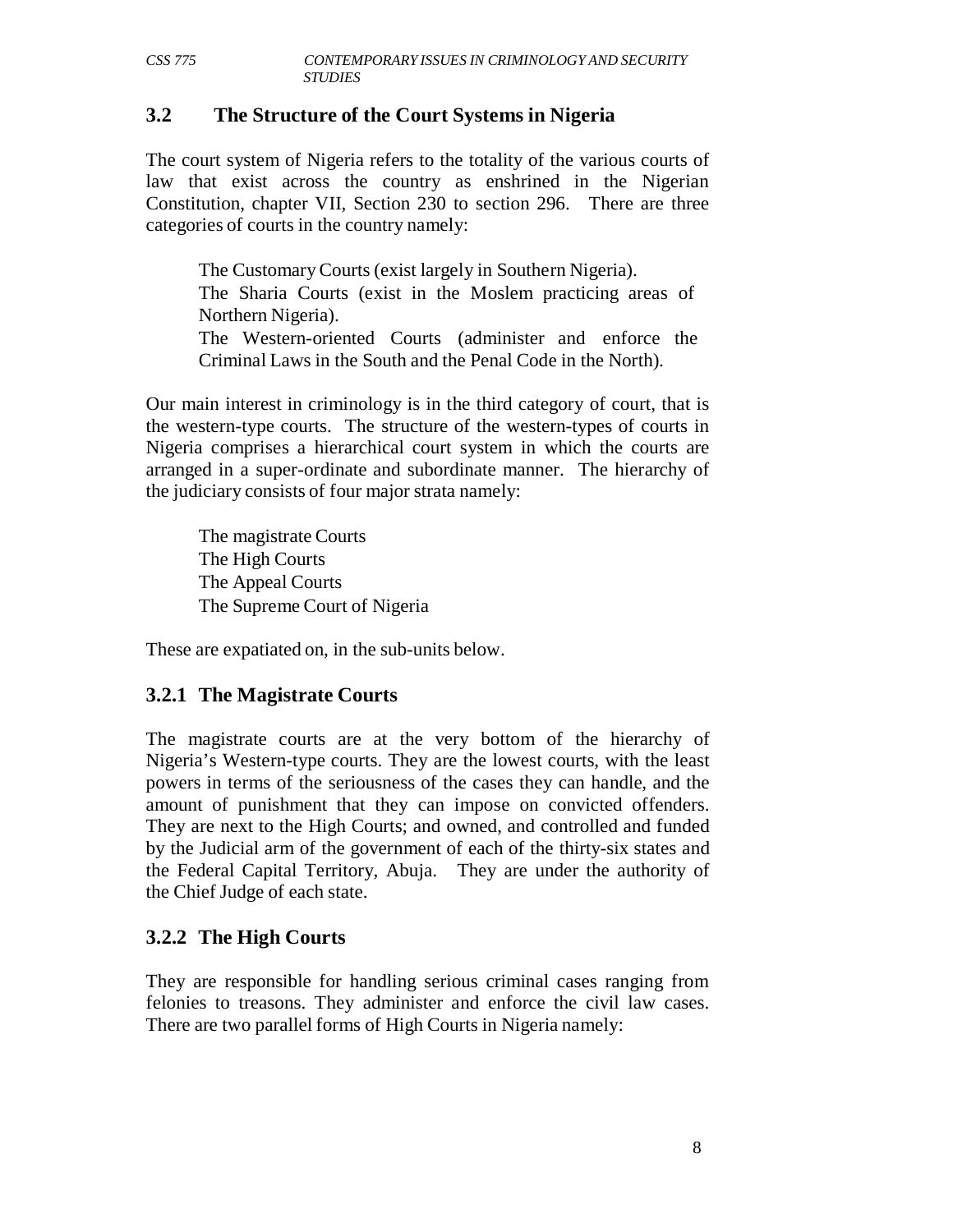### **3.2 The Structure of the Court Systems in Nigeria**

The court system of Nigeria refers to the totality of the various courts of law that exist across the country as enshrined in the Nigerian Constitution, chapter VII, Section 230 to section 296. There are three categories of courts in the country namely:

The Customary Courts (exist largely in Southern Nigeria). The Sharia Courts (exist in the Moslem practicing areas of

Northern Nigeria).

The Western-oriented Courts (administer and enforce the Criminal Laws in the South and the Penal Code in the North).

Our main interest in criminology is in the third category of court, that is the western-type courts. The structure of the western-types of courts in Nigeria comprises a hierarchical court system in which the courts are arranged in a super-ordinate and subordinate manner. The hierarchy of the judiciary consists of four major strata namely:

The magistrate Courts The High Courts The Appeal Courts The Supreme Court of Nigeria

These are expatiated on, in the sub-units below.

## **3.2.1 The Magistrate Courts**

The magistrate courts are at the very bottom of the hierarchy of Nigeria's Western-type courts. They are the lowest courts, with the least powers in terms of the seriousness of the cases they can handle, and the amount of punishment that they can impose on convicted offenders. They are next to the High Courts; and owned, and controlled and funded by the Judicial arm of the government of each of the thirty-six states and the Federal Capital Territory, Abuja. They are under the authority of the Chief Judge of each state.

## **3.2.2 The High Courts**

They are responsible for handling serious criminal cases ranging from felonies to treasons. They administer and enforce the civil law cases. There are two parallel forms of High Courts in Nigeria namely: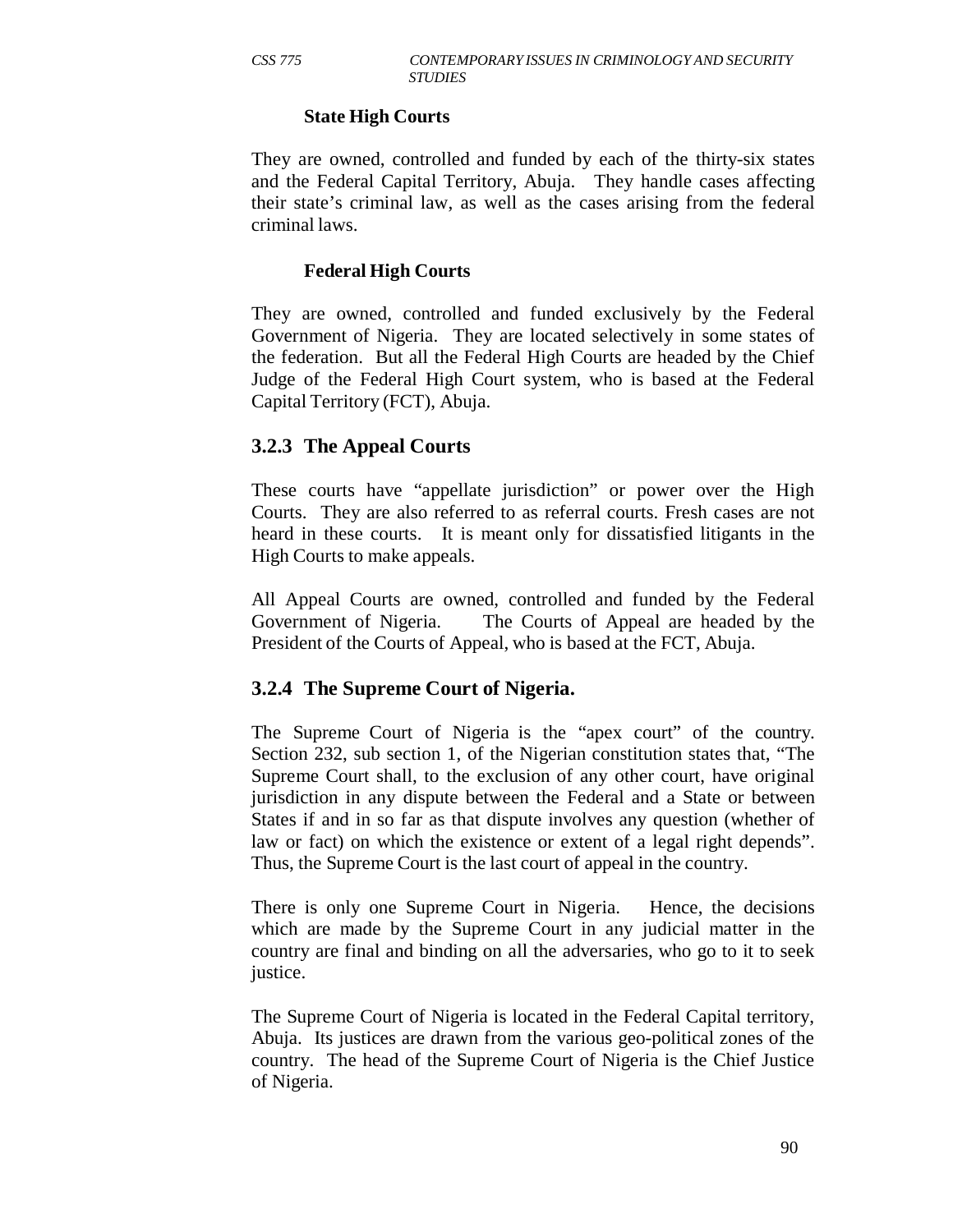#### **State High Courts**

They are owned, controlled and funded by each of the thirty-six states and the Federal Capital Territory, Abuja. They handle cases affecting their state's criminal law, as well as the cases arising from the federal criminal laws.

#### **Federal High Courts**

They are owned, controlled and funded exclusively by the Federal Government of Nigeria. They are located selectively in some states of the federation. But all the Federal High Courts are headed by the Chief Judge of the Federal High Court system, who is based at the Federal Capital Territory (FCT), Abuja.

#### **3.2.3 The Appeal Courts**

These courts have "appellate jurisdiction" or power over the High Courts. They are also referred to as referral courts. Fresh cases are not heard in these courts. It is meant only for dissatisfied litigants in the High Courts to make appeals.

All Appeal Courts are owned, controlled and funded by the Federal Government of Nigeria. The Courts of Appeal are headed by the President of the Courts of Appeal, who is based at the FCT, Abuja.

#### **3.2.4 The Supreme Court of Nigeria.**

The Supreme Court of Nigeria is the "apex court" of the country. Section 232, sub section 1, of the Nigerian constitution states that, "The Supreme Court shall, to the exclusion of any other court, have original jurisdiction in any dispute between the Federal and a State or between States if and in so far as that dispute involves any question (whether of law or fact) on which the existence or extent of a legal right depends". Thus, the Supreme Court is the last court of appeal in the country.

There is only one Supreme Court in Nigeria. Hence, the decisions which are made by the Supreme Court in any judicial matter in the country are final and binding on all the adversaries, who go to it to seek justice.

The Supreme Court of Nigeria is located in the Federal Capital territory, Abuja. Its justices are drawn from the various geo-political zones of the country. The head of the Supreme Court of Nigeria is the Chief Justice of Nigeria.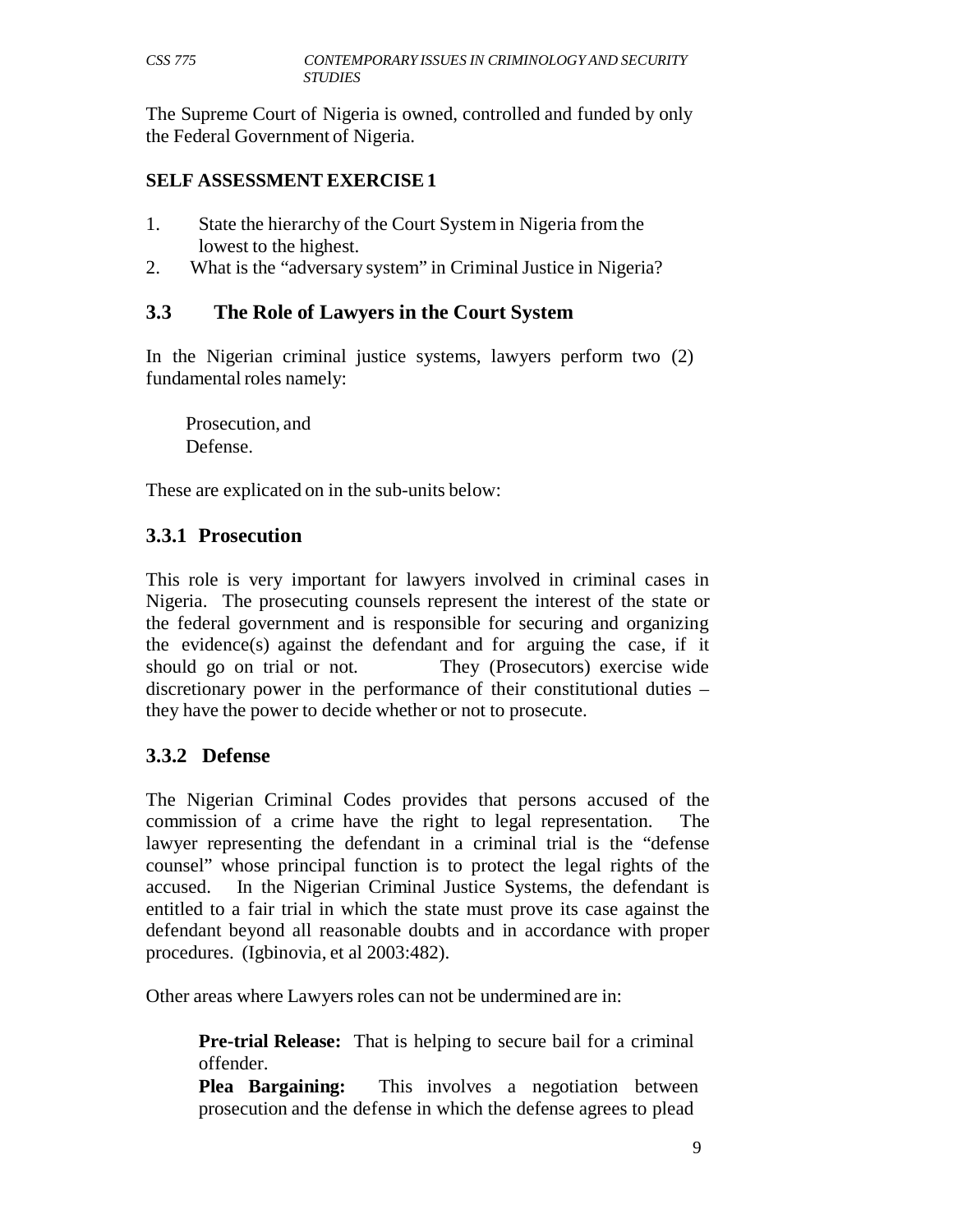The Supreme Court of Nigeria is owned, controlled and funded by only the Federal Government of Nigeria.

### **SELF ASSESSMENT EXERCISE 1**

- 1. State the hierarchy of the Court System in Nigeria from the lowest to the highest.
- 2. What is the "adversary system" in Criminal Justice in Nigeria?

## **3.3 The Role of Lawyers in the Court System**

In the Nigerian criminal justice systems, lawyers perform two (2) fundamental roles namely:

Prosecution, and Defense.

These are explicated on in the sub-units below:

## **3.3.1 Prosecution**

This role is very important for lawyers involved in criminal cases in Nigeria. The prosecuting counsels represent the interest of the state or the federal government and is responsible for securing and organizing the evidence(s) against the defendant and for arguing the case, if it should go on trial or not. They (Prosecutors) exercise wide discretionary power in the performance of their constitutional duties – they have the power to decide whether or not to prosecute.

# **3.3.2 Defense**

The Nigerian Criminal Codes provides that persons accused of the commission of a crime have the right to legal representation. The lawyer representing the defendant in a criminal trial is the "defense counsel" whose principal function is to protect the legal rights of the accused. In the Nigerian Criminal Justice Systems, the defendant is entitled to a fair trial in which the state must prove its case against the defendant beyond all reasonable doubts and in accordance with proper procedures. (Igbinovia, et al 2003:482).

Other areas where Lawyers roles can not be undermined are in:

**Pre-trial Release:** That is helping to secure bail for a criminal offender.

**Plea Bargaining:** This involves a negotiation between prosecution and the defense in which the defense agrees to plead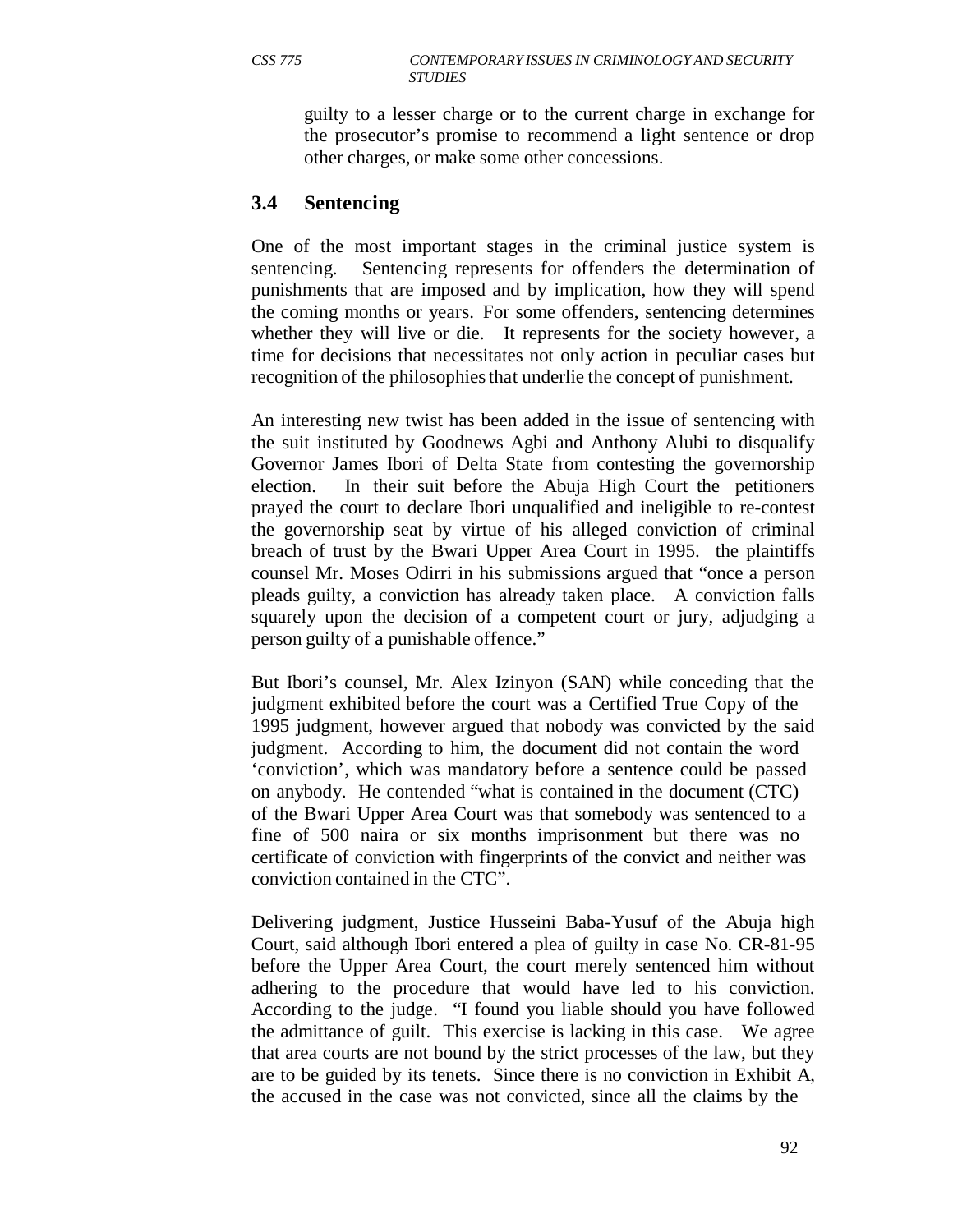guilty to a lesser charge or to the current charge in exchange for the prosecutor's promise to recommend a light sentence or drop other charges, or make some other concessions.

#### **3.4 Sentencing**

One of the most important stages in the criminal justice system is sentencing. Sentencing represents for offenders the determination of punishments that are imposed and by implication, how they will spend the coming months or years. For some offenders, sentencing determines whether they will live or die. It represents for the society however, a time for decisions that necessitates not only action in peculiar cases but recognition of the philosophies that underlie the concept of punishment.

An interesting new twist has been added in the issue of sentencing with the suit instituted by Goodnews Agbi and Anthony Alubi to disqualify Governor James Ibori of Delta State from contesting the governorship election. In their suit before the Abuja High Court the petitioners prayed the court to declare Ibori unqualified and ineligible to re-contest the governorship seat by virtue of his alleged conviction of criminal breach of trust by the Bwari Upper Area Court in 1995. the plaintiffs counsel Mr. Moses Odirri in his submissions argued that "once a person pleads guilty, a conviction has already taken place. A conviction falls squarely upon the decision of a competent court or jury, adjudging a person guilty of a punishable offence."

But Ibori's counsel, Mr. Alex Izinyon (SAN) while conceding that the judgment exhibited before the court was a Certified True Copy of the 1995 judgment, however argued that nobody was convicted by the said judgment. According to him, the document did not contain the word 'conviction', which was mandatory before a sentence could be passed on anybody. He contended "what is contained in the document (CTC) of the Bwari Upper Area Court was that somebody was sentenced to a fine of 500 naira or six months imprisonment but there was no certificate of conviction with fingerprints of the convict and neither was conviction contained in the CTC".

Delivering judgment, Justice Husseini Baba-Yusuf of the Abuja high Court, said although Ibori entered a plea of guilty in case No. CR-81-95 before the Upper Area Court, the court merely sentenced him without adhering to the procedure that would have led to his conviction. According to the judge. "I found you liable should you have followed the admittance of guilt. This exercise is lacking in this case. We agree that area courts are not bound by the strict processes of the law, but they are to be guided by its tenets. Since there is no conviction in Exhibit A, the accused in the case was not convicted, since all the claims by the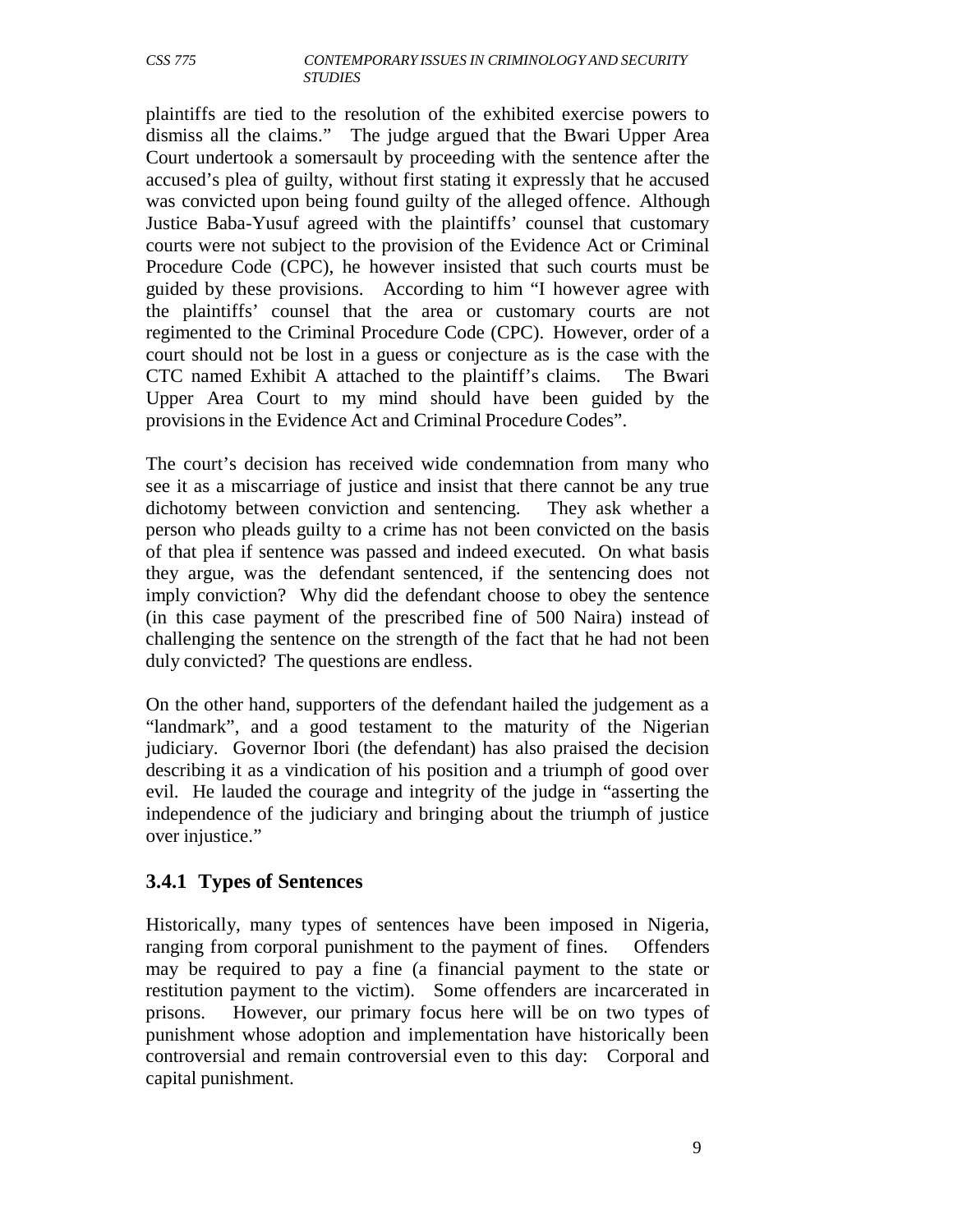plaintiffs are tied to the resolution of the exhibited exercise powers to dismiss all the claims." The judge argued that the Bwari Upper Area Court undertook a somersault by proceeding with the sentence after the accused's plea of guilty, without first stating it expressly that he accused was convicted upon being found guilty of the alleged offence. Although Justice Baba-Yusuf agreed with the plaintiffs' counsel that customary courts were not subject to the provision of the Evidence Act or Criminal Procedure Code (CPC), he however insisted that such courts must be guided by these provisions. According to him "I however agree with the plaintiffs' counsel that the area or customary courts are not regimented to the Criminal Procedure Code (CPC). However, order of a court should not be lost in a guess or conjecture as is the case with the CTC named Exhibit A attached to the plaintiff's claims. The Bwari Upper Area Court to my mind should have been guided by the provisions in the Evidence Act and Criminal Procedure Codes".

The court's decision has received wide condemnation from many who see it as a miscarriage of justice and insist that there cannot be any true dichotomy between conviction and sentencing. They ask whether a person who pleads guilty to a crime has not been convicted on the basis of that plea if sentence was passed and indeed executed. On what basis they argue, was the defendant sentenced, if the sentencing does not imply conviction? Why did the defendant choose to obey the sentence (in this case payment of the prescribed fine of 500 Naira) instead of challenging the sentence on the strength of the fact that he had not been duly convicted? The questions are endless.

On the other hand, supporters of the defendant hailed the judgement as a "landmark", and a good testament to the maturity of the Nigerian judiciary. Governor Ibori (the defendant) has also praised the decision describing it as a vindication of his position and a triumph of good over evil. He lauded the courage and integrity of the judge in "asserting the independence of the judiciary and bringing about the triumph of justice over injustice."

## **3.4.1 Types of Sentences**

Historically, many types of sentences have been imposed in Nigeria, ranging from corporal punishment to the payment of fines. Offenders may be required to pay a fine (a financial payment to the state or restitution payment to the victim). Some offenders are incarcerated in prisons. However, our primary focus here will be on two types of punishment whose adoption and implementation have historically been controversial and remain controversial even to this day: Corporal and capital punishment.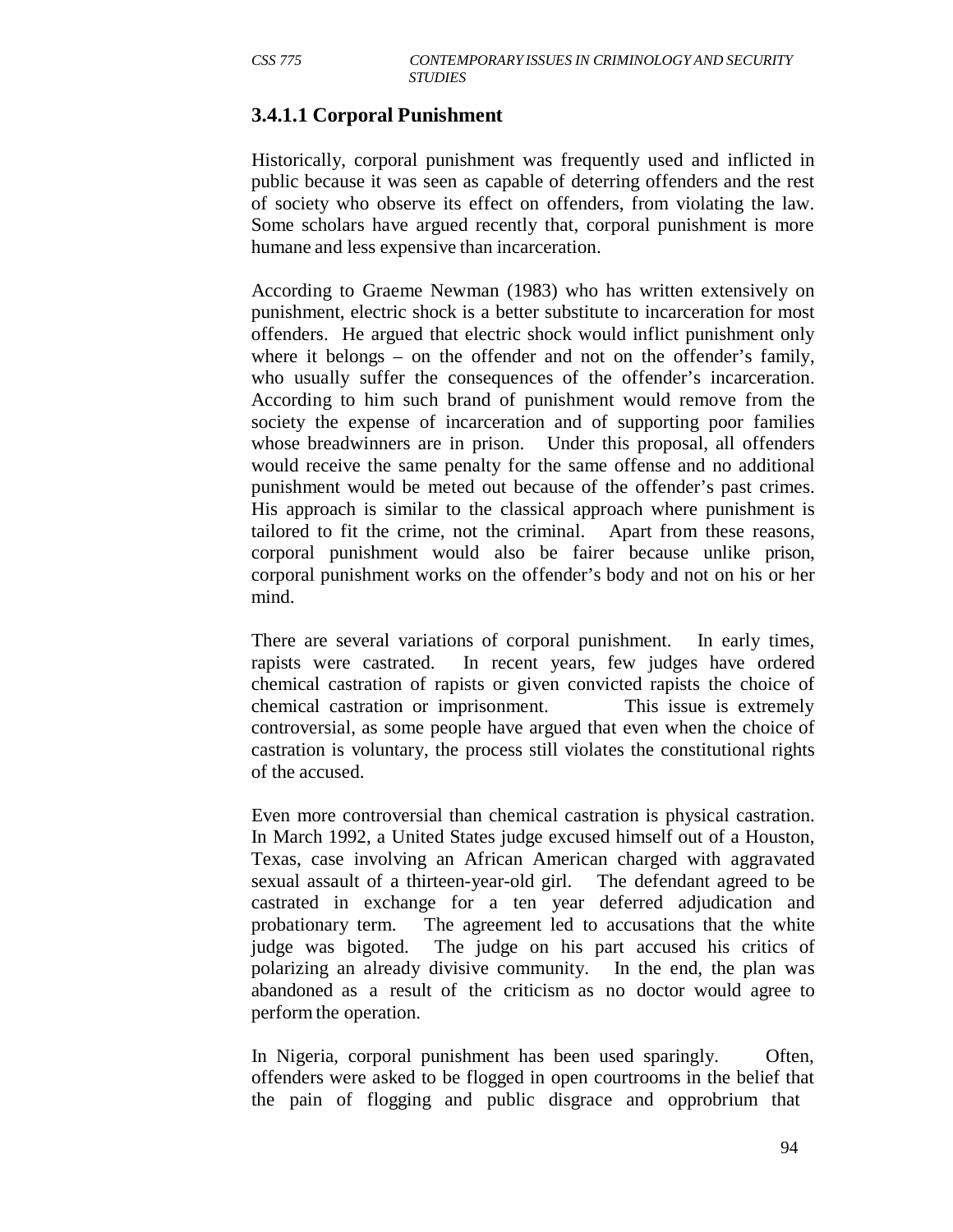# **3.4.1.1 Corporal Punishment**

Historically, corporal punishment was frequently used and inflicted in public because it was seen as capable of deterring offenders and the rest of society who observe its effect on offenders, from violating the law. Some scholars have argued recently that, corporal punishment is more humane and less expensive than incarceration.

According to Graeme Newman (1983) who has written extensively on punishment, electric shock is a better substitute to incarceration for most offenders. He argued that electric shock would inflict punishment only where it belongs – on the offender and not on the offender's family, who usually suffer the consequences of the offender's incarceration. According to him such brand of punishment would remove from the society the expense of incarceration and of supporting poor families whose breadwinners are in prison. Under this proposal, all offenders would receive the same penalty for the same offense and no additional punishment would be meted out because of the offender's past crimes. His approach is similar to the classical approach where punishment is tailored to fit the crime, not the criminal. Apart from these reasons, corporal punishment would also be fairer because unlike prison, corporal punishment works on the offender's body and not on his or her mind.

There are several variations of corporal punishment. In early times, rapists were castrated. In recent years, few judges have ordered chemical castration of rapists or given convicted rapists the choice of chemical castration or imprisonment. This issue is extremely controversial, as some people have argued that even when the choice of castration is voluntary, the process still violates the constitutional rights of the accused.

Even more controversial than chemical castration is physical castration. In March 1992, a United States judge excused himself out of a Houston, Texas, case involving an African American charged with aggravated sexual assault of a thirteen-year-old girl. The defendant agreed to be castrated in exchange for a ten year deferred adjudication and probationary term. The agreement led to accusations that the white judge was bigoted. The judge on his part accused his critics of polarizing an already divisive community. In the end, the plan was abandoned as a result of the criticism as no doctor would agree to perform the operation.

In Nigeria, corporal punishment has been used sparingly. Often, offenders were asked to be flogged in open courtrooms in the belief that the pain of flogging and public disgrace and opprobrium that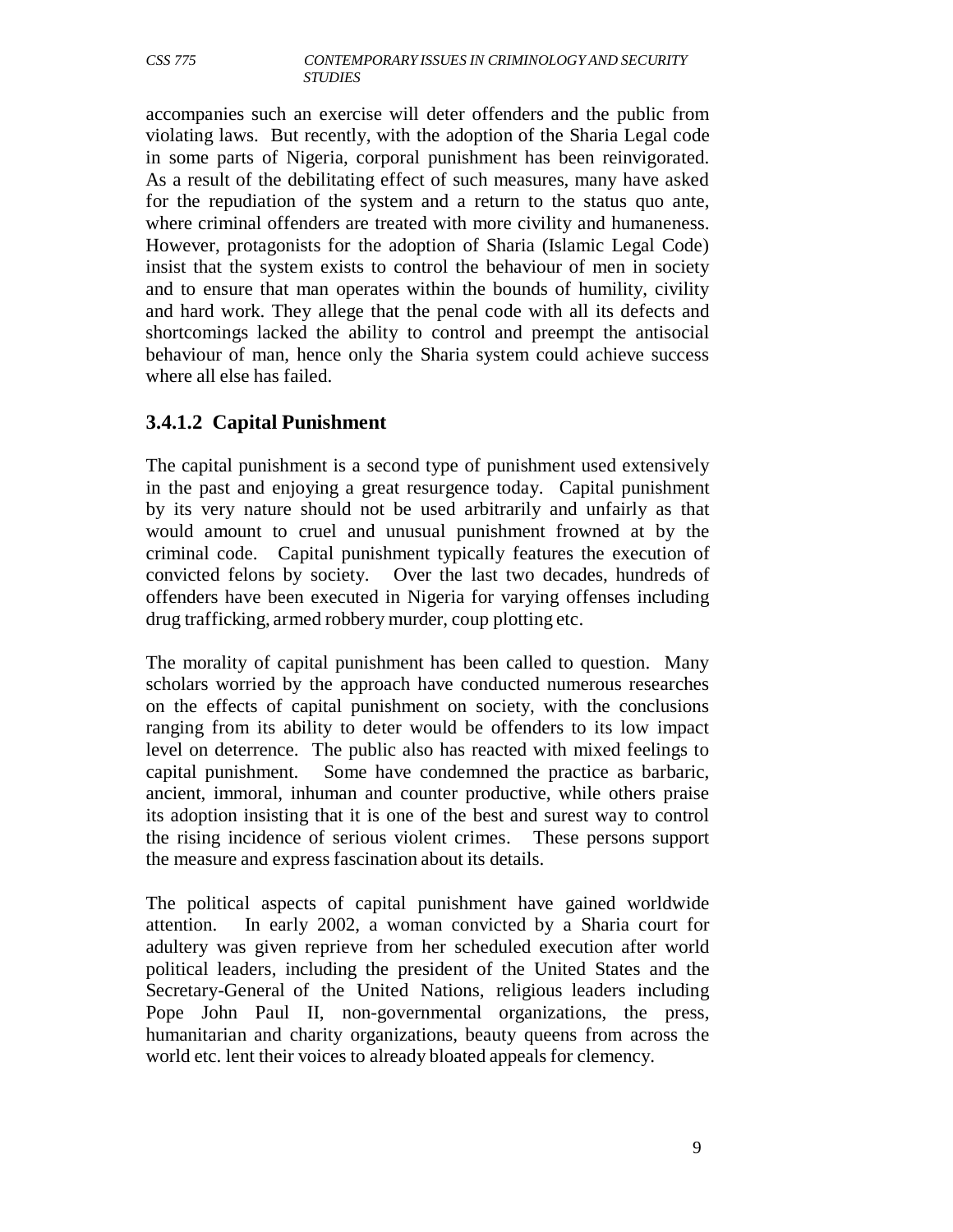accompanies such an exercise will deter offenders and the public from violating laws. But recently, with the adoption of the Sharia Legal code in some parts of Nigeria, corporal punishment has been reinvigorated. As a result of the debilitating effect of such measures, many have asked for the repudiation of the system and a return to the status quo ante, where criminal offenders are treated with more civility and humaneness. However, protagonists for the adoption of Sharia (Islamic Legal Code) insist that the system exists to control the behaviour of men in society and to ensure that man operates within the bounds of humility, civility and hard work. They allege that the penal code with all its defects and shortcomings lacked the ability to control and preempt the antisocial behaviour of man, hence only the Sharia system could achieve success where all else has failed.

## **3.4.1.2 Capital Punishment**

The capital punishment is a second type of punishment used extensively in the past and enjoying a great resurgence today. Capital punishment by its very nature should not be used arbitrarily and unfairly as that would amount to cruel and unusual punishment frowned at by the criminal code. Capital punishment typically features the execution of convicted felons by society. Over the last two decades, hundreds of offenders have been executed in Nigeria for varying offenses including drug trafficking, armed robbery murder, coup plotting etc.

The morality of capital punishment has been called to question. Many scholars worried by the approach have conducted numerous researches on the effects of capital punishment on society, with the conclusions ranging from its ability to deter would be offenders to its low impact level on deterrence. The public also has reacted with mixed feelings to capital punishment. Some have condemned the practice as barbaric, ancient, immoral, inhuman and counter productive, while others praise its adoption insisting that it is one of the best and surest way to control the rising incidence of serious violent crimes. These persons support the measure and express fascination about its details.

The political aspects of capital punishment have gained worldwide attention. In early 2002, a woman convicted by a Sharia court for adultery was given reprieve from her scheduled execution after world political leaders, including the president of the United States and the Secretary-General of the United Nations, religious leaders including Pope John Paul II, non-governmental organizations, the press, humanitarian and charity organizations, beauty queens from across the world etc. lent their voices to already bloated appeals for clemency.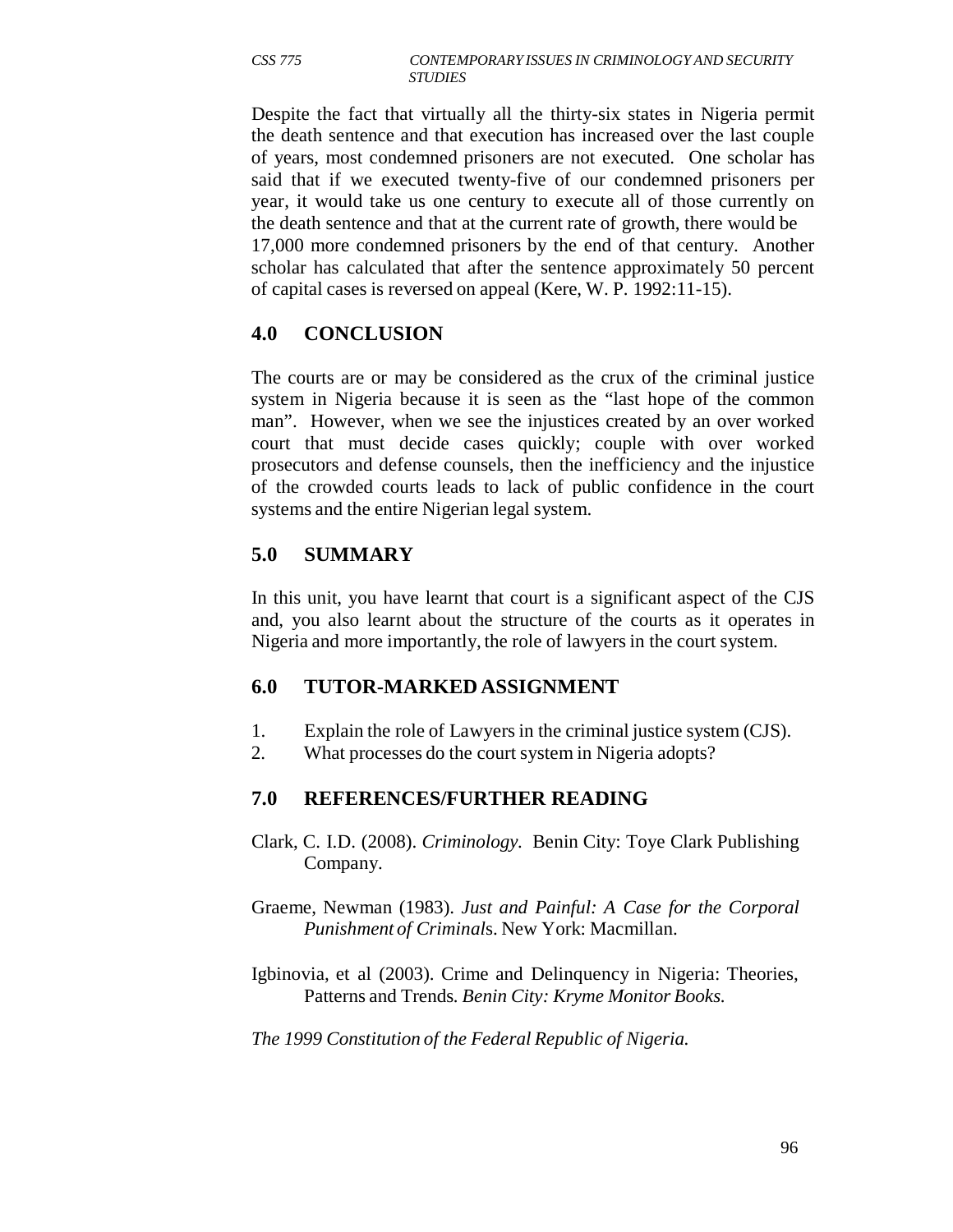Despite the fact that virtually all the thirty-six states in Nigeria permit the death sentence and that execution has increased over the last couple of years, most condemned prisoners are not executed. One scholar has said that if we executed twenty-five of our condemned prisoners per year, it would take us one century to execute all of those currently on the death sentence and that at the current rate of growth, there would be 17,000 more condemned prisoners by the end of that century. Another scholar has calculated that after the sentence approximately 50 percent of capital cases is reversed on appeal (Kere, W. P. 1992:11-15).

## **4.0 CONCLUSION**

The courts are or may be considered as the crux of the criminal justice system in Nigeria because it is seen as the "last hope of the common man". However, when we see the injustices created by an over worked court that must decide cases quickly; couple with over worked prosecutors and defense counsels, then the inefficiency and the injustice of the crowded courts leads to lack of public confidence in the court systems and the entire Nigerian legal system.

# **5.0 SUMMARY**

In this unit, you have learnt that court is a significant aspect of the CJS and, you also learnt about the structure of the courts as it operates in Nigeria and more importantly, the role of lawyers in the court system.

# **6.0 TUTOR-MARKED ASSIGNMENT**

- 1. Explain the role of Lawyers in the criminal justice system (CJS).
- 2. What processes do the court system in Nigeria adopts?

# **7.0 REFERENCES/FURTHER READING**

- Clark, C. I.D. (2008). *Criminology.* Benin City: Toye Clark Publishing Company.
- Graeme, Newman (1983). *Just and Painful: A Case for the Corporal Punishment of Criminal*s. New York: Macmillan.
- Igbinovia, et al (2003). Crime and Delinquency in Nigeria: Theories, Patterns and Trends*. Benin City: Kryme Monitor Books.*

*The 1999 Constitution of the Federal Republic of Nigeria.*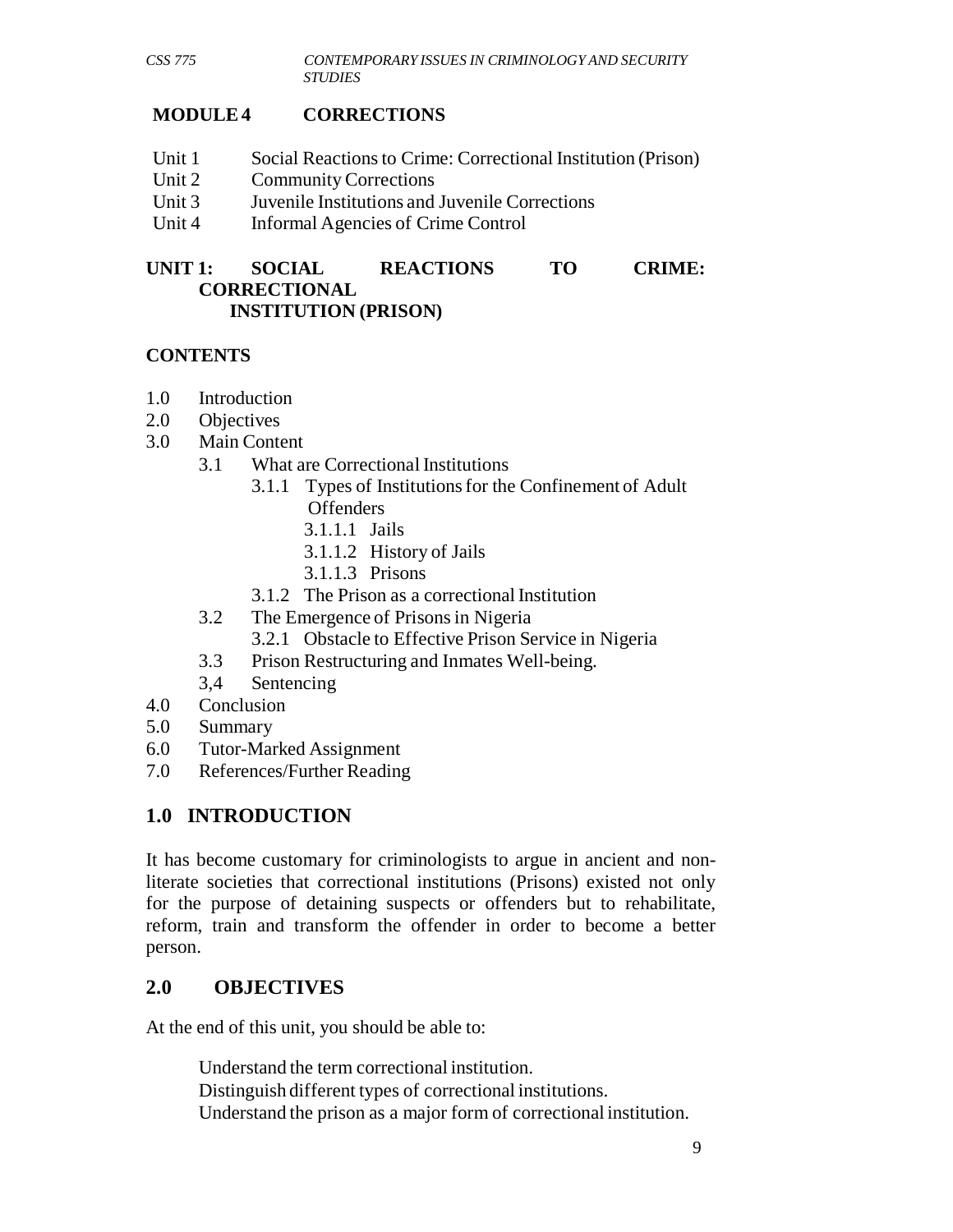## **MODULE 4 CORRECTIONS**

- Unit 1 Social Reactions to Crime: Correctional Institution (Prison)
- Unit 2 Community Corrections
- Unit 3 Juvenile Institutions and Juvenile Corrections
- Unit 4 Informal Agencies of Crime Control

#### **UNIT 1: SOCIAL REACTIONS TO CRIME: CORRECTIONAL INSTITUTION (PRISON)**

### **CONTENTS**

- 1.0 Introduction
- 2.0 Objectives
- 3.0 Main Content
	- 3.1 What are Correctional Institutions
		- 3.1.1 Types of Institutions for the Confinement of Adult **Offenders** 
			- 3.1.1.1 Jails
			- 3.1.1.2 History of Jails
			- 3.1.1.3 Prisons
		- 3.1.2 The Prison as a correctional Institution
	- 3.2 The Emergence of Prisons in Nigeria
		- 3.2.1 Obstacle to Effective Prison Service in Nigeria
	- 3.3 Prison Restructuring and Inmates Well-being.
	- 3,4 Sentencing
- 4.0 Conclusion
- 5.0 Summary
- 6.0 Tutor-Marked Assignment
- 7.0 References/Further Reading

# **1.0 INTRODUCTION**

It has become customary for criminologists to argue in ancient and nonliterate societies that correctional institutions (Prisons) existed not only for the purpose of detaining suspects or offenders but to rehabilitate, reform, train and transform the offender in order to become a better person.

## **2.0 OBJECTIVES**

At the end of this unit, you should be able to:

Understand the term correctional institution. Distinguish different types of correctional institutions. Understand the prison as a major form of correctional institution.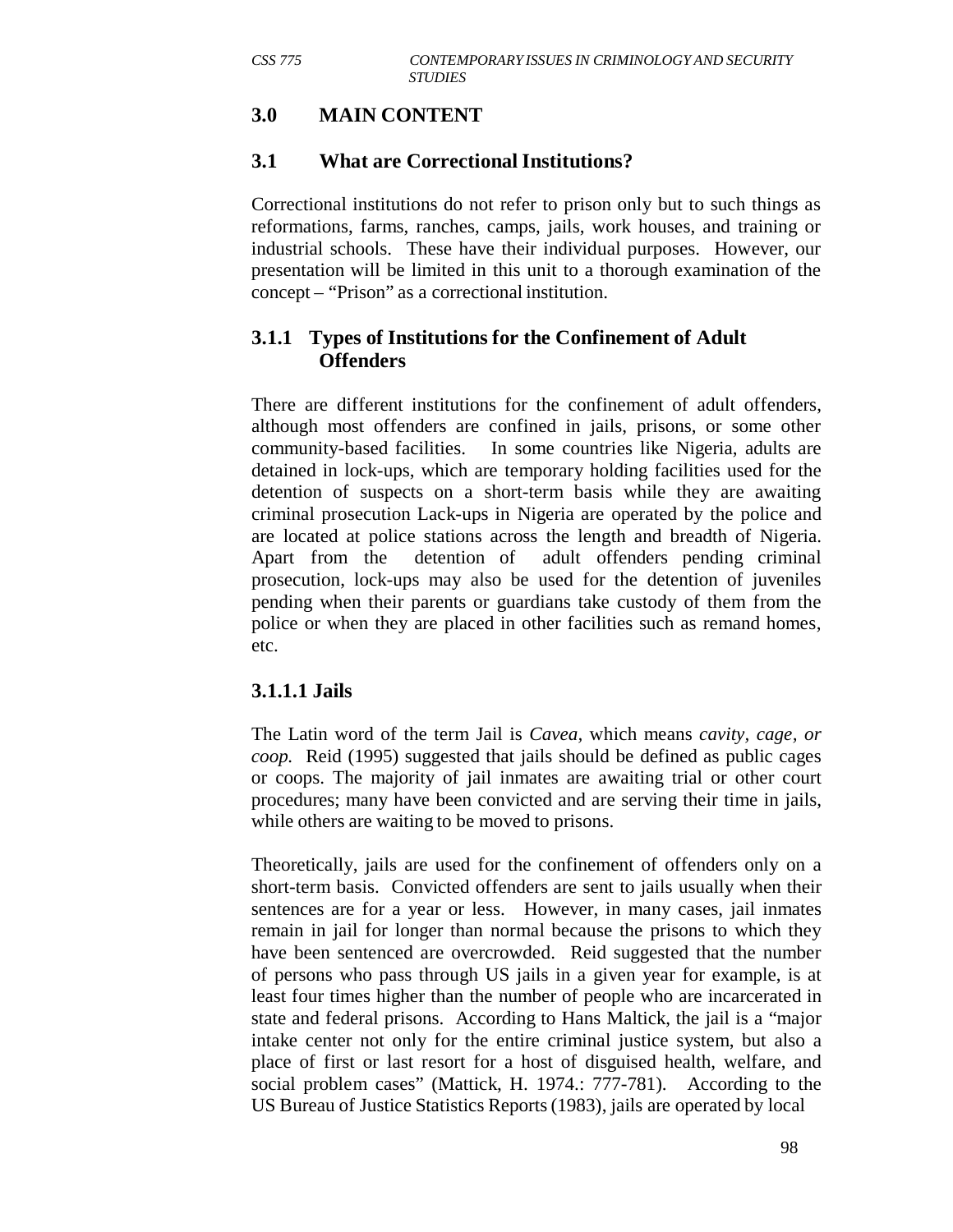## **3.0 MAIN CONTENT**

## **3.1 What are Correctional Institutions?**

Correctional institutions do not refer to prison only but to such things as reformations, farms, ranches, camps, jails, work houses, and training or industrial schools. These have their individual purposes. However, our presentation will be limited in this unit to a thorough examination of the concept – "Prison" as a correctional institution.

### **3.1.1 Types of Institutions for the Confinement of Adult Offenders**

There are different institutions for the confinement of adult offenders, although most offenders are confined in jails, prisons, or some other community-based facilities. In some countries like Nigeria, adults are detained in lock-ups, which are temporary holding facilities used for the detention of suspects on a short-term basis while they are awaiting criminal prosecution Lack-ups in Nigeria are operated by the police and are located at police stations across the length and breadth of Nigeria. Apart from the detention of adult offenders pending criminal prosecution, lock-ups may also be used for the detention of juveniles pending when their parents or guardians take custody of them from the police or when they are placed in other facilities such as remand homes, etc.

#### **3.1.1.1 Jails**

The Latin word of the term Jail is *Cavea,* which means *cavity, cage, or coop.* Reid (1995) suggested that jails should be defined as public cages or coops. The majority of jail inmates are awaiting trial or other court procedures; many have been convicted and are serving their time in jails, while others are waiting to be moved to prisons.

Theoretically, jails are used for the confinement of offenders only on a short-term basis. Convicted offenders are sent to jails usually when their sentences are for a year or less. However, in many cases, jail inmates remain in jail for longer than normal because the prisons to which they have been sentenced are overcrowded. Reid suggested that the number of persons who pass through US jails in a given year for example, is at least four times higher than the number of people who are incarcerated in state and federal prisons. According to Hans Maltick, the jail is a "major intake center not only for the entire criminal justice system, but also a place of first or last resort for a host of disguised health, welfare, and social problem cases" (Mattick, H. 1974.: 777-781). According to the US Bureau of Justice Statistics Reports (1983), jails are operated by local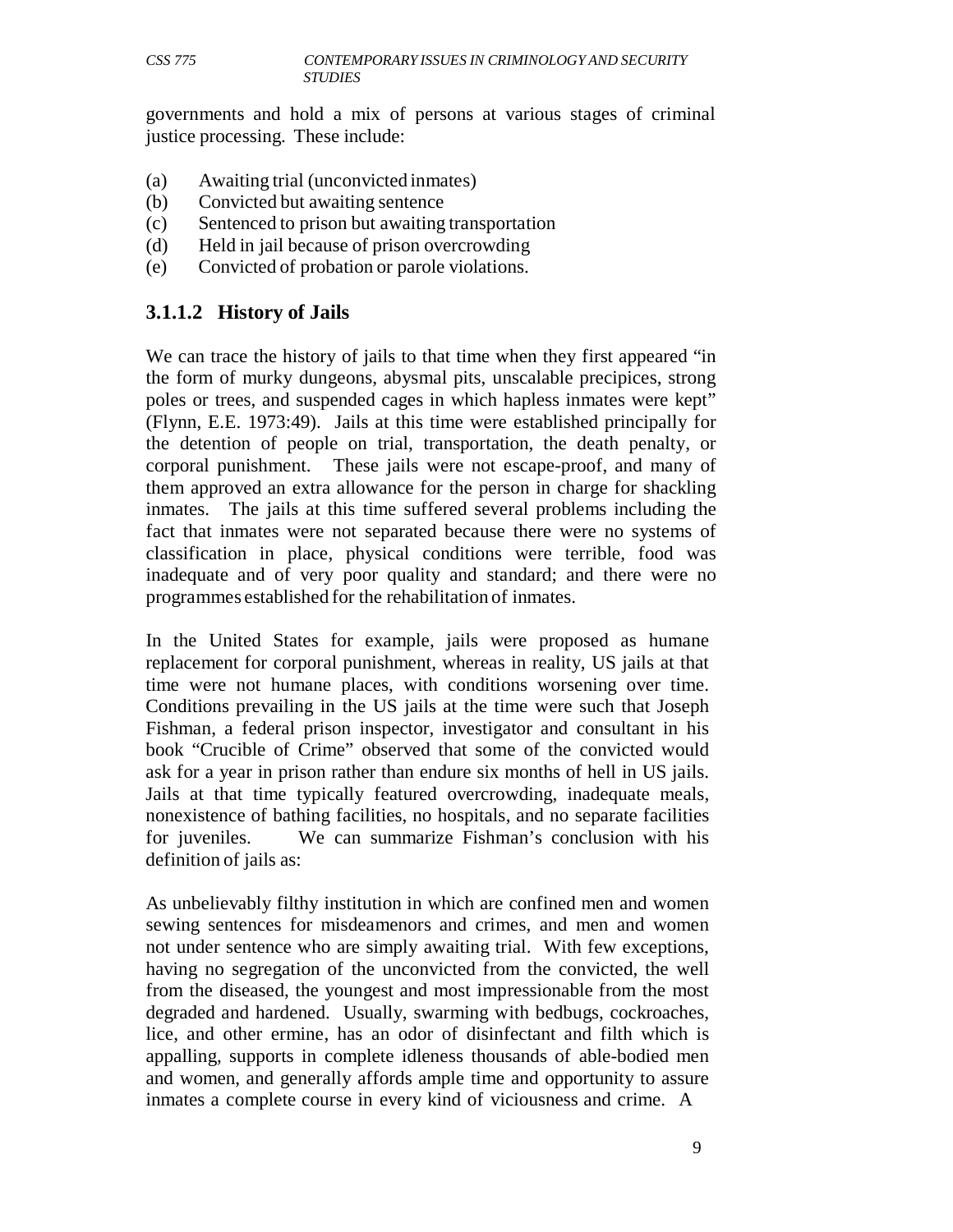governments and hold a mix of persons at various stages of criminal justice processing. These include:

- (a) Awaiting trial (unconvicted inmates)
- (b) Convicted but awaiting sentence
- (c) Sentenced to prison but awaiting transportation
- (d) Held in jail because of prison overcrowding
- (e) Convicted of probation or parole violations.

### **3.1.1.2 History of Jails**

We can trace the history of jails to that time when they first appeared "in the form of murky dungeons, abysmal pits, unscalable precipices, strong poles or trees, and suspended cages in which hapless inmates were kept" (Flynn, E.E. 1973:49). Jails at this time were established principally for the detention of people on trial, transportation, the death penalty, or corporal punishment. These jails were not escape-proof, and many of them approved an extra allowance for the person in charge for shackling inmates. The jails at this time suffered several problems including the fact that inmates were not separated because there were no systems of classification in place, physical conditions were terrible, food was inadequate and of very poor quality and standard; and there were no programmes established for the rehabilitation of inmates.

In the United States for example, jails were proposed as humane replacement for corporal punishment, whereas in reality, US jails at that time were not humane places, with conditions worsening over time. Conditions prevailing in the US jails at the time were such that Joseph Fishman, a federal prison inspector, investigator and consultant in his book "Crucible of Crime" observed that some of the convicted would ask for a year in prison rather than endure six months of hell in US jails. Jails at that time typically featured overcrowding, inadequate meals, nonexistence of bathing facilities, no hospitals, and no separate facilities for juveniles. We can summarize Fishman's conclusion with his definition of jails as:

As unbelievably filthy institution in which are confined men and women sewing sentences for misdeamenors and crimes, and men and women not under sentence who are simply awaiting trial. With few exceptions, having no segregation of the unconvicted from the convicted, the well from the diseased, the youngest and most impressionable from the most degraded and hardened. Usually, swarming with bedbugs, cockroaches, lice, and other ermine, has an odor of disinfectant and filth which is appalling, supports in complete idleness thousands of able-bodied men and women, and generally affords ample time and opportunity to assure inmates a complete course in every kind of viciousness and crime. A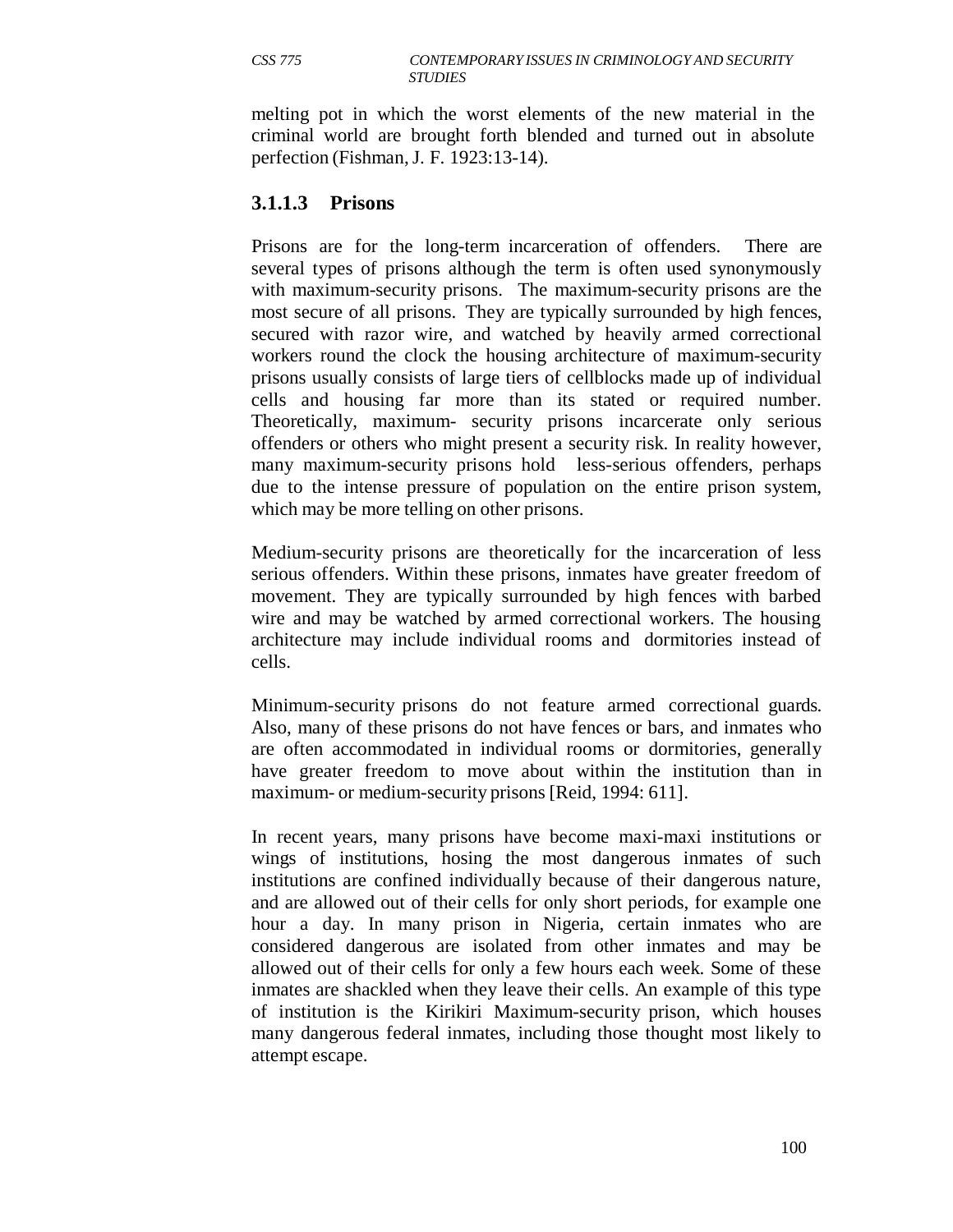melting pot in which the worst elements of the new material in the criminal world are brought forth blended and turned out in absolute perfection (Fishman, J. F. 1923:13-14).

### **3.1.1.3 Prisons**

Prisons are for the long-term incarceration of offenders. There are several types of prisons although the term is often used synonymously with maximum-security prisons. The maximum-security prisons are the most secure of all prisons. They are typically surrounded by high fences, secured with razor wire, and watched by heavily armed correctional workers round the clock the housing architecture of maximum-security prisons usually consists of large tiers of cellblocks made up of individual cells and housing far more than its stated or required number. Theoretically, maximum- security prisons incarcerate only serious offenders or others who might present a security risk. In reality however, many maximum-security prisons hold less-serious offenders, perhaps due to the intense pressure of population on the entire prison system, which may be more telling on other prisons.

Medium-security prisons are theoretically for the incarceration of less serious offenders. Within these prisons, inmates have greater freedom of movement. They are typically surrounded by high fences with barbed wire and may be watched by armed correctional workers. The housing architecture may include individual rooms and dormitories instead of cells.

Minimum-security prisons do not feature armed correctional guards. Also, many of these prisons do not have fences or bars, and inmates who are often accommodated in individual rooms or dormitories, generally have greater freedom to move about within the institution than in maximum- or medium-security prisons [Reid, 1994: 611].

In recent years, many prisons have become maxi-maxi institutions or wings of institutions, hosing the most dangerous inmates of such institutions are confined individually because of their dangerous nature, and are allowed out of their cells for only short periods, for example one hour a day. In many prison in Nigeria, certain inmates who are considered dangerous are isolated from other inmates and may be allowed out of their cells for only a few hours each week. Some of these inmates are shackled when they leave their cells. An example of this type of institution is the Kirikiri Maximum-security prison, which houses many dangerous federal inmates, including those thought most likely to attempt escape.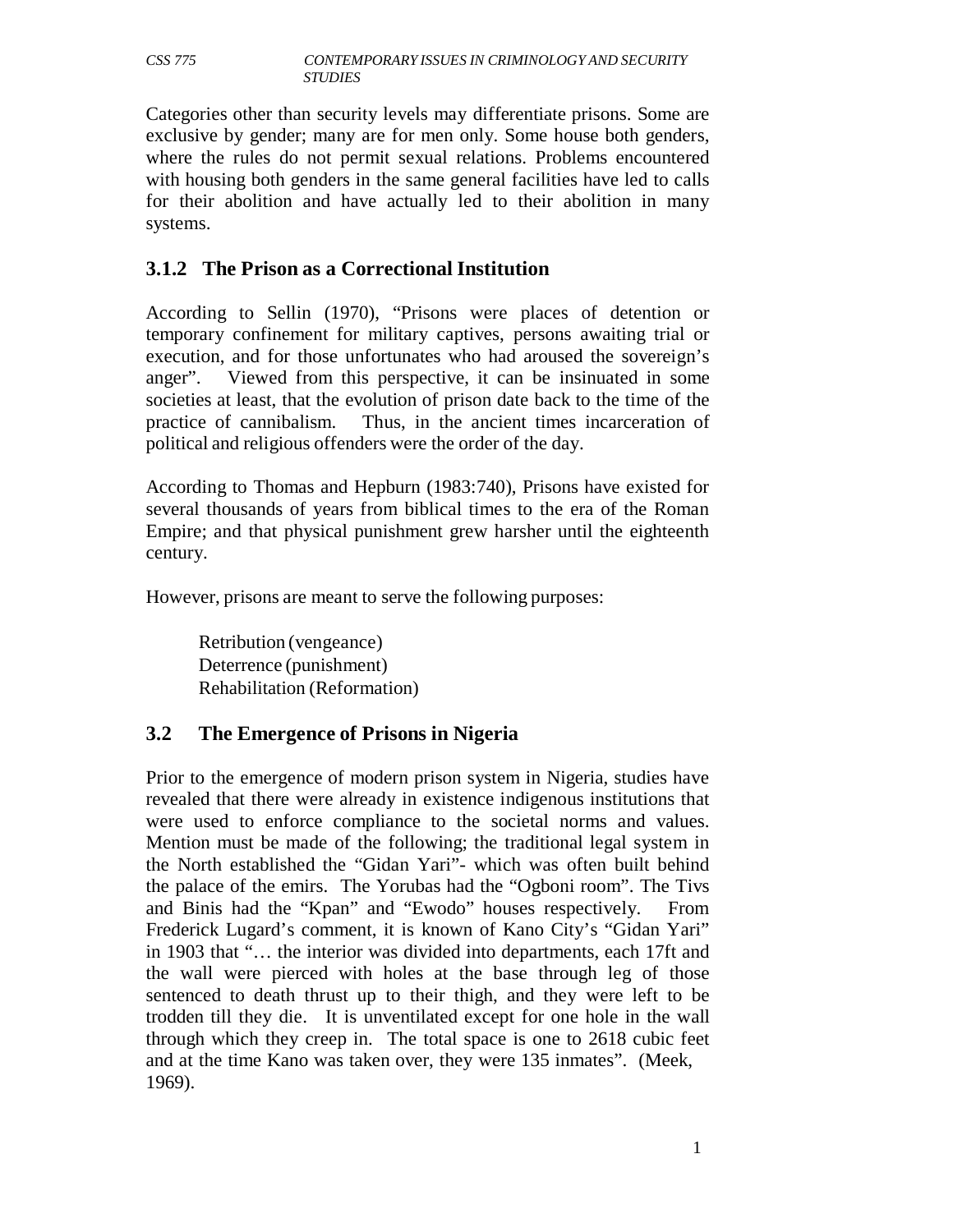Categories other than security levels may differentiate prisons. Some are exclusive by gender; many are for men only. Some house both genders, where the rules do not permit sexual relations. Problems encountered with housing both genders in the same general facilities have led to calls for their abolition and have actually led to their abolition in many systems.

### **3.1.2 The Prison as a Correctional Institution**

According to Sellin (1970), "Prisons were places of detention or temporary confinement for military captives, persons awaiting trial or execution, and for those unfortunates who had aroused the sovereign's anger". Viewed from this perspective, it can be insinuated in some societies at least, that the evolution of prison date back to the time of the practice of cannibalism. Thus, in the ancient times incarceration of political and religious offenders were the order of the day.

According to Thomas and Hepburn (1983:740), Prisons have existed for several thousands of years from biblical times to the era of the Roman Empire; and that physical punishment grew harsher until the eighteenth century.

However, prisons are meant to serve the following purposes:

Retribution (vengeance) Deterrence (punishment) Rehabilitation (Reformation)

## **3.2 The Emergence of Prisons in Nigeria**

Prior to the emergence of modern prison system in Nigeria, studies have revealed that there were already in existence indigenous institutions that were used to enforce compliance to the societal norms and values. Mention must be made of the following; the traditional legal system in the North established the "Gidan Yari"- which was often built behind the palace of the emirs. The Yorubas had the "Ogboni room". The Tivs and Binis had the "Kpan" and "Ewodo" houses respectively. From Frederick Lugard's comment, it is known of Kano City's "Gidan Yari" in 1903 that "… the interior was divided into departments, each 17ft and the wall were pierced with holes at the base through leg of those sentenced to death thrust up to their thigh, and they were left to be trodden till they die. It is unventilated except for one hole in the wall through which they creep in. The total space is one to 2618 cubic feet and at the time Kano was taken over, they were 135 inmates". (Meek, 1969).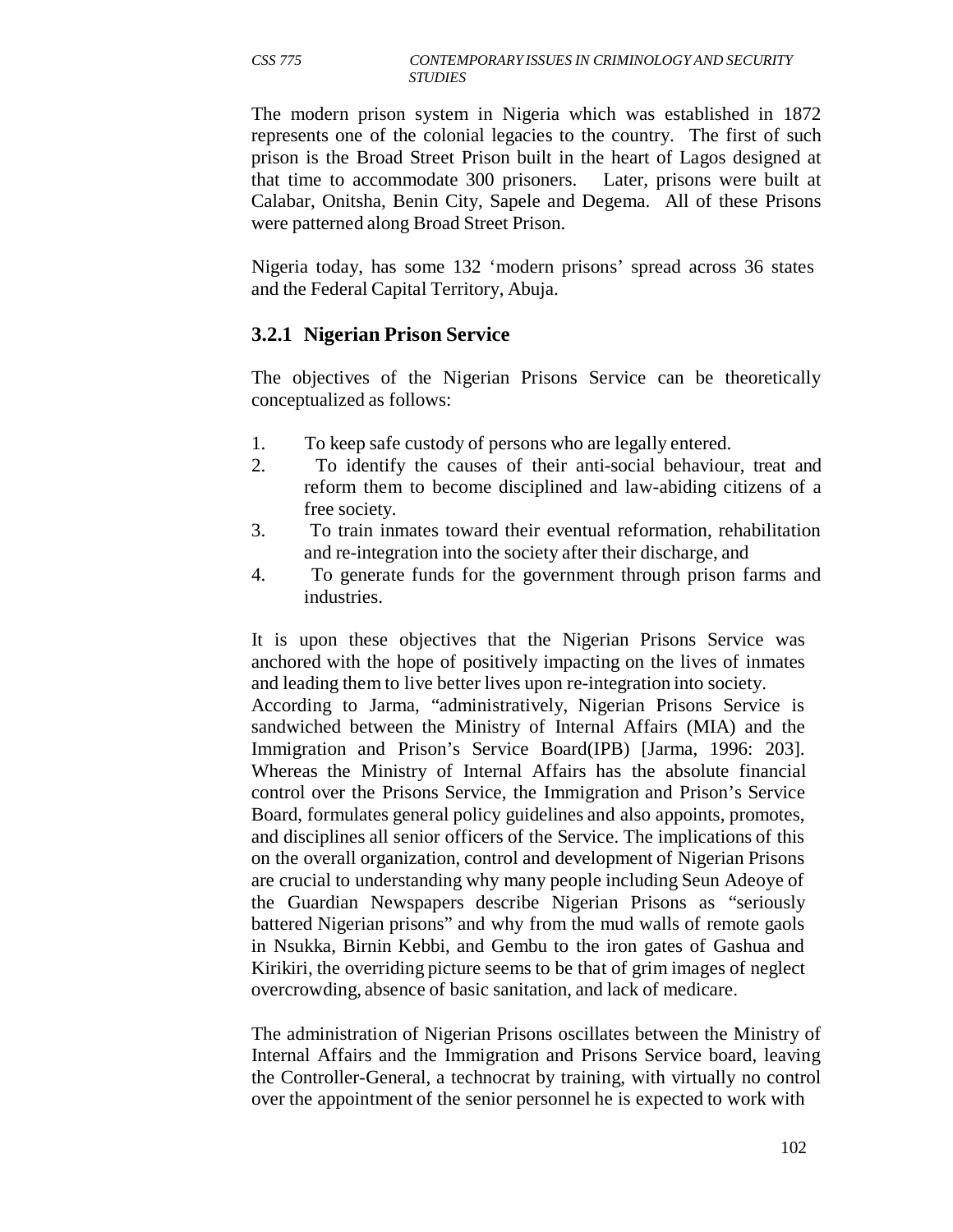The modern prison system in Nigeria which was established in 1872 represents one of the colonial legacies to the country. The first of such prison is the Broad Street Prison built in the heart of Lagos designed at that time to accommodate 300 prisoners. Later, prisons were built at Calabar, Onitsha, Benin City, Sapele and Degema. All of these Prisons were patterned along Broad Street Prison.

Nigeria today, has some 132 'modern prisons' spread across 36 states and the Federal Capital Territory, Abuja.

## **3.2.1 Nigerian Prison Service**

The objectives of the Nigerian Prisons Service can be theoretically conceptualized as follows:

- 1. To keep safe custody of persons who are legally entered.
- 2. To identify the causes of their anti-social behaviour, treat and reform them to become disciplined and law-abiding citizens of a free society.
- 3. To train inmates toward their eventual reformation, rehabilitation and re-integration into the society after their discharge, and
- 4. To generate funds for the government through prison farms and industries.

It is upon these objectives that the Nigerian Prisons Service was anchored with the hope of positively impacting on the lives of inmates and leading them to live better lives upon re-integration into society. According to Jarma, "administratively, Nigerian Prisons Service is sandwiched between the Ministry of Internal Affairs (MIA) and the Immigration and Prison's Service Board(IPB) [Jarma, 1996: 203]. Whereas the Ministry of Internal Affairs has the absolute financial control over the Prisons Service, the Immigration and Prison's Service Board, formulates general policy guidelines and also appoints, promotes, and disciplines all senior officers of the Service. The implications of this on the overall organization, control and development of Nigerian Prisons are crucial to understanding why many people including Seun Adeoye of the Guardian Newspapers describe Nigerian Prisons as "seriously battered Nigerian prisons" and why from the mud walls of remote gaols in Nsukka, Birnin Kebbi, and Gembu to the iron gates of Gashua and Kirikiri, the overriding picture seems to be that of grim images of neglect overcrowding, absence of basic sanitation, and lack of medicare.

The administration of Nigerian Prisons oscillates between the Ministry of Internal Affairs and the Immigration and Prisons Service board, leaving the Controller-General, a technocrat by training, with virtually no control over the appointment of the senior personnel he is expected to work with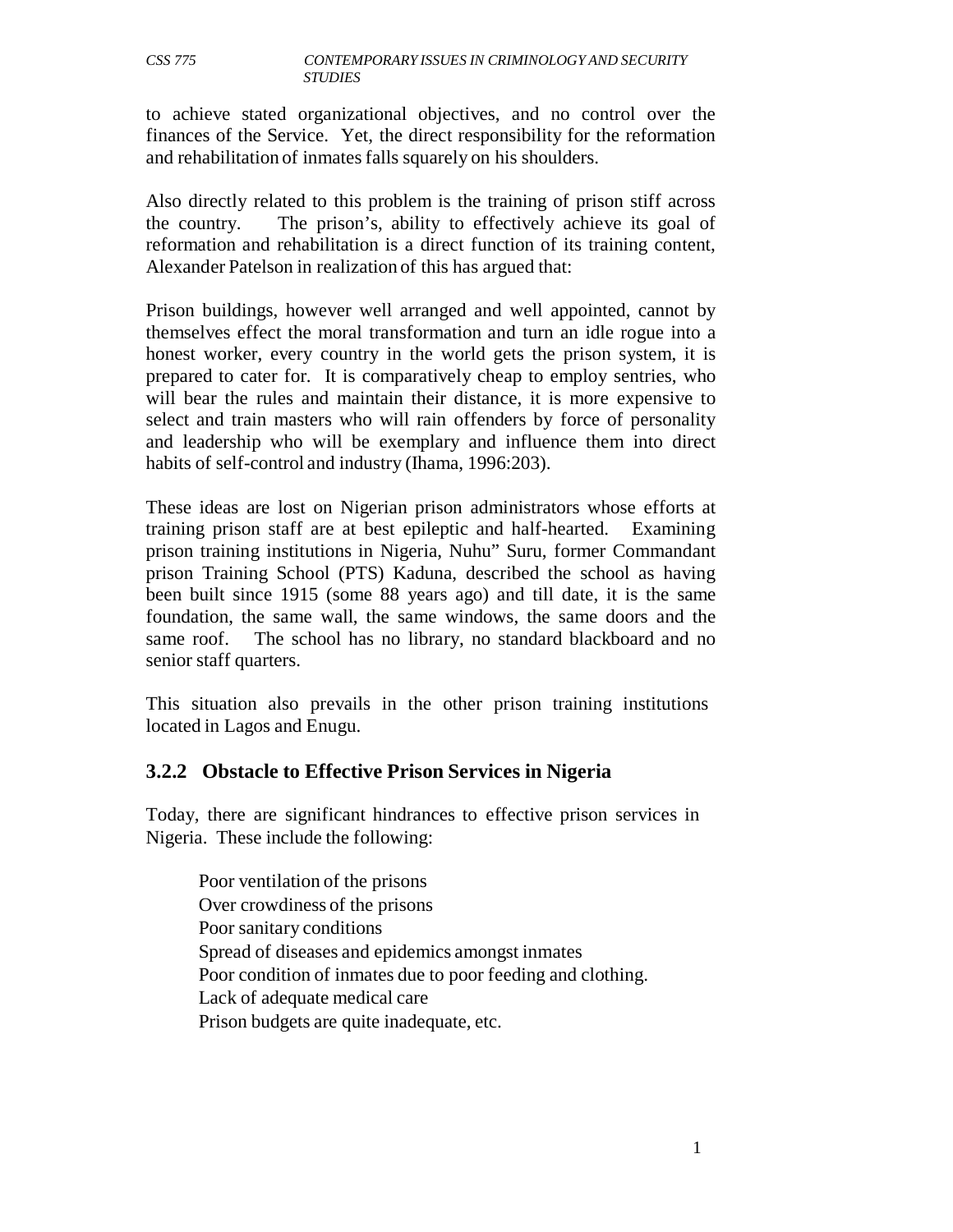to achieve stated organizational objectives, and no control over the finances of the Service. Yet, the direct responsibility for the reformation and rehabilitation of inmates falls squarely on his shoulders.

Also directly related to this problem is the training of prison stiff across the country. The prison's, ability to effectively achieve its goal of reformation and rehabilitation is a direct function of its training content, Alexander Patelson in realization of this has argued that:

Prison buildings, however well arranged and well appointed, cannot by themselves effect the moral transformation and turn an idle rogue into a honest worker, every country in the world gets the prison system, it is prepared to cater for. It is comparatively cheap to employ sentries, who will bear the rules and maintain their distance, it is more expensive to select and train masters who will rain offenders by force of personality and leadership who will be exemplary and influence them into direct habits of self-control and industry (Ihama, 1996:203).

These ideas are lost on Nigerian prison administrators whose efforts at training prison staff are at best epileptic and half-hearted. Examining prison training institutions in Nigeria, Nuhu" Suru, former Commandant prison Training School (PTS) Kaduna, described the school as having been built since 1915 (some 88 years ago) and till date, it is the same foundation, the same wall, the same windows, the same doors and the same roof. The school has no library, no standard blackboard and no senior staff quarters.

This situation also prevails in the other prison training institutions located in Lagos and Enugu.

## **3.2.2 Obstacle to Effective Prison Services in Nigeria**

Today, there are significant hindrances to effective prison services in Nigeria. These include the following:

Poor ventilation of the prisons Over crowdiness of the prisons Poor sanitary conditions Spread of diseases and epidemics amongst inmates Poor condition of inmates due to poor feeding and clothing. Lack of adequate medical care Prison budgets are quite inadequate, etc.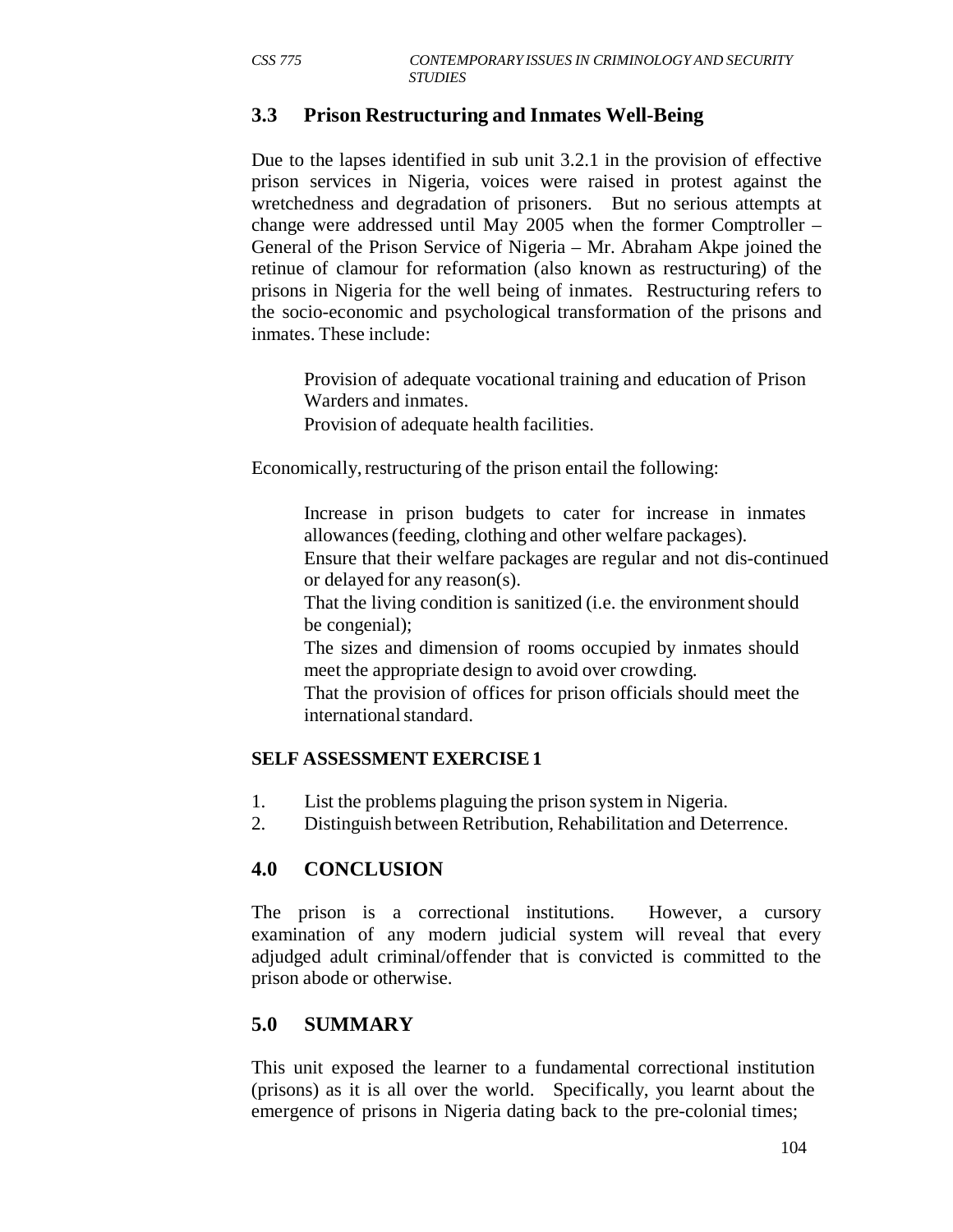## **3.3 Prison Restructuring and Inmates Well-Being**

Due to the lapses identified in sub unit 3.2.1 in the provision of effective prison services in Nigeria, voices were raised in protest against the wretchedness and degradation of prisoners. But no serious attempts at change were addressed until May 2005 when the former Comptroller – General of the Prison Service of Nigeria – Mr. Abraham Akpe joined the retinue of clamour for reformation (also known as restructuring) of the prisons in Nigeria for the well being of inmates. Restructuring refers to the socio-economic and psychological transformation of the prisons and inmates. These include:

Provision of adequate vocational training and education of Prison Warders and inmates.

Provision of adequate health facilities.

Economically, restructuring of the prison entail the following:

Increase in prison budgets to cater for increase in inmates allowances (feeding, clothing and other welfare packages).

Ensure that their welfare packages are regular and not dis-continued or delayed for any reason(s).

That the living condition is sanitized (i.e. the environment should be congenial);

The sizes and dimension of rooms occupied by inmates should meet the appropriate design to avoid over crowding.

That the provision of offices for prison officials should meet the international standard.

## **SELF ASSESSMENT EXERCISE 1**

- 1. List the problems plaguing the prison system in Nigeria.
- 2. Distinguish between Retribution, Rehabilitation and Deterrence.

# **4.0 CONCLUSION**

The prison is a correctional institutions. However, a cursory examination of any modern judicial system will reveal that every adjudged adult criminal/offender that is convicted is committed to the prison abode or otherwise.

# **5.0 SUMMARY**

This unit exposed the learner to a fundamental correctional institution (prisons) as it is all over the world. Specifically, you learnt about the emergence of prisons in Nigeria dating back to the pre-colonial times;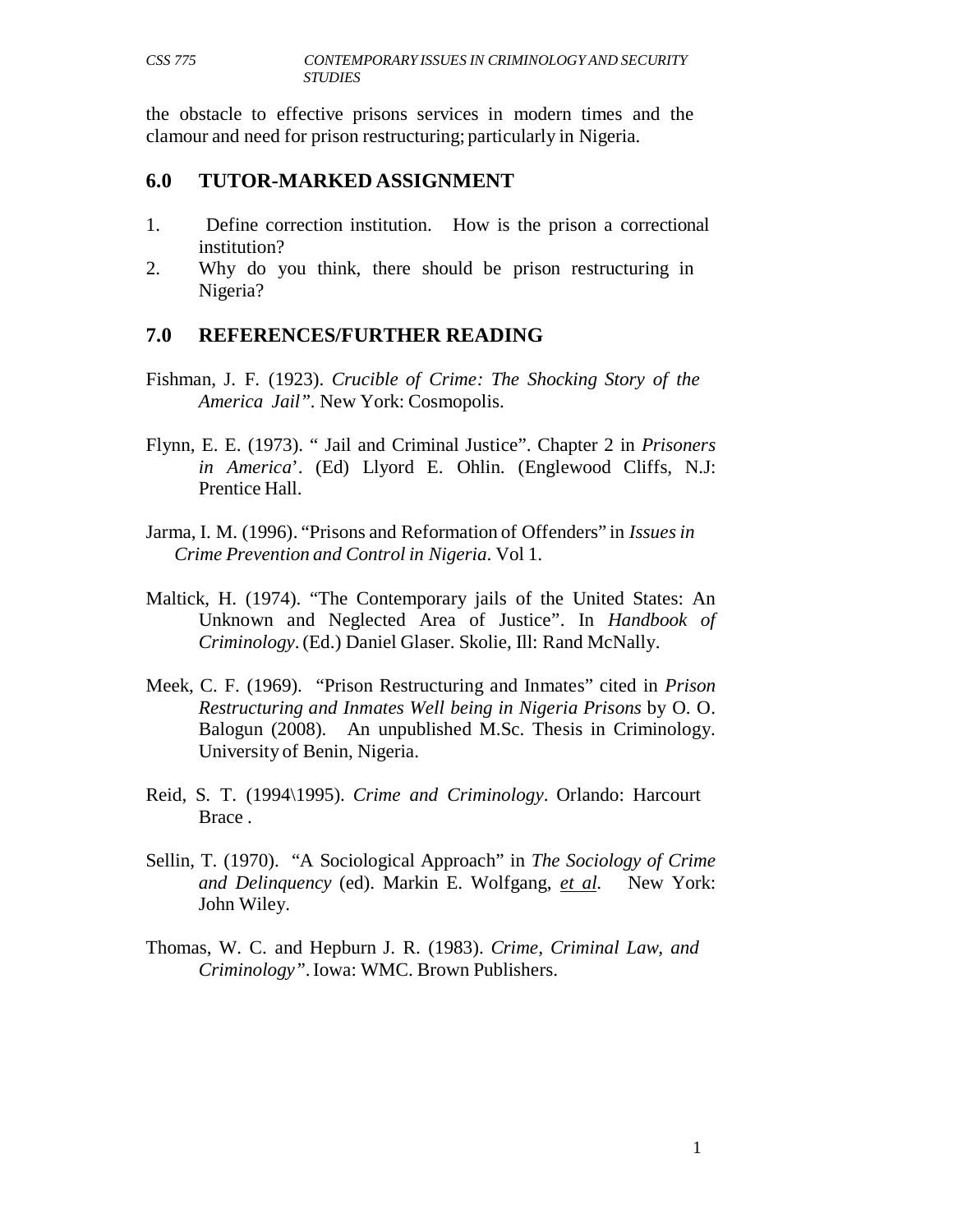the obstacle to effective prisons services in modern times and the clamour and need for prison restructuring; particularly in Nigeria.

#### **6.0 TUTOR-MARKED ASSIGNMENT**

- 1. Define correction institution. How is the prison a correctional institution?
- 2. Why do you think, there should be prison restructuring in Nigeria?

## **7.0 REFERENCES/FURTHER READING**

- Fishman, J. F. (1923). *Crucible of Crime: The Shocking Story of the America Jail".* New York: Cosmopolis.
- Flynn, E. E. (1973). " Jail and Criminal Justice". Chapter 2 in *Prisoners in America*'. (Ed) Llyord E. Ohlin. (Englewood Cliffs, N.J: Prentice Hall.
- Jarma, I. M. (1996). "Prisons and Reformation of Offenders" in *Issues in Crime Prevention and Control in Nigeria*. Vol 1.
- Maltick, H. (1974). "The Contemporary jails of the United States: An Unknown and Neglected Area of Justice". In *Handbook of Criminology*. (Ed.) Daniel Glaser. Skolie, Ill: Rand McNally.
- Meek, C. F. (1969). "Prison Restructuring and Inmates" cited in *Prison Restructuring and Inmates Well being in Nigeria Prisons* by O. O. Balogun (2008). An unpublished M.Sc. Thesis in Criminology. University of Benin, Nigeria.
- Reid, S. T. (1994\1995). *Crime and Criminology*. Orlando: Harcourt Brace .
- Sellin, T. (1970). "A Sociological Approach" in *The Sociology of Crime and Delinquency* (ed). Markin E. Wolfgang, *et al*. New York: John Wiley.
- Thomas, W. C. and Hepburn J. R. (1983). *Crime, Criminal Law, and Criminology"*. Iowa: WMC. Brown Publishers.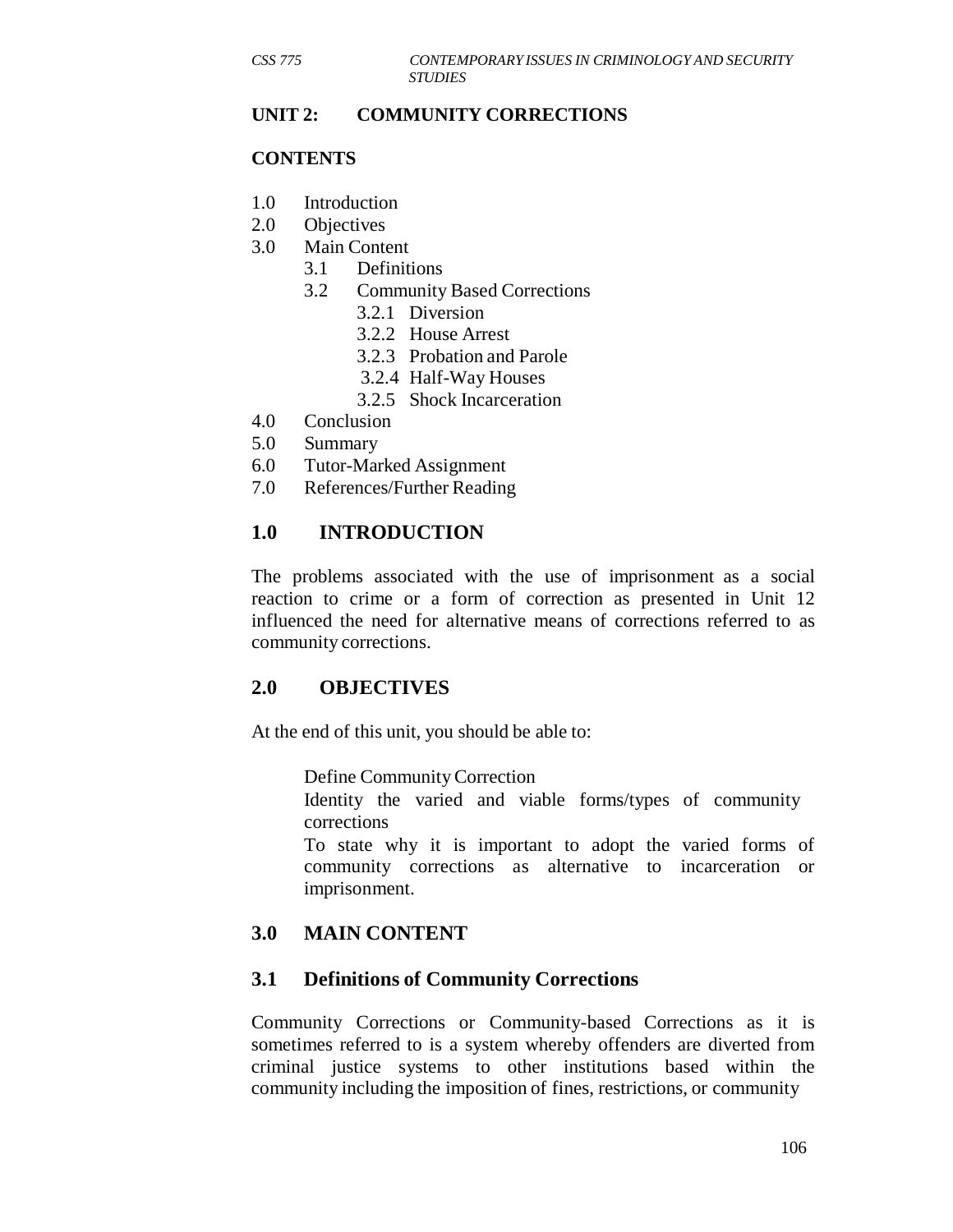#### **UNIT 2: COMMUNITY CORRECTIONS**

#### **CONTENTS**

- 1.0 Introduction
- 2.0 Objectives
- 3.0 Main Content
	- 3.1 Definitions
	- 3.2 Community Based Corrections
		- 3.2.1 Diversion
		- 3.2.2 House Arrest
		- 3.2.3 Probation and Parole
		- 3.2.4 Half-Way Houses
		- 3.2.5 Shock Incarceration
- 4.0 Conclusion
- 5.0 Summary
- 6.0 Tutor-Marked Assignment
- 7.0 References/Further Reading

## **1.0 INTRODUCTION**

The problems associated with the use of imprisonment as a social reaction to crime or a form of correction as presented in Unit 12 influenced the need for alternative means of corrections referred to as community corrections.

## **2.0 OBJECTIVES**

At the end of this unit, you should be able to:

Define Community Correction

Identity the varied and viable forms/types of community corrections

To state why it is important to adopt the varied forms of community corrections as alternative to incarceration or imprisonment.

# **3.0 MAIN CONTENT**

#### **3.1 Definitions of Community Corrections**

Community Corrections or Community-based Corrections as it is sometimes referred to is a system whereby offenders are diverted from criminal justice systems to other institutions based within the community including the imposition of fines, restrictions, or community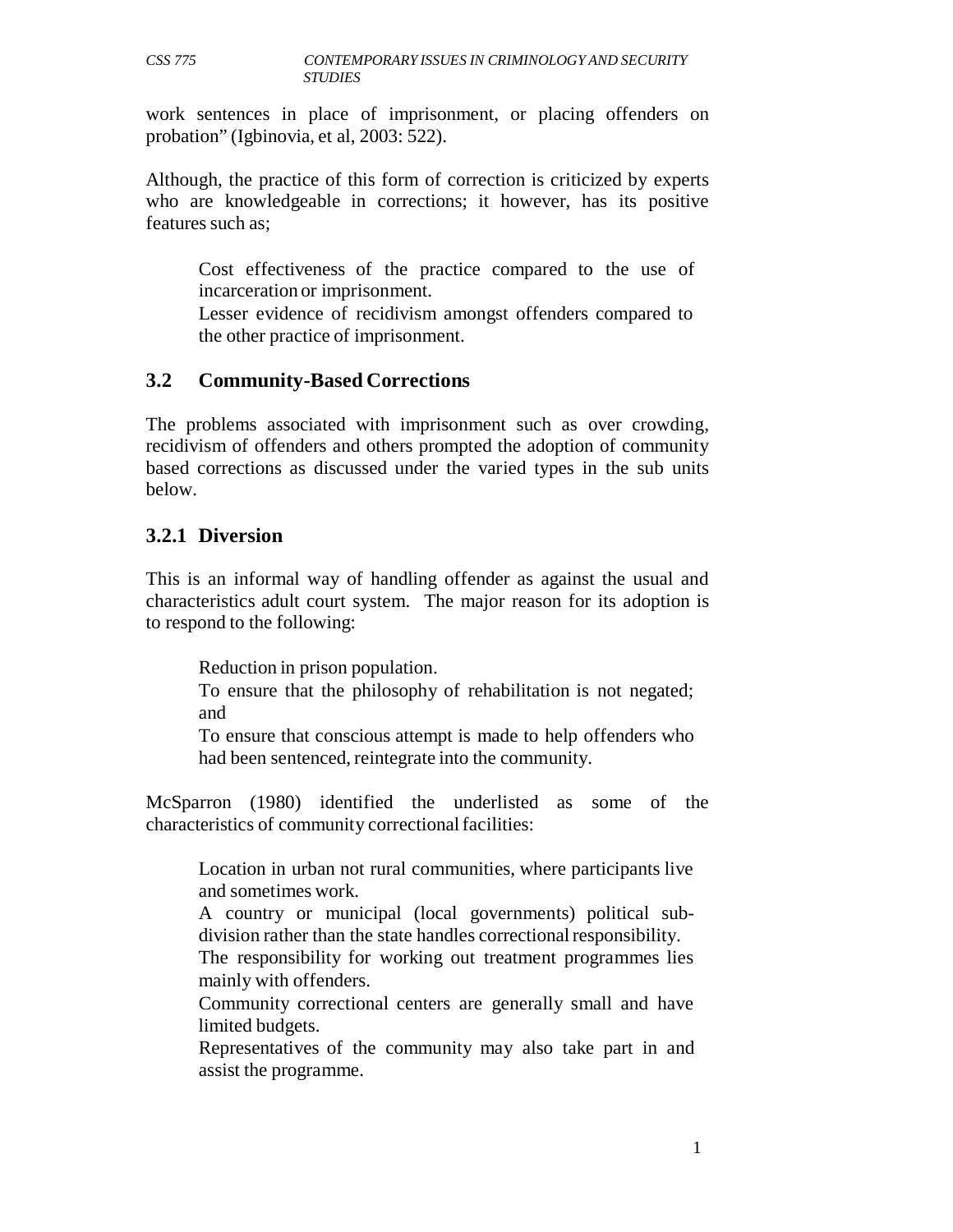work sentences in place of imprisonment, or placing offenders on probation" (Igbinovia, et al, 2003: 522).

Although, the practice of this form of correction is criticized by experts who are knowledgeable in corrections; it however, has its positive features such as;

Cost effectiveness of the practice compared to the use of incarceration or imprisonment.

Lesser evidence of recidivism amongst offenders compared to the other practice of imprisonment.

#### **3.2 Community-Based Corrections**

The problems associated with imprisonment such as over crowding, recidivism of offenders and others prompted the adoption of community based corrections as discussed under the varied types in the sub units below.

### **3.2.1 Diversion**

This is an informal way of handling offender as against the usual and characteristics adult court system. The major reason for its adoption is to respond to the following:

Reduction in prison population.

To ensure that the philosophy of rehabilitation is not negated; and

To ensure that conscious attempt is made to help offenders who had been sentenced, reintegrate into the community.

McSparron (1980) identified the underlisted as some of the characteristics of community correctional facilities:

Location in urban not rural communities, where participants live and sometimes work.

A country or municipal (local governments) political subdivision rather than the state handles correctional responsibility.

The responsibility for working out treatment programmes lies mainly with offenders.

Community correctional centers are generally small and have limited budgets.

Representatives of the community may also take part in and assist the programme.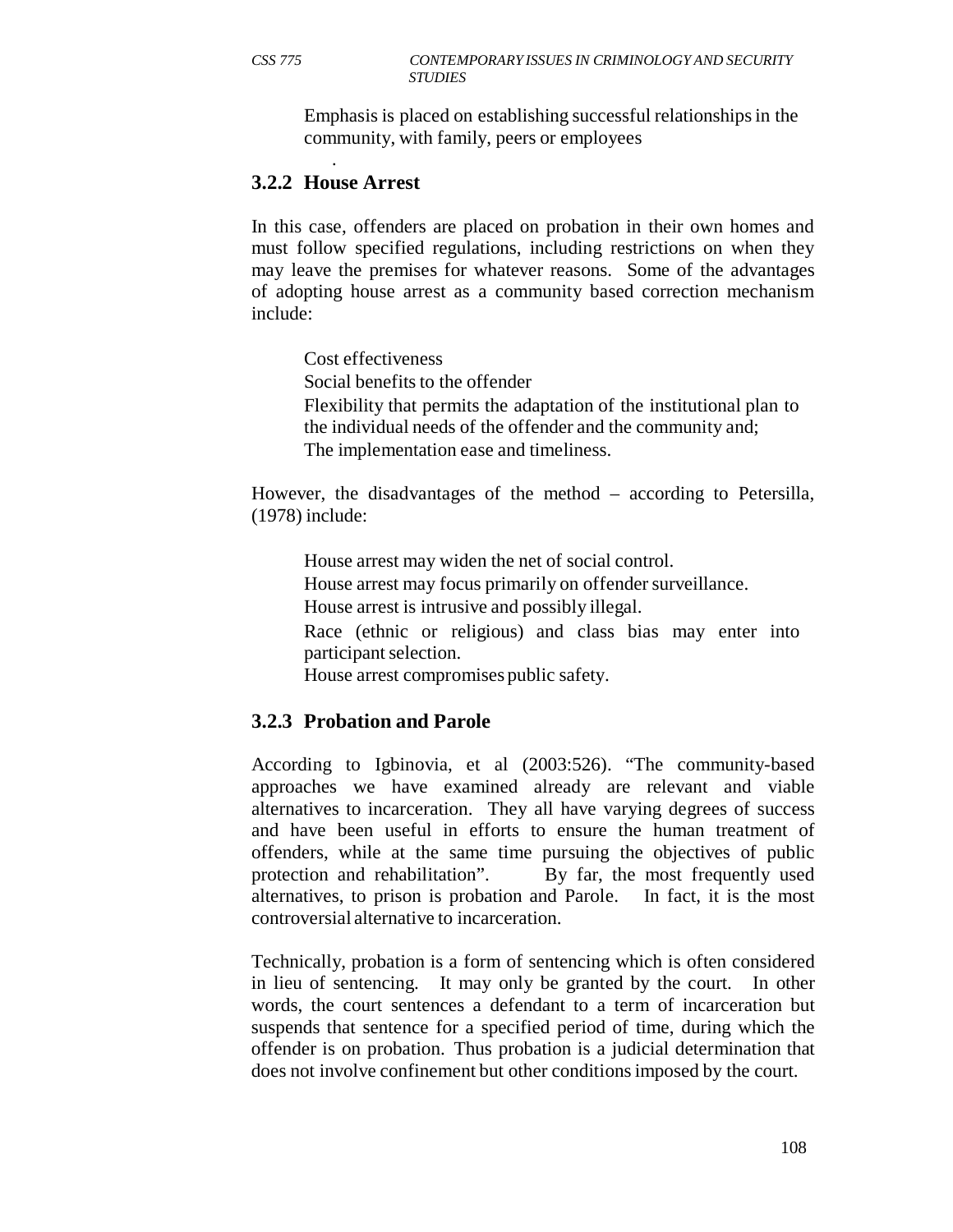Emphasis is placed on establishing successful relationships in the community, with family, peers or employees

#### . **3.2.2 House Arrest**

In this case, offenders are placed on probation in their own homes and must follow specified regulations, including restrictions on when they may leave the premises for whatever reasons. Some of the advantages of adopting house arrest as a community based correction mechanism include:

Cost effectiveness

Social benefits to the offender

Flexibility that permits the adaptation of the institutional plan to the individual needs of the offender and the community and; The implementation ease and timeliness.

However, the disadvantages of the method – according to Petersilla, (1978) include:

House arrest may widen the net of social control. House arrest may focus primarily on offender surveillance. House arrest is intrusive and possibly illegal. Race (ethnic or religious) and class bias may enter into participant selection.

House arrest compromises public safety.

## **3.2.3 Probation and Parole**

According to Igbinovia, et al (2003:526). "The community-based approaches we have examined already are relevant and viable alternatives to incarceration. They all have varying degrees of success and have been useful in efforts to ensure the human treatment of offenders, while at the same time pursuing the objectives of public protection and rehabilitation". By far, the most frequently used alternatives, to prison is probation and Parole. In fact, it is the most controversial alternative to incarceration.

Technically, probation is a form of sentencing which is often considered in lieu of sentencing. It may only be granted by the court. In other words, the court sentences a defendant to a term of incarceration but suspends that sentence for a specified period of time, during which the offender is on probation. Thus probation is a judicial determination that does not involve confinement but other conditions imposed by the court.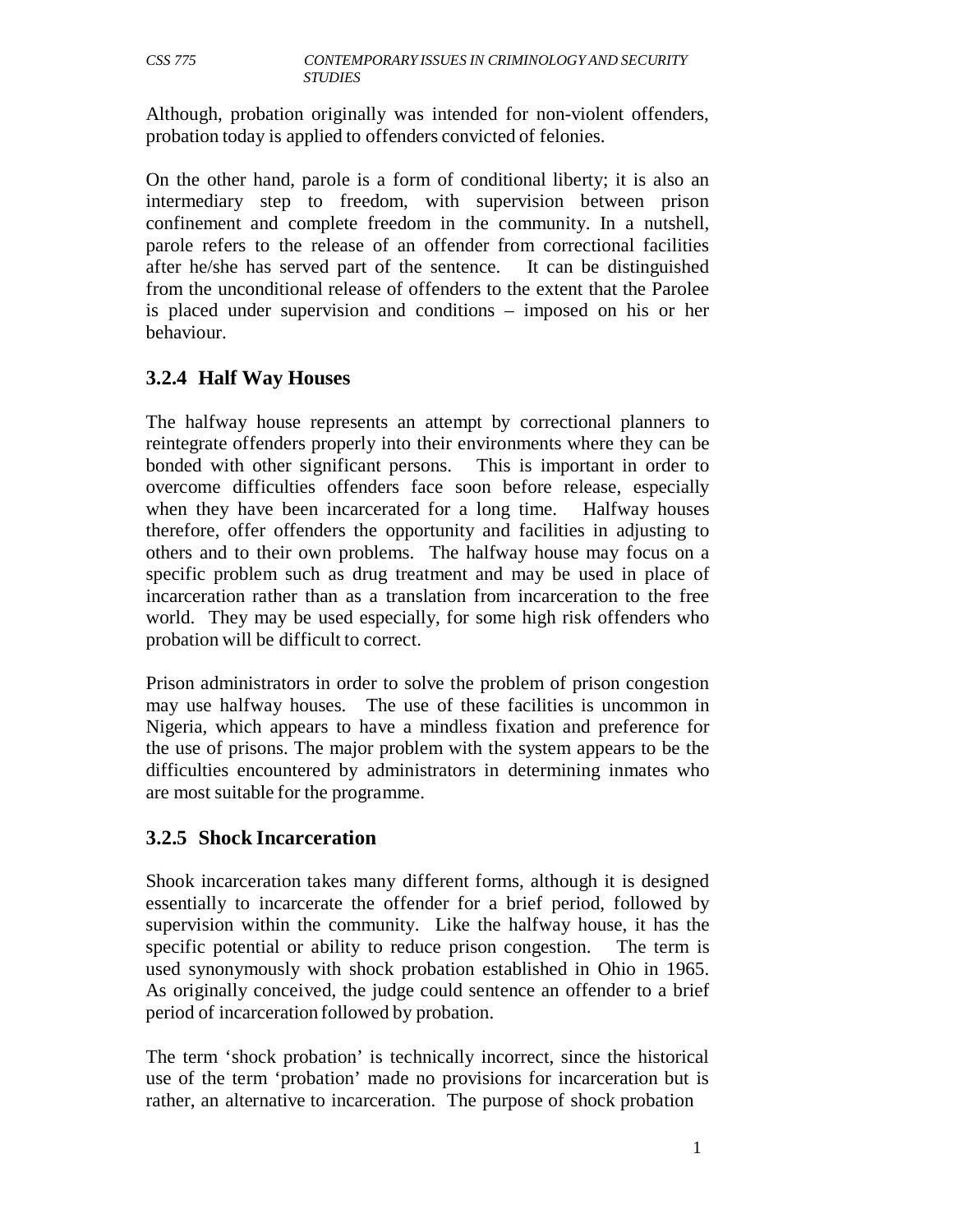Although, probation originally was intended for non-violent offenders, probation today is applied to offenders convicted of felonies.

On the other hand, parole is a form of conditional liberty; it is also an intermediary step to freedom, with supervision between prison confinement and complete freedom in the community. In a nutshell, parole refers to the release of an offender from correctional facilities after he/she has served part of the sentence. It can be distinguished from the unconditional release of offenders to the extent that the Parolee is placed under supervision and conditions – imposed on his or her behaviour.

# **3.2.4 Half Way Houses**

The halfway house represents an attempt by correctional planners to reintegrate offenders properly into their environments where they can be bonded with other significant persons. This is important in order to overcome difficulties offenders face soon before release, especially when they have been incarcerated for a long time. Halfway houses therefore, offer offenders the opportunity and facilities in adjusting to others and to their own problems. The halfway house may focus on a specific problem such as drug treatment and may be used in place of incarceration rather than as a translation from incarceration to the free world. They may be used especially, for some high risk offenders who probation will be difficult to correct.

Prison administrators in order to solve the problem of prison congestion may use halfway houses. The use of these facilities is uncommon in Nigeria, which appears to have a mindless fixation and preference for the use of prisons. The major problem with the system appears to be the difficulties encountered by administrators in determining inmates who are most suitable for the programme.

# **3.2.5 Shock Incarceration**

Shook incarceration takes many different forms, although it is designed essentially to incarcerate the offender for a brief period, followed by supervision within the community. Like the halfway house, it has the specific potential or ability to reduce prison congestion. The term is used synonymously with shock probation established in Ohio in 1965. As originally conceived, the judge could sentence an offender to a brief period of incarceration followed by probation.

The term 'shock probation' is technically incorrect, since the historical use of the term 'probation' made no provisions for incarceration but is rather, an alternative to incarceration. The purpose of shock probation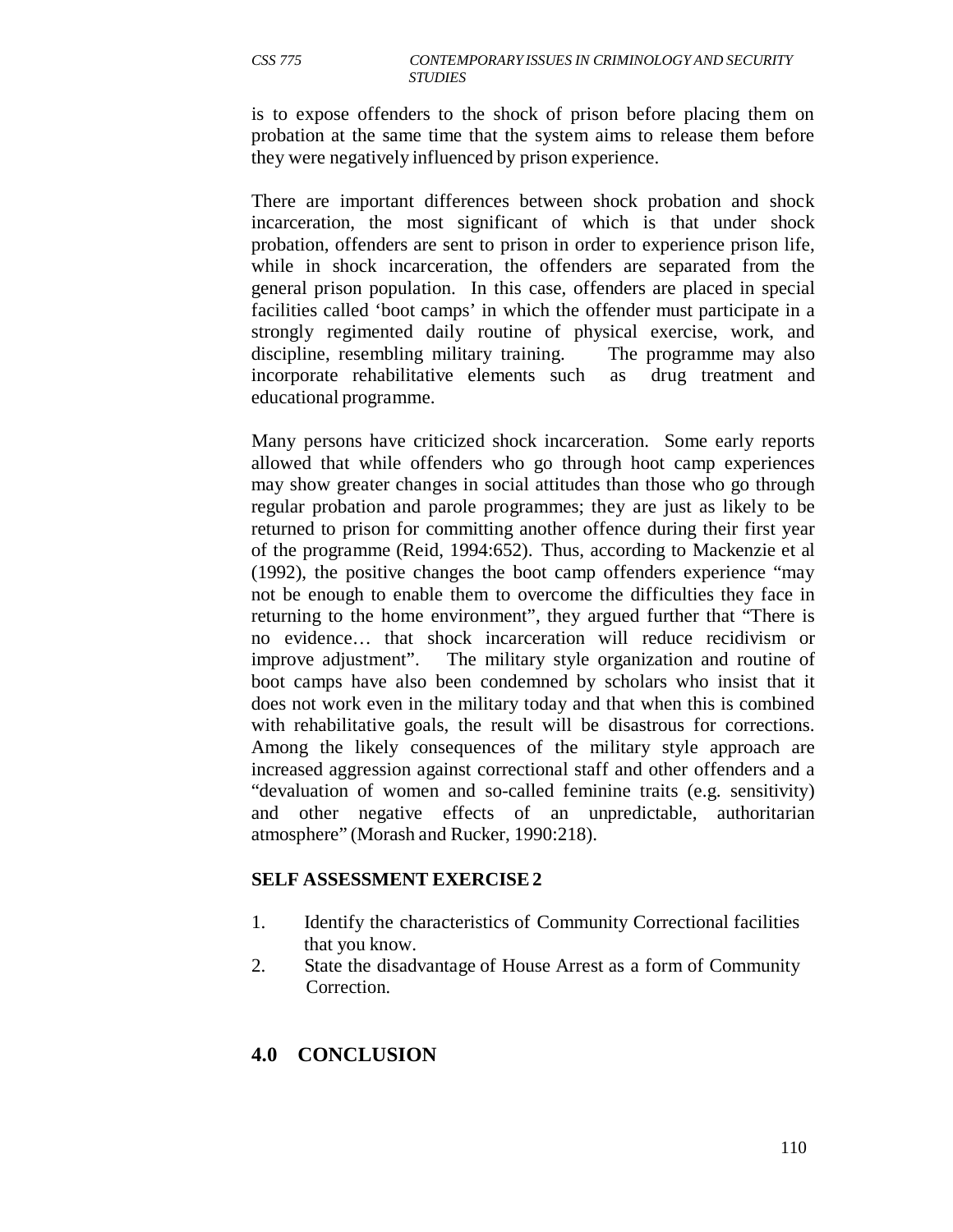is to expose offenders to the shock of prison before placing them on probation at the same time that the system aims to release them before they were negatively influenced by prison experience.

There are important differences between shock probation and shock incarceration, the most significant of which is that under shock probation, offenders are sent to prison in order to experience prison life, while in shock incarceration, the offenders are separated from the general prison population. In this case, offenders are placed in special facilities called 'boot camps' in which the offender must participate in a strongly regimented daily routine of physical exercise, work, and discipline, resembling military training. The programme may also incorporate rehabilitative elements such as drug treatment and educational programme.

Many persons have criticized shock incarceration. Some early reports allowed that while offenders who go through hoot camp experiences may show greater changes in social attitudes than those who go through regular probation and parole programmes; they are just as likely to be returned to prison for committing another offence during their first year of the programme (Reid, 1994:652). Thus, according to Mackenzie et al (1992), the positive changes the boot camp offenders experience "may not be enough to enable them to overcome the difficulties they face in returning to the home environment", they argued further that "There is no evidence… that shock incarceration will reduce recidivism or improve adjustment". The military style organization and routine of boot camps have also been condemned by scholars who insist that it does not work even in the military today and that when this is combined with rehabilitative goals, the result will be disastrous for corrections. Among the likely consequences of the military style approach are increased aggression against correctional staff and other offenders and a "devaluation of women and so-called feminine traits (e.g. sensitivity) and other negative effects of an unpredictable, authoritarian atmosphere" (Morash and Rucker, 1990:218).

#### **SELF ASSESSMENT EXERCISE 2**

- 1. Identify the characteristics of Community Correctional facilities that you know.
- 2. State the disadvantage of House Arrest as a form of Community Correction.

# **4.0 CONCLUSION**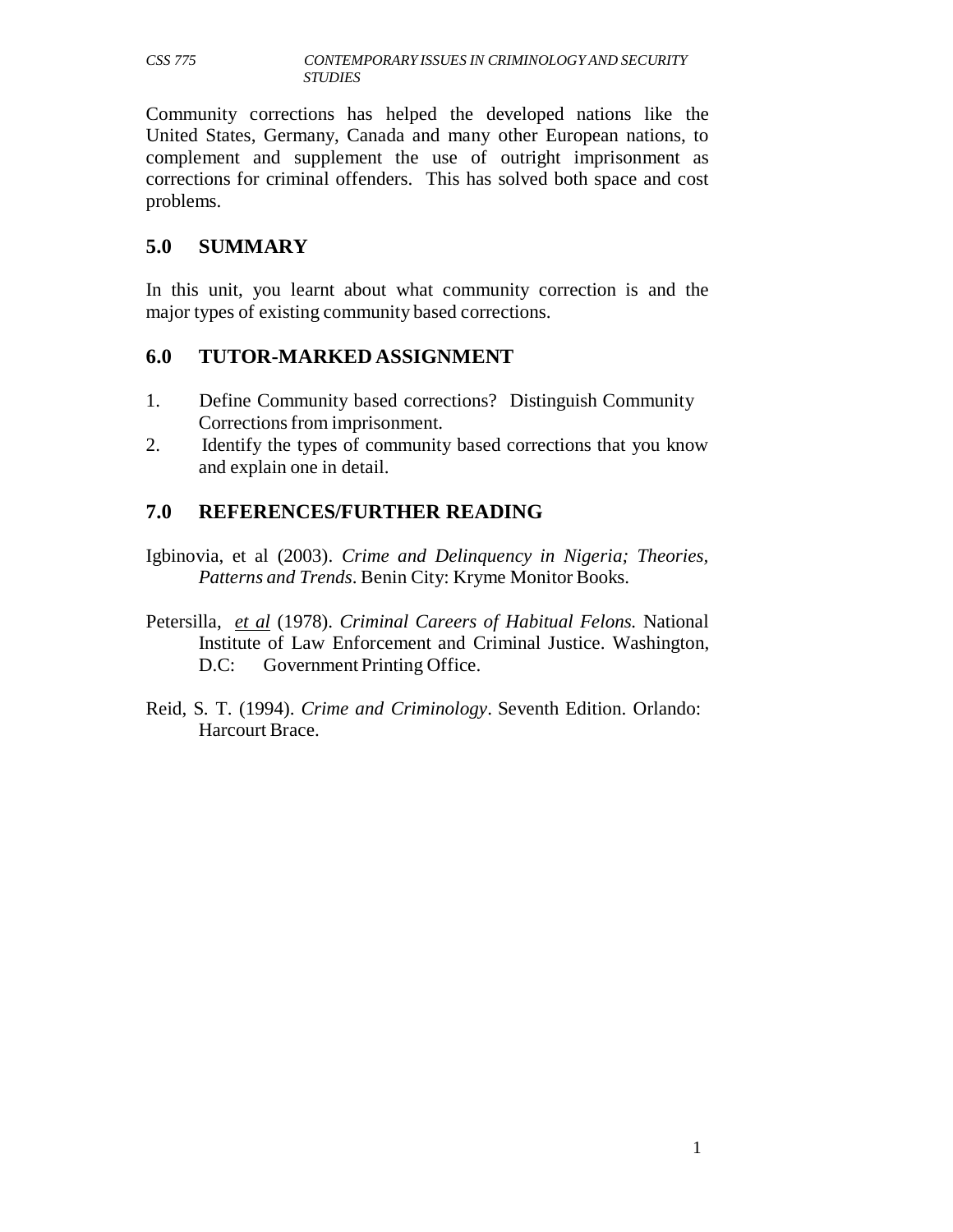Community corrections has helped the developed nations like the United States, Germany, Canada and many other European nations, to complement and supplement the use of outright imprisonment as corrections for criminal offenders. This has solved both space and cost problems.

## **5.0 SUMMARY**

In this unit, you learnt about what community correction is and the major types of existing community based corrections.

## **6.0 TUTOR-MARKED ASSIGNMENT**

- 1. Define Community based corrections? Distinguish Community Corrections from imprisonment.
- 2. Identify the types of community based corrections that you know and explain one in detail.

# **7.0 REFERENCES/FURTHER READING**

- Igbinovia, et al (2003). *Crime and Delinquency in Nigeria; Theories, Patterns and Trends*. Benin City: Kryme Monitor Books.
- Petersilla, *et al* (1978). *Criminal Careers of Habitual Felons.* National Institute of Law Enforcement and Criminal Justice. Washington, D.C: Government Printing Office.
- Reid, S. T. (1994). *Crime and Criminology*. Seventh Edition. Orlando: Harcourt Brace.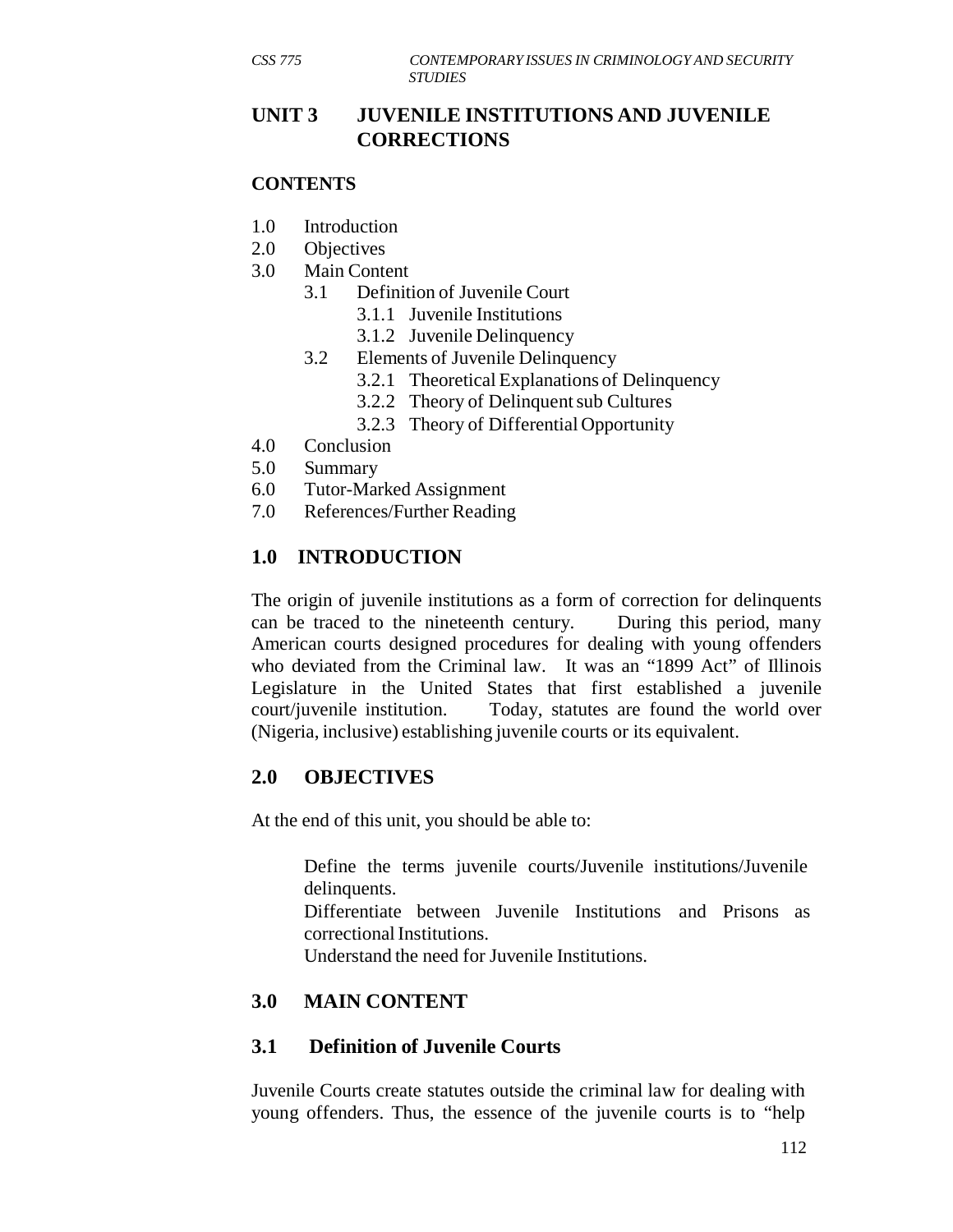# **UNIT 3 JUVENILE INSTITUTIONS AND JUVENILE CORRECTIONS**

### **CONTENTS**

- 1.0 Introduction
- 2.0 Objectives
- 3.0 Main Content
	- 3.1 Definition of Juvenile Court
		- 3.1.1 Juvenile Institutions
		- 3.1.2 Juvenile Delinquency
	- 3.2 Elements of Juvenile Delinquency
		- 3.2.1 Theoretical Explanations of Delinquency
		- 3.2.2 Theory of Delinquent sub Cultures
		- 3.2.3 Theory of Differential Opportunity
- 4.0 Conclusion
- 5.0 Summary
- 6.0 Tutor-Marked Assignment
- 7.0 References/Further Reading

# **1.0 INTRODUCTION**

The origin of juvenile institutions as a form of correction for delinquents can be traced to the nineteenth century. During this period, many American courts designed procedures for dealing with young offenders who deviated from the Criminal law. It was an "1899 Act" of Illinois Legislature in the United States that first established a juvenile court/juvenile institution. Today, statutes are found the world over (Nigeria, inclusive) establishing juvenile courts or its equivalent.

# **2.0 OBJECTIVES**

At the end of this unit, you should be able to:

Define the terms juvenile courts/Juvenile institutions/Juvenile delinquents.

Differentiate between Juvenile Institutions and Prisons as correctional Institutions.

Understand the need for Juvenile Institutions.

# **3.0 MAIN CONTENT**

## **3.1 Definition of Juvenile Courts**

Juvenile Courts create statutes outside the criminal law for dealing with young offenders. Thus, the essence of the juvenile courts is to "help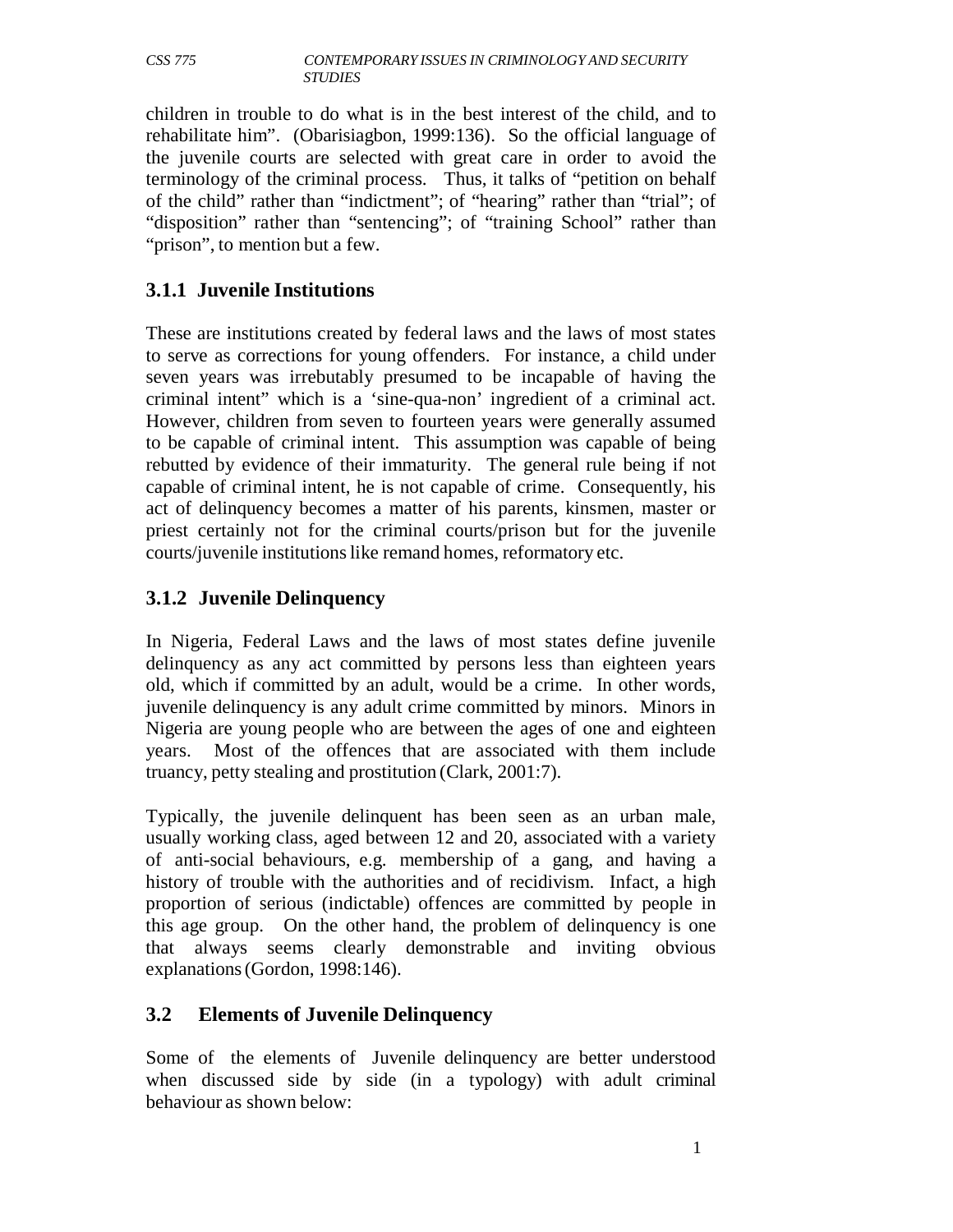children in trouble to do what is in the best interest of the child, and to rehabilitate him". (Obarisiagbon, 1999:136). So the official language of the juvenile courts are selected with great care in order to avoid the terminology of the criminal process. Thus, it talks of "petition on behalf of the child" rather than "indictment"; of "hearing" rather than "trial"; of "disposition" rather than "sentencing"; of "training School" rather than "prison", to mention but a few.

# **3.1.1 Juvenile Institutions**

These are institutions created by federal laws and the laws of most states to serve as corrections for young offenders. For instance, a child under seven years was irrebutably presumed to be incapable of having the criminal intent" which is a 'sine-qua-non' ingredient of a criminal act. However, children from seven to fourteen years were generally assumed to be capable of criminal intent. This assumption was capable of being rebutted by evidence of their immaturity. The general rule being if not capable of criminal intent, he is not capable of crime. Consequently, his act of delinquency becomes a matter of his parents, kinsmen, master or priest certainly not for the criminal courts/prison but for the juvenile courts/juvenile institutions like remand homes, reformatory etc.

## **3.1.2 Juvenile Delinquency**

In Nigeria, Federal Laws and the laws of most states define juvenile delinquency as any act committed by persons less than eighteen years old, which if committed by an adult, would be a crime. In other words, juvenile delinquency is any adult crime committed by minors. Minors in Nigeria are young people who are between the ages of one and eighteen years. Most of the offences that are associated with them include truancy, petty stealing and prostitution (Clark, 2001:7).

Typically, the juvenile delinquent has been seen as an urban male, usually working class, aged between 12 and 20, associated with a variety of anti-social behaviours, e.g. membership of a gang, and having a history of trouble with the authorities and of recidivism. Infact, a high proportion of serious (indictable) offences are committed by people in this age group. On the other hand, the problem of delinquency is one that always seems clearly demonstrable and inviting obvious explanations (Gordon, 1998:146).

## **3.2 Elements of Juvenile Delinquency**

Some of the elements of Juvenile delinquency are better understood when discussed side by side (in a typology) with adult criminal behaviour as shown below: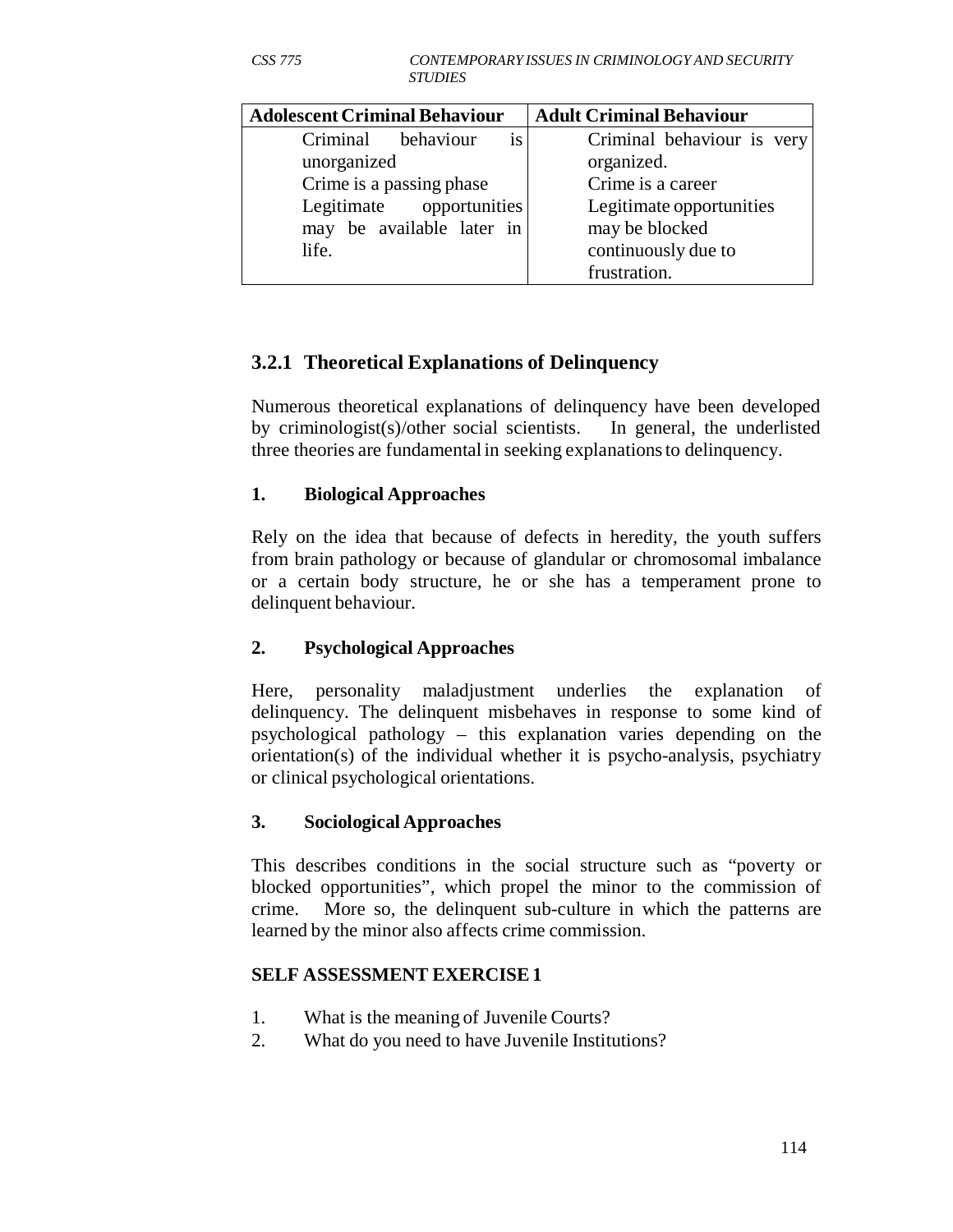| <b>Adolescent Criminal Behaviour</b> | <b>Adult Criminal Behaviour</b> |  |
|--------------------------------------|---------------------------------|--|
| Criminal behaviour<br>1S             | Criminal behaviour is very      |  |
| unorganized                          | organized.                      |  |
| Crime is a passing phase             | Crime is a career               |  |
| Legitimate opportunities             | Legitimate opportunities        |  |
| may be available later in            | may be blocked                  |  |
| life.                                | continuously due to             |  |
|                                      | frustration.                    |  |

# **3.2.1 Theoretical Explanations of Delinquency**

Numerous theoretical explanations of delinquency have been developed by criminologist(s)/other social scientists. In general, the underlisted three theories are fundamental in seeking explanations to delinquency.

### **1. Biological Approaches**

Rely on the idea that because of defects in heredity, the youth suffers from brain pathology or because of glandular or chromosomal imbalance or a certain body structure, he or she has a temperament prone to delinquent behaviour.

## **2. Psychological Approaches**

Here, personality maladjustment underlies the explanation of delinquency. The delinquent misbehaves in response to some kind of psychological pathology – this explanation varies depending on the orientation(s) of the individual whether it is psycho-analysis, psychiatry or clinical psychological orientations.

#### **3. Sociological Approaches**

This describes conditions in the social structure such as "poverty or blocked opportunities", which propel the minor to the commission of crime. More so, the delinquent sub-culture in which the patterns are learned by the minor also affects crime commission.

#### **SELF ASSESSMENT EXERCISE 1**

- 1. What is the meaning of Juvenile Courts?
- 2. What do you need to have Juvenile Institutions?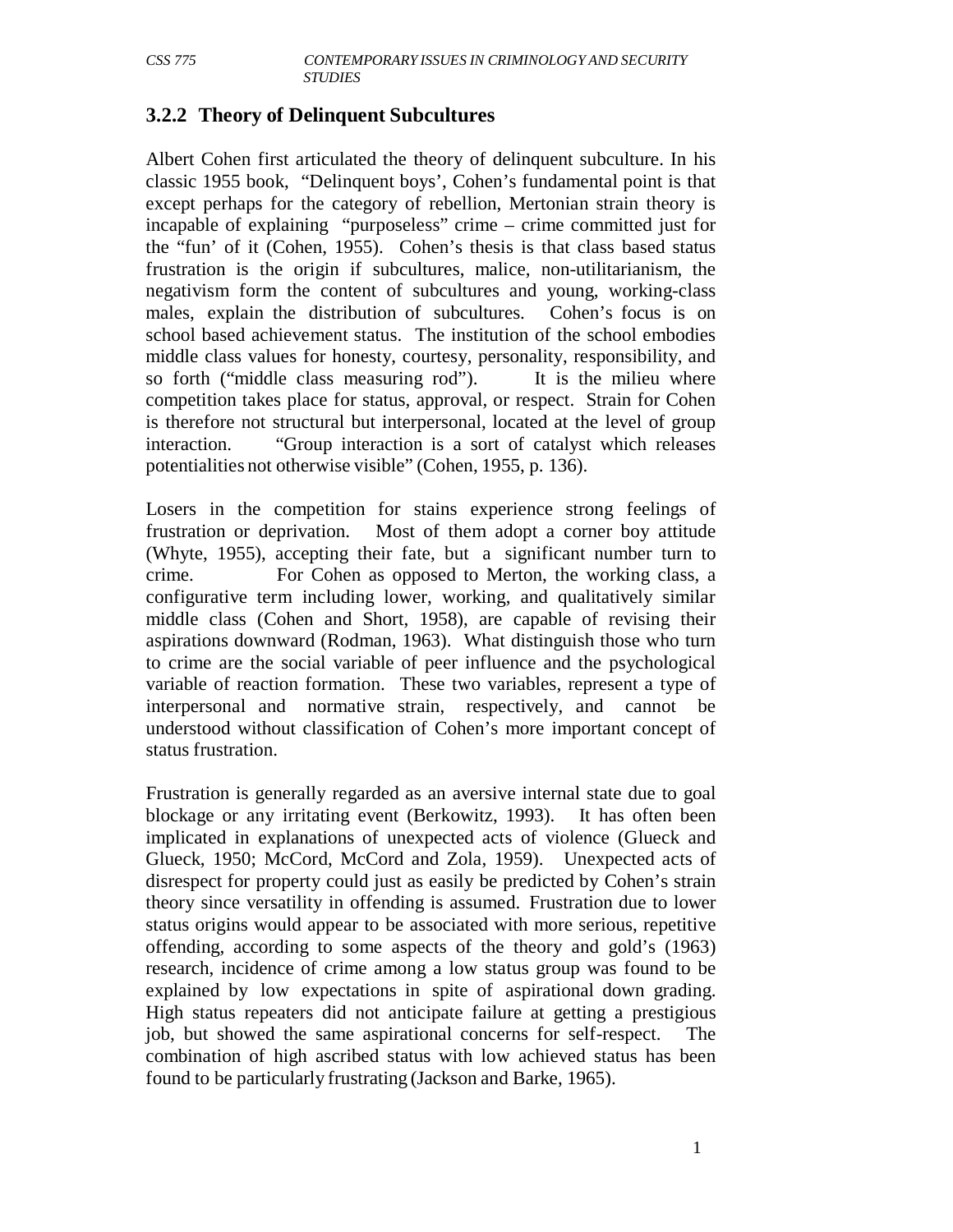#### **3.2.2 Theory of Delinquent Subcultures**

Albert Cohen first articulated the theory of delinquent subculture. In his classic 1955 book, "Delinquent boys', Cohen's fundamental point is that except perhaps for the category of rebellion, Mertonian strain theory is incapable of explaining "purposeless" crime – crime committed just for the "fun' of it (Cohen, 1955). Cohen's thesis is that class based status frustration is the origin if subcultures, malice, non-utilitarianism, the negativism form the content of subcultures and young, working-class males, explain the distribution of subcultures. Cohen's focus is on school based achievement status. The institution of the school embodies middle class values for honesty, courtesy, personality, responsibility, and so forth ("middle class measuring rod"). It is the milieu where competition takes place for status, approval, or respect. Strain for Cohen is therefore not structural but interpersonal, located at the level of group interaction. "Group interaction is a sort of catalyst which releases potentialities not otherwise visible" (Cohen, 1955, p. 136).

Losers in the competition for stains experience strong feelings of frustration or deprivation. Most of them adopt a corner boy attitude (Whyte, 1955), accepting their fate, but a significant number turn to crime. For Cohen as opposed to Merton, the working class, a configurative term including lower, working, and qualitatively similar middle class (Cohen and Short, 1958), are capable of revising their aspirations downward (Rodman, 1963). What distinguish those who turn to crime are the social variable of peer influence and the psychological variable of reaction formation. These two variables, represent a type of interpersonal and normative strain, respectively, and cannot be understood without classification of Cohen's more important concept of status frustration.

Frustration is generally regarded as an aversive internal state due to goal blockage or any irritating event (Berkowitz, 1993). It has often been implicated in explanations of unexpected acts of violence (Glueck and Glueck, 1950; McCord, McCord and Zola, 1959). Unexpected acts of disrespect for property could just as easily be predicted by Cohen's strain theory since versatility in offending is assumed. Frustration due to lower status origins would appear to be associated with more serious, repetitive offending, according to some aspects of the theory and gold's (1963) research, incidence of crime among a low status group was found to be explained by low expectations in spite of aspirational down grading. High status repeaters did not anticipate failure at getting a prestigious job, but showed the same aspirational concerns for self-respect. The combination of high ascribed status with low achieved status has been found to be particularly frustrating (Jackson and Barke, 1965).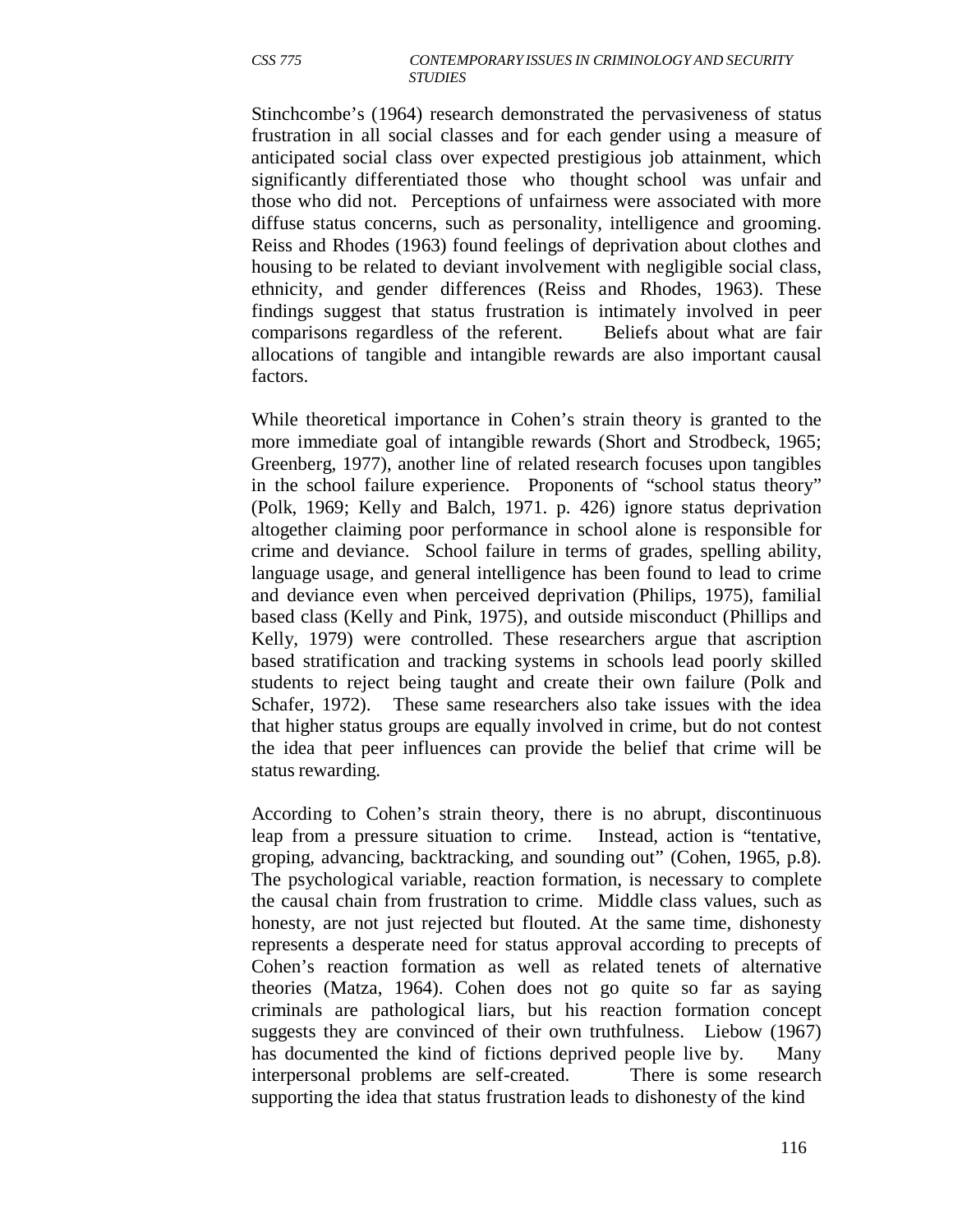Stinchcombe's (1964) research demonstrated the pervasiveness of status frustration in all social classes and for each gender using a measure of anticipated social class over expected prestigious job attainment, which significantly differentiated those who thought school was unfair and those who did not. Perceptions of unfairness were associated with more diffuse status concerns, such as personality, intelligence and grooming. Reiss and Rhodes (1963) found feelings of deprivation about clothes and housing to be related to deviant involvement with negligible social class, ethnicity, and gender differences (Reiss and Rhodes, 1963). These findings suggest that status frustration is intimately involved in peer comparisons regardless of the referent. Beliefs about what are fair allocations of tangible and intangible rewards are also important causal factors.

While theoretical importance in Cohen's strain theory is granted to the more immediate goal of intangible rewards (Short and Strodbeck, 1965; Greenberg, 1977), another line of related research focuses upon tangibles in the school failure experience. Proponents of "school status theory" (Polk, 1969; Kelly and Balch, 1971. p. 426) ignore status deprivation altogether claiming poor performance in school alone is responsible for crime and deviance. School failure in terms of grades, spelling ability, language usage, and general intelligence has been found to lead to crime and deviance even when perceived deprivation (Philips, 1975), familial based class (Kelly and Pink, 1975), and outside misconduct (Phillips and Kelly, 1979) were controlled. These researchers argue that ascription based stratification and tracking systems in schools lead poorly skilled students to reject being taught and create their own failure (Polk and Schafer, 1972). These same researchers also take issues with the idea that higher status groups are equally involved in crime, but do not contest the idea that peer influences can provide the belief that crime will be status rewarding.

According to Cohen's strain theory, there is no abrupt, discontinuous leap from a pressure situation to crime. Instead, action is "tentative, groping, advancing, backtracking, and sounding out" (Cohen, 1965, p.8). The psychological variable, reaction formation, is necessary to complete the causal chain from frustration to crime. Middle class values, such as honesty, are not just rejected but flouted. At the same time, dishonesty represents a desperate need for status approval according to precepts of Cohen's reaction formation as well as related tenets of alternative theories (Matza, 1964). Cohen does not go quite so far as saying criminals are pathological liars, but his reaction formation concept suggests they are convinced of their own truthfulness. Liebow (1967) has documented the kind of fictions deprived people live by. Many interpersonal problems are self-created. There is some research supporting the idea that status frustration leads to dishonesty of the kind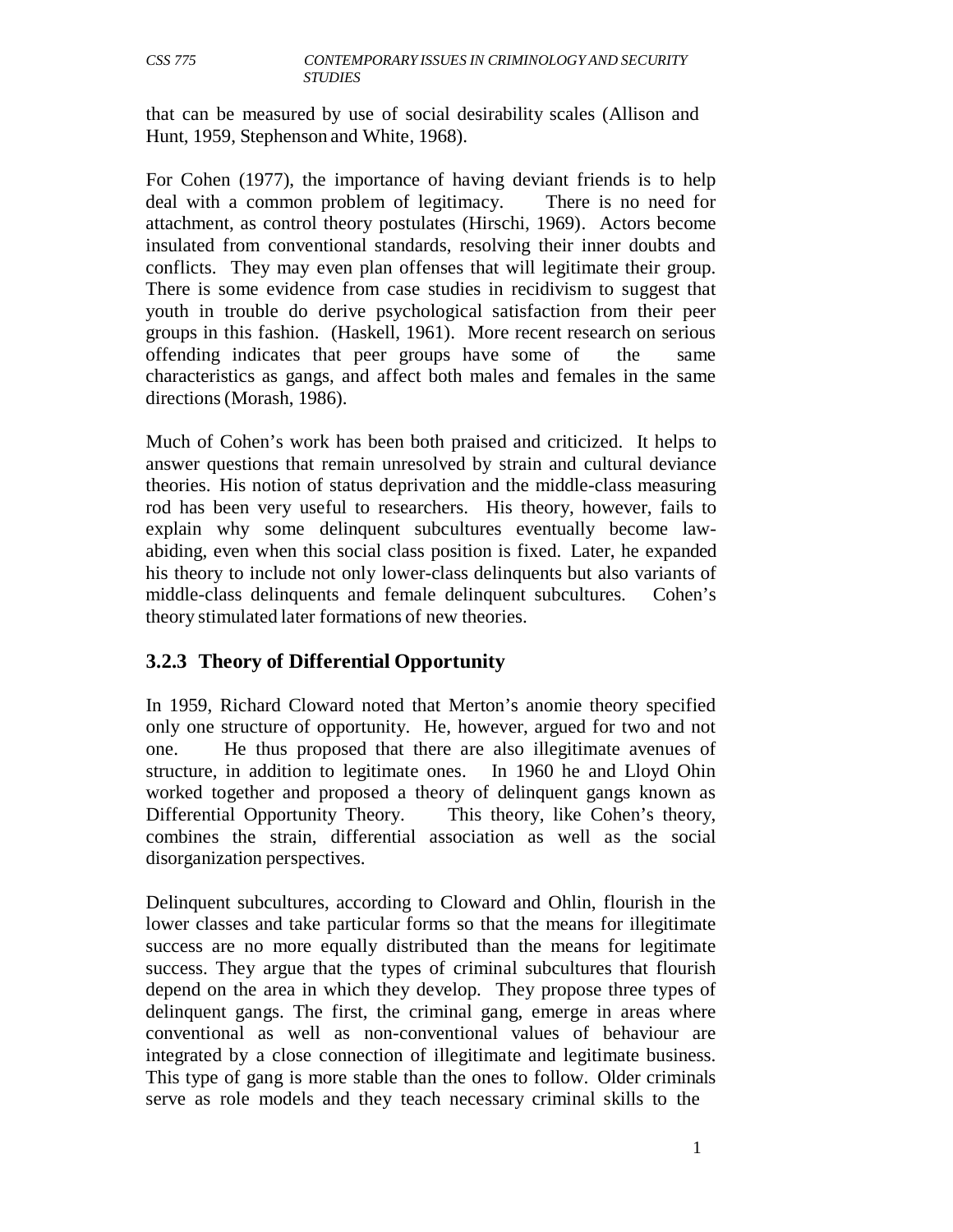that can be measured by use of social desirability scales (Allison and Hunt, 1959, Stephenson and White, 1968).

For Cohen (1977), the importance of having deviant friends is to help deal with a common problem of legitimacy. There is no need for attachment, as control theory postulates (Hirschi, 1969). Actors become insulated from conventional standards, resolving their inner doubts and conflicts. They may even plan offenses that will legitimate their group. There is some evidence from case studies in recidivism to suggest that youth in trouble do derive psychological satisfaction from their peer groups in this fashion. (Haskell, 1961). More recent research on serious offending indicates that peer groups have some of the same characteristics as gangs, and affect both males and females in the same directions (Morash, 1986).

Much of Cohen's work has been both praised and criticized. It helps to answer questions that remain unresolved by strain and cultural deviance theories. His notion of status deprivation and the middle-class measuring rod has been very useful to researchers. His theory, however, fails to explain why some delinquent subcultures eventually become lawabiding, even when this social class position is fixed. Later, he expanded his theory to include not only lower-class delinquents but also variants of middle-class delinquents and female delinquent subcultures. Cohen's theory stimulated later formations of new theories.

# **3.2.3 Theory of Differential Opportunity**

In 1959, Richard Cloward noted that Merton's anomie theory specified only one structure of opportunity. He, however, argued for two and not one. He thus proposed that there are also illegitimate avenues of structure, in addition to legitimate ones. In 1960 he and Lloyd Ohin worked together and proposed a theory of delinquent gangs known as Differential Opportunity Theory. This theory, like Cohen's theory, combines the strain, differential association as well as the social disorganization perspectives.

Delinquent subcultures, according to Cloward and Ohlin, flourish in the lower classes and take particular forms so that the means for illegitimate success are no more equally distributed than the means for legitimate success. They argue that the types of criminal subcultures that flourish depend on the area in which they develop. They propose three types of delinquent gangs. The first, the criminal gang, emerge in areas where conventional as well as non-conventional values of behaviour are integrated by a close connection of illegitimate and legitimate business. This type of gang is more stable than the ones to follow. Older criminals serve as role models and they teach necessary criminal skills to the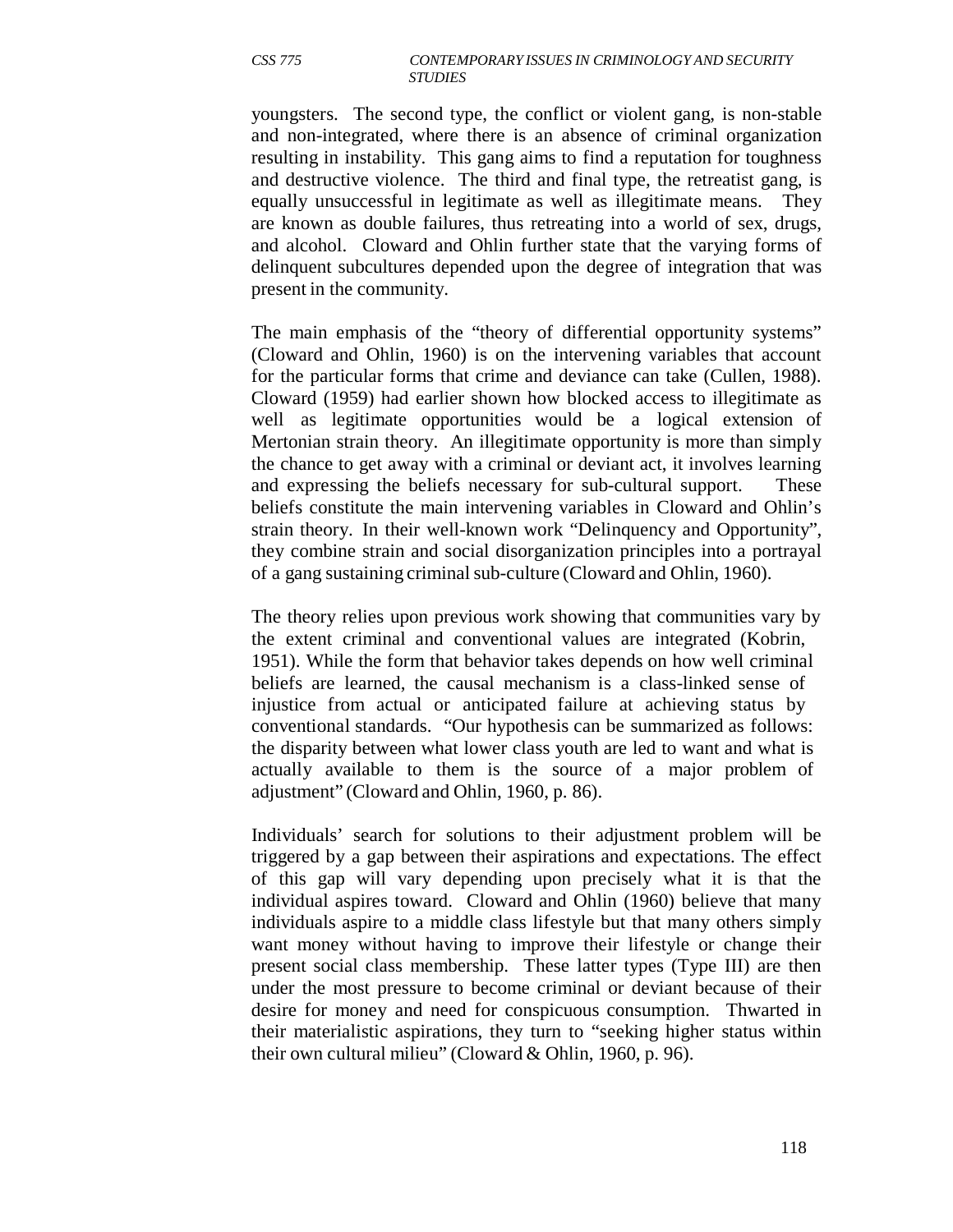youngsters. The second type, the conflict or violent gang, is non-stable and non-integrated, where there is an absence of criminal organization resulting in instability. This gang aims to find a reputation for toughness and destructive violence. The third and final type, the retreatist gang, is equally unsuccessful in legitimate as well as illegitimate means. They are known as double failures, thus retreating into a world of sex, drugs, and alcohol. Cloward and Ohlin further state that the varying forms of delinquent subcultures depended upon the degree of integration that was present in the community.

The main emphasis of the "theory of differential opportunity systems" (Cloward and Ohlin, 1960) is on the intervening variables that account for the particular forms that crime and deviance can take (Cullen, 1988). Cloward (1959) had earlier shown how blocked access to illegitimate as well as legitimate opportunities would be a logical extension of Mertonian strain theory. An illegitimate opportunity is more than simply the chance to get away with a criminal or deviant act, it involves learning and expressing the beliefs necessary for sub-cultural support. These beliefs constitute the main intervening variables in Cloward and Ohlin's strain theory. In their well-known work "Delinquency and Opportunity", they combine strain and social disorganization principles into a portrayal of a gang sustaining criminal sub-culture (Cloward and Ohlin, 1960).

The theory relies upon previous work showing that communities vary by the extent criminal and conventional values are integrated (Kobrin, 1951). While the form that behavior takes depends on how well criminal beliefs are learned, the causal mechanism is a class-linked sense of injustice from actual or anticipated failure at achieving status by conventional standards. "Our hypothesis can be summarized as follows: the disparity between what lower class youth are led to want and what is actually available to them is the source of a major problem of adjustment" (Cloward and Ohlin, 1960, p. 86).

Individuals' search for solutions to their adjustment problem will be triggered by a gap between their aspirations and expectations. The effect of this gap will vary depending upon precisely what it is that the individual aspires toward. Cloward and Ohlin (1960) believe that many individuals aspire to a middle class lifestyle but that many others simply want money without having to improve their lifestyle or change their present social class membership. These latter types (Type III) are then under the most pressure to become criminal or deviant because of their desire for money and need for conspicuous consumption. Thwarted in their materialistic aspirations, they turn to "seeking higher status within their own cultural milieu" (Cloward & Ohlin, 1960, p. 96).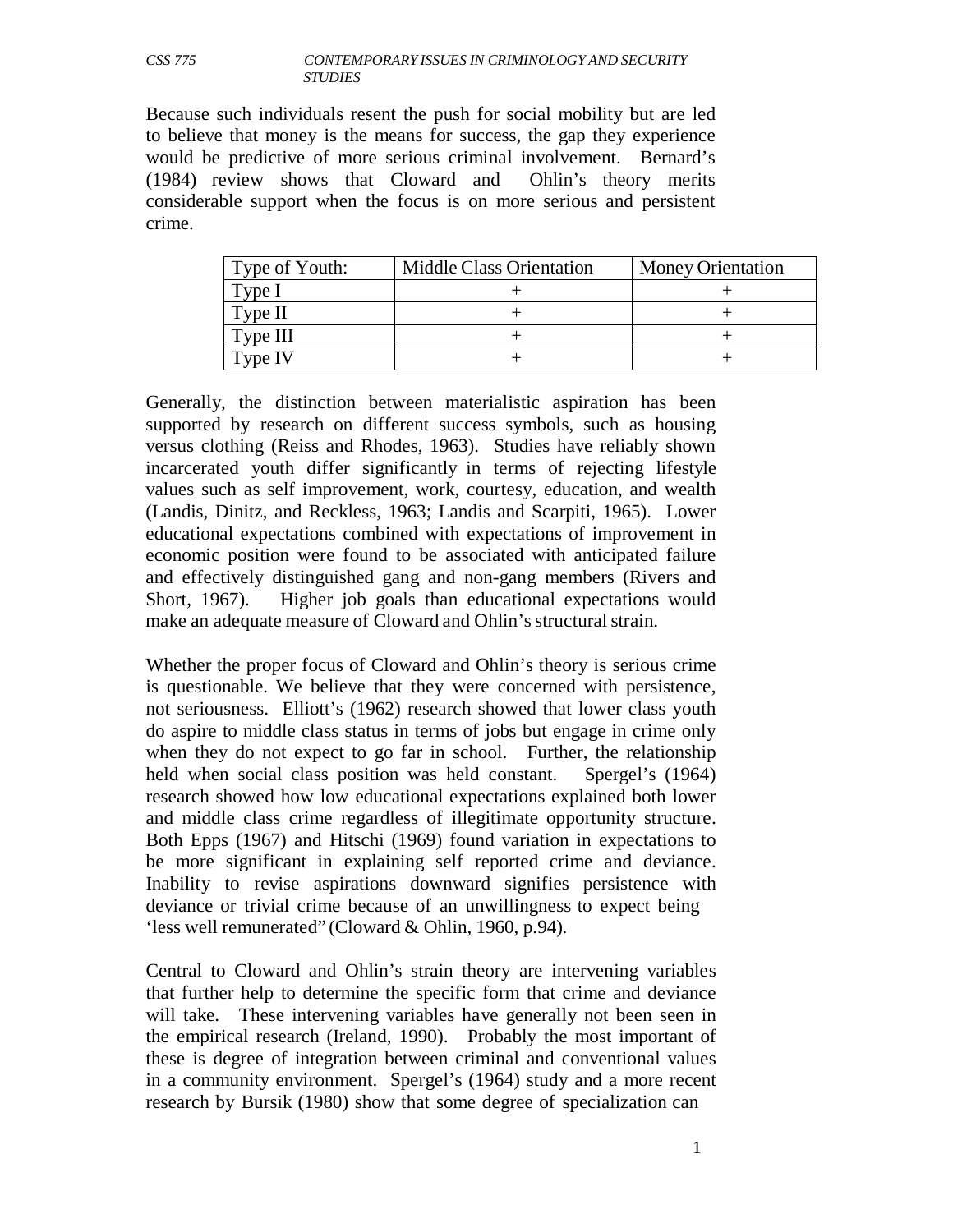Because such individuals resent the push for social mobility but are led to believe that money is the means for success, the gap they experience would be predictive of more serious criminal involvement. Bernard's (1984) review shows that Cloward and Ohlin's theory merits considerable support when the focus is on more serious and persistent crime.

| Type of Youth: | <b>Middle Class Orientation</b> | <b>Money Orientation</b> |
|----------------|---------------------------------|--------------------------|
| Type I         |                                 |                          |
| Type II        |                                 |                          |
| Type III       |                                 |                          |
| Type IV        |                                 |                          |

Generally, the distinction between materialistic aspiration has been supported by research on different success symbols, such as housing versus clothing (Reiss and Rhodes, 1963). Studies have reliably shown incarcerated youth differ significantly in terms of rejecting lifestyle values such as self improvement, work, courtesy, education, and wealth (Landis, Dinitz, and Reckless, 1963; Landis and Scarpiti, 1965). Lower educational expectations combined with expectations of improvement in economic position were found to be associated with anticipated failure and effectively distinguished gang and non-gang members (Rivers and Short, 1967). Higher job goals than educational expectations would make an adequate measure of Cloward and Ohlin's structural strain.

Whether the proper focus of Cloward and Ohlin's theory is serious crime is questionable. We believe that they were concerned with persistence, not seriousness. Elliott's (1962) research showed that lower class youth do aspire to middle class status in terms of jobs but engage in crime only when they do not expect to go far in school. Further, the relationship held when social class position was held constant. Spergel's (1964) research showed how low educational expectations explained both lower and middle class crime regardless of illegitimate opportunity structure. Both Epps (1967) and Hitschi (1969) found variation in expectations to be more significant in explaining self reported crime and deviance. Inability to revise aspirations downward signifies persistence with deviance or trivial crime because of an unwillingness to expect being 'less well remunerated" (Cloward & Ohlin, 1960, p.94).

Central to Cloward and Ohlin's strain theory are intervening variables that further help to determine the specific form that crime and deviance will take. These intervening variables have generally not been seen in the empirical research (Ireland, 1990). Probably the most important of these is degree of integration between criminal and conventional values in a community environment. Spergel's (1964) study and a more recent research by Bursik (1980) show that some degree of specialization can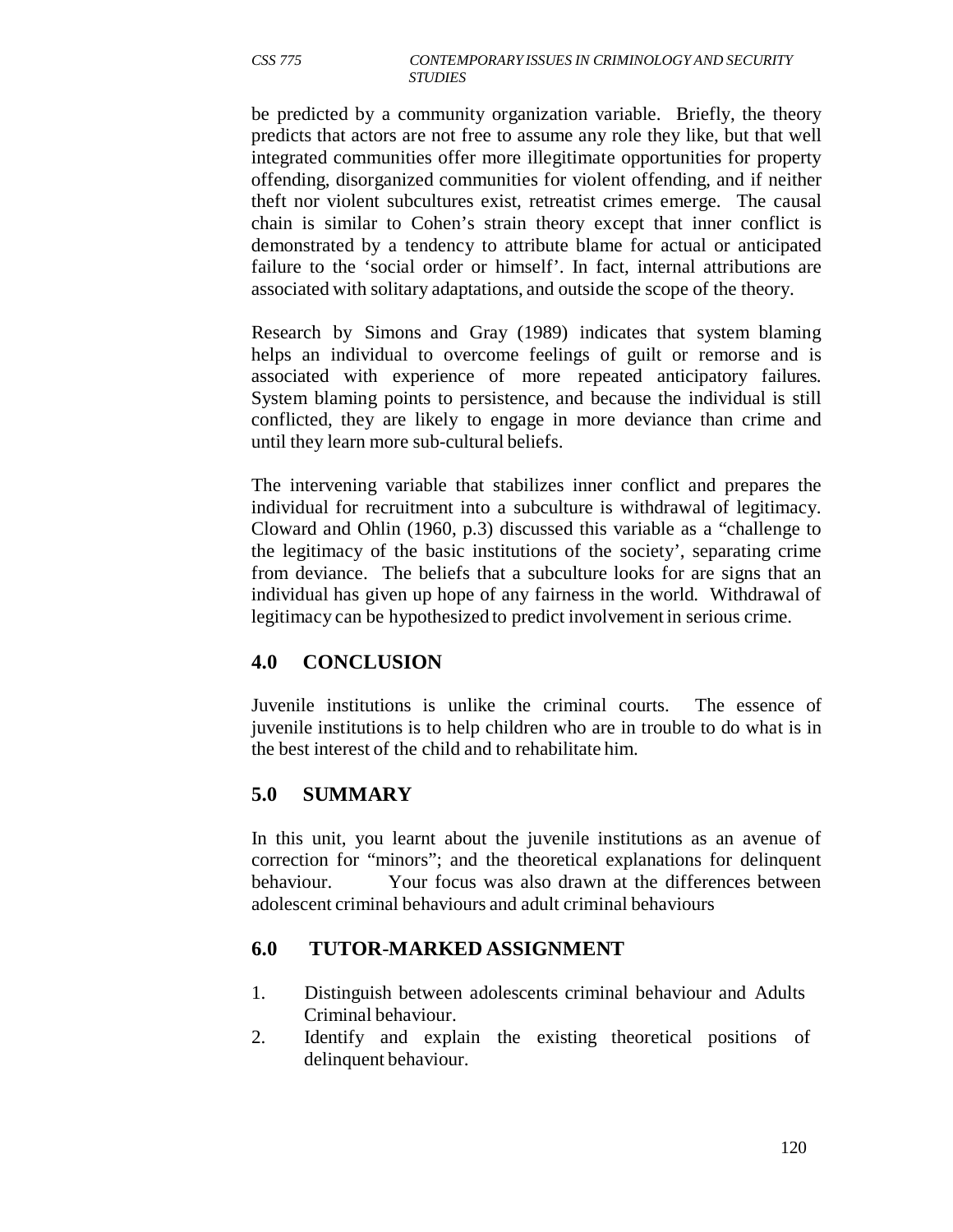be predicted by a community organization variable. Briefly, the theory predicts that actors are not free to assume any role they like, but that well integrated communities offer more illegitimate opportunities for property offending, disorganized communities for violent offending, and if neither theft nor violent subcultures exist, retreatist crimes emerge. The causal chain is similar to Cohen's strain theory except that inner conflict is demonstrated by a tendency to attribute blame for actual or anticipated failure to the 'social order or himself'. In fact, internal attributions are associated with solitary adaptations, and outside the scope of the theory.

Research by Simons and Gray (1989) indicates that system blaming helps an individual to overcome feelings of guilt or remorse and is associated with experience of more repeated anticipatory failures. System blaming points to persistence, and because the individual is still conflicted, they are likely to engage in more deviance than crime and until they learn more sub-cultural beliefs.

The intervening variable that stabilizes inner conflict and prepares the individual for recruitment into a subculture is withdrawal of legitimacy. Cloward and Ohlin (1960, p.3) discussed this variable as a "challenge to the legitimacy of the basic institutions of the society', separating crime from deviance. The beliefs that a subculture looks for are signs that an individual has given up hope of any fairness in the world. Withdrawal of legitimacy can be hypothesized to predict involvement in serious crime.

## **4.0 CONCLUSION**

Juvenile institutions is unlike the criminal courts. The essence of juvenile institutions is to help children who are in trouble to do what is in the best interest of the child and to rehabilitate him.

## **5.0 SUMMARY**

In this unit, you learnt about the juvenile institutions as an avenue of correction for "minors"; and the theoretical explanations for delinquent behaviour. Your focus was also drawn at the differences between adolescent criminal behaviours and adult criminal behaviours

## **6.0 TUTOR**-**MARKED ASSIGNMENT**

- 1. Distinguish between adolescents criminal behaviour and Adults Criminal behaviour.
- 2. Identify and explain the existing theoretical positions of delinquent behaviour.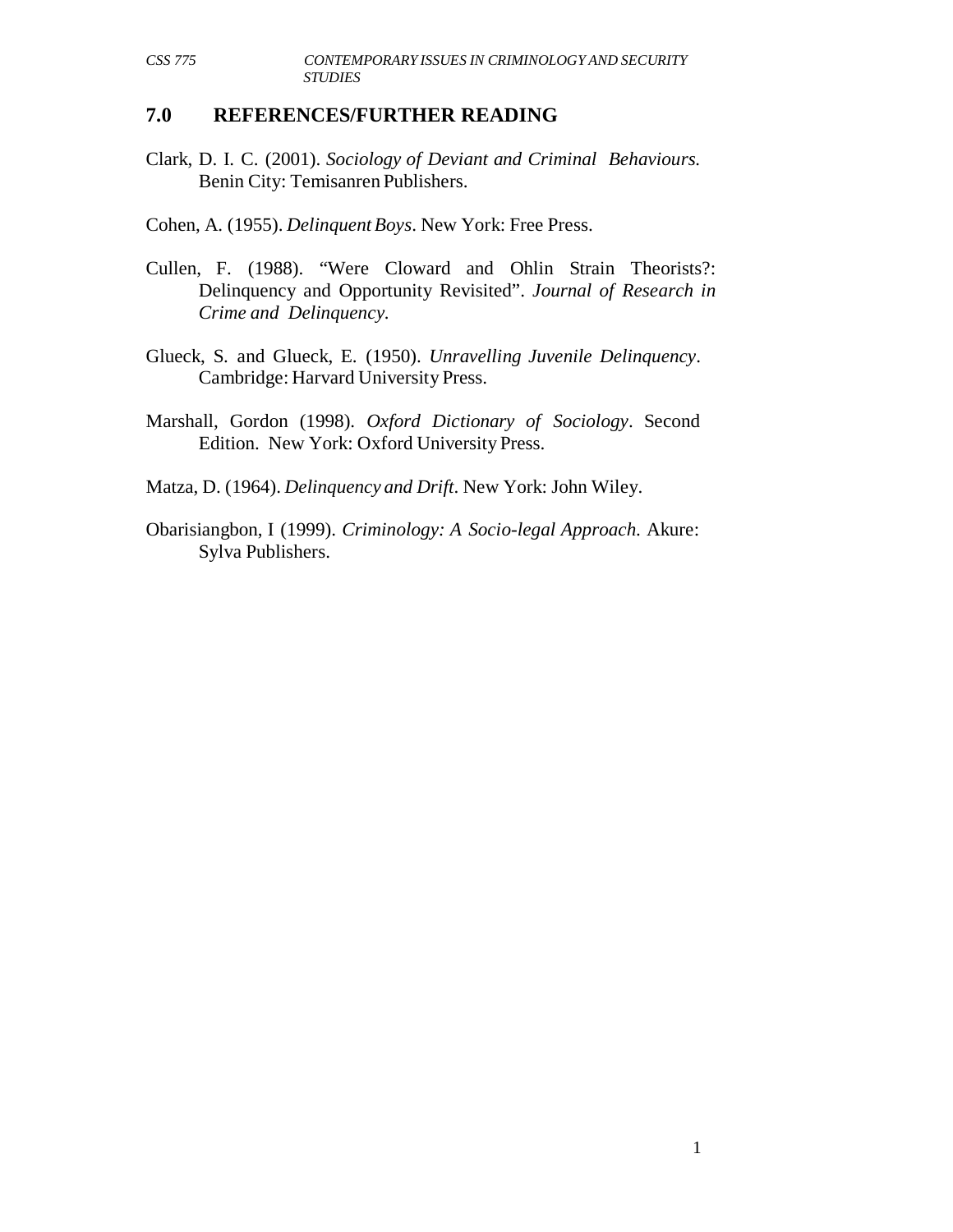#### **7.0 REFERENCES/FURTHER READING**

Clark, D. I. C. (2001). *Sociology of Deviant and Criminal Behaviours.* Benin City: Temisanren Publishers.

Cohen, A. (1955). *Delinquent Boys*. New York: Free Press.

- Cullen, F. (1988). "Were Cloward and Ohlin Strain Theorists?: Delinquency and Opportunity Revisited". *Journal of Research in Crime and Delinquency.*
- Glueck, S. and Glueck, E. (1950). *Unravelling Juvenile Delinquency*. Cambridge: Harvard University Press.
- Marshall, Gordon (1998). *Oxford Dictionary of Sociology*. Second Edition. New York: Oxford University Press.

Matza, D. (1964). *Delinquency and Drift*. New York: John Wiley.

Obarisiangbon, I (1999). *Criminology: A Socio-legal Approach*. Akure: Sylva Publishers.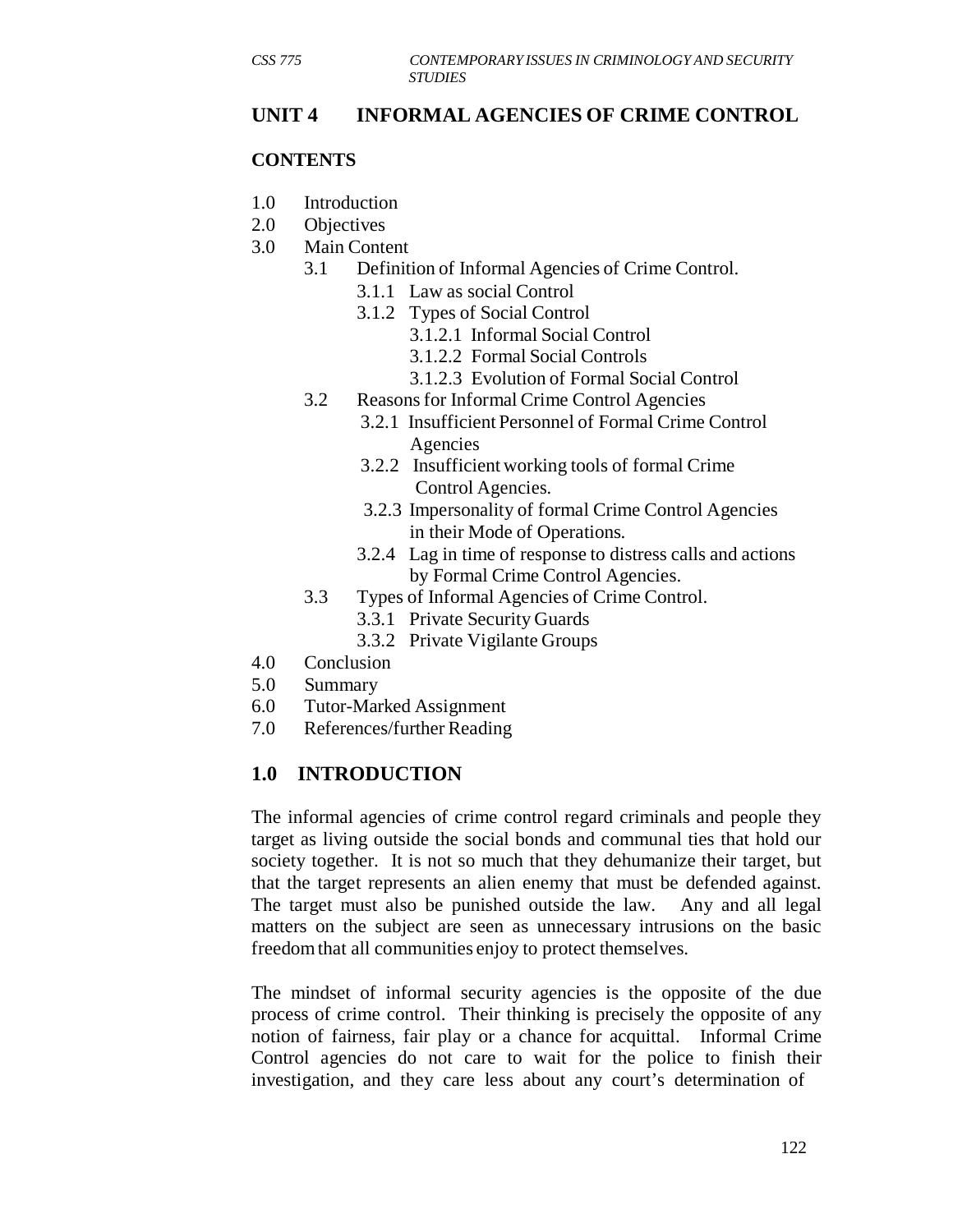## **UNIT 4 INFORMAL AGENCIES OF CRIME CONTROL**

#### **CONTENTS**

- 1.0 Introduction
- 2.0 Objectives
- 3.0 Main Content
	- 3.1 Definition of Informal Agencies of Crime Control.
		- 3.1.1 Law as social Control
		- 3.1.2 Types of Social Control
			- 3.1.2.1 Informal Social Control
			- 3.1.2.2 Formal Social Controls
			- 3.1.2.3 Evolution of Formal Social Control
	- 3.2 Reasons for Informal Crime Control Agencies
		- 3.2.1 Insufficient Personnel of Formal Crime Control Agencies
			- 3.2.2 Insufficient working tools of formal Crime Control Agencies.
			- 3.2.3 Impersonality of formal Crime Control Agencies in their Mode of Operations.
		- 3.2.4 Lag in time of response to distress calls and actions by Formal Crime Control Agencies.
	- 3.3 Types of Informal Agencies of Crime Control.
		- 3.3.1 Private Security Guards
		- 3.3.2 Private Vigilante Groups
- 4.0 Conclusion
- 5.0 Summary
- 6.0 Tutor-Marked Assignment
- 7.0 References/further Reading

## **1.0 INTRODUCTION**

The informal agencies of crime control regard criminals and people they target as living outside the social bonds and communal ties that hold our society together. It is not so much that they dehumanize their target, but that the target represents an alien enemy that must be defended against. The target must also be punished outside the law. Any and all legal matters on the subject are seen as unnecessary intrusions on the basic freedom that all communities enjoy to protect themselves.

The mindset of informal security agencies is the opposite of the due process of crime control. Their thinking is precisely the opposite of any notion of fairness, fair play or a chance for acquittal. Informal Crime Control agencies do not care to wait for the police to finish their investigation, and they care less about any court's determination of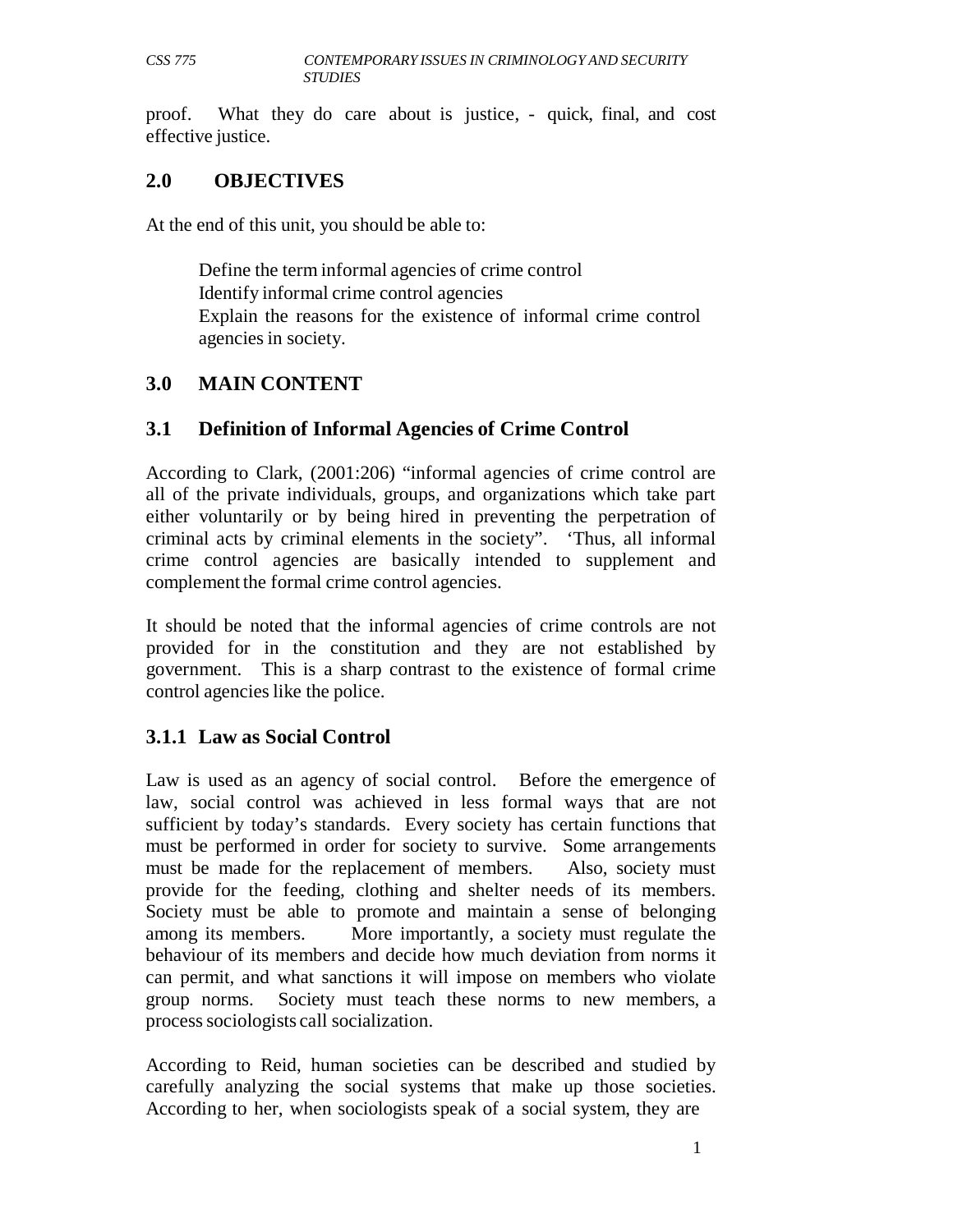proof. What they do care about is justice, - quick, final, and cost effective justice.

### **2.0 OBJECTIVES**

At the end of this unit, you should be able to:

Define the term informal agencies of crime control Identify informal crime control agencies Explain the reasons for the existence of informal crime control agencies in society.

## **3.0 MAIN CONTENT**

### **3.1 Definition of Informal Agencies of Crime Control**

According to Clark, (2001:206) "informal agencies of crime control are all of the private individuals, groups, and organizations which take part either voluntarily or by being hired in preventing the perpetration of criminal acts by criminal elements in the society". 'Thus, all informal crime control agencies are basically intended to supplement and complement the formal crime control agencies.

It should be noted that the informal agencies of crime controls are not provided for in the constitution and they are not established by government. This is a sharp contrast to the existence of formal crime control agencies like the police.

## **3.1.1 Law as Social Control**

Law is used as an agency of social control. Before the emergence of law, social control was achieved in less formal ways that are not sufficient by today's standards. Every society has certain functions that must be performed in order for society to survive. Some arrangements must be made for the replacement of members. Also, society must provide for the feeding, clothing and shelter needs of its members. Society must be able to promote and maintain a sense of belonging among its members. More importantly, a society must regulate the behaviour of its members and decide how much deviation from norms it can permit, and what sanctions it will impose on members who violate group norms. Society must teach these norms to new members, a process sociologists call socialization.

According to Reid, human societies can be described and studied by carefully analyzing the social systems that make up those societies. According to her, when sociologists speak of a social system, they are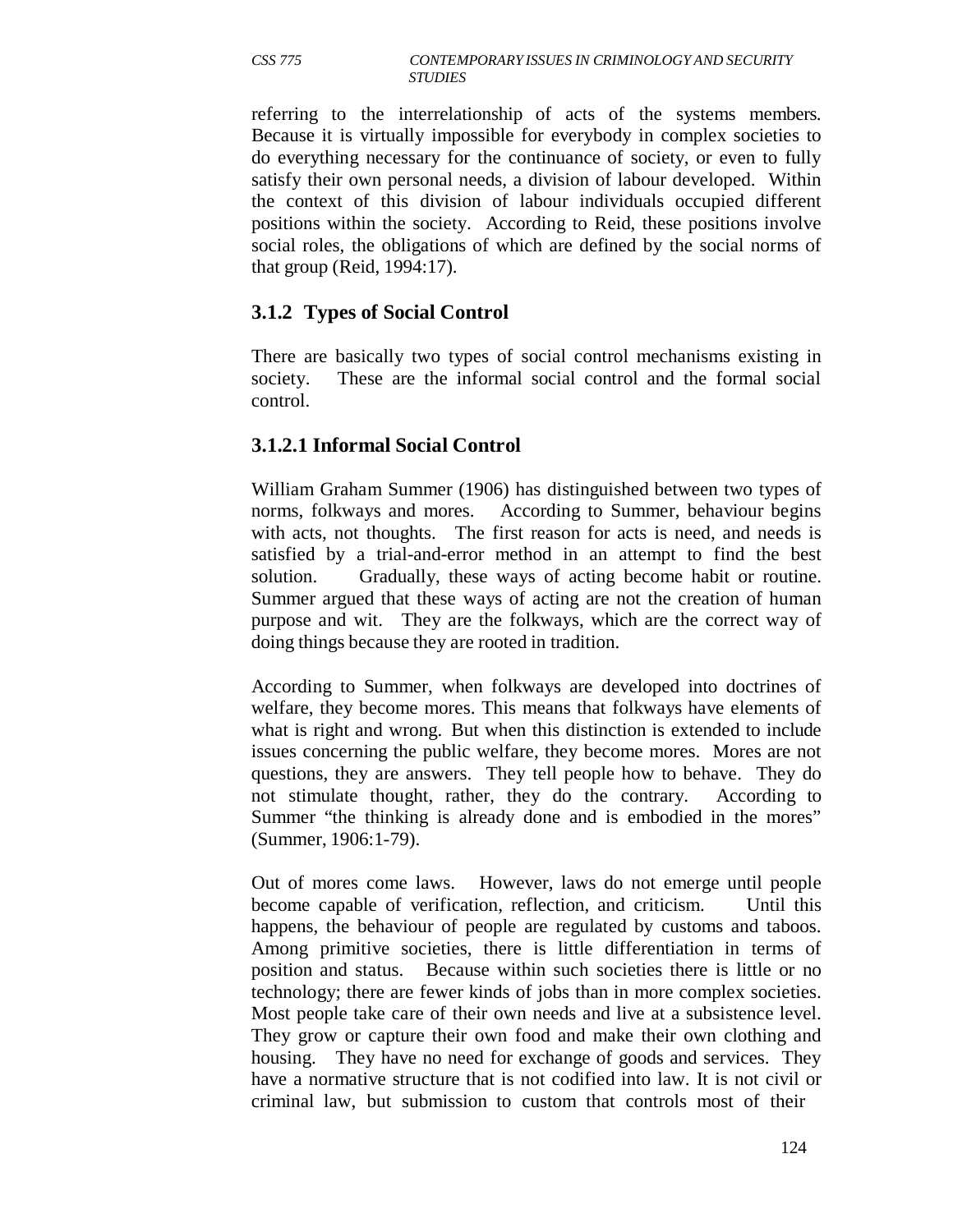referring to the interrelationship of acts of the systems members. Because it is virtually impossible for everybody in complex societies to do everything necessary for the continuance of society, or even to fully satisfy their own personal needs, a division of labour developed. Within the context of this division of labour individuals occupied different positions within the society. According to Reid, these positions involve social roles, the obligations of which are defined by the social norms of that group (Reid, 1994:17).

### **3.1.2 Types of Social Control**

There are basically two types of social control mechanisms existing in society. These are the informal social control and the formal social control.

### **3.1.2.1 Informal Social Control**

William Graham Summer (1906) has distinguished between two types of norms, folkways and mores. According to Summer, behaviour begins with acts, not thoughts. The first reason for acts is need, and needs is satisfied by a trial-and-error method in an attempt to find the best solution. Gradually, these ways of acting become habit or routine. Summer argued that these ways of acting are not the creation of human purpose and wit. They are the folkways, which are the correct way of doing things because they are rooted in tradition.

According to Summer, when folkways are developed into doctrines of welfare, they become mores. This means that folkways have elements of what is right and wrong. But when this distinction is extended to include issues concerning the public welfare, they become mores. Mores are not questions, they are answers. They tell people how to behave. They do not stimulate thought, rather, they do the contrary. According to Summer "the thinking is already done and is embodied in the mores" (Summer, 1906:1-79).

Out of mores come laws. However, laws do not emerge until people become capable of verification, reflection, and criticism. Until this happens, the behaviour of people are regulated by customs and taboos. Among primitive societies, there is little differentiation in terms of position and status. Because within such societies there is little or no technology; there are fewer kinds of jobs than in more complex societies. Most people take care of their own needs and live at a subsistence level. They grow or capture their own food and make their own clothing and housing. They have no need for exchange of goods and services. They have a normative structure that is not codified into law. It is not civil or criminal law, but submission to custom that controls most of their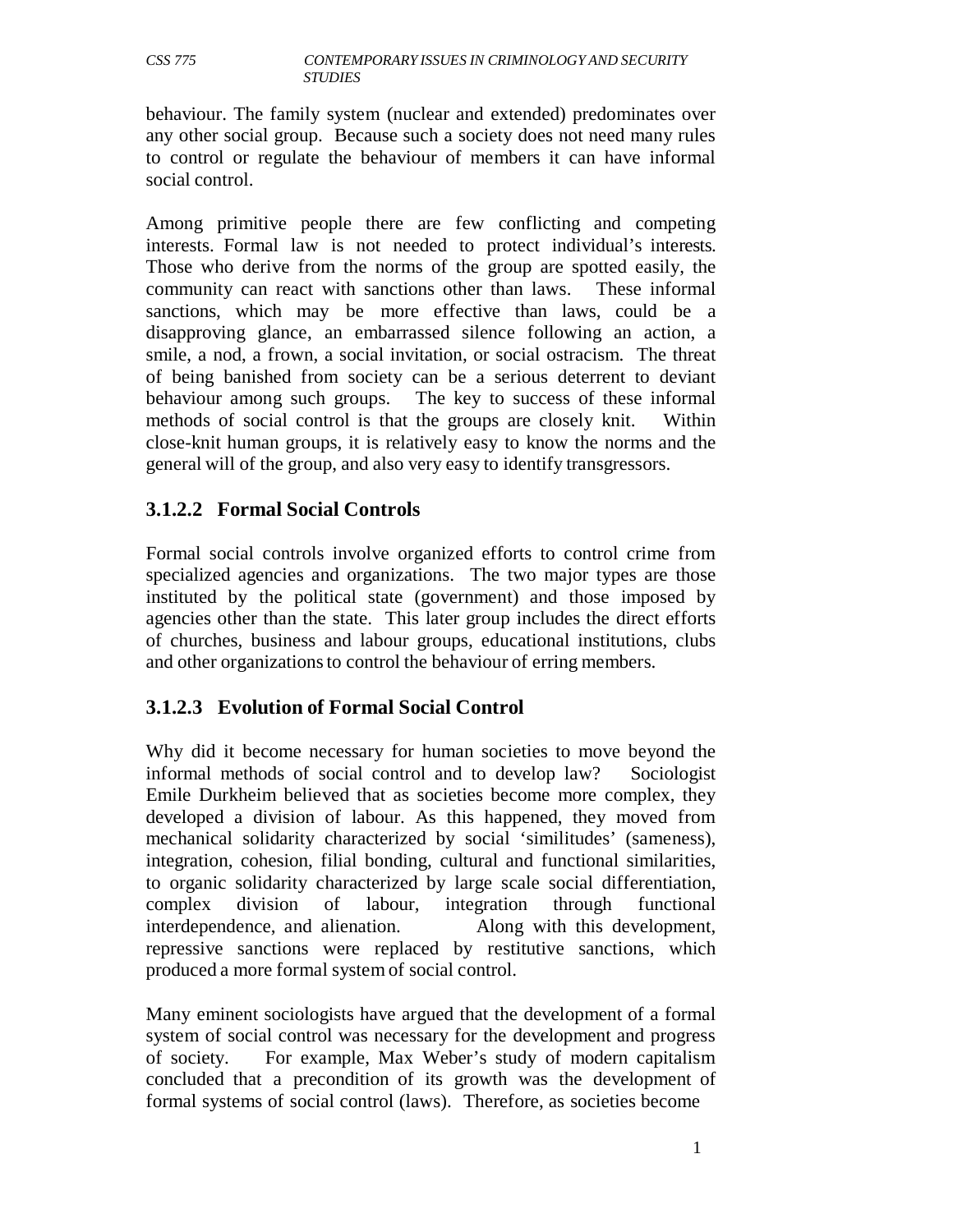behaviour. The family system (nuclear and extended) predominates over any other social group. Because such a society does not need many rules to control or regulate the behaviour of members it can have informal social control.

Among primitive people there are few conflicting and competing interests. Formal law is not needed to protect individual's interests. Those who derive from the norms of the group are spotted easily, the community can react with sanctions other than laws. These informal sanctions, which may be more effective than laws, could be a disapproving glance, an embarrassed silence following an action, a smile, a nod, a frown, a social invitation, or social ostracism. The threat of being banished from society can be a serious deterrent to deviant behaviour among such groups. The key to success of these informal methods of social control is that the groups are closely knit. Within close-knit human groups, it is relatively easy to know the norms and the general will of the group, and also very easy to identify transgressors.

## **3.1.2.2 Formal Social Controls**

Formal social controls involve organized efforts to control crime from specialized agencies and organizations. The two major types are those instituted by the political state (government) and those imposed by agencies other than the state. This later group includes the direct efforts of churches, business and labour groups, educational institutions, clubs and other organizations to control the behaviour of erring members.

# **3.1.2.3 Evolution of Formal Social Control**

Why did it become necessary for human societies to move beyond the informal methods of social control and to develop law? Sociologist Emile Durkheim believed that as societies become more complex, they developed a division of labour. As this happened, they moved from mechanical solidarity characterized by social 'similitudes' (sameness), integration, cohesion, filial bonding, cultural and functional similarities, to organic solidarity characterized by large scale social differentiation, complex division of labour, integration through functional interdependence, and alienation. Along with this development, repressive sanctions were replaced by restitutive sanctions, which produced a more formal system of social control.

Many eminent sociologists have argued that the development of a formal system of social control was necessary for the development and progress of society. For example, Max Weber's study of modern capitalism concluded that a precondition of its growth was the development of formal systems of social control (laws). Therefore, as societies become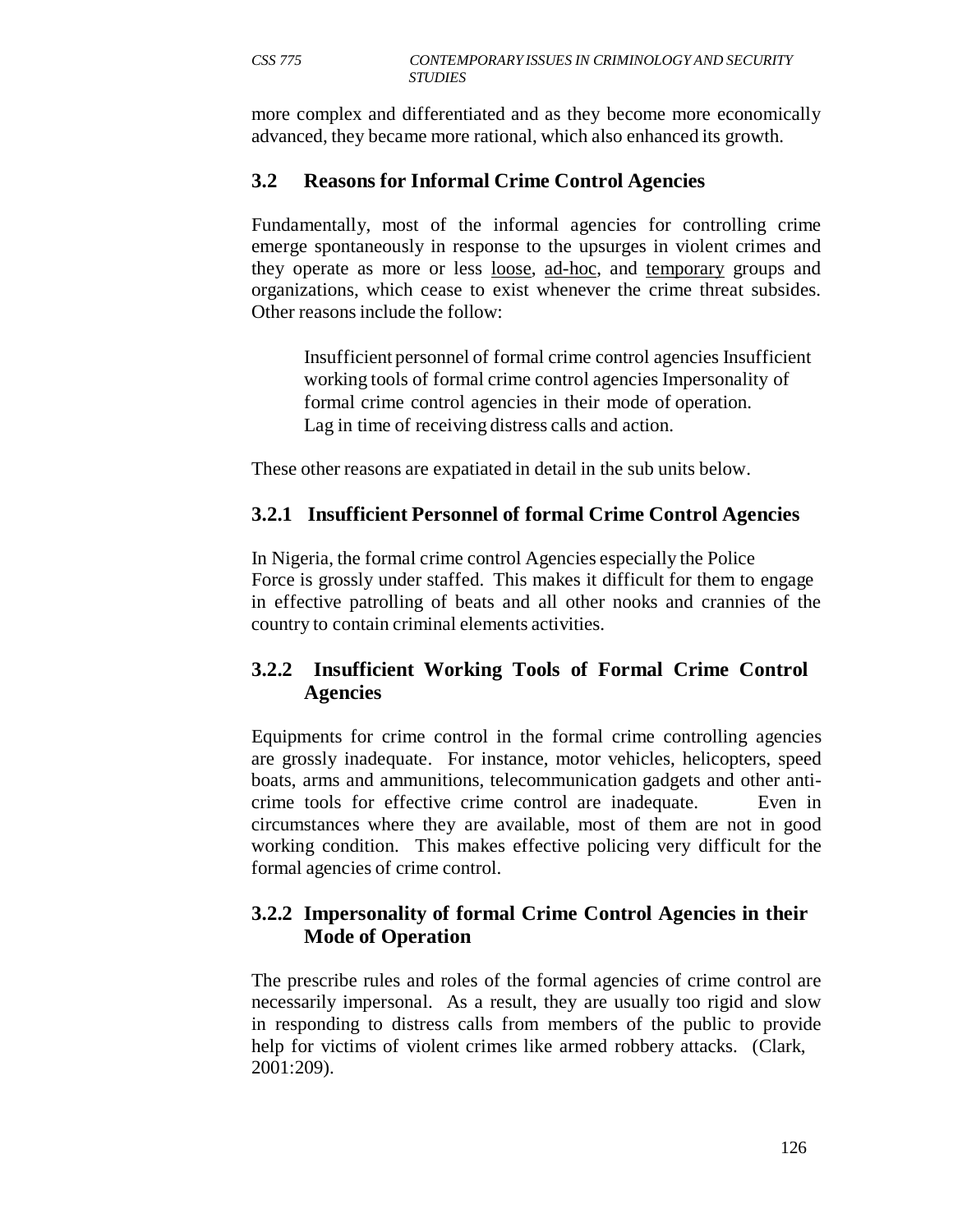more complex and differentiated and as they become more economically advanced, they became more rational, which also enhanced its growth.

# **3.2 Reasons for Informal Crime Control Agencies**

Fundamentally, most of the informal agencies for controlling crime emerge spontaneously in response to the upsurges in violent crimes and they operate as more or less loose, ad-hoc, and temporary groups and organizations, which cease to exist whenever the crime threat subsides. Other reasons include the follow:

Insufficient personnel of formal crime control agencies Insufficient working tools of formal crime control agencies Impersonality of formal crime control agencies in their mode of operation. Lag in time of receiving distress calls and action.

These other reasons are expatiated in detail in the sub units below.

## **3.2.1 Insufficient Personnel of formal Crime Control Agencies**

In Nigeria, the formal crime control Agencies especially the Police Force is grossly under staffed. This makes it difficult for them to engage in effective patrolling of beats and all other nooks and crannies of the country to contain criminal elements activities.

# **3.2.2 Insufficient Working Tools of Formal Crime Control Agencies**

Equipments for crime control in the formal crime controlling agencies are grossly inadequate. For instance, motor vehicles, helicopters, speed boats, arms and ammunitions, telecommunication gadgets and other anticrime tools for effective crime control are inadequate. Even in circumstances where they are available, most of them are not in good working condition. This makes effective policing very difficult for the formal agencies of crime control.

## **3.2.2 Impersonality of formal Crime Control Agencies in their Mode of Operation**

The prescribe rules and roles of the formal agencies of crime control are necessarily impersonal. As a result, they are usually too rigid and slow in responding to distress calls from members of the public to provide help for victims of violent crimes like armed robbery attacks. (Clark, 2001:209).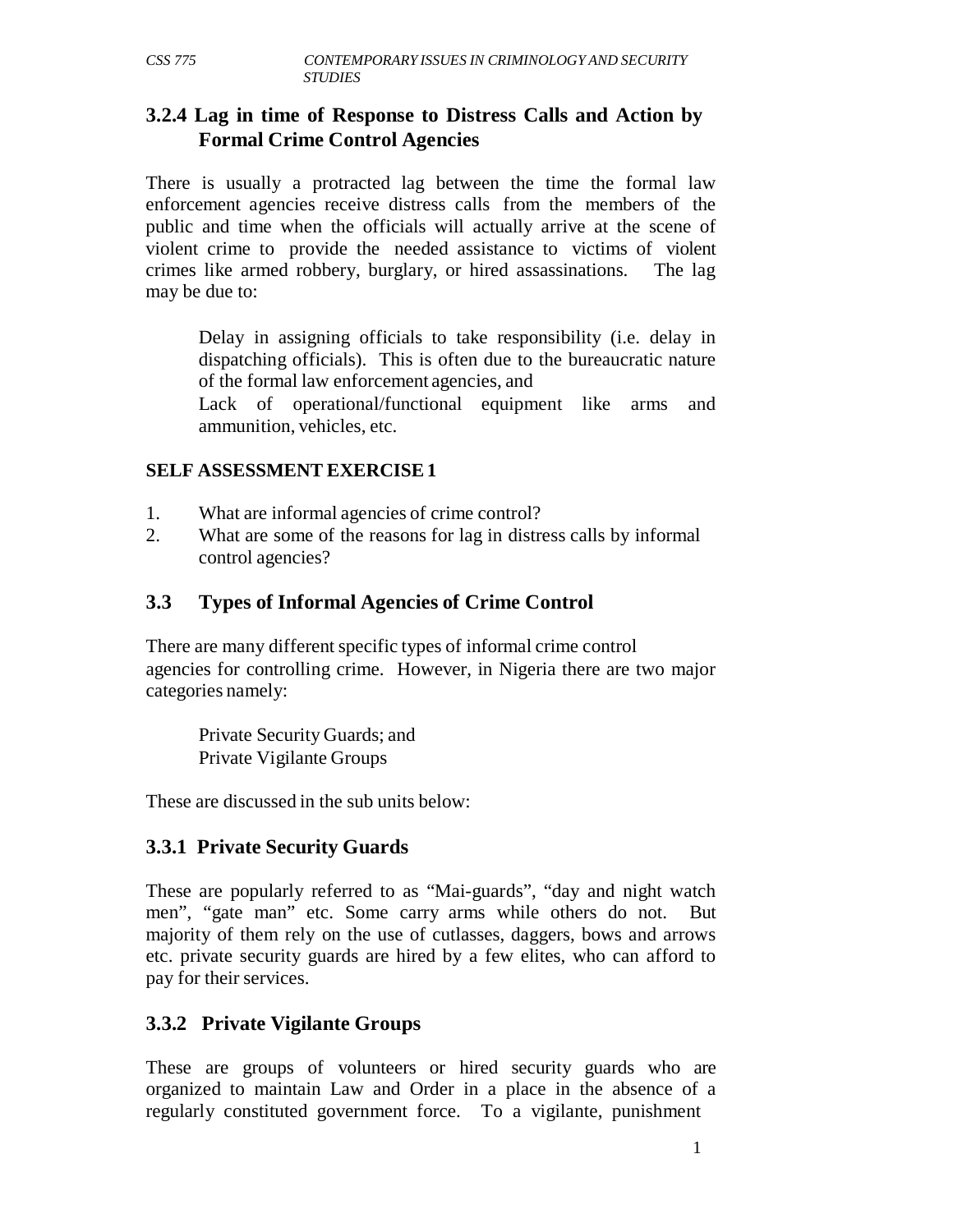#### **3.2.4 Lag in time of Response to Distress Calls and Action by Formal Crime Control Agencies**

There is usually a protracted lag between the time the formal law enforcement agencies receive distress calls from the members of the public and time when the officials will actually arrive at the scene of violent crime to provide the needed assistance to victims of violent crimes like armed robbery, burglary, or hired assassinations. The lag may be due to:

Delay in assigning officials to take responsibility (i.e. delay in dispatching officials). This is often due to the bureaucratic nature of the formal law enforcement agencies, and

Lack of operational/functional equipment like arms and ammunition, vehicles, etc.

#### **SELF ASSESSMENT EXERCISE 1**

- 1. What are informal agencies of crime control?
- 2. What are some of the reasons for lag in distress calls by informal control agencies?

### **3.3 Types of Informal Agencies of Crime Control**

There are many different specific types of informal crime control agencies for controlling crime. However, in Nigeria there are two major categories namely:

Private Security Guards; and Private Vigilante Groups

These are discussed in the sub units below:

#### **3.3.1 Private Security Guards**

These are popularly referred to as "Mai-guards", "day and night watch men", "gate man" etc. Some carry arms while others do not. But majority of them rely on the use of cutlasses, daggers, bows and arrows etc. private security guards are hired by a few elites, who can afford to pay for their services.

## **3.3.2 Private Vigilante Groups**

These are groups of volunteers or hired security guards who are organized to maintain Law and Order in a place in the absence of a regularly constituted government force. To a vigilante, punishment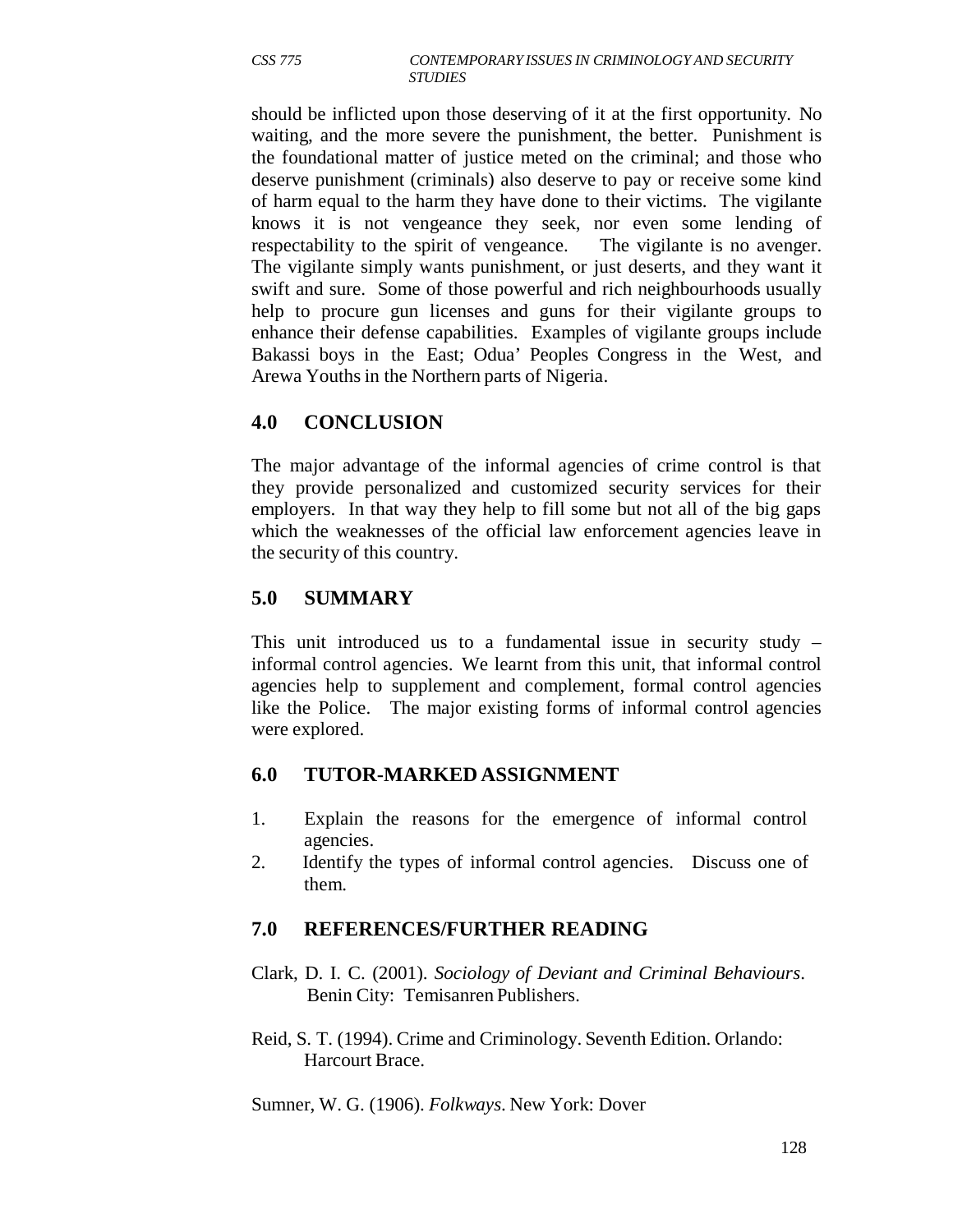should be inflicted upon those deserving of it at the first opportunity. No waiting, and the more severe the punishment, the better. Punishment is the foundational matter of justice meted on the criminal; and those who deserve punishment (criminals) also deserve to pay or receive some kind of harm equal to the harm they have done to their victims. The vigilante knows it is not vengeance they seek, nor even some lending of respectability to the spirit of vengeance. The vigilante is no avenger. The vigilante simply wants punishment, or just deserts, and they want it swift and sure. Some of those powerful and rich neighbourhoods usually help to procure gun licenses and guns for their vigilante groups to enhance their defense capabilities. Examples of vigilante groups include Bakassi boys in the East; Odua' Peoples Congress in the West, and Arewa Youths in the Northern parts of Nigeria.

# **4.0 CONCLUSION**

The major advantage of the informal agencies of crime control is that they provide personalized and customized security services for their employers. In that way they help to fill some but not all of the big gaps which the weaknesses of the official law enforcement agencies leave in the security of this country.

## **5.0 SUMMARY**

This unit introduced us to a fundamental issue in security study – informal control agencies. We learnt from this unit, that informal control agencies help to supplement and complement, formal control agencies like the Police. The major existing forms of informal control agencies were explored.

## **6.0 TUTOR-MARKED ASSIGNMENT**

- 1. Explain the reasons for the emergence of informal control agencies.
- 2. Identify the types of informal control agencies. Discuss one of them.

# **7.0 REFERENCES/FURTHER READING**

- Clark, D. I. C. (2001). *Sociology of Deviant and Criminal Behaviours*. Benin City: Temisanren Publishers.
- Reid, S. T. (1994). Crime and Criminology. Seventh Edition. Orlando: Harcourt Brace.

Sumner, W. G. (1906). *Folkways*. New York: Dover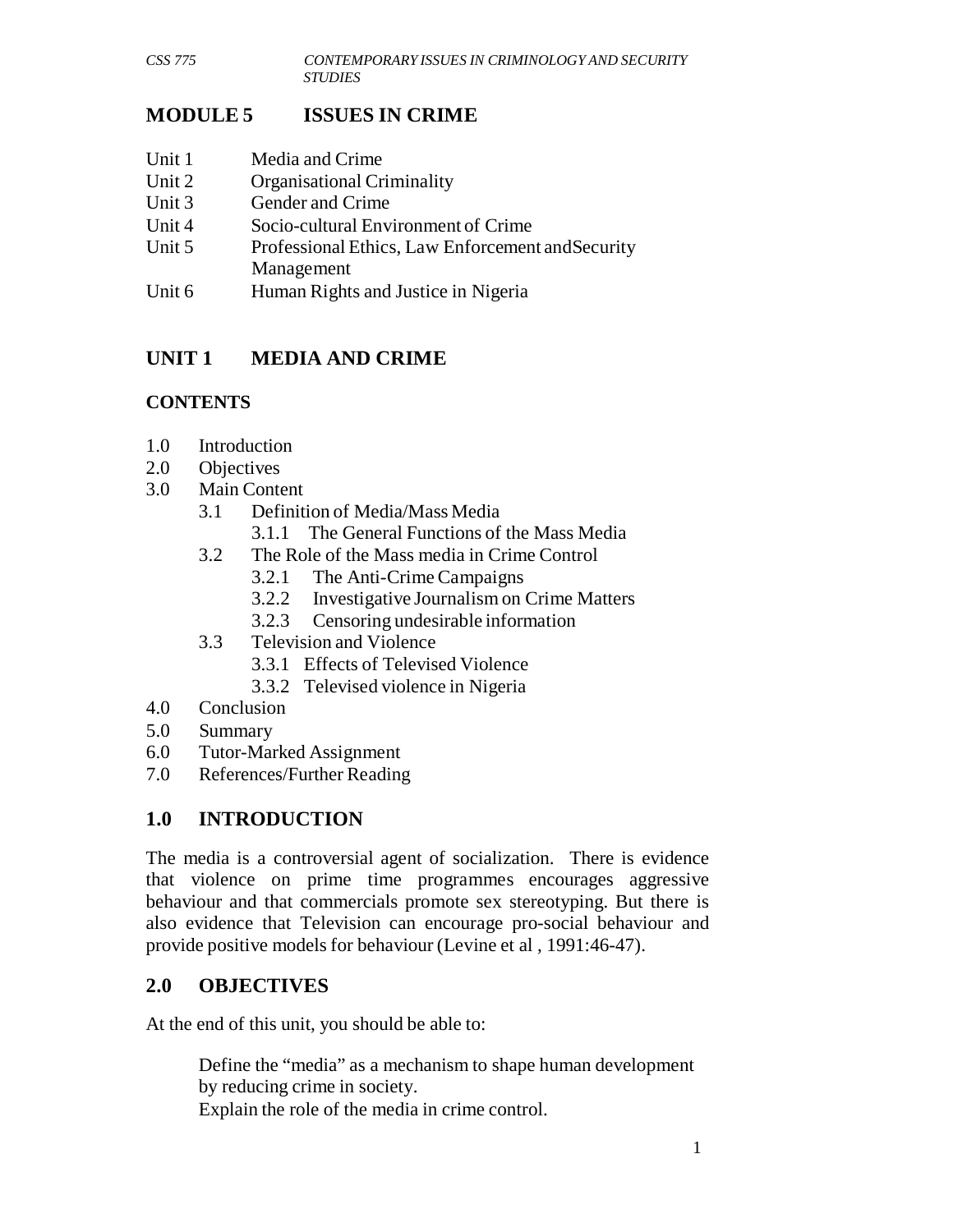# **MODULE 5 ISSUES IN CRIME**

- Unit 1 Media and Crime
- Unit 2 Organisational Criminality
- Unit 3 Gender and Crime
- Unit 4 Socio-cultural Environment of Crime
- Unit 5 Professional Ethics, Law Enforcement andSecurity Management
- Unit 6 Human Rights and Justice in Nigeria

# **UNIT 1 MEDIA AND CRIME**

# **CONTENTS**

- 1.0 Introduction
- 2.0 Objectives
- 3.0 Main Content
	- 3.1 Definition of Media/Mass Media
		- 3.1.1 The General Functions of the Mass Media
	- 3.2 The Role of the Mass media in Crime Control
		- 3.2.1 The Anti-Crime Campaigns
		- 3.2.2 Investigative Journalism on Crime Matters
		- 3.2.3 Censoring undesirable information
	- 3.3 Television and Violence
		- 3.3.1 Effects of Televised Violence
		- 3.3.2 Televised violence in Nigeria
- 4.0 Conclusion
- 5.0 Summary
- 6.0 Tutor-Marked Assignment
- 7.0 References/Further Reading

# **1.0 INTRODUCTION**

The media is a controversial agent of socialization. There is evidence that violence on prime time programmes encourages aggressive behaviour and that commercials promote sex stereotyping. But there is also evidence that Television can encourage pro-social behaviour and provide positive models for behaviour (Levine et al , 1991:46-47).

# **2.0 OBJECTIVES**

At the end of this unit, you should be able to:

Define the "media" as a mechanism to shape human development by reducing crime in society. Explain the role of the media in crime control.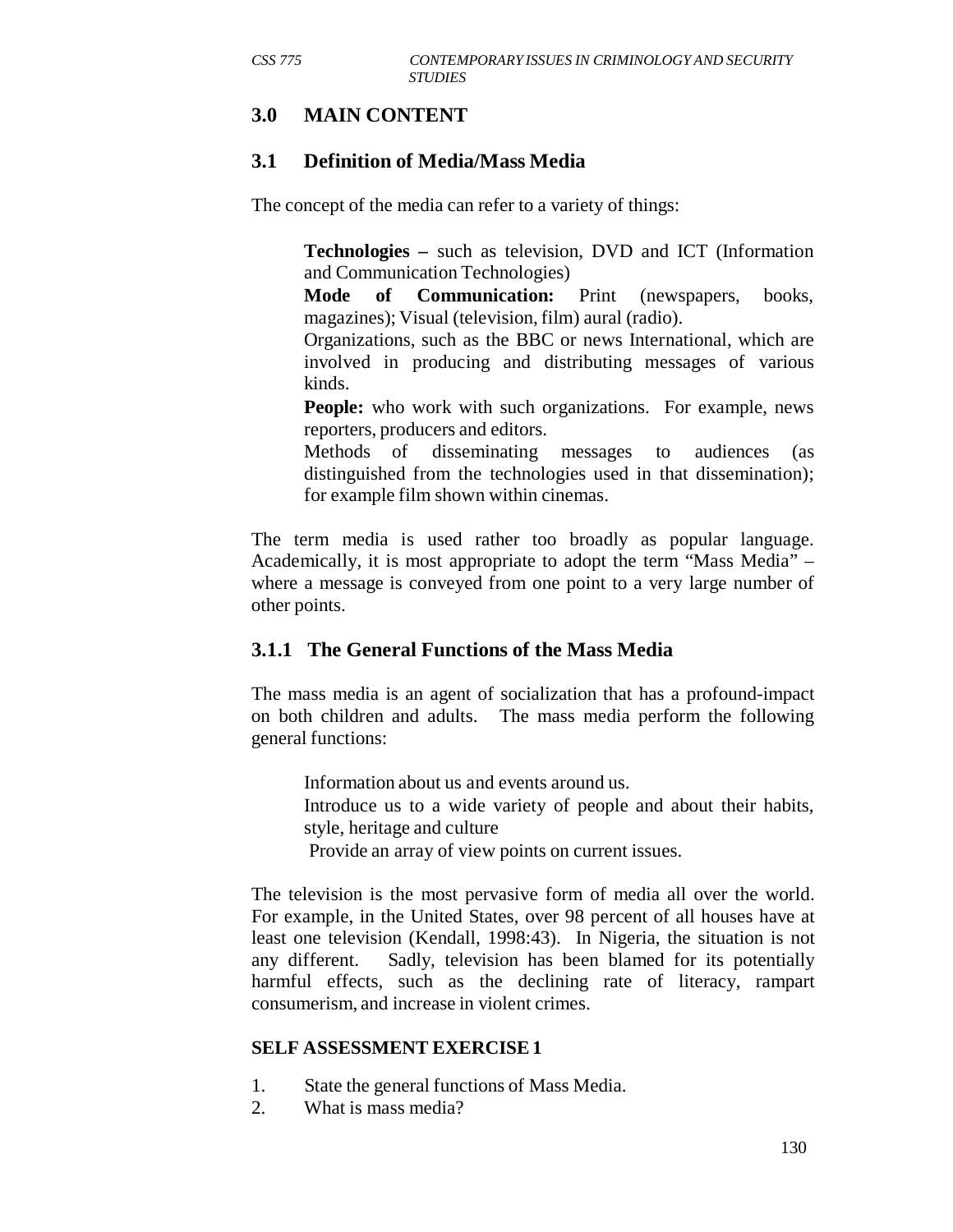# **3.0 MAIN CONTENT**

## **3.1 Definition of Media/Mass Media**

The concept of the media can refer to a variety of things:

**Technologies –** such as television, DVD and ICT (Information and Communication Technologies)

**Mode of Communication:** Print (newspapers, books, magazines); Visual (television, film) aural (radio).

Organizations, such as the BBC or news International, which are involved in producing and distributing messages of various kinds.

**People:** who work with such organizations. For example, news reporters, producers and editors.

Methods of disseminating messages to audiences (as distinguished from the technologies used in that dissemination); for example film shown within cinemas.

The term media is used rather too broadly as popular language. Academically, it is most appropriate to adopt the term "Mass Media" – where a message is conveyed from one point to a very large number of other points.

## **3.1.1 The General Functions of the Mass Media**

The mass media is an agent of socialization that has a profound-impact on both children and adults. The mass media perform the following general functions:

Information about us and events around us.

Introduce us to a wide variety of people and about their habits, style, heritage and culture

Provide an array of view points on current issues.

The television is the most pervasive form of media all over the world. For example, in the United States, over 98 percent of all houses have at least one television (Kendall, 1998:43). In Nigeria, the situation is not any different. Sadly, television has been blamed for its potentially harmful effects, such as the declining rate of literacy, rampart consumerism, and increase in violent crimes.

#### **SELF ASSESSMENT EXERCISE 1**

- 1. State the general functions of Mass Media.
- 2. What is mass media?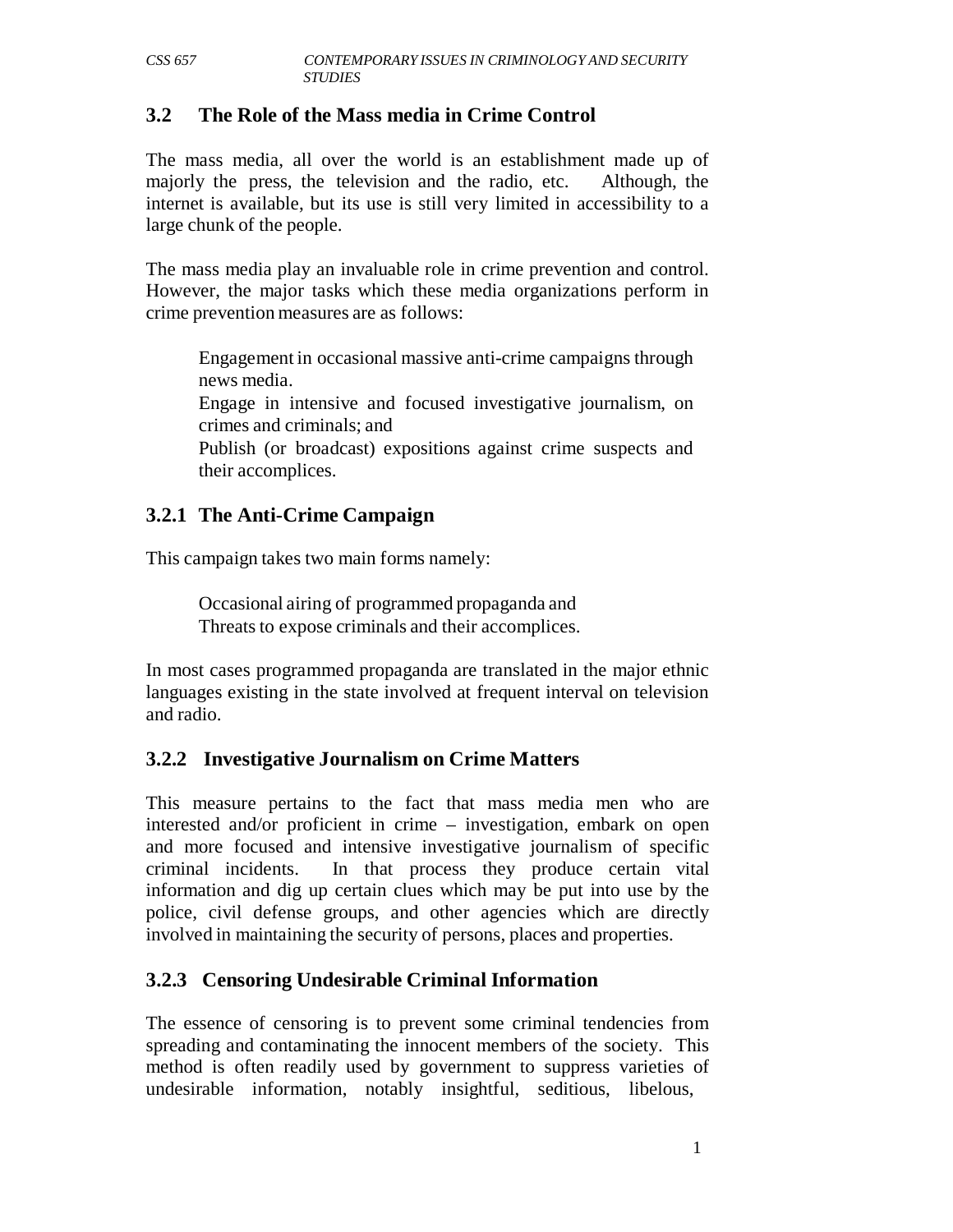#### **3.2 The Role of the Mass media in Crime Control**

The mass media, all over the world is an establishment made up of majorly the press, the television and the radio, etc. Although, the internet is available, but its use is still very limited in accessibility to a large chunk of the people.

The mass media play an invaluable role in crime prevention and control. However, the major tasks which these media organizations perform in crime prevention measures are as follows:

Engagement in occasional massive anti-crime campaigns through news media.

Engage in intensive and focused investigative journalism, on crimes and criminals; and

Publish (or broadcast) expositions against crime suspects and their accomplices.

#### **3.2.1 The Anti-Crime Campaign**

This campaign takes two main forms namely:

Occasional airing of programmed propaganda and Threats to expose criminals and their accomplices.

In most cases programmed propaganda are translated in the major ethnic languages existing in the state involved at frequent interval on television and radio.

## **3.2.2 Investigative Journalism on Crime Matters**

This measure pertains to the fact that mass media men who are interested and/or proficient in crime – investigation, embark on open and more focused and intensive investigative journalism of specific criminal incidents. In that process they produce certain vital information and dig up certain clues which may be put into use by the police, civil defense groups, and other agencies which are directly involved in maintaining the security of persons, places and properties.

## **3.2.3 Censoring Undesirable Criminal Information**

The essence of censoring is to prevent some criminal tendencies from spreading and contaminating the innocent members of the society. This method is often readily used by government to suppress varieties of undesirable information, notably insightful, seditious, libelous,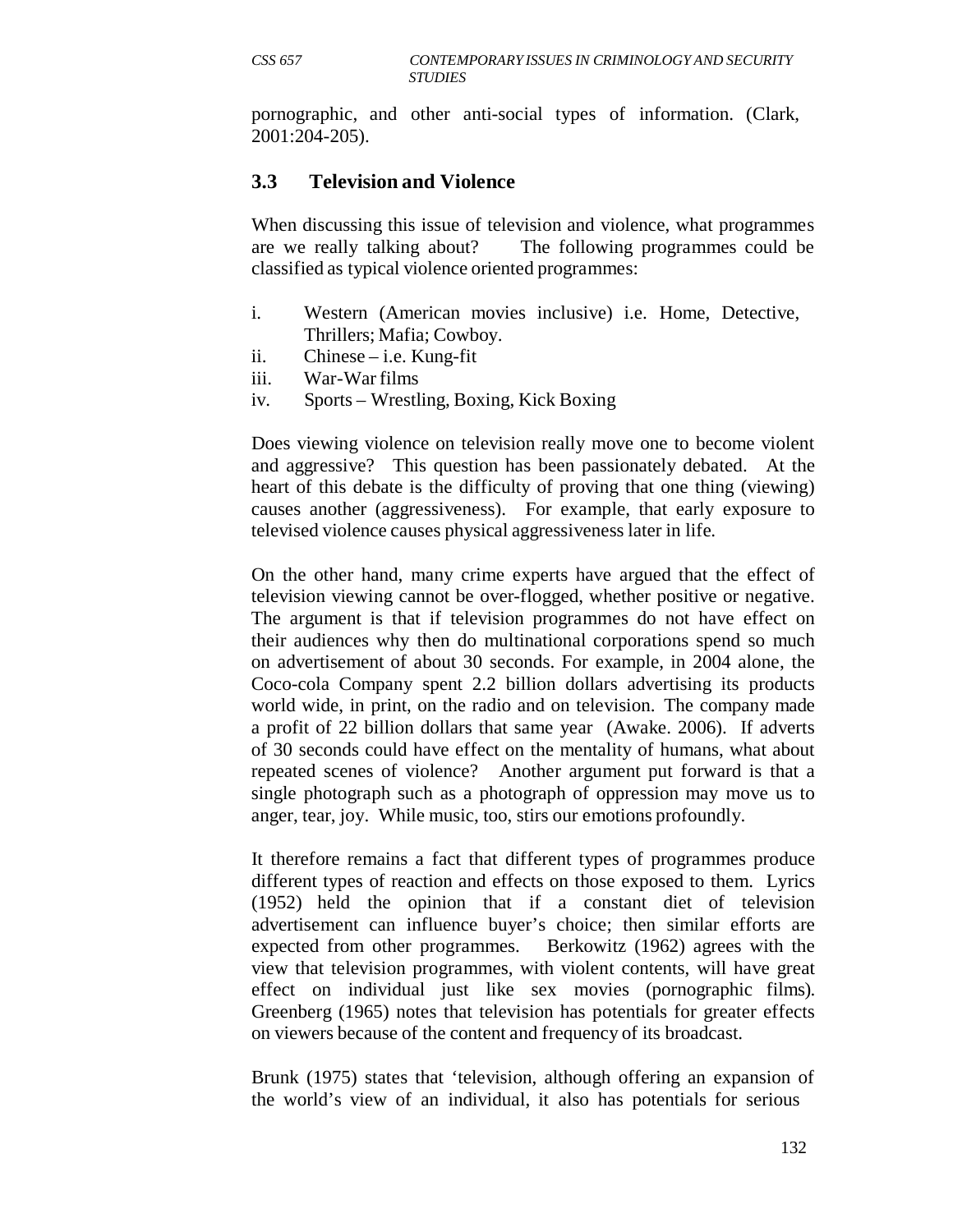pornographic, and other anti-social types of information. (Clark, 2001:204-205).

# **3.3 Television and Violence**

When discussing this issue of television and violence, what programmes are we really talking about? The following programmes could be classified as typical violence oriented programmes:

- i. Western (American movies inclusive) i.e. Home, Detective, Thrillers; Mafia; Cowboy.
- ii. Chinese i.e. Kung-fit
- iii. War-War films
- iv. Sports Wrestling, Boxing, Kick Boxing

Does viewing violence on television really move one to become violent and aggressive? This question has been passionately debated. At the heart of this debate is the difficulty of proving that one thing (viewing) causes another (aggressiveness). For example, that early exposure to televised violence causes physical aggressiveness later in life.

On the other hand, many crime experts have argued that the effect of television viewing cannot be over-flogged, whether positive or negative. The argument is that if television programmes do not have effect on their audiences why then do multinational corporations spend so much on advertisement of about 30 seconds. For example, in 2004 alone, the Coco-cola Company spent 2.2 billion dollars advertising its products world wide, in print, on the radio and on television. The company made a profit of 22 billion dollars that same year (Awake. 2006). If adverts of 30 seconds could have effect on the mentality of humans, what about repeated scenes of violence? Another argument put forward is that a single photograph such as a photograph of oppression may move us to anger, tear, joy. While music, too, stirs our emotions profoundly.

It therefore remains a fact that different types of programmes produce different types of reaction and effects on those exposed to them. Lyrics (1952) held the opinion that if a constant diet of television advertisement can influence buyer's choice; then similar efforts are expected from other programmes. Berkowitz (1962) agrees with the view that television programmes, with violent contents, will have great effect on individual just like sex movies (pornographic films). Greenberg (1965) notes that television has potentials for greater effects on viewers because of the content and frequency of its broadcast.

Brunk (1975) states that 'television, although offering an expansion of the world's view of an individual, it also has potentials for serious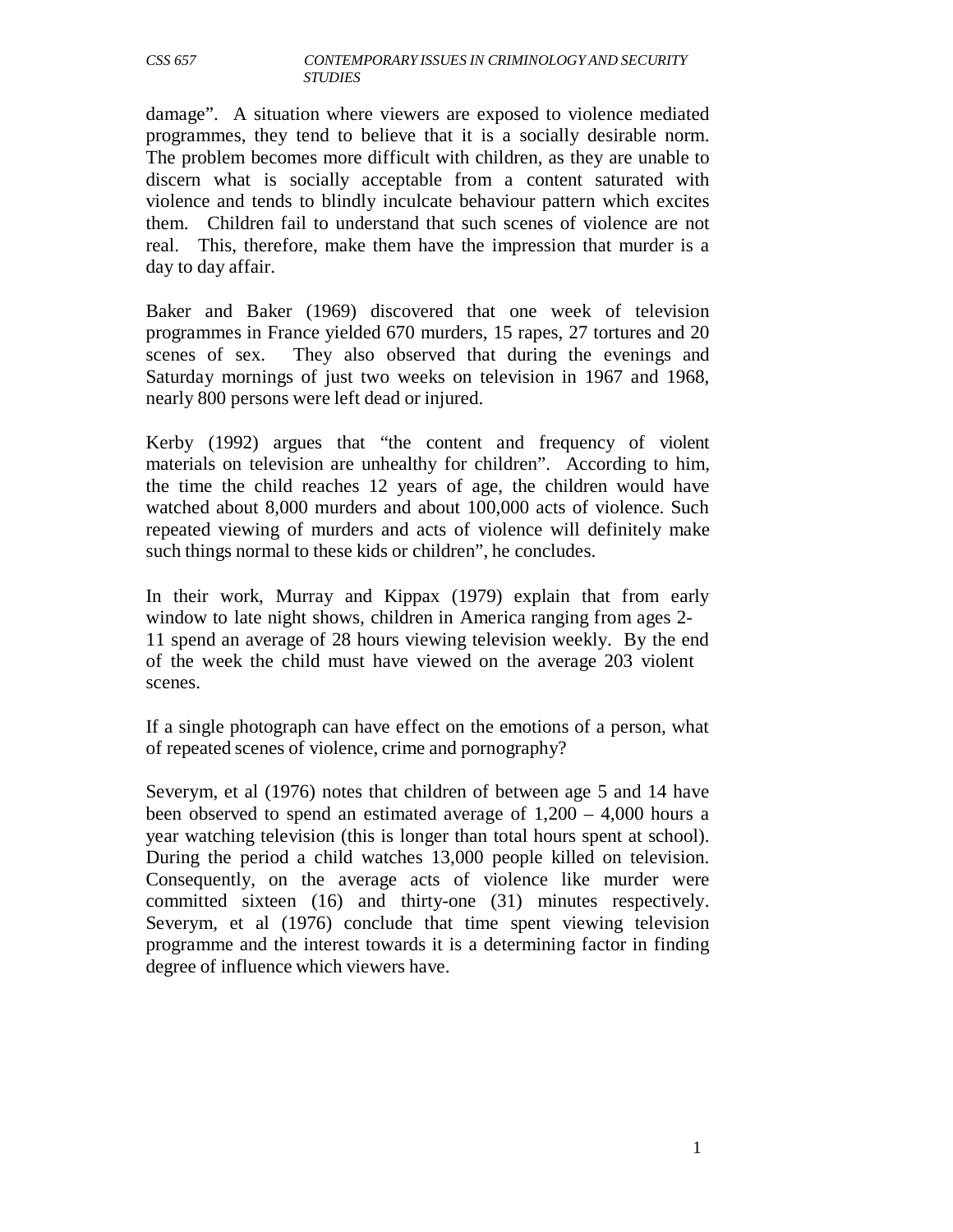damage". A situation where viewers are exposed to violence mediated programmes, they tend to believe that it is a socially desirable norm. The problem becomes more difficult with children, as they are unable to discern what is socially acceptable from a content saturated with violence and tends to blindly inculcate behaviour pattern which excites them. Children fail to understand that such scenes of violence are not real. This, therefore, make them have the impression that murder is a day to day affair.

Baker and Baker (1969) discovered that one week of television programmes in France yielded 670 murders, 15 rapes, 27 tortures and 20 scenes of sex. They also observed that during the evenings and Saturday mornings of just two weeks on television in 1967 and 1968, nearly 800 persons were left dead or injured.

Kerby (1992) argues that "the content and frequency of violent materials on television are unhealthy for children". According to him, the time the child reaches 12 years of age, the children would have watched about 8,000 murders and about 100,000 acts of violence. Such repeated viewing of murders and acts of violence will definitely make such things normal to these kids or children", he concludes.

In their work, Murray and Kippax (1979) explain that from early window to late night shows, children in America ranging from ages 2- 11 spend an average of 28 hours viewing television weekly. By the end of the week the child must have viewed on the average 203 violent scenes.

If a single photograph can have effect on the emotions of a person, what of repeated scenes of violence, crime and pornography?

Severym, et al (1976) notes that children of between age 5 and 14 have been observed to spend an estimated average of 1,200 – 4,000 hours a year watching television (this is longer than total hours spent at school). During the period a child watches 13,000 people killed on television. Consequently, on the average acts of violence like murder were committed sixteen (16) and thirty-one (31) minutes respectively. Severym, et al (1976) conclude that time spent viewing television programme and the interest towards it is a determining factor in finding degree of influence which viewers have.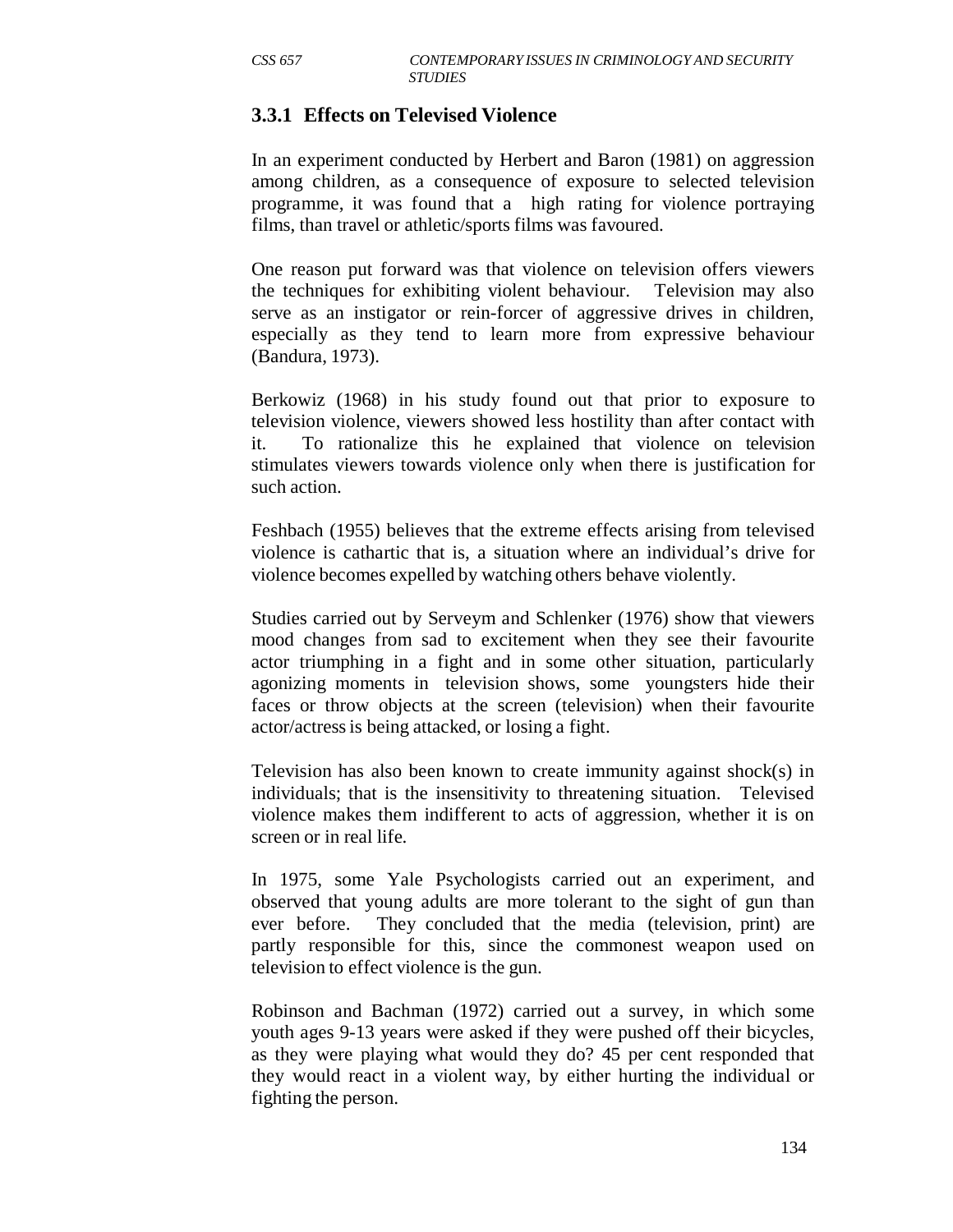#### **3.3.1 Effects on Televised Violence**

In an experiment conducted by Herbert and Baron (1981) on aggression among children, as a consequence of exposure to selected television programme, it was found that a high rating for violence portraying films, than travel or athletic/sports films was favoured.

One reason put forward was that violence on television offers viewers the techniques for exhibiting violent behaviour. Television may also serve as an instigator or rein-forcer of aggressive drives in children, especially as they tend to learn more from expressive behaviour (Bandura, 1973).

Berkowiz (1968) in his study found out that prior to exposure to television violence, viewers showed less hostility than after contact with it. To rationalize this he explained that violence on television stimulates viewers towards violence only when there is justification for such action.

Feshbach (1955) believes that the extreme effects arising from televised violence is cathartic that is, a situation where an individual's drive for violence becomes expelled by watching others behave violently.

Studies carried out by Serveym and Schlenker (1976) show that viewers mood changes from sad to excitement when they see their favourite actor triumphing in a fight and in some other situation, particularly agonizing moments in television shows, some youngsters hide their faces or throw objects at the screen (television) when their favourite actor/actress is being attacked, or losing a fight.

Television has also been known to create immunity against shock(s) in individuals; that is the insensitivity to threatening situation. Televised violence makes them indifferent to acts of aggression, whether it is on screen or in real life.

In 1975, some Yale Psychologists carried out an experiment, and observed that young adults are more tolerant to the sight of gun than ever before. They concluded that the media (television, print) are partly responsible for this, since the commonest weapon used on television to effect violence is the gun.

Robinson and Bachman (1972) carried out a survey, in which some youth ages 9-13 years were asked if they were pushed off their bicycles, as they were playing what would they do? 45 per cent responded that they would react in a violent way, by either hurting the individual or fighting the person.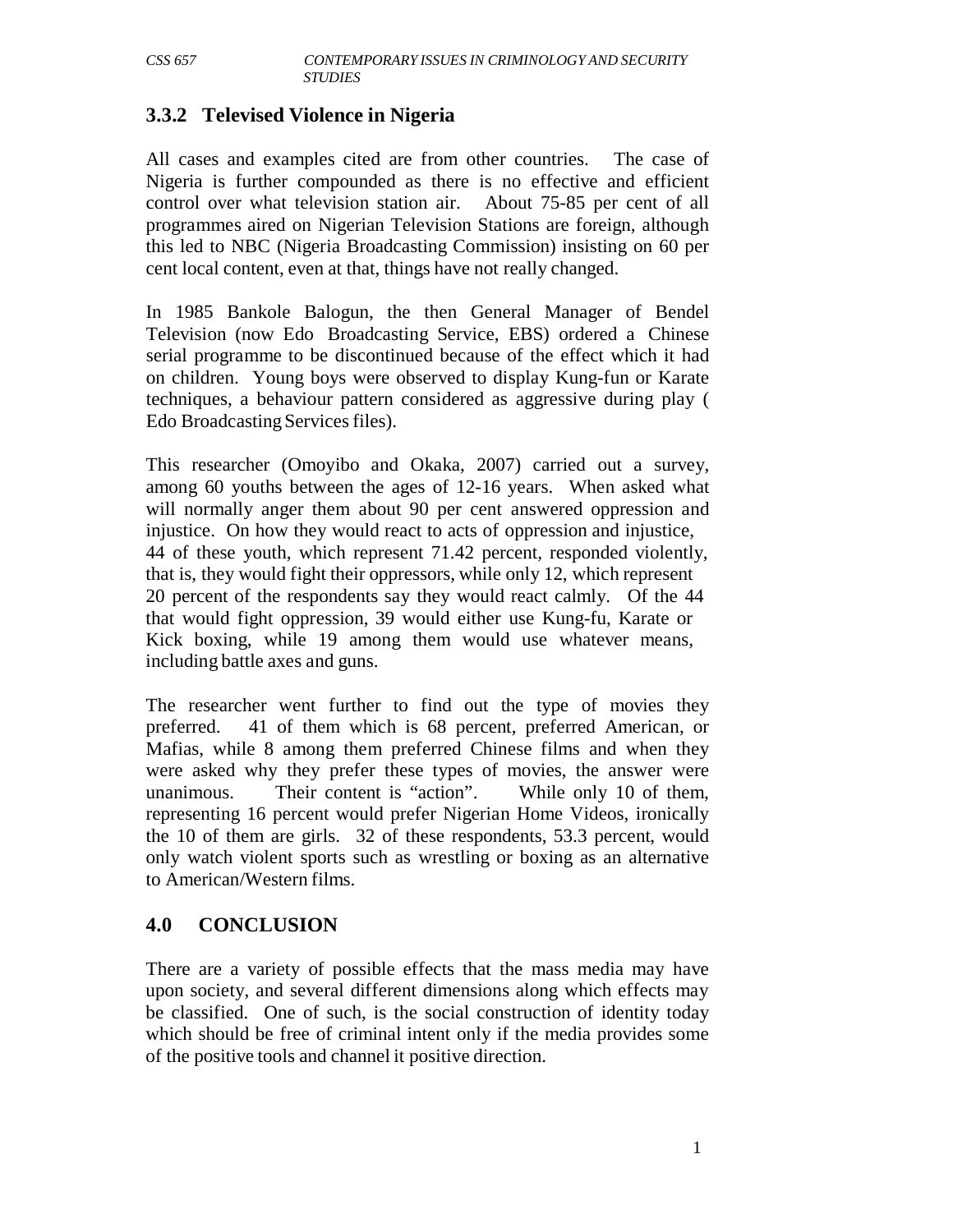#### **3.3.2 Televised Violence in Nigeria**

All cases and examples cited are from other countries. The case of Nigeria is further compounded as there is no effective and efficient control over what television station air. About 75-85 per cent of all programmes aired on Nigerian Television Stations are foreign, although this led to NBC (Nigeria Broadcasting Commission) insisting on 60 per cent local content, even at that, things have not really changed.

In 1985 Bankole Balogun, the then General Manager of Bendel Television (now Edo Broadcasting Service, EBS) ordered a Chinese serial programme to be discontinued because of the effect which it had on children. Young boys were observed to display Kung-fun or Karate techniques, a behaviour pattern considered as aggressive during play ( Edo Broadcasting Services files).

This researcher (Omoyibo and Okaka, 2007) carried out a survey, among 60 youths between the ages of 12-16 years. When asked what will normally anger them about 90 per cent answered oppression and injustice. On how they would react to acts of oppression and injustice, 44 of these youth, which represent 71.42 percent, responded violently, that is, they would fight their oppressors, while only 12, which represent 20 percent of the respondents say they would react calmly. Of the 44 that would fight oppression, 39 would either use Kung-fu, Karate or Kick boxing, while 19 among them would use whatever means, including battle axes and guns.

The researcher went further to find out the type of movies they preferred. 41 of them which is 68 percent, preferred American, or Mafias, while 8 among them preferred Chinese films and when they were asked why they prefer these types of movies, the answer were unanimous. Their content is "action". While only 10 of them, representing 16 percent would prefer Nigerian Home Videos, ironically the 10 of them are girls. 32 of these respondents, 53.3 percent, would only watch violent sports such as wrestling or boxing as an alternative to American/Western films.

## **4.0 CONCLUSION**

There are a variety of possible effects that the mass media may have upon society, and several different dimensions along which effects may be classified. One of such, is the social construction of identity today which should be free of criminal intent only if the media provides some of the positive tools and channel it positive direction.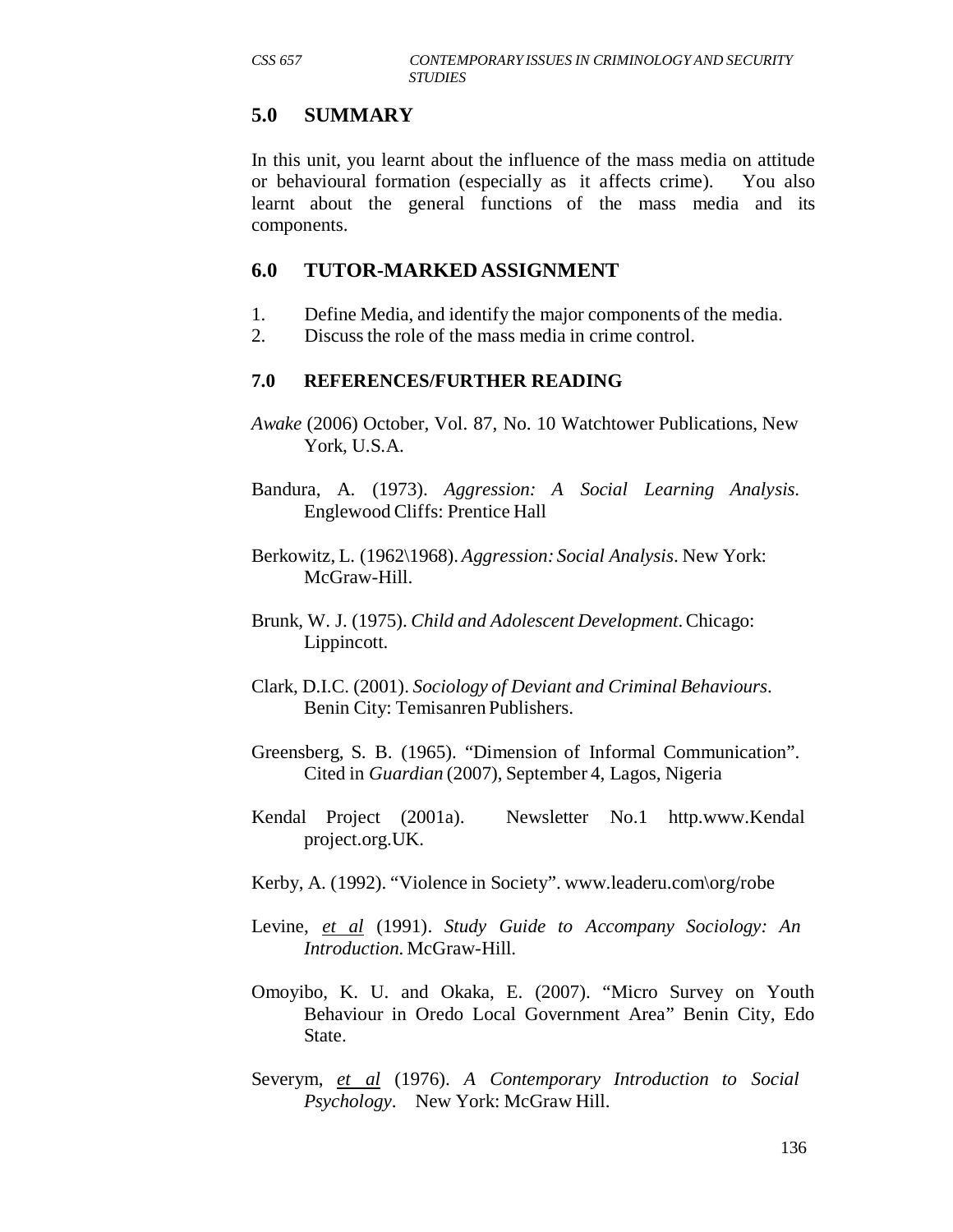#### **5.0 SUMMARY**

In this unit, you learnt about the influence of the mass media on attitude or behavioural formation (especially as it affects crime). You also learnt about the general functions of the mass media and its components.

#### **6.0 TUTOR-MARKED ASSIGNMENT**

- 1. Define Media, and identify the major components of the media.
- 2. Discuss the role of the mass media in crime control.

#### **7.0 REFERENCES/FURTHER READING**

- *Awake* (2006) October, Vol. 87, No. 10 Watchtower Publications, New York, U.S.A.
- Bandura, A. (1973). *Aggression: A Social Learning Analysis*. Englewood Cliffs: Prentice Hall
- Berkowitz, L. (1962\1968). *Aggression: Social Analysis*. New York: McGraw-Hill.
- Brunk, W. J. (1975). *Child and Adolescent Development*. Chicago: Lippincott.
- Clark, D.I.C. (2001). *Sociology of Deviant and Criminal Behaviours*. Benin City: Temisanren Publishers.
- Greensberg, S. B. (1965). "Dimension of Informal Communication". Cited in *Guardian* (2007), September 4, Lagos, Nigeria
- Kendal Project (2001a). Newsletter No.1 http.www.Kendal project.org.UK.
- Kerby, A. (1992). "Violence in Society". www.leaderu.com\org/robe
- Levine, *et al* (1991). *Study Guide to Accompany Sociology: An Introduction.* McGraw-Hill.
- Omoyibo, K. U. and Okaka, E. (2007). "Micro Survey on Youth Behaviour in Oredo Local Government Area" Benin City, Edo State.
- Severym, *et al* (1976). *A Contemporary Introduction to Social Psychology*. New York: McGraw Hill.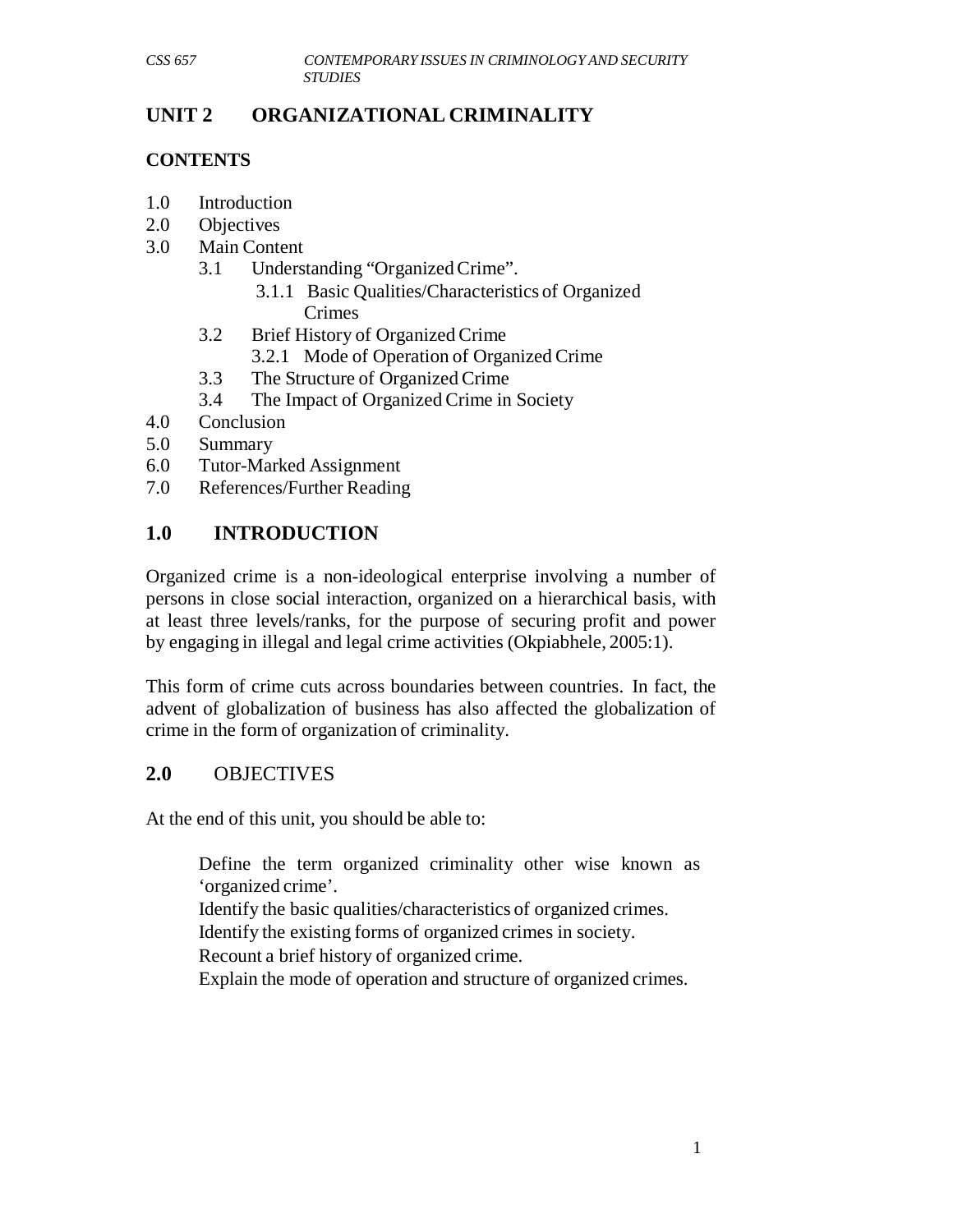# **UNIT 2 ORGANIZATIONAL CRIMINALITY**

# **CONTENTS**

- 1.0 Introduction
- 2.0 Objectives
- 3.0 Main Content
	- 3.1 Understanding "Organized Crime".
		- 3.1.1 Basic Qualities/Characteristics of Organized Crimes
	- 3.2 Brief History of Organized Crime
		- 3.2.1 Mode of Operation of Organized Crime
	- 3.3 The Structure of Organized Crime
	- 3.4 The Impact of Organized Crime in Society
- 4.0 Conclusion
- 5.0 Summary
- 6.0 Tutor-Marked Assignment
- 7.0 References/Further Reading

# **1.0 INTRODUCTION**

Organized crime is a non-ideological enterprise involving a number of persons in close social interaction, organized on a hierarchical basis, with at least three levels/ranks, for the purpose of securing profit and power by engaging in illegal and legal crime activities (Okpiabhele, 2005:1).

This form of crime cuts across boundaries between countries. In fact, the advent of globalization of business has also affected the globalization of crime in the form of organization of criminality.

# **2.0** OBJECTIVES

At the end of this unit, you should be able to:

Define the term organized criminality other wise known as 'organized crime'. Identify the basic qualities/characteristics of organized crimes. Identify the existing forms of organized crimes in society. Recount a brief history of organized crime. Explain the mode of operation and structure of organized crimes.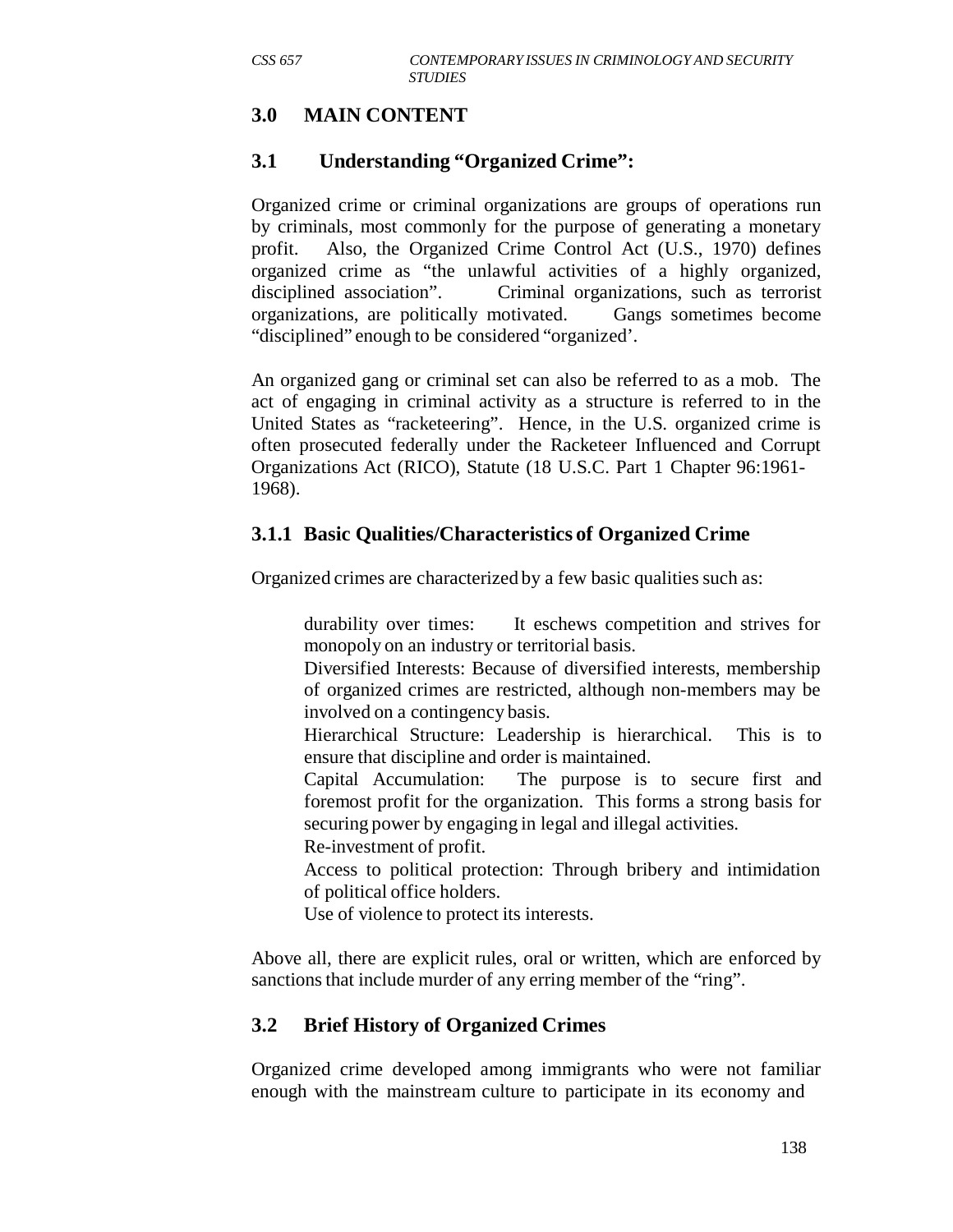# **3.0 MAIN CONTENT**

## **3.1 Understanding "Organized Crime":**

Organized crime or criminal organizations are groups of operations run by criminals, most commonly for the purpose of generating a monetary profit. Also, the Organized Crime Control Act (U.S., 1970) defines organized crime as "the unlawful activities of a highly organized, disciplined association". Criminal organizations, such as terrorist organizations, are politically motivated. Gangs sometimes become "disciplined" enough to be considered "organized'.

An organized gang or criminal set can also be referred to as a mob. The act of engaging in criminal activity as a structure is referred to in the United States as "racketeering". Hence, in the U.S. organized crime is often prosecuted federally under the Racketeer Influenced and Corrupt Organizations Act (RICO), Statute (18 U.S.C. Part 1 Chapter 96:1961- 1968).

## **3.1.1 Basic Qualities/Characteristics of Organized Crime**

Organized crimes are characterized by a few basic qualities such as:

durability over times: It eschews competition and strives for monopoly on an industry or territorial basis.

Diversified Interests: Because of diversified interests, membership of organized crimes are restricted, although non-members may be involved on a contingency basis.

Hierarchical Structure: Leadership is hierarchical. This is to ensure that discipline and order is maintained.

Capital Accumulation: The purpose is to secure first and foremost profit for the organization. This forms a strong basis for securing power by engaging in legal and illegal activities.

Re-investment of profit.

Access to political protection: Through bribery and intimidation of political office holders.

Use of violence to protect its interests.

Above all, there are explicit rules, oral or written, which are enforced by sanctions that include murder of any erring member of the "ring".

## **3.2 Brief History of Organized Crimes**

Organized crime developed among immigrants who were not familiar enough with the mainstream culture to participate in its economy and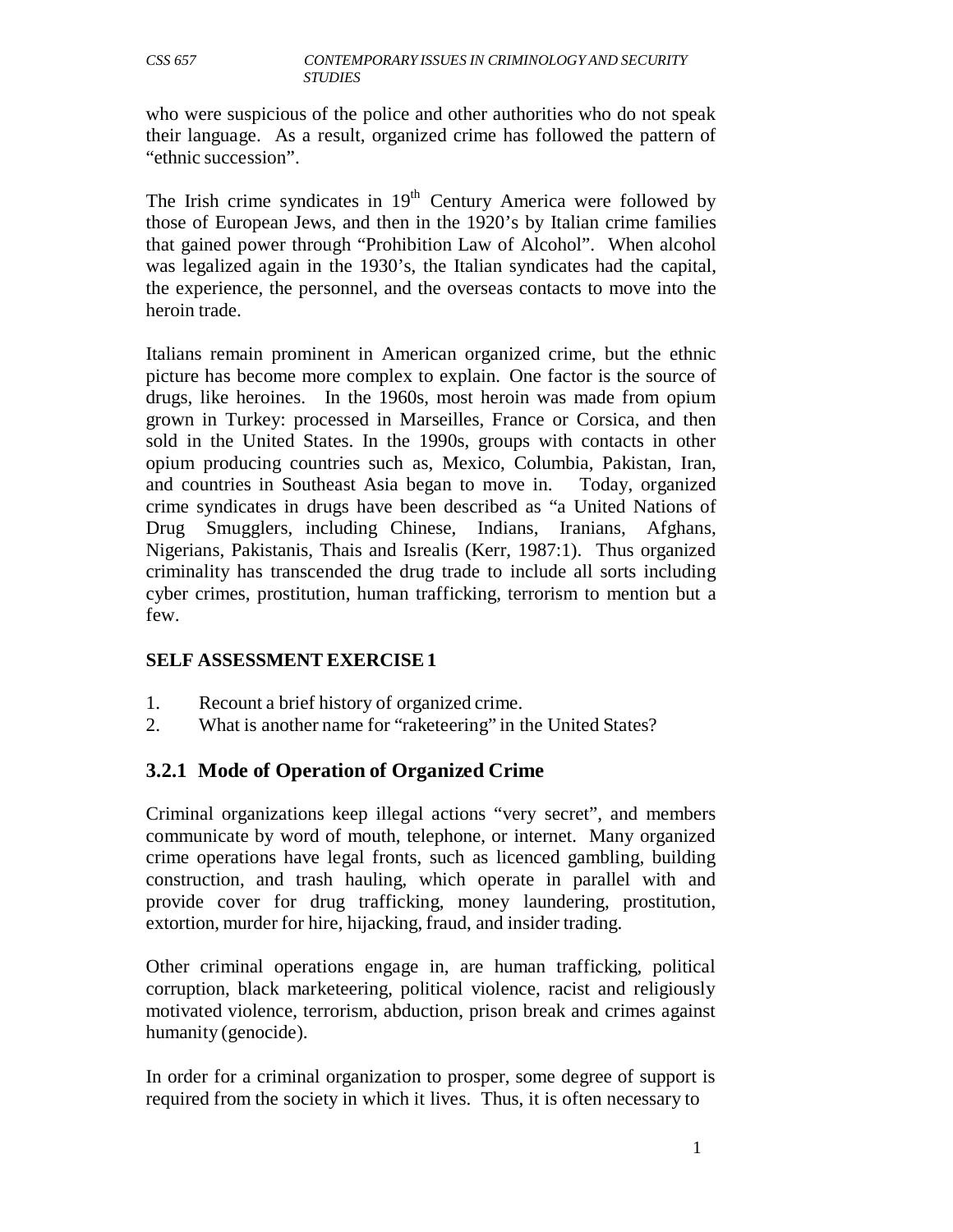who were suspicious of the police and other authorities who do not speak their language. As a result, organized crime has followed the pattern of "ethnic succession".

The Irish crime syndicates in  $19<sup>th</sup>$  Century America were followed by those of European Jews, and then in the 1920's by Italian crime families that gained power through "Prohibition Law of Alcohol". When alcohol was legalized again in the 1930's, the Italian syndicates had the capital, the experience, the personnel, and the overseas contacts to move into the heroin trade.

Italians remain prominent in American organized crime, but the ethnic picture has become more complex to explain. One factor is the source of drugs, like heroines. In the 1960s, most heroin was made from opium grown in Turkey: processed in Marseilles, France or Corsica, and then sold in the United States. In the 1990s, groups with contacts in other opium producing countries such as, Mexico, Columbia, Pakistan, Iran, and countries in Southeast Asia began to move in. Today, organized crime syndicates in drugs have been described as "a United Nations of Drug Smugglers, including Chinese, Indians, Iranians, Afghans, Nigerians, Pakistanis, Thais and Isrealis (Kerr, 1987:1). Thus organized criminality has transcended the drug trade to include all sorts including cyber crimes, prostitution, human trafficking, terrorism to mention but a few.

#### **SELF ASSESSMENT EXERCISE 1**

- 1. Recount a brief history of organized crime.
- 2. What is another name for "raketeering" in the United States?

## **3.2.1 Mode of Operation of Organized Crime**

Criminal organizations keep illegal actions "very secret", and members communicate by word of mouth, telephone, or internet. Many organized crime operations have legal fronts, such as licenced gambling, building construction, and trash hauling, which operate in parallel with and provide cover for drug trafficking, money laundering, prostitution, extortion, murder for hire, hijacking, fraud, and insider trading.

Other criminal operations engage in, are human trafficking, political corruption, black marketeering, political violence, racist and religiously motivated violence, terrorism, abduction, prison break and crimes against humanity (genocide).

In order for a criminal organization to prosper, some degree of support is required from the society in which it lives. Thus, it is often necessary to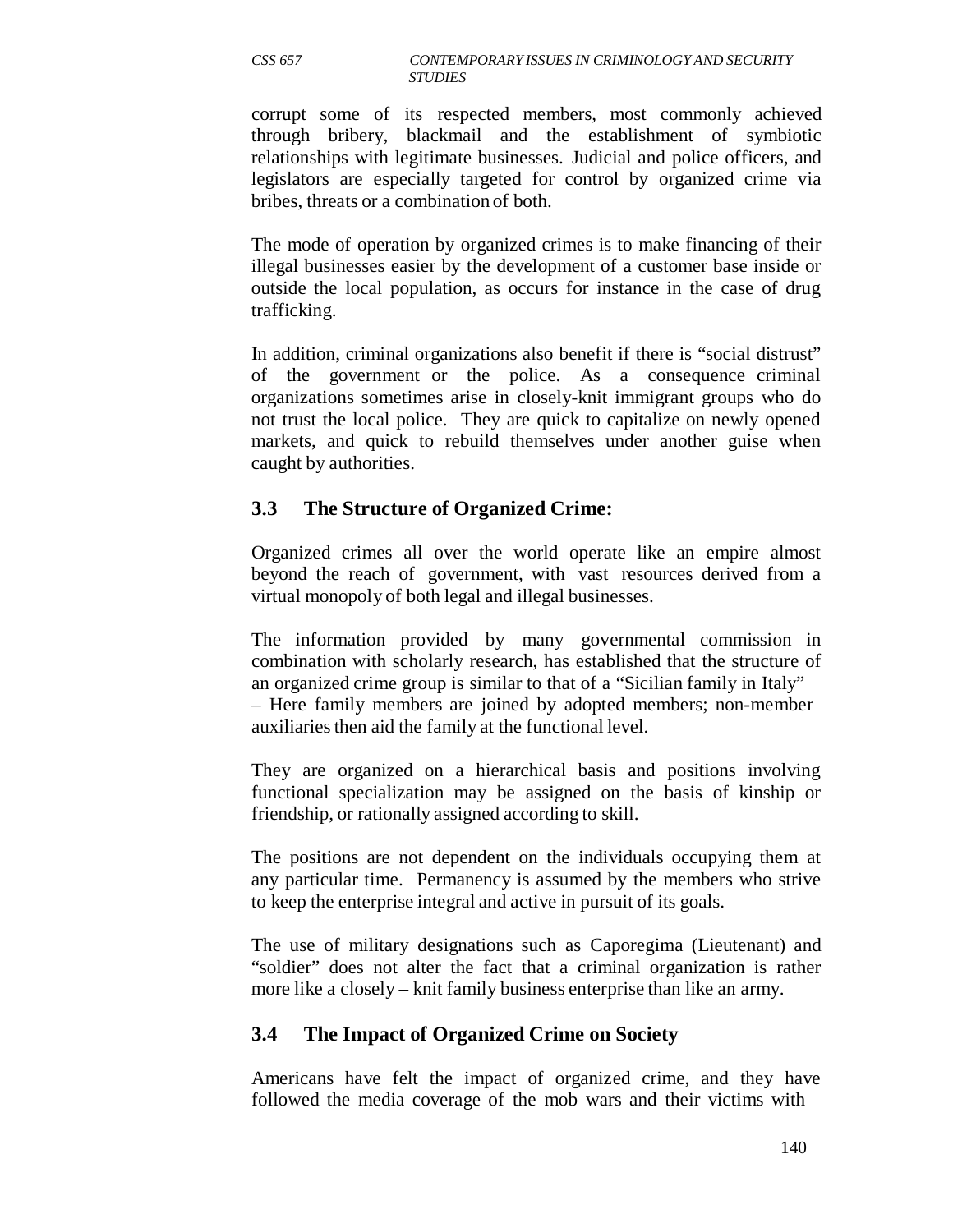corrupt some of its respected members, most commonly achieved through bribery, blackmail and the establishment of symbiotic relationships with legitimate businesses. Judicial and police officers, and legislators are especially targeted for control by organized crime via bribes, threats or a combination of both.

The mode of operation by organized crimes is to make financing of their illegal businesses easier by the development of a customer base inside or outside the local population, as occurs for instance in the case of drug trafficking.

In addition, criminal organizations also benefit if there is "social distrust" of the government or the police. As a consequence criminal organizations sometimes arise in closely-knit immigrant groups who do not trust the local police. They are quick to capitalize on newly opened markets, and quick to rebuild themselves under another guise when caught by authorities.

#### **3.3 The Structure of Organized Crime:**

Organized crimes all over the world operate like an empire almost beyond the reach of government, with vast resources derived from a virtual monopoly of both legal and illegal businesses.

The information provided by many governmental commission in combination with scholarly research, has established that the structure of an organized crime group is similar to that of a "Sicilian family in Italy" – Here family members are joined by adopted members; non-member auxiliaries then aid the family at the functional level.

They are organized on a hierarchical basis and positions involving functional specialization may be assigned on the basis of kinship or friendship, or rationally assigned according to skill.

The positions are not dependent on the individuals occupying them at any particular time. Permanency is assumed by the members who strive to keep the enterprise integral and active in pursuit of its goals.

The use of military designations such as Caporegima (Lieutenant) and "soldier" does not alter the fact that a criminal organization is rather more like a closely – knit family business enterprise than like an army.

## **3.4 The Impact of Organized Crime on Society**

Americans have felt the impact of organized crime, and they have followed the media coverage of the mob wars and their victims with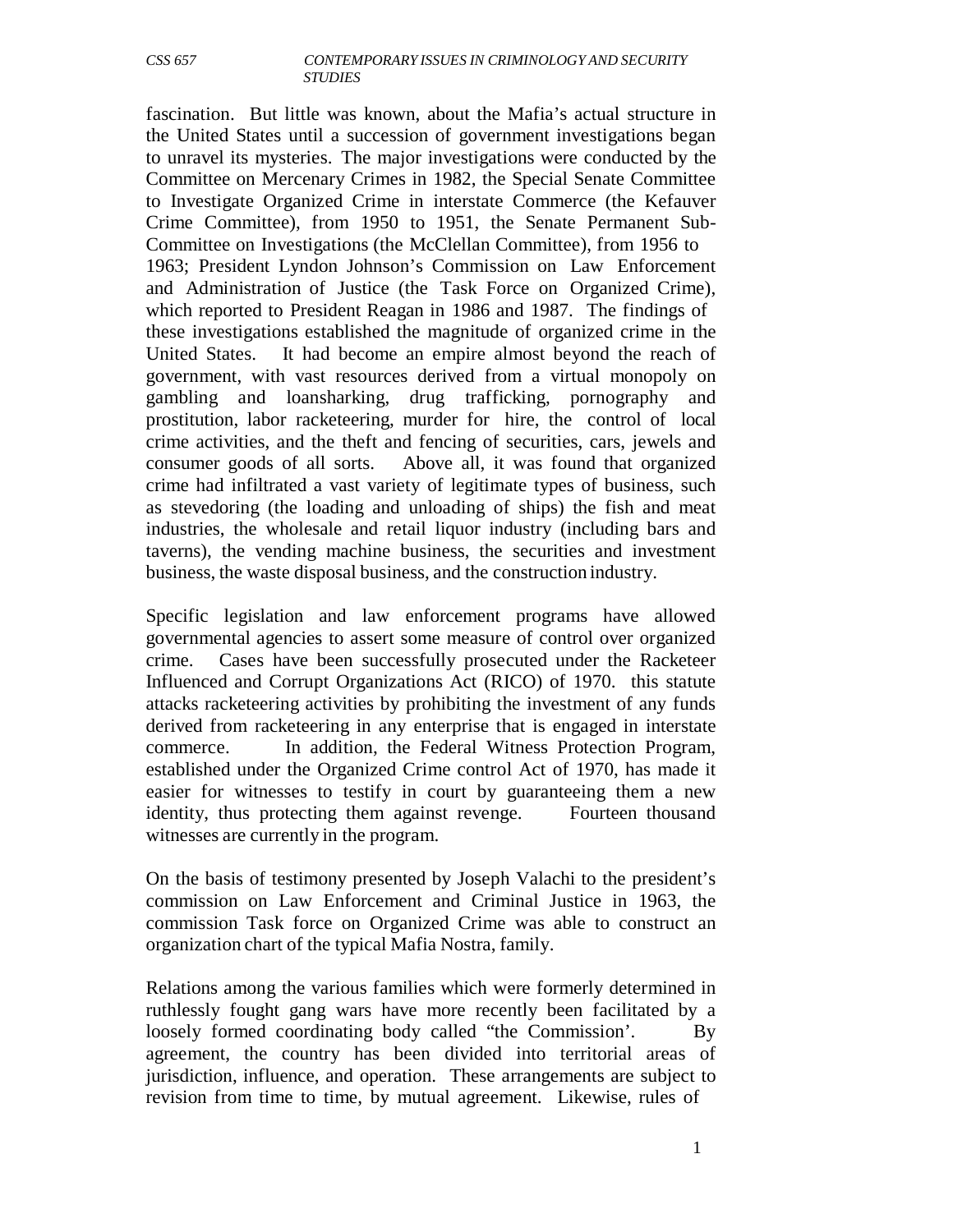fascination. But little was known, about the Mafia's actual structure in the United States until a succession of government investigations began to unravel its mysteries. The major investigations were conducted by the Committee on Mercenary Crimes in 1982, the Special Senate Committee to Investigate Organized Crime in interstate Commerce (the Kefauver Crime Committee), from 1950 to 1951, the Senate Permanent Sub-Committee on Investigations (the McClellan Committee), from 1956 to 1963; President Lyndon Johnson's Commission on Law Enforcement and Administration of Justice (the Task Force on Organized Crime), which reported to President Reagan in 1986 and 1987. The findings of these investigations established the magnitude of organized crime in the United States. It had become an empire almost beyond the reach of government, with vast resources derived from a virtual monopoly on gambling and loansharking, drug trafficking, pornography and prostitution, labor racketeering, murder for hire, the control of local crime activities, and the theft and fencing of securities, cars, jewels and consumer goods of all sorts. Above all, it was found that organized crime had infiltrated a vast variety of legitimate types of business, such as stevedoring (the loading and unloading of ships) the fish and meat industries, the wholesale and retail liquor industry (including bars and taverns), the vending machine business, the securities and investment business, the waste disposal business, and the construction industry.

Specific legislation and law enforcement programs have allowed governmental agencies to assert some measure of control over organized crime. Cases have been successfully prosecuted under the Racketeer Influenced and Corrupt Organizations Act (RICO) of 1970. this statute attacks racketeering activities by prohibiting the investment of any funds derived from racketeering in any enterprise that is engaged in interstate commerce. In addition, the Federal Witness Protection Program, established under the Organized Crime control Act of 1970, has made it easier for witnesses to testify in court by guaranteeing them a new identity, thus protecting them against revenge. Fourteen thousand witnesses are currently in the program.

On the basis of testimony presented by Joseph Valachi to the president's commission on Law Enforcement and Criminal Justice in 1963, the commission Task force on Organized Crime was able to construct an organization chart of the typical Mafia Nostra, family.

Relations among the various families which were formerly determined in ruthlessly fought gang wars have more recently been facilitated by a loosely formed coordinating body called "the Commission'. By agreement, the country has been divided into territorial areas of jurisdiction, influence, and operation. These arrangements are subject to revision from time to time, by mutual agreement. Likewise, rules of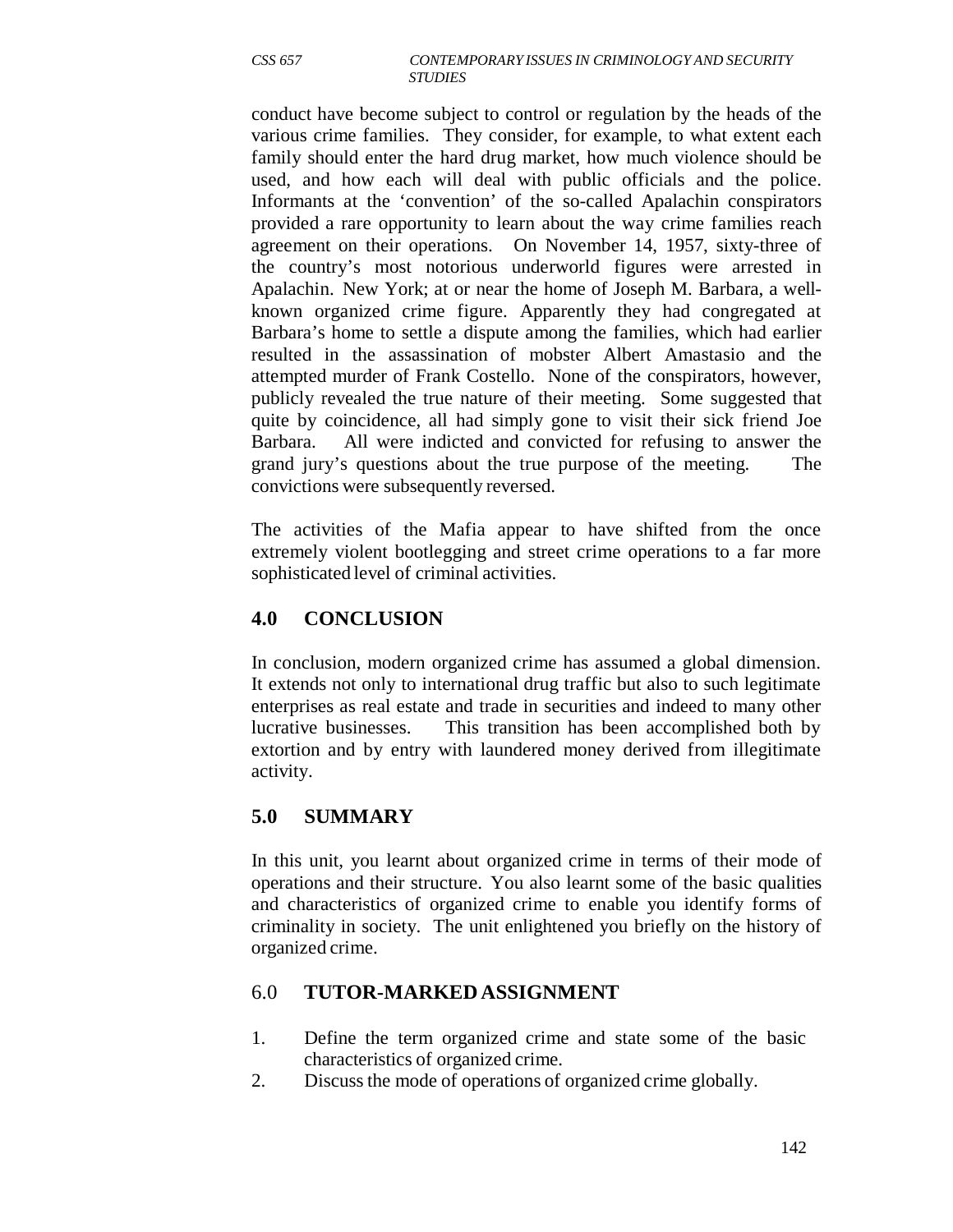conduct have become subject to control or regulation by the heads of the various crime families. They consider, for example, to what extent each family should enter the hard drug market, how much violence should be used, and how each will deal with public officials and the police. Informants at the 'convention' of the so-called Apalachin conspirators provided a rare opportunity to learn about the way crime families reach agreement on their operations. On November 14, 1957, sixty-three of the country's most notorious underworld figures were arrested in Apalachin. New York; at or near the home of Joseph M. Barbara, a wellknown organized crime figure. Apparently they had congregated at Barbara's home to settle a dispute among the families, which had earlier resulted in the assassination of mobster Albert Amastasio and the attempted murder of Frank Costello. None of the conspirators, however, publicly revealed the true nature of their meeting. Some suggested that quite by coincidence, all had simply gone to visit their sick friend Joe Barbara. All were indicted and convicted for refusing to answer the grand jury's questions about the true purpose of the meeting. The convictions were subsequently reversed.

The activities of the Mafia appear to have shifted from the once extremely violent bootlegging and street crime operations to a far more sophisticated level of criminal activities.

## **4.0 CONCLUSION**

In conclusion, modern organized crime has assumed a global dimension. It extends not only to international drug traffic but also to such legitimate enterprises as real estate and trade in securities and indeed to many other lucrative businesses. This transition has been accomplished both by extortion and by entry with laundered money derived from illegitimate activity.

## **5.0 SUMMARY**

In this unit, you learnt about organized crime in terms of their mode of operations and their structure. You also learnt some of the basic qualities and characteristics of organized crime to enable you identify forms of criminality in society. The unit enlightened you briefly on the history of organized crime.

#### 6.0 **TUTOR-MARKED ASSIGNMENT**

- 1. Define the term organized crime and state some of the basic characteristics of organized crime.
- 2. Discuss the mode of operations of organized crime globally.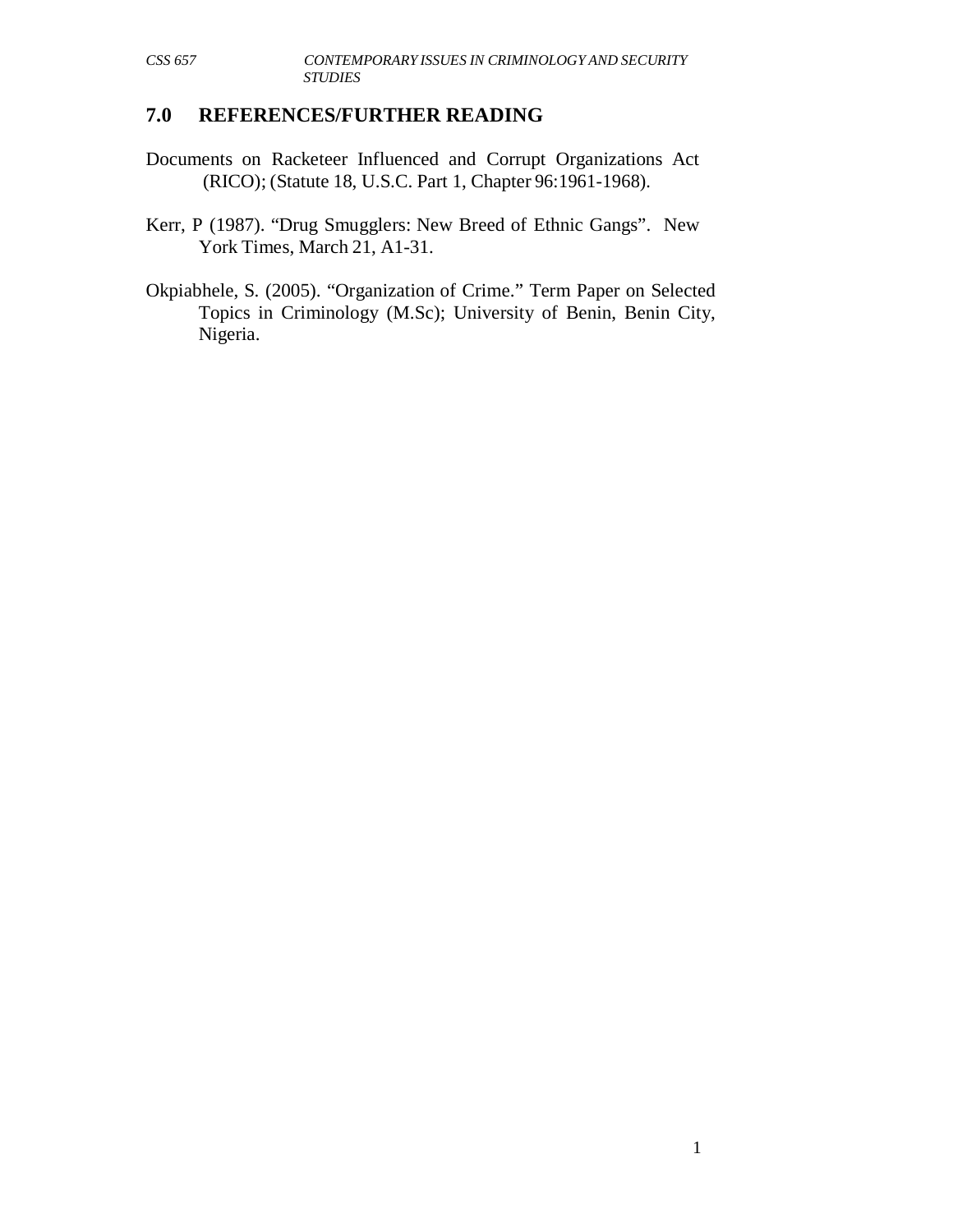## **7.0 REFERENCES/FURTHER READING**

- Documents on Racketeer Influenced and Corrupt Organizations Act (RICO); (Statute 18, U.S.C. Part 1, Chapter 96:1961-1968).
- Kerr, P (1987). "Drug Smugglers: New Breed of Ethnic Gangs". New York Times, March 21, A1-31.
- Okpiabhele, S. (2005). "Organization of Crime." Term Paper on Selected Topics in Criminology (M.Sc); University of Benin, Benin City, Nigeria.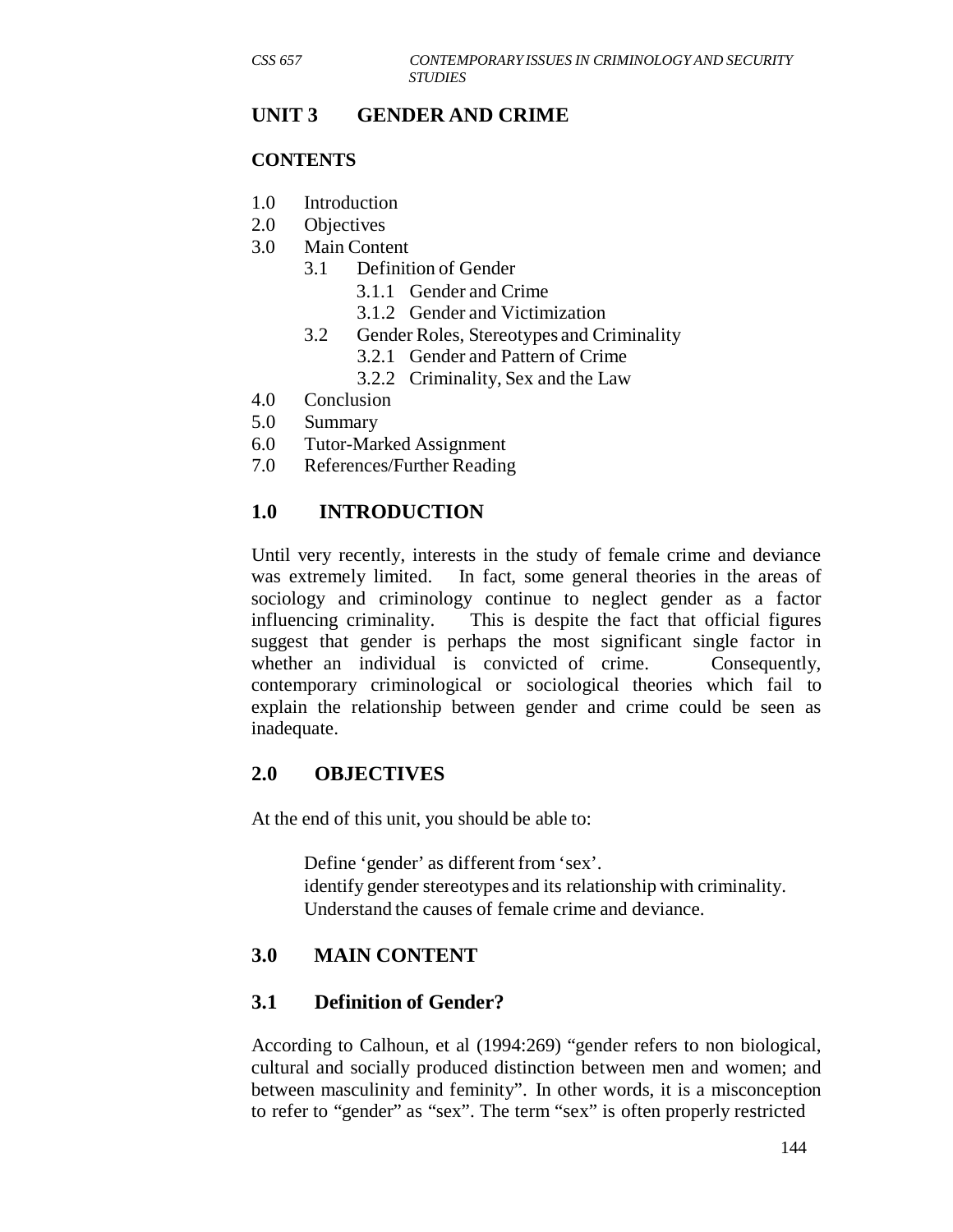## **UNIT 3 GENDER AND CRIME**

#### **CONTENTS**

- 1.0 Introduction
- 2.0 Objectives
- 3.0 Main Content
	- 3.1 Definition of Gender
		- 3.1.1 Gender and Crime
		- 3.1.2 Gender and Victimization
	- 3.2 Gender Roles, Stereotypes and Criminality
		- 3.2.1 Gender and Pattern of Crime
		- 3.2.2 Criminality, Sex and the Law
- 4.0 Conclusion
- 5.0 Summary
- 6.0 Tutor-Marked Assignment
- 7.0 References/Further Reading

## **1.0 INTRODUCTION**

Until very recently, interests in the study of female crime and deviance was extremely limited. In fact, some general theories in the areas of sociology and criminology continue to neglect gender as a factor influencing criminality. This is despite the fact that official figures suggest that gender is perhaps the most significant single factor in whether an individual is convicted of crime. Consequently, contemporary criminological or sociological theories which fail to explain the relationship between gender and crime could be seen as inadequate.

#### **2.0 OBJECTIVES**

At the end of this unit, you should be able to:

Define 'gender' as different from 'sex'. identify gender stereotypes and its relationship with criminality. Understand the causes of female crime and deviance.

## **3.0 MAIN CONTENT**

## **3.1 Definition of Gender?**

According to Calhoun, et al (1994:269) "gender refers to non biological, cultural and socially produced distinction between men and women; and between masculinity and feminity". In other words, it is a misconception to refer to "gender" as "sex". The term "sex" is often properly restricted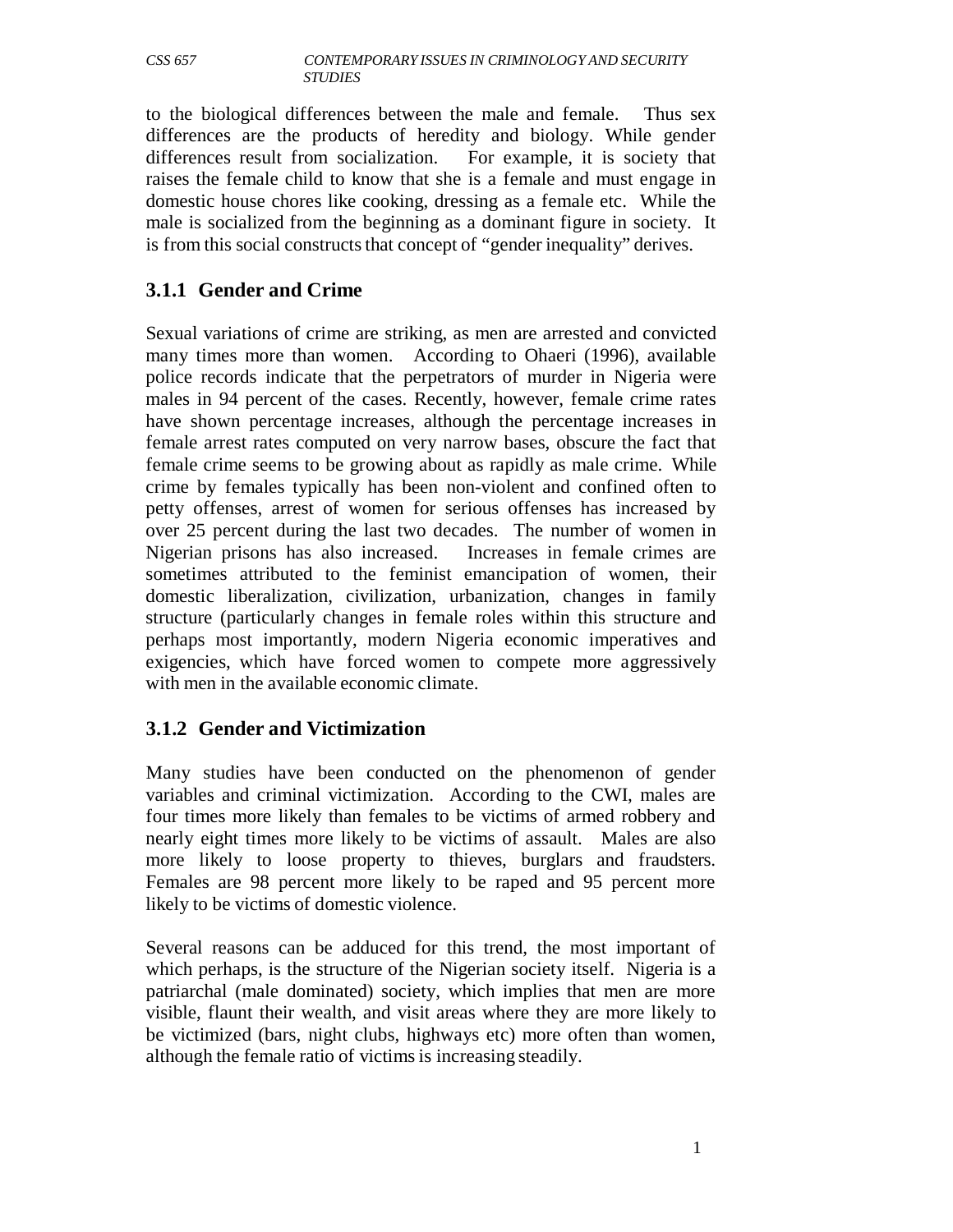to the biological differences between the male and female. Thus sex differences are the products of heredity and biology. While gender differences result from socialization. For example, it is society that raises the female child to know that she is a female and must engage in domestic house chores like cooking, dressing as a female etc. While the male is socialized from the beginning as a dominant figure in society. It is from this social constructs that concept of "gender inequality" derives.

# **3.1.1 Gender and Crime**

Sexual variations of crime are striking, as men are arrested and convicted many times more than women. According to Ohaeri (1996), available police records indicate that the perpetrators of murder in Nigeria were males in 94 percent of the cases. Recently, however, female crime rates have shown percentage increases, although the percentage increases in female arrest rates computed on very narrow bases, obscure the fact that female crime seems to be growing about as rapidly as male crime. While crime by females typically has been non-violent and confined often to petty offenses, arrest of women for serious offenses has increased by over 25 percent during the last two decades. The number of women in Nigerian prisons has also increased. Increases in female crimes are sometimes attributed to the feminist emancipation of women, their domestic liberalization, civilization, urbanization, changes in family structure (particularly changes in female roles within this structure and perhaps most importantly, modern Nigeria economic imperatives and exigencies, which have forced women to compete more aggressively with men in the available economic climate.

# **3.1.2 Gender and Victimization**

Many studies have been conducted on the phenomenon of gender variables and criminal victimization. According to the CWI, males are four times more likely than females to be victims of armed robbery and nearly eight times more likely to be victims of assault. Males are also more likely to loose property to thieves, burglars and fraudsters. Females are 98 percent more likely to be raped and 95 percent more likely to be victims of domestic violence.

Several reasons can be adduced for this trend, the most important of which perhaps, is the structure of the Nigerian society itself. Nigeria is a patriarchal (male dominated) society, which implies that men are more visible, flaunt their wealth, and visit areas where they are more likely to be victimized (bars, night clubs, highways etc) more often than women, although the female ratio of victims is increasing steadily.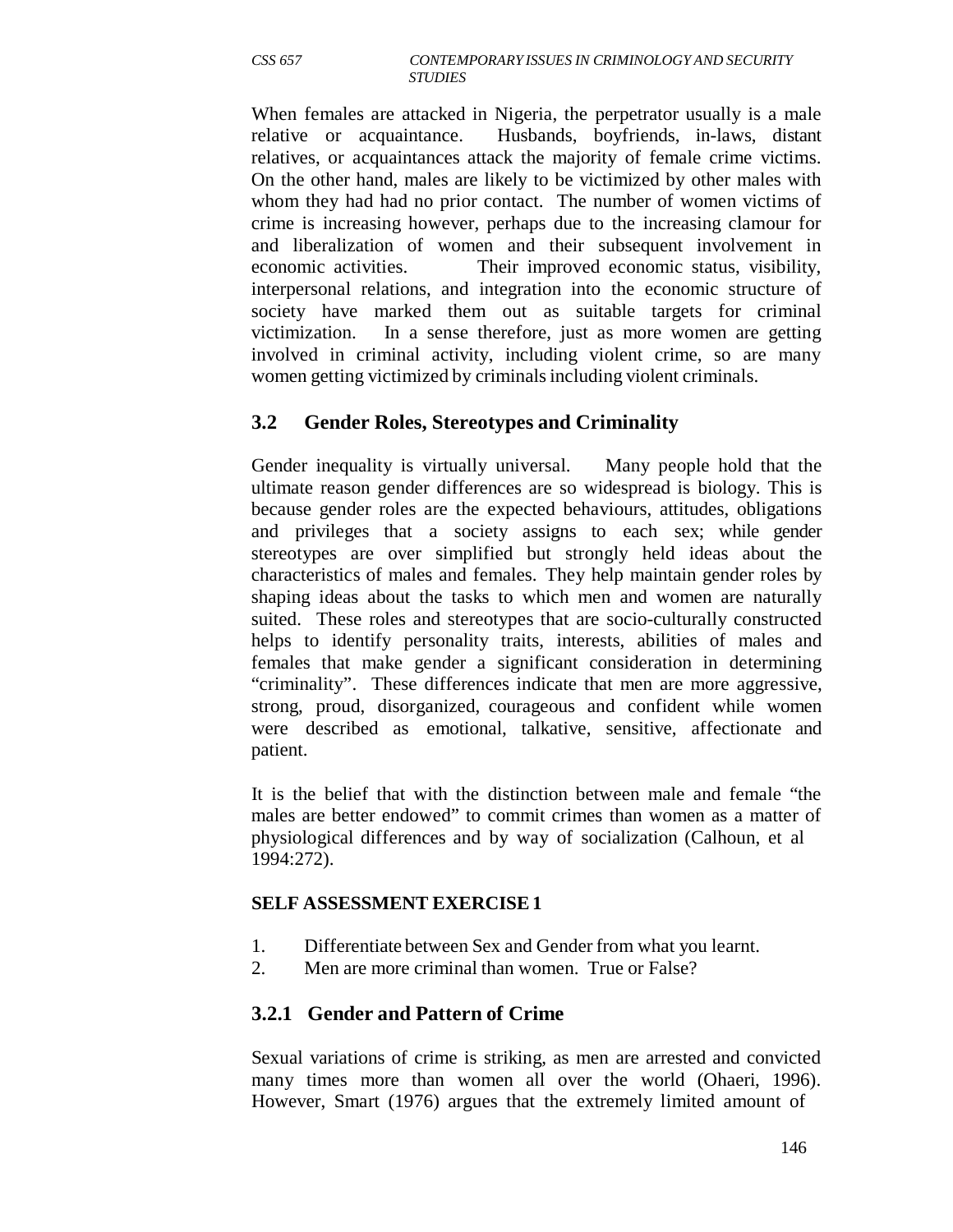When females are attacked in Nigeria, the perpetrator usually is a male relative or acquaintance. Husbands, boyfriends, in-laws, distant relatives, or acquaintances attack the majority of female crime victims. On the other hand, males are likely to be victimized by other males with whom they had had no prior contact. The number of women victims of crime is increasing however, perhaps due to the increasing clamour for and liberalization of women and their subsequent involvement in economic activities. Their improved economic status, visibility, interpersonal relations, and integration into the economic structure of society have marked them out as suitable targets for criminal victimization. In a sense therefore, just as more women are getting involved in criminal activity, including violent crime, so are many women getting victimized by criminals including violent criminals.

# **3.2 Gender Roles, Stereotypes and Criminality**

Gender inequality is virtually universal. Many people hold that the ultimate reason gender differences are so widespread is biology. This is because gender roles are the expected behaviours, attitudes, obligations and privileges that a society assigns to each sex; while gender stereotypes are over simplified but strongly held ideas about the characteristics of males and females. They help maintain gender roles by shaping ideas about the tasks to which men and women are naturally suited. These roles and stereotypes that are socio-culturally constructed helps to identify personality traits, interests, abilities of males and females that make gender a significant consideration in determining "criminality". These differences indicate that men are more aggressive, strong, proud, disorganized, courageous and confident while women were described as emotional, talkative, sensitive, affectionate and patient.

It is the belief that with the distinction between male and female "the males are better endowed" to commit crimes than women as a matter of physiological differences and by way of socialization (Calhoun, et al 1994:272).

#### **SELF ASSESSMENT EXERCISE 1**

- 1. Differentiate between Sex and Gender from what you learnt.
- 2. Men are more criminal than women. True or False?

# **3.2.1 Gender and Pattern of Crime**

Sexual variations of crime is striking, as men are arrested and convicted many times more than women all over the world (Ohaeri, 1996). However, Smart (1976) argues that the extremely limited amount of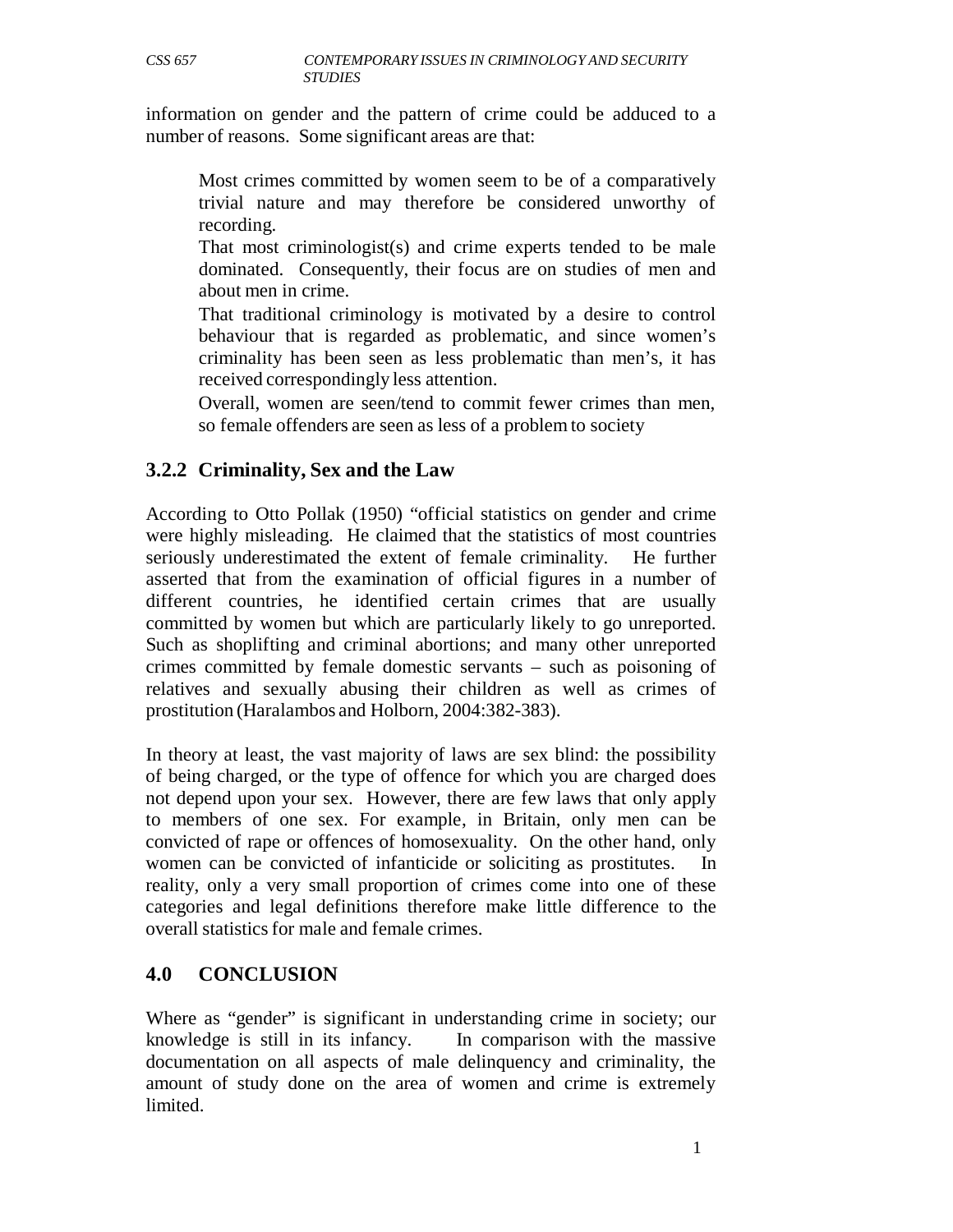information on gender and the pattern of crime could be adduced to a number of reasons. Some significant areas are that:

Most crimes committed by women seem to be of a comparatively trivial nature and may therefore be considered unworthy of recording.

That most criminologist(s) and crime experts tended to be male dominated. Consequently, their focus are on studies of men and about men in crime.

That traditional criminology is motivated by a desire to control behaviour that is regarded as problematic, and since women's criminality has been seen as less problematic than men's, it has received correspondingly less attention.

Overall, women are seen/tend to commit fewer crimes than men, so female offenders are seen as less of a problem to society

# **3.2.2 Criminality, Sex and the Law**

According to Otto Pollak (1950) "official statistics on gender and crime were highly misleading. He claimed that the statistics of most countries seriously underestimated the extent of female criminality. He further asserted that from the examination of official figures in a number of different countries, he identified certain crimes that are usually committed by women but which are particularly likely to go unreported. Such as shoplifting and criminal abortions; and many other unreported crimes committed by female domestic servants – such as poisoning of relatives and sexually abusing their children as well as crimes of prostitution (Haralambos and Holborn, 2004:382-383).

In theory at least, the vast majority of laws are sex blind: the possibility of being charged, or the type of offence for which you are charged does not depend upon your sex. However, there are few laws that only apply to members of one sex. For example, in Britain, only men can be convicted of rape or offences of homosexuality. On the other hand, only women can be convicted of infanticide or soliciting as prostitutes. In reality, only a very small proportion of crimes come into one of these categories and legal definitions therefore make little difference to the overall statistics for male and female crimes.

## **4.0 CONCLUSION**

Where as "gender" is significant in understanding crime in society; our knowledge is still in its infancy. In comparison with the massive documentation on all aspects of male delinquency and criminality, the amount of study done on the area of women and crime is extremely limited.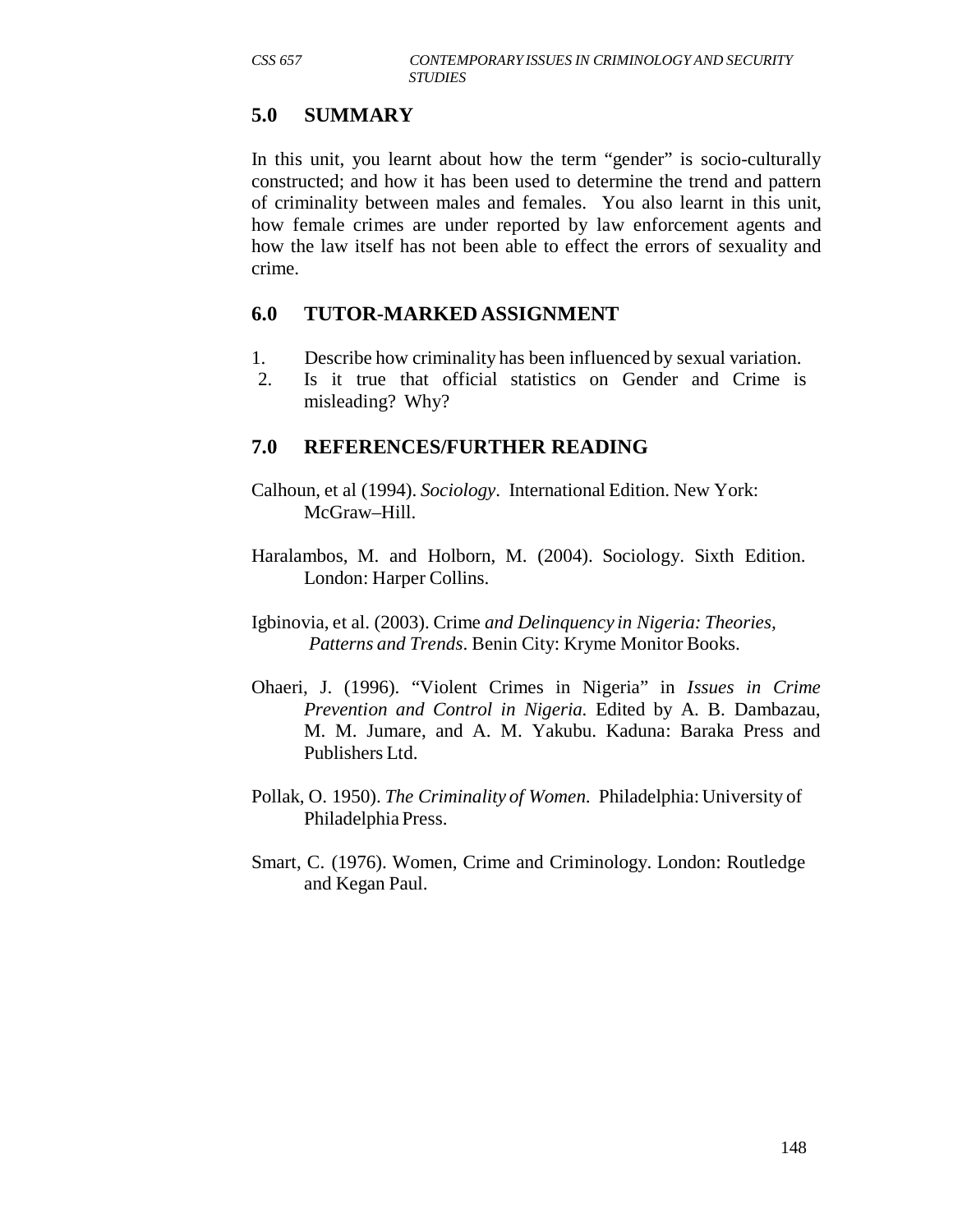# **5.0 SUMMARY**

In this unit, you learnt about how the term "gender" is socio-culturally constructed; and how it has been used to determine the trend and pattern of criminality between males and females. You also learnt in this unit, how female crimes are under reported by law enforcement agents and how the law itself has not been able to effect the errors of sexuality and crime.

#### **6.0 TUTOR-MARKED ASSIGNMENT**

- 1. Describe how criminality has been influenced by sexual variation.
- 2. Is it true that official statistics on Gender and Crime is misleading? Why?

## **7.0 REFERENCES/FURTHER READING**

- Calhoun, et al (1994). *Sociology*. International Edition. New York: McGraw–Hill.
- Haralambos, M. and Holborn, M. (2004). Sociology. Sixth Edition. London: Harper Collins.
- Igbinovia, et al. (2003). Crime *and Delinquency in Nigeria: Theories, Patterns and Trends*. Benin City: Kryme Monitor Books.
- Ohaeri, J. (1996). "Violent Crimes in Nigeria" in *Issues in Crime Prevention and Control in Nigeria.* Edited by A. B. Dambazau, M. M. Jumare, and A. M. Yakubu. Kaduna: Baraka Press and Publishers Ltd.
- Pollak, O. 1950). *The Criminality of Women*. Philadelphia: University of Philadelphia Press.
- Smart, C. (1976). Women, Crime and Criminology. London: Routledge and Kegan Paul.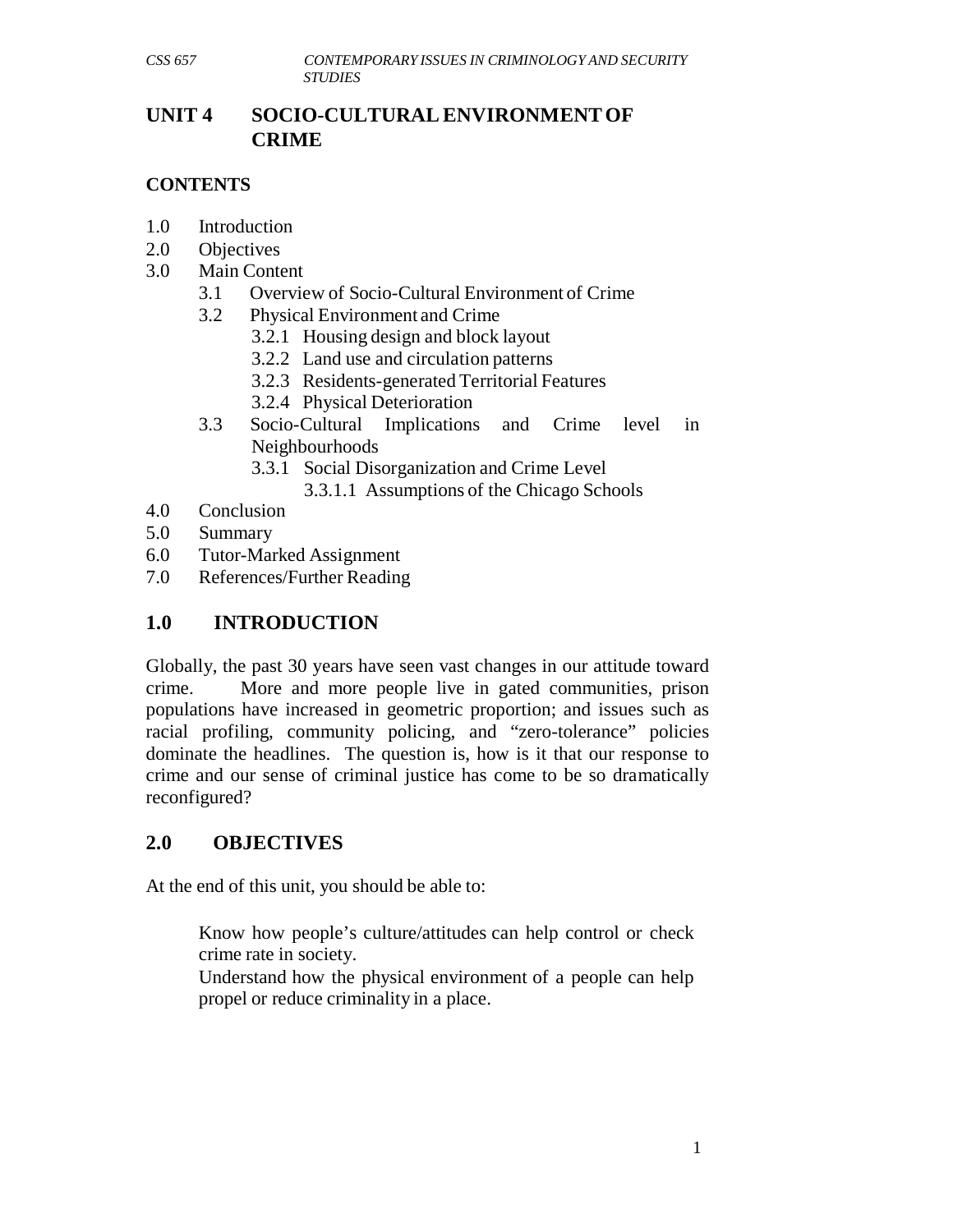## **UNIT 4 SOCIO-CULTURAL ENVIRONMENT OF CRIME**

#### **CONTENTS**

- 1.0 Introduction
- 2.0 Objectives
- 3.0 Main Content
	- 3.1 Overview of Socio-Cultural Environment of Crime
	- 3.2 Physical Environment and Crime
		- 3.2.1 Housing design and block layout
		- 3.2.2 Land use and circulation patterns
		- 3.2.3 Residents-generated Territorial Features
		- 3.2.4 Physical Deterioration
	- 3.3 Socio-Cultural Implications and Crime level in Neighbourhoods
		- 3.3.1 Social Disorganization and Crime Level
			- 3.3.1.1 Assumptions of the Chicago Schools
- 4.0 Conclusion
- 5.0 Summary
- 6.0 Tutor-Marked Assignment
- 7.0 References/Further Reading

# **1.0 INTRODUCTION**

Globally, the past 30 years have seen vast changes in our attitude toward crime. More and more people live in gated communities, prison populations have increased in geometric proportion; and issues such as racial profiling, community policing, and "zero-tolerance" policies dominate the headlines. The question is, how is it that our response to crime and our sense of criminal justice has come to be so dramatically reconfigured?

## **2.0 OBJECTIVES**

At the end of this unit, you should be able to:

Know how people's culture/attitudes can help control or check crime rate in society.

Understand how the physical environment of a people can help propel or reduce criminality in a place.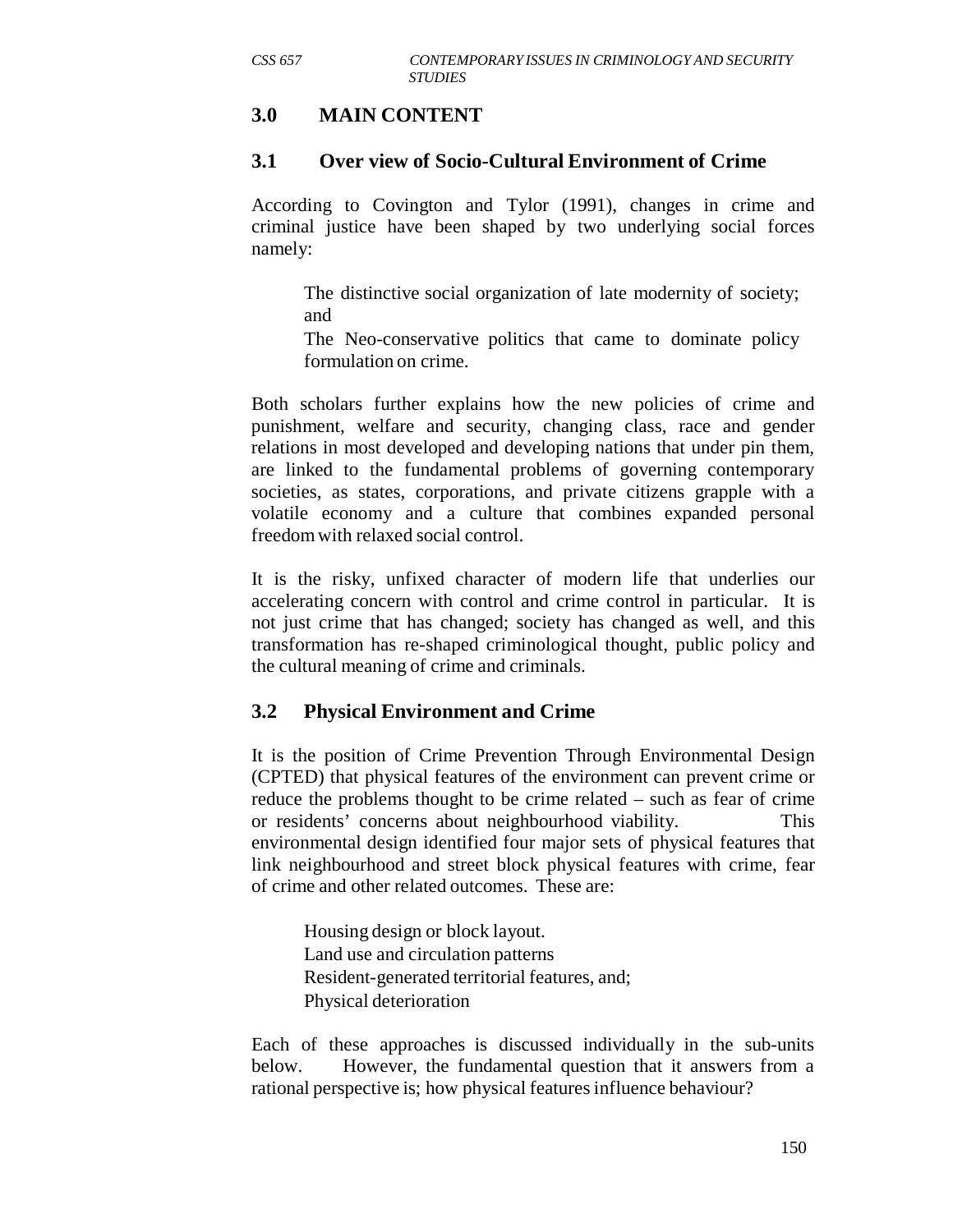## **3.0 MAIN CONTENT**

#### **3.1 Over view of Socio-Cultural Environment of Crime**

According to Covington and Tylor (1991), changes in crime and criminal justice have been shaped by two underlying social forces namely:

The distinctive social organization of late modernity of society; and

The Neo-conservative politics that came to dominate policy formulation on crime.

Both scholars further explains how the new policies of crime and punishment, welfare and security, changing class, race and gender relations in most developed and developing nations that under pin them, are linked to the fundamental problems of governing contemporary societies, as states, corporations, and private citizens grapple with a volatile economy and a culture that combines expanded personal freedom with relaxed social control.

It is the risky, unfixed character of modern life that underlies our accelerating concern with control and crime control in particular. It is not just crime that has changed; society has changed as well, and this transformation has re-shaped criminological thought, public policy and the cultural meaning of crime and criminals.

#### **3.2 Physical Environment and Crime**

It is the position of Crime Prevention Through Environmental Design (CPTED) that physical features of the environment can prevent crime or reduce the problems thought to be crime related – such as fear of crime or residents' concerns about neighbourhood viability. This environmental design identified four major sets of physical features that link neighbourhood and street block physical features with crime, fear of crime and other related outcomes. These are:

Housing design or block layout. Land use and circulation patterns Resident-generated territorial features, and; Physical deterioration

Each of these approaches is discussed individually in the sub-units below. However, the fundamental question that it answers from a rational perspective is; how physical features influence behaviour?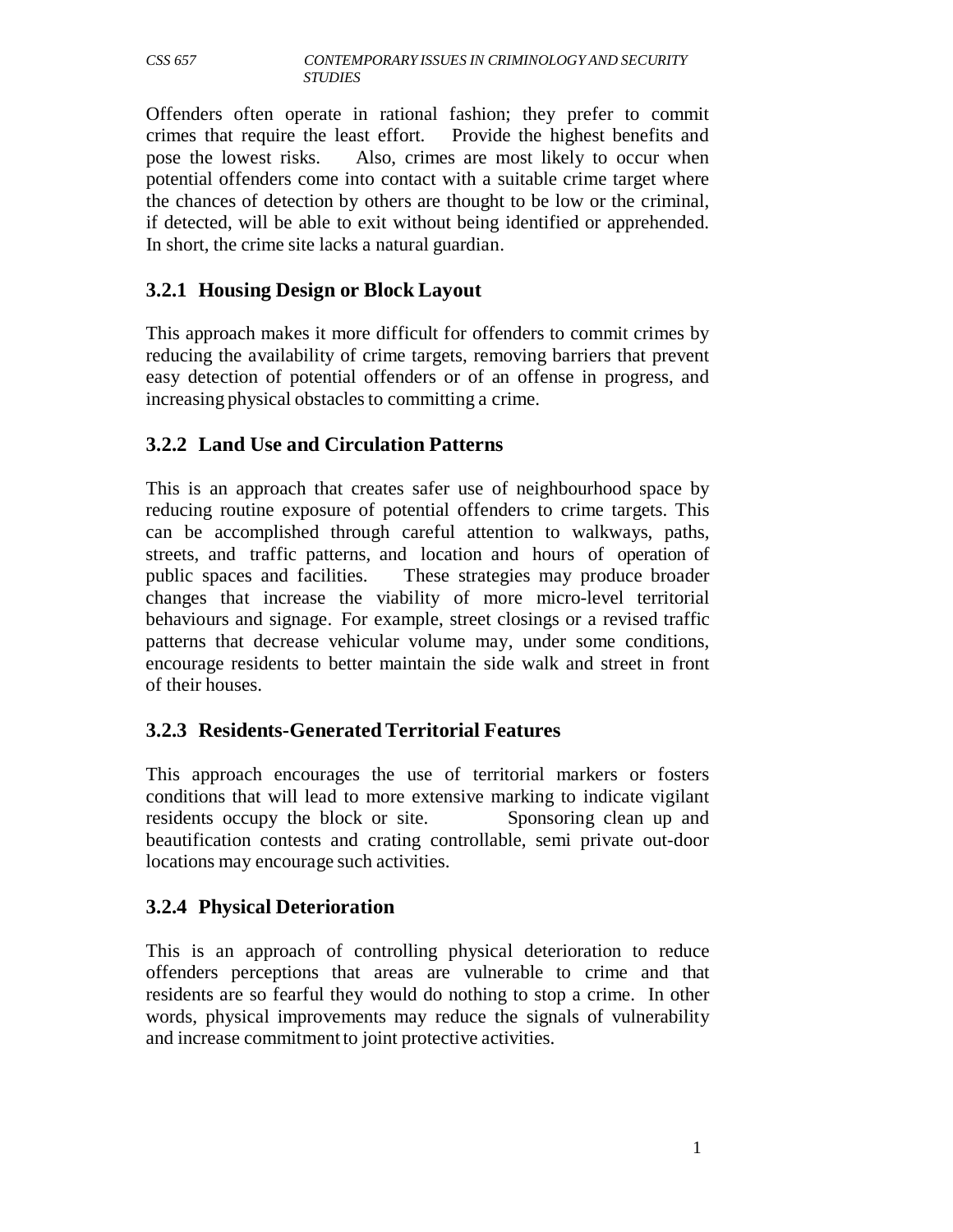Offenders often operate in rational fashion; they prefer to commit crimes that require the least effort. Provide the highest benefits and pose the lowest risks. Also, crimes are most likely to occur when potential offenders come into contact with a suitable crime target where the chances of detection by others are thought to be low or the criminal, if detected, will be able to exit without being identified or apprehended. In short, the crime site lacks a natural guardian.

# **3.2.1 Housing Design or Block Layout**

This approach makes it more difficult for offenders to commit crimes by reducing the availability of crime targets, removing barriers that prevent easy detection of potential offenders or of an offense in progress, and increasing physical obstacles to committing a crime.

# **3.2.2 Land Use and Circulation Patterns**

This is an approach that creates safer use of neighbourhood space by reducing routine exposure of potential offenders to crime targets. This can be accomplished through careful attention to walkways, paths, streets, and traffic patterns, and location and hours of operation of public spaces and facilities. These strategies may produce broader changes that increase the viability of more micro-level territorial behaviours and signage. For example, street closings or a revised traffic patterns that decrease vehicular volume may, under some conditions, encourage residents to better maintain the side walk and street in front of their houses.

# **3.2.3 Residents-Generated Territorial Features**

This approach encourages the use of territorial markers or fosters conditions that will lead to more extensive marking to indicate vigilant residents occupy the block or site. Sponsoring clean up and beautification contests and crating controllable, semi private out-door locations may encourage such activities.

## **3.2.4 Physical Deterioration**

This is an approach of controlling physical deterioration to reduce offenders perceptions that areas are vulnerable to crime and that residents are so fearful they would do nothing to stop a crime. In other words, physical improvements may reduce the signals of vulnerability and increase commitment to joint protective activities.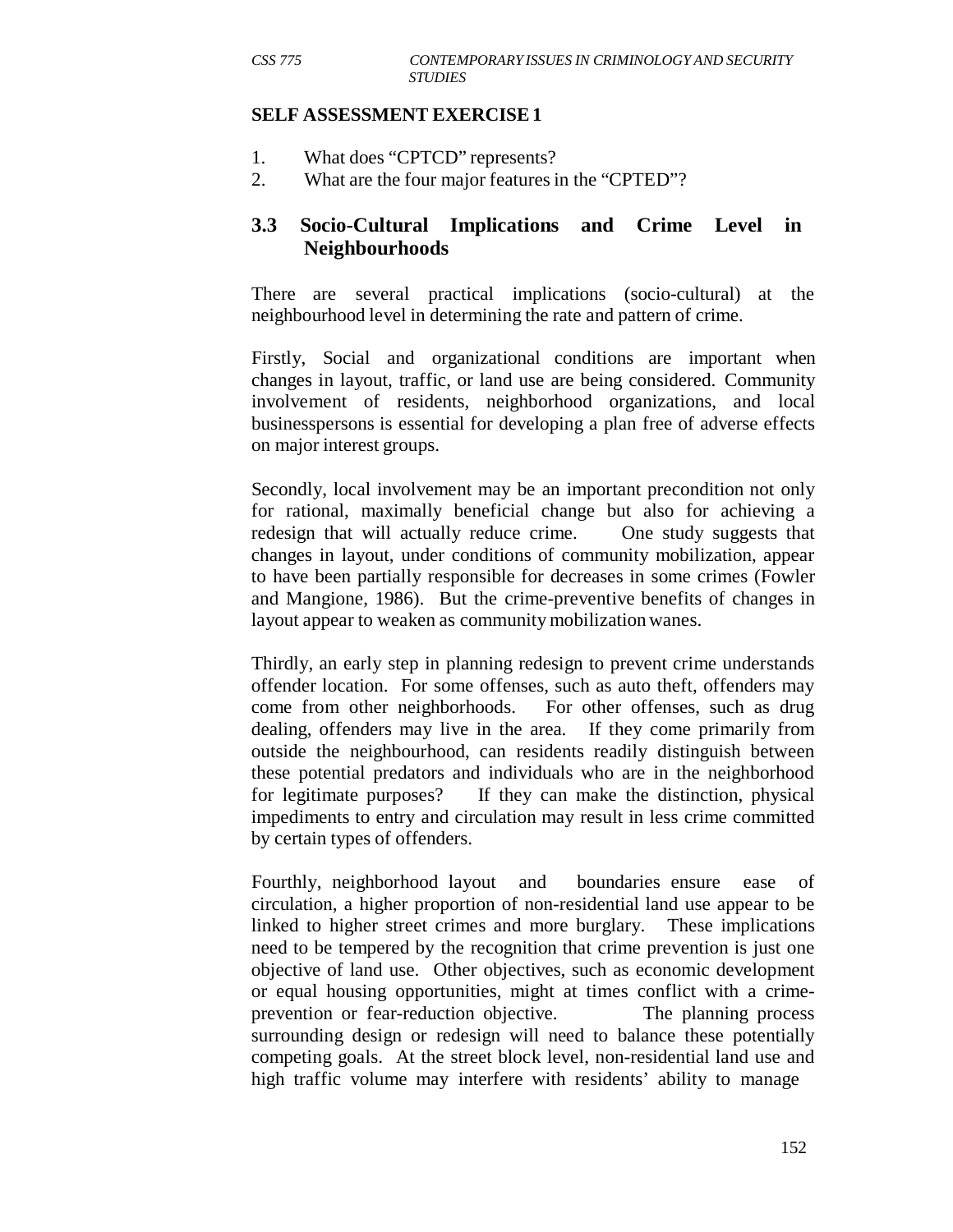#### **SELF ASSESSMENT EXERCISE 1**

- 1. What does "CPTCD" represents?
- 2. What are the four major features in the "CPTED"?

## **3.3 Socio-Cultural Implications and Crime Level in Neighbourhoods**

There are several practical implications (socio-cultural) at the neighbourhood level in determining the rate and pattern of crime.

Firstly, Social and organizational conditions are important when changes in layout, traffic, or land use are being considered. Community involvement of residents, neighborhood organizations, and local businesspersons is essential for developing a plan free of adverse effects on major interest groups.

Secondly, local involvement may be an important precondition not only for rational, maximally beneficial change but also for achieving a redesign that will actually reduce crime. One study suggests that changes in layout, under conditions of community mobilization, appear to have been partially responsible for decreases in some crimes (Fowler and Mangione, 1986). But the crime-preventive benefits of changes in layout appear to weaken as community mobilization wanes.

Thirdly, an early step in planning redesign to prevent crime understands offender location. For some offenses, such as auto theft, offenders may come from other neighborhoods. For other offenses, such as drug dealing, offenders may live in the area. If they come primarily from outside the neighbourhood, can residents readily distinguish between these potential predators and individuals who are in the neighborhood for legitimate purposes? If they can make the distinction, physical impediments to entry and circulation may result in less crime committed by certain types of offenders.

Fourthly, neighborhood layout and boundaries ensure ease of circulation, a higher proportion of non-residential land use appear to be linked to higher street crimes and more burglary. These implications need to be tempered by the recognition that crime prevention is just one objective of land use. Other objectives, such as economic development or equal housing opportunities, might at times conflict with a crimeprevention or fear-reduction objective. The planning process surrounding design or redesign will need to balance these potentially competing goals. At the street block level, non-residential land use and high traffic volume may interfere with residents' ability to manage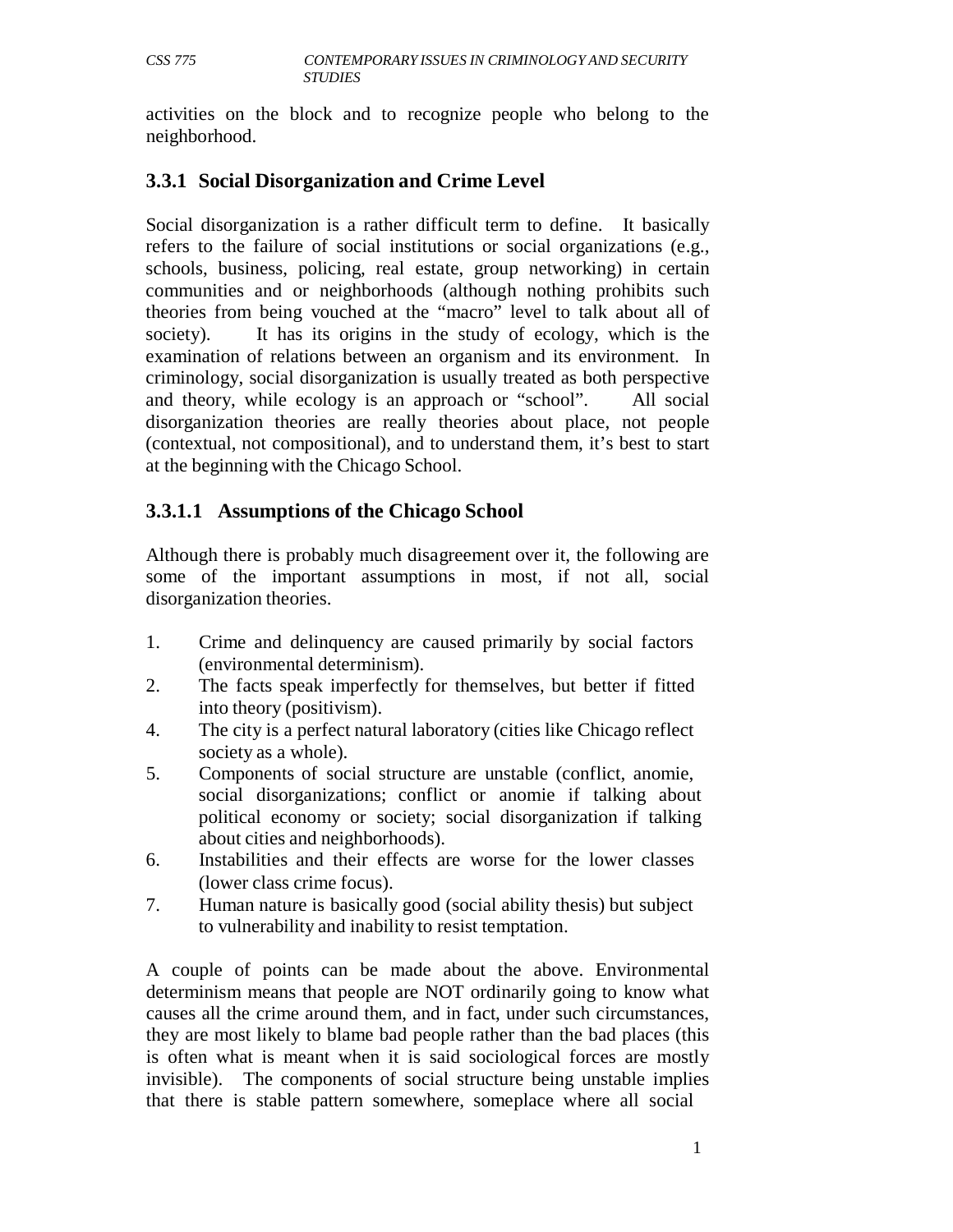activities on the block and to recognize people who belong to the neighborhood.

# **3.3.1 Social Disorganization and Crime Level**

Social disorganization is a rather difficult term to define. It basically refers to the failure of social institutions or social organizations (e.g., schools, business, policing, real estate, group networking) in certain communities and or neighborhoods (although nothing prohibits such theories from being vouched at the "macro" level to talk about all of society). It has its origins in the study of ecology, which is the examination of relations between an organism and its environment. In criminology, social disorganization is usually treated as both perspective and theory, while ecology is an approach or "school". All social disorganization theories are really theories about place, not people (contextual, not compositional), and to understand them, it's best to start at the beginning with the Chicago School.

# **3.3.1.1 Assumptions of the Chicago School**

Although there is probably much disagreement over it, the following are some of the important assumptions in most, if not all, social disorganization theories.

- 1. Crime and delinquency are caused primarily by social factors (environmental determinism).
- 2. The facts speak imperfectly for themselves, but better if fitted into theory (positivism).
- 4. The city is a perfect natural laboratory (cities like Chicago reflect society as a whole).
- 5. Components of social structure are unstable (conflict, anomie, social disorganizations; conflict or anomie if talking about political economy or society; social disorganization if talking about cities and neighborhoods).
- 6. Instabilities and their effects are worse for the lower classes (lower class crime focus).
- 7. Human nature is basically good (social ability thesis) but subject to vulnerability and inability to resist temptation.

A couple of points can be made about the above. Environmental determinism means that people are NOT ordinarily going to know what causes all the crime around them, and in fact, under such circumstances, they are most likely to blame bad people rather than the bad places (this is often what is meant when it is said sociological forces are mostly invisible). The components of social structure being unstable implies that there is stable pattern somewhere, someplace where all social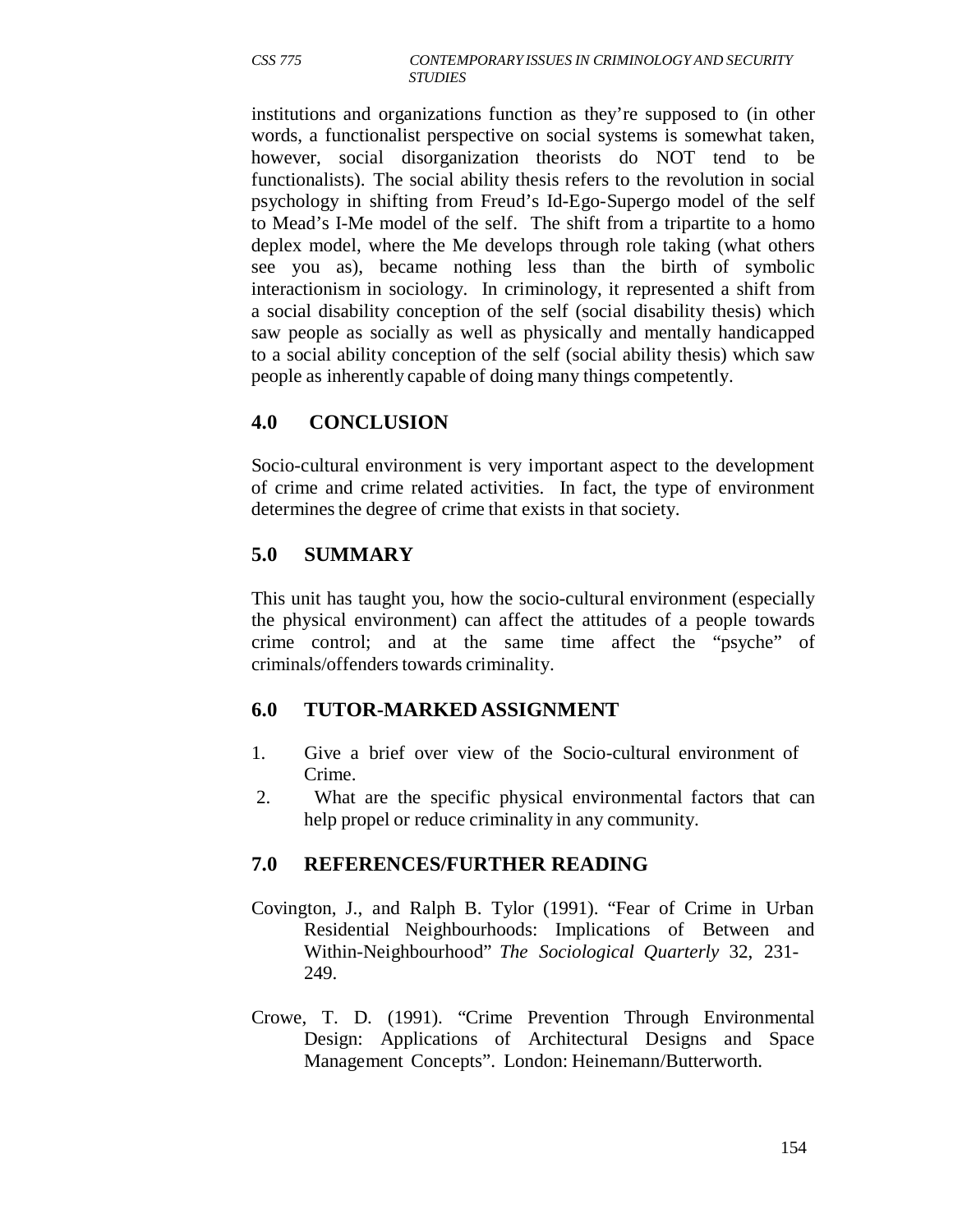institutions and organizations function as they're supposed to (in other words, a functionalist perspective on social systems is somewhat taken, however, social disorganization theorists do NOT tend to be functionalists). The social ability thesis refers to the revolution in social psychology in shifting from Freud's Id-Ego-Supergo model of the self to Mead's I-Me model of the self. The shift from a tripartite to a homo deplex model, where the Me develops through role taking (what others see you as), became nothing less than the birth of symbolic interactionism in sociology. In criminology, it represented a shift from a social disability conception of the self (social disability thesis) which saw people as socially as well as physically and mentally handicapped to a social ability conception of the self (social ability thesis) which saw people as inherently capable of doing many things competently.

# **4.0 CONCLUSION**

Socio-cultural environment is very important aspect to the development of crime and crime related activities. In fact, the type of environment determines the degree of crime that exists in that society.

# **5.0 SUMMARY**

This unit has taught you, how the socio-cultural environment (especially the physical environment) can affect the attitudes of a people towards crime control; and at the same time affect the "psyche" of criminals/offenders towards criminality.

## **6.0 TUTOR-MARKED ASSIGNMENT**

- 1. Give a brief over view of the Socio-cultural environment of Crime.
- 2. What are the specific physical environmental factors that can help propel or reduce criminality in any community.

## **7.0 REFERENCES/FURTHER READING**

- Covington, J., and Ralph B. Tylor (1991). "Fear of Crime in Urban Residential Neighbourhoods: Implications of Between and Within-Neighbourhood" *The Sociological Quarterly* 32, 231- 249.
- Crowe, T. D. (1991). "Crime Prevention Through Environmental Design: Applications of Architectural Designs and Space Management Concepts". London: Heinemann/Butterworth.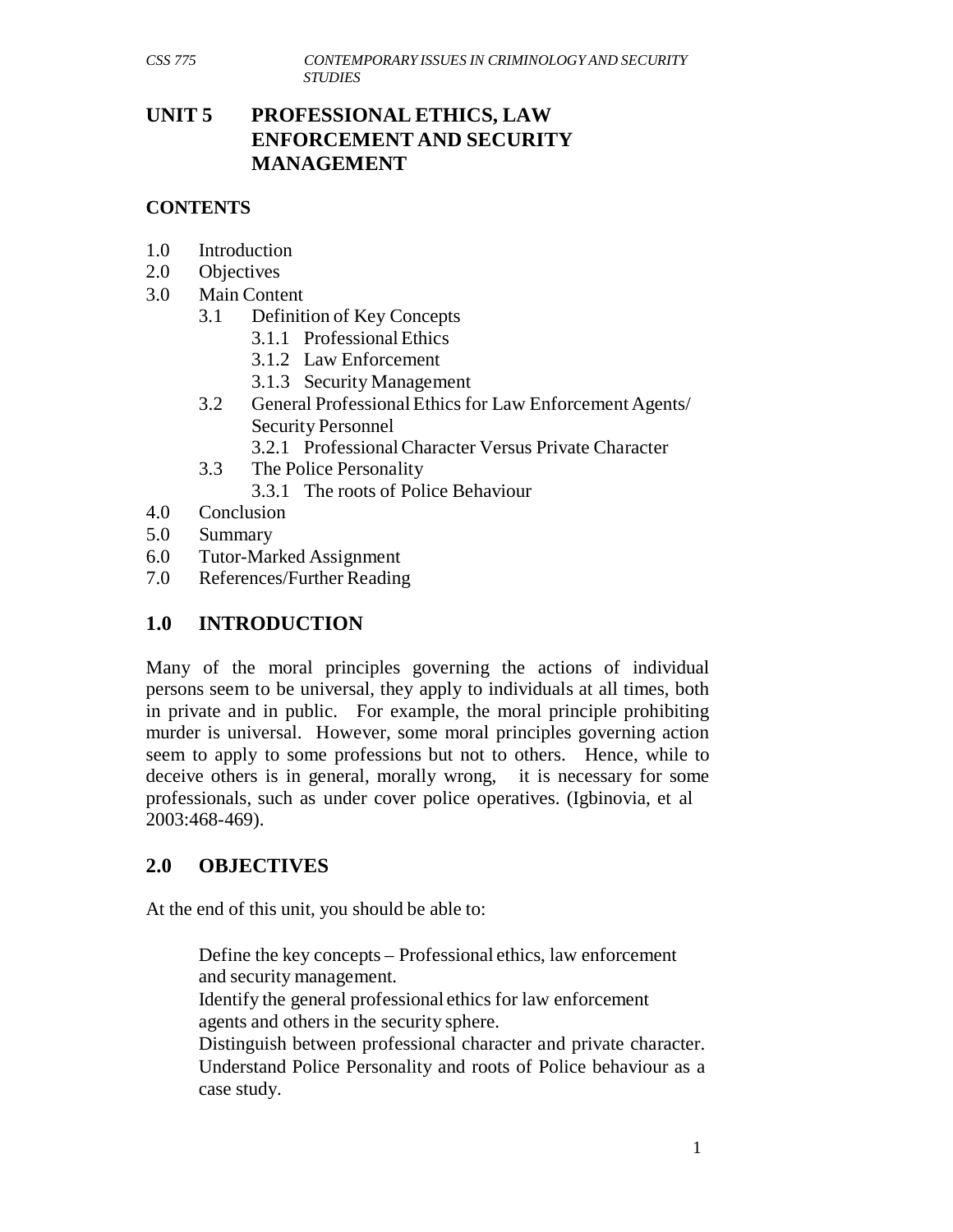# **UNIT 5 PROFESSIONAL ETHICS, LAW ENFORCEMENT AND SECURITY MANAGEMENT**

#### **CONTENTS**

- 1.0 Introduction
- 2.0 Objectives
- 3.0 Main Content
	- 3.1 Definition of Key Concepts
		- 3.1.1 Professional Ethics
		- 3.1.2 Law Enforcement
		- 3.1.3 Security Management
	- 3.2 General Professional Ethics for Law Enforcement Agents/ Security Personnel
		- 3.2.1 Professional Character Versus Private Character
	- 3.3 The Police Personality
		- 3.3.1 The roots of Police Behaviour
- 4.0 Conclusion
- 5.0 Summary
- 6.0 Tutor-Marked Assignment
- 7.0 References/Further Reading

#### **1.0 INTRODUCTION**

Many of the moral principles governing the actions of individual persons seem to be universal, they apply to individuals at all times, both in private and in public. For example, the moral principle prohibiting murder is universal. However, some moral principles governing action seem to apply to some professions but not to others. Hence, while to deceive others is in general, morally wrong, it is necessary for some professionals, such as under cover police operatives. (Igbinovia, et al 2003:468-469).

## **2.0 OBJECTIVES**

At the end of this unit, you should be able to:

Define the key concepts – Professional ethics, law enforcement and security management. Identify the general professional ethics for law enforcement agents and others in the security sphere. Distinguish between professional character and private character. Understand Police Personality and roots of Police behaviour as a case study.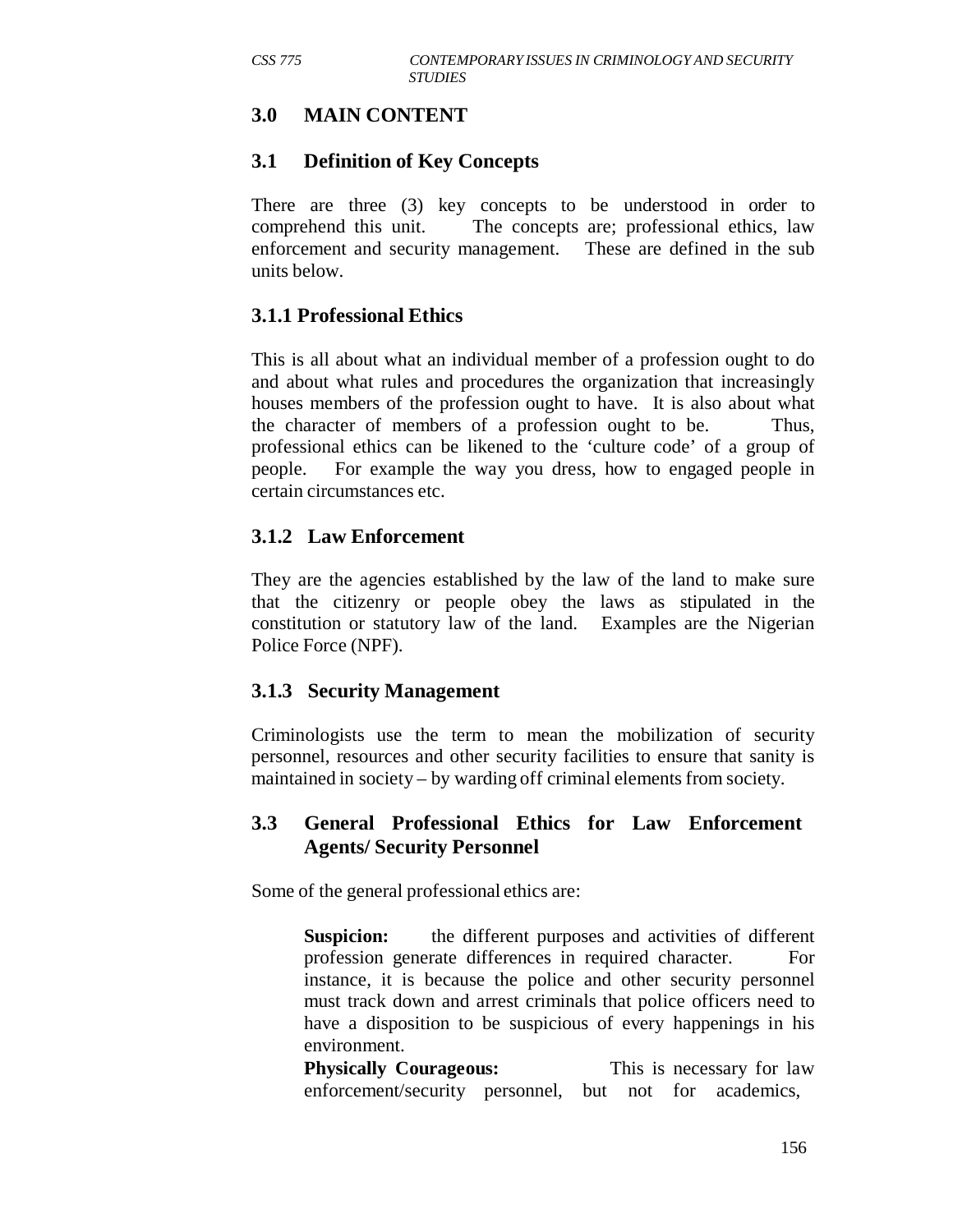# **3.0 MAIN CONTENT**

## **3.1 Definition of Key Concepts**

There are three (3) key concepts to be understood in order to comprehend this unit. The concepts are; professional ethics, law enforcement and security management. These are defined in the sub units below.

## **3.1.1 Professional Ethics**

This is all about what an individual member of a profession ought to do and about what rules and procedures the organization that increasingly houses members of the profession ought to have. It is also about what the character of members of a profession ought to be. Thus, professional ethics can be likened to the 'culture code' of a group of people. For example the way you dress, how to engaged people in certain circumstances etc.

#### **3.1.2 Law Enforcement**

They are the agencies established by the law of the land to make sure that the citizenry or people obey the laws as stipulated in the constitution or statutory law of the land. Examples are the Nigerian Police Force (NPF).

## **3.1.3 Security Management**

Criminologists use the term to mean the mobilization of security personnel, resources and other security facilities to ensure that sanity is maintained in society – by warding off criminal elements from society.

#### **3.3 General Professional Ethics for Law Enforcement Agents/ Security Personnel**

Some of the general professional ethics are:

**Suspicion:** the different purposes and activities of different profession generate differences in required character. For instance, it is because the police and other security personnel must track down and arrest criminals that police officers need to have a disposition to be suspicious of every happenings in his environment.

**Physically Courageous:** This is necessary for law enforcement/security personnel, but not for academics,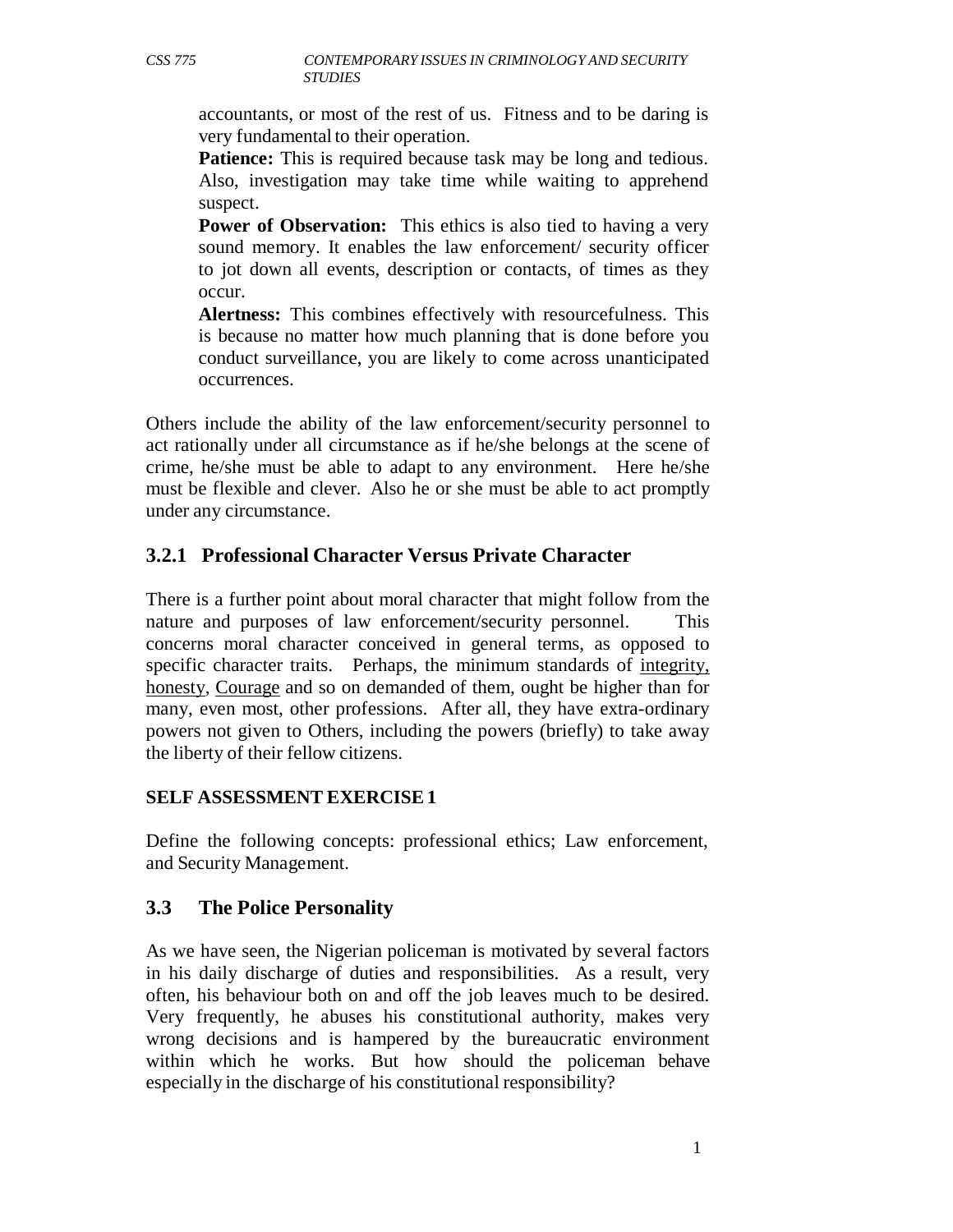accountants, or most of the rest of us. Fitness and to be daring is very fundamental to their operation.

**Patience:** This is required because task may be long and tedious. Also, investigation may take time while waiting to apprehend suspect.

**Power of Observation:** This ethics is also tied to having a very sound memory. It enables the law enforcement/ security officer to jot down all events, description or contacts, of times as they occur.

**Alertness:** This combines effectively with resourcefulness. This is because no matter how much planning that is done before you conduct surveillance, you are likely to come across unanticipated occurrences.

Others include the ability of the law enforcement/security personnel to act rationally under all circumstance as if he/she belongs at the scene of crime, he/she must be able to adapt to any environment. Here he/she must be flexible and clever. Also he or she must be able to act promptly under any circumstance.

# **3.2.1 Professional Character Versus Private Character**

There is a further point about moral character that might follow from the nature and purposes of law enforcement/security personnel. This concerns moral character conceived in general terms, as opposed to specific character traits. Perhaps, the minimum standards of integrity, honesty, Courage and so on demanded of them, ought be higher than for many, even most, other professions. After all, they have extra-ordinary powers not given to Others, including the powers (briefly) to take away the liberty of their fellow citizens.

#### **SELF ASSESSMENT EXERCISE 1**

Define the following concepts: professional ethics; Law enforcement, and Security Management.

## **3.3 The Police Personality**

As we have seen, the Nigerian policeman is motivated by several factors in his daily discharge of duties and responsibilities. As a result, very often, his behaviour both on and off the job leaves much to be desired. Very frequently, he abuses his constitutional authority, makes very wrong decisions and is hampered by the bureaucratic environment within which he works. But how should the policeman behave especially in the discharge of his constitutional responsibility?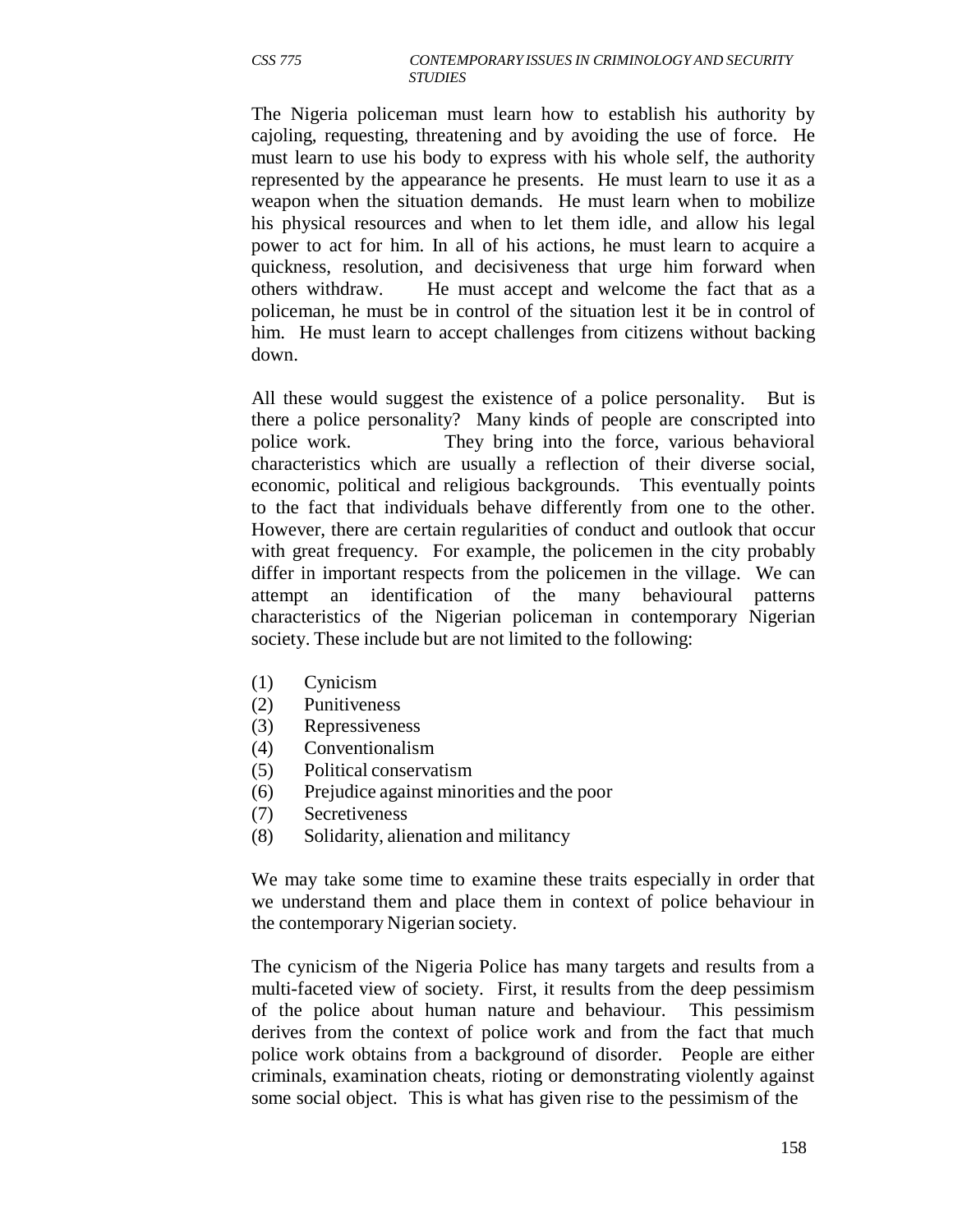The Nigeria policeman must learn how to establish his authority by cajoling, requesting, threatening and by avoiding the use of force. He must learn to use his body to express with his whole self, the authority represented by the appearance he presents. He must learn to use it as a weapon when the situation demands. He must learn when to mobilize his physical resources and when to let them idle, and allow his legal power to act for him. In all of his actions, he must learn to acquire a quickness, resolution, and decisiveness that urge him forward when others withdraw. He must accept and welcome the fact that as a policeman, he must be in control of the situation lest it be in control of him. He must learn to accept challenges from citizens without backing down.

All these would suggest the existence of a police personality. But is there a police personality? Many kinds of people are conscripted into police work. They bring into the force, various behavioral characteristics which are usually a reflection of their diverse social, economic, political and religious backgrounds. This eventually points to the fact that individuals behave differently from one to the other. However, there are certain regularities of conduct and outlook that occur with great frequency. For example, the policemen in the city probably differ in important respects from the policemen in the village. We can attempt an identification of the many behavioural patterns characteristics of the Nigerian policeman in contemporary Nigerian society. These include but are not limited to the following:

- (1) Cynicism
- (2) Punitiveness
- (3) Repressiveness
- (4) Conventionalism
- (5) Political conservatism
- (6) Prejudice against minorities and the poor
- (7) Secretiveness
- (8) Solidarity, alienation and militancy

We may take some time to examine these traits especially in order that we understand them and place them in context of police behaviour in the contemporary Nigerian society.

The cynicism of the Nigeria Police has many targets and results from a multi-faceted view of society. First, it results from the deep pessimism of the police about human nature and behaviour. This pessimism derives from the context of police work and from the fact that much police work obtains from a background of disorder. People are either criminals, examination cheats, rioting or demonstrating violently against some social object. This is what has given rise to the pessimism of the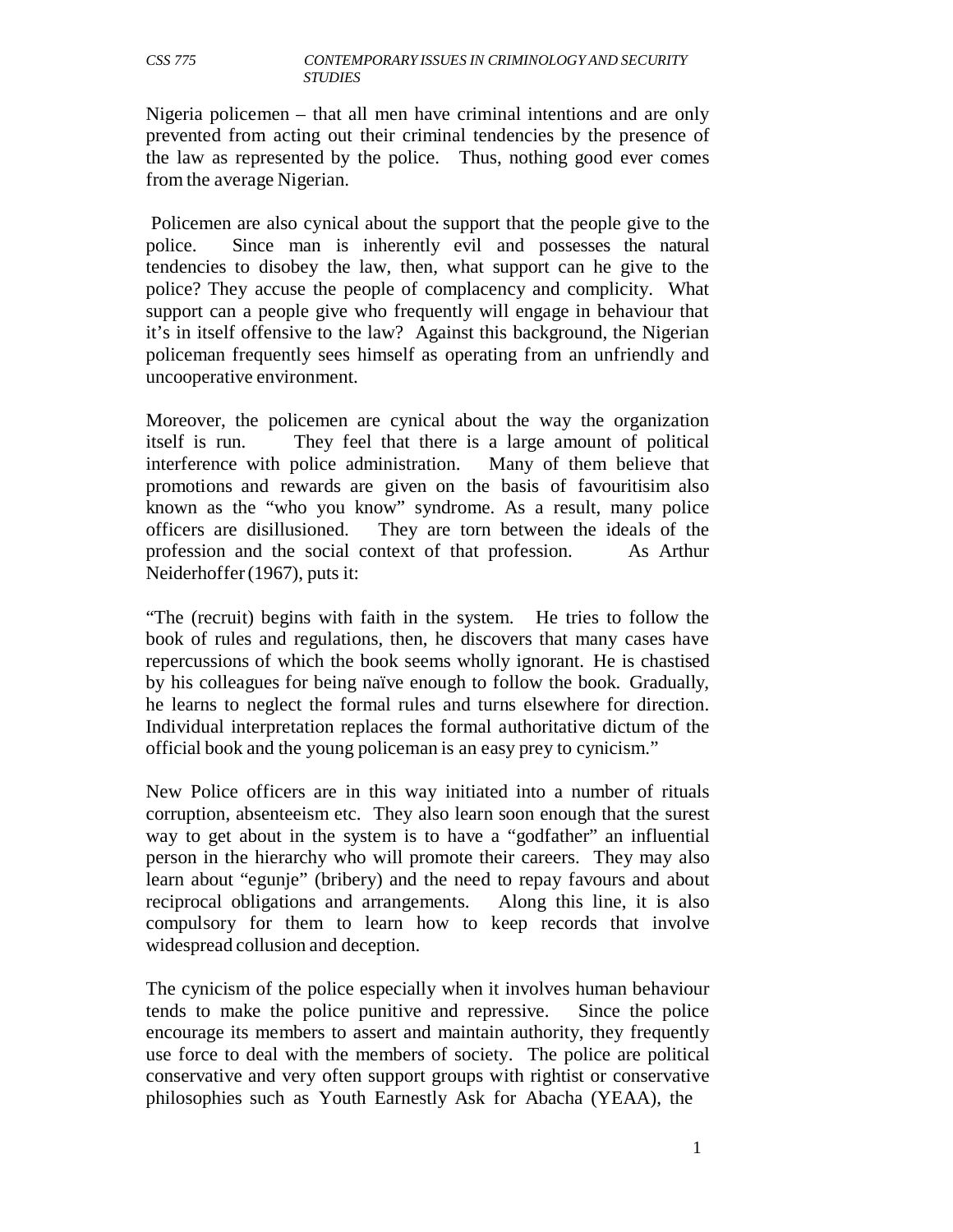Nigeria policemen – that all men have criminal intentions and are only prevented from acting out their criminal tendencies by the presence of the law as represented by the police. Thus, nothing good ever comes from the average Nigerian.

Policemen are also cynical about the support that the people give to the police. Since man is inherently evil and possesses the natural tendencies to disobey the law, then, what support can he give to the police? They accuse the people of complacency and complicity. What support can a people give who frequently will engage in behaviour that it's in itself offensive to the law? Against this background, the Nigerian policeman frequently sees himself as operating from an unfriendly and uncooperative environment.

Moreover, the policemen are cynical about the way the organization itself is run. They feel that there is a large amount of political interference with police administration. Many of them believe that promotions and rewards are given on the basis of favouritisim also known as the "who you know" syndrome. As a result, many police officers are disillusioned. They are torn between the ideals of the profession and the social context of that profession. As Arthur Neiderhoffer (1967), puts it:

"The (recruit) begins with faith in the system. He tries to follow the book of rules and regulations, then, he discovers that many cases have repercussions of which the book seems wholly ignorant. He is chastised by his colleagues for being naïve enough to follow the book. Gradually, he learns to neglect the formal rules and turns elsewhere for direction. Individual interpretation replaces the formal authoritative dictum of the official book and the young policeman is an easy prey to cynicism."

New Police officers are in this way initiated into a number of rituals corruption, absenteeism etc. They also learn soon enough that the surest way to get about in the system is to have a "godfather" an influential person in the hierarchy who will promote their careers. They may also learn about "egunje" (bribery) and the need to repay favours and about reciprocal obligations and arrangements. Along this line, it is also compulsory for them to learn how to keep records that involve widespread collusion and deception.

The cynicism of the police especially when it involves human behaviour tends to make the police punitive and repressive. Since the police encourage its members to assert and maintain authority, they frequently use force to deal with the members of society. The police are political conservative and very often support groups with rightist or conservative philosophies such as Youth Earnestly Ask for Abacha (YEAA), the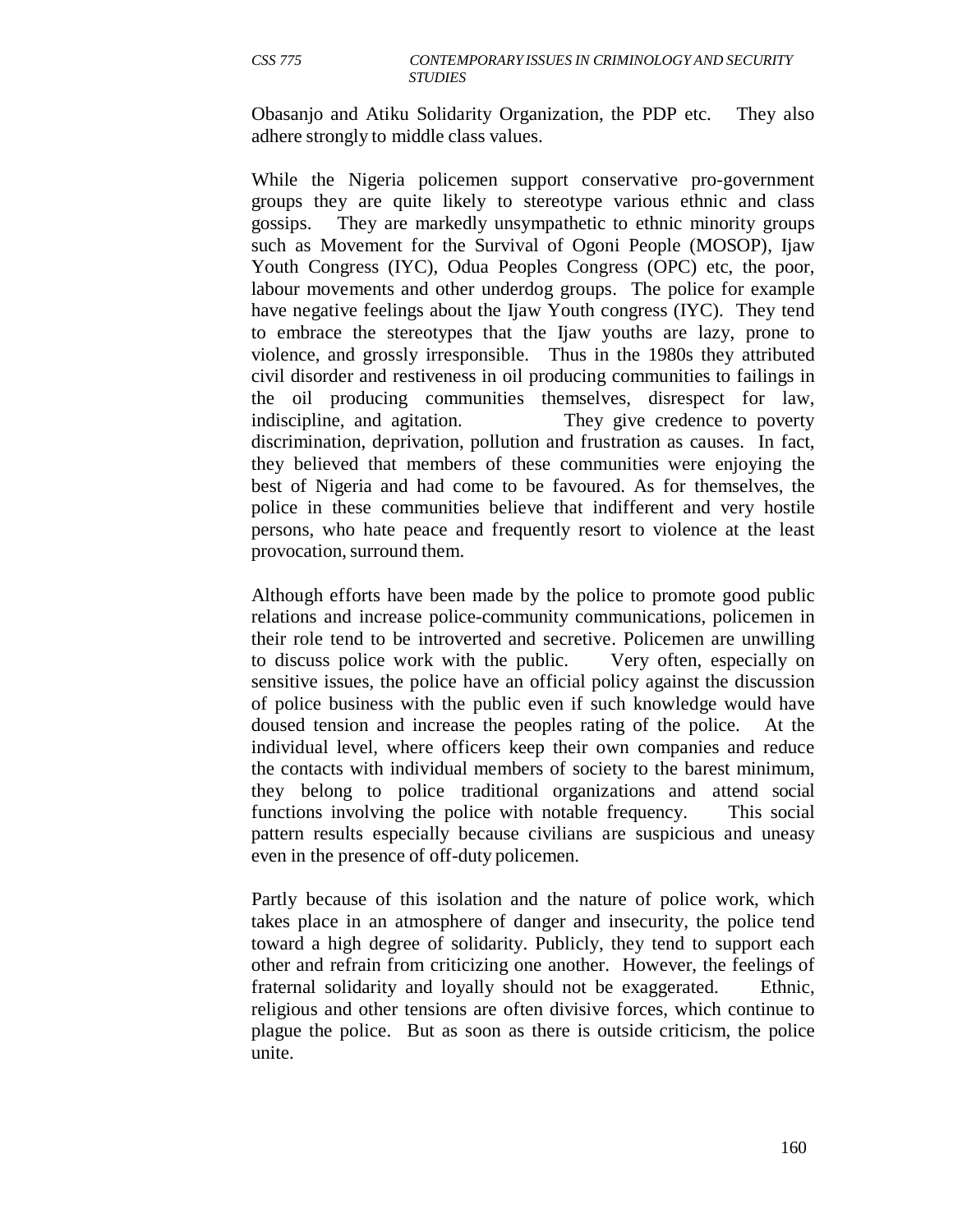Obasanjo and Atiku Solidarity Organization, the PDP etc. They also adhere strongly to middle class values.

While the Nigeria policemen support conservative pro-government groups they are quite likely to stereotype various ethnic and class gossips. They are markedly unsympathetic to ethnic minority groups such as Movement for the Survival of Ogoni People (MOSOP), Ijaw Youth Congress (IYC), Odua Peoples Congress (OPC) etc, the poor, labour movements and other underdog groups. The police for example have negative feelings about the Ijaw Youth congress (IYC). They tend to embrace the stereotypes that the Ijaw youths are lazy, prone to violence, and grossly irresponsible. Thus in the 1980s they attributed civil disorder and restiveness in oil producing communities to failings in the oil producing communities themselves, disrespect for law, indiscipline, and agitation. They give credence to poverty discrimination, deprivation, pollution and frustration as causes. In fact, they believed that members of these communities were enjoying the best of Nigeria and had come to be favoured. As for themselves, the police in these communities believe that indifferent and very hostile persons, who hate peace and frequently resort to violence at the least provocation, surround them.

Although efforts have been made by the police to promote good public relations and increase police-community communications, policemen in their role tend to be introverted and secretive. Policemen are unwilling to discuss police work with the public. Very often, especially on sensitive issues, the police have an official policy against the discussion of police business with the public even if such knowledge would have doused tension and increase the peoples rating of the police. At the individual level, where officers keep their own companies and reduce the contacts with individual members of society to the barest minimum, they belong to police traditional organizations and attend social functions involving the police with notable frequency. This social pattern results especially because civilians are suspicious and uneasy even in the presence of off-duty policemen.

Partly because of this isolation and the nature of police work, which takes place in an atmosphere of danger and insecurity, the police tend toward a high degree of solidarity. Publicly, they tend to support each other and refrain from criticizing one another. However, the feelings of fraternal solidarity and loyally should not be exaggerated. Ethnic, religious and other tensions are often divisive forces, which continue to plague the police. But as soon as there is outside criticism, the police unite.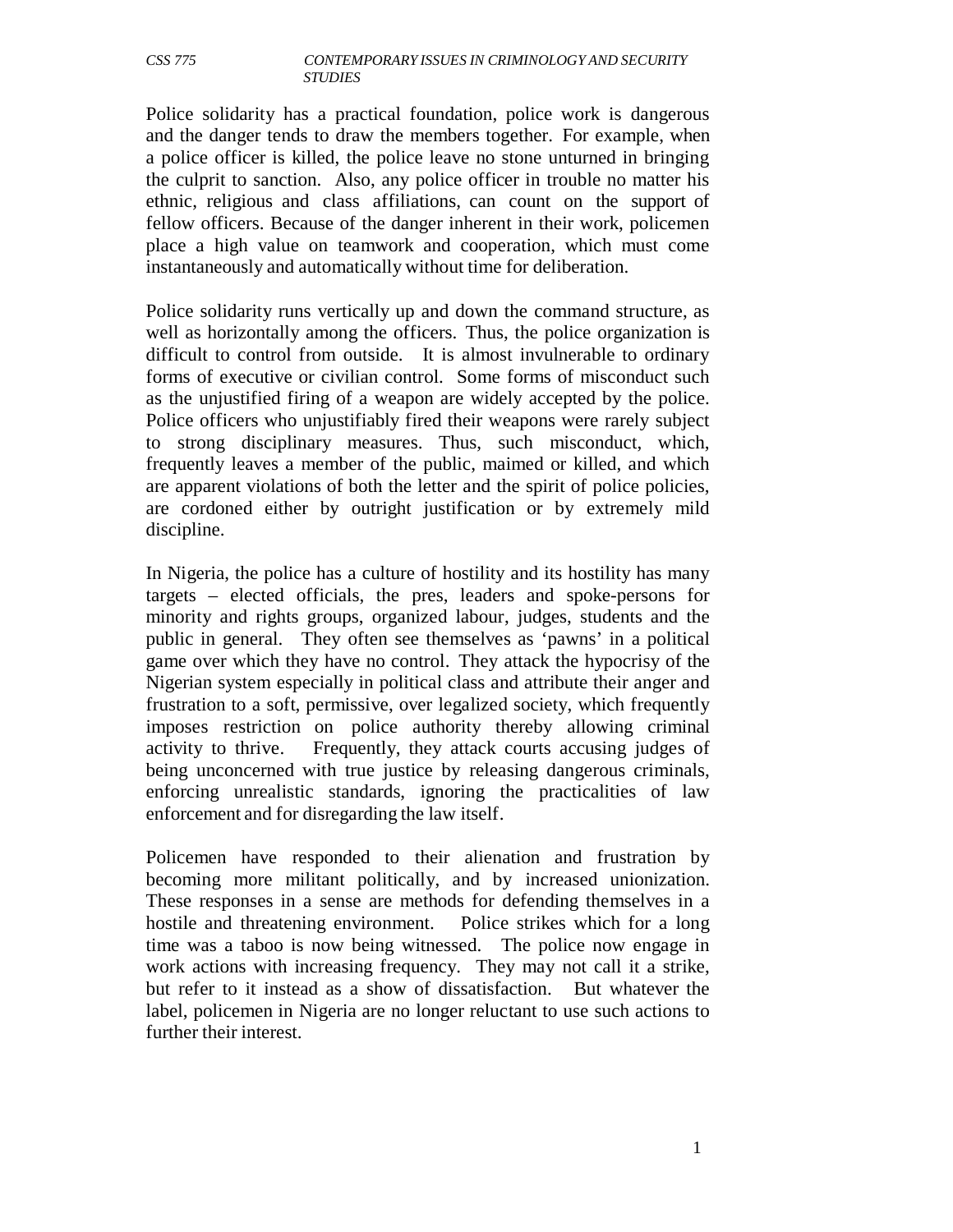Police solidarity has a practical foundation, police work is dangerous and the danger tends to draw the members together. For example, when a police officer is killed, the police leave no stone unturned in bringing the culprit to sanction. Also, any police officer in trouble no matter his ethnic, religious and class affiliations, can count on the support of fellow officers. Because of the danger inherent in their work, policemen place a high value on teamwork and cooperation, which must come instantaneously and automatically without time for deliberation.

Police solidarity runs vertically up and down the command structure, as well as horizontally among the officers. Thus, the police organization is difficult to control from outside. It is almost invulnerable to ordinary forms of executive or civilian control. Some forms of misconduct such as the unjustified firing of a weapon are widely accepted by the police. Police officers who unjustifiably fired their weapons were rarely subject to strong disciplinary measures. Thus, such misconduct, which, frequently leaves a member of the public, maimed or killed, and which are apparent violations of both the letter and the spirit of police policies, are cordoned either by outright justification or by extremely mild discipline.

In Nigeria, the police has a culture of hostility and its hostility has many targets – elected officials, the pres, leaders and spoke-persons for minority and rights groups, organized labour, judges, students and the public in general. They often see themselves as 'pawns' in a political game over which they have no control. They attack the hypocrisy of the Nigerian system especially in political class and attribute their anger and frustration to a soft, permissive, over legalized society, which frequently imposes restriction on police authority thereby allowing criminal activity to thrive. Frequently, they attack courts accusing judges of being unconcerned with true justice by releasing dangerous criminals, enforcing unrealistic standards, ignoring the practicalities of law enforcement and for disregarding the law itself.

Policemen have responded to their alienation and frustration by becoming more militant politically, and by increased unionization. These responses in a sense are methods for defending themselves in a hostile and threatening environment. Police strikes which for a long time was a taboo is now being witnessed. The police now engage in work actions with increasing frequency. They may not call it a strike, but refer to it instead as a show of dissatisfaction. But whatever the label, policemen in Nigeria are no longer reluctant to use such actions to further their interest.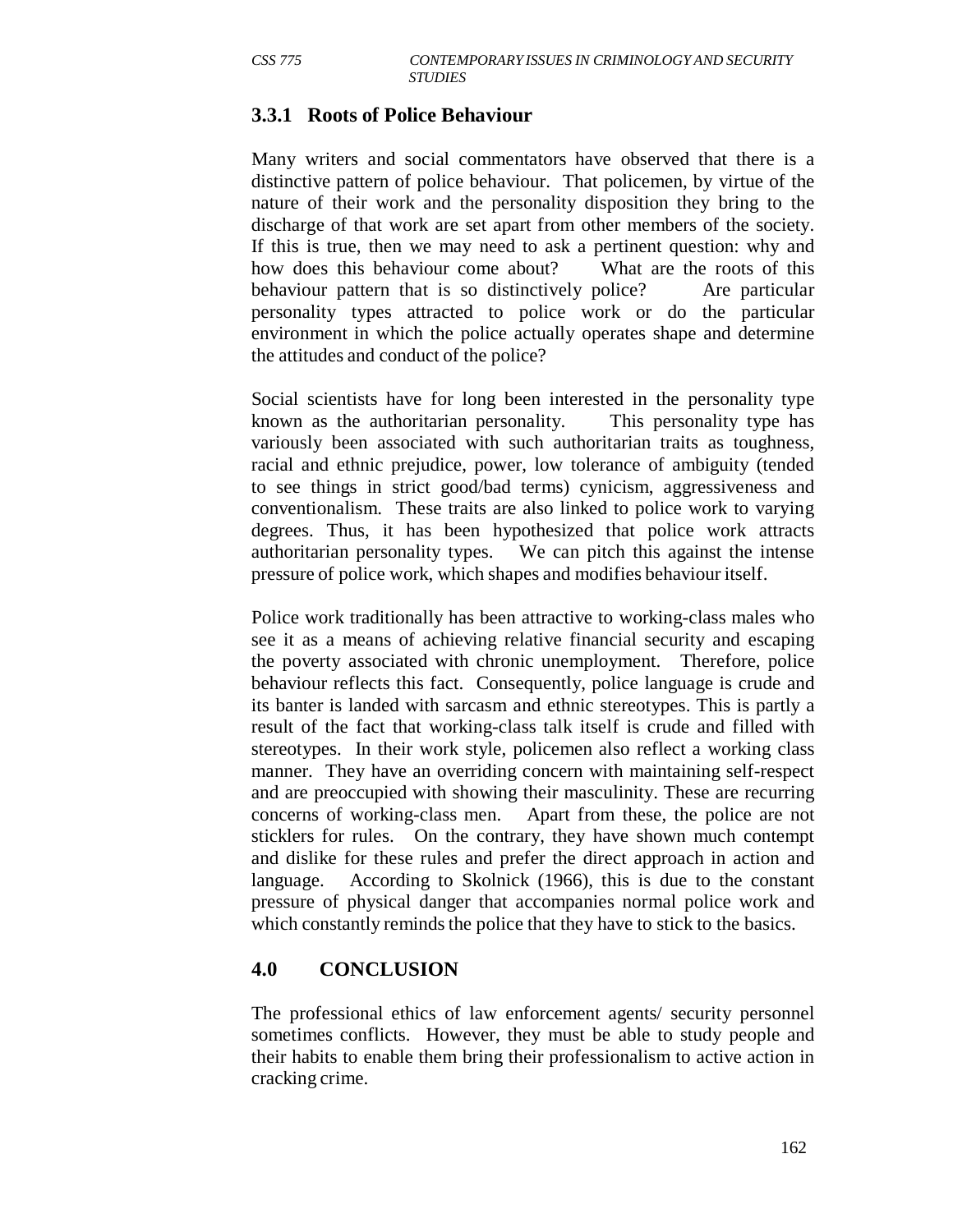## **3.3.1 Roots of Police Behaviour**

Many writers and social commentators have observed that there is a distinctive pattern of police behaviour. That policemen, by virtue of the nature of their work and the personality disposition they bring to the discharge of that work are set apart from other members of the society. If this is true, then we may need to ask a pertinent question: why and how does this behaviour come about? What are the roots of this behaviour pattern that is so distinctively police? Are particular personality types attracted to police work or do the particular environment in which the police actually operates shape and determine the attitudes and conduct of the police?

Social scientists have for long been interested in the personality type known as the authoritarian personality. This personality type has variously been associated with such authoritarian traits as toughness, racial and ethnic prejudice, power, low tolerance of ambiguity (tended to see things in strict good/bad terms) cynicism, aggressiveness and conventionalism. These traits are also linked to police work to varying degrees. Thus, it has been hypothesized that police work attracts authoritarian personality types. We can pitch this against the intense pressure of police work, which shapes and modifies behaviour itself.

Police work traditionally has been attractive to working-class males who see it as a means of achieving relative financial security and escaping the poverty associated with chronic unemployment. Therefore, police behaviour reflects this fact. Consequently, police language is crude and its banter is landed with sarcasm and ethnic stereotypes. This is partly a result of the fact that working-class talk itself is crude and filled with stereotypes. In their work style, policemen also reflect a working class manner. They have an overriding concern with maintaining self-respect and are preoccupied with showing their masculinity. These are recurring concerns of working-class men. Apart from these, the police are not sticklers for rules. On the contrary, they have shown much contempt and dislike for these rules and prefer the direct approach in action and language. According to Skolnick (1966), this is due to the constant pressure of physical danger that accompanies normal police work and which constantly reminds the police that they have to stick to the basics.

## **4.0 CONCLUSION**

The professional ethics of law enforcement agents/ security personnel sometimes conflicts. However, they must be able to study people and their habits to enable them bring their professionalism to active action in cracking crime.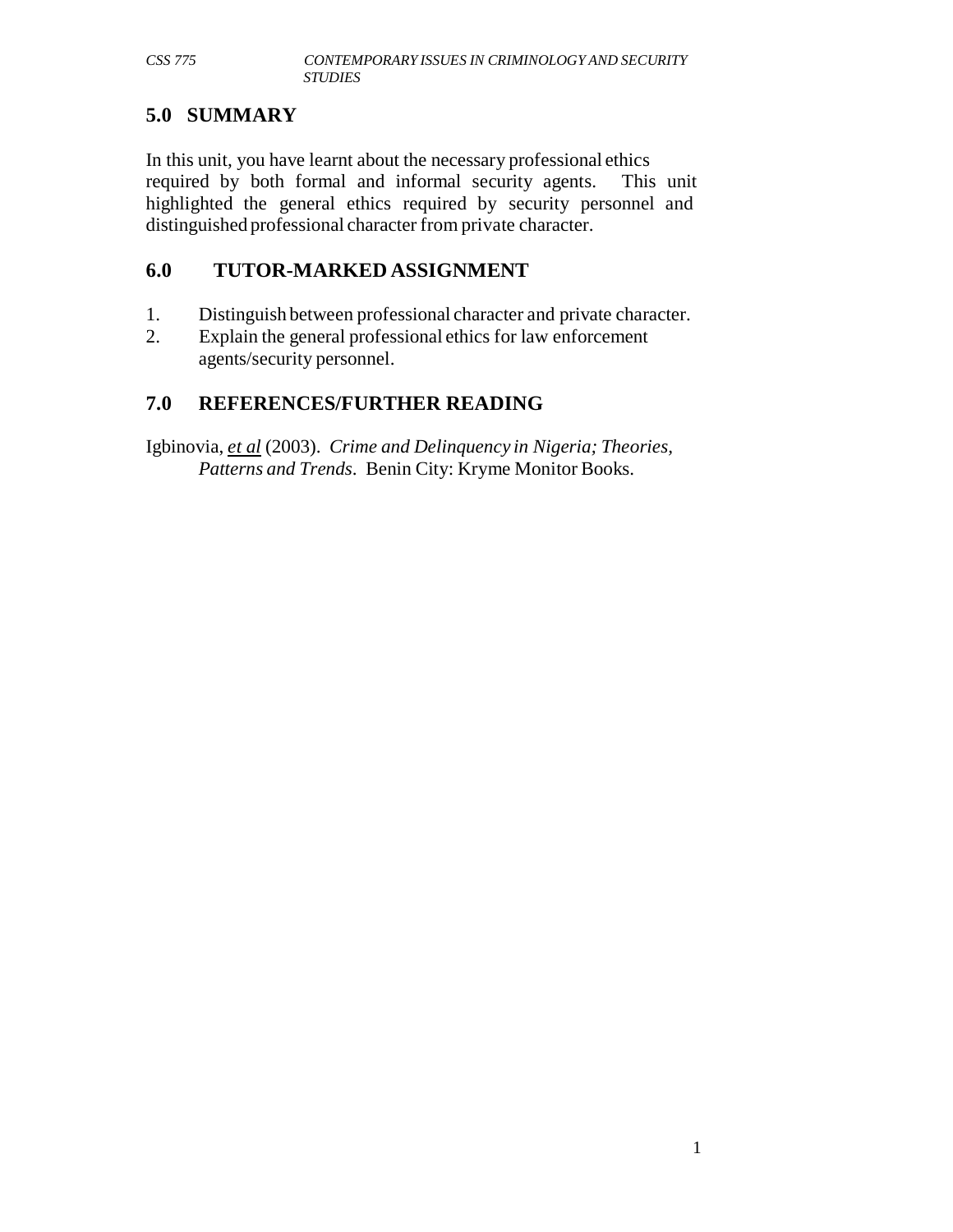# **5.0 SUMMARY**

In this unit, you have learnt about the necessary professional ethics required by both formal and informal security agents. This unit highlighted the general ethics required by security personnel and distinguished professional character from private character.

# **6.0 TUTOR-MARKED ASSIGNMENT**

- 1. Distinguish between professional character and private character.
- 2. Explain the general professional ethics for law enforcement agents/security personnel.

# **7.0 REFERENCES/FURTHER READING**

Igbinovia, *et al* (2003). *Crime and Delinquency in Nigeria; Theories, Patterns and Trends*. Benin City: Kryme Monitor Books.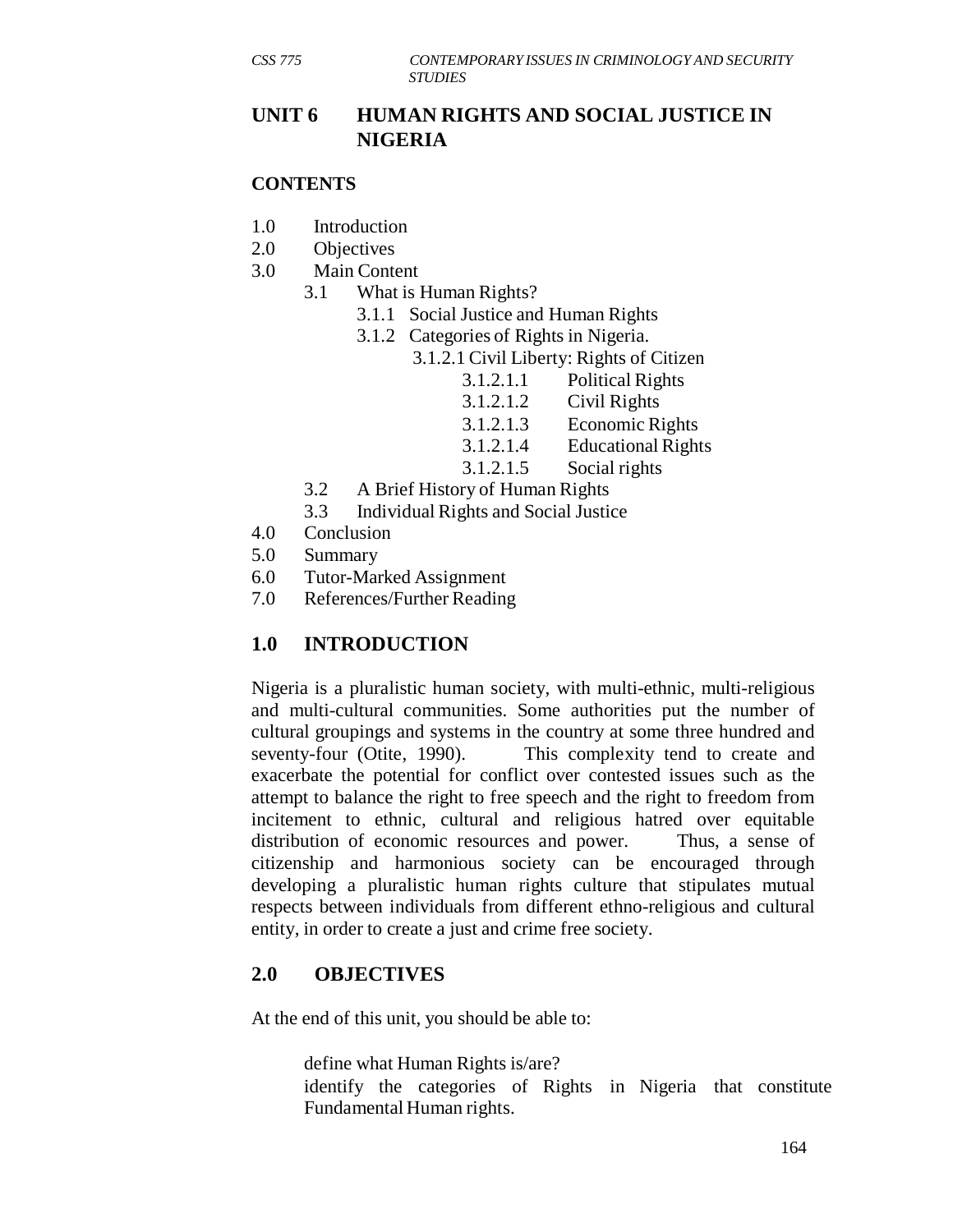# **UNIT 6 HUMAN RIGHTS AND SOCIAL JUSTICE IN NIGERIA**

#### **CONTENTS**

- 1.0 Introduction
- 2.0 Objectives
- 3.0 Main Content
	- 3.1 What is Human Rights?
		- 3.1.1 Social Justice and Human Rights
		- 3.1.2 Categories of Rights in Nigeria.
			- 3.1.2.1 Civil Liberty: Rights of Citizen
				- 3.1.2.1.1 Political Rights
				- 3.1.2.1.2 Civil Rights
				- 3.1.2.1.3 Economic Rights
				- 3.1.2.1.4 Educational Rights
				- 3.1.2.1.5 Social rights
	- 3.2 A Brief History of Human Rights
	- 3.3 Individual Rights and Social Justice
- 4.0 Conclusion
- 5.0 Summary
- 6.0 Tutor-Marked Assignment
- 7.0 References/Further Reading

# **1.0 INTRODUCTION**

Nigeria is a pluralistic human society, with multi-ethnic, multi-religious and multi-cultural communities. Some authorities put the number of cultural groupings and systems in the country at some three hundred and seventy-four (Otite, 1990). This complexity tend to create and exacerbate the potential for conflict over contested issues such as the attempt to balance the right to free speech and the right to freedom from incitement to ethnic, cultural and religious hatred over equitable distribution of economic resources and power. Thus, a sense of citizenship and harmonious society can be encouraged through developing a pluralistic human rights culture that stipulates mutual respects between individuals from different ethno-religious and cultural entity, in order to create a just and crime free society.

# **2.0 OBJECTIVES**

At the end of this unit, you should be able to:

define what Human Rights is/are?

identify the categories of Rights in Nigeria that constitute Fundamental Human rights.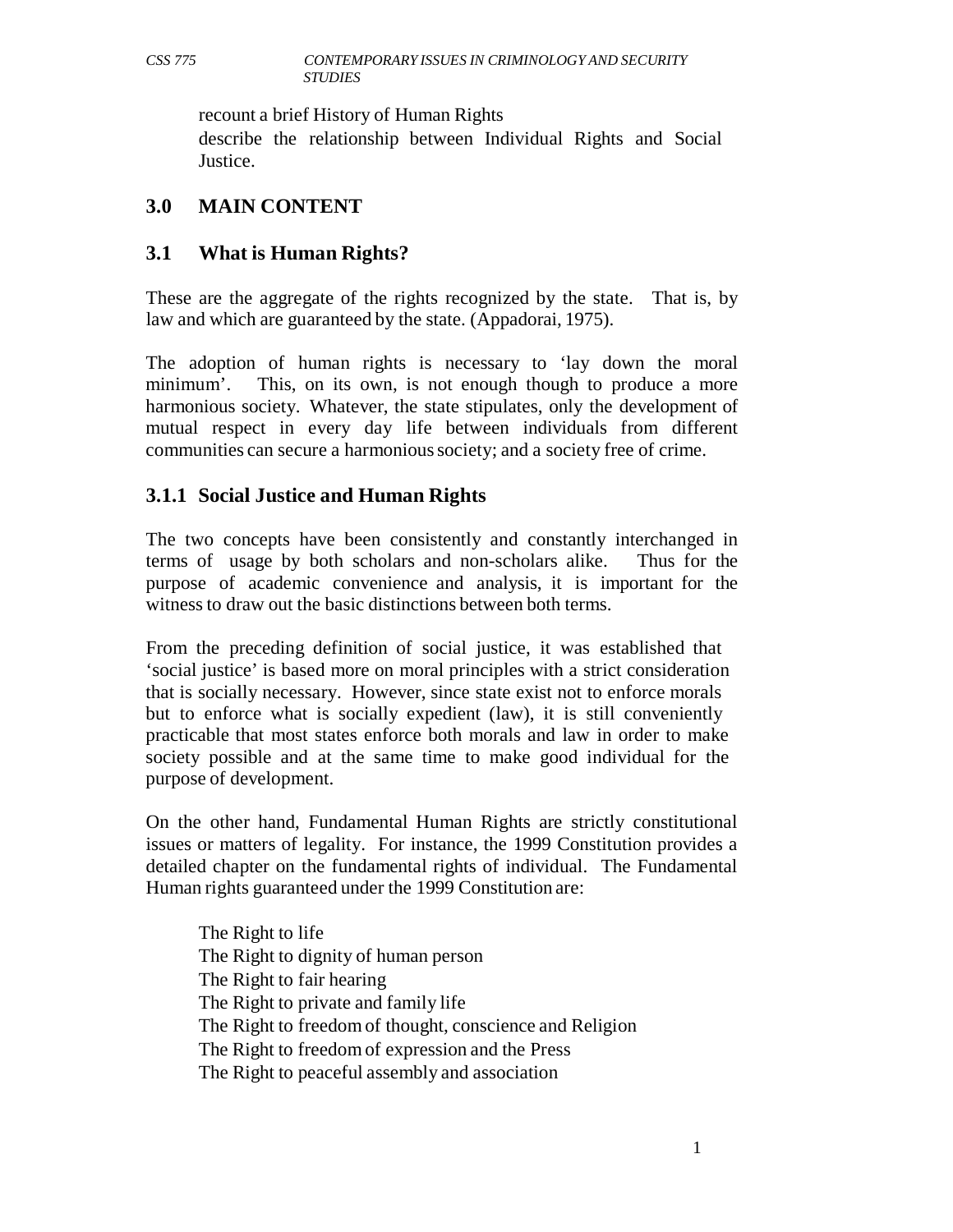recount a brief History of Human Rights

describe the relationship between Individual Rights and Social Justice.

# **3.0 MAIN CONTENT**

# **3.1 What is Human Rights?**

These are the aggregate of the rights recognized by the state. That is, by law and which are guaranteed by the state. (Appadorai, 1975).

The adoption of human rights is necessary to 'lay down the moral minimum'. This, on its own, is not enough though to produce a more harmonious society. Whatever, the state stipulates, only the development of mutual respect in every day life between individuals from different communities can secure a harmonious society; and a society free of crime.

# **3.1.1 Social Justice and Human Rights**

The two concepts have been consistently and constantly interchanged in terms of usage by both scholars and non-scholars alike. Thus for the purpose of academic convenience and analysis, it is important for the witness to draw out the basic distinctions between both terms.

From the preceding definition of social justice, it was established that 'social justice' is based more on moral principles with a strict consideration that is socially necessary. However, since state exist not to enforce morals but to enforce what is socially expedient (law), it is still conveniently practicable that most states enforce both morals and law in order to make society possible and at the same time to make good individual for the purpose of development.

On the other hand, Fundamental Human Rights are strictly constitutional issues or matters of legality. For instance, the 1999 Constitution provides a detailed chapter on the fundamental rights of individual. The Fundamental Human rights guaranteed under the 1999 Constitution are:

The Right to life The Right to dignity of human person The Right to fair hearing The Right to private and family life The Right to freedom of thought, conscience and Religion The Right to freedom of expression and the Press The Right to peaceful assembly and association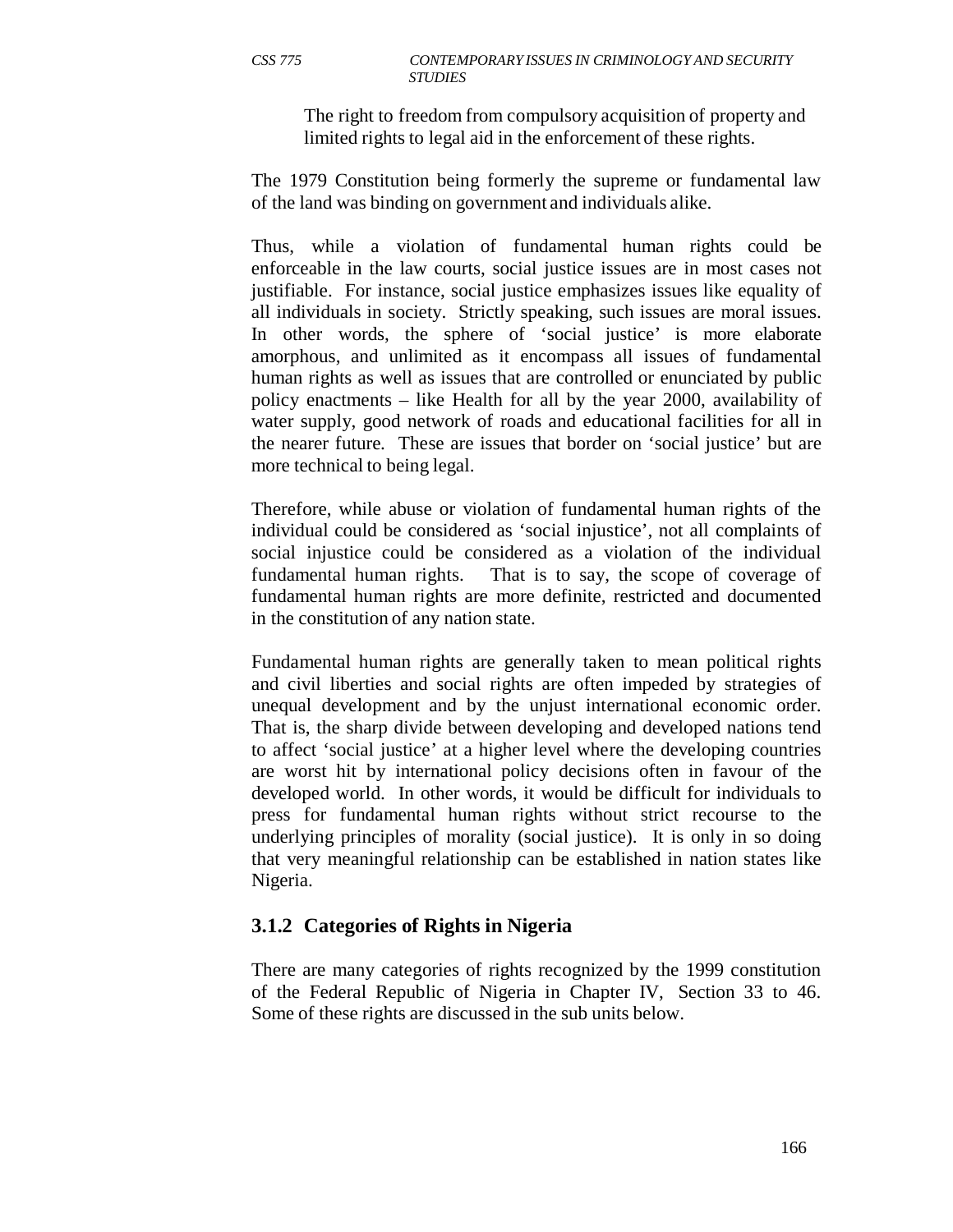The right to freedom from compulsory acquisition of property and limited rights to legal aid in the enforcement of these rights.

The 1979 Constitution being formerly the supreme or fundamental law of the land was binding on government and individuals alike.

Thus, while a violation of fundamental human rights could be enforceable in the law courts, social justice issues are in most cases not justifiable. For instance, social justice emphasizes issues like equality of all individuals in society. Strictly speaking, such issues are moral issues. In other words, the sphere of 'social justice' is more elaborate amorphous, and unlimited as it encompass all issues of fundamental human rights as well as issues that are controlled or enunciated by public policy enactments – like Health for all by the year 2000, availability of water supply, good network of roads and educational facilities for all in the nearer future. These are issues that border on 'social justice' but are more technical to being legal.

Therefore, while abuse or violation of fundamental human rights of the individual could be considered as 'social injustice', not all complaints of social injustice could be considered as a violation of the individual fundamental human rights. That is to say, the scope of coverage of fundamental human rights are more definite, restricted and documented in the constitution of any nation state.

Fundamental human rights are generally taken to mean political rights and civil liberties and social rights are often impeded by strategies of unequal development and by the unjust international economic order. That is, the sharp divide between developing and developed nations tend to affect 'social justice' at a higher level where the developing countries are worst hit by international policy decisions often in favour of the developed world. In other words, it would be difficult for individuals to press for fundamental human rights without strict recourse to the underlying principles of morality (social justice). It is only in so doing that very meaningful relationship can be established in nation states like Nigeria.

#### **3.1.2 Categories of Rights in Nigeria**

There are many categories of rights recognized by the 1999 constitution of the Federal Republic of Nigeria in Chapter IV, Section 33 to 46. Some of these rights are discussed in the sub units below.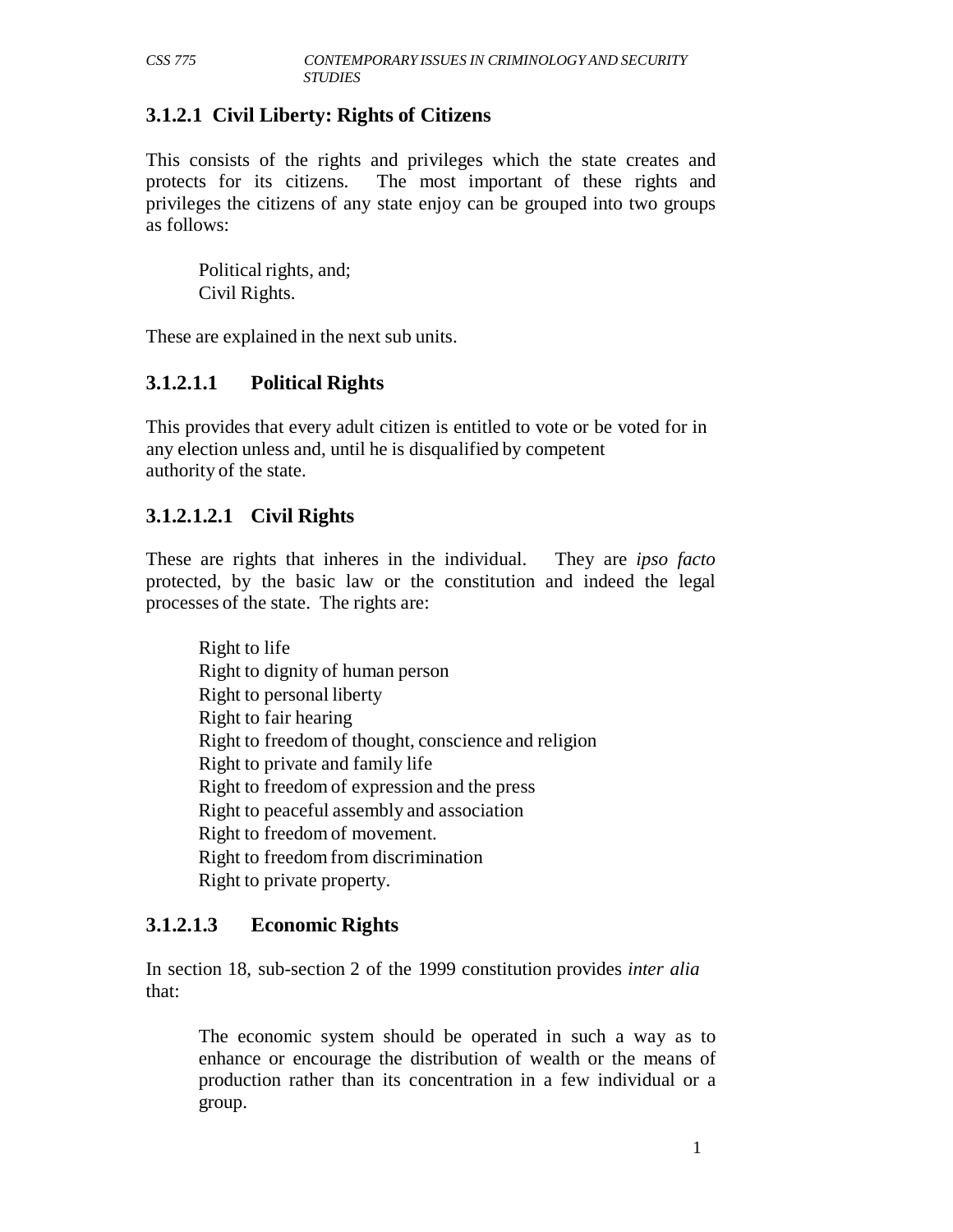# **3.1.2.1 Civil Liberty: Rights of Citizens**

This consists of the rights and privileges which the state creates and protects for its citizens. The most important of these rights and privileges the citizens of any state enjoy can be grouped into two groups as follows:

Political rights, and; Civil Rights.

These are explained in the next sub units.

# **3.1.2.1.1 Political Rights**

This provides that every adult citizen is entitled to vote or be voted for in any election unless and, until he is disqualified by competent authority of the state.

### **3.1.2.1.2.1 Civil Rights**

These are rights that inheres in the individual. They are *ipso facto*  protected, by the basic law or the constitution and indeed the legal processes of the state. The rights are:

Right to life Right to dignity of human person Right to personal liberty Right to fair hearing Right to freedom of thought, conscience and religion Right to private and family life Right to freedom of expression and the press Right to peaceful assembly and association Right to freedom of movement. Right to freedom from discrimination Right to private property.

# **3.1.2.1.3 Economic Rights**

In section 18, sub-section 2 of the 1999 constitution provides *inter alia* that:

The economic system should be operated in such a way as to enhance or encourage the distribution of wealth or the means of production rather than its concentration in a few individual or a group.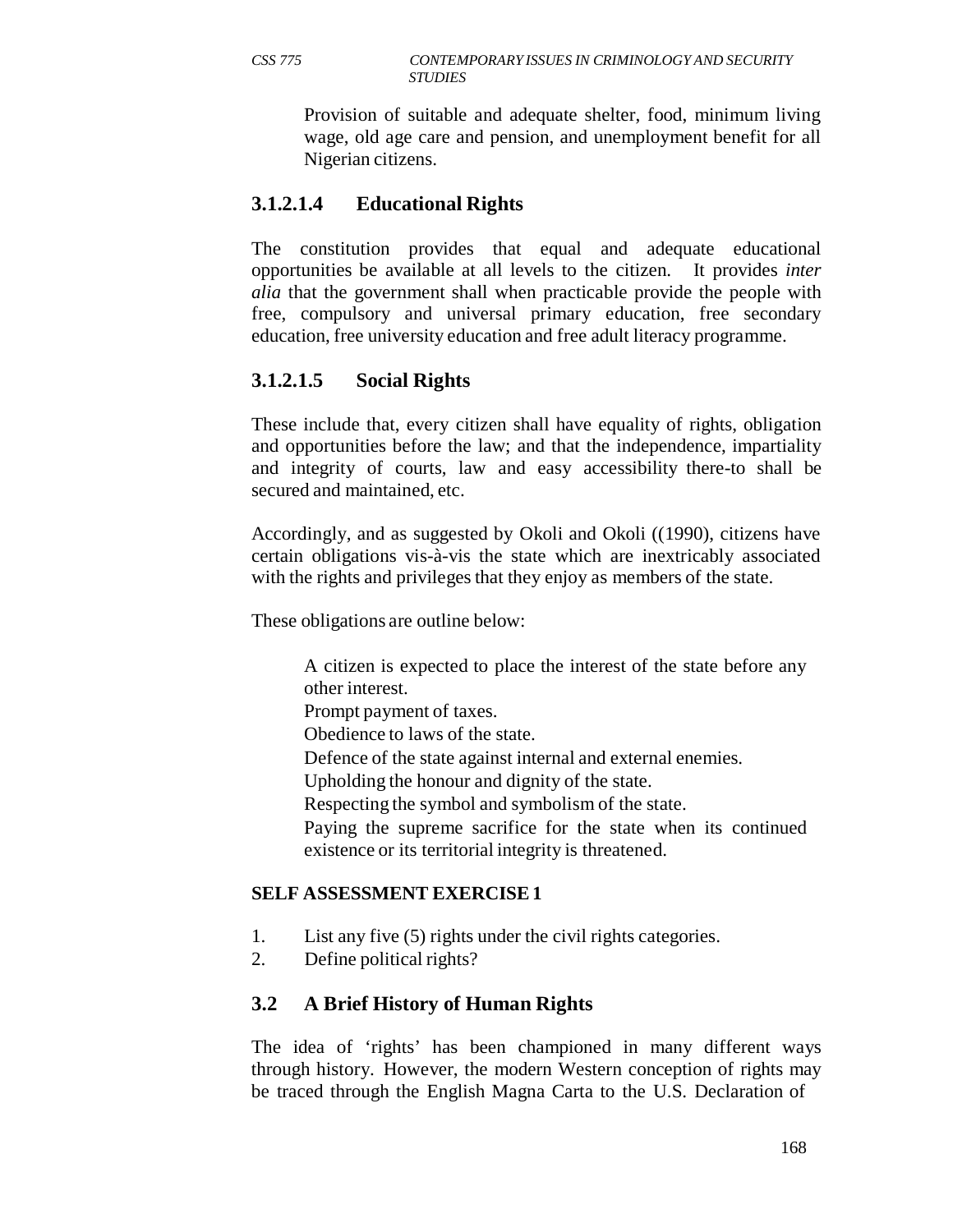#### *CSS 775 CONTEMPORARY ISSUES IN CRIMINOLOGY AND SECURITY STUDIES*

Provision of suitable and adequate shelter, food, minimum living wage, old age care and pension, and unemployment benefit for all Nigerian citizens.

# **3.1.2.1.4 Educational Rights**

The constitution provides that equal and adequate educational opportunities be available at all levels to the citizen. It provides *inter alia* that the government shall when practicable provide the people with free, compulsory and universal primary education, free secondary education, free university education and free adult literacy programme.

# **3.1.2.1.5 Social Rights**

These include that, every citizen shall have equality of rights, obligation and opportunities before the law; and that the independence, impartiality and integrity of courts, law and easy accessibility there-to shall be secured and maintained, etc.

Accordingly, and as suggested by Okoli and Okoli ((1990), citizens have certain obligations vis-à-vis the state which are inextricably associated with the rights and privileges that they enjoy as members of the state.

These obligations are outline below:

A citizen is expected to place the interest of the state before any other interest.

Prompt payment of taxes.

Obedience to laws of the state.

Defence of the state against internal and external enemies.

Upholding the honour and dignity of the state.

Respecting the symbol and symbolism of the state.

Paying the supreme sacrifice for the state when its continued existence or its territorial integrity is threatened.

#### **SELF ASSESSMENT EXERCISE 1**

- 1. List any five (5) rights under the civil rights categories.
- 2. Define political rights?

# **3.2 A Brief History of Human Rights**

The idea of 'rights' has been championed in many different ways through history. However, the modern Western conception of rights may be traced through the English Magna Carta to the U.S. Declaration of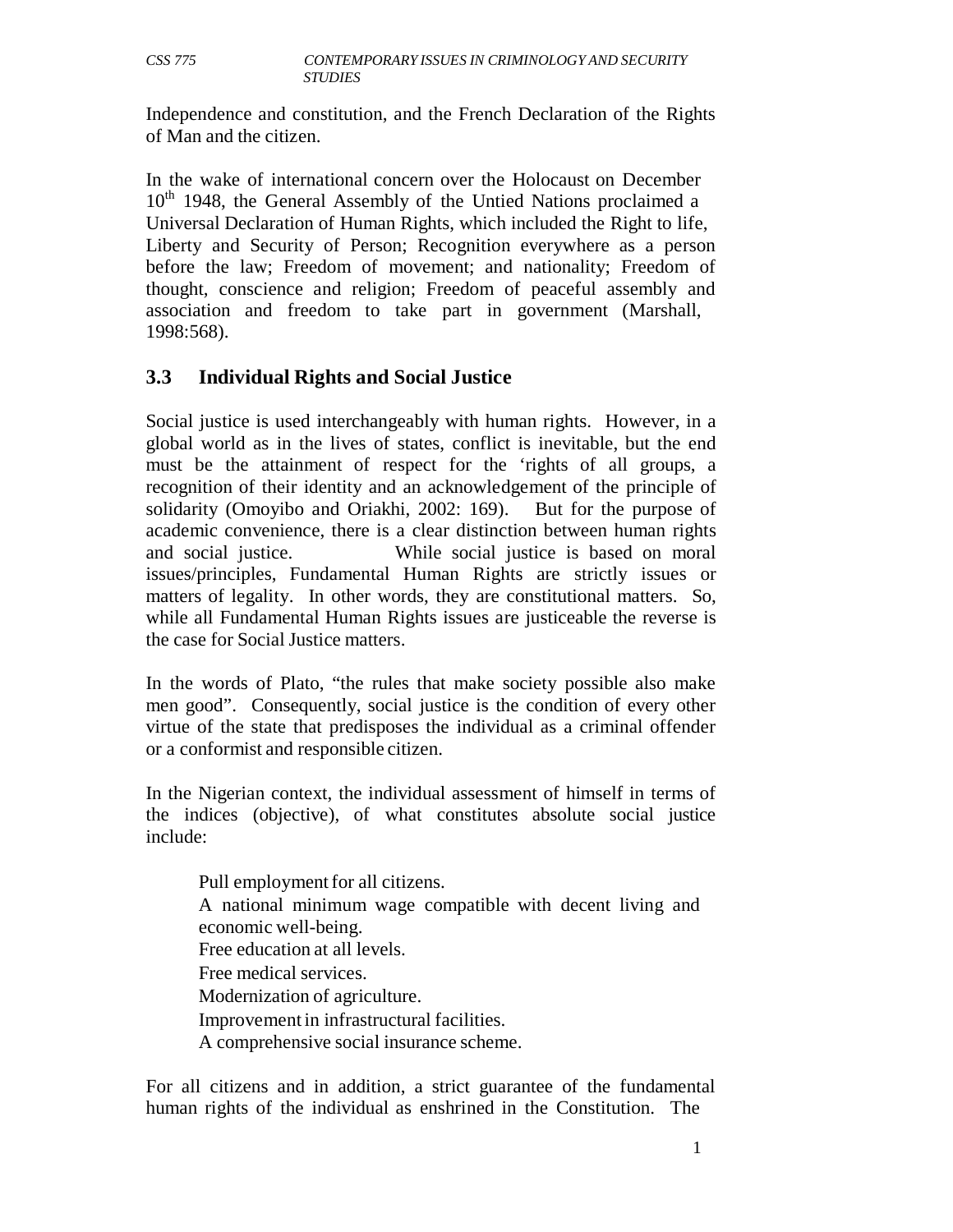Independence and constitution, and the French Declaration of the Rights of Man and the citizen.

In the wake of international concern over the Holocaust on December 10<sup>th</sup> 1948, the General Assembly of the Untied Nations proclaimed a Universal Declaration of Human Rights, which included the Right to life, Liberty and Security of Person; Recognition everywhere as a person before the law; Freedom of movement; and nationality; Freedom of thought, conscience and religion; Freedom of peaceful assembly and association and freedom to take part in government (Marshall, 1998:568).

# **3.3 Individual Rights and Social Justice**

Social justice is used interchangeably with human rights. However, in a global world as in the lives of states, conflict is inevitable, but the end must be the attainment of respect for the 'rights of all groups, a recognition of their identity and an acknowledgement of the principle of solidarity (Omoyibo and Oriakhi, 2002: 169). But for the purpose of academic convenience, there is a clear distinction between human rights and social justice. While social justice is based on moral issues/principles, Fundamental Human Rights are strictly issues or matters of legality. In other words, they are constitutional matters. So, while all Fundamental Human Rights issues are justiceable the reverse is the case for Social Justice matters.

In the words of Plato, "the rules that make society possible also make men good". Consequently, social justice is the condition of every other virtue of the state that predisposes the individual as a criminal offender or a conformist and responsible citizen.

In the Nigerian context, the individual assessment of himself in terms of the indices (objective), of what constitutes absolute social justice include:

Pull employment for all citizens. A national minimum wage compatible with decent living and economic well-being. Free education at all levels. Free medical services. Modernization of agriculture. Improvement in infrastructural facilities. A comprehensive social insurance scheme.

For all citizens and in addition, a strict guarantee of the fundamental human rights of the individual as enshrined in the Constitution. The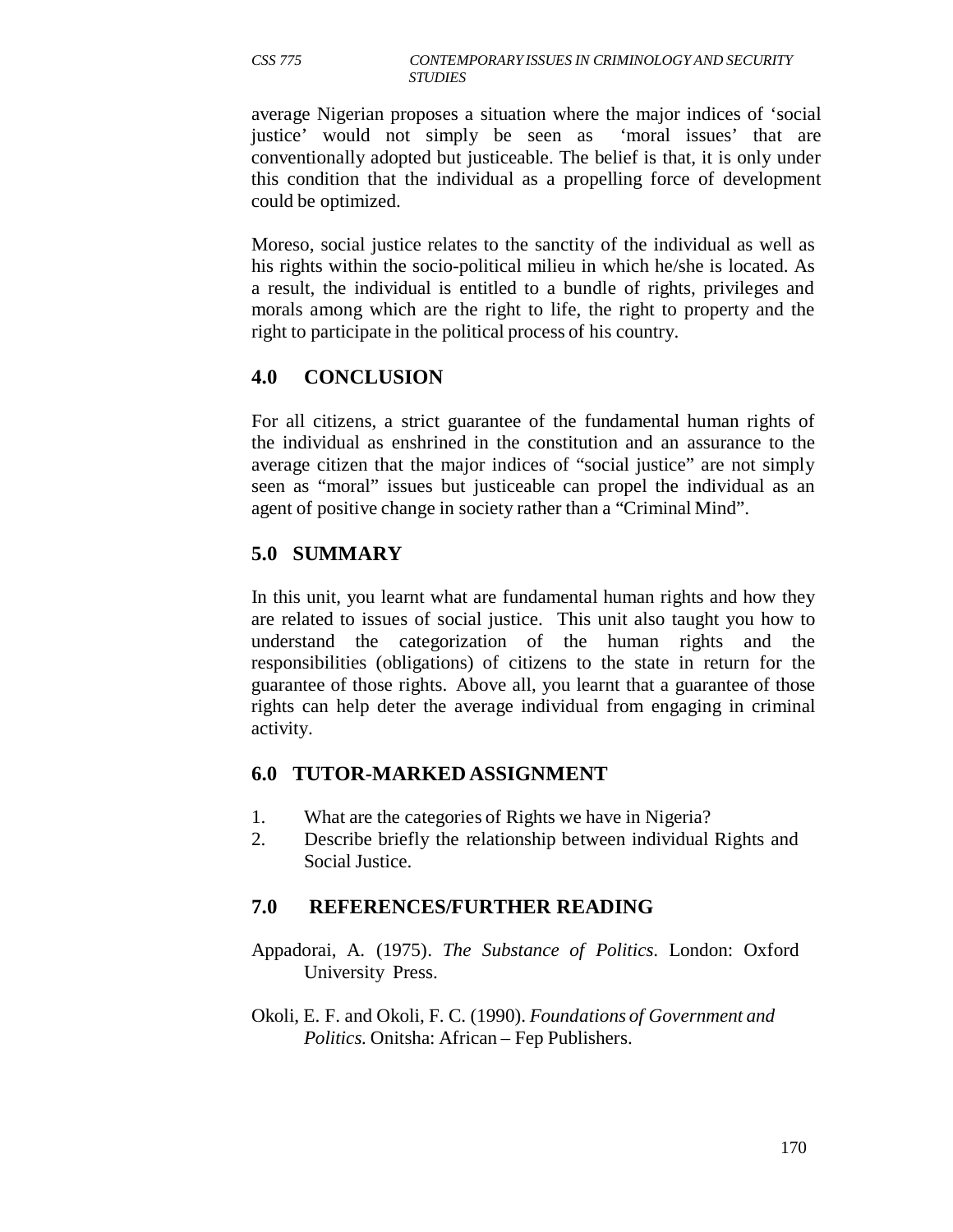#### *CSS 775 CONTEMPORARY ISSUES IN CRIMINOLOGY AND SECURITY STUDIES*

average Nigerian proposes a situation where the major indices of 'social justice' would not simply be seen as 'moral issues' that are conventionally adopted but justiceable. The belief is that, it is only under this condition that the individual as a propelling force of development could be optimized.

Moreso, social justice relates to the sanctity of the individual as well as his rights within the socio-political milieu in which he/she is located. As a result, the individual is entitled to a bundle of rights, privileges and morals among which are the right to life, the right to property and the right to participate in the political process of his country.

# **4.0 CONCLUSION**

For all citizens, a strict guarantee of the fundamental human rights of the individual as enshrined in the constitution and an assurance to the average citizen that the major indices of "social justice" are not simply seen as "moral" issues but justiceable can propel the individual as an agent of positive change in society rather than a "Criminal Mind".

# **5.0 SUMMARY**

In this unit, you learnt what are fundamental human rights and how they are related to issues of social justice. This unit also taught you how to understand the categorization of the human rights and the responsibilities (obligations) of citizens to the state in return for the guarantee of those rights. Above all, you learnt that a guarantee of those rights can help deter the average individual from engaging in criminal activity.

# **6.0 TUTOR-MARKED ASSIGNMENT**

- 1. What are the categories of Rights we have in Nigeria?
- 2. Describe briefly the relationship between individual Rights and Social Justice.

# **7.0 REFERENCES/FURTHER READING**

- Appadorai, A. (1975). *The Substance of Politics*. London: Oxford University Press.
- Okoli, E. F. and Okoli, F. C. (1990). *Foundations of Government and Politics.* Onitsha: African – Fep Publishers.